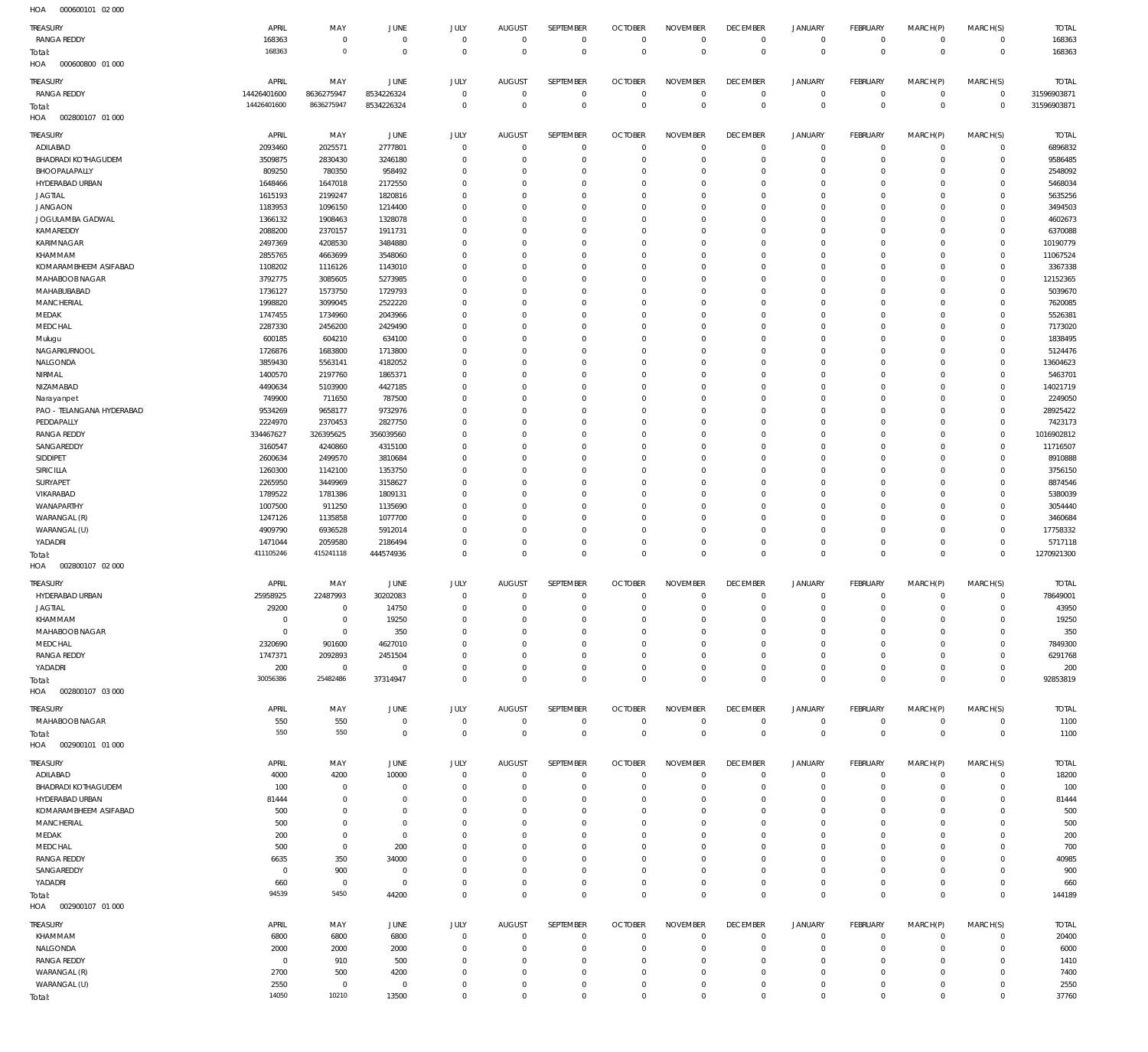000600101 02 000 HOA

| $\sim$<br><b>TREASURY</b>                   | APRIL                     | MAY                           | JUNE               | JULY                       | <b>AUGUST</b>        | SEPTEMBER                    | <b>OCTOBER</b>       | <b>NOVEMBER</b>            | <b>DECEMBER</b>            | <b>JANUARY</b>             | <b>FEBRUARY</b>            | MARCH(P)             | MARCH(S)                    | <b>TOTAL</b>         |
|---------------------------------------------|---------------------------|-------------------------------|--------------------|----------------------------|----------------------|------------------------------|----------------------|----------------------------|----------------------------|----------------------------|----------------------------|----------------------|-----------------------------|----------------------|
| <b>RANGA REDDY</b>                          | 168363                    | $\overline{0}$                | $^{\circ}$         | $\mathbf 0$                | $\mathbf{0}$         | $\mathbf 0$                  | $\Omega$             | $\mathbf 0$                | $\mathbf 0$                | $\mathbf 0$                | $\mathbf 0$                | $\mathbf 0$          | $\mathbf{0}$                | 168363               |
| Total:                                      | 168363                    | $\circ$                       | $\Omega$           | $\overline{0}$             | $\Omega$             | $\mathbf 0$                  | $\overline{0}$       | $\mathbf 0$                | $\mathbf 0$                | $\mathbf 0$                | $\overline{0}$             | $\mathbf 0$          | $\overline{0}$              | 168363               |
| HOA<br>000600800 01 000                     |                           |                               |                    |                            |                      |                              |                      |                            |                            |                            |                            |                      |                             |                      |
| TREASURY                                    | APRIL                     | MAY                           | JUNE               | <b>JULY</b>                | <b>AUGUST</b>        | SEPTEMBER                    | <b>OCTOBER</b>       | <b>NOVEMBER</b>            | <b>DECEMBER</b>            | <b>JANUARY</b>             | <b>FEBRUARY</b>            | MARCH(P)             | MARCH(S)                    | <b>TOTAL</b>         |
| <b>RANGA REDDY</b>                          | 14426401600               | 8636275947                    | 8534226324         | $\mathbf 0$                | $\Omega$             | $\mathbf 0$                  | 0                    | $\mathbf 0$                | $^{\circ}$                 | 0                          | $\mathbf 0$                | $\mathbf 0$          | $\mathbf{0}$                | 31596903871          |
| Total:<br>002800107 01 000                  | 14426401600               | 8636275947                    | 8534226324         | $\mathbf 0$                | $\Omega$             | $\mathbb O$                  | $\overline{0}$       | $\mathbb O$                | $\circ$                    | $\mathbb O$                | $\overline{0}$             | $\mathbf 0$          | $\overline{0}$              | 31596903871          |
| HOA                                         |                           |                               |                    |                            |                      |                              |                      |                            |                            |                            |                            |                      |                             |                      |
| <b>TREASURY</b>                             | APRIL                     | MAY                           | JUNE               | JULY                       | <b>AUGUST</b>        | SEPTEMBER                    | <b>OCTOBER</b>       | <b>NOVEMBER</b>            | <b>DECEMBER</b>            | <b>JANUARY</b>             | <b>FEBRUARY</b>            | MARCH(P)             | MARCH(S)                    | <b>TOTAL</b>         |
| ADILABAD                                    | 2093460                   | 2025571                       | 2777801            | $\overline{0}$             | $\Omega$             | $^{\circ}$                   | $\Omega$             | $\Omega$                   | $\mathbf 0$                | $^{\circ}$                 | $\mathbf 0$                | $\Omega$             | $\mathbf 0$                 | 6896832              |
| <b>BHADRADI KOTHAGUDEM</b><br>BHOOPALAPALLY | 3509875<br>809250         | 2830430<br>780350             | 3246180<br>958492  | $\Omega$<br>$\Omega$       | $\Omega$<br>$\Omega$ | $\Omega$<br>$\Omega$         | $\Omega$<br>$\Omega$ | $\Omega$<br>$\Omega$       | $^{\circ}$<br>$\Omega$     | $\mathbf 0$<br>$\Omega$    | $\mathbf 0$<br>$\Omega$    | $\Omega$<br>$\Omega$ | $\mathbf 0$<br>$\Omega$     | 9586485<br>2548092   |
| HYDERABAD URBAN                             | 1648466                   | 1647018                       | 2172550            | $\Omega$                   | $\Omega$             | $\Omega$                     | $\Omega$             | $\Omega$                   | $\Omega$                   | $\Omega$                   | $\Omega$                   | $\Omega$             | $\mathbf 0$                 | 5468034              |
| <b>JAGTIAL</b>                              | 1615193                   | 2199247                       | 1820816            | $\Omega$                   | C                    | $\Omega$                     | $\Omega$             | $\Omega$                   | $\Omega$                   | $\Omega$                   | $\Omega$                   | $\Omega$             | $\Omega$                    | 5635256              |
| <b>JANGAON</b>                              | 1183953                   | 1096150                       | 1214400            | $\Omega$                   | $\Omega$             | $\Omega$                     | $\Omega$             | $\Omega$                   | $\Omega$                   | $\Omega$                   | $\Omega$                   | $\Omega$             | $\Omega$                    | 3494503              |
| JOGULAMBA GADWAL                            | 1366132                   | 1908463                       | 1328078            | $\Omega$                   | C                    | $\Omega$                     | $\Omega$             | $\Omega$                   | $\Omega$                   | $\Omega$                   | $\Omega$                   | $\Omega$             | $\Omega$                    | 4602673              |
| KAMAREDDY                                   | 2088200                   | 2370157                       | 1911731            | $\Omega$                   | $\Omega$             | $\Omega$                     | $\Omega$             | $\Omega$                   | $\Omega$                   | $\Omega$                   | $\Omega$                   | $\Omega$             | $\Omega$                    | 6370088              |
| <b>KARIMNAGAR</b><br>KHAMMAM                | 2497369<br>2855765        | 4208530<br>4663699            | 3484880<br>3548060 | $\Omega$<br>$\Omega$       | -C<br>$\Omega$       | $\Omega$<br>$\Omega$         | $\Omega$<br>$\Omega$ | $\Omega$<br>$\Omega$       | $\Omega$<br>$\Omega$       | $\Omega$<br>$\Omega$       | $\Omega$<br>$\Omega$       | $\Omega$<br>$\Omega$ | $\Omega$<br>$\Omega$        | 10190779<br>11067524 |
| KOMARAMBHEEM ASIFABAD                       | 1108202                   | 1116126                       | 1143010            | $\Omega$                   | -C                   | $\Omega$                     | $\Omega$             | $\Omega$                   | $\Omega$                   | $\Omega$                   | $\Omega$                   | $\Omega$             | $\Omega$                    | 3367338              |
| MAHABOOB NAGAR                              | 3792775                   | 3085605                       | 5273985            | $\Omega$                   | $\Omega$             | $\Omega$                     | $\Omega$             | $\Omega$                   | $\Omega$                   | $\Omega$                   | $\Omega$                   | $\Omega$             | $\Omega$                    | 12152365             |
| MAHABUBABAD                                 | 1736127                   | 1573750                       | 1729793            | $\Omega$                   | 0                    | $\Omega$                     | $\Omega$             | $\Omega$                   | $\Omega$                   | $\Omega$                   | $\Omega$                   | $\Omega$             | $\Omega$                    | 5039670              |
| <b>MANCHERIAL</b>                           | 1998820                   | 3099045                       | 2522220            | $\Omega$                   | $\Omega$             | $\Omega$                     | $\Omega$             | $\Omega$                   | $\Omega$                   | $\Omega$                   | $\Omega$                   | $\Omega$             | $\Omega$                    | 7620085              |
| MEDAK                                       | 1747455                   | 1734960                       | 2043966            | $\Omega$                   | $\Omega$             | $\Omega$                     | $\Omega$             | $\Omega$                   | $\Omega$                   | $\Omega$                   | $\Omega$                   | $\Omega$             | $\Omega$                    | 5526381              |
| MEDCHAL                                     | 2287330                   | 2456200                       | 2429490            | $\Omega$                   | $\Omega$             | $\Omega$                     | $\Omega$             | $\Omega$                   | $\Omega$                   | $\Omega$                   | $\Omega$                   | $\Omega$             | $\Omega$                    | 7173020              |
| Mulugu                                      | 600185                    | 604210                        | 634100             | $\Omega$                   | $\Omega$             | $\Omega$                     | $\Omega$             | $\Omega$                   | $\Omega$                   | $\Omega$                   | $\Omega$                   | $\Omega$             | $\Omega$                    | 1838495              |
| NAGARKURNOOL                                | 1726876                   | 1683800                       | 1713800            | $\Omega$<br>$\Omega$       | $\Omega$<br>C        | $\Omega$<br>$\Omega$         | $\Omega$<br>$\Omega$ | $\Omega$<br>$\Omega$       | $\Omega$<br>$\Omega$       | $\Omega$<br>$\Omega$       | $\Omega$<br>$\Omega$       | $\Omega$<br>$\Omega$ | $\mathbf 0$<br>$\Omega$     | 5124476              |
| NALGONDA<br>NIRMAL                          | 3859430<br>1400570        | 5563141<br>2197760            | 4182052<br>1865371 | $\Omega$                   | $\Omega$             | $\Omega$                     | $\Omega$             | $\Omega$                   | $\Omega$                   | $\Omega$                   | $\Omega$                   | $\Omega$             | $\mathbf 0$                 | 13604623<br>5463701  |
| NIZAMABAD                                   | 4490634                   | 5103900                       | 4427185            | $\Omega$                   | C                    | $\Omega$                     | $\Omega$             | $\Omega$                   | $\Omega$                   | $\Omega$                   | $\Omega$                   | $\Omega$             | $\Omega$                    | 14021719             |
| Narayanpet                                  | 749900                    | 711650                        | 787500             | $\Omega$                   | $\Omega$             | $\Omega$                     | $\Omega$             | $\Omega$                   | $\Omega$                   | $\Omega$                   | $\Omega$                   | $\Omega$             | $\Omega$                    | 2249050              |
| PAO - TELANGANA HYDERABAD                   | 9534269                   | 9658177                       | 9732976            | $\Omega$                   | C                    | $\Omega$                     | $\Omega$             | $\Omega$                   | $\Omega$                   | $\Omega$                   | $\Omega$                   | $\Omega$             | $\Omega$                    | 28925422             |
| PEDDAPALLY                                  | 2224970                   | 2370453                       | 2827750            | $\Omega$                   | $\Omega$             | $\Omega$                     | $\Omega$             | $\Omega$                   | $\Omega$                   | $\Omega$                   | $\Omega$                   | $\Omega$             | $\Omega$                    | 7423173              |
| <b>RANGA REDDY</b>                          | 334467627                 | 326395625                     | 356039560          | $\Omega$                   | -C                   | $\Omega$                     | $\Omega$             | $\Omega$                   | $\Omega$                   | $\Omega$                   | $\Omega$                   | $\Omega$             | $\mathbf 0$                 | 1016902812           |
| SANGAREDDY                                  | 3160547                   | 4240860                       | 4315100            | $\Omega$                   | $\Omega$             | $\Omega$                     | $\Omega$             | $\Omega$                   | $\Omega$                   | $\Omega$                   | $\Omega$                   | $\Omega$             | $\Omega$                    | 11716507             |
| SIDDIPET                                    | 2600634                   | 2499570                       | 3810684            | $\Omega$                   | -C                   | $\Omega$                     | $\Omega$             | $\Omega$                   | $\Omega$                   | $\Omega$                   | $\Omega$                   | $\Omega$             | $\Omega$                    | 8910888              |
| <b>SIRICILLA</b>                            | 1260300                   | 1142100<br>3449969            | 1353750            | $\Omega$<br>$\Omega$       | $\Omega$             | $\Omega$<br>$\Omega$         | $\Omega$<br>$\Omega$ | $\Omega$<br>$\Omega$       | $\Omega$<br>$\Omega$       | $\Omega$<br>$\Omega$       | $\Omega$<br>$\Omega$       | $\Omega$<br>$\Omega$ | $\Omega$<br>$\Omega$        | 3756150              |
| SURYAPET<br>VIKARABAD                       | 2265950<br>1789522        | 1781386                       | 3158627<br>1809131 | $\Omega$                   | 0<br>$\Omega$        | $\Omega$                     | $\Omega$             | $\Omega$                   | $\Omega$                   | $\Omega$                   | $\Omega$                   | $\Omega$             | $\Omega$                    | 8874546<br>5380039   |
| WANAPARTHY                                  | 1007500                   | 911250                        | 1135690            | $\Omega$                   | $\Omega$             | $\Omega$                     | $\Omega$             | $\Omega$                   | $\Omega$                   | $\Omega$                   | $\Omega$                   | $\Omega$             | $\Omega$                    | 3054440              |
| WARANGAL (R)                                | 1247126                   | 1135858                       | 1077700            | $\Omega$                   | $\Omega$             | $\Omega$                     | $\Omega$             | $\Omega$                   | $\Omega$                   | $\Omega$                   | $\Omega$                   | $\Omega$             | $\Omega$                    | 3460684              |
| WARANGAL (U)                                | 4909790                   | 6936528                       | 5912014            | $\Omega$                   | $\Omega$             | $\Omega$                     | $\Omega$             | $\Omega$                   | $\Omega$                   | $\Omega$                   | $\Omega$                   | $\Omega$             | $\Omega$                    | 17758332             |
| YADADRI                                     | 1471044                   | 2059580                       | 2186494            | $\Omega$                   | $\Omega$             | $^{\circ}$                   | $\Omega$             | $\mathbf 0$                | $\mathbf 0$                | $\mathbf 0$                | $\mathbf 0$                | $\Omega$             | $\mathbf 0$                 | 5717118              |
| Total:                                      | 411105246                 | 415241118                     | 444574936          | $\Omega$                   | $\Omega$             | $\mathbf{0}$                 | $\Omega$             | $\Omega$                   | $\mathbf 0$                | $\Omega$                   | $\Omega$                   | $\Omega$             | $\Omega$                    | 1270921300           |
| HOA<br>002800107 02 000                     |                           |                               |                    |                            |                      |                              |                      |                            |                            |                            |                            |                      |                             |                      |
| <b>TREASURY</b>                             | APRIL                     | MAY                           | JUNE               | <b>JULY</b>                | <b>AUGUST</b>        | SEPTEMBER                    | <b>OCTOBER</b>       | <b>NOVEMBER</b>            | <b>DECEMBER</b>            | <b>JANUARY</b>             | <b>FEBRUARY</b>            | MARCH(P)             | MARCH(S)                    | <b>TOTAL</b>         |
| HYDERABAD URBAN                             | 25958925                  | 22487993                      | 30202083           | $\mathbf 0$                | $\mathbf{0}$         | $\mathbf 0$                  | $\mathbf{0}$         | $\mathbf 0$                | $\mathbf 0$                | $\mathsf{O}$               | $\mathbf 0$                | $\mathbf 0$          | $\mathbf{0}$                | 78649001             |
| <b>JAGTIAL</b>                              | 29200                     | $\Omega$                      | 14750              | $\Omega$                   | $\Omega$             | $\Omega$                     | $\Omega$             | $\Omega$                   | $\Omega$                   | $\Omega$                   | $\Omega$                   | $\Omega$             | $\Omega$                    | 43950                |
| KHAMMAM                                     | $\Omega$                  | $\overline{0}$                | 19250              | $\overline{0}$             | $\Omega$             | $\mathbf{0}$                 | $\Omega$             | $\mathbf 0$                | $^{\circ}$                 | $\mathbf 0$                | $\mathbf 0$                | $\Omega$             | $\mathbf 0$                 | 19250                |
| MAHABOOB NAGAR<br>MEDCHAL                   | $\overline{0}$<br>2320690 | $\mathbf 0$<br>901600         | 350<br>4627010     | $\overline{0}$<br>$\Omega$ | $\Omega$<br>$\Omega$ | $\mathbf{0}$<br>$\mathbf{0}$ | $\Omega$<br>$\Omega$ | $\mathbf 0$<br>$\mathbf 0$ | $\Omega$<br>$\Omega$       | $\mathbf 0$<br>$\mathbf 0$ | $\mathbf 0$<br>$\Omega$    | $\Omega$<br>$\Omega$ | $\mathbf 0$<br>$\mathbf{0}$ | 350<br>7849300       |
| <b>RANGA REDDY</b>                          | 1747371                   | 2092893                       | 2451504            | $\Omega$                   | $\Omega$             | $\mathbf{0}$                 | $\Omega$             | $\mathbf 0$                | $\mathbf 0$                | $\mathbf 0$                | $\mathbf 0$                | $\Omega$             | $\Omega$                    | 6291768              |
| YADADRI                                     | 200                       | $\overline{0}$                | $^{\circ}$         | $\overline{0}$             | $\Omega$             | $\mathbf 0$                  | $\Omega$             | $\mathbf 0$                | $\mathbf 0$                | $\mathbf 0$                | $\mathbf 0$                | $\Omega$             | $\mathbf{0}$                | 200                  |
| Total:                                      | 30056386                  | 25482486                      | 37314947           | $\Omega$                   | $\Omega$             | $\mathbf 0$                  | $\Omega$             | $\mathbf 0$                | $\mathbf 0$                | $\mathbf 0$                | $\mathbf 0$                | $\mathbf 0$          | $\overline{0}$              | 92853819             |
| HOA   002800107   03   000                  |                           |                               |                    |                            |                      |                              |                      |                            |                            |                            |                            |                      |                             |                      |
| TREASURY                                    | APRIL                     | MAY                           | JUNE               | <b>JULY</b>                | <b>AUGUST</b>        | SEPTEMBER                    | <b>OCTOBER</b>       | <b>NOVEMBER</b>            | <b>DECEMBER</b>            | <b>JANUARY</b>             | <b>FEBRUARY</b>            | MARCH(P)             | MARCH(S)                    | <b>TOTAL</b>         |
| MAHABOOB NAGAR                              | 550                       | 550                           | $\overline{0}$     | $\mathbf 0$                | $^{\circ}$           | $\mathbf{0}$                 | $\mathbf 0$          | $\mathbf 0$                | $\mathbf 0$                | $\mathbf 0$                | $\overline{0}$             | $\mathbf 0$          | $\mathbf{0}$                | 1100                 |
| Total:                                      | 550                       | 550                           | $\overline{0}$     | $\mathbf 0$                | $\Omega$             | $\mathbb O$                  | $\Omega$             | $\mathbf 0$                | $\mathbf 0$                | $\mathbf 0$                | $\mathbf{0}$               | $\mathbf 0$          | $\overline{0}$              | 1100                 |
| 002900101 01 000<br>HOA                     |                           |                               |                    |                            |                      |                              |                      |                            |                            |                            |                            |                      |                             |                      |
| TREASURY                                    | APRIL                     | MAY                           | JUNE               | JULY                       | <b>AUGUST</b>        | SEPTEMBER                    | <b>OCTOBER</b>       | <b>NOVEMBER</b>            | <b>DECEMBER</b>            | <b>JANUARY</b>             | FEBRUARY                   | MARCH(P)             | MARCH(S)                    | <b>TOTAL</b>         |
| ADILABAD                                    | 4000                      | 4200                          | 10000              | $\mathbf 0$                | $\Omega$             | $\mathbf 0$                  | $\overline{0}$       | $\mathbf 0$                | $\mathbf 0$                | $\mathbf 0$                | $\mathbf 0$                | $\mathbf 0$          | $\overline{0}$              | 18200                |
| <b>BHADRADI KOTHAGUDEM</b>                  | 100                       | $\mathbf 0$                   | 0                  | $\mathbf 0$                | $\Omega$             | $\mathbf 0$                  | $\Omega$             | $\mathbf 0$                | $^{\circ}$                 | $\mathbf 0$                | $\mathbf 0$                | $\mathbf 0$          | $\mathbf{0}$                | 100                  |
| HYDERABAD URBAN                             | 81444                     | $\overline{0}$                | $\Omega$           | $^{\circ}$                 | $\Omega$             | $\mathbf 0$                  | $\Omega$             | $\mathbf 0$                | $\Omega$                   | $\mathbf 0$                | $\mathbf 0$                | $\Omega$             | $\mathbf{0}$                | 81444                |
| KOMARAMBHEEM ASIFABAD                       | 500                       | $\overline{0}$                | $\Omega$           | $\Omega$                   | $\Omega$             | $\mathbf{0}$                 | $\Omega$             | $\mathbf 0$                | $^{\circ}$                 | $\mathbf 0$                | $\mathbf 0$                | $\Omega$             | $\mathbf{0}$                | 500                  |
| <b>MANCHERIAL</b>                           | 500                       | $\overline{0}$                | $\Omega$           | $\Omega$                   | $\Omega$             | $\mathbf{0}$                 | $\Omega$             | $\mathbf 0$                | $\Omega$                   | $\Omega$                   | $\Omega$                   | $\Omega$             | $\mathbf 0$                 | 500                  |
| MEDAK<br>MEDCHAL                            | 200<br>500                | $\mathbf 0$<br>$\overline{0}$ | $\Omega$<br>200    | $\Omega$<br>$\Omega$       | $\Omega$<br>$\Omega$ | $\mathbf{0}$<br>$\mathbf{0}$ | $\Omega$<br>$\Omega$ | $\Omega$<br>$\mathbf 0$    | $\Omega$<br>$\Omega$       | $\mathbf 0$<br>$\mathbf 0$ | $\mathbf 0$<br>$\mathbf 0$ | $\Omega$<br>$\Omega$ | $\mathbf 0$<br>$\mathbf 0$  | 200<br>700           |
| <b>RANGA REDDY</b>                          | 6635                      | 350                           | 34000              | $\Omega$                   | $\Omega$             | $\mathbf{0}$                 | $\Omega$             | $\Omega$                   | $\Omega$                   | $\mathbf 0$                | $\Omega$                   | $\Omega$             | $\mathbf{0}$                | 40985                |
| SANGAREDDY                                  | $\overline{0}$            | 900                           | $^{\circ}$         | $\Omega$                   | $\Omega$             | $\mathbf{0}$                 | $\Omega$             | $\mathbf 0$                | $\mathbf 0$                | $\mathbf 0$                | $\mathbf 0$                | $\Omega$             | $\mathbf 0$                 | 900                  |
| YADADRI                                     | 660                       | $\overline{0}$                | $\overline{0}$     | $\overline{0}$             | $\Omega$             | $\mathbf 0$                  | $\Omega$             | $\mathbf 0$                | $\mathbf 0$                | $\mathbf 0$                | $\mathbf 0$                | $\Omega$             | $\mathbf{0}$                | 660                  |
| Total:                                      | 94539                     | 5450                          | 44200              | $\mathbf 0$                | $\Omega$             | $\mathbf 0$                  | $\Omega$             | $\mathbf 0$                | $\mathbf 0$                | $\mathbf 0$                | $\mathbf 0$                | $\mathbf 0$          | $\overline{0}$              | 144189               |
| HOA<br>002900107 01 000                     |                           |                               |                    |                            |                      |                              |                      |                            |                            |                            |                            |                      |                             |                      |
| TREASURY                                    | APRIL                     | MAY                           | JUNE               | JULY                       | <b>AUGUST</b>        | SEPTEMBER                    | <b>OCTOBER</b>       | <b>NOVEMBER</b>            | <b>DECEMBER</b>            | <b>JANUARY</b>             | FEBRUARY                   | MARCH(P)             | MARCH(S)                    | <b>TOTAL</b>         |
| KHAMMAM                                     | 6800                      | 6800                          | 6800               | $\overline{0}$             | $\Omega$             | $\mathbf{0}$                 | $\Omega$             | $\Omega$                   | $\mathbf 0$                | $\mathbf 0$                | $\mathbf 0$                | $\Omega$             | $^{\circ}$                  | 20400                |
|                                             |                           |                               |                    | $^{\circ}$                 | $\Omega$             | $^{\circ}$                   | $\Omega$             | $\Omega$                   | $^{\circ}$                 | $\mathbf 0$                | $\mathbf 0$                | $\Omega$             | $\mathbf 0$                 | 6000                 |
| NALGONDA                                    | 2000                      | 2000                          | 2000               |                            |                      |                              |                      |                            |                            |                            |                            |                      |                             |                      |
| <b>RANGA REDDY</b>                          | $\overline{0}$            | 910                           | 500                | $\Omega$                   | $\Omega$             | $\Omega$                     | $\Omega$             | $\Omega$                   | $\Omega$                   | $\Omega$                   | $\mathbf 0$                | $\Omega$             | $\mathbf 0$                 | 1410                 |
| WARANGAL (R)                                | 2700                      | 500                           | 4200               | $\Omega$                   | $\Omega$             | $\mathbf{0}$                 | $\Omega$             | $\Omega$                   | $\mathbf 0$                | $\mathbf 0$                | $\Omega$                   | $\Omega$             | $\mathbf 0$                 | 7400                 |
| WARANGAL (U)<br>Total:                      | 2550<br>14050             | $\mathbf 0$<br>10210          | $\Omega$<br>13500  | $\Omega$<br>$\Omega$       | $\Omega$<br>$\Omega$ | $\Omega$<br>$\mathbf{0}$     | $\Omega$<br>$\Omega$ | $\Omega$<br>$\mathbf 0$    | $\mathbf 0$<br>$\mathbf 0$ | $\mathbf 0$<br>$\mathbf 0$ | $\Omega$<br>$\Omega$       | $\Omega$<br>$\Omega$ | $\mathbf 0$<br>$\mathbf 0$  | 2550<br>37760        |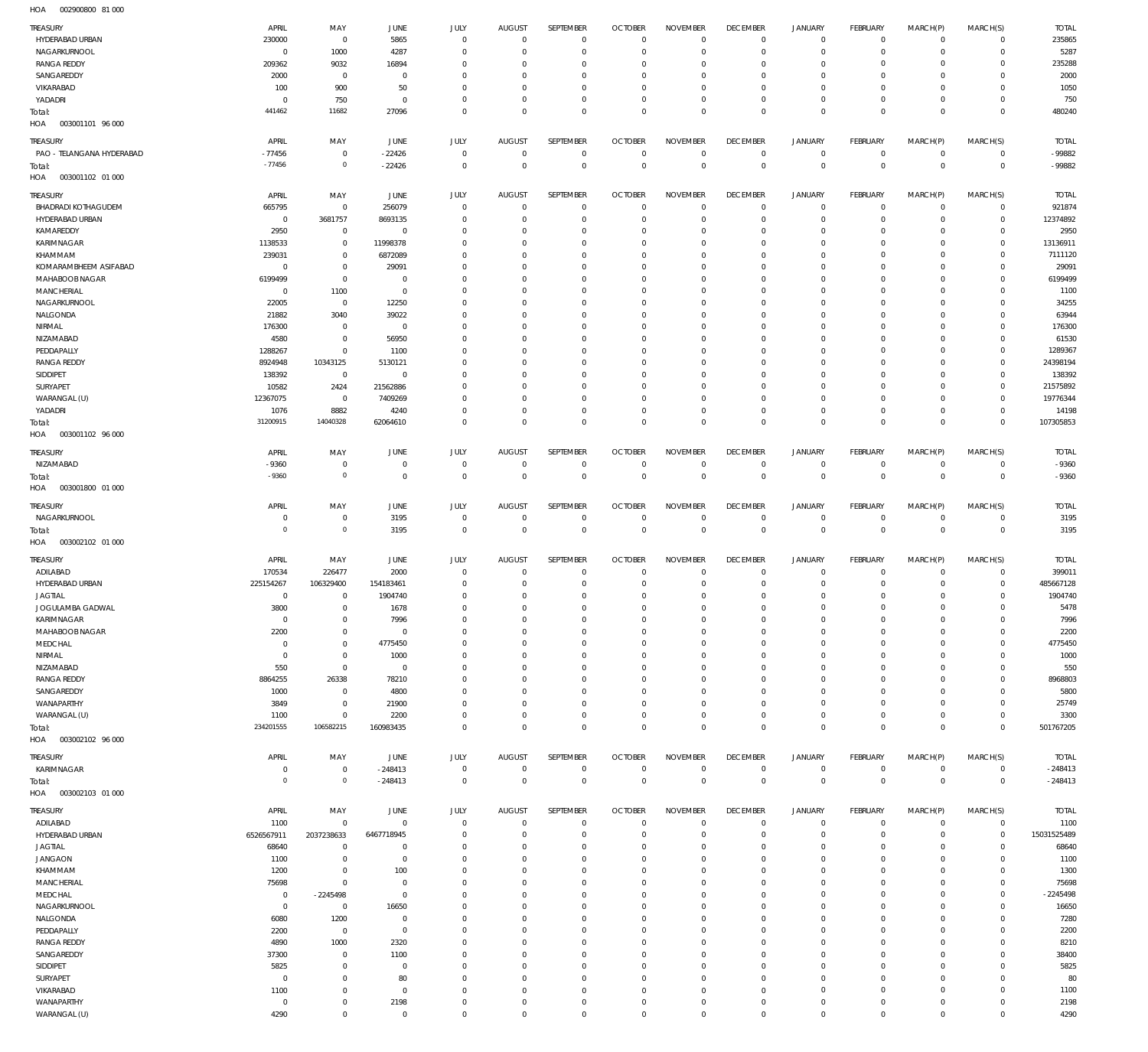002900800 81 000 HOA

| <b>TREASURY</b>            | APRIL            | MAY                        | JUNE                 | JULY                    | <b>AUGUST</b>        | SEPTEMBER                   | <b>OCTOBER</b>            | <b>NOVEMBER</b>           | <b>DECEMBER</b>           | <b>JANUARY</b>             | FEBRUARY                   | MARCH(P)                | MARCH(S)                   | <b>TOTAL</b> |
|----------------------------|------------------|----------------------------|----------------------|-------------------------|----------------------|-----------------------------|---------------------------|---------------------------|---------------------------|----------------------------|----------------------------|-------------------------|----------------------------|--------------|
| HYDERABAD URBAN            | 230000           | $\,0\,$                    | 5865                 | $\mathbf{0}$            | $\overline{0}$       | $\mathbf 0$                 | $\circ$                   | $\mathbf 0$               | $^{\circ}$                | $\mathbf 0$                | $\overline{0}$             | $\mathbf 0$             | $\mathbf{0}$               | 235865       |
| NAGARKURNOOL               | $\mathsf{C}$     | 1000                       | 4287                 | $\Omega$                | $\Omega$             | $\mathbf 0$                 | $^{\circ}$                | $^{\circ}$                | $^{\circ}$                | $\mathbf 0$                | $\mathbf 0$                | $\mathbf 0$             | $\mathbf{0}$               | 5287         |
| <b>RANGA REDDY</b>         | 209362           | 9032                       | 16894                | $\Omega$                | $\Omega$             | $\mathbf{0}$                | $\Omega$                  | $\mathbf 0$               | $^{\circ}$                | 0                          | $\mathbf 0$                | $\Omega$                | $\mathbf{0}$               | 235288       |
| SANGAREDDY                 | 2000             | $\mathbf 0$                | $\overline{0}$       | $\Omega$                | $\Omega$             | $\mathbf{0}$                | $\Omega$                  | $\mathbf 0$               | $^{\circ}$                | $\mathbf 0$                | $\mathbf 0$                | $\Omega$                | $\mathbf 0$                | 2000         |
| VIKARABAD                  | 100              | 900                        | 50                   | $\mathbf{0}$            | $\Omega$             | $\mathbf{0}$                | $\Omega$                  | $\mathbf 0$               | $^{\circ}$                | 0                          | $\Omega$                   | $\Omega$                | $\mathbf 0$                | 1050         |
| YADADRI                    | $\mathsf{C}$     | 750                        | $\overline{0}$       | $^{\circ}$              | $\Omega$             | $\mathbf{0}$                | $^{\circ}$                | $\mathbf 0$               | $^{\circ}$                | $\mathbf 0$                | $\mathbf 0$                | $\mathbf 0$             | $\mathbf{0}$               | 750          |
| Total:                     | 441462           | 11682                      | 27096                | $\mathbf 0$             | $\Omega$             | $\mathbf 0$                 | $\Omega$                  | $\mathbf 0$               | $\overline{0}$            | $\mathbf 0$                | $\mathbf 0$                | $\Omega$                | $\mathbf 0$                | 480240       |
| HOA<br>003001101 96 000    |                  |                            |                      |                         |                      |                             |                           |                           |                           |                            |                            |                         |                            |              |
|                            |                  |                            |                      |                         |                      |                             |                           |                           |                           |                            |                            |                         |                            |              |
| TREASURY                   | APRIL            | MAY                        | JUNE                 | JULY                    | <b>AUGUST</b>        | SEPTEMBER                   | <b>OCTOBER</b>            | <b>NOVEMBER</b>           | <b>DECEMBER</b>           | <b>JANUARY</b>             | FEBRUARY                   | MARCH(P)                | MARCH(S)                   | <b>TOTAL</b> |
| PAO - TELANGANA HYDERABAD  | $-77456$         | $\,0\,$                    | $-22426$             | $^{\circ}$              | $\overline{0}$       | $\mathbf{0}$                | $\mathbf 0$               | $\circ$                   | $\mathbf 0$               | $\mathbf 0$                | $\overline{0}$             | $\mathbf 0$             | $^{\circ}$                 | -99882       |
| Total:                     | $-77456$         | $\mathbb O$                | $-22426$             | $\mathbf 0$             | $\Omega$             | $\mathbf 0$                 | $\circ$                   | $\mathbf 0$               | $\overline{0}$            | $\mathbf 0$                | $\overline{0}$             | $\mathbf 0$             | $\mathbf 0$                | $-99882$     |
| HOA<br>003001102 01 000    |                  |                            |                      |                         |                      |                             |                           |                           |                           |                            |                            |                         |                            |              |
|                            |                  |                            |                      |                         |                      |                             |                           |                           |                           |                            |                            |                         |                            |              |
| TREASURY                   | APRIL            | MAY                        | JUNE                 | JULY                    | <b>AUGUST</b>        | SEPTEMBER                   | <b>OCTOBER</b>            | <b>NOVEMBER</b>           | <b>DECEMBER</b>           | <b>JANUARY</b>             | FEBRUARY                   | MARCH(P)                | MARCH(S)                   | <b>TOTAL</b> |
| <b>BHADRADI KOTHAGUDEM</b> | 665795           | $\,0\,$                    | 256079               | $\mathbf{0}$            | 0                    | $\mathbf{0}$                | $^{\circ}$                | $^{\circ}$                | $^{\circ}$                | $\mathbf 0$                | $\overline{0}$             | $\Omega$                | $^{\circ}$                 | 921874       |
| HYDERABAD URBAN            | 0                | 3681757                    | 8693135              | $\mathbf{0}$            | $\Omega$             | $\mathbf 0$                 | $^{\circ}$                | $^{\circ}$                | $^{\circ}$                | $\mathbf 0$                | $\mathbf 0$                | $\mathbf 0$             | $\mathbf{0}$               | 12374892     |
| KAMAREDDY                  | 2950             | $\,0\,$                    | $\overline{0}$       | $\Omega$                | $\Omega$             | $\mathbf{0}$                | $\Omega$                  | $\mathbf 0$               | $^{\circ}$                | 0                          | $\mathbf 0$                | $\Omega$                | $\mathbf{0}$               | 2950         |
|                            |                  |                            |                      |                         |                      |                             |                           |                           |                           |                            |                            |                         |                            |              |
| KARIMNAGAR                 | 1138533          | $\mathbf 0$                | 11998378             | $\Omega$                | $\Omega$             | $\mathbf{0}$                | $^{\circ}$                | $\mathbf 0$               | $^{\circ}$                | 0                          | $\mathbf 0$                | $\Omega$                | $\mathbf{0}$               | 13136911     |
| KHAMMAM                    | 239031           | $\overline{0}$             | 6872089              | $\Omega$                | $\Omega$             | $\mathbf{0}$                | $\Omega$                  | $\mathbf 0$               | $^{\circ}$                | $\mathbf 0$                | $\mathbf 0$                | $\Omega$                | $\mathbf 0$                | 7111120      |
| KOMARAMBHEEM ASIFABAD      | $\Omega$         | $\mathbf 0$                | 29091                | $\mathbf{0}$            | $\Omega$             | $\Omega$                    | $\Omega$                  | $\mathbf 0$               | $\Omega$                  | $\Omega$                   | $\mathbf 0$                | $\Omega$                | $\mathbf{0}$               | 29091        |
| MAHABOOB NAGAR             | 6199499          | $\,0\,$                    | $\overline{0}$       | $\Omega$                | $\Omega$             | $\mathbf{0}$                | $\Omega$                  | $\mathbf 0$               | $^{\circ}$                | $\mathbf 0$                | $\mathbf 0$                | $\Omega$                | $\mathbf 0$                | 6199499      |
| <b>MANCHERIAL</b>          | 0                | 1100                       | $^{\circ}$           | $\Omega$                | $\Omega$             | $\Omega$                    | $\Omega$                  | $\mathbf 0$               | $\Omega$                  | $\Omega$                   | $\mathbf 0$                | $\Omega$                | $\Omega$                   | 1100         |
| NAGARKURNOOL               | 22005            | $\,0\,$                    | 12250                | $\Omega$                | $\Omega$             | $\mathbf{0}$                | $\Omega$                  | $\mathbf 0$               | $^{\circ}$                | $\mathbf 0$                | $\mathbf 0$                | $\Omega$                | $\mathbf 0$                | 34255        |
| NALGONDA                   | 21882            | 3040                       | 39022                | $\Omega$                | $\Omega$             | $\Omega$                    | $\Omega$                  | $\mathbf 0$               | $\Omega$                  | $\Omega$                   | $\Omega$                   | $\Omega$                | $\Omega$                   | 63944        |
|                            |                  |                            |                      | $\Omega$                |                      |                             | $\Omega$                  |                           |                           |                            |                            | $\Omega$                | $\mathbf 0$                |              |
| NIRMAL                     | 176300           | $\,0\,$                    | $^{\circ}$           |                         | $\Omega$             | $\mathbf{0}$                |                           | $\mathbf 0$               | $^{\circ}$                | $\mathbf 0$                | $\mathbf 0$                |                         |                            | 176300       |
| NIZAMABAD                  | 4580             | $\mathbf 0$                | 56950                | $\Omega$                | $\Omega$             | $\Omega$                    | $\Omega$                  | $\mathbf 0$               | $^{\circ}$                | $\mathbf 0$                | $\mathbf 0$                | $\Omega$                | $\mathbf 0$                | 61530        |
| PEDDAPALLY                 | 1288267          | $\mathbf 0$                | 1100                 | $\Omega$                | $\Omega$             | $\Omega$                    | $\Omega$                  | $\Omega$                  | $\Omega$                  | $\Omega$                   | $\Omega$                   | $\Omega$                | $\mathbf{0}$               | 1289367      |
| <b>RANGA REDDY</b>         | 8924948          | 10343125                   | 5130121              | $\Omega$                | $\Omega$             | $\Omega$                    | $\Omega$                  | $\mathbf 0$               | $^{\circ}$                | $\mathbf 0$                | $\mathbf 0$                | $\Omega$                | $\mathbf 0$                | 24398194     |
| SIDDIPET                   | 138392           | $\,0\,$                    | $\Omega$             | $\Omega$                | $\Omega$             | $\Omega$                    | $\Omega$                  | $\mathbf 0$               | $\Omega$                  | $\Omega$                   | $\Omega$                   | $\Omega$                | $\mathbf{0}$               | 138392       |
| SURYAPET                   | 10582            | 2424                       | 21562886             | $\Omega$                | $\Omega$             | $\mathbf{0}$                | $\Omega$                  | $\mathbf 0$               | $^{\circ}$                | $\mathbf 0$                | $\mathbf 0$                | $\Omega$                | $\mathbf{0}$               | 21575892     |
| WARANGAL (U)               | 12367075         | $\,0\,$                    | 7409269              | $\Omega$                | $\Omega$             | $\mathbf{0}$                | $\Omega$                  | $\mathbf 0$               | $^{\circ}$                | $\mathbf 0$                | $\mathbf 0$                | $\Omega$                | $\mathbf{0}$               | 19776344     |
|                            |                  |                            |                      |                         |                      |                             |                           |                           |                           |                            |                            |                         |                            |              |
| YADADRI                    | 1076             | 8882                       | 4240                 | $\mathbf{0}$            | $\Omega$             | $\mathbf 0$                 | $^{\circ}$                | $\mathbf 0$               | $^{\circ}$                | $\mathbf 0$                | $\mathbf 0$                | $\mathbf 0$             | $\mathbf{0}$               | 14198        |
| Total:                     | 31200915         | 14040328                   | 62064610             | $\mathbf{0}$            | $\Omega$             | $\mathbf 0$                 | $\Omega$                  | $\mathbf 0$               | $\overline{0}$            | $\mathbf 0$                | $\mathbf 0$                | $\Omega$                | $\overline{0}$             | 107305853    |
| HOA<br>003001102 96 000    |                  |                            |                      |                         |                      |                             |                           |                           |                           |                            |                            |                         |                            |              |
|                            |                  |                            |                      |                         |                      |                             |                           |                           |                           |                            |                            |                         |                            |              |
| TREASURY                   | APRIL            | MAY                        | JUNE                 | JULY                    | <b>AUGUST</b>        | SEPTEMBER                   | <b>OCTOBER</b>            | <b>NOVEMBER</b>           | <b>DECEMBER</b>           | <b>JANUARY</b>             | FEBRUARY                   | MARCH(P)                | MARCH(S)                   | <b>TOTAL</b> |
| NIZAMABAD                  | $-9360$          | $\mathbf 0$                | $^{\circ}$           | $^{\circ}$              | 0                    | $\mathbf{0}$                | $^{\circ}$                | $^{\circ}$                | $\mathbf 0$               | $\mathbf 0$                | $\mathbf 0$                | $\mathbf 0$             | $\circ$                    | $-9360$      |
| Total:                     | $-9360$          | $\mathbb O$                | $^{\circ}$           | $\mathbf{0}$            | $\Omega$             | $\mathbf 0$                 | $\mathbf 0$               | $\mathbf 0$               | $\mathbf 0$               | $\mathbf 0$                | $\overline{0}$             | $\mathbf 0$             | $\mathbf 0$                | $-9360$      |
| HOA<br>003001800 01 000    |                  |                            |                      |                         |                      |                             |                           |                           |                           |                            |                            |                         |                            |              |
|                            |                  |                            |                      |                         |                      |                             |                           |                           |                           |                            |                            |                         |                            |              |
| TREASURY                   | APRIL            | MAY                        | JUNE                 | JULY                    | <b>AUGUST</b>        | SEPTEMBER                   | <b>OCTOBER</b>            | <b>NOVEMBER</b>           | <b>DECEMBER</b>           | <b>JANUARY</b>             | FEBRUARY                   | MARCH(P)                | MARCH(S)                   | <b>TOTAL</b> |
| NAGARKURNOOL               | $\Omega$         | $\mathbf 0$                | 3195                 | $\mathbf{0}$            | 0                    | $\mathbf{0}$                | $^{\circ}$                | $^{\circ}$                | $^{\circ}$                | $\mathsf{O}\xspace$        | $\overline{0}$             | $\mathbf 0$             | $\mathbf{0}$               | 3195         |
| Total:                     | $\circ$          | $\mathbb O$                | 3195                 | $\mathbf 0$             | $\overline{0}$       | $\mathbf 0$                 | $\overline{0}$            | $\mathbf 0$               | $\mathbf 0$               | $\mathbb O$                | $\overline{0}$             | $\mathbf 0$             | $\overline{0}$             | 3195         |
|                            |                  |                            |                      |                         |                      |                             |                           |                           |                           |                            |                            |                         |                            |              |
|                            |                  |                            |                      |                         |                      |                             |                           |                           |                           |                            |                            |                         |                            |              |
| HOA<br>003002102 01 000    |                  |                            |                      |                         |                      |                             |                           |                           |                           |                            |                            |                         |                            |              |
| TREASURY                   | APRIL            | MAY                        | JUNE                 | JULY                    | <b>AUGUST</b>        | SEPTEMBER                   | <b>OCTOBER</b>            | <b>NOVEMBER</b>           | <b>DECEMBER</b>           | <b>JANUARY</b>             | FEBRUARY                   | MARCH(P)                | MARCH(S)                   | <b>TOTAL</b> |
|                            |                  |                            |                      | $\Omega$                | $\Omega$             | $\Omega$                    | $\Omega$                  | $\Omega$                  | $^{\circ}$                | $\mathbf 0$                | $\mathbf 0$                | $\Omega$                | $\mathbf 0$                |              |
| ADILABAD                   | 170534           | 226477                     | 2000                 |                         |                      |                             |                           |                           |                           |                            |                            |                         |                            | 399011       |
| HYDERABAD URBAN            | 225154267        | 106329400                  | 154183461            | $\Omega$                | 0                    | $\mathbf{0}$                | 0                         | $^{\circ}$                | $^{\circ}$                | 0                          | $\mathbf 0$                | $\mathbf 0$             | $\mathbf{0}$               | 485667128    |
| <b>JAGTIAL</b>             | $\Omega$         | $\overline{0}$             | 1904740              | $\Omega$                | $\Omega$             | $\Omega$                    | $\Omega$                  | $\Omega$                  | $\Omega$                  | $\Omega$                   | $\Omega$                   | $\Omega$                | $\mathbf 0$                | 1904740      |
| JOGULAMBA GADWAL           | 3800             | $\overline{0}$             | 1678                 | $\Omega$                | $\Omega$             | $\Omega$                    | $\Omega$                  | $\Omega$                  | $\Omega$                  | $\Omega$                   | $\Omega$                   | $\Omega$                | $\mathbf 0$                | 5478         |
| KARIMNAGAR                 | $^{\circ}$       | $\overline{0}$             | 7996                 | $\Omega$                | $\Omega$             | $\mathbf 0$                 | $^{\circ}$                | $\Omega$                  | $^{\circ}$                | $\mathbf 0$                | $\mathbf 0$                | $\Omega$                | $\mathbf 0$                | 7996         |
| MAHABOOB NAGAR             | 2200             | $\mathbf 0$                | $\Omega$             | $\Omega$                | $\Omega$             | $\mathbf 0$                 | $\Omega$                  | $\Omega$                  | $\mathbf 0$               | $\mathbf 0$                | $\mathbf 0$                | $\Omega$                | $\mathbf 0$                | 2200         |
| MEDCHAL                    | $\Omega$         | $\mathbf 0$                | 4775450              | $\Omega$                | 0                    | $\Omega$                    | $\Omega$                  | $\Omega$                  | $^{\circ}$                | $\mathbf 0$                | $\mathbf 0$                | $\Omega$                | $\mathbf 0$                | 4775450      |
|                            | $\Omega$         |                            |                      | $\Omega$                | $\Omega$             | $\Omega$                    | $\Omega$                  | $\Omega$                  | $\Omega$                  | $\Omega$                   | $\Omega$                   | $\Omega$                | $\Omega$                   |              |
| NIRMAL                     |                  | $\mathbf 0$                | 1000                 |                         |                      |                             |                           |                           |                           |                            |                            |                         |                            | 1000         |
| NIZAMABAD                  | 550              | $\mathbf 0$                | $\mathbf{0}$         | $\Omega$                | 0                    | $\Omega$                    | $\Omega$                  | $\Omega$                  | $\Omega$                  | $\Omega$                   | $\Omega$                   | $\Omega$                | $\Omega$                   | 550          |
| <b>RANGA REDDY</b>         | 8864255          | 26338                      | 78210                | $\Omega$                | 0                    | $\Omega$                    | $\Omega$                  | $\Omega$                  | $\Omega$                  | $\mathbf 0$                | $\Omega$                   | $\Omega$                | $\Omega$                   | 8968803      |
| SANGAREDDY                 | 1000             | $\mathbf 0$                | 4800                 | $\Omega$                | 0                    | $\Omega$                    | $\Omega$                  | $\Omega$                  | $\Omega$                  | $\Omega$                   | $\Omega$                   | $\Omega$                | $\Omega$                   | 5800         |
| WANAPARTHY                 | 3849             | $\mathbf 0$                | 21900                | $\Omega$                | $\Omega$             | $\Omega$                    | $\Omega$                  | $\Omega$                  | $\mathbf 0$               | $\mathbf 0$                | $\mathbf 0$                | $\Omega$                | $\mathbf 0$                | 25749        |
| WARANGAL (U)               | 1100             | $\mathbf 0$                | 2200                 | $\Omega$                | $\Omega$             | $\Omega$                    | $\Omega$                  | $\Omega$                  | $\mathbf 0$               | $\mathbf 0$                | $\mathbf 0$                | $\Omega$                | $\mathbf 0$                | 3300         |
| Total:                     | 234201555        | 106582215                  | 160983435            | $\mathbf{0}$            | $\Omega$             | $\mathbf 0$                 | $\Omega$                  | $\mathbf 0$               | $\Omega$                  | $\mathbf 0$                | $\Omega$                   | $\Omega$                | $\Omega$                   | 501767205    |
| HOA<br>003002102 96 000    |                  |                            |                      |                         |                      |                             |                           |                           |                           |                            |                            |                         |                            |              |
|                            |                  |                            |                      |                         |                      |                             |                           |                           |                           |                            |                            |                         |                            |              |
| TREASURY                   | APRIL            | MAY                        | JUNE                 | JULY                    | <b>AUGUST</b>        | SEPTEMBER                   | <b>OCTOBER</b>            | <b>NOVEMBER</b>           | <b>DECEMBER</b>           | <b>JANUARY</b>             | FEBRUARY                   | MARCH(P)                | MARCH(S)                   | <b>TOTAL</b> |
| KARIMNAGAR                 | $\Omega$         | $\,0\,$                    | $-248413$            | $\mathbf 0$             | $\overline{0}$       | $\mathbf 0$                 | $\mathbf 0$               | $\mathbf 0$               | $\overline{0}$            | $\mathsf{O}\xspace$        | $\overline{0}$             | $\mathbf 0$             | $\overline{0}$             | $-248413$    |
|                            | $\circ$          | $\mathbb O$                |                      | $\mathbf 0$             | $\overline{0}$       |                             | $\overline{0}$            | $\mathbf 0$               | $\overline{0}$            | $\mathbf 0$                | $\overline{0}$             | $\mathbf 0$             | $\overline{0}$             |              |
| Total:                     |                  |                            | $-248413$            |                         |                      | $\mathbf 0$                 |                           |                           |                           |                            |                            |                         |                            | $-248413$    |
| 003002103 01 000<br>HOA    |                  |                            |                      |                         |                      |                             |                           |                           |                           |                            |                            |                         |                            |              |
| <b>TREASURY</b>            | APRIL            | MAY                        | JUNE                 | JULY                    | <b>AUGUST</b>        | SEPTEMBER                   | <b>OCTOBER</b>            | <b>NOVEMBER</b>           | <b>DECEMBER</b>           | <b>JANUARY</b>             | FEBRUARY                   | MARCH(P)                | MARCH(S)                   | <b>TOTAL</b> |
| ADILABAD                   | 1100             | $\mathbf 0$                | $\Omega$             | $\Omega$                | $\Omega$             | $\mathbf{0}$                | $^{\circ}$                | $^{\circ}$                | $\mathbf 0$               | $\mathbf 0$                | $\mathbf 0$                | $\mathbf 0$             | $\mathbf{0}$               | 1100         |
|                            |                  |                            |                      |                         |                      |                             |                           |                           |                           |                            |                            |                         |                            |              |
| HYDERABAD URBAN            | 6526567911       | 2037238633                 | 6467718945           | $\Omega$                | -0                   | $\mathbf 0$                 | $\Omega$                  | $\Omega$                  | $\Omega$                  | $\mathbf 0$                | $\mathbf 0$                | $\Omega$                | $\mathbf 0$                | 15031525489  |
| JAGTIAL                    | 68640            | $\overline{0}$             | $\Omega$             | $\Omega$                | 0                    | $\Omega$                    | $\Omega$                  | $\Omega$                  | $^{\circ}$                | $\mathbf 0$                | $\mathbf 0$                | $\Omega$                | $\mathbf 0$                | 68640        |
| <b>JANGAON</b>             | 1100             | $\mathbf 0$                | $^{\circ}$           | $\Omega$                | 0                    | $\Omega$                    | $\Omega$                  | $\Omega$                  | $\Omega$                  | $\Omega$                   | $\mathbf 0$                | $\Omega$                | $\Omega$                   | 1100         |
| KHAMMAM                    | 1200             | $\mathbf 0$                | 100                  | $\Omega$                | $\Omega$             | $\Omega$                    | $\Omega$                  | $\Omega$                  | $^{\circ}$                | $\mathbf 0$                | $\Omega$                   | $\Omega$                | $\mathbf 0$                | 1300         |
| <b>MANCHERIAL</b>          | 75698            | $\overline{0}$             | $\Omega$             | $\Omega$                | 0                    | $\Omega$                    | $\Omega$                  | $\Omega$                  | $\Omega$                  | $\Omega$                   | $\Omega$                   | $\Omega$                | $\Omega$                   | 75698        |
| MEDCHAL                    | $\overline{0}$   | $-2245498$                 | $^{\circ}$           | $\Omega$                | $\Omega$             | $\Omega$                    | $\Omega$                  | $\Omega$                  | $\Omega$                  | $\mathbf 0$                | $\Omega$                   | $\Omega$                | $\Omega$                   | $-2245498$   |
|                            | $\Omega$         |                            |                      | $\Omega$                | 0                    | $\Omega$                    | $\Omega$                  | $\Omega$                  | $\Omega$                  | $\Omega$                   | $\Omega$                   | $\Omega$                | $\Omega$                   |              |
| NAGARKURNOOL               |                  | $\mathbf 0$                | 16650                |                         |                      |                             |                           |                           |                           |                            |                            |                         |                            | 16650        |
| NALGONDA                   | 6080             | 1200                       | $^{\circ}$           | $\Omega$                | $\Omega$             | $\Omega$                    | $\Omega$                  | $\Omega$                  | $\Omega$                  | $\Omega$                   | $\Omega$                   | $\Omega$                | $\Omega$                   | 7280         |
| PEDDAPALLY                 | 2200             | $\mathbf 0$                | $^{\circ}$           | $\Omega$                | 0                    | $\Omega$                    | $\Omega$                  | $\Omega$                  | $\Omega$                  | $\Omega$                   | $\mathbf 0$                | $\Omega$                | $\Omega$                   | 2200         |
| <b>RANGA REDDY</b>         | 4890             | 1000                       | 2320                 | $\Omega$                | $\Omega$             | $\Omega$                    | $\Omega$                  | $\Omega$                  | $\Omega$                  | $\Omega$                   | $\Omega$                   | $\Omega$                | $\Omega$                   | 8210         |
| SANGAREDDY                 | 37300            | $\mathbf 0$                | 1100                 | $\Omega$                | 0                    | $\Omega$                    | $\Omega$                  | $\Omega$                  | $\Omega$                  | $\mathbf 0$                | $\mathbf 0$                | $\Omega$                | $\mathbf 0$                | 38400        |
| SIDDIPET                   | 5825             | $\mathbf 0$                | $\overline{0}$       | $\Omega$                | $\Omega$             | $\Omega$                    | $\Omega$                  | $\Omega$                  | $\Omega$                  | $\Omega$                   | $\Omega$                   | $\Omega$                | $\Omega$                   | 5825         |
| SURYAPET                   | $\Omega$         | $\mathbf 0$                | 80                   | $\Omega$                | 0                    | $\Omega$                    | $\Omega$                  | $\Omega$                  | $\Omega$                  | $\Omega$                   | $\Omega$                   | $\Omega$                | $\mathbf 0$                | 80           |
|                            |                  |                            |                      |                         |                      |                             |                           |                           |                           |                            |                            |                         |                            |              |
| VIKARABAD                  | 1100             | $\mathbf 0$                | $\Omega$             | $\Omega$                | $\Omega$             | $\Omega$                    | $\Omega$                  | $\Omega$                  | $^{\circ}$                | $\mathbf 0$                | $\Omega$                   | $\Omega$                | $\mathbf 0$                | 1100         |
| WANAPARTHY<br>WARANGAL (U) | $\Omega$<br>4290 | $\mathbf 0$<br>$\mathbf 0$ | 2198<br>$\mathbf{0}$ | $\Omega$<br>$\mathbf 0$ | $\Omega$<br>$\Omega$ | $\mathbf{0}$<br>$\mathbf 0$ | $^{\circ}$<br>$\mathbf 0$ | $^{\circ}$<br>$\mathbf 0$ | $^{\circ}$<br>$\mathbf 0$ | $\mathbf 0$<br>$\mathbf 0$ | $\mathbf 0$<br>$\mathbf 0$ | $\Omega$<br>$\mathbf 0$ | $\mathbf 0$<br>$\mathbf 0$ | 2198<br>4290 |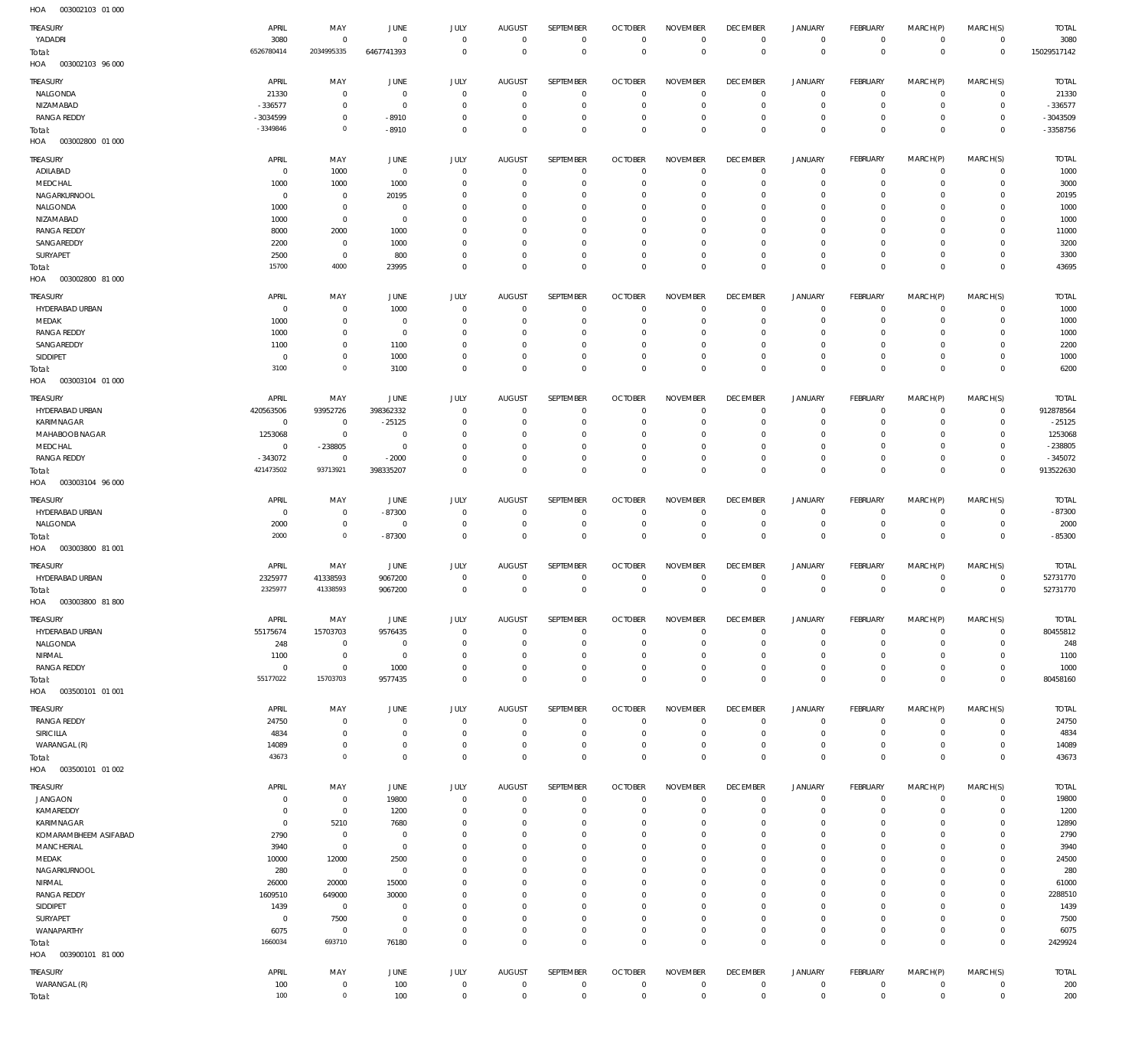| 1127<br><b>OUJUULIUJ UI UUU</b> |                |                |                |                |                |                  |                |                 |                 |                     |              |             |              |              |
|---------------------------------|----------------|----------------|----------------|----------------|----------------|------------------|----------------|-----------------|-----------------|---------------------|--------------|-------------|--------------|--------------|
| TREASURY                        | APRIL          | MAY            | JUNE           | <b>JULY</b>    | <b>AUGUST</b>  | SEPTEMBER        | <b>OCTOBER</b> | <b>NOVEMBER</b> | <b>DECEMBER</b> | <b>JANUARY</b>      | FEBRUARY     | MARCH(P)    | MARCH(S)     | <b>TOTAL</b> |
| YADADRI                         | 3080           | $\overline{0}$ | $^{\circ}$     | $\mathbf 0$    | $\mathbf 0$    | $\mathbf 0$      | $\mathbf 0$    | $\mathbf 0$     | $\mathbf 0$     | 0                   | $\circ$      | $\mathbf 0$ | $\mathbf 0$  | 3080         |
| Total:                          | 6526780414     | 2034995335     | 6467741393     | $\mathbf 0$    | $^{\circ}$     | $\mathbb O$      | $\mathbf 0$    | $\mathbb O$     | $\mathbf 0$     | $\mathbb O$         | $\mathbf{0}$ | $\mathbf 0$ | $\mathbf 0$  | 15029517142  |
| HOA<br>003002103 96 000         |                |                |                |                |                |                  |                |                 |                 |                     |              |             |              |              |
|                                 |                |                |                |                |                |                  |                |                 |                 |                     |              |             |              |              |
| TREASURY                        | APRIL          | MAY            | JUNE           | JULY           | <b>AUGUST</b>  | <b>SEPTEMBER</b> | <b>OCTOBER</b> | <b>NOVEMBER</b> | <b>DECEMBER</b> | <b>JANUARY</b>      | FEBRUARY     | MARCH(P)    | MARCH(S)     | <b>TOTAL</b> |
| NALGONDA                        | 21330          | $\mathbf 0$    | $^{\circ}$     | $^{\circ}$     | $^{\circ}$     | $\overline{0}$   | $\overline{0}$ | $^{\circ}$      | $\mathbf 0$     | $\mathbf 0$         | -0           | 0           | $\mathbf 0$  | 21330        |
| NIZAMABAD                       | $-336577$      | $\mathbf 0$    | $^{\circ}$     | $\overline{0}$ | 0              | $\mathbf 0$      | $\overline{0}$ | $\mathbf 0$     | $^{\circ}$      | $\mathsf{O}\xspace$ | $\mathbf 0$  | $\mathbf 0$ | $\mathbf 0$  | $-336577$    |
| <b>RANGA REDDY</b>              | -3034599       | $\mathbf 0$    | $-8910$        | $\mathbf 0$    | 0              | $\overline{0}$   | 0              | $\overline{0}$  | 0               | $\mathsf{O}\xspace$ | 0            | $\mathbf 0$ | $\mathbf 0$  | $-3043509$   |
|                                 | $-3349846$     | $\circ$        |                |                |                |                  |                |                 |                 |                     |              |             |              |              |
| Total:                          |                |                | $-8910$        | $\mathbf 0$    | $\Omega$       | $\mathbb O$      | $^{\circ}$     | $\mathbb O$     | $^{\circ}$      | $\mathbb O$         | $^{\circ}$   | $\mathbf 0$ | $^{\circ}$   | $-3358756$   |
| HOA<br>003002800 01 000         |                |                |                |                |                |                  |                |                 |                 |                     |              |             |              |              |
| TREASURY                        | APRIL          | MAY            | JUNE           | JULY           | <b>AUGUST</b>  | <b>SEPTEMBER</b> | <b>OCTOBER</b> | <b>NOVEMBER</b> | <b>DECEMBER</b> | <b>JANUARY</b>      | FEBRUARY     | MARCH(P)    | MARCH(S)     | <b>TOTAL</b> |
|                                 |                |                |                |                |                |                  |                |                 |                 |                     |              |             |              |              |
| ADILABAD                        | 0              | 1000           | $\overline{0}$ | $\overline{0}$ | $^{\circ}$     | $\overline{0}$   | $\overline{0}$ | $^{\circ}$      | $^{\circ}$      | $\mathbf 0$         | $\mathbf 0$  | $\mathbf 0$ | $\mathbf 0$  | 1000         |
| MEDCHAL                         | 1000           | 1000           | 1000           | $\overline{0}$ | 0              | $\mathbb O$      | $^{\circ}$     | $\mathbb O$     | $^{\circ}$      | $\mathbf 0$         | $\mathbf 0$  | $\mathbf 0$ | $\mathbf 0$  | 3000         |
| NAGARKURNOOL                    | $\mathbf{0}$   | $\overline{0}$ | 20195          | 0              | 0              | 0                | 0              | $^{\circ}$      | $\circ$         | $\mathbf 0$         | 0            | 0           | 0            | 20195        |
| NALGONDA                        | 1000           | $\overline{0}$ | - 0            | $\Omega$       | $\Omega$       | $\mathbf 0$      | 0              | $\overline{0}$  | 0               | $\mathbf 0$         | -0           | 0           | 0            | 1000         |
| NIZAMABAD                       | 1000           | $\mathbf 0$    | $\overline{0}$ | $\mathbf 0$    | $\Omega$       | $\overline{0}$   | 0              | $\overline{0}$  | $\circ$         | $\mathbf 0$         | 0            | $\circ$     | 0            | 1000         |
| <b>RANGA REDDY</b>              | 8000           | 2000           | 1000           | $\mathbf 0$    | $\Omega$       | $\overline{0}$   | 0              | $\overline{0}$  | $\circ$         | $\mathbf 0$         | 0            | $\mathbf 0$ | $\mathbf 0$  | 11000        |
| SANGAREDDY                      | 2200           | $\overline{0}$ | 1000           | $\Omega$       | $\Omega$       | $\overline{0}$   | 0              | $\overline{0}$  | $\circ$         | $\circ$             | 0            | $\mathbf 0$ | 0            | 3200         |
|                                 |                |                |                |                |                |                  |                |                 |                 |                     |              |             |              |              |
| SURYAPET                        | 2500           | $\mathbf 0$    | 800            | $\mathbf 0$    | 0              | $\overline{0}$   | $\circ$        | $\overline{0}$  | $\circ$         | $\circ$             | 0            | $\mathbf 0$ | $\mathbf 0$  | 3300         |
| Total:                          | 15700          | 4000           | 23995          | $\Omega$       | $\Omega$       | $\mathbb O$      | $\Omega$       | $\mathbb O$     | $\mathbb O$     | $\mathbb O$         | $\Omega$     | $\mathbf 0$ | $\mathbf{0}$ | 43695        |
| HOA<br>003002800 81 000         |                |                |                |                |                |                  |                |                 |                 |                     |              |             |              |              |
|                                 |                |                |                |                |                |                  |                |                 |                 |                     |              |             |              |              |
| <b>TREASURY</b>                 | APRIL          | MAY            | <b>JUNE</b>    | <b>JULY</b>    | <b>AUGUST</b>  | <b>SEPTEMBER</b> | <b>OCTOBER</b> | <b>NOVEMBER</b> | <b>DECEMBER</b> | <b>JANUARY</b>      | FEBRUARY     | MARCH(P)    | MARCH(S)     | <b>TOTAL</b> |
| HYDERABAD URBAN                 | $^{\circ}$     | $\mathbf 0$    | 1000           | $\overline{0}$ | $^{\circ}$     | $\overline{0}$   | $\overline{0}$ | $^{\circ}$      | $^{\circ}$      | $\mathbf 0$         | $^{\circ}$   | $^{\circ}$  | $\mathbf 0$  | 1000         |
| MEDAK                           | 1000           | $\mathbf 0$    | - 0            | $^{\circ}$     | $\Omega$       | $\overline{0}$   | 0              | $^{\circ}$      | $\overline{0}$  | $\mathbf 0$         | -0           | $^{\circ}$  | $\mathbf 0$  | 1000         |
| <b>RANGA REDDY</b>              | 1000           | $\mathbf 0$    | $\overline{0}$ | $^{\circ}$     | $\Omega$       | $\overline{0}$   | 0              | $^{\circ}$      | 0               | $\mathbf 0$         | -0           | 0           | 0            | 1000         |
| SANGAREDDY                      | 1100           | $\mathbf 0$    | 1100           | $\Omega$       | $\Omega$       | $\overline{0}$   | 0              | $^{\circ}$      | 0               | $\mathbf 0$         | -0           | $^{\circ}$  | $\mathbf 0$  | 2200         |
| SIDDIPET                        | $\overline{0}$ | $\mathbf 0$    | 1000           | $\mathbf 0$    | 0              | $\mathbb O$      | $\circ$        | $\mathbb O$     | $^{\circ}$      | $\mathbf 0$         | 0            | $\mathbf 0$ | $\mathbf 0$  | 1000         |
|                                 | 3100           | $\circ$        | 3100           | $\mathbf 0$    | $\Omega$       | $\mathbb O$      | $^{\circ}$     | $\mathbb O$     | $^{\circ}$      | $\mathbb O$         | $^{\circ}$   | $\mathbf 0$ | $^{\circ}$   | 6200         |
| Total:                          |                |                |                |                |                |                  |                |                 |                 |                     |              |             |              |              |
| 003003104 01 000<br>HOA         |                |                |                |                |                |                  |                |                 |                 |                     |              |             |              |              |
| TREASURY                        | APRIL          | MAY            | JUNE           | <b>JULY</b>    | <b>AUGUST</b>  | SEPTEMBER        | <b>OCTOBER</b> | <b>NOVEMBER</b> | <b>DECEMBER</b> | <b>JANUARY</b>      | FEBRUARY     | MARCH(P)    | MARCH(S)     | <b>TOTAL</b> |
|                                 |                |                |                |                |                |                  |                |                 |                 |                     |              |             |              |              |
| HYDERABAD URBAN                 | 420563506      | 93952726       | 398362332      | $\overline{0}$ | $^{\circ}$     | $\overline{0}$   | $\overline{0}$ | $^{\circ}$      | $\circ$         | $\mathbf 0$         | 0            | $\mathbf 0$ | $\mathbf 0$  | 912878564    |
| KARIMNAGAR                      | $\overline{0}$ | $\overline{0}$ | $-25125$       | $\overline{0}$ | 0              | $\overline{0}$   | 0              | $\overline{0}$  | $\circ$         | $\circ$             | 0            | $\mathbf 0$ | $\mathbf 0$  | $-25125$     |
| MAHABOOB NAGAR                  | 1253068        | $\mathbf 0$    | $\Omega$       | $\Omega$       | $\Omega$       | 0                | 0              | $^{\circ}$      | $\circ$         | $\mathbf 0$         | 0            | 0           | 0            | 1253068      |
| MEDCHAL                         | $\mathbf{0}$   | $-238805$      | $^{\circ}$     | $\mathbf{0}$   | $\Omega$       | $\overline{0}$   | $\circ$        | $\overline{0}$  | $\circ$         | $\circ$             | 0            | $\circ$     | 0            | $-238805$    |
| <b>RANGA REDDY</b>              | $-343072$      | $\overline{0}$ | $-2000$        | $\mathbf 0$    | 0              | $\overline{0}$   | $^{\circ}$     | $\overline{0}$  | $\circ$         | $\mathsf{O}\xspace$ | 0            | $\mathbf 0$ | 0            | $-345072$    |
| Total:                          | 421473502      | 93713921       | 398335207      | $\mathbf 0$    | $\Omega$       | $\mathbb O$      | $\overline{0}$ | $\mathbf 0$     | $\mathbf 0$     | $\mathbb O$         | $^{\circ}$   | $\mathbf 0$ | $\mathbf 0$  | 913522630    |
|                                 |                |                |                |                |                |                  |                |                 |                 |                     |              |             |              |              |
| HOA<br>003003104 96 000         |                |                |                |                |                |                  |                |                 |                 |                     |              |             |              |              |
| TREASURY                        | APRIL          | MAY            | JUNE           | JULY           | <b>AUGUST</b>  | SEPTEMBER        | <b>OCTOBER</b> | <b>NOVEMBER</b> | <b>DECEMBER</b> | <b>JANUARY</b>      | FEBRUARY     | MARCH(P)    | MARCH(S)     | <b>TOTAL</b> |
| HYDERABAD URBAN                 | 0              | $\,0\,$        | $-87300$       | $\overline{0}$ | $^{\circ}$     | $\overline{0}$   | $^{\circ}$     | $^{\circ}$      | $\circ$         | $\mathbf 0$         | $\mathbf 0$  | $\mathbf 0$ | $\mathbf 0$  | $-87300$     |
|                                 |                |                |                |                |                |                  |                |                 |                 |                     |              |             |              |              |
| NALGONDA                        | 2000           | $\,0\,$        | 0              | $\overline{0}$ | 0              | $\mathbf 0$      | 0              | $\mathbf 0$     | $^{\circ}$      | $\mathsf{O}\xspace$ | $\mathbf 0$  | $\mathbf 0$ | $\mathbf 0$  | 2000         |
| Total:                          | 2000           | $\mathbb O$    | $-87300$       | $\mathbf 0$    | $^{\circ}$     | $\mathbf 0$      | $^{\circ}$     | $\mathbf 0$     | $^{\circ}$      | $\mathbf 0$         | $^{\circ}$   | $\mathbf 0$ | $\mathbf{0}$ | $-85300$     |
| 003003800 81 001<br>HOA         |                |                |                |                |                |                  |                |                 |                 |                     |              |             |              |              |
|                                 |                |                |                |                |                |                  |                |                 |                 |                     |              |             |              |              |
| TREASURY                        | APRIL          | MAY            | JUNE           | <b>JULY</b>    | <b>AUGUST</b>  | SEPTEMBER        | <b>OCTOBER</b> | <b>NOVEMBER</b> | <b>DECEMBER</b> | <b>JANUARY</b>      | FEBRUARY     | MARCH(P)    | MARCH(S)     | <b>TOTAL</b> |
| HYDERABAD URBAN                 | 2325977        | 41338593       | 9067200        | $\overline{0}$ | $^{\circ}$     | $\overline{0}$   | $^{\circ}$     | $\overline{0}$  | $^{\circ}$      | $\mathbf 0$         | $^{\circ}$   | $\mathbf 0$ | $\mathbf 0$  | 52731770     |
| Total:                          | 2325977        | 41338593       | 9067200        | $\mathbf 0$    | $\overline{0}$ | $\mathbb O$      | $\mathbf 0$    | $\mathbf 0$     | $\mathbf 0$     | $\mathbb O$         | $^{\circ}$   | $\mathbf 0$ | $\mathbf{0}$ | 52731770     |
| HOA<br>003003800 81800          |                |                |                |                |                |                  |                |                 |                 |                     |              |             |              |              |
|                                 |                |                |                |                |                |                  |                |                 |                 |                     |              |             |              |              |
| <b>TREASURY</b>                 | APRIL          | MAY            | JUNE           | JULY           | <b>AUGUST</b>  | SEPTEMBER        | <b>OCTOBER</b> | <b>NOVEMBER</b> | <b>DECEMBER</b> | <b>JANUARY</b>      | FEBRUARY     | MARCH(P)    | MARCH(S)     | <b>TOTAL</b> |
| HYDERABAD URBAN                 | 55175674       | 15703703       | 9576435        | $\mathbf 0$    | $^{\circ}$     | $\mathbf 0$      | $\mathbf 0$    | $\mathbf 0$     | $\overline{0}$  | $\mathbf 0$         | $^{\circ}$   | $\mathbf 0$ | $\mathbf 0$  | 80455812     |
| NALGONDA                        | 248            | $\mathbf 0$    | 0              | $\overline{0}$ | 0              | $\overline{0}$   | 0              | $^{\circ}$      | 0               | $\mathsf{O}\xspace$ | 0            | $\mathbf 0$ | $\mathbf 0$  | 248          |
| NIRMAL                          | 1100           | $\mathbf 0$    | $^{\circ}$     | $^{\circ}$     | $\Omega$       | $\overline{0}$   | 0              | $^{\circ}$      | 0               | $\circ$             | 0            | $^{\circ}$  | $\mathbf 0$  | 1100         |
| <b>RANGA REDDY</b>              | $^{\circ}$     | $\mathbf 0$    | 1000           | $\overline{0}$ | 0              | $\mathbf 0$      | $\circ$        | $\mathbf 0$     | $\overline{0}$  | $\mathsf{O}\xspace$ | $^{\circ}$   | $\mathbf 0$ | $\mathbf 0$  | 1000         |
|                                 |                |                |                |                |                |                  |                |                 |                 |                     |              |             |              |              |
| Total:                          | 55177022       | 15703703       | 9577435        | $\mathbf 0$    | $^{\circ}$     | $\mathbf 0$      | $^{\circ}$     | $\mathbf 0$     | $\overline{0}$  | $\mathbb O$         | $^{\circ}$   | $\mathbf 0$ | $^{\circ}$   | 80458160     |
| HOA<br>003500101 01 001         |                |                |                |                |                |                  |                |                 |                 |                     |              |             |              |              |
| TREASURY                        | APRIL          | MAY            | JUNE           | JULY           | <b>AUGUST</b>  | <b>SEPTEMBER</b> | <b>OCTOBER</b> | <b>NOVEMBER</b> | <b>DECEMBER</b> | <b>JANUARY</b>      | FEBRUARY     | MARCH(P)    | MARCH(S)     | <b>TOTAL</b> |
|                                 |                |                |                |                |                |                  |                |                 |                 |                     |              |             |              |              |
| <b>RANGA REDDY</b>              | 24750          | $\overline{0}$ | $^{\circ}$     | $\overline{0}$ | $^{\circ}$     | $\overline{0}$   | $\mathbf{0}$   | $\mathbf{0}$    | $^{\circ}$      | $\mathbf 0$         | $^{\circ}$   | $^{\circ}$  | $\mathbf 0$  | 24750        |
| SIRICILLA                       | 4834           | $\overline{0}$ | $\mathbf 0$    | $\overline{0}$ | $^{\circ}$     | $\mathbf 0$      | $^{\circ}$     | $\mathbf 0$     | $^{\circ}$      | $\mathsf{O}\xspace$ | 0            | $\mathbf 0$ | $\mathbf 0$  | 4834         |
| WARANGAL (R)                    | 14089          | $\,0\,$        | $^{\circ}$     | $\overline{0}$ | 0              | $\mathbf 0$      | $\circ$        | $\mathbf 0$     | $^{\circ}$      | $\mathsf{O}\xspace$ | 0            | $\mathbf 0$ | $\mathbf 0$  | 14089        |
| Total:                          | 43673          | $\circ$        | $\overline{0}$ | $\mathbf 0$    | $\Omega$       | $\mathbf 0$      | $\overline{0}$ | $\mathbf 0$     | $\mathbf 0$     | $\mathbb O$         | $^{\circ}$   | $\mathbf 0$ | $^{\circ}$   | 43673        |
| HOA<br>003500101 01 002         |                |                |                |                |                |                  |                |                 |                 |                     |              |             |              |              |
|                                 |                |                |                |                |                |                  |                |                 |                 |                     |              |             |              |              |
| TREASURY                        | APRIL          | MAY            | JUNE           | JULY           | <b>AUGUST</b>  | SEPTEMBER        | <b>OCTOBER</b> | <b>NOVEMBER</b> | <b>DECEMBER</b> | <b>JANUARY</b>      | FEBRUARY     | MARCH(P)    | MARCH(S)     | <b>TOTAL</b> |
| <b>JANGAON</b>                  | $\Omega$       | $\,0\,$        | 19800          | $\mathbf 0$    | $^{\circ}$     | $\mathbf 0$      | $\mathbf{0}$   | $\mathbf 0$     | $\overline{0}$  | $\mathbf 0$         | $^{\circ}$   | $^{\circ}$  | $\mathbf 0$  | 19800        |
| KAMAREDDY                       | $\Omega$       | $\mathbf 0$    | 1200           | $^{\circ}$     | 0              | $\mathbf 0$      | 0              | $^{\circ}$      | 0               | $\mathsf{O}\xspace$ | 0            | $\mathbf 0$ | $\mathbf 0$  | 1200         |
| KARIMNAGAR                      | 0              | 5210           | 7680           | $^{\circ}$     | $\Omega$       | $\overline{0}$   | 0              | $^{\circ}$      | 0               | $\mathbf 0$         | -0           | $^{\circ}$  | 0            | 12890        |
| KOMARAMBHEEM ASIFABAD           | 2790           | $\mathbf 0$    | 0              | $^{\circ}$     | $\Omega$       | $\overline{0}$   | 0              | $\overline{0}$  | 0               | $\mathbf 0$         | 0            | $^{\circ}$  | 0            | 2790         |
|                                 |                |                |                |                |                |                  |                |                 |                 |                     |              |             |              |              |
| MANCHERIAL                      | 3940           | $\mathbf 0$    | $\overline{0}$ | $^{\circ}$     | $\Omega$       | $\overline{0}$   | 0              | $\overline{0}$  | 0               | $\mathbf 0$         | 0            | $^{\circ}$  | 0            | 3940         |
| MEDAK                           | 10000          | 12000          | 2500           | $^{\circ}$     | $\Omega$       | $\overline{0}$   | 0              | $\overline{0}$  | 0               | $\mathbf 0$         | 0            | $\mathbf 0$ | $\mathbf 0$  | 24500        |
| NAGARKURNOOL                    | 280            | $\,0\,$        | $^{\circ}$     | $\Omega$       | $\Omega$       | $\overline{0}$   | 0              | $\overline{0}$  | 0               | $\mathbf 0$         | 0            | $\mathbf 0$ | 0            | 280          |
| NIRMAL                          | 26000          | 20000          | 15000          | $\Omega$       | $\Omega$       | $\overline{0}$   | 0              | $\overline{0}$  | 0               | $\mathbf 0$         | 0            | $\mathbf 0$ | 0            | 61000        |
| <b>RANGA REDDY</b>              | 1609510        | 649000         | 30000          | $\Omega$       | $\Omega$       | $\overline{0}$   | $\Omega$       | $\overline{0}$  | 0               | $\mathbf 0$         | 0            | $\mathbf 0$ | $\mathbf 0$  | 2288510      |
| SIDDIPET                        | 1439           | $\,0\,$        | 0              | $^{\circ}$     | $\Omega$       | $\overline{0}$   | 0              | $\overline{0}$  | $\circ$         | $\mathbf 0$         | 0            | $\mathbf 0$ | 0            | 1439         |
|                                 |                |                |                | $\Omega$       |                |                  |                |                 |                 | $\mathbf 0$         |              |             |              |              |
| SURYAPET                        | $^{\circ}$     | 7500           | $^{\circ}$     |                | $\Omega$       | $\overline{0}$   | 0              | $\overline{0}$  | $\circ$         |                     | 0            | $\mathbf 0$ | 0            | 7500         |
| WANAPARTHY                      | 6075           | $\,0\,$        | $\overline{0}$ | $\overline{0}$ | 0              | $\mathbf 0$      | $\circ$        | $\mathbf 0$     | $^{\circ}$      | $\mathsf{O}\xspace$ | 0            | $\circ$     | $\mathbf 0$  | 6075         |
| Total:                          | 1660034        | 693710         | 76180          | $\mathbf 0$    | $^{\circ}$     | $\mathbb O$      | $^{\circ}$     | $\mathbf 0$     | $^{\circ}$      | $\mathbb O$         | $^{\circ}$   | $\mathbf 0$ | $\mathbf{0}$ | 2429924      |
| 003900101 81 000<br>HOA         |                |                |                |                |                |                  |                |                 |                 |                     |              |             |              |              |
|                                 |                |                |                |                |                |                  |                |                 |                 |                     |              |             |              |              |
| TREASURY                        | APRIL          | MAY            | JUNE           | JULY           | <b>AUGUST</b>  | SEPTEMBER        | <b>OCTOBER</b> | <b>NOVEMBER</b> | <b>DECEMBER</b> | <b>JANUARY</b>      | FEBRUARY     | MARCH(P)    | MARCH(S)     | <b>TOTAL</b> |
| WARANGAL (R)                    | 100            | $\,0\,$        | 100            | $\mathbf 0$    | $\overline{0}$ | $\overline{0}$   | $\mathbf 0$    | $\mathbf 0$     | $\overline{0}$  | 0                   | $\mathbf 0$  | $\mathbf 0$ | $\mathbf 0$  | 200          |
|                                 | 100            | $\mathbb O$    | 100            | $\mathbf 0$    | $\overline{0}$ | $\mathbf 0$      | $\overline{0}$ | $\mathbf 0$     | $\overline{0}$  | $\,0\,$             | $^{\circ}$   | $\mathbf 0$ | $\mathbf 0$  | 200          |
| Total:                          |                |                |                |                |                |                  |                |                 |                 |                     |              |             |              |              |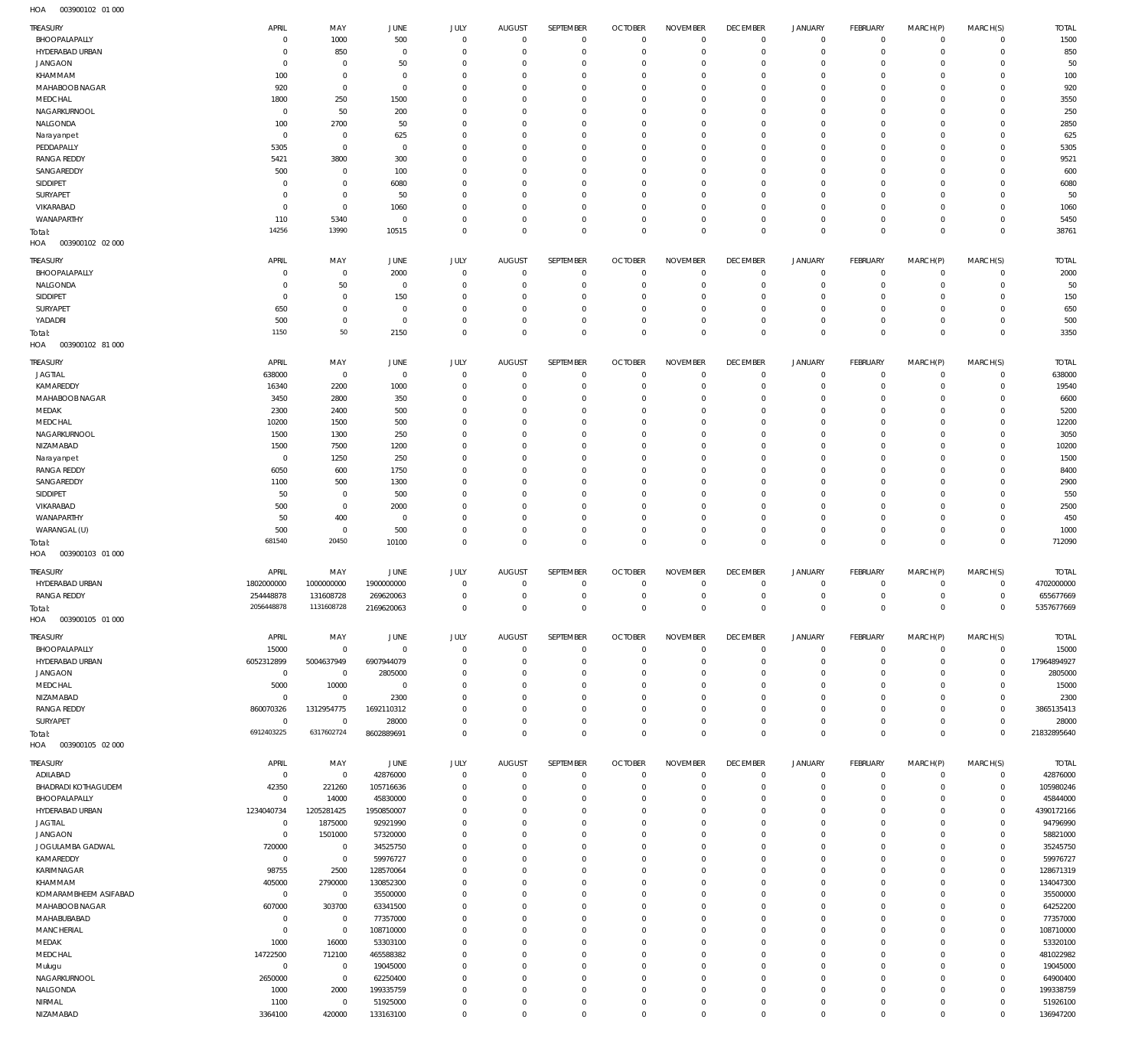| TREASURY                | APRIL           | MAY            | <b>JUNE</b>           | <b>JULY</b>  | <b>AUGUST</b> | SEPTEMBER        | <b>OCTOBER</b> | <b>NOVEMBER</b> | <b>DECEMBER</b> | <b>JANUARY</b>      | FEBRUARY        | MARCH(P)     | MARCH(S)    | <b>TOTAL</b>          |
|-------------------------|-----------------|----------------|-----------------------|--------------|---------------|------------------|----------------|-----------------|-----------------|---------------------|-----------------|--------------|-------------|-----------------------|
| BHOOPALAPALLY           | 0               | 1000           | 500                   | $\mathbf 0$  | $^{\circ}$    | $\mathbf 0$      | $\mathbf 0$    | $^{\circ}$      | $^{\circ}$      | 0                   | $^{\circ}$      | $\mathbf 0$  | $\mathbf 0$ | 1500                  |
| HYDERABAD URBAN         | 0               | 850            | 0                     | $^{\circ}$   | $^{\circ}$    | $\mathbf 0$      | $^{\circ}$     | $\mathbf 0$     | $^{\circ}$      | $\mathbf 0$         | $^{\circ}$      | $\mathbf 0$  | $\mathbf 0$ | 850                   |
| <b>JANGAON</b>          | 0               | $\mathbf 0$    | 50                    | $\mathbf 0$  | 0             | $\mathbf 0$      | 0              | $\mathbf 0$     | 0               | $\mathbf 0$         | $^{\circ}$      | $\mathbf 0$  | $\mathbf 0$ | 50                    |
| KHAMMAM                 | 100             | $\mathbb O$    | $^{\circ}$            | $\mathbf 0$  | 0             | $\mathbf 0$      | 0              | $\mathbf 0$     | 0               | $\mathbf 0$         | 0               | $\mathbf 0$  | $\mathbf 0$ | 100                   |
| MAHABOOB NAGAR          | 920             | $\mathbf 0$    | $^{\circ}$            | $\mathbf 0$  | 0             | $\mathbf 0$      | 0              | $\mathbf 0$     | 0               | $\mathbf 0$         | 0               | $\mathbf 0$  | $\mathbf 0$ | 920                   |
| MEDCHAL                 | 1800            | 250            | 1500                  | $^{\circ}$   | 0             | $\mathbf 0$      | 0              | $\mathbf 0$     | 0               | $\mathbf 0$         | 0               | $\mathbf 0$  | 0           | 3550                  |
| NAGARKURNOOL            | $^{\circ}$      | 50             | 200                   | $^{\circ}$   | 0             | $\mathbf 0$      | 0              | $^{\circ}$      | 0               | $\mathbf 0$         | 0               | $\mathbf 0$  | $\mathbf 0$ | 250                   |
| NALGONDA                | 100             | 2700           | 50                    | $\mathbf 0$  | $^{\circ}$    | $\mathbf 0$      | 0              | $\mathbf 0$     | $\mathbf 0$     | $\mathbf 0$         | $^{\circ}$      | $\mathbf 0$  | $\mathbf 0$ | 2850                  |
| Narayanpet              | $^{\circ}$      | $\mathbf 0$    | 625                   | $^{\circ}$   | 0             | $\mathbf 0$      | 0              | $^{\circ}$      | 0               | $\mathbf 0$         | 0               | $\mathbf 0$  | 0           | 625                   |
| PEDDAPALLY              | 5305            | $\mathbf 0$    | 0                     | $^{\circ}$   | 0             | $\mathbf 0$      | 0              | $\mathbf 0$     | $^{\circ}$      | $\mathbf 0$         | 0               | $\mathbf 0$  | $\mathbf 0$ | 5305                  |
| <b>RANGA REDDY</b>      | 5421            | 3800           | 300                   | $^{\circ}$   | 0             | $\mathbf 0$      | 0              | $^{\circ}$      | 0               | $\mathbf 0$         | 0               | $\mathbf 0$  | 0           | 9521                  |
| SANGAREDDY              | 500             | $\mathbf 0$    | 100                   | $^{\circ}$   | $^{\circ}$    | $\mathbf 0$      | 0              | $^{\circ}$      | $^{\circ}$      | $\mathbf 0$         | $^{\circ}$      | $\mathbf 0$  | $\mathbf 0$ | 600                   |
| SIDDIPET                | 0               | $\mathbf 0$    | 6080                  | $^{\circ}$   | 0             | $\mathbf 0$      | 0              | $\mathbf 0$     | 0               | $\mathbf 0$         | 0               | $\mathbf 0$  | 0           | 6080                  |
| SURYAPET                | 0               | $\mathbf 0$    | 50                    | $^{\circ}$   | 0             | $\mathbf 0$      | 0              | $^{\circ}$      | 0               | $\mathbf 0$         | 0               | 0            | 0           | 50                    |
|                         |                 |                |                       |              |               |                  |                |                 |                 |                     |                 |              |             |                       |
| VIKARABAD               | 0               | $\mathbf 0$    | 1060                  | $^{\circ}$   | 0             | $\mathbf 0$      | 0              | $^{\circ}$      | $^{\circ}$      | $\mathbf 0$         | 0               | $\mathbf 0$  | $\mathbf 0$ | 1060                  |
| WANAPARTHY              | 110             | 5340           | $^{\circ}$            | $\mathbf 0$  | $^{\circ}$    | $\mathbf 0$      | $^{\circ}$     | $\mathbf 0$     | $\mathbf 0$     | $\mathbf 0$         | $^{\circ}$      | $\mathbf 0$  | $\mathbf 0$ | 5450                  |
| Total:                  | 14256           | 13990          | 10515                 | $\mathbf 0$  | $^{\circ}$    | $\mathbf 0$      | $^{\circ}$     | $\mathbf 0$     | $\mathbf 0$     | $\mathsf 0$         | $^{\circ}$      | $\mathbf 0$  | $\mathbf 0$ | 38761                 |
| HOA<br>003900102 02 000 |                 |                |                       |              |               |                  |                |                 |                 |                     |                 |              |             |                       |
| <b>TREASURY</b>         | APRIL           | MAY            | <b>JUNE</b>           | JULY         | AUGUST        | SEPTEMBER        | <b>OCTOBER</b> | <b>NOVEMBER</b> | <b>DECEMBER</b> | <b>JANUARY</b>      | FEBRUARY        | MARCH(P)     | MARCH(S)    | <b>TOTAL</b>          |
| BHOOPALAPALLY           | 0               | $\mathbf 0$    | 2000                  | $^{\circ}$   | $^{\circ}$    | $\mathbf 0$      | $^{\circ}$     | $^{\circ}$      | $\mathbf 0$     | 0                   | $^{\circ}$      | $^{\circ}$   | $\mathbf 0$ | 2000                  |
|                         |                 |                |                       |              |               |                  |                |                 |                 |                     |                 |              |             |                       |
| NALGONDA                | 0               | 50             | $\circ$               | $^{\circ}$   | 0             | $\mathbf 0$      | $^{\circ}$     | $^{\circ}$      | $^{\circ}$      | 0                   | 0               | $\mathbf 0$  | $\mathbf 0$ | 50                    |
| SIDDIPET                | 0               | $\mathbf 0$    | 150                   | $^{\circ}$   | 0             | $\mathbf 0$      | 0              | $^{\circ}$      | 0               | 0                   | $^{\circ}$      | $\mathbf 0$  | $\mathbf 0$ | 150                   |
| SURYAPET                | 650             | $\mathbf 0$    | $\circ$               | 0            | 0             | $\mathbf 0$      | 0              | $^{\circ}$      | 0               | 0                   | $^{\circ}$      | $\mathbf 0$  | $\mathbf 0$ | 650                   |
| YADADRI                 | 500             | $\mathbb O$    | $\circ$               | $\mathbf 0$  | $\mathbf 0$   | $\mathbb O$      | $^{\circ}$     | $\mathbf 0$     | $\mathbf 0$     | $\mathsf{O}$        | $^{\circ}$      | $\mathbf 0$  | $\mathbf 0$ | 500                   |
| Total:                  | 1150            | 50             | 2150                  | $\mathbf 0$  | $\mathbf 0$   | $\mathbf 0$      | $\mathbf 0$    | $\mathbf 0$     | $\mathbf 0$     | $\mathbf 0$         | $\mathbf 0$     | $\mathbf 0$  | $\mathbf 0$ | 3350                  |
| HOA<br>003900102 81 000 |                 |                |                       |              |               |                  |                |                 |                 |                     |                 |              |             |                       |
|                         |                 |                |                       |              |               |                  |                |                 |                 |                     |                 |              |             |                       |
| TREASURY                | APRIL           | MAY            | <b>JUNE</b>           | <b>JULY</b>  | <b>AUGUST</b> | SEPTEMBER        | <b>OCTOBER</b> | <b>NOVEMBER</b> | <b>DECEMBER</b> | <b>JANUARY</b>      | FEBRUARY        | MARCH(P)     | MARCH(S)    | <b>TOTAL</b>          |
| <b>JAGTIAL</b>          | 638000          | $\mathbf 0$    | $\circ$               | $\mathbf 0$  | $^{\circ}$    | $\mathbf 0$      | $^{\circ}$     | $\mathbf 0$     | $\mathbf 0$     | 0                   | $^{\circ}$      | $\mathbf 0$  | $\mathbf 0$ | 638000                |
| KAMAREDDY               | 16340           | 2200           | 1000                  | $\mathbf 0$  | 0             | $\mathbf 0$      | $^{\circ}$     | $\mathbf 0$     | $\mathbf 0$     | $\mathbf 0$         | $^{\circ}$      | $\mathbf 0$  | $\mathbf 0$ | 19540                 |
| MAHABOOB NAGAR          | 3450            | 2800           | 350                   | $\mathbf 0$  | 0             | $\mathbf 0$      | 0              | $\mathbf 0$     | 0               | $\mathbf 0$         | $^{\circ}$      | $\mathbf 0$  | 0           | 660C                  |
| MEDAK                   | 2300            | 2400           | 500                   | $\mathbf 0$  | 0             | $\mathbf 0$      | 0              | $\mathbf 0$     | $\mathbf 0$     | $\mathbf 0$         | $^{\circ}$      | $\mathbf 0$  | $\mathbf 0$ | 5200                  |
| MEDCHAL                 | 10200           | 1500           | 500                   | $\mathbf 0$  | 0             | $\mathbf 0$      | 0              | $\mathbf 0$     | 0               | $\mathbf 0$         | 0               | $\mathbf 0$  | $\mathbf 0$ | 12200                 |
| NAGARKURNOOL            | 1500            | 1300           | 250                   | $^{\circ}$   | 0             | $\mathbf 0$      | 0              | $^{\circ}$      | 0               | $\mathbf 0$         | 0               | $\mathbf 0$  | $\mathbf 0$ | 3050                  |
| NIZAMABAD               | 1500            | 7500           | 1200                  | $^{\circ}$   | 0             | $\mathbf 0$      | 0              | $\mathbf 0$     | 0               | $\mathbf 0$         | $^{\circ}$      | $\mathbf 0$  | $\mathbf 0$ | 10200                 |
| Narayanpet              | $^{\circ}$      | 1250           | 250                   | $^{\circ}$   | 0             | $\mathbf 0$      | 0              | $\mathbf 0$     | 0               | $\mathbf 0$         | 0               | $\mathbf 0$  | $\mathbf 0$ | 1500                  |
| <b>RANGA REDDY</b>      | 6050            | 600            | 1750                  | $^{\circ}$   | 0             | $\mathbf 0$      | 0              | $^{\circ}$      | 0               | $\mathbf 0$         | 0               | $\mathbf 0$  | 0           | 8400                  |
| SANGAREDDY              | 1100            | 500            | 1300                  | $^{\circ}$   | 0             | $\mathbf 0$      | 0              | $\mathbf 0$     | $^{\circ}$      | $\mathbf 0$         | 0               | $\mathbf 0$  | 0           | 2900                  |
|                         | 50              |                | 500                   | $^{\circ}$   |               | $\mathbf 0$      |                | $^{\circ}$      |                 | $\mathbf 0$         |                 | $\mathbf 0$  |             | 550                   |
| SIDDIPET                |                 | $\mathbf 0$    |                       |              | 0             |                  | 0              |                 | 0               |                     | 0               |              | 0           |                       |
| VIKARABAD               | 500             | $\mathbf 0$    | 2000                  | $^{\circ}$   | $^{\circ}$    | $\mathbf 0$      | 0              | $\mathbf 0$     | $\mathbf 0$     | $\mathbf 0$         | 0               | $\mathbf 0$  | $\mathbf 0$ | 2500                  |
| WANAPARTHY              | 50              | 400            | 0                     | 0            | 0             | $\mathbf 0$      | 0              | $^{\circ}$      | 0               | $\mathbf 0$         | 0               | $\mathbf 0$  | 0           | 450                   |
| WARANGAL (U)            | 500             | $\mathbb O$    | 500                   | $^{\circ}$   | $^{\circ}$    | $\mathbf 0$      | 0              | $\mathbf 0$     | $\mathbf 0$     | $\mathbf 0$         | $^{\circ}$      | $\mathbf 0$  | $^{\circ}$  | 1000                  |
| Total:                  | 681540          | 20450          | 10100                 | $\mathbf 0$  | $\mathbf 0$   | $\mathsf 0$      | $\mathbf 0$    | $\mathbf 0$     | $\mathbf 0$     | $\mathsf 0$         | $\mathbf 0$     | $\mathbf 0$  | $\mathbf 0$ | 712090                |
| HOA<br>003900103 01 000 |                 |                |                       |              |               |                  |                |                 |                 |                     |                 |              |             |                       |
|                         |                 |                |                       |              |               |                  |                |                 |                 |                     |                 |              |             |                       |
|                         |                 |                |                       |              |               |                  |                |                 |                 |                     |                 |              |             |                       |
| <b>TREASURY</b>         | APRIL           | MAY            | <b>JUNE</b>           | JULY         | AUGUST        | SEPTEMBER        | <b>OCTOBER</b> | <b>NOVEMBER</b> | <b>DECEMBER</b> | <b>JANUARY</b>      | FEBRUARY        | MARCH(P)     | MARCH(S)    | <b>TOTAL</b>          |
| HYDERABAD URBAN         | 1802000000      | 1000000000     | 1900000000            | $\mathbf 0$  | $^{\circ}$    | $\mathbf 0$      | $^{\circ}$     | $^{\circ}$      | $\mathbf 0$     | 0                   | 0               | 0            | $^{\circ}$  | 4702000000            |
| <b>RANGA REDDY</b>      | 254448878       | 131608728      | 269620063             | $\mathbf 0$  | $\mathbf 0$   | $\mathbf 0$      | $\mathbf 0$    | $\mathbf 0$     | $\mathbf 0$     | $\mathbf 0$         | $^{\circ}$      | $\mathbf 0$  | $\mathbf 0$ | 655677669             |
| Total:                  | 2056448878      | 1131608728     | 2169620063            | $\mathbf{0}$ | $\Omega$      | $\mathbf 0$      | $\Omega$       | $\mathbf 0$     | $\mathbf{0}$    | $\mathbf 0$         | $\Omega$        | $\mathbf{0}$ | $\mathbf 0$ | 5357677669            |
| HOA<br>003900105 01 000 |                 |                |                       |              |               |                  |                |                 |                 |                     |                 |              |             |                       |
|                         |                 |                |                       |              |               |                  |                |                 |                 |                     |                 |              |             |                       |
| TREASURY                | APRIL           | MAY            | <b>JUNE</b>           | <b>JULY</b>  | <b>AUGUST</b> | <b>SEPTEMBER</b> | <b>OCTOBER</b> | <b>NOVEMBER</b> | <b>DECEMBER</b> | <b>JANUARY</b>      | <b>FEBRUARY</b> | MARCH(P)     | MARCH(S)    | <b>TOTAL</b>          |
| BHOOPALAPALLY           | 15000           | $\mathbb O$    | $\mathbf 0$           | $\mathbf 0$  | $\mathbf 0$   | $\mathbf 0$      | $^{\circ}$     | $\mathbf 0$     | $\mathbb O$     | 0                   | 0               | $^{\circ}$   | $\mathbf 0$ | 15000                 |
| HYDERABAD URBAN         | 6052312899      | 5004637949     | 6907944079            | $\mathbf 0$  | 0             | $\mathbf 0$      | $^{\circ}$     | $\mathbf 0$     | $\mathbf 0$     | $\mathbf 0$         | $^{\circ}$      | $\mathbf 0$  | $\mathbf 0$ | 17964894927           |
| <b>JANGAON</b>          | $\mathbf 0$     | $\mathbf 0$    | 2805000               | $\mathbf 0$  | 0             | $\mathbf 0$      | 0              | $\mathbf 0$     | 0               | $\mathbf 0$         | 0               | $^{\circ}$   | $^{\circ}$  | 2805000               |
| MEDCHAL                 | 5000            | 10000          | $^{\circ}$            | $\mathbf 0$  | 0             | $\mathbf 0$      | 0              | $\mathbf 0$     | $\mathbf 0$     | $\mathbf 0$         | $^{\circ}$      | $\mathbf 0$  | $\mathbf 0$ | 15000                 |
| NIZAMABAD               | 0               | $\mathbf 0$    | 2300                  | $\mathbf 0$  | 0             | $\mathbf 0$      | 0              | $\mathbf 0$     | $\mathbf 0$     | $\mathbf 0$         | 0               | $\mathbf 0$  | $\mathbf 0$ | 2300                  |
| <b>RANGA REDDY</b>      | 860070326       | 1312954775     | 1692110312            | $\mathbf 0$  | 0             | $\mathbf 0$      | 0              | $\mathbf 0$     | $\mathbf 0$     | $\mathbf 0$         | $^{\circ}$      | $\mathbf 0$  | $\mathbf 0$ | 3865135413            |
| SURYAPET                | $\mathbf 0$     | $\mathbf 0$    | 28000                 | $\mathbf 0$  | $\mathbf 0$   | $\mathbf 0$      | $\mathbf 0$    | $\mathbf 0$     | $\mathbf 0$     | $\mathbf 0$         | $\mathbf 0$     | $\mathbf 0$  | $\mathbf 0$ | 28000                 |
| Total:                  | 6912403225      | 6317602724     | 8602889691            | $\mathbf 0$  | $\mathbf 0$   | $\mathbf 0$      | $^{\circ}$     | $\mathbf 0$     | $\mathbf 0$     | $\mathsf 0$         | $\mathbf 0$     | $\mathbf 0$  | $\mathbf 0$ | 21832895640           |
| 003900105 02 000<br>HOA |                 |                |                       |              |               |                  |                |                 |                 |                     |                 |              |             |                       |
|                         |                 |                |                       |              |               |                  |                |                 |                 |                     |                 |              |             |                       |
| TREASURY                | APRIL           | MAY            | JUNE                  | <b>JULY</b>  | AUGUST        | SEPTEMBER        | <b>OCTOBER</b> | <b>NOVEMBER</b> | <b>DECEMBER</b> | JANUARY             | FEBRUARY        | MARCH(P)     | MARCH(S)    | <b>TOTAL</b>          |
| ADILABAD                | $^{\circ}$      | $\overline{0}$ | 42876000              | $\mathbf 0$  | $^{\circ}$    | $\mathbf 0$      | $^{\circ}$     | $^{\circ}$      | $\mathbf 0$     | 0                   | $^{\circ}$      | $^{\circ}$   | $\mathbf 0$ | 42876000              |
| BHADRADI KOTHAGUDEM     | 42350           | 221260         | 105716636             | $\mathbf 0$  | 0             | $\mathbb O$      | $^{\circ}$     | $\mathbf 0$     | $\mathbf 0$     | 0                   | 0               | $\mathbf 0$  | 0           | 105980246             |
| BHOOPALAPALLY           | $\mathbf 0$     | 14000          | 45830000              | $\mathbf 0$  | 0             | $\mathbf 0$      | $^{\circ}$     | $\mathbf 0$     | 0               | $\mathsf{O}$        | $^{\circ}$      | $\mathbf 0$  | $\mathbf 0$ | 45844000              |
| HYDERABAD URBAN         | 1234040734      | 1205281425     | 1950850007            | $\mathbf 0$  | 0             | $\mathbf 0$      | $^{\circ}$     | $\mathbf 0$     | $\mathbf 0$     | $\mathbf 0$         | $^{\circ}$      | $\mathbf 0$  | $\mathbf 0$ | 4390172166            |
| <b>JAGTIAL</b>          | 0               | 1875000        | 92921990              | $\mathbf 0$  | 0             | $\mathbf 0$      | 0              | $\mathbf 0$     | $\mathbf 0$     | 0                   | 0               | $\mathbf 0$  | $\mathbf 0$ | 94796990              |
| <b>JANGAON</b>          | $\mathbf 0$     | 1501000        | 57320000              | $\mathbf 0$  | 0             | $\mathbf 0$      | $^{\circ}$     | $\mathbf 0$     | $\mathbf 0$     | $\mathbf 0$         | $^{\circ}$      | $\mathbf 0$  | $\mathbf 0$ | 58821000              |
| JOGULAMBA GADWAL        | 720000          | $\overline{0}$ | 34525750              | $\mathbf 0$  | 0             | $\mathbf 0$      | 0              | $\mathbf 0$     | 0               | $\mathsf{O}$        | $^{\circ}$      | $\mathbf 0$  | $\mathbf 0$ | 35245750              |
|                         |                 | $\mathbb O$    |                       | $\mathbf 0$  | 0             | $\mathbf 0$      | $^{\circ}$     | $\mathbf 0$     | $\mathbf 0$     | $\mathbf 0$         | $^{\circ}$      | $^{\circ}$   | $^{\circ}$  |                       |
| KAMAREDDY               | $\overline{0}$  |                | 59976727              |              |               |                  |                |                 |                 |                     |                 |              |             | 59976727              |
| KARIMNAGAR              | 98755           | 2500           | 128570064             | $\mathbf 0$  | 0             | $\mathbf 0$      | $^{\circ}$     | $\mathbf 0$     | $\mathbf 0$     | $\mathbf 0$         | 0               | $\mathbf 0$  | $\mathbf 0$ | 128671319             |
| KHAMMAM                 | 405000          | 2790000        | 130852300             | $\mathbf 0$  | 0             | $\mathbf 0$      | $^{\circ}$     | $\mathbf 0$     | 0               | $\mathbf 0$         | $^{\circ}$      | $^{\circ}$   | $^{\circ}$  | 134047300             |
| KOMARAMBHEEM ASIFABAD   | $\overline{0}$  | $\mathbf 0$    | 35500000              | $\mathbf 0$  | 0             | $\mathbf 0$      | $^{\circ}$     | $\mathbf 0$     | $\mathbf 0$     | $\mathbf 0$         | $^{\circ}$      | $\mathbf 0$  | $\mathbf 0$ | 35500000              |
| MAHABOOB NAGAR          | 607000          | 303700         | 63341500              | $\mathbf 0$  | 0             | $\mathbf 0$      | $^{\circ}$     | $\mathbf 0$     | 0               | $\mathbf 0$         | $^{\circ}$      | $^{\circ}$   | $^{\circ}$  | 64252200              |
| MAHABUBABAD             | $\mathbf 0$     | $\overline{0}$ | 77357000              | $\mathbf 0$  | 0             | $\mathbf 0$      | $^{\circ}$     | $\mathbf 0$     | $\mathbf 0$     | $\mathsf{O}$        | $^{\circ}$      | $\mathbf 0$  | $\mathbf 0$ | 77357000              |
| MANCHERIAL              | $\mathbf 0$     | $\overline{0}$ | 108710000             | $\mathbf 0$  | 0             | $\mathbf 0$      | $^{\circ}$     | $\mathbf 0$     | 0               | $\mathbf 0$         | $^{\circ}$      | $^{\circ}$   | $\mathbf 0$ | 108710000             |
| MEDAK                   | 1000            | 16000          | 53303100              | $\mathbf 0$  | 0             | $\mathbb O$      | $^{\circ}$     | $\mathbf 0$     | 0               | $\mathsf{O}$        | $^{\circ}$      | $\mathbf 0$  | $\mathbf 0$ | 53320100              |
| MEDCHAL                 | 14722500        | 712100         | 465588382             | $\mathbf 0$  | 0             | $\mathbf 0$      | $^{\circ}$     | $\mathbf 0$     | $\mathbf 0$     | $\mathbf 0$         | $^{\circ}$      | $\mathbf 0$  | $\mathbf 0$ | 481022982             |
| Mulugu                  | $\mathbf 0$     | $\mathbf 0$    | 19045000              | $\mathbf 0$  | 0             | $\mathbf 0$      | 0              | $\mathbf 0$     | $\mathbf 0$     | 0                   | 0               | $\mathbf 0$  | $\mathbf 0$ | 19045000              |
| NAGARKURNOOL            | 2650000         | $\mathbb O$    | 62250400              | $\mathbf 0$  | 0             | $\mathbf 0$      | $^{\circ}$     | $\mathbf 0$     | $\mathbf 0$     | $\mathbf 0$         | $^{\circ}$      | $\mathbf 0$  | $\mathbf 0$ | 64900400              |
| NALGONDA                | 1000            | 2000           | 199335759             | $\mathbf 0$  | 0             | $\mathbf 0$      | $^{\circ}$     | $\mathbf 0$     | $\mathbf 0$     | $\mathsf{O}$        | $^{\circ}$      | $\mathbf 0$  | $\mathbf 0$ | 199338759             |
|                         |                 | $\mathbf 0$    |                       | $\mathbf 0$  | 0             | $\mathbf 0$      | 0              | $\mathbb O$     | $\mathbf 0$     | $\mathsf{O}$        | 0               | 0            | $\mathbf 0$ |                       |
| NIRMAL<br>NIZAMABAD     | 1100<br>3364100 | 420000         | 51925000<br>133163100 | $\mathbf 0$  | $\mathbf 0$   | $\mathbf 0$      | $\mathbf 0$    | $\mathbf 0$     | $\mathbf 0$     | $\mathsf{O}\xspace$ | $\mathbf 0$     | $\mathbf 0$  | $\mathbf 0$ | 51926100<br>136947200 |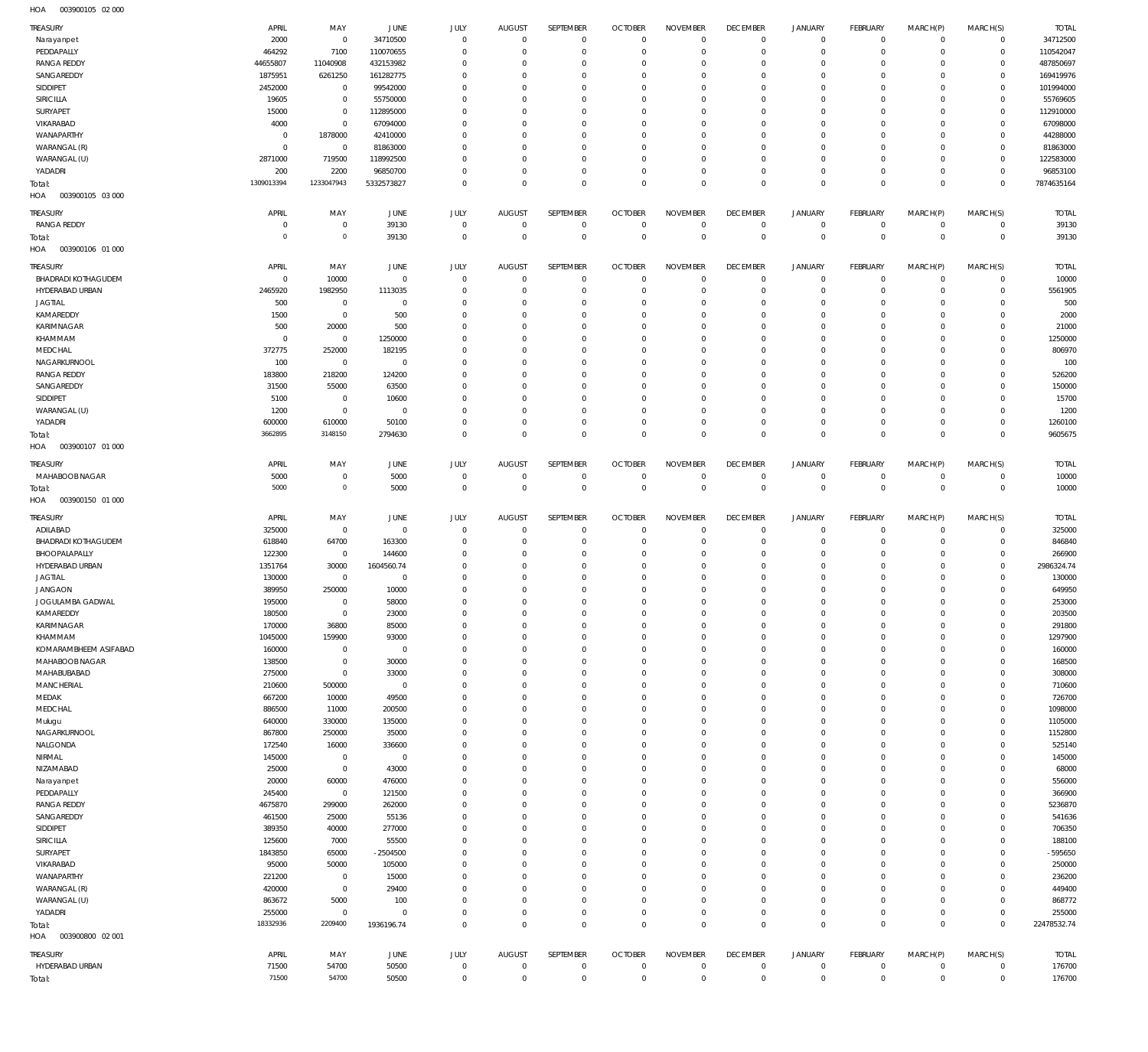003900105 02 000 HOA

| TREASURY                                    | APRIL               | MAY                        | JUNE                   | JULY                    | <b>AUGUST</b>              | SEPTEMBER                  | <b>OCTOBER</b>                   | <b>NOVEMBER</b>               | <b>DECEMBER</b>               | <b>JANUARY</b>             | <b>FEBRUARY</b>             | MARCH(P)                   | MARCH(S)                      | <b>TOTAL</b>           |
|---------------------------------------------|---------------------|----------------------------|------------------------|-------------------------|----------------------------|----------------------------|----------------------------------|-------------------------------|-------------------------------|----------------------------|-----------------------------|----------------------------|-------------------------------|------------------------|
| Narayanpet                                  | 2000                | $\mathbf 0$                | 34710500               | $\mathbf 0$             | $\mathbf 0$                | $\mathbf 0$                | $\overline{0}$                   | $\Omega$                      | $\overline{0}$                | $\circ$                    | $\overline{0}$              | $\mathbf 0$                | $\overline{0}$                | 34712500               |
| PEDDAPALLY                                  | 464292              | 7100                       | 110070655              | $\mathbf 0$             | $\mathbf 0$                | $\mathbf 0$                | $\overline{0}$                   | $\mathbf 0$                   | $\mathbf 0$                   | $\mathbf 0$                | $\mathbf{0}$                | $\mathbf 0$                | $\overline{0}$                | 110542047              |
| <b>RANGA REDDY</b><br>SANGAREDDY            | 44655807<br>1875951 | 11040908<br>6261250        | 432153982<br>161282775 | $\Omega$<br>$\Omega$    | $\Omega$<br>$\Omega$       | $\mathbf 0$<br>$\mathbf 0$ | $\overline{0}$<br>$\mathbf 0$    | $\Omega$<br>$\mathbf 0$       | $\mathbf 0$<br>$\overline{0}$ | $\mathbf 0$<br>$\mathbf 0$ | $\mathbf{0}$<br>$^{\circ}$  | $\Omega$<br>$\Omega$       | $\mathbf{0}$<br>$\mathbf{0}$  | 487850697<br>169419976 |
| SIDDIPET                                    | 2452000             | 0                          | 99542000               | $\Omega$                | $\Omega$                   | $\mathbf 0$                | $\mathbf 0$                      | $\Omega$                      | $\mathbf 0$                   | $\mathbf 0$                | $\mathbf 0$                 | $\Omega$                   | $\mathbf{0}$                  | 101994000              |
| SIRICILLA                                   | 19605               | $\mathbf 0$                | 55750000               | $\Omega$                | $\Omega$                   | $\Omega$                   | $\mathbf 0$                      | $\Omega$                      | $\overline{0}$                | $\mathbf 0$                | $\mathbf 0$                 | $\Omega$                   | $\mathbf{0}$                  | 55769605               |
| SURYAPET                                    | 15000               | $\bf 0$                    | 112895000              | $\Omega$                | $\Omega$                   | $\mathbf 0$                | $\mathbf 0$                      | $\Omega$                      | $\mathbf 0$                   | $\mathbf 0$                | $\mathbf 0$                 | $\Omega$                   | $\mathbf{0}$                  | 112910000              |
| VIKARABAD                                   | 4000                | $\mathbf 0$                | 67094000               | $\Omega$                | $\Omega$                   | $\Omega$                   | $\Omega$                         | $\Omega$                      | $\Omega$                      | $\Omega$                   | $\mathbf 0$                 | $\Omega$                   | $\mathbf{0}$                  | 67098000               |
| WANAPARTHY<br>WARANGAL (R)                  | 0<br>$\mathbf 0$    | 1878000<br>$\overline{0}$  | 42410000<br>81863000   | $\Omega$<br>$\Omega$    | $\Omega$<br>$\Omega$       | $\mathbf 0$<br>$\mathbf 0$ | $\mathbf 0$<br>$\mathbf 0$       | $\Omega$<br>$\mathbf 0$       | $\mathbf 0$<br>$\mathbf 0$    | $\mathbf 0$<br>$\mathbf 0$ | $^{\circ}$<br>$\mathbf 0$   | $\Omega$<br>$\Omega$       | $\mathbf{0}$<br>$\mathbf{0}$  | 44288000<br>81863000   |
| WARANGAL (U)                                | 2871000             | 719500                     | 118992500              | $\Omega$                | $\Omega$                   | $\Omega$                   | $\mathbf 0$                      | $\Omega$                      | $\overline{0}$                | $\mathbf 0$                | $\mathbf{0}$                | $\Omega$                   | $\mathbf{0}$                  | 122583000              |
| YADADRI                                     | 200                 | 2200                       | 96850700               | $\Omega$                | $\mathbf 0$                | $\mathbf 0$                | $\mathbf 0$                      | $\mathbf 0$                   | $\overline{0}$                | $\mathbf 0$                | $\mathbf{0}$                | $\mathbf 0$                | $\mathbf{0}$                  | 96853100               |
| Total:                                      | 1309013394          | 1233047943                 | 5332573827             | $\Omega$                | $\Omega$                   | $\Omega$                   | $\Omega$                         | $\Omega$                      | $\Omega$                      | $\mathbf 0$                | $\Omega$                    | $\Omega$                   | $\overline{0}$                | 7874635164             |
| 003900105 03 000<br>HOA                     |                     |                            |                        |                         |                            |                            |                                  |                               |                               |                            |                             |                            |                               |                        |
| TREASURY                                    | APRIL               | MAY                        | JUNE                   | JULY                    | <b>AUGUST</b>              | SEPTEMBER                  | <b>OCTOBER</b>                   | <b>NOVEMBER</b>               | <b>DECEMBER</b>               | <b>JANUARY</b>             | <b>FEBRUARY</b>             | MARCH(P)                   | MARCH(S)                      | <b>TOTAL</b>           |
| <b>RANGA REDDY</b>                          | $\mathbf 0$         | 0                          | 39130                  | $\mathbf 0$             | $\mathbf 0$                | $\mathbf 0$                | $\overline{0}$                   | $\mathbf 0$                   | $\overline{0}$                | 0                          | $\mathbf 0$                 | $\mathbf 0$                | $\circ$                       | 39130                  |
| Total:<br>HOA<br>003900106 01 000           | $\overline{0}$      | $\mathsf{O}\xspace$        | 39130                  | $\mathbf 0$             | $\mathbf 0$                | $\mathbf 0$                | $\overline{0}$                   | $\overline{0}$                | $\mathbf 0$                   | $\mathbf 0$                | $\overline{0}$              | $\mathbf 0$                | $\overline{0}$                | 39130                  |
| TREASURY                                    | APRIL               | MAY                        | JUNE                   | JULY                    | <b>AUGUST</b>              | SEPTEMBER                  | <b>OCTOBER</b>                   | <b>NOVEMBER</b>               | <b>DECEMBER</b>               | <b>JANUARY</b>             | FEBRUARY                    | MARCH(P)                   | MARCH(S)                      | <b>TOTAL</b>           |
| <b>BHADRADI KOTHAGUDEM</b>                  | $\mathbf 0$         | 10000                      | $\overline{0}$         | $\mathbf 0$             | $\mathbf 0$                | $\mathbf 0$                | $\overline{0}$                   | $\Omega$                      | $\overline{0}$                | 0                          | $\overline{0}$              | $\mathbf 0$                | $\mathbf{0}$                  | 10000                  |
| HYDERABAD URBAN                             | 2465920             | 1982950                    | 1113035                | $\mathbf 0$             | $\mathbf 0$                | $\mathbf 0$                | $\overline{0}$                   | $\mathbf 0$                   | $\mathbf 0$                   | $\mathbf 0$                | $\mathbf{0}$                | $\mathbf 0$                | $\circ$                       | 5561905                |
| <b>JAGTIAL</b><br>KAMAREDDY                 | 500<br>1500         | $\mathbf 0$<br>$\mathbf 0$ | $\overline{0}$<br>500  | $\Omega$<br>$\Omega$    | $\Omega$<br>$\Omega$       | $\mathbf 0$<br>$\mathbf 0$ | $\overline{0}$<br>$\mathbf 0$    | $\Omega$<br>$\mathbf 0$       | $\mathbf 0$<br>$\overline{0}$ | $\mathbf 0$<br>$\mathbf 0$ | $\mathbf{0}$<br>$\mathbf 0$ | $\Omega$<br>$\Omega$       | $\mathbf{0}$<br>$\mathbf{0}$  | 500<br>2000            |
| <b>KARIMNAGAR</b>                           | 500                 | 20000                      | 500                    | $\Omega$                | $\Omega$                   | $\mathbf 0$                | $\mathbf 0$                      | $\Omega$                      | $\mathbf 0$                   | $\mathbf 0$                | $\mathbf 0$                 | $\Omega$                   | $\mathbf 0$                   | 21000                  |
| KHAMMAM                                     | $\overline{0}$      | $\mathbf 0$                | 1250000                | $\Omega$                | $\Omega$                   | $\Omega$                   | $\mathbf 0$                      | $\Omega$                      | $\overline{0}$                | $\mathbf 0$                | $^{\circ}$                  | $\Omega$                   | $^{\circ}$                    | 1250000                |
| MEDCHAL                                     | 372775              | 252000                     | 182195                 | $\Omega$                | $\Omega$                   | $\mathbf 0$                | $\mathbf 0$                      | $\Omega$                      | $\mathbf 0$                   | $\circ$                    | $\mathbf{0}$                | $\Omega$                   | $\mathbf 0$                   | 806970                 |
| NAGARKURNOOL                                | 100                 | $\mathbf 0$                | $\overline{0}$         | $\Omega$                | $\Omega$                   | $\Omega$                   | $\Omega$                         | $\Omega$                      | $\Omega$                      | $\Omega$                   | $\mathbf 0$                 | $\Omega$                   | $\mathbf 0$                   | 100                    |
| <b>RANGA REDDY</b>                          | 183800              | 218200                     | 124200                 | $\Omega$                | $\Omega$                   | $\mathbf 0$<br>$\Omega$    | $\mathbf 0$                      | $\Omega$                      | $\mathbf 0$                   | $\circ$                    | $^{\circ}$                  | $\Omega$                   | $\mathbf 0$                   | 526200                 |
| SANGAREDDY<br>SIDDIPET                      | 31500<br>5100       | 55000<br>$\mathbf 0$       | 63500<br>10600         | $\Omega$<br>$\Omega$    | $\Omega$<br>$\Omega$       | $\Omega$                   | $\mathbf 0$<br>$\mathbf 0$       | $\mathbf 0$<br>$\Omega$       | $\mathbf 0$<br>$\mathbf 0$    | $\Omega$<br>$\circ$        | $\mathbf 0$<br>$^{\circ}$   | $\Omega$<br>$\Omega$       | $\mathbf 0$<br>$\mathbf{0}$   | 150000<br>15700        |
| WARANGAL (U)                                | 1200                | $\bf 0$                    | $\mathbf 0$            | $\Omega$                | $\Omega$                   | $\mathbf 0$                | $\mathbf 0$                      | $\mathbf 0$                   | $\mathbf 0$                   | $\circ$                    | $\mathbf 0$                 | $\Omega$                   | $\mathbf{0}$                  | 1200                   |
| YADADRI                                     | 600000              | 610000                     | 50100                  | $\Omega$                | $\Omega$                   | $\mathbf 0$                | $\mathbf 0$                      | $\Omega$                      | $\overline{0}$                | $\mathbf 0$                | $\mathbf{0}$                | $\Omega$                   | $\mathbf{0}$                  | 1260100                |
| Total:                                      | 3662895             | 3148150                    | 2794630                | $\mathbf 0$             | $\Omega$                   | $\mathbf 0$                | $\overline{0}$                   | $\mathbf 0$                   | $\overline{0}$                | $\mathbf 0$                | $\overline{0}$              | $\mathbf 0$                | $\overline{0}$                | 9605675                |
| HOA<br>003900107 01 000                     |                     |                            |                        |                         |                            |                            |                                  |                               |                               |                            |                             |                            |                               |                        |
| TREASURY                                    | APRIL               | MAY                        | JUNE                   | JULY                    | <b>AUGUST</b>              | SEPTEMBER                  | <b>OCTOBER</b>                   | <b>NOVEMBER</b>               | <b>DECEMBER</b>               | <b>JANUARY</b>             | FEBRUARY                    | MARCH(P)                   | MARCH(S)                      | <b>TOTAL</b>           |
| MAHABOOB NAGAR                              | 5000                | 0                          | 5000                   | $\mathbf 0$             | $\mathbf 0$                | $\mathbf 0$                | $\overline{0}$                   | $\mathbf 0$                   | $\mathbf 0$                   | $\circ$                    | $\mathbf{0}$                | $\circ$                    | $\mathbf 0$                   | 10000                  |
| Total:<br>HOA<br>003900150 01 000           | 5000                | $\mathsf{O}\xspace$        | 5000                   | $\mathbf 0$             | $\mathbf 0$                | $\mathbf 0$                | $\overline{0}$                   | $\mathbf{0}$                  | $\overline{0}$                | $\overline{0}$             | $\overline{0}$              | $\mathbf 0$                | $\overline{0}$                | 10000                  |
|                                             |                     |                            |                        |                         |                            |                            |                                  |                               |                               |                            |                             |                            |                               |                        |
|                                             |                     |                            |                        |                         |                            |                            |                                  |                               |                               |                            |                             |                            |                               |                        |
| TREASURY                                    | APRIL               | MAY                        | JUNE                   | JULY                    | <b>AUGUST</b>              | SEPTEMBER                  | <b>OCTOBER</b>                   | <b>NOVEMBER</b>               | <b>DECEMBER</b>               | <b>JANUARY</b>             | FEBRUARY                    | MARCH(P)                   | MARCH(S)                      | <b>TOTAL</b>           |
| ADILABAD                                    | 325000              | 0                          | $\overline{0}$         | $\mathbf 0$<br>$\Omega$ | $\mathbf 0$                | 0                          | $\overline{0}$                   | $\mathbf 0$<br>$\Omega$       | $\overline{0}$                | 0                          | $\circ$                     | $\circ$<br>$\Omega$        | $\circ$                       | 325000                 |
| <b>BHADRADI KOTHAGUDEM</b><br>BHOOPALAPALLY | 618840<br>122300    | 64700<br>$\mathbf 0$       | 163300<br>144600       | $\Omega$                | $\mathbf 0$<br>$\mathbf 0$ | $\mathbf 0$<br>$\mathbf 0$ | $\overline{0}$<br>$\overline{0}$ | $\mathbf 0$                   | $\mathbf 0$<br>$\overline{0}$ | $\mathbf 0$<br>$\mathbf 0$ | $^{\circ}$<br>$^{\circ}$    | $\mathbf 0$                | $\circ$<br>$\mathbf{0}$       | 846840<br>266900       |
| HYDERABAD URBAN                             | 1351764             | 30000                      | 1604560.74             | $\Omega$                | $\Omega$                   | $\mathbf 0$                | $\mathbf 0$                      | $\Omega$                      | $\mathbf 0$                   | $\mathbf 0$                | $\mathbf 0$                 | $\Omega$                   | $\circ$                       | 2986324.74             |
| <b>JAGTIAL</b>                              | 130000              | $\bf 0$                    | $\mathbf 0$            | $\Omega$                | $\Omega$                   | $\Omega$                   | $\overline{0}$                   | $\Omega$                      | $\overline{0}$                | $\mathbf 0$                | $^{\circ}$                  | $\Omega$                   | $^{\circ}$                    | 130000                 |
| <b>JANGAON</b>                              | 389950              | 250000                     | 10000                  | $\Omega$                | $\Omega$                   | $\mathbf 0$                | $\mathbf 0$                      | $\Omega$                      | $\overline{0}$                | $\mathbf 0$                | $^{\circ}$                  | $\Omega$                   | $\mathbf{0}$                  | 649950                 |
| JOGULAMBA GADWAL                            | 195000              | $\mathbf 0$                | 58000                  | $\Omega$                | $\Omega$                   | $\Omega$                   | $\Omega$                         | $\Omega$                      | $\Omega$                      | $\Omega$                   | $\Omega$                    | $\Omega$                   | $\Omega$                      | 253000                 |
| <b>KAMAREDDY</b>                            | 180500              | $\overline{0}$             | 23000                  | $\Omega$<br>$\mathbf 0$ | -C<br>$\mathbf 0$          | $\Omega$<br>$\mathbf 0$    | $\Omega$<br>$\overline{0}$       | O<br>$\mathbf 0$              | -0<br>$\overline{0}$          | 0<br>$\mathbf 0$           | $\Omega$<br>$\mathbf{0}$    | $\Omega$<br>$\mathbf 0$    | $\Omega$<br>$\mathbf{0}$      | 203500                 |
| KARIMNAGAR<br>KHAMMAM                       | 170000<br>1045000   | 36800<br>159900            | 85000<br>93000         | $\mathbf 0$             | $\Omega$                   | $\mathbf 0$                | $\overline{0}$                   | $\mathbf 0$                   | $\overline{0}$                | 0                          | $\circ$                     | $\circ$                    | $\mathbf{0}$                  | 291800<br>1297900      |
| KOMARAMBHEEM ASIFABAD                       | 160000              | $\bf 0$                    | $\overline{0}$         | $\mathbf 0$             | $\mathbf 0$                | $\mathbf 0$                | $\mathbf 0$                      | $\mathbf 0$                   | $\mathbf 0$                   | $\mathbf 0$                | $\mathbf 0$                 | $\Omega$                   | $\mathbf 0$                   | 160000                 |
| MAHABOOB NAGAR                              | 138500              | $\bf 0$                    | 30000                  | $\Omega$                | $\Omega$                   | $\Omega$                   | $\mathbf 0$                      | $\Omega$                      | $\mathbf 0$                   | $\circ$                    | $\mathbf{0}$                | $\Omega$                   | $\mathbf 0$                   | 168500                 |
| MAHABUBABAD                                 | 275000              | $\bf 0$                    | 33000                  | $\mathbf 0$             | $\Omega$                   | $\mathbf 0$                | $\mathbf 0$                      | $\mathbf 0$                   | $\overline{0}$                | $\circ$                    | $\mathbf{0}$                | $\circ$                    | $\mathbf{0}$                  | 308000                 |
| MANCHERIAL                                  | 210600              | 500000                     | $\overline{0}$         | $\Omega$<br>$\Omega$    | $\Omega$<br>$\Omega$       | $\mathbf 0$<br>$\mathbf 0$ | $\mathbf 0$<br>$\overline{0}$    | $\Omega$<br>$\mathbf 0$       | $\mathbf 0$<br>$\overline{0}$ | $\circ$<br>$\circ$         | $\mathbf 0$<br>$\mathbf{0}$ | $\Omega$<br>$\Omega$       | $\mathbf 0$<br>$\mathbf 0$    | 710600                 |
| MEDAK<br>MEDCHAL                            | 667200<br>886500    | 10000<br>11000             | 49500                  | $\Omega$                | $\Omega$                   | $\mathbf 0$                | $\mathbf 0$                      | $\mathbf 0$                   | $\mathbf 0$                   | $\circ$                    | $\mathbf{0}$                | $\Omega$                   | $\mathbf 0$                   | 726700<br>1098000      |
| Mulugu                                      | 640000              | 330000                     | 200500<br>135000       | $\Omega$                | $\Omega$                   | $\Omega$                   | $\mathbf 0$                      | $\Omega$                      | $\mathbf 0$                   | $\mathbf 0$                | $\mathbf 0$                 | $\Omega$                   | $\mathbf{0}$                  | 1105000                |
| NAGARKURNOOL                                | 867800              | 250000                     | 35000                  | $\Omega$                | $\Omega$                   | $\mathbf 0$                | $\overline{0}$                   | $\mathbf 0$                   | $\mathbf 0$                   | $\circ$                    | $\mathbf{0}$                | $\Omega$                   | $\mathbf{0}$                  | 1152800                |
| NALGONDA                                    | 172540              | 16000                      | 336600                 | $\Omega$                | $\Omega$                   | $\mathbf 0$                | $\mathbf 0$                      | $\mathbf 0$                   | $\mathbf 0$                   | $\mathbf 0$                | $\mathbf 0$                 | $\Omega$                   | $\mathbf 0$                   | 525140                 |
| NIRMAL                                      | 145000              | $\mathbf 0$                | $\overline{0}$         | $\Omega$                | $\Omega$                   | $\Omega$                   | $\overline{0}$                   | $\Omega$                      | $\mathbf 0$                   | $\circ$                    | $\mathbf{0}$                | $\Omega$                   | $\mathbf{0}$                  | 145000                 |
| NIZAMABAD                                   | 25000               | $\mathbf 0$                | 43000                  | $\mathbf 0$<br>$\Omega$ | $\Omega$<br>$\Omega$       | $\mathbf 0$<br>$\mathbf 0$ | $\mathbf 0$<br>$\mathbf 0$       | $\mathbf 0$<br>$\Omega$       | $\mathbf 0$<br>$\mathbf 0$    | $\mathbf 0$<br>$\mathbf 0$ | $\mathbf 0$<br>$\mathbf{0}$ | $\Omega$<br>$\Omega$       | $\mathbf 0$<br>$\mathbf 0$    | 68000                  |
| Narayanpet<br>PEDDAPALLY                    | 20000<br>245400     | 60000<br>$\mathbf 0$       | 476000<br>121500       | $\mathbf 0$             | $\Omega$                   | $\mathbf 0$                | $\mathbf 0$                      | $\mathbf 0$                   | $\overline{0}$                | $\mathbf 0$                | $\mathbf 0$                 | $\mathbf 0$                | $\mathbf 0$                   | 556000<br>366900       |
| <b>RANGA REDDY</b>                          | 4675870             | 299000                     | 262000                 | $\Omega$                | $\Omega$                   | $\mathbf 0$                | $\mathbf 0$                      | $\Omega$                      | $\mathbf 0$                   | $\mathbf 0$                | $\mathbf{0}$                | $\Omega$                   | $\mathbf 0$                   | 5236870                |
| SANGAREDDY                                  | 461500              | 25000                      | 55136                  | $\Omega$                | $\Omega$                   | $\Omega$                   | $\mathbf 0$                      | $\Omega$                      | $\overline{0}$                | $\mathbf 0$                | $\mathbf 0$                 | $\Omega$                   | $\mathbf 0$                   | 541636                 |
| SIDDIPET                                    | 389350              | 40000                      | 277000                 | $\mathbf 0$             | $\Omega$                   | $\mathbf 0$                | $\mathbf 0$                      | $\mathbf 0$                   | $\mathbf 0$                   | $\mathbf 0$                | $\mathbf 0$                 | $\Omega$                   | $\mathbf 0$                   | 706350                 |
| SIRICILLA                                   | 125600              | 7000                       | 55500                  | $\Omega$                | $\Omega$                   | $\Omega$                   | $\mathbf 0$                      | $\Omega$                      | $\overline{0}$                | $\circ$                    | $\mathbf 0$                 | $\Omega$                   | $\mathbf 0$                   | 188100                 |
| SURYAPET                                    | 1843850             | 65000                      | $-2504500$             | $\Omega$<br>$\Omega$    | $\Omega$<br>$\Omega$       | $\mathbf 0$<br>$\mathbf 0$ | $\mathbf 0$<br>$\mathbf 0$       | $\Omega$<br>$\Omega$          | $\mathbf 0$<br>$\mathbf 0$    | $\circ$<br>$\circ$         | $\mathbf{0}$<br>$\mathbf 0$ | $\Omega$<br>$\Omega$       | $\mathbf 0$<br>$\mathbf 0$    | -595650                |
| VIKARABAD<br>WANAPARTHY                     | 95000<br>221200     | 50000<br>$\mathbb O$       | 105000<br>15000        | $\Omega$                | $\Omega$                   | $\mathbf 0$                | $\overline{0}$                   | $\Omega$                      | $\mathbf 0$                   | $\circ$                    | $\mathbf{0}$                | $\Omega$                   | $\mathbf{0}$                  | 250000<br>236200       |
| WARANGAL (R)                                | 420000              | $\mathbf 0$                | 29400                  | $\mathbf 0$             | $\mathbf 0$                | $\mathbf 0$                | $\mathbf 0$                      | $\mathbf 0$                   | $\mathbf 0$                   | $\circ$                    | $\mathbf 0$                 | $\Omega$                   | $\mathbf 0$                   | 449400                 |
| WARANGAL (U)                                | 863672              | 5000                       | 100                    | $\Omega$                | $\Omega$                   | $\Omega$                   | $\mathbf 0$                      | $\Omega$                      | $\mathbf 0$                   | $\mathbf 0$                | $\mathbf{0}$                | $\Omega$                   | $\mathbf{0}$                  | 868772                 |
| YADADRI                                     | 255000              | $\bf 0$                    | $\overline{0}$         | $\mathbf 0$             | $\mathbf 0$                | $\mathbf 0$                | $\overline{0}$                   | $\mathbf 0$                   | $\overline{0}$                | $\mathbf 0$                | $\circ$                     | $\mathbf 0$                | $\mathbf{0}$                  | 255000                 |
| Total:                                      | 18332936            | 2209400                    | 1936196.74             | $\Omega$                | $\Omega$                   | $\mathbf 0$                | $\overline{0}$                   | $\mathbf 0$                   | $\overline{0}$                | $\mathbf 0$                | $\overline{0}$              | $\Omega$                   | $\overline{0}$                | 22478532.74            |
| 003900800 02 001<br>HOA                     |                     |                            |                        |                         |                            |                            |                                  |                               |                               |                            |                             |                            |                               |                        |
| TREASURY                                    | APRIL               | MAY                        | JUNE                   | JULY                    | <b>AUGUST</b>              | SEPTEMBER                  | <b>OCTOBER</b>                   | <b>NOVEMBER</b>               | <b>DECEMBER</b>               | <b>JANUARY</b>             | FEBRUARY                    | MARCH(P)                   | MARCH(S)                      | <b>TOTAL</b>           |
| HYDERABAD URBAN<br>Total:                   | 71500<br>71500      | 54700<br>54700             | 50500<br>50500         | $\mathbf 0$<br>$\bf 0$  | $\mathbf 0$<br>$\mathbf 0$ | $\mathbf 0$<br>$\bf 0$     | $\overline{0}$<br>$\mathbf 0$    | $\mathbf 0$<br>$\overline{0}$ | $\overline{0}$<br>$\mathbf 0$ | 0<br>$\bf 0$               | $\mathbf 0$<br>$\mathbf 0$  | $\mathbf 0$<br>$\mathbf 0$ | $\overline{0}$<br>$\mathbf 0$ | 176700<br>176700       |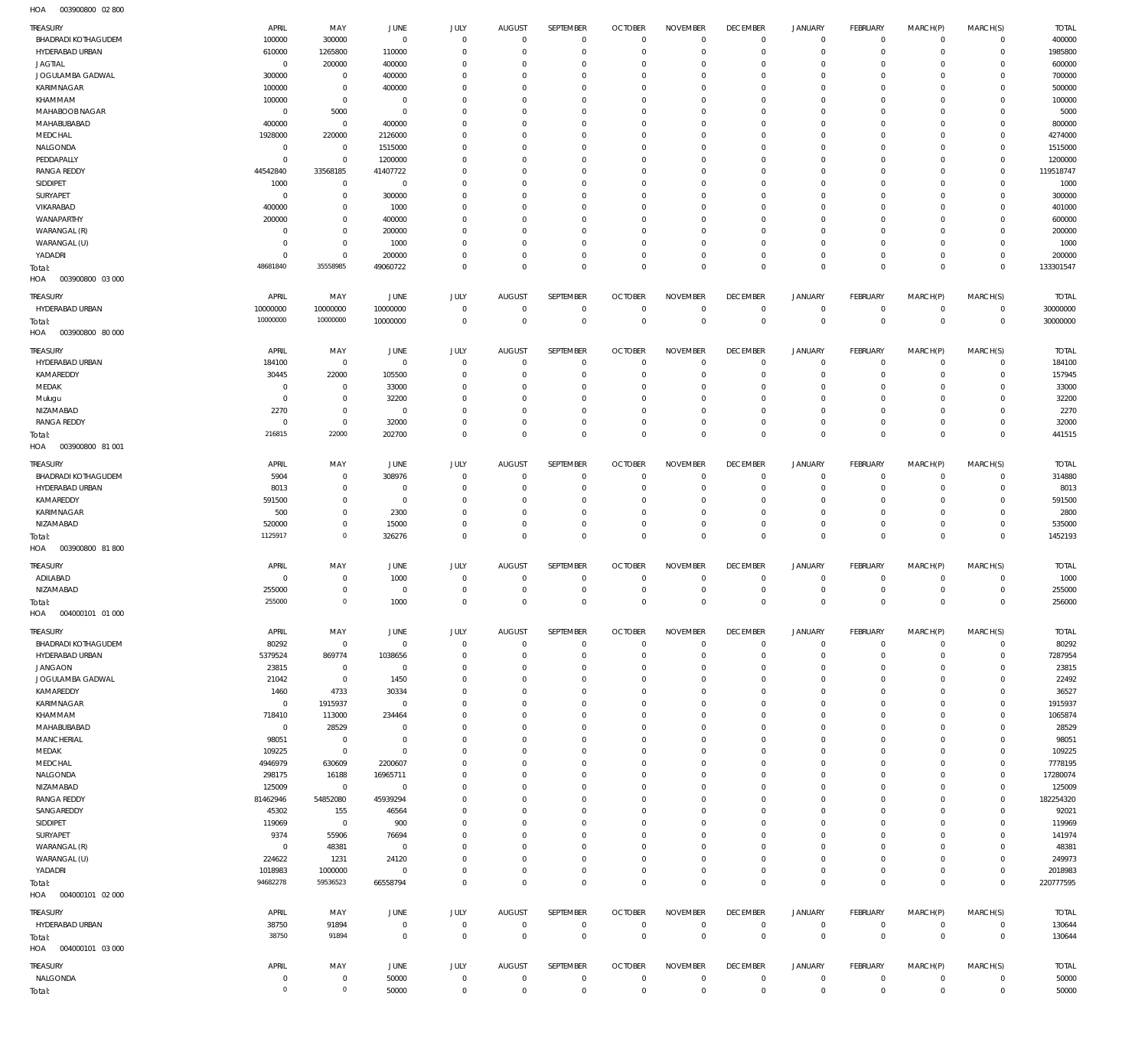003900800 02 800 HOA

| TREASURY                          | APRIL                    | MAY                        | JUNE                      | JULY                    | <b>AUGUST</b>           | SEPTEMBER                  | <b>OCTOBER</b>                   | <b>NOVEMBER</b>         | <b>DECEMBER</b>            | <b>JANUARY</b>             | FEBRUARY                       | MARCH(P)                | MARCH(S)                   | <b>TOTAL</b>      |
|-----------------------------------|--------------------------|----------------------------|---------------------------|-------------------------|-------------------------|----------------------------|----------------------------------|-------------------------|----------------------------|----------------------------|--------------------------------|-------------------------|----------------------------|-------------------|
| <b>BHADRADI KOTHAGUDEM</b>        | 100000                   | 300000                     | $\overline{0}$            | $\mathbf 0$             | $\overline{0}$          | $\mathbf 0$                | $\overline{0}$                   | $\mathbf 0$             | $\overline{0}$             | $\circ$                    | $\mathbf 0$                    | $\mathbf 0$             | $\mathbf 0$                | 400000            |
| HYDERABAD URBAN<br><b>JAGTIAL</b> | 610000<br>$\overline{0}$ | 1265800<br>200000          | 110000<br>400000          | $\Omega$<br>$\mathbf 0$ | $\Omega$<br>$\Omega$    | $\mathbf 0$<br>$\mathbf 0$ | $\overline{0}$<br>$\overline{0}$ | $\Omega$<br>$\Omega$    | $\mathbf 0$<br>$\mathbf 0$ | $\mathbf 0$<br>0           | $\mathbf 0$<br>$\mathbf{0}$    | $\mathbf 0$<br>0        | $\mathbf 0$<br>$\mathbf 0$ | 1985800<br>600000 |
| JOGULAMBA GADWAL                  | 300000                   | $\mathbf 0$                | 400000                    | $\Omega$                | $\Omega$                | $\Omega$                   | $\overline{0}$                   | $\Omega$                | $\overline{0}$             | $\mathbf 0$                | $\mathbf{0}$                   | $\Omega$                | $\mathbf 0$                | 700000            |
| KARIMNAGAR                        | 100000                   | $\mathbf 0$                | 400000                    | $\Omega$                | $\Omega$                | $\mathbf 0$                | $\overline{0}$                   | $\Omega$                | $\mathbf 0$                | 0                          | $\mathbf{0}$                   | $\Omega$                | $\mathbf 0$                | 500000            |
| KHAMMAM                           | 100000                   | $\mathbb O$                | $\overline{0}$            | $\Omega$                | $\Omega$                | $\Omega$                   | $\Omega$                         | $\Omega$                | $\Omega$                   | 0                          | $\mathbf{0}$                   | $\Omega$                | $\mathbf 0$                | 100000            |
| MAHABOOB NAGAR                    | $^{\circ}$               | 5000                       | $\overline{0}$            | $\Omega$                | $\Omega$                | $\Omega$                   | $\overline{0}$                   | $\Omega$                | $\mathbf 0$                | 0                          | $\mathbf{0}$                   | $\Omega$                | $\Omega$                   | 5000              |
| MAHABUBABAD<br>MEDCHAL            | 400000<br>1928000        | $\mathbf 0$<br>220000      | 400000<br>2126000         | $\Omega$<br>$\Omega$    | $\Omega$<br>$\Omega$    | $\mathbf 0$<br>$\Omega$    | $\mathbf 0$<br>$\overline{0}$    | $\Omega$<br>$\Omega$    | $\mathbf 0$<br>$\Omega$    | 0<br>0                     | $\mathbf{0}$<br>$\mathbf{0}$   | $\Omega$<br>$\Omega$    | $\mathbf 0$<br>$\Omega$    | 800000<br>4274000 |
| NALGONDA                          | 0                        | $\mathbf 0$                | 1515000                   | $\Omega$                | $\Omega$                | $\mathbf 0$                | $\overline{0}$                   | $\Omega$                | $\mathbf 0$                | 0                          | $\mathbf{0}$                   | $\Omega$                | $\mathbf 0$                | 1515000           |
| PEDDAPALLY                        | $^{\circ}$               | $\mathbf 0$                | 1200000                   | $\Omega$                | $\Omega$                | $\Omega$                   | $\Omega$                         | $\Omega$                | $\Omega$                   | $\Omega$                   | $\mathbf{0}$                   | $\Omega$                | $\Omega$                   | 1200000           |
| <b>RANGA REDDY</b>                | 44542840                 | 33568185                   | 41407722                  | $\Omega$                | $\Omega$                | $\mathbf 0$                | $\overline{0}$                   | $\Omega$                | $\mathbf 0$                | 0                          | $\mathbf{0}$                   | $\Omega$                | $\mathbf 0$                | 119518747         |
| SIDDIPET                          | 1000                     | $\mathbb O$                | $\overline{0}$            | $\Omega$                | $\Omega$                | $\Omega$                   | $\mathbf 0$                      | $\Omega$                | $\mathbf 0$                | 0                          | $\mathbf{0}$                   | $\Omega$                | $\Omega$                   | 1000              |
| SURYAPET                          | $^{\circ}$               | $\mathbf 0$                | 300000                    | $\Omega$<br>$\Omega$    | $\Omega$<br>$\Omega$    | $\Omega$<br>$\Omega$       | $\overline{0}$                   | $\Omega$                | $\mathbf 0$                | 0                          | $\mathbf{0}$                   | $\Omega$                | $\mathbf 0$<br>$\Omega$    | 300000            |
| VIKARABAD<br>WANAPARTHY           | 400000<br>200000         | $\mathbf 0$<br>$\mathbb O$ | 1000<br>400000            | $\Omega$                | $\Omega$                | $\Omega$                   | $\mathbf 0$<br>$\Omega$          | $\Omega$<br>$\Omega$    | $\mathbf 0$<br>$\Omega$    | 0<br>0                     | $\mathbf{0}$<br>$\mathbf{0}$   | $\Omega$<br>$\Omega$    | $\Omega$                   | 401000<br>600000  |
| WARANGAL (R)                      | $^{\circ}$               | $\mathbb O$                | 200000                    | $\Omega$                | $\mathbf 0$             | $\mathbf 0$                | $\overline{0}$                   | $\Omega$                | $\mathbf 0$                | 0                          | $\mathbf{0}$                   | 0                       | $\mathbf 0$                | 200000            |
| WARANGAL (U)                      | $\Omega$                 | $\mathbf 0$                | 1000                      | $\Omega$                | $\Omega$                | $\Omega$                   | $\Omega$                         | $\Omega$                | $\mathbf 0$                | 0                          | $\mathbf{0}$                   | $\Omega$                | $\mathbf 0$                | 1000              |
| YADADRI                           | $^{\circ}$               | $\mathbf 0$                | 200000                    | $\Omega$                | $\Omega$                | $\mathbf 0$                | $\overline{0}$                   | $\Omega$                | $\mathbf 0$                | $\mathbf 0$                | $\mathbf{0}$                   | $\mathbf 0$             | $\mathbf 0$                | 200000            |
| Total:                            | 48681840                 | 35558985                   | 49060722                  | $\Omega$                | $\Omega$                | $\mathbf 0$                | $\Omega$                         | $\Omega$                | $\overline{0}$             | $\mathbf 0$                | $\overline{0}$                 | $\Omega$                | $\overline{0}$             | 133301547         |
| HOA<br>003900800 03 000           |                          |                            |                           |                         |                         |                            |                                  |                         |                            |                            |                                |                         |                            |                   |
| TREASURY                          | APRIL                    | MAY                        | JUNE                      | JULY                    | <b>AUGUST</b>           | <b>SEPTEMBER</b>           | <b>OCTOBER</b>                   | <b>NOVEMBER</b>         | <b>DECEMBER</b>            | <b>JANUARY</b>             | FEBRUARY                       | MARCH(P)                | MARCH(S)                   | <b>TOTAL</b>      |
| HYDERABAD URBAN                   | 10000000                 | 10000000                   | 10000000                  | $\mathbf 0$             | $\mathbf 0$             | $\mathbf 0$                | $\overline{0}$                   | $\mathbf 0$             | $\overline{0}$             | $^{\circ}$                 | $\circ$                        | $\mathbf 0$             | $\mathbf 0$                | 30000000          |
| Total:                            | 10000000                 | 10000000                   | 10000000                  | $\mathbf 0$             | $\mathbf 0$             | $\mathbf 0$                | $\overline{0}$                   | $\mathbf 0$             | $\overline{0}$             | $\overline{0}$             | $\overline{0}$                 | $\mathbf 0$             | $\overline{0}$             | 30000000          |
| HOA<br>003900800 80 000           |                          |                            |                           |                         |                         |                            |                                  |                         |                            |                            |                                |                         |                            |                   |
| TREASURY                          | APRIL                    | MAY                        | JUNE                      | JULY                    | <b>AUGUST</b>           | <b>SEPTEMBER</b>           | <b>OCTOBER</b>                   | <b>NOVEMBER</b>         | <b>DECEMBER</b>            | <b>JANUARY</b>             | FEBRUARY                       | MARCH(P)                | MARCH(S)                   | <b>TOTAL</b>      |
| HYDERABAD URBAN                   | 184100                   | $\overline{0}$             | $\overline{0}$            | $\mathbf 0$             | $\mathbf 0$             | $\mathbf 0$                | $\overline{0}$                   | $\Omega$                | $\overline{0}$             | $^{\circ}$                 | $\mathbf 0$                    | $\mathbf 0$             | $\mathbf 0$                | 184100            |
| KAMAREDDY<br>MEDAK                | 30445<br>$^{\circ}$      | 22000<br>$\mathbf 0$       | 105500<br>33000           | $\mathbf 0$<br>$\Omega$ | $\mathbf 0$<br>$\Omega$ | $\mathbf 0$<br>$\mathbf 0$ | $\overline{0}$<br>$\overline{0}$ | $\mathbf 0$<br>$\Omega$ | $\mathbf 0$<br>$\mathbf 0$ | $\mathbf 0$<br>$\mathbf 0$ | $\overline{0}$<br>$\mathbf{0}$ | $\mathbf 0$<br>$\Omega$ | $\mathbf 0$<br>$\mathbf 0$ | 157945<br>33000   |
| Mulugu                            | $^{\circ}$               | $\mathbf 0$                | 32200                     | $\Omega$                | $\Omega$                | $\mathbf 0$                | $\overline{0}$                   | $\Omega$                | $\overline{0}$             | $\mathbf 0$                | $\mathbf{0}$                   | 0                       | $\mathbf 0$                | 32200             |
| NIZAMABAD                         | 2270                     | $\mathbb O$                | $\overline{0}$            | $\Omega$                | $\Omega$                | $\mathbf 0$                | $\overline{0}$                   | $\Omega$                | $\mathbf 0$                | 0                          | $\mathbf{0}$                   | $\Omega$                | $\mathbf 0$                | 2270              |
| <b>RANGA REDDY</b>                | $^{\circ}$               | $\mathbb O$                | 32000                     | $\mathbf 0$             | $\mathbf 0$             | $\mathbf 0$                | $\overline{0}$                   | $\mathbf 0$             | $\overline{0}$             | $\mathbf 0$                | $\mathbf{0}$                   | $\mathbf 0$             | $\mathbf 0$                | 32000             |
| Total:                            | 216815                   | 22000                      | 202700                    | $\mathbf 0$             | $\mathbf 0$             | $\mathbf 0$                | $\overline{0}$                   | $\mathbf 0$             | $\overline{0}$             | $\mathbf 0$                | $\overline{0}$                 | $\Omega$                | $\overline{0}$             | 441515            |
| HOA<br>003900800 81 001           |                          |                            |                           |                         |                         |                            |                                  |                         |                            |                            |                                |                         |                            |                   |
| TREASURY                          | APRIL                    | MAY                        | JUNE                      | JULY                    | <b>AUGUST</b>           | SEPTEMBER                  | <b>OCTOBER</b>                   | <b>NOVEMBER</b>         | <b>DECEMBER</b>            | <b>JANUARY</b>             | FEBRUARY                       | MARCH(P)                | MARCH(S)                   | <b>TOTAL</b>      |
| <b>BHADRADI KOTHAGUDEM</b>        | 5904                     | $^{\circ}$                 | 308976                    | $\Omega$                | $\mathbf 0$             | $\mathbf 0$                | $\Omega$                         | $\Omega$                | $\overline{0}$             | $^{\circ}$                 | $\circ$                        | $\Omega$                | $\mathbf 0$                | 314880            |
| HYDERABAD URBAN                   | 8013                     | $\mathbf 0$                | $\overline{0}$            | $\Omega$                | $\mathbf 0$             | $\mathbf 0$                | $\overline{0}$                   | $\Omega$                | $\mathbf 0$                | $\mathbf 0$                | $\mathbf{0}$                   | $\Omega$                | $\mathbf 0$                | 8013              |
| KAMAREDDY                         | 591500                   | $\mathbf 0$                | $\overline{0}$            | $\Omega$                | $\Omega$                | $\Omega$<br>$\Omega$       | $\Omega$                         | $\Omega$                | $\mathbf 0$                | $\mathbf 0$                | $^{\circ}$                     | $\Omega$                | $\Omega$                   | 591500            |
| KARIMNAGAR<br>NIZAMABAD           | 500<br>520000            | $\mathbf 0$<br>$\mathbf 0$ | 2300<br>15000             | $\Omega$<br>$\Omega$    | $\Omega$<br>$\Omega$    | $\Omega$                   | $\Omega$<br>$\Omega$             | $\Omega$<br>$\Omega$    | $\mathbf 0$<br>$\Omega$    | $\mathbf 0$<br>$\mathbf 0$ | $\mathbf{0}$<br>$\mathbf{0}$   | $\Omega$<br>$\Omega$    | $\mathbf 0$<br>$\mathbf 0$ | 2800<br>535000    |
| Total:                            | 1125917                  | $\mathbf 0$                | 326276                    | $\Omega$                | $\Omega$                | $\Omega$                   | $\Omega$                         | $\Omega$                | $\mathbf 0$                | $\mathbf 0$                | $\overline{0}$                 | $\Omega$                | $\mathbf{0}$               | 1452193           |
| HOA<br>003900800 81800            |                          |                            |                           |                         |                         |                            |                                  |                         |                            |                            |                                |                         |                            |                   |
| TREASURY                          | APRIL                    | MAY                        | <b>JUNE</b>               | JULY                    | <b>AUGUST</b>           | SEPTEMBER                  | <b>OCTOBER</b>                   | <b>NOVEMBER</b>         | <b>DECEMBER</b>            | <b>JANUARY</b>             | <b>FEBRUARY</b>                | MARCH(P)                | MARCH(S)                   | <b>TOTAL</b>      |
| ADILABAD                          | $^{\circ}$               | $\mathbf 0$                | 1000                      | $\mathbf 0$             | $\mathbf 0$             | $\mathbf 0$                | $\overline{0}$                   | 0                       | $\mathbf 0$                | 0                          | $\mathbf 0$                    | 0                       | $\mathbf 0$                | 1000              |
| NIZAMABAD                         | 255000                   | $\mathbf 0$                | $\overline{0}$            | $\mathbf 0$             | $\mathbf 0$             | $\mathbf 0$                | $\overline{0}$                   | $\mathbf 0$             | $\overline{0}$             | $\mathbf 0$                | $\mathbf 0$                    | $\mathbf 0$             | $\mathbf 0$                | 255000            |
| Total:                            | 255000                   | $\mathbb O$                | 1000                      | $\Omega$                | $\Omega$                | $\mathbf 0$                | $\overline{0}$                   | $\mathbf 0$             | $\overline{0}$             | $\mathbf 0$                | $\overline{0}$                 | $\mathbf 0$             | $\mathbf 0$                | 256000            |
| HOA<br>004000101 01 000           |                          |                            |                           |                         |                         |                            |                                  |                         |                            |                            |                                |                         |                            |                   |
| TREASURY                          | APRIL                    | MAY                        | JUNE                      | JULY                    | <b>AUGUST</b>           | SEPTEMBER                  | <b>OCTOBER</b>                   | <b>NOVEMBER</b>         | <b>DECEMBER</b>            | <b>JANUARY</b>             | FEBRUARY                       | MARCH(P)                | MARCH(S)                   | <b>TOTAL</b>      |
| <b>BHADRADI KOTHAGUDEM</b>        | 80292                    | $\mathbf 0$                | $\overline{0}$            | $\mathbf 0$             | $\mathbf 0$             | $\mathbf 0$                | $\Omega$                         | $\Omega$                | $\overline{0}$             | $\mathbf{0}$               | $\mathbf 0$                    | $\mathbf 0$             | $\mathbf 0$                | 80292             |
| HYDERABAD URBAN                   | 5379524                  | 869774                     | 1038656                   | $\Omega$                | $\Omega$                | $\mathbf 0$                | $\overline{0}$                   | $\Omega$                | $\mathbf 0$                | $\mathbf 0$                | $\circ$                        | $\Omega$                | $\mathbf 0$                | 7287954           |
| <b>JANGAON</b>                    | 23815<br>21042           | $\mathbf 0$<br>$\mathbf 0$ | $\overline{0}$            | $\Omega$<br>$\Omega$    | $\Omega$<br>$\Omega$    | $\Omega$<br>$\Omega$       | $\Omega$<br>$\Omega$             | $\Omega$<br>$\Omega$    | $\mathbf 0$<br>$\Omega$    | 0<br>0                     | $^{\circ}$<br>$^{\circ}$       | $\Omega$<br>$\Omega$    | $\Omega$<br>$\Omega$       | 23815             |
| JOGULAMBA GADWAL<br>KAMAREDDY     | 1460                     | 4733                       | 1450<br>30334             | $\Omega$                | $\Omega$                | $\Omega$                   | $\Omega$                         | $\Omega$                | $\mathbf 0$                | 0                          | $^{\circ}$                     | $\Omega$                | $\Omega$                   | 22492<br>36527    |
| KARIMNAGAR                        | $\mathbf 0$              | 1915937                    | $\overline{0}$            | $\Omega$                | $\Omega$                | $\Omega$                   | $\Omega$                         | $\Omega$                | $\Omega$                   | $\Omega$                   | $^{\circ}$                     | $\Omega$                | $\Omega$                   | 1915937           |
| KHAMMAM                           | 718410                   | 113000                     | 234464                    | $\Omega$                | $\Omega$                | $\Omega$                   | $\mathbf 0$                      | $\Omega$                | $\mathbf 0$                | 0                          | $^{\circ}$                     | $\Omega$                | $\Omega$                   | 1065874           |
| MAHABUBABAD                       | $\mathbf 0$              | 28529                      | $\Omega$                  | $\Omega$                | $\Omega$                | $\Omega$                   | $\Omega$                         | $\Omega$                | $\Omega$                   | $\Omega$                   | $\Omega$                       | $\Omega$                | $\Omega$                   | 28529             |
| <b>MANCHERIAL</b>                 | 98051                    | $\mathbf 0$                | $\overline{0}$            | $\Omega$                | $\Omega$                | $\Omega$                   | $\mathbf 0$                      | $\Omega$                | $\mathbf 0$                | 0                          | $^{\circ}$                     | $\Omega$                | $\Omega$                   | 98051             |
| MEDAK<br>MEDCHAL                  | 109225<br>4946979        | $\mathbf 0$<br>630609      | $\overline{0}$<br>2200607 | $\Omega$<br>$\Omega$    | $\Omega$<br>$\Omega$    | $\Omega$<br>$\Omega$       | $\Omega$<br>$\Omega$             | $\Omega$<br>$\Omega$    | $\Omega$<br>$\mathbf 0$    | $\Omega$<br>0              | $^{\circ}$<br>$^{\circ}$       | $\Omega$<br>$\Omega$    | $\Omega$<br>$\Omega$       | 109225<br>7778195 |
| NALGONDA                          | 298175                   | 16188                      | 16965711                  | $\Omega$                | $\Omega$                | $\Omega$                   | $\Omega$                         | $\Omega$                | $\Omega$                   | $\Omega$                   | $^{\circ}$                     | $\Omega$                | $\mathbf 0$                | 17280074          |
| NIZAMABAD                         | 125009                   | $\overline{0}$             | $\overline{0}$            | $\Omega$                | $\Omega$                | $\Omega$                   | $\Omega$                         | $\Omega$                | $\Omega$                   | $\Omega$                   | $^{\circ}$                     | $\Omega$                | $\Omega$                   | 125009            |
| <b>RANGA REDDY</b>                | 81462946                 | 54852080                   | 45939294                  | $\Omega$                | $\Omega$                | $\Omega$                   | $\mathbf 0$                      | $\Omega$                | $\mathbf 0$                | 0                          | $^{\circ}$                     | $\Omega$                | $\mathbf 0$                | 182254320         |
| SANGAREDDY                        | 45302                    | 155                        | 46564                     | $\Omega$                | $\Omega$                | $\Omega$                   | $\Omega$                         | $\Omega$                | $\Omega$                   | $\Omega$                   | $\Omega$                       | $\Omega$                | $\Omega$                   | 92021             |
| SIDDIPET                          | 119069                   | $\mathbf 0$                | 900                       | $\Omega$                | $\Omega$                | $\Omega$                   | $\Omega$                         | $\Omega$                | $\Omega$                   | $\Omega$                   | $^{\circ}$                     | $\Omega$                | $\Omega$                   | 119969            |
| SURYAPET<br>WARANGAL (R)          | 9374<br>$\mathbf 0$      | 55906<br>48381             | 76694<br>$\overline{0}$   | $\Omega$<br>$\Omega$    | $\Omega$<br>$\Omega$    | $\Omega$<br>$\Omega$       | $\Omega$<br>$\Omega$             | $\Omega$<br>$\Omega$    | $\Omega$<br>$\Omega$       | 0<br>$\Omega$              | $\mathbf 0$<br>$\mathbf 0$     | $\Omega$<br>$\Omega$    | $\Omega$<br>$\Omega$       | 141974<br>48381   |
| WARANGAL (U)                      | 224622                   | 1231                       | 24120                     | $\Omega$                | $\Omega$                | $\mathbf 0$                | $\mathbf 0$                      | $\Omega$                | $\mathbf 0$                | 0                          | $^{\circ}$                     | $\Omega$                | $\mathbf 0$                | 249973            |
| YADADRI                           | 1018983                  | 1000000                    | $\overline{0}$            | $\Omega$                | $\Omega$                | $\Omega$                   | $\Omega$                         | $\Omega$                | $\mathbf 0$                | $\mathbf 0$                | $\mathbf{0}$                   | $\Omega$                | $\mathbf 0$                | 2018983           |
| Total:                            | 94682278                 | 59536523                   | 66558794                  | $\Omega$                | $\Omega$                | $\Omega$                   | $\Omega$                         | $\Omega$                | $\mathbf 0$                | $\mathbf 0$                | $\overline{0}$                 | $\Omega$                | $\mathbf 0$                | 220777595         |
| HOA<br>004000101 02 000           |                          |                            |                           |                         |                         |                            |                                  |                         |                            |                            |                                |                         |                            |                   |
| TREASURY                          | APRIL                    | MAY                        | JUNE                      | JULY                    | <b>AUGUST</b>           | SEPTEMBER                  | <b>OCTOBER</b>                   | <b>NOVEMBER</b>         | <b>DECEMBER</b>            | <b>JANUARY</b>             | FEBRUARY                       | MARCH(P)                | MARCH(S)                   | <b>TOTAL</b>      |
| HYDERABAD URBAN                   | 38750                    | 91894                      | $\overline{0}$            | $\bf 0$                 | $\overline{0}$          | $\bf 0$                    | $\overline{0}$                   | $\mathbf 0$             | $\overline{0}$             | $\circ$                    | $\overline{0}$                 | $\mathbf 0$             | $\overline{0}$             | 130644            |
| Total:                            | 38750                    | 91894                      | $\overline{0}$            | $\mathbf 0$             | $\mathbf 0$             | $\mathbf 0$                | $\overline{0}$                   | $\mathbf 0$             | $\overline{0}$             | $\mathbf 0$                | $\overline{0}$                 | $\mathbf{0}$            | $\overline{0}$             | 130644            |
| 004000101 03 000<br>HOA           |                          |                            |                           |                         |                         |                            |                                  |                         |                            |                            |                                |                         |                            |                   |
| <b>TREASURY</b>                   | <b>APRIL</b>             | MAY                        | JUNE                      | JULY                    | <b>AUGUST</b>           | SEPTEMBER                  | <b>OCTOBER</b>                   | <b>NOVEMBER</b>         | <b>DECEMBER</b>            | JANUARY                    | FEBRUARY                       | MARCH(P)                | MARCH(S)                   | <b>TOTAL</b>      |
| NALGONDA                          | $^{\circ}$               | $\mathbf 0$                | 50000                     | $\mathbf 0$             | $\mathbf 0$             | $\mathbf 0$                | $\overline{0}$                   | $\mathbf 0$             | $\overline{0}$             | $\circ$                    | $\mathbf 0$                    | $\mathbf 0$             | $\mathbf 0$                | 50000             |
| Total:                            | $\mathbf 0$              | $\mathsf{O}\xspace$        | 50000                     | $\mathbf 0$             | $\mathbf 0$             | $\mathbf 0$                | $\mathbf 0$                      | $\mathbf 0$             | $\mathbb O$                | $\mathbf 0$                | $\overline{0}$                 | $\mathbf 0$             | $\overline{0}$             | 50000             |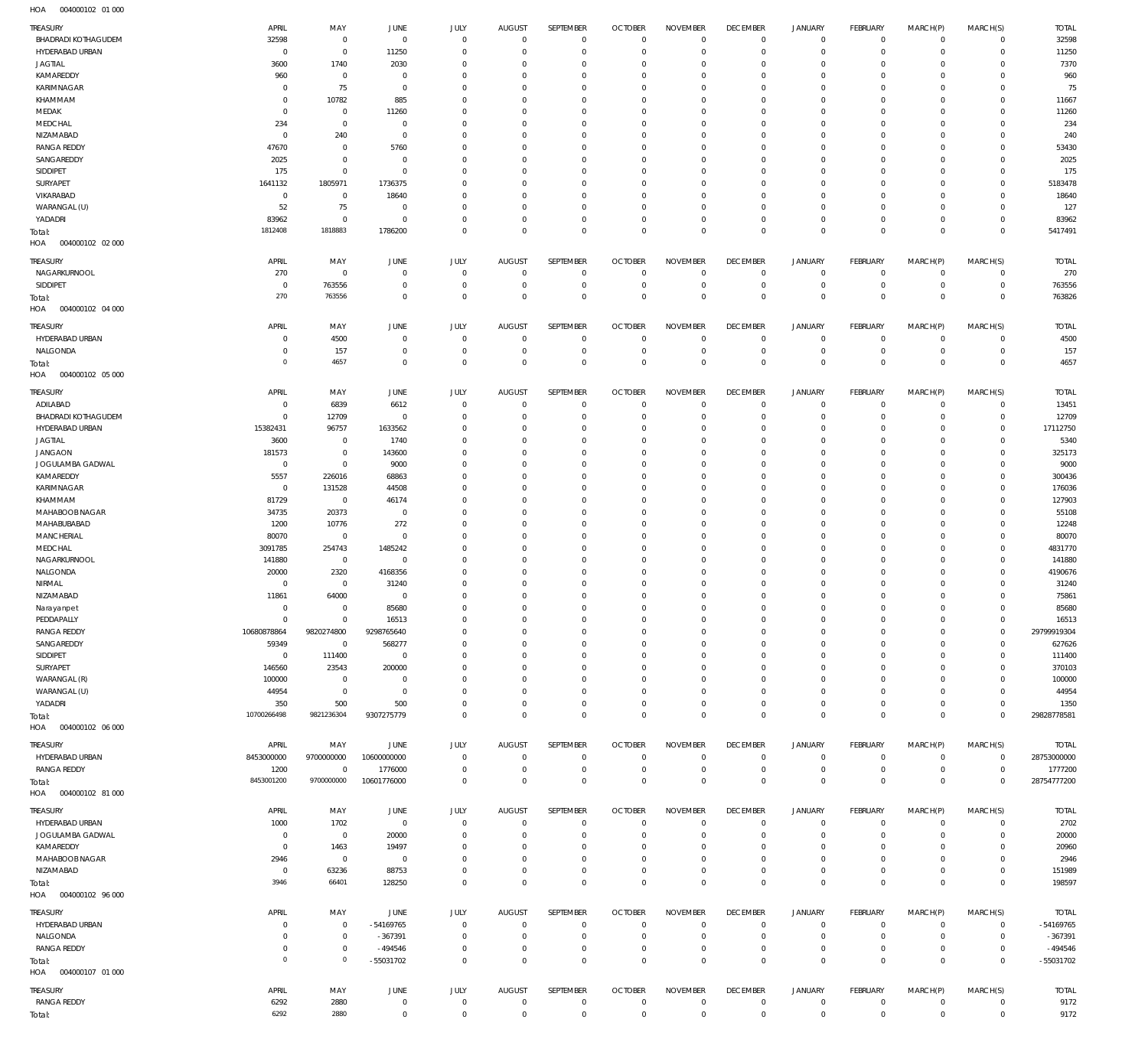| TREASURY                               | APRIL                   | MAY                       | <b>JUNE</b>                   | JULY                       | <b>AUGUST</b>              | SEPTEMBER                  | <b>OCTOBER</b>                   | <b>NOVEMBER</b>                | <b>DECEMBER</b>                  | <b>JANUARY</b>             | FEBRUARY                       | MARCH(P)                   | MARCH(S)                         | <b>TOTAL</b>           |
|----------------------------------------|-------------------------|---------------------------|-------------------------------|----------------------------|----------------------------|----------------------------|----------------------------------|--------------------------------|----------------------------------|----------------------------|--------------------------------|----------------------------|----------------------------------|------------------------|
| <b>BHADRADI KOTHAGUDEM</b>             | 32598                   | $\mathbf 0$               | $\overline{0}$                | $\Omega$                   | $\mathbf 0$                | $\mathbf 0$                | $\overline{0}$                   | $\Omega$                       | $\overline{0}$                   | 0                          | $\mathbf{0}$                   | $\mathbf 0$                | $\mathbf{0}$                     | 32598                  |
| HYDERABAD URBAN                        | $\Omega$                | $\Omega$                  | 11250                         | $\Omega$                   | $\Omega$                   | $\Omega$                   | $\Omega$                         | $\Omega$                       | $\Omega$                         | $\mathbf 0$                | $\mathbf 0$                    | $\Omega$                   | $\mathbf 0$                      | 11250                  |
| <b>JAGTIAL</b><br>KAMAREDDY            | 3600<br>960             | 1740<br>$\mathbf 0$       | 2030<br>$\overline{0}$        | $\Omega$<br>$\Omega$       | $\Omega$<br>$\Omega$       | $\Omega$<br>$\Omega$       | $\Omega$<br>$\Omega$             | $\Omega$<br>$\Omega$           | $\Omega$<br>$\mathbf 0$          | $\mathbf 0$<br>$\mathbf 0$ | $\mathbf 0$<br>$\Omega$        | $\Omega$<br>$\Omega$       | $\mathbf 0$<br>$\Omega$          | 7370<br>960            |
| KARIMNAGAR                             | $\Omega$                | 75                        | $\overline{0}$                | $\Omega$                   | $\Omega$                   | $\Omega$                   | $\Omega$                         | $\Omega$                       | $\Omega$                         | $\Omega$                   | $\Omega$                       | $\Omega$                   | $\Omega$                         | 75                     |
| KHAMMAM                                | $\Omega$                | 10782                     | 885                           | $\Omega$                   | $\Omega$                   | $\Omega$                   | $\Omega$                         | $\Omega$                       | $\Omega$                         | $\Omega$                   | $\Omega$                       | $\Omega$                   | $\Omega$                         | 11667                  |
| MEDAK                                  | $\Omega$                | $\mathbf 0$               | 11260                         | $\Omega$                   | $\Omega$                   | $\Omega$                   | $\Omega$                         | $\Omega$                       | $\Omega$                         | $\Omega$                   | $\Omega$                       | $\Omega$                   | $\Omega$                         | 11260                  |
| MEDCHAL                                | 234                     | $\mathbf 0$               | $\overline{0}$                | $\Omega$                   | $\Omega$                   | $\Omega$                   | $\Omega$                         | $\Omega$                       | $\Omega$                         | $\Omega$                   | $\Omega$                       | $\Omega$                   | $\Omega$                         | 234                    |
| NIZAMABAD                              | $\mathbf 0$             | 240                       | $\overline{0}$                | $\Omega$                   | $\Omega$                   | $\Omega$                   | $\Omega$                         | $\Omega$                       | $\Omega$                         | $\Omega$                   | $\Omega$                       | $\Omega$                   | $\Omega$                         | 240                    |
| <b>RANGA REDDY</b>                     | 47670                   | $\mathbf 0$               | 5760                          | $\Omega$                   | $\Omega$                   | $\Omega$                   | $\Omega$                         | $\Omega$                       | $\Omega$                         | $\Omega$                   | $\Omega$                       | $\Omega$                   | $\Omega$                         | 53430                  |
| SANGAREDDY<br>SIDDIPET                 | 2025<br>175             | $\mathbf 0$<br>$\Omega$   | $\mathbf 0$<br>$\mathbf 0$    | $\Omega$<br>$\Omega$       | $\Omega$<br>$\Omega$       | $\Omega$<br>$\Omega$       | $\Omega$<br>$\Omega$             | $\Omega$<br>$\Omega$           | $\Omega$<br>$\Omega$             | $\Omega$<br>$\Omega$       | $\mathbf 0$<br>$\Omega$        | $\Omega$<br>$\Omega$       | $\Omega$<br>$\Omega$             | 2025<br>175            |
| SURYAPET                               | 1641132                 | 1805971                   | 1736375                       | $\Omega$                   | $\Omega$                   | $\Omega$                   | $\Omega$                         | $\Omega$                       | $\Omega$                         | $\Omega$                   | $\mathbf 0$                    | $\Omega$                   | $\Omega$                         | 5183478                |
| VIKARABAD                              | $\mathbf 0$             | $\mathbf 0$               | 18640                         | $\Omega$                   | $\Omega$                   | $\Omega$                   | $\Omega$                         | $\Omega$                       | $\Omega$                         | $\Omega$                   | $\Omega$                       | $\Omega$                   | $\Omega$                         | 18640                  |
| WARANGAL (U)                           | 52                      | 75                        | $\mathbf 0$                   | $\Omega$                   | $\Omega$                   | $\Omega$                   | $\Omega$                         | $\Omega$                       | $\Omega$                         | $\Omega$                   | $\Omega$                       | $\Omega$                   | $\Omega$                         | 127                    |
| YADADRI                                | 83962                   | $\mathbf 0$               | $\mathbf 0$                   | $\Omega$                   | $\Omega$                   | $\mathbf 0$                | $\mathbf 0$                      | $\Omega$                       | $\mathbf 0$                      | $\mathbf 0$                | $\mathbf 0$                    | $\Omega$                   | $\mathbf 0$                      | 83962                  |
| Total:                                 | 1812408                 | 1818883                   | 1786200                       | $\Omega$                   | $\Omega$                   | $\Omega$                   | $\Omega$                         | $\Omega$                       | $\Omega$                         | $\mathbf 0$                | $\Omega$                       | $\Omega$                   | $\Omega$                         | 5417491                |
| HOA<br>004000102 02 000                |                         |                           |                               |                            |                            |                            |                                  |                                |                                  |                            |                                |                            |                                  |                        |
| TREASURY                               | APRIL                   | MAY                       | <b>JUNE</b>                   | JULY                       | <b>AUGUST</b>              | SEPTEMBER                  | <b>OCTOBER</b>                   | <b>NOVEMBER</b>                | <b>DECEMBER</b>                  | <b>JANUARY</b>             | <b>FEBRUARY</b>                | MARCH(P)                   | MARCH(S)                         | <b>TOTAL</b>           |
| NAGARKURNOOL                           | 270                     | $\mathbf 0$               | $\overline{0}$                | $\mathbf 0$                | $\mathbf 0$                | $\mathbf 0$                | $\overline{0}$                   | $\mathbf 0$                    | $\overline{0}$                   | 0                          | $\overline{0}$                 | $\mathbf 0$                | $\overline{0}$                   | 270                    |
| SIDDIPET                               | $\overline{0}$          | 763556                    | $\overline{0}$                | $\mathbf 0$                | $\mathbf 0$                | $\mathbf 0$                | $\overline{0}$                   | $\mathbf 0$                    | $\overline{0}$                   | $\mathbf 0$                | $\mathbf{0}$                   | $\mathbf 0$                | $\circ$                          | 763556                 |
| Total:                                 | 270                     | 763556                    | $\overline{0}$                | $\mathbf 0$                | $\Omega$                   | $\mathbf 0$                | $\overline{0}$                   | $\mathbf 0$                    | $\overline{0}$                   | $\mathbf 0$                | $\overline{0}$                 | $\mathbf 0$                | $\overline{0}$                   | 763826                 |
| 004000102 04 000<br>HOA                |                         |                           |                               |                            |                            |                            |                                  |                                |                                  |                            |                                |                            |                                  |                        |
| TREASURY                               | <b>APRIL</b>            | MAY                       | <b>JUNE</b>                   | JULY                       | <b>AUGUST</b>              | <b>SEPTEMBER</b>           | <b>OCTOBER</b>                   | <b>NOVEMBER</b>                | <b>DECEMBER</b>                  | <b>JANUARY</b>             | <b>FEBRUARY</b>                | MARCH(P)                   | MARCH(S)                         | <b>TOTAL</b>           |
| HYDERABAD URBAN                        | $\mathbf 0$             | 4500                      | $\mathbf 0$                   | $\mathbf 0$                | $\mathbf 0$                | $\mathbf 0$                | $\overline{0}$                   | $\mathbf 0$                    | $\overline{0}$                   | 0                          | $^{\circ}$                     | $\mathbf 0$                | $\mathbf{0}$                     | 4500                   |
| NALGONDA                               | $\Omega$<br>$\mathbf 0$ | 157<br>4657               | $\mathbf 0$<br>$\overline{0}$ | $\Omega$<br>$\mathbf 0$    | $\mathbf 0$<br>$\Omega$    | $\mathbf 0$<br>$\mathbf 0$ | $\mathbf 0$<br>$\overline{0}$    | $\Omega$<br>$\mathbf 0$        | $\mathbf 0$<br>$\overline{0}$    | $\mathbf 0$<br>$\mathbf 0$ | $\mathbf{0}$<br>$\overline{0}$ | $\mathbf 0$<br>$\Omega$    | $\mathbf 0$<br>$\overline{0}$    | 157                    |
| Total:<br>HOA<br>004000102 05 000      |                         |                           |                               |                            |                            |                            |                                  |                                |                                  |                            |                                |                            |                                  | 4657                   |
|                                        |                         |                           |                               |                            |                            |                            |                                  |                                |                                  |                            |                                |                            |                                  |                        |
| TREASURY                               | APRIL                   | MAY                       | JUNE                          | JULY                       | <b>AUGUST</b>              | SEPTEMBER                  | <b>OCTOBER</b>                   | <b>NOVEMBER</b>                | <b>DECEMBER</b>                  | <b>JANUARY</b>             | FEBRUARY                       | MARCH(P)                   | MARCH(S)                         | <b>TOTAL</b>           |
| ADILABAD<br><b>BHADRADI KOTHAGUDEM</b> | $\mathbf 0$<br>$\Omega$ | 6839<br>12709             | 6612<br>$\overline{0}$        | $\mathbf 0$<br>$\Omega$    | $\mathbf 0$<br>$\Omega$    | $\mathbf 0$<br>$\mathbf 0$ | $\overline{0}$<br>$\overline{0}$ | $\mathbf 0$<br>$\Omega$        | $\overline{0}$<br>$\mathbf 0$    | 0<br>$\mathbf 0$           | $\mathbf{0}$<br>$\mathbf{0}$   | $\mathbf 0$<br>$\Omega$    | $\mathbf{0}$<br>$\mathbf{0}$     | 13451<br>12709         |
| HYDERABAD URBAN                        | 15382431                | 96757                     | 1633562                       | $\mathbf 0$                | $\mathbf 0$                | $\mathbf 0$                | $\mathbf 0$                      | $\mathbf 0$                    | $\overline{0}$                   | $\mathbf 0$                | $\mathbf{0}$                   | $\mathbf 0$                | $\mathbf{0}$                     | 17112750               |
| <b>JAGTIAL</b>                         | 3600                    | 0                         | 1740                          | $\Omega$                   | $\Omega$                   | $\mathbf 0$                | $\mathbf 0$                      | $\Omega$                       | $\mathbf 0$                      | $\mathbf 0$                | $\mathbf{0}$                   | $\Omega$                   | $\mathbf{0}$                     | 5340                   |
| <b>JANGAON</b>                         | 181573                  | $\mathsf{O}\xspace$       | 143600                        | $\Omega$                   | $\Omega$                   | $\mathbf 0$                | $\mathbf 0$                      | $\Omega$                       | $\overline{0}$                   | $\mathbf 0$                | $\mathbf{0}$                   | $\Omega$                   | $\mathbf{0}$                     | 325173                 |
| JOGULAMBA GADWAL                       | $\mathbf 0$             | $\mathbf 0$               | 9000                          | $\Omega$                   | $\Omega$                   | $\mathbf 0$                | $\mathbf 0$                      | $\Omega$                       | $\mathbf 0$                      | $\mathbf 0$                | $\mathbf{0}$                   | $\Omega$                   | $\mathbf 0$                      | 9000                   |
| KAMAREDDY                              | 5557                    | 226016                    | 68863                         | $\Omega$                   | $\Omega$                   | $\Omega$                   | $\Omega$                         | $\Omega$                       | $\Omega$                         | $\Omega$                   | $\Omega$                       | $\Omega$                   | $\Omega$                         | 300436                 |
| KARIMNAGAR                             | $\overline{0}$          | 131528                    | 44508                         | $\Omega$                   | $\Omega$                   | $\mathbf 0$                | $\mathbf 0$                      | $\Omega$                       | $\mathbf 0$                      | $\mathbf 0$                | $\mathbf{0}$                   | $\Omega$                   | $\mathbf 0$                      | 176036                 |
| KHAMMAM                                | 81729                   | $\mathbf 0$               | 46174                         | $\Omega$                   | $\Omega$                   | $\mathbf 0$                | $\mathbf 0$                      | $\Omega$                       | $\Omega$                         | $\Omega$                   | $\mathbf 0$                    | $\Omega$                   | $\Omega$                         | 127903                 |
| MAHABOOB NAGAR                         | 34735                   | 20373                     | $\overline{0}$                | $\Omega$<br>$\Omega$       | $\Omega$<br>$\Omega$       | $\Omega$<br>$\mathbf 0$    | $\mathbf 0$<br>$\mathbf 0$       | $\Omega$<br>$\Omega$           | $\Omega$<br>$\mathbf 0$          | $\circ$<br>$\Omega$        | $\mathbf{0}$<br>$\mathbf 0$    | $\Omega$<br>$\Omega$       | $\mathbf 0$<br>$\mathbf 0$       | 55108                  |
| MAHABUBABAD<br>MANCHERIAL              | 1200<br>80070           | 10776<br>$\mathbf 0$      | 272<br>$\overline{0}$         | $\Omega$                   | $\Omega$                   | $\Omega$                   | $\mathbf 0$                      | $\Omega$                       | $\Omega$                         | $\circ$                    | $\mathbf{0}$                   | $\Omega$                   | $\mathbf 0$                      | 12248<br>80070         |
| MEDCHAL                                | 3091785                 | 254743                    | 1485242                       | $\Omega$                   | $\mathbf 0$                | $\mathbf 0$                | $\mathbf 0$                      | $\Omega$                       | $\mathbf 0$                      | $\circ$                    | $\mathbf 0$                    | $\Omega$                   | $\mathbf 0$                      | 4831770                |
| NAGARKURNOOL                           | 141880                  | $\mathbf 0$               | $\overline{0}$                | $\Omega$                   | $\Omega$                   | $\Omega$                   | $\Omega$                         | $\Omega$                       | $\Omega$                         | $\Omega$                   | $\Omega$                       | $\Omega$                   | $\mathbf 0$                      | 141880                 |
| NALGONDA                               | 20000                   | 2320                      | 4168356                       | $\Omega$                   | $\Omega$                   | $\mathbf 0$                | $\mathbf 0$                      | $\Omega$                       | $\Omega$                         | $\circ$                    | $\mathbf{0}$                   | $\Omega$                   | $\mathbf{0}$                     | 4190676                |
| NIRMAL                                 | $\mathbf 0$             | $\bf 0$                   | 31240                         | $\Omega$                   | $\mathbf 0$                | $\mathbf 0$                | $\mathbf 0$                      | $\Omega$                       | $\mathbf 0$                      | $\circ$                    | $\mathbf 0$                    | $\Omega$                   | $\mathbf 0$                      | 31240                  |
| NIZAMABAD                              | 11861                   | 64000                     | $\mathbf 0$                   | $\Omega$                   | $\Omega$                   | $\Omega$                   | $\Omega$                         | $\Omega$                       | $\Omega$                         | $\Omega$                   | $\Omega$                       | $\Omega$                   | $\Omega$                         | 75861                  |
| Narayanpet                             | $\Omega$                | $\Omega$                  | 85680                         | $\Omega$                   | $\Omega$                   | $\Omega$                   | $\Omega$                         | $\Omega$                       | $\Omega$                         | $\Omega$                   | $\Omega$                       | $\Omega$                   | $\Omega$                         | 85680                  |
| PEDDAPALLY                             | $\mathbf 0$             | $\mathbf 0$               | 16513                         | $\mathbf 0$<br>$\Omega$    | $\mathbf 0$<br>$\Omega$    | $\mathbf 0$<br>$\mathbf 0$ | $\overline{0}$<br>$\overline{0}$ | $\mathbf 0$<br>$\mathbf 0$     | $\overline{0}$<br>$\overline{0}$ | $\mathbf 0$<br>$\mathbf 0$ | $\mathbf{0}$<br>$\overline{0}$ | $\Omega$<br>$\circ$        | $\mathbf{0}$<br>$\overline{0}$   | 16513<br>29799919304   |
| <b>RANGA REDDY</b><br>SANGAREDDY       | 10680878864<br>59349    | 9820274800<br>$\bf 0$     | 9298765640<br>568277          | $\Omega$                   | $\Omega$                   | $\mathbf 0$                | $\mathbf 0$                      | $\mathbf 0$                    | $\mathbf 0$                      | $\mathbf 0$                | $\mathbf{0}$                   | $\Omega$                   | $\mathbf{0}$                     | 627626                 |
| SIDDIPET                               | $\overline{0}$          | 111400                    | $\overline{0}$                | $\Omega$                   | $\Omega$                   | $\Omega$                   | $\overline{0}$                   | $\Omega$                       | $\overline{0}$                   | $\circ$                    | $\mathbf{0}$                   | $\Omega$                   | $\mathbf{0}$                     | 111400                 |
| SURYAPET                               | 146560                  | 23543                     | 200000                        | $\Omega$                   | $\Omega$                   | $\mathbf 0$                | $\overline{0}$                   | $\mathbf 0$                    | $\overline{0}$                   | $\circ$                    | $^{\circ}$                     | $\Omega$                   | $^{\circ}$                       | 370103                 |
| WARANGAL (R)                           | 100000                  | $\mathbf 0$               | $\overline{0}$                | $\Omega$                   | $\Omega$                   | $\Omega$                   | $\mathbf 0$                      | $\Omega$                       | $\mathbf 0$                      | $\circ$                    | $\mathbf{0}$                   | $\Omega$                   | $\mathbf{0}$                     | 100000                 |
| WARANGAL (U)                           | 44954                   | $\mathbf 0$               | $\overline{\mathbf{0}}$       | $\Omega$                   | $\Omega$                   | $\Omega$                   | $\overline{0}$                   | $\Omega$                       | $\overline{0}$                   | $\mathbf 0$                | $\mathbf{0}$                   | $\Omega$                   | $\mathbf{0}$                     | 44954                  |
| YADADRI                                | 350                     | 500                       | 500                           | $\mathbf 0$                | $\mathbf 0$                | $\mathbf 0$                | $\overline{0}$                   | $\mathbf 0$                    | $\overline{0}$                   | $\mathbf 0$                | $\mathbf{0}$                   | $\mathbf 0$                | $\mathbf{0}$                     | 1350                   |
| Total:                                 | 10700266498             | 9821236304                | 9307275779                    | $\mathbf 0$                | $\Omega$                   | $\mathbf 0$                | $\overline{0}$                   | $\mathbf 0$                    | $\overline{0}$                   | $\mathbf 0$                | $\overline{0}$                 | $\mathbf 0$                | $\overline{0}$                   | 29828778581            |
| HOA  004000102  06  000                |                         |                           |                               |                            |                            |                            |                                  |                                |                                  |                            |                                |                            |                                  |                        |
| TREASURY                               | APRIL                   | MAY                       | JUNE                          | JULY                       | <b>AUGUST</b>              | SEPTEMBER                  | <b>OCTOBER</b>                   | <b>NOVEMBER</b>                | <b>DECEMBER</b>                  | <b>JANUARY</b>             | FEBRUARY                       | MARCH(P)                   | MARCH(S)                         | <b>TOTAL</b>           |
| HYDERABAD URBAN                        | 8453000000              | 9700000000                | 10600000000                   | $\mathbf 0$                | $\mathbf 0$                | 0                          | $\overline{0}$                   | $\mathbf 0$                    | $\overline{0}$                   | $\mathbf 0$                | $\mathbf{0}$                   | $\mathbf 0$                | $\circ$                          | 28753000000            |
| RANGA REDDY                            | 1200<br>8453001200      | $\mathbf 0$<br>9700000000 | 1776000<br>10601776000        | $\mathbf 0$<br>$\mathbf 0$ | $\mathbf 0$<br>$\mathbf 0$ | $\mathbf 0$<br>$\mathbf 0$ | $\overline{0}$<br>$\overline{0}$ | $\mathbf 0$<br>$\mathbf 0$     | $\mathbf 0$<br>$\overline{0}$    | $\mathbf 0$<br>$\mathbf 0$ | $\mathbf{0}$<br>$\overline{0}$ | $\mathbf 0$<br>$\mathbf 0$ | $\overline{0}$<br>$\overline{0}$ | 1777200<br>28754777200 |
| Total:<br>HOA   004000102   81   000   |                         |                           |                               |                            |                            |                            |                                  |                                |                                  |                            |                                |                            |                                  |                        |
|                                        |                         |                           |                               |                            |                            |                            |                                  |                                |                                  |                            |                                |                            |                                  |                        |
| TREASURY                               | APRIL                   | MAY                       | JUNE                          | JULY<br>$\mathbf 0$        | AUGUST<br>$\mathbf 0$      | SEPTEMBER<br>$\mathbf 0$   | <b>OCTOBER</b><br>$\overline{0}$ | <b>NOVEMBER</b><br>$\mathbf 0$ | <b>DECEMBER</b><br>$\mathbf 0$   | JANUARY                    | FEBRUARY<br>$\circ$            | MARCH(P)<br>$\mathbf 0$    | MARCH(S)<br>$\circ$              | <b>TOTAL</b>           |
| HYDERABAD URBAN<br>JOGULAMBA GADWAL    | 1000<br>$\overline{0}$  | 1702<br>$\,0\,$           | $\overline{0}$<br>20000       | $\mathbf 0$                | $\overline{0}$             | $\mathbf 0$                | $\overline{0}$                   | $\mathbf 0$                    | $\overline{0}$                   | 0<br>$\mathbf 0$           | $\overline{0}$                 | $\mathbf 0$                | $\overline{0}$                   | 2702<br>20000          |
| KAMAREDDY                              | $\overline{0}$          | 1463                      | 19497                         | $\mathbf 0$                | $\mathbf 0$                | $\mathbf 0$                | $\overline{0}$                   | $\mathbf 0$                    | $\overline{0}$                   | $\mathbf 0$                | $\mathbf{0}$                   | $\Omega$                   | $\circ$                          | 20960                  |
| MAHABOOB NAGAR                         | 2946                    | $\mathbf 0$               | $\overline{0}$                | $\mathbf 0$                | $\mathbf 0$                | $\mathbf 0$                | $\overline{0}$                   | $\mathbf 0$                    | $\overline{0}$                   | $\mathbf 0$                | $\mathbf{0}$                   | $\Omega$                   | $\mathbf{0}$                     | 2946                   |
| NIZAMABAD                              | $\mathbf 0$             | 63236                     | 88753                         | $\mathbf 0$                | $\mathbf 0$                | $\mathbf 0$                | $\overline{0}$                   | $\mathbf 0$                    | $\overline{0}$                   | $\mathbf 0$                | $\overline{0}$                 | $\mathbf 0$                | $\mathbf{0}$                     | 151989                 |
| Total:                                 | 3946                    | 66401                     | 128250                        | $\mathbf 0$                | $\mathbf 0$                | $\mathbf 0$                | $\overline{0}$                   | $\mathbf 0$                    | $\overline{0}$                   | $\mathbf 0$                | $\overline{0}$                 | $\mathbf 0$                | $\overline{0}$                   | 198597                 |
| HOA<br>004000102 96 000                |                         |                           |                               |                            |                            |                            |                                  |                                |                                  |                            |                                |                            |                                  |                        |
| TREASURY                               | APRIL                   | MAY                       | JUNE                          | <b>JULY</b>                | <b>AUGUST</b>              | SEPTEMBER                  | <b>OCTOBER</b>                   | <b>NOVEMBER</b>                | <b>DECEMBER</b>                  | <b>JANUARY</b>             | FEBRUARY                       | MARCH(P)                   | MARCH(S)                         | <b>TOTAL</b>           |
| HYDERABAD URBAN                        | $\mathbf 0$             | 0                         | -54169765                     | $\Omega$                   | $\mathbf 0$                | $\mathbf 0$                | $\overline{0}$                   | $\Omega$                       | $\overline{0}$                   | $^{\circ}$                 | $\mathbf{0}$                   | $\Omega$                   | $\mathbf{0}$                     | $-54169765$            |
| NALGONDA                               | $\mathbf 0$             | $\bf 0$                   | $-367391$                     | $\mathbf 0$                | $\mathbf 0$                | $\mathbf 0$                | $\overline{0}$                   | $\mathbf 0$                    | $\mathbf 0$                      | $\mathbf 0$                | $\mathbf{0}$                   | $\mathbf 0$                | $\circ$                          | $-367391$              |
| RANGA REDDY                            | $\mathbf 0$             | $\mathbf 0$               | $-494546$                     | $\Omega$                   | $\mathbf 0$                | $\mathbf 0$                | $\mathbf 0$                      | $\Omega$                       | $\mathbf 0$                      | $\mathbf 0$                | $\mathbf{0}$                   | $\mathbf 0$                | $\mathbf{0}$                     | $-494546$              |
| Total:                                 | $\circ$                 | $\mathsf{O}\xspace$       | -55031702                     | $\Omega$                   | $\Omega$                   | $\mathbf 0$                | $\overline{0}$                   | $\mathbf 0$                    | $\overline{0}$                   | $\mathbf 0$                | $\overline{0}$                 | $\Omega$                   | $\overline{0}$                   | $-55031702$            |
| 004000107 01 000<br>HOA                |                         |                           |                               |                            |                            |                            |                                  |                                |                                  |                            |                                |                            |                                  |                        |
| TREASURY                               | APRIL                   | MAY                       | JUNE                          | JULY                       | AUGUST                     | SEPTEMBER                  | <b>OCTOBER</b>                   | <b>NOVEMBER</b>                | <b>DECEMBER</b>                  | <b>JANUARY</b>             | FEBRUARY                       | MARCH(P)                   | MARCH(S)                         | <b>TOTAL</b>           |
| <b>RANGA REDDY</b>                     | 6292                    | 2880                      | $\overline{0}$                | $\bf 0$                    | $\overline{0}$             | $\bf 0$                    | $\overline{0}$                   | $\mathbf 0$                    | $\overline{0}$                   | $\mathbf 0$                | $\overline{0}$                 | 0                          | $\overline{0}$                   | 9172                   |
| Total:                                 | 6292                    | 2880                      | $\overline{0}$                | $\mathbf 0$                | $\mathbf 0$                | $\mathbf 0$                | $\overline{0}$                   | $\mathbf 0$                    | $\overline{0}$                   | $\mathbf 0$                | $\overline{0}$                 | $\mathbf 0$                | $\overline{0}$                   | 9172                   |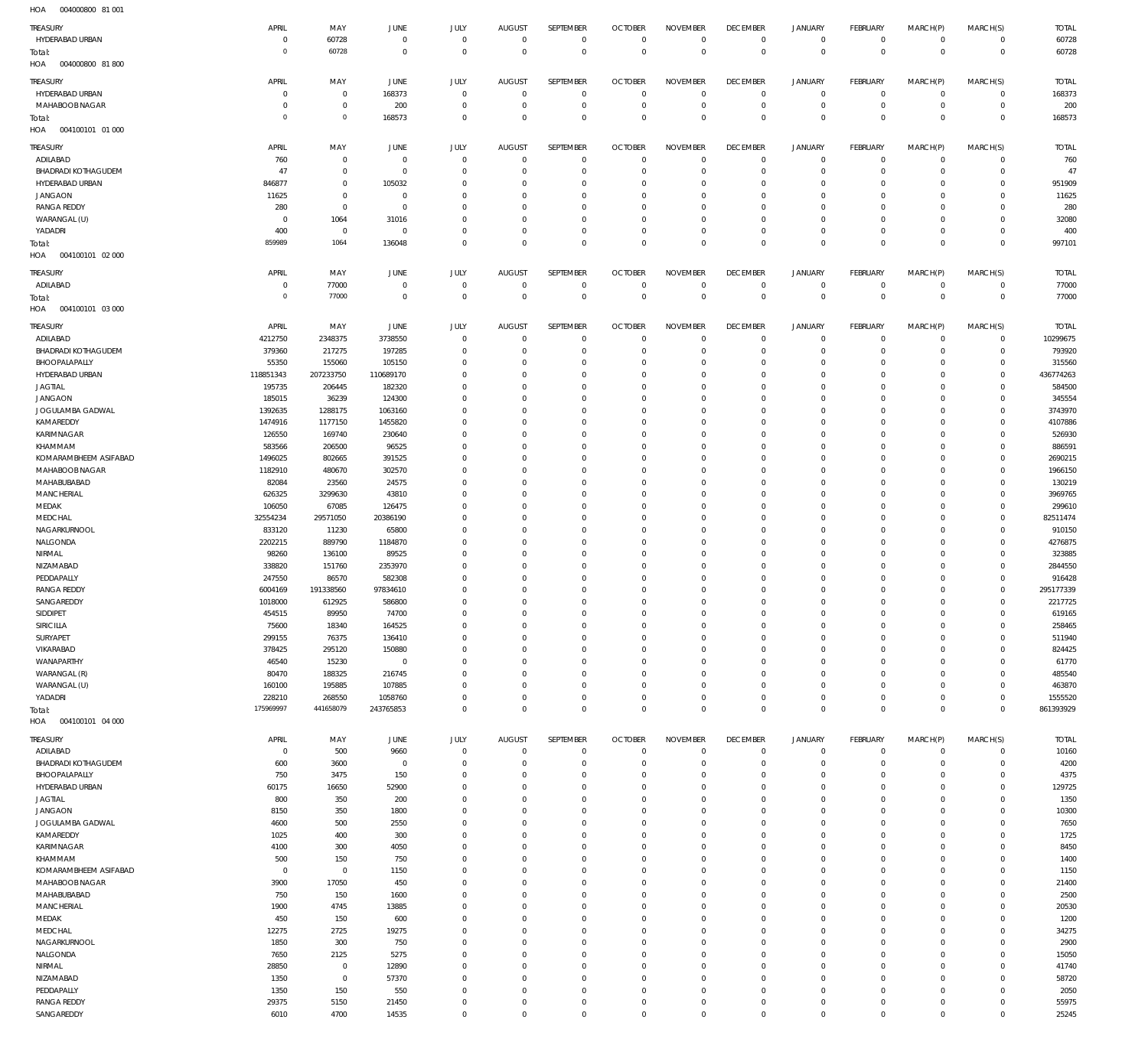004000800 81 001 HOA

| TREASURY                   | APRIL          | MAY         | <b>JUNE</b>    | <b>JULY</b> | <b>AUGUST</b>  | SEPTEMBER   | <b>OCTOBER</b> | <b>NOVEMBER</b> | <b>DECEMBER</b> | <b>JANUARY</b> | FEBRUARY        | MARCH(P)    | MARCH(S)       | <b>TOTAL</b> |
|----------------------------|----------------|-------------|----------------|-------------|----------------|-------------|----------------|-----------------|-----------------|----------------|-----------------|-------------|----------------|--------------|
| HYDERABAD URBAN            | $\mathbf 0$    | 60728       | $\mathbf 0$    | $\mathbf 0$ | $\mathbf 0$    | $\mathbf 0$ | $\overline{0}$ | $\mathbf 0$     | $\overline{0}$  | $\mathbf{0}$   | $\overline{0}$  | $^{\circ}$  | $\mathbf{0}$   | 60728        |
| Total:                     | $\mathbf 0$    | 60728       | $\overline{0}$ | $\mathbf 0$ | $\mathbf 0$    | $\mathbf 0$ | $\overline{0}$ | $\mathbf 0$     | $\overline{0}$  | $\mathbf 0$    | $\overline{0}$  | $\mathbf 0$ | $\overline{0}$ | 60728        |
| HOA<br>004000800 81 800    |                |             |                |             |                |             |                |                 |                 |                |                 |             |                |              |
|                            |                |             |                |             |                |             |                |                 |                 |                |                 |             |                |              |
| TREASURY                   | APRIL          | MAY         | <b>JUNE</b>    | JULY        | <b>AUGUST</b>  | SEPTEMBER   | <b>OCTOBER</b> | <b>NOVEMBER</b> | <b>DECEMBER</b> | JANUARY        | <b>FEBRUARY</b> | MARCH(P)    | MARCH(S)       | <b>TOTAL</b> |
| HYDERABAD URBAN            | $\mathbf 0$    | $\mathbf 0$ | 168373         | $\mathbf 0$ | $\mathbf 0$    | $\mathbf 0$ | $\overline{0}$ | $\mathbf 0$     | $\mathbf 0$     | 0              | $\overline{0}$  | 0           | $\circ$        | 168373       |
| MAHABOOB NAGAR             | $^{\circ}$     | $\mathbf 0$ | 200            | $\mathbf 0$ | $\overline{0}$ | $\mathbf 0$ | $\overline{0}$ | $\mathbf 0$     | $\overline{0}$  | $\mathbf 0$    | $\overline{0}$  | $\mathbf 0$ | $\overline{0}$ | 200          |
| Total:                     | $\mathbf 0$    | $\mathbf 0$ | 168573         | $\mathbf 0$ | $\Omega$       | $\mathbf 0$ | $\overline{0}$ | $\mathbf 0$     | $\overline{0}$  | $\mathbf 0$    | $\overline{0}$  | $\mathbf 0$ | $\overline{0}$ | 168573       |
| 004100101 01 000<br>HOA    |                |             |                |             |                |             |                |                 |                 |                |                 |             |                |              |
|                            |                |             |                |             |                |             |                |                 |                 |                |                 |             |                |              |
| TREASURY                   | APRIL          | MAY         | <b>JUNE</b>    | <b>JULY</b> | <b>AUGUST</b>  | SEPTEMBER   | <b>OCTOBER</b> | <b>NOVEMBER</b> | <b>DECEMBER</b> | <b>JANUARY</b> | <b>FEBRUARY</b> | MARCH(P)    | MARCH(S)       | <b>TOTAL</b> |
| ADILABAD                   | 760            | $\mathbf 0$ | $\overline{0}$ | $\mathbf 0$ | $\mathbf 0$    | $\mathbf 0$ | $\mathbf 0$    | $\mathbf 0$     | $\mathbf 0$     | $\mathbf 0$    | $^{\circ}$      | $\mathbf 0$ | $^{\circ}$     | 760          |
| <b>BHADRADI KOTHAGUDEM</b> | 47             | $\mathbf 0$ | $\overline{0}$ | $\Omega$    | $\Omega$       | $\mathbf 0$ | $\mathbf 0$    | $\Omega$        | $\mathbf 0$     | 0              | $\mathbf{0}$    | $\Omega$    | $\mathbf{0}$   | 47           |
| HYDERABAD URBAN            | 846877         | $\mathbf 0$ | 105032         | $\Omega$    | $\Omega$       | $\Omega$    | $\Omega$       | $\Omega$        | $\mathbf 0$     | 0              | $\mathbf 0$     | $\Omega$    | $\mathbf 0$    | 951909       |
| <b>JANGAON</b>             | 11625          | $\mathbf 0$ | $\overline{0}$ | $\Omega$    | $\Omega$       | $\Omega$    | $\Omega$       | $\Omega$        | $\Omega$        | $\Omega$       | $\mathbf 0$     | $\Omega$    | $\mathbf 0$    | 11625        |
| <b>RANGA REDDY</b>         | 280            | $\mathbf 0$ | $^{\circ}$     | $\Omega$    | $\Omega$       | $\Omega$    | $\Omega$       | $\Omega$        | $\mathbf 0$     | 0              | $\Omega$        | $\Omega$    | $\mathbf 0$    | 280          |
| WARANGAL (U)               | $\Omega$       | 1064        | 31016          | $\Omega$    | $\Omega$       | $\Omega$    | $\Omega$       | $\Omega$        | $\Omega$        | $\Omega$       | $\Omega$        | $\Omega$    | $\Omega$       | 32080        |
| YADADRI                    | 400            | $\mathbf 0$ | $\mathbf 0$    | $\Omega$    | $\Omega$       | $\mathbf 0$ | $\mathbf 0$    | $\Omega$        | $\mathbf 0$     | $\mathbf 0$    | $\mathbf{0}$    | $\Omega$    | $\mathbf{0}$   | 400          |
| Total:                     | 859989         | 1064        | 136048         | $\Omega$    | $\Omega$       | $\Omega$    | $\Omega$       | $\Omega$        | $\mathbf 0$     | $\mathbf 0$    | $\Omega$        | $\Omega$    | $\mathbf 0$    | 997101       |
| HOA<br>004100101 02 000    |                |             |                |             |                |             |                |                 |                 |                |                 |             |                |              |
|                            |                |             |                |             |                |             |                |                 |                 |                |                 |             |                |              |
| TREASURY                   | APRIL          | MAY         | <b>JUNE</b>    | <b>JULY</b> | <b>AUGUST</b>  | SEPTEMBER   | <b>OCTOBER</b> | <b>NOVEMBER</b> | <b>DECEMBER</b> | <b>JANUARY</b> | FEBRUARY        | MARCH(P)    | MARCH(S)       | <b>TOTAL</b> |
| ADILABAD                   | $^{\circ}$     | 77000       | $\overline{0}$ | $\mathbf 0$ | $\mathbf 0$    | $\mathbf 0$ | $\overline{0}$ | $\mathbf 0$     | $\overline{0}$  | 0              | $\overline{0}$  | $\mathbf 0$ | $\overline{0}$ | 77000        |
| Total:                     | $\mathbf 0$    | 77000       | $\overline{0}$ | $\mathbf 0$ | $\overline{0}$ | $\mathbf 0$ | $\overline{0}$ | $\mathbf 0$     | $\overline{0}$  | $\mathbf 0$    | $\overline{0}$  | $\mathbf 0$ | $\overline{0}$ | 77000        |
| HOA<br>004100101 03 000    |                |             |                |             |                |             |                |                 |                 |                |                 |             |                |              |
|                            |                |             |                |             |                |             |                |                 |                 |                |                 |             |                |              |
| TREASURY                   | APRIL          | MAY         | <b>JUNE</b>    | JULY        | <b>AUGUST</b>  | SEPTEMBER   | <b>OCTOBER</b> | <b>NOVEMBER</b> | <b>DECEMBER</b> | <b>JANUARY</b> | FEBRUARY        | MARCH(P)    | MARCH(S)       | <b>TOTAL</b> |
| ADILABAD                   | 4212750        | 2348375     | 3738550        | $\Omega$    | $\Omega$       | $\mathbf 0$ | $\Omega$       | $\Omega$        | $\mathbf 0$     | $\mathbf 0$    | $\mathbf{0}$    | $\Omega$    | $\mathbf{0}$   | 10299675     |
| <b>BHADRADI KOTHAGUDEM</b> | 379360         | 217275      | 197285         | $\Omega$    | $\mathbf 0$    | $\mathbf 0$ | $^{\circ}$     | $\Omega$        | $\mathbf 0$     | 0              | $^{\circ}$      | $\Omega$    | $\mathbf{0}$   | 793920       |
| BHOOPALAPALLY              | 55350          | 155060      | 105150         | $\Omega$    | $\Omega$       | $\Omega$    | $\Omega$       | $\Omega$        | $\Omega$        | 0              | $\mathbf 0$     | $\Omega$    | $\mathbf 0$    | 315560       |
| HYDERABAD URBAN            | 118851343      | 207233750   | 110689170      | $\Omega$    | $\Omega$       | $\Omega$    | $\Omega$       | $\Omega$        | $\Omega$        | $\Omega$       | $\Omega$        | $\Omega$    | $\mathbf{0}$   | 436774263    |
| <b>JAGTIAL</b>             | 195735         | 206445      | 182320         | $\Omega$    | $\Omega$       | $\Omega$    | $\mathbf 0$    | $\Omega$        | $\mathbf 0$     | 0              | $\mathbf 0$     | $\Omega$    | $\mathbf 0$    | 584500       |
| <b>JANGAON</b>             | 185015         | 36239       | 124300         | $\Omega$    | $\Omega$       | $\Omega$    | $\Omega$       | $\Omega$        | $\Omega$        | $\Omega$       | $\Omega$        | $\Omega$    | $\Omega$       | 345554       |
| JOGULAMBA GADWAL           | 1392635        | 1288175     | 1063160        | $\Omega$    | $\Omega$       | $\Omega$    | $\Omega$       | $\Omega$        | $\Omega$        | $\Omega$       | $\mathbf 0$     | $\Omega$    | $\Omega$       | 3743970      |
| KAMAREDDY                  | 1474916        | 1177150     | 1455820        | $\Omega$    | $\Omega$       | $\Omega$    | $\Omega$       | $\Omega$        | $\Omega$        | $\Omega$       | $\Omega$        | $\Omega$    | $\Omega$       | 4107886      |
| KARIMNAGAR                 | 126550         | 169740      | 230640         | $\Omega$    | $\Omega$       | $\Omega$    | $\Omega$       | $\Omega$        | $\Omega$        | $\Omega$       | $\mathbf 0$     | $\Omega$    | $\Omega$       | 526930       |
| KHAMMAM                    | 583566         | 206500      | 96525          | $\Omega$    | $\Omega$       | $\Omega$    | $\Omega$       | $\Omega$        | $\mathbf 0$     | $\Omega$       | $\mathbf 0$     | $\Omega$    | $\mathbf 0$    | 886591       |
| KOMARAMBHEEM ASIFABAD      | 1496025        | 802665      | 391525         | $\Omega$    | $\Omega$       | $\Omega$    | $\Omega$       | $\Omega$        | $\Omega$        | $\Omega$       | $\Omega$        | $\Omega$    | $\Omega$       | 2690215      |
| MAHABOOB NAGAR             | 1182910        | 480670      | 302570         | $\Omega$    | $\Omega$       | $\Omega$    | $\Omega$       | $\Omega$        | $\mathbf 0$     | $\Omega$       | $\mathbf 0$     | $\Omega$    | $\mathbf 0$    | 1966150      |
| MAHABUBABAD                | 82084          | 23560       | 24575          | $\Omega$    | $\Omega$       | $\Omega$    | $\Omega$       | $\Omega$        | $\Omega$        | $\Omega$       | $\Omega$        | $\Omega$    | $\Omega$       | 130219       |
| <b>MANCHERIAL</b>          | 626325         | 3299630     | 43810          | $\Omega$    | $\Omega$       | $\Omega$    | $\Omega$       | $\Omega$        | $\Omega$        | $\Omega$       | $\Omega$        | $\Omega$    | $\Omega$       | 3969765      |
| MEDAK                      | 106050         | 67085       | 126475         | $\Omega$    | $\Omega$       | $\Omega$    | $\Omega$       | $\Omega$        | $\Omega$        | $\Omega$       | $\mathbf 0$     | $\Omega$    | $\mathbf 0$    | 299610       |
| MEDCHAL                    | 32554234       | 29571050    | 20386190       | $\Omega$    | $\Omega$       | $\Omega$    | $\Omega$       | $\Omega$        | $\Omega$        | $\Omega$       | $\Omega$        | $\Omega$    | $\Omega$       | 82511474     |
| NAGARKURNOOL               | 833120         | 11230       | 65800          | $\Omega$    | $\Omega$       | $\Omega$    | $\Omega$       | $\Omega$        | $\Omega$        | $\Omega$       | $\mathbf 0$     | $\Omega$    | $\mathbf 0$    | 910150       |
|                            |                |             |                | $\Omega$    | $\Omega$       | $\Omega$    | $\Omega$       | $\Omega$        | $\Omega$        | $\Omega$       | $\Omega$        | $\Omega$    | $\Omega$       | 4276875      |
| NALGONDA                   | 2202215        | 889790      | 1184870        |             |                |             |                |                 |                 |                |                 |             |                |              |
| NIRMAL                     | 98260          | 136100      | 89525          | $\Omega$    | $\Omega$       | $\Omega$    | $\Omega$       | $\Omega$        | $\Omega$        | $\Omega$       | $\Omega$        | $\Omega$    | $\Omega$       | 323885       |
| NIZAMABAD                  | 338820         | 151760      | 2353970        | $\Omega$    | $\Omega$       | $\Omega$    | $\Omega$       | $\Omega$        | $\mathbf 0$     | $\Omega$       | $\Omega$        | $\Omega$    | $\mathbf 0$    | 2844550      |
| PEDDAPALLY                 | 247550         | 86570       | 582308         | $\Omega$    | $\Omega$       | $\Omega$    | $\Omega$       | $\Omega$        | $\Omega$        | $\Omega$       | $\Omega$        | $\Omega$    | $\Omega$       | 916428       |
| <b>RANGA REDDY</b>         | 6004169        | 191338560   | 97834610       | $\Omega$    | $\Omega$       | $\Omega$    | $\Omega$       | $\Omega$        | $\Omega$        | $\Omega$       | $\Omega$        | $\Omega$    | $\mathbf{0}$   | 295177339    |
| SANGAREDDY                 | 1018000        | 612925      | 586800         | $\Omega$    | $\Omega$       | $\Omega$    | $\Omega$       | $\Omega$        | $\Omega$        | $\Omega$       | $\Omega$        | $\Omega$    | $\Omega$       | 2217725      |
| SIDDIPET                   | 454515         | 89950       | 74700          | $\mathbf 0$ | $\mathbf 0$    | $\mathbf 0$ | $\mathbf 0$    | $\Omega$        | $\mathbf 0$     | $\mathbf 0$    | $^{\circ}$      | 0           | $^{\circ}$     | 619165       |
| SIRICILLA                  | 75600          | 18340       | 164525         | $\Omega$    | $\Omega$       | $\mathbf 0$ | $\mathbf 0$    | $\Omega$        | $\mathbf 0$     | 0              | $\mathbf{0}$    | $\Omega$    | $\mathbf 0$    | 258465       |
| SURYAPET                   | 299155         | 76375       | 136410         | $\Omega$    | $\Omega$       | $\Omega$    | $\mathbf 0$    | $\Omega$        | $\mathbf 0$     | $\mathbf 0$    | $\mathbf{0}$    | $\Omega$    | $\Omega$       | 511940       |
| VIKARABAD                  | 378425         | 295120      | 150880         | $\Omega$    | $\Omega$       | $\Omega$    | $\mathbf 0$    | $\Omega$        | $\mathbf 0$     | 0              | $\mathbf 0$     | $\Omega$    | $\mathbf 0$    | 824425       |
| WANAPARTHY                 | 46540          | 15230       | $^{\circ}$     | $\Omega$    | $\Omega$       | $\Omega$    | $\mathbf 0$    | $\Omega$        | $\mathbf 0$     | 0              | $\mathbf 0$     | $\Omega$    | $\Omega$       | 61770        |
| WARANGAL (R)               | 80470          | 188325      | 216745         | $\Omega$    | $\Omega$       | $\Omega$    | $\Omega$       | $\Omega$        | $\Omega$        | $\Omega$       | $\mathbf 0$     | $\Omega$    | $\mathbf 0$    | 485540       |
| WARANGAL (U)               | 160100         | 195885      | 107885         | $\Omega$    |                |             |                |                 |                 |                |                 |             |                |              |
| YADADRI                    |                |             |                |             | $\Omega$       | $\mathbf 0$ | $\mathbf 0$    | $\Omega$        | $\mathbf 0$     | $\mathbf 0$    | $\mathbf 0$     | $\Omega$    | $\mathbf 0$    | 463870       |
|                            | 228210         | 268550      | 1058760        | $\Omega$    | $\Omega$       | $\mathbf 0$ | $\mathbf 0$    | $\Omega$        | $\mathbf 0$     | $\mathbf 0$    | $\mathbf{0}$    | $\Omega$    | $\mathbf 0$    | 1555520      |
| Total:                     | 175969997      | 441658079   | 243765853      | $\mathbf 0$ | $\Omega$       | $\mathbf 0$ | $\mathbf 0$    | $\mathbf 0$     | $\mathbf 0$     | $\overline{0}$ | $\overline{0}$  | $\mathbf 0$ | $\mathbf 0$    | 861393929    |
| 004100101 04 000<br>HOA    |                |             |                |             |                |             |                |                 |                 |                |                 |             |                |              |
|                            |                |             |                |             |                |             |                |                 |                 |                |                 |             |                |              |
| TREASURY                   | APRIL          | MAY         | JUNE           | JULY        | <b>AUGUST</b>  | SEPTEMBER   | <b>OCTOBER</b> | <b>NOVEMBER</b> | <b>DECEMBER</b> | <b>JANUARY</b> | FEBRUARY        | MARCH(P)    | MARCH(S)       | <b>TOTAL</b> |
| ADILABAD                   | $\overline{0}$ | 500         | 9660           | $\mathbf 0$ | $\mathbf 0$    | $\mathbf 0$ | $\overline{0}$ | $\mathbf 0$     | $\overline{0}$  | $\mathbf 0$    | $\overline{0}$  | $\mathbf 0$ | $\overline{0}$ | 10160        |
| <b>BHADRADI KOTHAGUDEM</b> | 600            | 3600        | $\overline{0}$ | $\mathbf 0$ | $\mathbf 0$    | $\mathbf 0$ | $\overline{0}$ | $\Omega$        | $\mathbf 0$     | $\mathbf 0$    | $\overline{0}$  | 0           | $\mathbf{0}$   | 4200         |
| BHOOPALAPALLY              | 750            | 3475        | 150            | $\mathbf 0$ | $\mathbf 0$    | $\mathbf 0$ | $\overline{0}$ | $\mathbf 0$     | $\mathbf 0$     | 0              | $\mathbf{0}$    | 0           | $\mathbf{0}$   | 4375         |
| HYDERABAD URBAN            | 60175          | 16650       | 52900          | $\Omega$    | $\Omega$       | $\Omega$    | $\overline{0}$ | $\Omega$        | $\mathbf 0$     | 0              | $\mathbf{0}$    | $\Omega$    | $\mathbf{0}$   | 129725       |
| <b>JAGTIAL</b>             | 800            | 350         | 200            | $\Omega$    | $\Omega$       | $\mathbf 0$ | $\overline{0}$ | $\Omega$        | $\mathbf 0$     | 0              | $\mathbf{0}$    | $\Omega$    | $\mathbf{0}$   | 1350         |
| <b>JANGAON</b>             | 8150           | 350         | 1800           | $\Omega$    | $\Omega$       | $\mathbf 0$ | $\mathbf 0$    | $\Omega$        | $\mathbf 0$     | 0              | $\mathbf{0}$    | $\Omega$    | $\mathbf{0}$   | 10300        |
| JOGULAMBA GADWAL           | 4600           | 500         | 2550           | $\Omega$    | $\Omega$       | $\mathbf 0$ | $\overline{0}$ | $\Omega$        | $\mathbf 0$     | 0              | $\mathbf{0}$    | $\Omega$    | $\mathbf{0}$   | 7650         |
| KAMAREDDY                  | 1025           | 400         | 300            | $\Omega$    | $\mathbf 0$    | $\mathbf 0$ | $\mathbf 0$    | $\Omega$        | $\mathbf 0$     | 0              | $\mathbf{0}$    | $\Omega$    | $\mathbf{0}$   | 1725         |
| KARIMNAGAR                 | 4100           | 300         | 4050           | $\Omega$    | $\Omega$       | $\Omega$    | $\mathbf 0$    | $\Omega$        | $\mathbf 0$     | $\Omega$       | $\mathbf{0}$    | $\Omega$    | $\mathbf{0}$   | 8450         |
| KHAMMAM                    | 500            | 150         | 750            | $\Omega$    | $\Omega$       | $\mathbf 0$ | $\overline{0}$ | $\Omega$        | $\mathbf 0$     | 0              | $\mathbf{0}$    | $\Omega$    | $\mathbf{0}$   | 1400         |
| KOMARAMBHEEM ASIFABAD      | $\overline{0}$ | $\mathbf 0$ | 1150           | $\Omega$    | $\mathbf 0$    | $\mathbf 0$ | $\mathbf 0$    | $\Omega$        | $\mathbf 0$     | $\mathbf 0$    | $\mathbf 0$     | $\Omega$    | $\mathbf 0$    | 1150         |
| MAHABOOB NAGAR             | 3900           | 17050       | 450            | $\Omega$    | $\Omega$       | $\Omega$    | $\overline{0}$ | $\Omega$        | $\mathbf 0$     | 0              | $\mathbf{0}$    | $\Omega$    | $\mathbf{0}$   | 21400        |
|                            |                |             |                | $\Omega$    | $\Omega$       | $\mathbf 0$ | $\mathbf 0$    | $\Omega$        | $\mathbf 0$     | 0              | $\mathbf{0}$    | $\Omega$    | $\mathbf{0}$   |              |
| MAHABUBABAD                | 750            | 150         | 1600           |             |                |             |                |                 |                 |                |                 |             |                | 2500         |
| <b>MANCHERIAL</b>          | 1900           | 4745        | 13885          | $\Omega$    | $\Omega$       | $\Omega$    | $\mathbf 0$    | $\Omega$        | $\mathbf 0$     | 0              | $\mathbf{0}$    | $\Omega$    | $\mathbf{0}$   | 20530        |
| MEDAK                      | 450            | 150         | 600            | $\Omega$    | $\mathbf 0$    | $\mathbf 0$ | $\overline{0}$ | $\mathbf 0$     | $\mathbf 0$     | 0              | $\mathbf{0}$    | $\Omega$    | $\mathbf{0}$   | 1200         |
| MEDCHAL                    | 12275          | 2725        | 19275          | $\Omega$    | $\Omega$       | $\mathbf 0$ | $\mathbf 0$    | $\Omega$        | $\mathbf 0$     | 0              | $\mathbf{0}$    | $\Omega$    | $\mathbf 0$    | 34275        |
| NAGARKURNOOL               | 1850           | 300         | 750            | $\Omega$    | $\Omega$       | $\Omega$    | $\mathbf 0$    | $\Omega$        | $\mathbf 0$     | 0              | $\mathbf{0}$    | $\Omega$    | $\mathbf{0}$   | 2900         |
| NALGONDA                   | 7650           | 2125        | 5275           | $\Omega$    | $\mathbf 0$    | $\mathbf 0$ | $\mathbf 0$    | $\Omega$        | $\mathbf 0$     | 0              | $\mathbf{0}$    | $\Omega$    | $\mathbf{0}$   | 15050        |
| NIRMAL                     | 28850          | $\mathbf 0$ | 12890          | $\Omega$    | $\Omega$       | $\Omega$    | $\mathbf 0$    | $\Omega$        | $\mathbf 0$     | $\mathbf 0$    | $\mathbf{0}$    | $\Omega$    | $\mathbf{0}$   | 41740        |
| NIZAMABAD                  | 1350           | $\mathbf 0$ | 57370          | $\Omega$    | $\Omega$       | $\mathbf 0$ | $\overline{0}$ | $\Omega$        | $\mathbf 0$     | 0              | $\mathbf{0}$    | $\Omega$    | $\mathbf{0}$   | 58720        |
| PEDDAPALLY                 | 1350           | 150         | 550            | $\Omega$    | $\Omega$       | $\Omega$    | $\mathbf 0$    | $\Omega$        | $\mathbf 0$     | $\mathbf 0$    | $\mathbf{0}$    | $\Omega$    | $\mathbf{0}$   | 2050         |
| <b>RANGA REDDY</b>         | 29375          | 5150        | 21450          | $\Omega$    | $\mathbf 0$    | $\mathbf 0$ | $\overline{0}$ | $\mathbf 0$     | $\mathbf 0$     | 0              | $\circ$         | 0           | $\mathbf{0}$   | 55975        |
| SANGAREDDY                 | 6010           | 4700        | 14535          | $\mathbf 0$ | $\mathbf 0$    | $\mathbf 0$ | $\mathbf 0$    | $\mathbf 0$     | $\mathbf 0$     | 0              | $\mathbf{0}$    | $\mathbf 0$ | $\mathbf{0}$   | 25245        |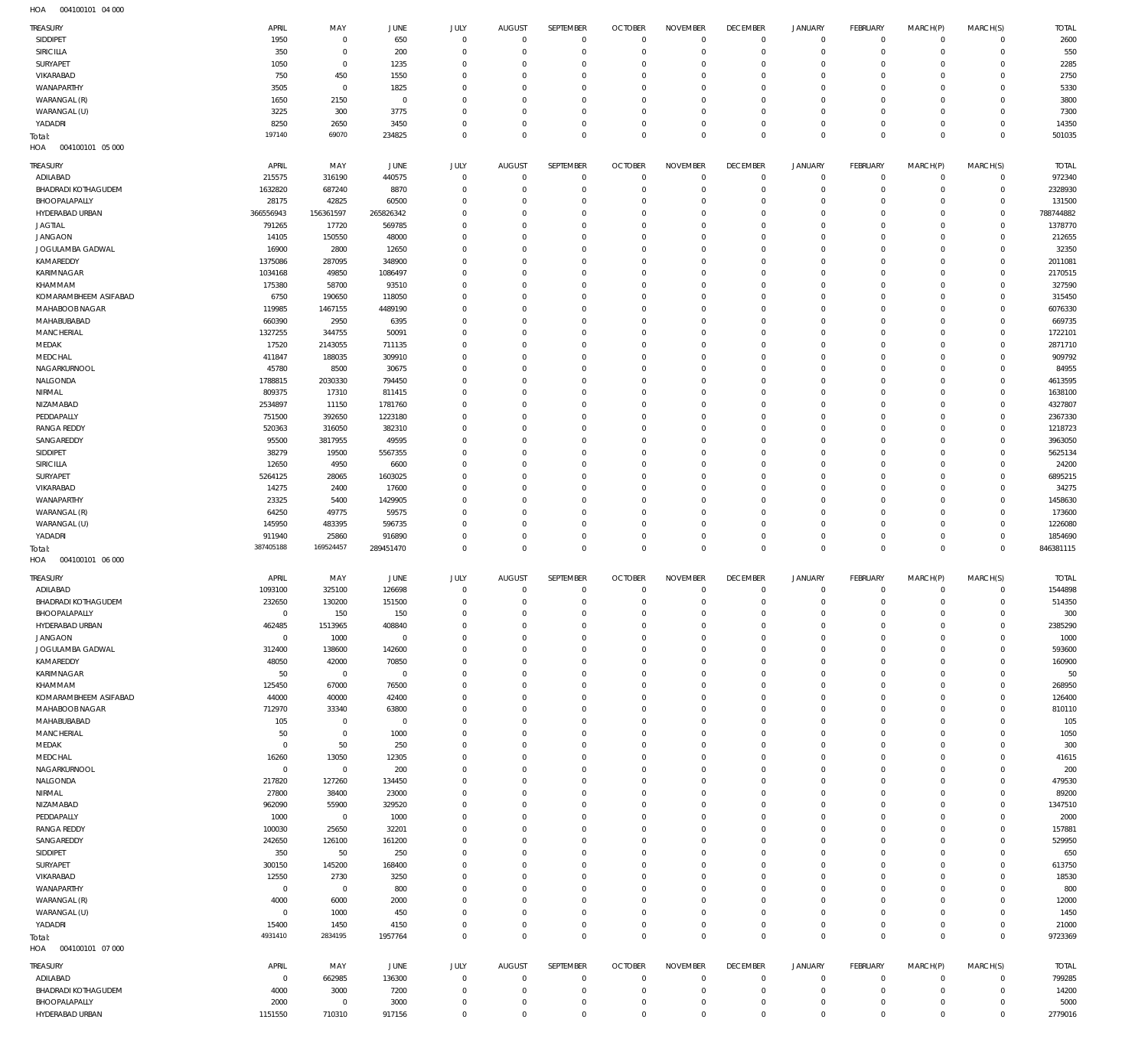004100101 04 000 HOA

| TREASURY                                    | APRIL               | MAY                        | JUNE                | <b>JULY</b>                   | <b>AUGUST</b>        | SEPTEMBER                    | <b>OCTOBER</b>    | <b>NOVEMBER</b>            | <b>DECEMBER</b>            | <b>JANUARY</b>             | <b>FEBRUARY</b>   | MARCH(P)                   | MARCH(S)                   | <b>TOTAL</b>         |
|---------------------------------------------|---------------------|----------------------------|---------------------|-------------------------------|----------------------|------------------------------|-------------------|----------------------------|----------------------------|----------------------------|-------------------|----------------------------|----------------------------|----------------------|
| SIDDIPET                                    | 1950                | $\mathbf 0$                | 650                 | $\mathbf 0$                   | $^{\circ}$           | $\mathbf 0$                  | $\overline{0}$    | $\mathbf 0$                | $\mathbf 0$                | $\mathbf 0$                | $\overline{0}$    | $\mathbf 0$                | $\mathbf{0}$               | 2600                 |
| <b>SIRICILLA</b><br>SURYAPET                | 350<br>1050         | $\mathbf 0$<br>$\mathbf 0$ | 200<br>1235         | $\overline{0}$<br>$\mathbf 0$ | 0<br>$\Omega$        | $\mathbf 0$<br>$\mathbf{0}$  | 0<br>0            | $\mathbf 0$<br>$\mathbf 0$ | $^{\circ}$<br>0            | $\mathbb O$<br>$\mathbf 0$ | 0<br>0            | $\mathbf 0$<br>$\Omega$    | $\mathbf 0$<br>$\mathbf 0$ | 550<br>2285          |
| VIKARABAD                                   | 750                 | 450                        | 1550                | $\Omega$                      | C                    | $^{\circ}$                   | 0                 | $\mathbf 0$                | 0                          | $\mathbf 0$                | 0                 | 0                          | $\mathbf 0$                | 2750                 |
| WANAPARTHY                                  | 3505                | $\mathbf 0$                | 1825                | $\Omega$                      | $\Omega$             | $\mathbf 0$                  | $\Omega$          | $\mathbf 0$                | 0                          | $\mathbf 0$                | 0                 | 0                          | $\mathbf 0$                | 5330                 |
| WARANGAL (R)                                | 1650                | 2150                       | 0                   | $\mathbf 0$                   | C                    | $^{\circ}$                   | 0                 | $\mathbf 0$                | 0                          | $\mathbf 0$                | 0                 | 0                          | $\mathbf 0$                | 3800                 |
| WARANGAL (U)<br>YADADRI                     | 3225<br>8250        | 300<br>2650                | 3775<br>3450        | $\Omega$<br>$\mathbf 0$       | $\Omega$<br>$\Omega$ | $\mathbf 0$<br>$\mathbf 0$   | 0<br>0            | $\mathbf 0$<br>$\mathbf 0$ | 0<br>$\mathbf 0$           | $\mathbf 0$<br>$\mathbf 0$ | 0<br>$\mathbf 0$  | $\Omega$<br>$\mathbf 0$    | $\mathbf 0$<br>$\mathbf 0$ | 7300<br>14350        |
| Total:                                      | 197140              | 69070                      | 234825              | $\mathbf 0$                   | $\Omega$             | $\mathbb O$                  | $\overline{0}$    | $\mathbf 0$                | $\mathbf 0$                | $\mathbf 0$                | $\mathbf 0$       | $\mathbf 0$                | $\mathbf 0$                | 501035               |
| HOA<br>004100101 05 000                     |                     |                            |                     |                               |                      |                              |                   |                            |                            |                            |                   |                            |                            |                      |
| TREASURY                                    | APRIL               | MAY                        | JUNE                | JULY                          | <b>AUGUST</b>        | SEPTEMBER                    | <b>OCTOBER</b>    | <b>NOVEMBER</b>            | <b>DECEMBER</b>            | <b>JANUARY</b>             | <b>FEBRUARY</b>   | MARCH(P)                   | MARCH(S)                   | <b>TOTAL</b>         |
| ADILABAD                                    | 215575              | 316190                     | 440575              | $\mathbf 0$                   | $^{\circ}$           | $\mathbf{0}$                 | $\overline{0}$    | $\mathbf 0$                | $\mathbf 0$                | $\mathbf 0$                | $\overline{0}$    | $\mathbf 0$                | $\mathbf{0}$               | 972340               |
| <b>BHADRADI KOTHAGUDEM</b>                  | 1632820             | 687240                     | 8870                | $\mathbf 0$                   | 0                    | $^{\circ}$                   | - 0               | $^{\circ}$                 | $^{\circ}$                 | $\mathbf 0$                | $\mathbf 0$       | $\mathbf 0$                | $\circ$                    | 2328930              |
| BHOOPALAPALLY                               | 28175               | 42825                      | 60500               | $\mathbf 0$                   | $\Omega$             | $\mathbf{0}$                 | 0                 | $\mathbf 0$                | $^{\circ}$                 | $\mathbf 0$                | $\mathbf 0$       | $\mathbf 0$<br>$\Omega$    | $\mathbf 0$<br>$\mathbf 0$ | 131500               |
| HYDERABAD URBAN<br><b>JAGTIAL</b>           | 366556943<br>791265 | 156361597<br>17720         | 265826342<br>569785 | $^{\circ}$<br>$\Omega$        | $\Omega$<br>$\Omega$ | $\mathbf 0$<br>$\mathbf{0}$  | 0<br>0            | $\mathbf 0$<br>$\mathbf 0$ | 0<br>$^{\circ}$            | $^{\circ}$<br>$\mathbf 0$  | 0<br>0            | $\Omega$                   | $\mathbf 0$                | 788744882<br>1378770 |
| <b>JANGAON</b>                              | 14105               | 150550                     | 48000               | $^{\circ}$                    | $\Omega$             | $^{\circ}$                   | 0                 | $^{\circ}$                 | 0                          | $^{\circ}$                 | 0                 | $\Omega$                   | $\mathbf 0$                | 212655               |
| JOGULAMBA GADWAL                            | 16900               | 2800                       | 12650               | $\Omega$                      | $\Omega$             | $\mathbf 0$                  | 0                 | $\mathbf 0$                | $^{\circ}$                 | $\mathbf 0$                | $\mathbf 0$       | $\Omega$                   | $\mathbf 0$                | 32350                |
| KAMAREDDY                                   | 1375086             | 287095                     | 348900              | $\mathbf 0$                   | $\Omega$             | $\mathbf{0}$                 | 0                 | $\mathbf 0$                | 0                          | $\mathbf 0$                | 0                 | $\Omega$                   | $\mathbf 0$                | 2011081              |
| KARIMNAGAR<br>KHAMMAM                       | 1034168<br>175380   | 49850<br>58700             | 1086497<br>93510    | $\Omega$<br>$\Omega$          | $\Omega$<br>$\Omega$ | $\mathbf{0}$<br>$\mathbf{0}$ | 0<br>0            | $\mathbf 0$<br>$\mathbf 0$ | 0<br>0                     | $\mathbf 0$<br>$\mathbf 0$ | 0<br>$\mathbf 0$  | $\Omega$<br>$\Omega$       | $\mathbf 0$<br>$\mathbf 0$ | 2170515<br>327590    |
| KOMARAMBHEEM ASIFABAD                       | 6750                | 190650                     | 118050              | $\Omega$                      | $\Omega$             | $\mathbf{0}$                 | 0                 | $\mathbf 0$                | 0                          | $\mathbf 0$                | $\mathbf 0$       | $\Omega$                   | $\mathbf 0$                | 315450               |
| MAHABOOB NAGAR                              | 119985              | 1467155                    | 4489190             | $\Omega$                      | $\Omega$             | $\mathbf{0}$                 | 0                 | $\mathbf 0$                | 0                          | $\mathbf 0$                | $\mathbf 0$       | $\Omega$                   | $\mathbf 0$                | 6076330              |
| MAHABUBABAD                                 | 660390              | 2950                       | 6395                | $\mathbf 0$                   | $\Omega$             | $\mathbf{0}$                 | 0                 | $\mathbf 0$                | 0                          | $\mathbf 0$                | 0                 | 0                          | $\mathbf 0$                | 669735               |
| MANCHERIAL                                  | 1327255             | 344755                     | 50091               | $\Omega$                      | $\Omega$             | $\mathbf{0}$                 | 0                 | $\mathbf 0$                | 0                          | $\mathbf 0$                | $\mathbf 0$       | $\Omega$                   | $\mathbf 0$                | 1722101              |
| MEDAK<br>MEDCHAL                            | 17520<br>411847     | 2143055<br>188035          | 711135<br>309910    | $\mathbf 0$<br>$\Omega$       | $\Omega$<br>$\Omega$ | $\mathbf{0}$<br>$^{\circ}$   | 0<br>0            | $\mathbf 0$<br>$\mathbf 0$ | 0<br>0                     | $\mathbf 0$<br>$\mathbf 0$ | 0<br>$\mathbf 0$  | $\mathbf 0$<br>$\Omega$    | $\mathbf 0$<br>$\mathbf 0$ | 2871710<br>909792    |
| NAGARKURNOOL                                | 45780               | 8500                       | 30675               | $\mathbf 0$                   | $\Omega$             | $\mathbf{0}$                 | 0                 | $\mathbf 0$                | 0                          | $\mathbf 0$                | 0                 | $\mathbf 0$                | $\mathbf 0$                | 84955                |
| NALGONDA                                    | 1788815             | 2030330                    | 794450              | $\Omega$                      | $\Omega$             | $^{\circ}$                   | 0                 | $\mathbf 0$                | 0                          | $\mathbf 0$                | $\mathbf 0$       | $\Omega$                   | $\mathbf 0$                | 4613595              |
| NIRMAL                                      | 809375              | 17310                      | 811415              | $\mathbf 0$                   | $\Omega$             | $\mathbf{0}$                 | 0                 | $\mathbf 0$                | 0                          | $\mathbf 0$                | $\mathbf 0$       | $\mathbf 0$                | $\mathbf 0$                | 1638100              |
| NIZAMABAD                                   | 2534897             | 11150                      | 1781760             | $\Omega$                      | $\Omega$             | $\mathbf 0$                  | 0                 | $\mathbf 0$                | 0                          | $\mathbf 0$                | 0                 | $\Omega$                   | $\mathbf 0$                | 4327807              |
| PEDDAPALLY<br><b>RANGA REDDY</b>            | 751500<br>520363    | 392650<br>316050           | 1223180<br>382310   | $\Omega$<br>$\mathbf 0$       | $\Omega$<br>$\Omega$ | $\mathbf{0}$<br>$^{\circ}$   | 0<br>0            | $\mathbf 0$<br>$\mathbf 0$ | 0<br>0                     | $\mathbf 0$<br>$\mathbf 0$ | 0<br>$\mathbf 0$  | $\Omega$<br>$\Omega$       | $\mathbf 0$<br>$\mathbf 0$ | 2367330<br>1218723   |
| SANGAREDDY                                  | 95500               | 3817955                    | 49595               | $\Omega$                      | $\Omega$             | $\mathbf 0$                  | 0                 | $\mathbf 0$                | $\mathbf 0$                | $\mathbf 0$                | $\mathbf 0$       | $\Omega$                   | $\mathbf 0$                | 3963050              |
| SIDDIPET                                    | 38279               | 19500                      | 5567355             | $\mathbf 0$                   | $\Omega$             | $^{\circ}$                   | 0                 | $\mathbf 0$                | 0                          | $\mathbf 0$                | 0                 | $\Omega$                   | $\mathbf 0$                | 5625134              |
| SIRICILLA                                   | 12650               | 4950                       | 6600                | $\Omega$                      | $\Omega$             | $\mathbf{0}$                 | 0                 | $\mathbf 0$                | 0                          | $\mathbf 0$                | 0                 | $\Omega$                   | $\mathbf 0$                | 24200                |
| SURYAPET                                    | 5264125             | 28065                      | 1603025             | $\mathbf 0$                   | $\Omega$             | $\mathbf{0}$                 | 0                 | $\mathbf 0$                | 0                          | $\mathbf 0$                | $\mathbf 0$       | $\Omega$                   | $\mathbf 0$                | 6895215              |
| VIKARABAD<br>WANAPARTHY                     | 14275<br>23325      | 2400<br>5400               | 17600<br>1429905    | $\Omega$<br>$\Omega$          | $\Omega$<br>$\Omega$ | $\mathbf{0}$<br>$\mathbf{0}$ | 0<br>0            | $\mathbf 0$<br>$\mathbf 0$ | 0<br>0                     | $\mathbf 0$<br>$\mathbf 0$ | $\mathbf 0$<br>0  | $\Omega$<br>$\Omega$       | $\mathbf 0$<br>$\mathbf 0$ | 34275<br>1458630     |
| WARANGAL (R)                                | 64250               | 49775                      | 59575               | $\mathbf 0$                   | $\Omega$             | $^{\circ}$                   | 0                 | $\mathbf 0$                | 0                          | $\mathbf 0$                | 0                 | 0                          | $\mathbf 0$                | 173600               |
|                                             |                     |                            |                     |                               | $\Omega$             | $\mathbf{0}$                 | 0                 | $\mathbf 0$                | 0                          | $\mathbf 0$                | $\mathbf 0$       | $\Omega$                   | $\mathbf 0$                | 1226080              |
| WARANGAL (U)                                | 145950              | 483395                     | 596735              | $\Omega$                      |                      |                              |                   |                            |                            |                            |                   |                            |                            |                      |
| YADADRI                                     | 911940              | 25860                      | 916890              | $\mathbf 0$                   | 0                    | $\mathbf{0}$                 | 0                 | $\mathbf 0$                | $\mathbf 0$                | $\mathbf 0$                | $\mathbf 0$       | $\mathbf 0$                | $\mathbf 0$                | 1854690              |
| Total:                                      | 387405188           | 169524457                  | 289451470           | $\overline{0}$                | $\Omega$             | $\mathbb O$                  | $^{\circ}$        | $\mathbf 0$                | $\mathbf 0$                | $\mathbf 0$                | $\mathbf 0$       | $\mathbf 0$                | $\overline{0}$             | 846381115            |
| HOA<br>004100101 06 000                     |                     |                            |                     |                               |                      |                              |                   |                            |                            |                            |                   |                            |                            |                      |
| TREASURY                                    | APRIL               | MAY                        | JUNE                | <b>JULY</b>                   | <b>AUGUST</b>        | SEPTEMBER                    | <b>OCTOBER</b>    | <b>NOVEMBER</b>            | <b>DECEMBER</b>            | <b>JANUARY</b>             | <b>FEBRUARY</b>   | MARCH(P)                   | MARCH(S)                   | <b>TOTAL</b>         |
| ADILABAD                                    | 1093100             | 325100                     | 126698              | $^{\circ}$<br>$\mathbf 0$     | 0<br>$\mathbf{0}$    | $\mathbf 0$<br>$\mathbb O$   | - 0<br>$^{\circ}$ | $^{\circ}$<br>$\mathbf 0$  | 0<br>$\mathbf 0$           | $\mathbf 0$<br>$\mathbf 0$ | 0<br>$\mathbf{0}$ | 0<br>$\mathbf 0$           | $^{\circ}$<br>$\mathbf 0$  | 1544898              |
| <b>BHADRADI KOTHAGUDEM</b><br>BHOOPALAPALLY | 232650<br>$\circ$   | 130200<br>150              | 151500<br>150       | $\mathbf{0}$                  | 0                    | 0                            | 0                 | 0                          | 0                          | 0                          | 0                 | $\Omega$                   | 0                          | 514350<br>300        |
| HYDERABAD URBAN                             | 462485              | 1513965                    | 408840              | $^{\circ}$                    | $\Omega$             | $\mathbf 0$                  | 0                 | $^{\circ}$                 | 0                          | $\mathbf 0$                | $\mathbf 0$       | $\mathbf 0$                | $\mathbf 0$                | 2385290              |
| <b>JANGAON</b>                              | $\overline{0}$      | 1000                       | $^{\circ}$          | $\overline{0}$                | 0                    | $\mathbf 0$                  | 0                 | $\mathbf 0$                | 0                          | $\mathbf 0$                | $\mathbf 0$       | $\mathbf 0$                | $\mathbf 0$                | 1000                 |
| JOGULAMBA GADWAL                            | 312400              | 138600                     | 142600              | $^{\circ}$                    | $\Omega$<br>$\Omega$ | $\mathbf{0}$                 | 0                 | $\mathbf 0$                | 0                          | $^{\circ}$                 | $\mathbf 0$       | $\Omega$<br>$\Omega$       | $\mathbf 0$                | 593600               |
| KAMAREDDY<br>KARIMNAGAR                     | 48050<br>50         | 42000<br>$\mathbf 0$       | 70850<br>0          | $\mathbf 0$<br>$^{\circ}$     | 0                    | $\mathbf{0}$<br>$\mathbf{0}$ | 0<br>0            | $\mathbf 0$<br>$\mathbf 0$ | $^{\circ}$<br>0            | $\mathbf 0$<br>$\mathbf 0$ | 0<br>0            | 0                          | $\mathbf 0$<br>$\mathbf 0$ | 160900<br>50         |
| KHAMMAM                                     | 125450              | 67000                      | 76500               | $\overline{0}$                | $\Omega$             | $\mathbf 0$                  | 0                 | $\mathbf 0$                | $\mathbf 0$                | $\mathbf 0$                | 0                 | 0                          | $\mathbf 0$                | 268950               |
| KOMARAMBHEEM ASIFABAD                       | 44000               | 40000                      | 42400               | $\mathbf 0$                   | 0                    | $\mathbf{0}$                 | 0                 | $\mathbf 0$                | 0                          | $\mathbf 0$                | 0                 | 0                          | $\mathbf 0$                | 126400               |
| MAHABOOB NAGAR                              | 712970              | 33340                      | 63800               | $\mathbf 0$                   | $\Omega$             | $\mathbf 0$                  | 0                 | $\mathbf 0$                | $\mathbf 0$                | $\mathbf 0$                | 0                 | 0                          | $\mathbf 0$                | 810110               |
| MAHABUBABAD<br>MANCHERIAL                   | 105<br>50           | $\mathbf 0$<br>$\mathbf 0$ | $^{\circ}$<br>1000  | $\mathbf 0$<br>$\mathbf 0$    | $\Omega$<br>0        | $\mathbf{0}$<br>$\mathbf 0$  | 0<br>0            | $\mathbf 0$<br>$\mathbf 0$ | 0<br>0                     | $\mathbf 0$<br>$\mathbf 0$ | 0<br>0            | 0<br>0                     | $\mathbf 0$<br>$\mathbf 0$ | 105<br>1050          |
| MEDAK                                       | $\overline{0}$      | 50                         | 250                 | $\mathbf 0$                   | $\Omega$             | $\mathbf{0}$                 | 0                 | $\mathbf 0$                | 0                          | $\mathbf 0$                | $\mathbf 0$       | 0                          | $\mathbf 0$                | 300                  |
| MEDCHAL                                     | 16260               | 13050                      | 12305               | $\mathbf 0$                   | 0                    | $\mathbf{0}$                 | 0                 | $\mathbf 0$                | 0                          | $\mathbf 0$                | 0                 | 0                          | $\mathbf 0$                | 41615                |
| NAGARKURNOOL                                | $^{\circ}$          | $\mathbf 0$                | 200                 | $^{\circ}$                    | $\Omega$             | $\mathbf 0$                  | 0                 | $\mathbf 0$                | 0                          | $\mathbf 0$                | $\mathbf 0$       | $\Omega$                   | $\mathbf 0$                | 200                  |
| NALGONDA                                    | 217820              | 127260                     | 134450              | $\mathbf 0$<br>$\mathbf 0$    | 0<br>$\Omega$        | $\mathbf{0}$<br>$\mathbf{0}$ | 0<br>0            | $\mathbf 0$<br>$\mathbf 0$ | 0<br>$\mathbf 0$           | $\mathbf 0$<br>$\mathbf 0$ | 0<br>$\mathbf 0$  | 0<br>0                     | $\mathbf 0$<br>$\mathbf 0$ | 479530               |
| NIRMAL<br>NIZAMABAD                         | 27800<br>962090     | 38400<br>55900             | 23000<br>329520     | $\mathbf 0$                   | 0                    | $\mathbf{0}$                 | 0                 | $\mathbf 0$                | 0                          | $\mathbf 0$                | 0                 | 0                          | $\mathbf 0$                | 89200<br>1347510     |
| PEDDAPALLY                                  | 1000                | $\mathbf 0$                | 1000                | $\Omega$                      | $\Omega$             | $\mathbf 0$                  | 0                 | $\mathbf 0$                | $^{\circ}$                 | $^{\circ}$                 | $\mathbf 0$       | 0                          | $\mathbf 0$                | 2000                 |
| <b>RANGA REDDY</b>                          | 100030              | 25650                      | 32201               | $\mathbf 0$                   | 0                    | $\mathbf{0}$                 | 0                 | $\mathbf 0$                | 0                          | $^{\circ}$                 | 0                 | 0                          | $\mathbf 0$                | 157881               |
| SANGAREDDY                                  | 242650              | 126100                     | 161200              | $^{\circ}$                    | $\Omega$             | $^{\circ}$                   | 0                 | $^{\circ}$                 | 0                          | $^{\circ}$                 | 0                 | 0                          | $\mathbf 0$                | 529950               |
| SIDDIPET<br>SURYAPET                        | 350<br>300150       | 50<br>145200               | 250<br>168400       | $\mathbf 0$<br>$^{\circ}$     | $\Omega$<br>$\Omega$ | $\mathbf{0}$<br>$\mathbf{0}$ | - 0<br>0          | $\mathbf 0$<br>$^{\circ}$  | 0<br>0                     | $\mathbf 0$<br>$^{\circ}$  | 0<br>0            | 0<br>0                     | $\mathbf 0$<br>$\mathbf 0$ | 650<br>613750        |
| VIKARABAD                                   | 12550               | 2730                       | 3250                | $\mathbf 0$                   | $\Omega$             | $\mathbf 0$                  | 0                 | $\mathbf 0$                | 0                          | $\mathbf 0$                | 0                 | 0                          | $\mathbf 0$                | 18530                |
| WANAPARTHY                                  | 0                   | $\,0\,$                    | 800                 | $^{\circ}$                    | 0                    | $\mathbf{0}$                 | 0                 | $^{\circ}$                 | 0                          | $^{\circ}$                 | 0                 | 0                          | $\mathbf 0$                | 800                  |
| WARANGAL (R)                                | 4000                | 6000                       | 2000                | $\mathbf 0$                   | $\Omega$             | $\mathbf{0}$                 | 0                 | $\mathbf 0$                | $^{\circ}$                 | $\mathbf 0$                | 0                 | 0                          | $\mathbf 0$                | 12000                |
| WARANGAL (U)                                | $\circ$             | 1000                       | 450                 | $^{\circ}$                    | 0<br>0               | $\mathbf{0}$                 | 0<br>0            | $\mathbf 0$<br>$\mathbf 0$ | $^{\circ}$                 | $\mathbf 0$                | 0<br>$\mathbf 0$  | $\mathbf 0$<br>$\mathbf 0$ | $\mathbf 0$<br>$\mathbf 0$ | 1450                 |
| YADADRI<br>Total:                           | 15400<br>4931410    | 1450<br>2834195            | 4150<br>1957764     | $\mathbf 0$<br>$\mathbf 0$    | $\mathbf 0$          | $\mathbf 0$<br>$\mathbb O$   | $^{\circ}$        | $\mathbf 0$                | $\mathbf 0$<br>$\mathbf 0$ | $\mathbb O$<br>$\mathbf 0$ | $\mathbf{0}$      | $\mathbf 0$                | $\overline{0}$             | 21000<br>9723369     |
| HOA<br>004100101 07 000                     |                     |                            |                     |                               |                      |                              |                   |                            |                            |                            |                   |                            |                            |                      |
| TREASURY                                    | APRIL               | MAY                        | JUNE                | <b>JULY</b>                   | <b>AUGUST</b>        | SEPTEMBER                    | <b>OCTOBER</b>    | <b>NOVEMBER</b>            | <b>DECEMBER</b>            | JANUARY                    | FEBRUARY          | MARCH(P)                   | MARCH(S)                   | <b>TOTAL</b>         |
| ADILABAD                                    | $\overline{0}$      | 662985                     | 136300              | $\mathbf 0$                   | $^{\circ}$           | $^{\circ}$                   | 0                 | $\mathbf 0$                | $^{\circ}$                 | $\overline{0}$             | $\mathbf 0$       | $\mathbf 0$                | $^{\circ}$                 | 799285               |
| <b>BHADRADI KOTHAGUDEM</b>                  | 4000                | 3000                       | 7200                | $\overline{0}$                | $\circ$              | $\mathbf 0$                  | $\overline{0}$    | $\mathbf 0$                | $\mathbf 0$                | $\mathbb O$                | $\overline{0}$    | $\mathbf 0$                | $\mathbf{0}$               | 14200                |
| BHOOPALAPALLY<br>HYDERABAD URBAN            | 2000<br>1151550     | $\overline{0}$<br>710310   | 3000<br>917156      | $\overline{0}$<br>$\mathbf 0$ | 0<br>$\mathbf 0$     | $\mathbf 0$<br>$\mathbf 0$   | 0<br>$^{\circ}$   | $\mathbf 0$<br>$\mathbf 0$ | $\mathbf 0$<br>$\mathbf 0$ | $\mathbf 0$<br>$\mathbf 0$ | 0<br>$\mathbf 0$  | $\mathbf 0$<br>$\mathbf 0$ | $\mathbf 0$<br>$\mathbf 0$ | 5000<br>2779016      |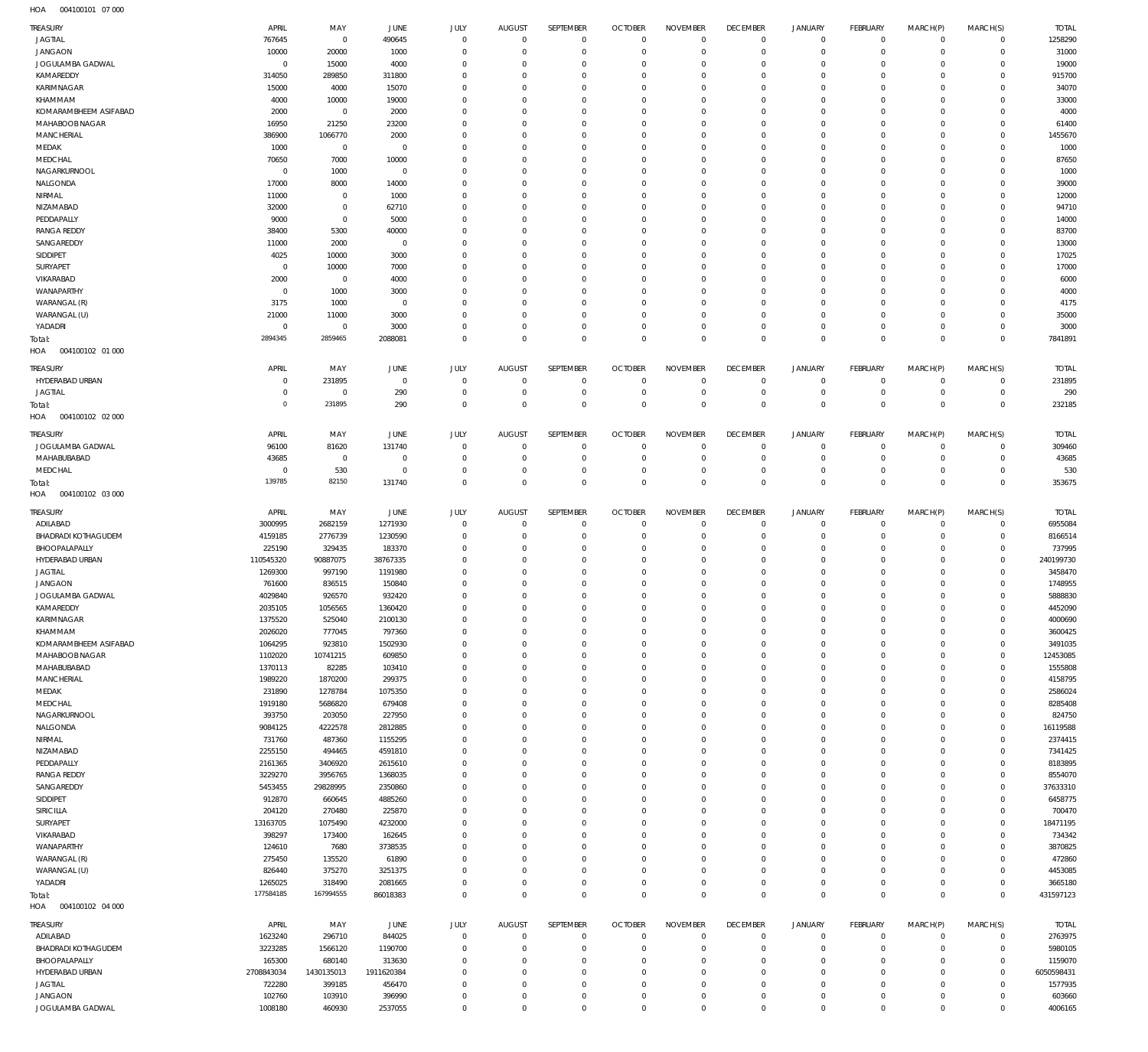004100101 07 000 HOA

| TREASURY                          | APRIL                    | MAY                    | <b>JUNE</b>        | JULY                       | <b>AUGUST</b>                   | SEPTEMBER              | <b>OCTOBER</b>                 | <b>NOVEMBER</b>            | <b>DECEMBER</b>            | <b>JANUARY</b>             | FEBRUARY                         | MARCH(P)             | MARCH(S)                     | <b>TOTAL</b>        |
|-----------------------------------|--------------------------|------------------------|--------------------|----------------------------|---------------------------------|------------------------|--------------------------------|----------------------------|----------------------------|----------------------------|----------------------------------|----------------------|------------------------------|---------------------|
| <b>JAGTIAL</b>                    | 767645                   | $\mathbf 0$            | 490645             | $\mathbf 0$                | $\mathbf 0$                     | $\mathbf{0}$           | $\overline{0}$                 | $\mathbf 0$                | $\mathbf{0}$               | $\mathbf 0$                | $\overline{0}$                   | $\mathbf 0$          | $\circ$                      | 1258290             |
| <b>JANGAON</b>                    | 10000                    | 20000                  | 1000               | $\Omega$                   | $\overline{0}$                  | $\mathbf 0$            | $\overline{0}$                 | $\mathbf 0$                | $\mathbf{0}$               | $\mathbf 0$                | $\overline{0}$                   | $\Omega$             | $\mathbf{0}$                 | 31000               |
| JOGULAMBA GADWAL                  | $^{\circ}$               | 15000                  | 4000               | $\Omega$                   | $\Omega$                        | 0                      | $\overline{0}$                 | $\Omega$                   | $\mathbf 0$                | $\mathbf 0$                | $\mathbf 0$                      | $\Omega$             | $\mathbf 0$                  | 19000               |
| KAMAREDDY                         | 314050                   | 289850                 | 311800             | $\Omega$                   | $\Omega$                        | $\Omega$               | $^{\circ}$                     | $\Omega$                   | $\mathbf 0$                | $\mathbf 0$                | $\overline{0}$                   | $\Omega$             | $\mathbf 0$                  | 915700              |
| KARIMNAGAR                        | 15000                    | 4000                   | 15070              | $\Omega$                   | $\Omega$                        | 0                      | $\overline{0}$                 | $\Omega$                   | $\mathbf 0$                | $\mathbf 0$                | $^{\circ}$                       | $\Omega$             | $\mathbf 0$                  | 34070               |
| KHAMMAM                           | 4000                     | 10000                  | 19000              | $\Omega$                   | $\Omega$                        | $\Omega$               | $\overline{0}$                 | $\Omega$                   | $\mathbf 0$                | $\Omega$                   | $^{\circ}$                       | $\Omega$             | $\mathbf 0$                  | 33000               |
| KOMARAMBHEEM ASIFABAD             | 2000                     | $\mathbf 0$            | 2000               | $\Omega$                   | $\Omega$                        | $\Omega$               | $^{\circ}$                     | $\Omega$                   | $\mathbf 0$                | $\mathbf 0$                | $^{\circ}$                       | $\Omega$             | $\mathbf 0$                  | 4000                |
| MAHABOOB NAGAR                    | 16950                    | 21250                  | 23200              | $\Omega$                   | $\Omega$                        | $\Omega$               | $^{\circ}$                     | $\Omega$                   | $\mathbf 0$                | $\mathbf 0$                | $^{\circ}$                       | $\Omega$             | $\mathbf 0$                  | 61400               |
| MANCHERIAL                        | 386900                   | 1066770                | 2000               | <sup>0</sup>               | $\Omega$                        | $\Omega$               | $\mathbf 0$                    | $\Omega$                   | $\mathbf 0$                | $\Omega$                   | $^{\circ}$                       | $\Omega$             | $\mathbf 0$                  | 1455670             |
| MEDAK                             | 1000                     | $\mathbf 0$            | $^{\circ}$         | $\Omega$                   | $\Omega$                        | 0                      | $^{\circ}$                     | $\Omega$                   | $\mathbf 0$                | $\mathbf 0$                | $\mathbf 0$                      | $\Omega$             | $\mathbf 0$                  | 1000                |
| MEDCHAL                           | 70650                    | 7000                   | 10000              | <sup>0</sup>               | $\Omega$                        | $\Omega$               | $\mathbf 0$                    | $\Omega$                   | $\mathbf 0$                | $\Omega$                   | $^{\circ}$                       | $\Omega$             | $\mathbf 0$                  | 87650               |
| NAGARKURNOOL                      | $^{\circ}$               | 1000                   | $\overline{0}$     | $\Omega$                   | $\Omega$                        | $\Omega$               | $\mathbf{0}$                   | $\Omega$                   | $\mathbf 0$                | $\Omega$                   | $\mathbf 0$                      | $\Omega$             | $\mathbf 0$                  | 1000                |
| NALGONDA                          | 17000                    | 8000                   | 14000              | $\Omega$                   | $\Omega$                        | 0                      | $\overline{0}$                 | $\Omega$                   | $\mathbf 0$                | $\mathbf 0$                | $\mathbf 0$                      | $\Omega$             | $\mathbf 0$                  | 39000               |
| NIRMAL                            | 11000                    | $\overline{0}$         | 1000               | $\Omega$                   | $\Omega$                        | $\Omega$               | $\overline{0}$                 | $\Omega$                   | $\mathbf 0$                | $\Omega$                   | $\mathbf 0$                      | $\Omega$             | $\Omega$                     | 12000               |
| NIZAMABAD                         | 32000                    | $\overline{0}$         | 62710              | $\Omega$<br>$\Omega$       | $\Omega$<br>$\Omega$            | $\Omega$<br>$\Omega$   | $^{\circ}$<br>$\overline{0}$   | $\Omega$<br>$\Omega$       | $\mathbf 0$<br>$\mathbf 0$ | $\mathbf 0$<br>$\Omega$    | $\mathbf 0$<br>$\mathbf 0$       | $\Omega$<br>$\Omega$ | $\mathbf 0$<br>$\mathbf 0$   | 94710               |
| PEDDAPALLY<br><b>RANGA REDDY</b>  | 9000<br>38400            | $\overline{0}$<br>5300 | 5000<br>40000      | $\Omega$                   | $\Omega$                        | $\Omega$               | $\overline{0}$                 | $\Omega$                   | $\mathbf 0$                | $\Omega$                   | $\mathbf 0$                      | $\Omega$             | $\mathbf 0$                  | 14000<br>83700      |
| SANGAREDDY                        | 11000                    | 2000                   | $\overline{0}$     | $\Omega$                   | $\Omega$                        | $\Omega$               | $^{\circ}$                     | $\Omega$                   | $\mathbf 0$                | $\mathbf 0$                | $\mathbf 0$                      | $\Omega$             | $\mathbf 0$                  | 13000               |
| SIDDIPET                          | 4025                     | 10000                  | 3000               | <sup>0</sup>               | $\Omega$                        | $\Omega$               | $\Omega$                       | $\Omega$                   | $\mathbf 0$                | $\Omega$                   | $^{\circ}$                       | $\Omega$             | $\mathbf 0$                  | 17025               |
| SURYAPET                          | $\Omega$                 | 10000                  | 7000               | $\Omega$                   | $\Omega$                        | $\Omega$               | $^{\circ}$                     | $\Omega$                   | $\mathbf 0$                | $\Omega$                   | $\mathbf 0$                      | $\Omega$             | $\mathbf 0$                  | 17000               |
| VIKARABAD                         | 2000                     | $\mathbf 0$            | 4000               | <sup>0</sup>               | $\Omega$                        | $\Omega$               | $\mathbf 0$                    | $\Omega$                   | $\mathbf 0$                | $\mathbf 0$                | $^{\circ}$                       | $\Omega$             | $\mathbf 0$                  | 6000                |
| WANAPARTHY                        | $\Omega$                 | 1000                   | 3000               | <sup>0</sup>               | $\Omega$                        | $\Omega$               | $\Omega$                       | $\Omega$                   | $\mathbf 0$                | $\Omega$                   | $^{\circ}$                       | $\Omega$             | $\mathbf 0$                  | 4000                |
| WARANGAL (R)                      | 3175                     | 1000                   | $\overline{0}$     | <sup>0</sup>               | $\Omega$                        | $\Omega$               | $\overline{0}$                 | $\Omega$                   | $\mathbf 0$                | $\mathbf 0$                | $^{\circ}$                       | $\Omega$             | $\mathbf 0$                  | 4175                |
| WARANGAL (U)                      | 21000                    | 11000                  | 3000               | $\Omega$                   | $\Omega$                        | $\Omega$               | $\overline{0}$                 | $\Omega$                   | $\mathbf 0$                | $\mathbf 0$                | $^{\circ}$                       | $\Omega$             | $\mathbf 0$                  | 35000               |
| YADADRI                           | $^{\circ}$               | $\mathbf 0$            | 3000               | $\Omega$                   | $\mathbf 0$                     | $\mathbf 0$            | $\mathbf{0}$                   | 0                          | $\mathbf{0}$               | $\mathbf 0$                | $\overline{0}$                   | 0                    | $\mathbf 0$                  | 3000                |
| Total:                            | 2894345                  | 2859465                | 2088081            | $\Omega$                   | $\overline{0}$                  | $\mathbf 0$            | $\mathbf{0}$                   | $\Omega$                   | $\mathbf{0}$               | $\mathbf 0$                | $\overline{0}$                   | $\Omega$             | $\overline{0}$               | 7841891             |
| HOA<br>004100102 01 000           |                          |                        |                    |                            |                                 |                        |                                |                            |                            |                            |                                  |                      |                              |                     |
|                                   |                          |                        |                    |                            |                                 |                        |                                |                            |                            |                            |                                  |                      |                              |                     |
| TREASURY                          | APRIL                    | MAY                    | <b>JUNE</b>        | <b>JULY</b>                | <b>AUGUST</b><br>$\overline{0}$ | SEPTEMBER              | <b>OCTOBER</b>                 | <b>NOVEMBER</b>            | <b>DECEMBER</b>            | <b>JANUARY</b>             | FEBRUARY                         | MARCH(P)             | MARCH(S)                     | <b>TOTAL</b>        |
| HYDERABAD URBAN                   | $^{\circ}$<br>$^{\circ}$ | 231895                 | $\,0\,$            | $\mathbf 0$<br>$\mathbf 0$ | $\overline{0}$                  | $\mathbf 0$<br>$\bf 0$ | $\overline{0}$                 | $\mathbf 0$<br>$\mathbf 0$ | $\mathbf 0$<br>$\mathbf 0$ | 0<br>$\bf 0$               | $\overline{0}$                   | 0<br>$\mathbf 0$     | $\circ$<br>$\circ$           | 231895              |
| JAGTIAL                           | $\overline{0}$           | $\mathbf 0$<br>231895  | 290<br>290         | $\mathbf 0$                | $\overline{0}$                  | $\mathbf 0$            | $\overline{0}$<br>$\mathbf{0}$ | $\mathbf 0$                | $\mathbf{0}$               | $\mathbf 0$                | $\overline{0}$<br>$\overline{0}$ | $\mathbf 0$          | $\overline{0}$               | 290<br>232185       |
| Total:<br>HOA<br>004100102 02 000 |                          |                        |                    |                            |                                 |                        |                                |                            |                            |                            |                                  |                      |                              |                     |
|                                   |                          |                        |                    |                            |                                 |                        |                                |                            |                            |                            |                                  |                      |                              |                     |
| TREASURY                          | APRIL                    | MAY                    | JUNE               | <b>JULY</b>                | <b>AUGUST</b>                   | SEPTEMBER              | <b>OCTOBER</b>                 | <b>NOVEMBER</b>            | <b>DECEMBER</b>            | <b>JANUARY</b>             | FEBRUARY                         | MARCH(P)             | MARCH(S)                     | <b>TOTAL</b>        |
| JOGULAMBA GADWAL                  | 96100                    | 81620                  | 131740             | 0                          | $\mathbf 0$                     | $\mathbf 0$            | $\overline{0}$                 | $\Omega$                   | $\bf 0$                    | $\mathbf 0$                | $\overline{0}$                   | 0                    | $\mathbf 0$                  | 309460              |
| MAHABUBABAD                       | 43685                    | $\mathbf 0$            | $\overline{0}$     | $\mathbf 0$                | $\overline{0}$                  | $\mathbf 0$            | $\overline{0}$                 | $\mathbf 0$                | $\mathbf 0$                | $\mathbf 0$                | $\overline{0}$                   | $\mathbf 0$          | $\circ$                      | 43685               |
| MEDCHAL                           | $^{\circ}$               | 530                    | $\overline{0}$     | $\Omega$                   | $^{\circ}$                      | $\mathbf 0$            | $\mathbf 0$                    | 0                          | $\mathbf 0$                | $\bf 0$                    | $\overline{0}$                   | 0                    | $\circ$                      | 530                 |
| Total:                            | 139785                   | 82150                  | 131740             | $\Omega$                   | $\overline{0}$                  | $\mathbf 0$            | $\overline{0}$                 | $\mathbf 0$                | $\mathbf{0}$               | $\mathbf 0$                | $\overline{0}$                   | $\Omega$             | $\overline{0}$               | 353675              |
| HOA<br>004100102 03 000           |                          |                        |                    |                            |                                 |                        |                                |                            |                            |                            |                                  |                      |                              |                     |
| TREASURY                          | APRIL                    | MAY                    | JUNE               | <b>JULY</b>                | <b>AUGUST</b>                   | SEPTEMBER              | <b>OCTOBER</b>                 | <b>NOVEMBER</b>            | <b>DECEMBER</b>            | <b>JANUARY</b>             | FEBRUARY                         | MARCH(P)             | MARCH(S)                     | <b>TOTAL</b>        |
| ADILABAD                          | 3000995                  | 2682159                | 1271930            | $\overline{0}$             | $^{\circ}$                      | $^{\circ}$             | $\overline{0}$                 | $\mathbf 0$                | $\mathbf 0$                | 0                          | $\overline{0}$                   | $\mathbf 0$          | $\circ$                      | 6955084             |
| <b>BHADRADI KOTHAGUDEM</b>        | 4159185                  | 2776739                | 1230590            | $\Omega$                   | $^{\circ}$                      | $\mathbf 0$            | $\overline{0}$                 | 0                          | $\mathbf 0$                | 0                          | $\overline{0}$                   | 0                    | $\circ$                      | 8166514             |
| BHOOPALAPALLY                     | 225190                   | 329435                 | 183370             | $\Omega$                   | $\Omega$                        | 0                      | $^{\circ}$                     | 0                          | $\mathbf{0}$               | $\mathbf 0$                | $\overline{0}$                   | $\Omega$             | $\mathbf{0}$                 | 737995              |
| HYDERABAD URBAN                   | 110545320                | 90887075               | 38767335           | $\Omega$                   | $\Omega$                        | $\mathbf 0$            | $\mathbf{0}$                   | 0                          | $\mathbf 0$                | $\mathbf 0$                | $\overline{0}$                   | $\Omega$             | $\circ$                      | 240199730           |
| JAGTIAL                           | 1269300                  | 997190                 | 1191980            | $\Omega$                   | $\Omega$                        | $\Omega$               | $\overline{0}$                 | $\Omega$                   | $\mathbf 0$                | $\mathbf 0$                | $\mathbf 0$                      | $\Omega$             | $\mathbf 0$                  | 3458470             |
| <b>JANGAON</b>                    | 761600                   | 836515                 | 150840             | $\Omega$                   | $\Omega$                        | $\mathbf 0$            | $\overline{0}$                 | 0                          | $\mathbf 0$                | $\mathbf 0$                | $\overline{0}$                   | $\Omega$             | $\mathbf 0$                  | 1748955             |
| JOGULAMBA GADWAL                  | 4029840                  | 926570                 | 932420             | $\Omega$                   | $\Omega$                        | $\Omega$               | $\mathbf{0}$                   | 0                          | $\mathbf 0$                | $\Omega$                   | $\mathbf 0$                      | $\Omega$             | $\mathbf{0}$                 | 5888830             |
| KAMAREDDY                         | 2035105                  | 1056565                | 1360420            | $\Omega$                   | $\Omega$                        | $\Omega$               | $\Omega$                       | $\Omega$                   | $\Omega$                   | $\Omega$                   | $\Omega$                         | $\Omega$             | $\Omega$                     | 4452090             |
| KARIMNAGAR                        | 1375520                  | 525040                 | 2100130            | $\mathbf 0$                | $\mathbf 0$                     | $\mathbf{0}$           | $\overline{0}$                 | $\mathbf 0$                | $\mathbf{0}$               | $\bf 0$                    | $\overline{0}$                   | $\mathbf 0$          | $\mathbf{0}$                 | 4000690             |
| KHAMMAM                           | 2026020                  | 777045                 | 797360             | $\mathbf 0$                | $\Omega$                        | $\mathbf 0$            | $\mathbf 0$                    | 0                          | $\mathbf 0$                | $\bf 0$                    | $\overline{0}$                   | $\mathbf 0$          | $\mathbf{0}$                 | 3600425             |
| KOMARAMBHEEM ASIFABAD             | 1064295                  | 923810                 | 1502930            | $\Omega$                   | $\Omega$                        | $\mathbf 0$            | $\mathbf{0}$                   | 0                          | $\mathbf{0}$               | $\mathbf 0$                | $\overline{0}$                   | 0                    | $\mathbf{0}$                 | 3491035             |
| MAHABOOB NAGAR                    | 1102020                  | 10741215               | 609850             | $\Omega$                   | $\Omega$                        | $\mathbf 0$            | $\overline{0}$                 | 0                          | $\mathbf 0$                | $\mathbf 0$                | $\overline{0}$                   | $\Omega$             | $\mathbf{0}$                 | 12453085            |
| MAHABUBABAD                       | 1370113                  | 82285                  | 103410             | $\Omega$                   | $\Omega$                        | $\Omega$               | $\mathbf{0}$                   | 0                          | $\mathbf 0$                | $\mathbf 0$                | $\mathbf 0$                      | $\Omega$             | $\Omega$                     | 1555808             |
| MANCHERIAL                        | 1989220                  | 1870200                | 299375             | $\Omega$                   | $\Omega$                        | $\mathbf 0$            | $\overline{0}$                 | 0                          | $\mathbf{0}$               | $\mathbf 0$                | $\overline{0}$                   | $\Omega$             | $\mathbf{0}$                 | 4158795             |
| MEDAK                             | 231890                   | 1278784                | 1075350            | $\Omega$                   | $\Omega$                        | 0                      | $\mathbf{0}$                   | 0                          | $\mathbf 0$                | $\mathbf 0$                | $\mathbf 0$                      | $\Omega$             | $\mathbf 0$                  | 2586024             |
| MEDCHAL                           | 1919180                  | 5686820                | 679408             | $\Omega$                   | $\Omega$                        | 0                      | $\mathbf{0}$                   | $\Omega$                   | $\mathbf 0$                | $\mathbf 0$                | $\overline{0}$                   | $\Omega$             | $\mathbf{0}$                 | 8285408             |
| NAGARKURNOOL                      | 393750<br>9084125        | 203050                 | 227950             | $\Omega$<br>$\Omega$       | $\Omega$<br>$\Omega$            | 0<br>0                 | $\mathbf{0}$<br>$\mathbf{0}$   | 0<br>$\Omega$              | $\mathbf 0$<br>$\mathbf 0$ | $\mathbf 0$<br>$\mathbf 0$ | $\overline{0}$<br>$\overline{0}$ | $\Omega$<br>$\Omega$ | $\mathbf{0}$<br>$\mathbf{0}$ | 824750              |
| NALGONDA<br>NIRMAL                | 731760                   | 4222578<br>487360      | 2812885<br>1155295 | $\Omega$                   | $\Omega$                        | $\mathbf 0$            | $\mathbf{0}$                   | 0                          | $\mathbf 0$                | $\mathbf 0$                | $\overline{0}$                   | $\Omega$             | $\mathbf{0}$                 | 16119588<br>2374415 |
| NIZAMABAD                         | 2255150                  | 494465                 | 4591810            | $\Omega$                   | $\Omega$                        | 0                      | $\mathbf{0}$                   | 0                          | $\mathbf 0$                | $\mathbf 0$                | $\overline{0}$                   | $\Omega$             | $\mathbf{0}$                 | 7341425             |
| PEDDAPALLY                        | 2161365                  | 3406920                | 2615610            | $\Omega$                   | $\Omega$                        | $\Omega$               | $\mathbf{0}$                   | 0                          | $\mathbf 0$                | $\mathbf 0$                | $\mathbf 0$                      | $\Omega$             | $\Omega$                     | 8183895             |
| <b>RANGA REDDY</b>                | 3229270                  | 3956765                | 1368035            | $\Omega$                   | $\Omega$                        | $\mathbf 0$            | $\overline{0}$                 | 0                          | $\mathbf 0$                | $\mathbf 0$                | $\overline{0}$                   | $\Omega$             | $\mathbf{0}$                 | 8554070             |
| SANGAREDDY                        | 5453455                  | 29828995               | 2350860            | $\Omega$                   | $\Omega$                        | $\Omega$               | $\mathbf{0}$                   | $\Omega$                   | $\mathbf 0$                | $\mathbf 0$                | $\mathbf 0$                      | $\Omega$             | $\mathbf{0}$                 | 37633310            |
| SIDDIPET                          | 912870                   | 660645                 | 4885260            | $\Omega$                   | $\Omega$                        | $\mathbf 0$            | $\mathbf{0}$                   | $\Omega$                   | $\mathbf 0$                | $\mathbf 0$                | $\overline{0}$                   | $\Omega$             | $\mathbf{0}$                 | 6458775             |
| SIRICILLA                         | 204120                   | 270480                 | 225870             | $\Omega$                   | $\Omega$                        | 0                      | $\mathbf{0}$                   | 0                          | $\mathbf 0$                | $\mathbf 0$                | $\overline{0}$                   | $\Omega$             | $\mathbf{0}$                 | 700470              |
| SURYAPET                          | 13163705                 | 1075490                | 4232000            | $\Omega$                   | $\Omega$                        | 0                      | $\mathbf{0}$                   | $\Omega$                   | $\mathbf 0$                | $\mathbf 0$                | $\overline{0}$                   | $\Omega$             | $\mathbf{0}$                 | 18471195            |
| VIKARABAD                         | 398297                   | 173400                 | 162645             | $\Omega$                   | $\Omega$                        | $\mathbf 0$            | $\mathbf{0}$                   | 0                          | $\mathbf 0$                | $\mathbf 0$                | $\overline{0}$                   | $\Omega$             | $\mathbf{0}$                 | 734342              |
| WANAPARTHY                        | 124610                   | 7680                   | 3738535            | $\Omega$                   | $\Omega$                        | 0                      | $\mathbf{0}$                   | 0                          | $\mathbf 0$                | $\mathbf 0$                | $\overline{0}$                   | $\Omega$             | $\mathbf{0}$                 | 3870825             |
| WARANGAL (R)                      | 275450                   | 135520                 | 61890              | $\Omega$                   | $\Omega$                        | $\Omega$               | $\mathbf{0}$                   | 0                          | $\mathbf 0$                | $\mathbf 0$                | $\mathbf 0$                      | $\Omega$             | $\Omega$                     | 472860              |
| WARANGAL (U)                      | 826440                   | 375270                 | 3251375            | $\Omega$                   | $\overline{0}$                  | $\mathbf 0$            | $\overline{0}$                 | 0                          | $\mathbf{0}$               | $\mathbf 0$                | $\overline{0}$                   | 0                    | $\mathbf{0}$                 | 4453085             |
| YADADRI                           | 1265025                  | 318490                 | 2081665            | $\Omega$                   | $\overline{0}$                  | 0                      | $\mathbf{0}$                   | 0                          | $\mathbf{0}$               | $\bf 0$                    | $\overline{0}$                   | $\mathbf 0$          | $\mathbf{0}$                 | 3665180             |
| Total:                            | 177584185                | 167994555              | 86018383           | $\mathbf 0$                | $\mathbf{0}$                    | $\mathbf 0$            | $\mathbb O$                    | $\mathbf 0$                | $\overline{0}$             | $\mathbf 0$                | $\overline{0}$                   | $\Omega$             | $\overline{0}$               | 431597123           |
| 004100102 04 000<br>HOA           |                          |                        |                    |                            |                                 |                        |                                |                            |                            |                            |                                  |                      |                              |                     |
| TREASURY                          | APRIL                    | MAY                    | JUNE               | JULY                       | <b>AUGUST</b>                   | SEPTEMBER              | <b>OCTOBER</b>                 | <b>NOVEMBER</b>            | <b>DECEMBER</b>            | <b>JANUARY</b>             | <b>FEBRUARY</b>                  | MARCH(P)             | MARCH(S)                     | <b>TOTAL</b>        |
| ADILABAD                          | 1623240                  | 296710                 | 844025             | $\mathbf 0$                | $\overline{0}$                  | $\mathbf 0$            | $\overline{0}$                 | $\mathbf 0$                | $\mathbf 0$                | $\mathbf 0$                | $\overline{0}$                   | $\mathbf 0$          | $\overline{0}$               | 2763975             |
| <b>BHADRADI KOTHAGUDEM</b>        | 3223285                  | 1566120                | 1190700            | $\Omega$                   | $\Omega$                        | $\mathbf 0$            | $\mathbf 0$                    | $\Omega$                   | $\mathbf 0$                | $\mathbf 0$                | $\overline{0}$                   | $\Omega$             | $\circ$                      | 5980105             |
| BHOOPALAPALLY                     | 165300                   | 680140                 | 313630             | $\Omega$                   | $\overline{0}$                  | $\mathbf 0$            | $\overline{0}$                 | $\mathbf 0$                | $\mathbf 0$                | $\mathbf 0$                | $\overline{0}$                   | $\Omega$             | $\mathbf 0$                  | 1159070             |
| HYDERABAD URBAN                   | 2708843034               | 1430135013             | 1911620384         | $\Omega$                   | $\Omega$                        | 0                      | $\mathbf 0$                    | $\Omega$                   | $\mathbf 0$                | $\mathbf 0$                | $\mathbf 0$                      | $\Omega$             | $\mathbf{0}$                 | 6050598431          |
| <b>JAGTIAL</b>                    | 722280                   | 399185                 | 456470             | $\Omega$                   | $\Omega$                        | $\Omega$               | $\mathbf 0$                    | $\Omega$                   | $\mathbf 0$                | $\mathbf 0$                | $\overline{0}$                   | $\Omega$             | $\mathbf{0}$                 | 1577935             |
| <b>JANGAON</b>                    | 102760                   | 103910                 | 396990             | $\mathbf 0$                | $\mathbf 0$                     | $\mathbf 0$            | $\mathbf 0$                    | 0                          | $\mathbf 0$                | $\mathbf 0$                | $\overline{0}$                   | $\mathbf 0$          | $\mathbf 0$                  | 603660              |
| JOGULAMBA GADWAL                  | 1008180                  | 460930                 | 2537055            | $\mathbf 0$                | $\,0\,$                         | 0                      | $\mathbf 0$                    | 0                          | $\mathbf 0$                | $\mathbf 0$                | $\mathbf 0$                      | $\mathbf 0$          | $\circ$                      | 4006165             |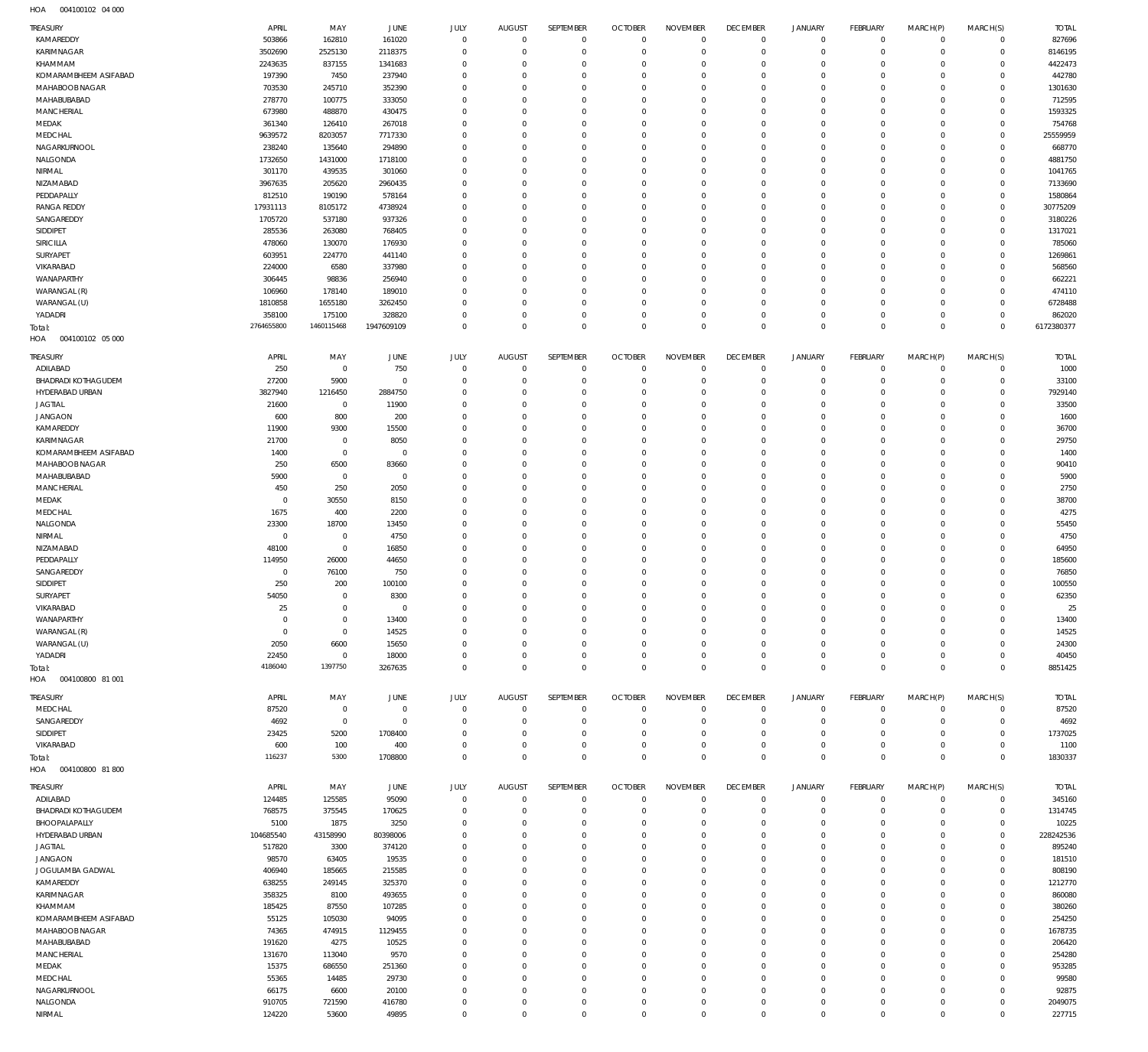004100102 04 000 HOA

| $\sim$<br><u>CALLOCIAL</u> CIOCO |                |                     |                |             |               |             |                |                 |                 |                |                 |          |             |              |
|----------------------------------|----------------|---------------------|----------------|-------------|---------------|-------------|----------------|-----------------|-----------------|----------------|-----------------|----------|-------------|--------------|
| TREASURY                         | APRIL          | MAY                 | JUNE           | JULY        | <b>AUGUST</b> | SEPTEMBER   | <b>OCTOBER</b> | <b>NOVEMBER</b> | <b>DECEMBER</b> | <b>JANUARY</b> | FEBRUARY        | MARCH(P) | MARCH(S)    | <b>TOTAL</b> |
| KAMAREDDY                        | 503866         | 162810              | 161020         | $\mathbf 0$ | $\mathbf{0}$  | $\mathbf 0$ | $\overline{0}$ | $\overline{0}$  | $\mathbf 0$     | $\overline{0}$ | $\circ$         | $\circ$  | $\mathbf 0$ | 827696       |
| KARIMNAGAR                       |                |                     |                | $\Omega$    | $\Omega$      | 0           | $\mathbf 0$    | $\Omega$        | $\mathbf 0$     | $\mathbf 0$    | $\mathbf 0$     | $\Omega$ | $\Omega$    | 8146195      |
|                                  | 3502690        | 2525130             | 2118375        |             |               |             |                |                 |                 |                |                 |          |             |              |
| KHAMMAM                          | 2243635        | 837155              | 1341683        | $\Omega$    | $\Omega$      | $\Omega$    | $\Omega$       | $\Omega$        | $\circ$         | $^{\circ}$     | $\Omega$        | $\Omega$ | $\Omega$    | 4422473      |
| KOMARAMBHEEM ASIFABAD            | 197390         | 7450                | 237940         | $\Omega$    | $\Omega$      | $\Omega$    | $\Omega$       | $\Omega$        | $\Omega$        | $\Omega$       | $\Omega$        | $\Omega$ | $\Omega$    | 442780       |
| MAHABOOB NAGAR                   | 703530         | 245710              | 352390         | $\Omega$    | $\Omega$      | $\Omega$    | $\Omega$       | $\Omega$        | $\circ$         | $\Omega$       | $\Omega$        | $\Omega$ | $\Omega$    | 1301630      |
| MAHABUBABAD                      | 278770         | 100775              | 333050         | $\Omega$    | $\Omega$      | $\Omega$    | $\Omega$       | $\Omega$        | $^{\circ}$      | $\Omega$       | $\Omega$        | $\Omega$ | $\Omega$    | 712595       |
|                                  |                |                     |                |             |               |             |                |                 |                 |                |                 |          |             |              |
| MANCHERIAL                       | 673980         | 488870              | 430475         | $\Omega$    | $\Omega$      | $\Omega$    | $\Omega$       | $\Omega$        | $\Omega$        | $\Omega$       | $\Omega$        | $\Omega$ | $\Omega$    | 1593325      |
| MEDAK                            | 361340         | 126410              | 267018         | $\Omega$    | $\Omega$      | $\Omega$    | $\Omega$       | $\Omega$        | $\Omega$        | $\Omega$       | $\Omega$        | $\Omega$ | $\Omega$    | 754768       |
| MEDCHAL                          | 9639572        | 8203057             | 7717330        | $\Omega$    | $\Omega$      | $\Omega$    | $\Omega$       | $\Omega$        | $\circ$         | $\Omega$       | $\Omega$        | $\Omega$ | $\Omega$    | 25559959     |
| NAGARKURNOOL                     | 238240         | 135640              | 294890         | $\Omega$    | $\Omega$      | $\Omega$    | $\Omega$       | $\Omega$        | $^{\circ}$      | $\Omega$       | $\Omega$        | $\Omega$ | $\Omega$    | 668770       |
|                                  |                |                     |                |             |               |             |                |                 |                 |                |                 |          |             |              |
| NALGONDA                         | 1732650        | 1431000             | 1718100        | $\Omega$    | $\Omega$      | $\Omega$    | $\mathbf 0$    | $\Omega$        | $\circ$         | $^{\circ}$     | $\Omega$        | $\Omega$ | $\Omega$    | 4881750      |
| NIRMAL                           | 301170         | 439535              | 301060         | $\Omega$    | $\Omega$      | $\Omega$    | $\Omega$       | $\Omega$        | $\Omega$        | $\Omega$       | $\Omega$        | $\Omega$ | $\Omega$    | 1041765      |
| NIZAMABAD                        | 3967635        | 205620              | 2960435        | $\Omega$    | $\Omega$      | $\Omega$    | $\mathbf 0$    | $\Omega$        | $^{\circ}$      | $^{\circ}$     | $\Omega$        | $\Omega$ | $\Omega$    | 7133690      |
| PEDDAPALLY                       | 812510         | 190190              | 578164         | $\Omega$    | $\Omega$      | $\Omega$    | $\Omega$       | $\Omega$        | $\Omega$        | $\Omega$       | $\Omega$        | $\Omega$ | $\Omega$    | 1580864      |
|                                  |                |                     |                |             |               |             |                |                 |                 |                |                 |          |             |              |
| <b>RANGA REDDY</b>               | 17931113       | 8105172             | 4738924        | $\Omega$    | $\Omega$      | $\Omega$    | $\mathbf 0$    | $\Omega$        | $\circ$         | $^{\circ}$     | $\Omega$        | $\Omega$ | $\circ$     | 30775209     |
| SANGAREDDY                       | 1705720        | 537180              | 937326         | $\Omega$    | $\Omega$      | $\Omega$    | $\Omega$       | $\Omega$        | $\Omega$        | $\Omega$       | $\Omega$        |          | $\Omega$    | 3180226      |
| SIDDIPET                         | 285536         | 263080              | 768405         | $\Omega$    | $\Omega$      | $\Omega$    | $\Omega$       | $\Omega$        | $\circ$         | $^{\circ}$     | $\Omega$        | $\Omega$ | $\Omega$    | 1317021      |
| SIRICILLA                        | 478060         | 130070              | 176930         | $\Omega$    | $\Omega$      | $\Omega$    | $\Omega$       | $\Omega$        | $\Omega$        | $\Omega$       | $\Omega$        | $\Omega$ | $\Omega$    | 785060       |
|                                  |                |                     |                |             |               |             |                |                 |                 |                |                 |          |             |              |
| SURYAPET                         | 603951         | 224770              | 441140         | $\Omega$    | $\Omega$      | $\Omega$    | $\Omega$       | $\Omega$        | $\circ$         | $\Omega$       | $\Omega$        | $\Omega$ | $\Omega$    | 1269861      |
| VIKARABAD                        | 224000         | 6580                | 337980         | $\Omega$    | $\Omega$      | $\Omega$    | $\Omega$       | $\Omega$        | $\Omega$        | $\Omega$       | $\Omega$        | $\Omega$ | $\Omega$    | 568560       |
| WANAPARTHY                       | 306445         | 98836               | 256940         | $\Omega$    | $\Omega$      | $\Omega$    | $\Omega$       | $\Omega$        | $\circ$         | $\Omega$       | $\Omega$        | $\Omega$ | $\Omega$    | 662221       |
| WARANGAL (R)                     | 106960         | 178140              | 189010         | $\Omega$    | $\Omega$      | $\Omega$    | $\Omega$       | $\Omega$        | $^{\circ}$      | $\Omega$       | $\Omega$        | $\Omega$ | $\Omega$    | 474110       |
|                                  |                |                     |                |             |               |             |                |                 |                 |                |                 |          |             |              |
| WARANGAL (U)                     | 1810858        | 1655180             | 3262450        | $\Omega$    | $\Omega$      | $\Omega$    | $\Omega$       | $\Omega$        | $\circ$         | $\Omega$       | $\Omega$        | $\Omega$ | $\Omega$    | 6728488      |
| YADADRI                          | 358100         | 175100              | 328820         | $\Omega$    | $\Omega$      | $\Omega$    | $\Omega$       | $\Omega$        | $\circ$         | $^{\circ}$     | $\circ$         | $\Omega$ | $\Omega$    | 862020       |
| Total:                           | 2764655800     | 1460115468          | 1947609109     | $\Omega$    | $\Omega$      | $\Omega$    | $\Omega$       | $\Omega$        | $\mathbf 0$     | $\circ$        | $\Omega$        | $\Omega$ | $\Omega$    | 6172380377   |
| HOA<br>004100102 05 000          |                |                     |                |             |               |             |                |                 |                 |                |                 |          |             |              |
|                                  |                |                     |                |             |               |             |                |                 |                 |                |                 |          |             |              |
| TREASURY                         | APRIL          | MAY                 | JUNE           | JULY        | <b>AUGUST</b> | SEPTEMBER   | <b>OCTOBER</b> | <b>NOVEMBER</b> | <b>DECEMBER</b> | <b>JANUARY</b> | <b>FEBRUARY</b> | MARCH(P) | MARCH(S)    | <b>TOTAL</b> |
|                                  | 250            | $\overline{0}$      |                | $\mathbf 0$ | $\mathbf{0}$  | $\mathbf 0$ | $\overline{0}$ |                 | $\mathbf 0$     |                | $\circ$         | $\Omega$ | $\Omega$    |              |
| ADILABAD                         |                |                     | 750            |             |               |             |                | $\overline{0}$  |                 | $\circ$        |                 |          |             | 1000         |
| BHADRADI KOTHAGUDEM              | 27200          | 5900                | $\overline{0}$ | $\Omega$    | $\mathbf 0$   | 0           | $\mathbf 0$    | $\Omega$        | $\mathbf{0}$    | $^{\circ}$     | $\mathbf 0$     | $\Omega$ | $\Omega$    | 33100        |
| HYDERABAD URBAN                  | 3827940        | 1216450             | 2884750        | $\Omega$    | $\Omega$      | $\Omega$    | $\mathbf 0$    | $\Omega$        | $\mathbf 0$     | $^{\circ}$     | $\mathbf 0$     | $\Omega$ | $\circ$     | 7929140      |
| <b>JAGTIAL</b>                   | 21600          | $\overline{0}$      | 11900          | $\Omega$    | $\mathbf 0$   | 0           | $\mathbf 0$    | $\Omega$        | $\mathbf 0$     | $\circ$        | $\mathbf{0}$    | $\Omega$ | $\Omega$    | 33500        |
|                                  |                |                     |                | $\Omega$    | $\Omega$      | $\Omega$    | $\mathbf 0$    | $\Omega$        | $\Omega$        | $\Omega$       | $\Omega$        |          | $\Omega$    |              |
| <b>JANGAON</b>                   | 600            | 800                 | 200            |             |               |             |                |                 |                 |                |                 | $\Omega$ |             | 1600         |
| KAMAREDDY                        | 11900          | 9300                | 15500          | $\Omega$    | $\Omega$      | 0           | $\mathbf 0$    | $\Omega$        | $\mathbf 0$     | $^{\circ}$     | $\mathbf 0$     | $\Omega$ | $\Omega$    | 36700        |
| KARIMNAGAR                       | 21700          | $\overline{0}$      | 8050           | $\Omega$    | $\Omega$      | $\Omega$    | $\Omega$       | $\Omega$        | $\Omega$        | $\Omega$       | $\Omega$        | $\Omega$ | $\Omega$    | 29750        |
| KOMARAMBHEEM ASIFABAD            | 1400           | $\mathbf 0$         | $\overline{0}$ | $\Omega$    | $\Omega$      | $\Omega$    | $\mathbf 0$    | $\Omega$        | $\mathbf 0$     | $\circ$        | $\circ$         | $\Omega$ | $\Omega$    | 1400         |
|                                  |                |                     |                |             | $\Omega$      |             |                |                 | $\Omega$        |                |                 |          | $\Omega$    |              |
| MAHABOOB NAGAR                   | 250            | 6500                | 83660          | $\Omega$    |               | $\Omega$    | $\mathbf 0$    | $\Omega$        |                 | $\Omega$       | $\mathbf{0}$    | $\Omega$ |             | 90410        |
| MAHABUBABAD                      | 5900           | $\mathbf 0$         | $\overline{0}$ | $\Omega$    | $\Omega$      | $\Omega$    | $\mathbf 0$    | $\Omega$        | $\circ$         | $\circ$        | $\circ$         | $\Omega$ | $\Omega$    | 5900         |
| MANCHERIAL                       | 450            | 250                 | 2050           | $\Omega$    | $\Omega$      | $\Omega$    | $\mathbf 0$    | $\Omega$        | $\Omega$        | $\Omega$       | $\mathbf{0}$    | $\Omega$ | $\Omega$    | 2750         |
| MEDAK                            | $\mathbf 0$    | 30550               | 8150           | $\Omega$    | $\Omega$      | $\Omega$    | $\mathbf 0$    | $\Omega$        | $\circ$         | $\circ$        | $\Omega$        | $\Omega$ | $\Omega$    | 38700        |
|                                  |                |                     |                |             |               |             |                |                 |                 |                |                 |          |             |              |
| MEDCHAL                          | 1675           | 400                 | 2200           | $\Omega$    | $\Omega$      | 0           | $\mathbf 0$    | $\Omega$        | $\mathbf{0}$    | $\Omega$       | $\mathbf{0}$    | $\Omega$ | $\Omega$    | 4275         |
| NALGONDA                         | 23300          | 18700               | 13450          | $\Omega$    | $\Omega$      | $\Omega$    | $\mathbf 0$    | $\Omega$        | $\circ$         | $\circ$        | $\Omega$        | $\Omega$ | $\Omega$    | 55450        |
| NIRMAL                           | $\overline{0}$ | $\mathbf 0$         | 4750           | $\Omega$    | $\Omega$      | $\Omega$    | $\mathbf 0$    | $\Omega$        | $\Omega$        | $\Omega$       | $\Omega$        | $\Omega$ | $\Omega$    | 4750         |
| NIZAMABAD                        |                | $\mathbf 0$         |                | $\Omega$    | $\Omega$      | 0           | $\mathbf 0$    | $\Omega$        | $\mathbf 0$     |                | $\mathbf{0}$    | $\Omega$ | $\Omega$    |              |
|                                  | 48100          |                     | 16850          |             |               |             |                |                 |                 | $\circ$        |                 |          |             | 64950        |
| PEDDAPALLY                       | 114950         | 26000               | 44650          | $\Omega$    | $\Omega$      | $\Omega$    | $\mathbf 0$    | $\Omega$        | $\Omega$        | $\circ$        | $\Omega$        | $\Omega$ | $\Omega$    | 185600       |
| SANGAREDDY                       | $\mathbf 0$    | 76100               | 750            | $\Omega$    | $\mathbf 0$   | 0           | $\mathbf 0$    | $\Omega$        | $\mathbf{0}$    | $^{\circ}$     | $\mathbf{0}$    | $\Omega$ | $\Omega$    | 76850        |
| SIDDIPET                         | 250            | 200                 | 100100         | $\Omega$    | $\Omega$      | $\Omega$    | $\mathbf 0$    | $\Omega$        | $\Omega$        | $\Omega$       | $\Omega$        | $\Omega$ | $\Omega$    | 100550       |
|                                  |                |                     |                | $\Omega$    |               |             |                | $\Omega$        |                 |                |                 |          |             |              |
| SURYAPET                         | 54050          | $\mathbf 0$         | 8300           |             | $\mathbf{0}$  | $\mathbf 0$ | $\mathbf 0$    |                 | $\mathbf 0$     | $\mathbf 0$    | $\mathbf 0$     | $\Omega$ | $\mathbf 0$ | 62350        |
| VIKARABAD                        | 25             | $\Omega$            | $\Omega$       | $\Omega$    | $\Omega$      | $\Omega$    | $\Omega$       | $\Omega$        | $\Omega$        | $\Omega$       | $\Omega$        | $\Omega$ | $\Omega$    | 25           |
| WANAPARTHY                       | $\overline{0}$ | $\mathsf{O}\xspace$ | 13400          | $\mathbf 0$ | $^{\circ}$    | 0           | $\overline{0}$ | $\Omega$        | $^{\circ}$      | $^{\circ}$     | $\mathbf 0$     | $\Omega$ | $\Omega$    | 13400        |
| WARANGAL (R)                     | $\overline{0}$ | $\mathbf 0$         | 14525          | $\mathbf 0$ | $\mathbf 0$   | 0           | $\mathbf 0$    | $\mathbf 0$     | $\mathbf{0}$    | $\circ$        | $\mathbf 0$     | $\Omega$ | $\Omega$    | 14525        |
|                                  |                |                     |                |             |               |             |                |                 |                 |                |                 |          |             |              |
| WARANGAL (U)                     | 2050           | 6600                | 15650          | $\Omega$    | $\Omega$      | 0           | $\mathbf 0$    | 0               | $\mathbf 0$     | $\circ$        | $\mathbf 0$     | $\Omega$ | $\Omega$    | 24300        |
| YADADRI                          | 22450          | $\overline{0}$      | 18000          | $\Omega$    | $\mathbf 0$   | 0           | $\mathbf 0$    | 0               | $\mathbf 0$     | $\circ$        | $\mathbf 0$     | $\Omega$ | $\Omega$    | 40450        |
| Total:                           | 4186040        | 1397750             | 3267635        | $\Omega$    | $\Omega$      | $\Omega$    | $\Omega$       | $\mathbf 0$     | $\mathbb O$     | $\mathbf 0$    | $\mathbf 0$     | $\Omega$ | $\circ$     | 8851425      |
| 004100800 81 001<br>HOA          |                |                     |                |             |               |             |                |                 |                 |                |                 |          |             |              |
|                                  |                |                     |                |             |               |             |                |                 |                 |                |                 |          |             |              |
| TREASURY                         | APRIL          | MAY                 | JUNE           | JULY        | <b>AUGUST</b> | SEPTEMBER   | <b>OCTOBER</b> | <b>NOVEMBER</b> | <b>DECEMBER</b> | JANUARY        | <b>FEBRUARY</b> | MARCH(P) | MARCH(S)    | <b>TOTAL</b> |
| MEDCHAL                          |                | $\mathbf 0$         | $\circ$        | $\mathbf 0$ | $\mathbf{0}$  | $\mathbf 0$ | $\mathbf 0$    | $\mathbf 0$     | $\mathbf 0$     |                | $\mathbf 0$     | $\Omega$ | $\mathbf 0$ | 87520        |
|                                  | 87520          |                     |                |             |               |             |                |                 |                 | 0              |                 |          |             |              |
| SANGAREDDY                       | 4692           | $\mathbf 0$         | $\overline{0}$ | $\Omega$    | $\Omega$      | $\mathbf 0$ | $\mathbf 0$    | $\Omega$        | $\circ$         | $\circ$        | $\mathbf 0$     | $\Omega$ | $\Omega$    | 4692         |
| SIDDIPET                         | 23425          | 5200                | 1708400        | $\Omega$    | $^{\circ}$    | 0           | $\mathbf 0$    | $\Omega$        | $\circ$         | $\circ$        | $^{\circ}$      | $\Omega$ | $\Omega$    | 1737025      |
| VIKARABAD                        | 600            | 100                 | 400            | $\Omega$    | $\mathbf 0$   | $\mathbf 0$ | $\mathbf 0$    | 0               | $\mathbf 0$     | $\circ$        | $\mathbf 0$     | $\Omega$ | $\Omega$    | 1100         |
| Total:                           | 116237         | 5300                | 1708800        | $\mathbf 0$ | $\Omega$      | $\mathbf 0$ | $\overline{0}$ | $\mathbf 0$     | $\mathbb O$     | $\mathbf 0$    | $\mathbf 0$     | $\Omega$ | $\Omega$    | 1830337      |
|                                  |                |                     |                |             |               |             |                |                 |                 |                |                 |          |             |              |
| 004100800 81800<br>HOA           |                |                     |                |             |               |             |                |                 |                 |                |                 |          |             |              |
| TREASURY                         | APRIL          | MAY                 | JUNE           | JULY        | <b>AUGUST</b> | SEPTEMBER   | <b>OCTOBER</b> | <b>NOVEMBER</b> | <b>DECEMBER</b> | JANUARY        | FEBRUARY        | MARCH(P) | MARCH(S)    | <b>TOTAL</b> |
|                                  |                |                     |                |             |               |             |                |                 |                 |                |                 |          |             |              |
| ADILABAD                         | 124485         | 125585              | 95090          | $^{\circ}$  | $\mathbf{0}$  | $\mathbf 0$ | $\overline{0}$ | $\overline{0}$  | $\mathbf 0$     | $\circ$        | $\mathbf 0$     | $\Omega$ | $\Omega$    | 345160       |
| BHADRADI KOTHAGUDEM              | 768575         | 375545              | 170625         | $\mathbf 0$ | $^{\circ}$    | $^{\circ}$  | $\overline{0}$ | $^{\circ}$      | $\mathbf 0$     | $\circ$        | $\mathbf 0$     | $\Omega$ | $\mathbf 0$ | 1314745      |
| BHOOPALAPALLY                    | 5100           | 1875                | 3250           | $\Omega$    | $\mathbf 0$   | 0           | $\mathbf 0$    | $\mathbf 0$     | $\mathbf 0$     | $\circ$        | $\mathbf 0$     | $\Omega$ | $\Omega$    | 10225        |
| HYDERABAD URBAN                  | 104685540      | 43158990            | 80398006       | $\Omega$    | $\mathbf 0$   | 0           | $\mathbf 0$    | $\Omega$        | $\mathbf 0$     | $\circ$        | $\mathbf 0$     | $\Omega$ | $\circ$     | 228242536    |
|                                  |                |                     |                |             |               |             |                |                 |                 |                |                 |          |             |              |
| JAGTIAL                          | 517820         | 3300                | 374120         | $\Omega$    | $\Omega$      | $\Omega$    | $\mathbf 0$    | $\Omega$        | $\Omega$        | $\Omega$       | $\mathbf{0}$    | $\Omega$ | $\Omega$    | 895240       |
| <b>JANGAON</b>                   | 98570          | 63405               | 19535          | $\Omega$    | $\Omega$      | 0           | $\mathbf 0$    | $\Omega$        | $\mathbf 0$     | $\circ$        | $\mathbf 0$     | $\Omega$ | $\Omega$    | 181510       |
| JOGULAMBA GADWAL                 | 406940         | 185665              | 215585         | $\Omega$    | $\mathbf 0$   | 0           | $\mathbf 0$    | $\mathbf 0$     | $\mathbf{0}$    | $\mathbf 0$    | $^{\circ}$      | $\Omega$ | $\Omega$    | 808190       |
| KAMAREDDY                        | 638255         | 249145              | 325370         | $\Omega$    | $\Omega$      | $\Omega$    | $\mathbf 0$    | $\Omega$        | $\circ$         | $\circ$        | $\mathbf 0$     | $\Omega$ | $\Omega$    | 1212770      |
|                                  |                |                     |                |             |               |             |                |                 |                 |                |                 |          |             |              |
| KARIMNAGAR                       | 358325         | 8100                | 493655         | $\Omega$    | $\mathbf 0$   | 0           | $\mathbf 0$    | $\Omega$        | $\mathbf{0}$    | $^{\circ}$     | $\mathbf 0$     | $\Omega$ | $\Omega$    | 860080       |
| KHAMMAM                          | 185425         | 87550               | 107285         | $\Omega$    | $\Omega$      | $\Omega$    | $\mathbf 0$    | $\Omega$        | $\mathbf 0$     | $\circ$        | $\mathbf 0$     | $\Omega$ | $\Omega$    | 380260       |
| KOMARAMBHEEM ASIFABAD            | 55125          | 105030              | 94095          | $\Omega$    | $\mathbf 0$   | 0           | $\mathbf 0$    | $\mathbf 0$     | $\mathbf 0$     | $\circ$        | $^{\circ}$      | $\Omega$ | $\Omega$    | 254250       |
|                                  |                |                     |                | $\Omega$    | $\Omega$      | $\Omega$    | $\mathbf 0$    | $\Omega$        |                 |                |                 |          | $\Omega$    |              |
| MAHABOOB NAGAR                   | 74365          | 474915              | 1129455        |             |               |             |                |                 | $\mathbf 0$     | $\circ$        | $\mathbf 0$     | $\Omega$ |             | 1678735      |
| MAHABUBABAD                      | 191620         | 4275                | 10525          | $\Omega$    | $\Omega$      | $\Omega$    | $\mathbf 0$    | $\Omega$        | $\circ$         | $\circ$        | $\mathbf 0$     | $\Omega$ | $\Omega$    | 206420       |
| MANCHERIAL                       | 131670         | 113040              | 9570           | $\Omega$    | $\mathbf 0$   | 0           | $\mathbf 0$    | $\Omega$        | $\mathbf 0$     | $\circ$        | $^{\circ}$      | $\Omega$ | $\Omega$    | 254280       |
| MEDAK                            | 15375          | 686550              | 251360         | $\Omega$    | $\Omega$      | $\Omega$    | $\mathbf 0$    | $\Omega$        | $\mathbf 0$     | $\circ$        | $\mathbf 0$     | $\Omega$ | $\Omega$    | 953285       |
|                                  |                |                     |                |             |               |             |                |                 |                 |                |                 |          |             |              |
| MEDCHAL                          | 55365          | 14485               | 29730          | $\Omega$    | $\mathbf 0$   | 0           | $\mathbf 0$    | $\Omega$        | $\mathbf 0$     | $\circ$        | $\mathbf 0$     | $\Omega$ | $\Omega$    | 99580        |
| NAGARKURNOOL                     | 66175          | 6600                | 20100          | $\Omega$    | $\Omega$      | $\Omega$    | $\mathbf 0$    | $\Omega$        | $\mathbf 0$     | $\circ$        | $\circ$         | $\Omega$ | $\Omega$    | 92875        |
| NALGONDA                         |                |                     |                |             |               |             |                |                 |                 |                |                 |          |             |              |
|                                  | 910705         | 721590              | 416780         | $\mathbf 0$ | $\circ$       | 0           | $\mathbf 0$    | 0               | $\mathbb O$     | 0              | $\mathbf 0$     | $\Omega$ | $\mathbf 0$ | 2049075      |
| NIRMAL                           | 124220         | 53600               | 49895          | $\mathbf 0$ | $\mathbf 0$   | $\mathbf 0$ | $\mathbf 0$    | $\mathbf 0$     | $\mathbf 0$     | $\mathbf 0$    | $\mathbf 0$     | $\circ$  | $\circ$     | 227715       |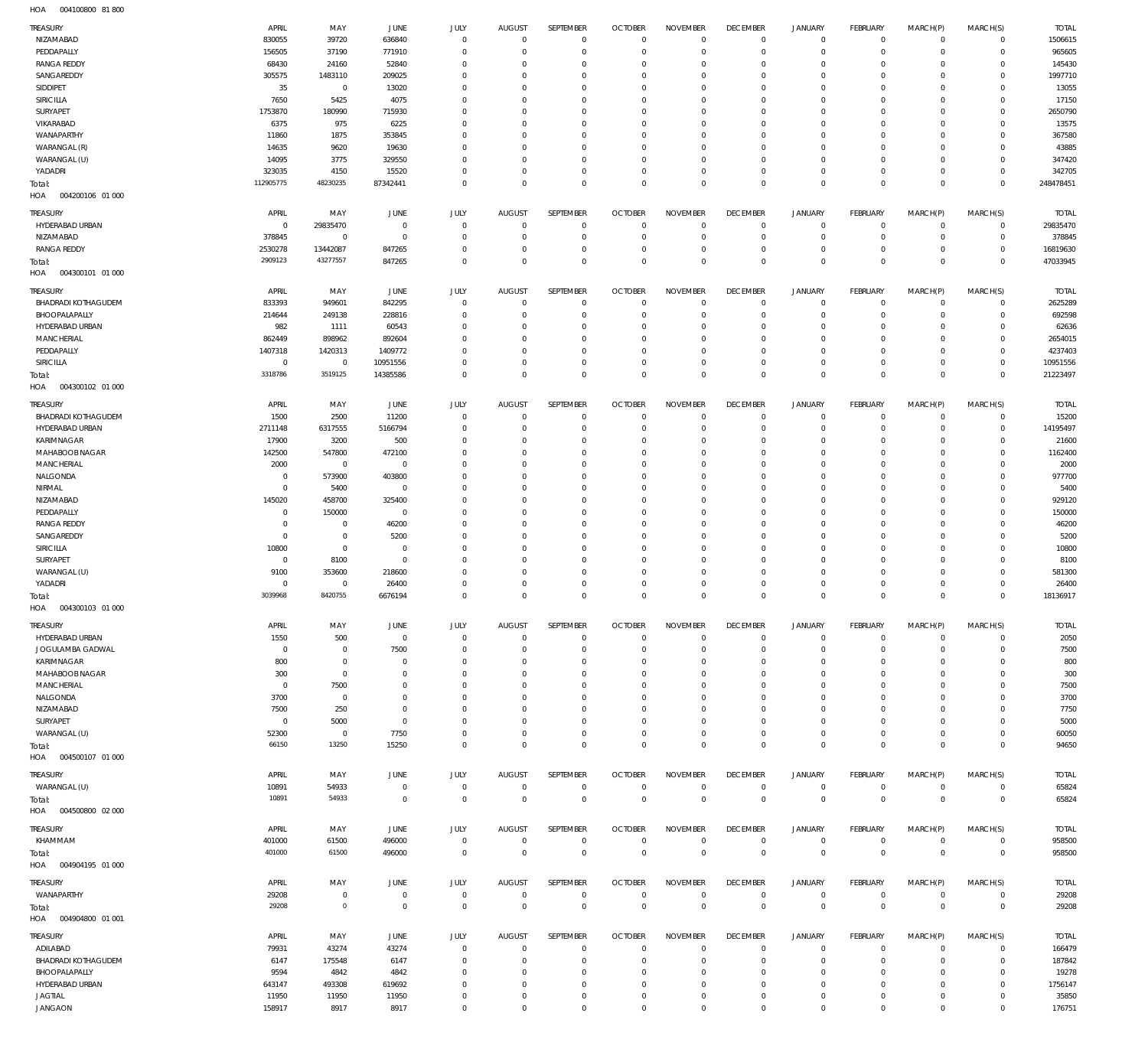004100800 81 800 HOA

| TREASURY                             | APRIL                  | MAY                        | JUNE                          | JULY                         | <b>AUGUST</b>              | SEPTEMBER                    | <b>OCTOBER</b>                 | <b>NOVEMBER</b>              | <b>DECEMBER</b>             | <b>JANUARY</b>                     | FEBRUARY                      | MARCH(P)                   | MARCH(S)                   | <b>TOTAL</b>        |
|--------------------------------------|------------------------|----------------------------|-------------------------------|------------------------------|----------------------------|------------------------------|--------------------------------|------------------------------|-----------------------------|------------------------------------|-------------------------------|----------------------------|----------------------------|---------------------|
| NIZAMABAD                            | 830055                 | 39720                      | 636840                        | $\mathbf 0$                  | $^{\circ}$                 | $\mathbf 0$                  | $\overline{0}$                 | $\mathbf 0$                  | 0                           | $\mathbf 0$                        | $\overline{0}$                | $\mathbf 0$                | $\mathbf 0$                | 1506615             |
| PEDDAPALLY                           | 156505                 | 37190                      | 771910                        | $\mathbf{0}$                 | $^{\circ}$                 | $\mathbf 0$                  | $^{\circ}$                     | $^{\circ}$                   | $\mathbf 0$                 | $\mathbf 0$                        | $\mathbf 0$                   | $\mathbf 0$                | $\mathbf 0$                | 965605              |
| <b>RANGA REDDY</b>                   | 68430                  | 24160                      | 52840                         | $\mathbf{0}$                 | 0                          | $\mathbf{0}$                 | $^{\circ}$                     | $^{\circ}$                   | 0                           | 0                                  | $\mathbf 0$                   | $\mathbf 0$                | $\mathbf 0$                | 145430              |
| SANGAREDDY<br>SIDDIPET               | 305575<br>35           | 1483110<br>$\,0\,$         | 209025<br>13020               | $\mathbf{0}$<br>$\mathbf{0}$ | 0<br>0                     | $\mathbf{0}$<br>$\mathbf{0}$ | $^{\circ}$<br>0                | $\mathbf{0}$<br>$\mathbf{0}$ | $\mathbf 0$<br>0            | $\mathbf 0$<br>0                   | $\mathbf 0$<br>$\mathbf 0$    | $\mathbf 0$<br>$\mathbf 0$ | $\mathbf 0$<br>$\mathbf 0$ | 1997710<br>13055    |
| SIRICILLA                            | 7650                   | 5425                       | 4075                          | $\mathbf{0}$                 | 0                          | $\mathbf{0}$                 | 0                              | $\mathbf{0}$                 | 0                           | $\mathbf 0$                        | $\mathbf 0$                   | 0                          | $\mathbf 0$                | 17150               |
| SURYAPET                             | 1753870                | 180990                     | 715930                        | $\mathbf{0}$                 | 0                          | $\mathbf{0}$                 | $^{\circ}$                     | $\mathbf{0}$                 | 0                           | $\mathbf 0$                        | $\mathbf 0$                   | $\Omega$                   | $\mathbf 0$                | 2650790             |
| VIKARABAD                            | 6375                   | 975                        | 6225                          | $\mathbf{0}$                 | 0                          | $\mathbf{0}$                 | 0                              | $\mathbf{0}$                 | 0                           | 0                                  | $\mathbf 0$                   | $\mathbf 0$                | $\mathbf 0$                | 13575               |
| WANAPARTHY                           | 11860                  | 1875                       | 353845                        | $\mathbf{0}$                 | 0                          | $\mathbf{0}$                 | $^{\circ}$                     | $\mathbf{0}$                 | 0                           | $\mathbf 0$                        | $\mathbf 0$                   | $\Omega$                   | $\mathbf 0$                | 367580              |
| WARANGAL (R)                         | 14635                  | 9620                       | 19630                         | $\mathbf{0}$                 | 0                          | $\mathbf{0}$                 | 0                              | $\mathbf{0}$                 | 0                           | 0                                  | $\mathbf 0$                   | $\mathbf 0$                | $\mathbf 0$                | 43885               |
| WARANGAL (U)                         | 14095                  | 3775                       | 329550                        | $\mathbf{0}$                 | 0                          | $\mathbf{0}$                 | $^{\circ}$                     | $\mathbf{0}$                 | $\mathbf 0$                 | $\mathbf 0$                        | $\mathbf 0$                   | $\mathbf 0$                | $\mathbf 0$                | 347420              |
| YADADRI                              | 323035<br>112905775    | 4150<br>48230235           | 15520<br>87342441             | $\mathbf{0}$<br>$\mathbf 0$  | $^{\circ}$<br>$^{\circ}$   | $\mathbf 0$<br>$\mathbf 0$   | $^{\circ}$<br>$^{\circ}$       | $\mathbf{0}$<br>$\mathbf 0$  | $\mathbf 0$<br>$\mathbf 0$  | $\mathbf 0$<br>$\mathbf 0$         | $\mathbf 0$<br>$\mathbf 0$    | 0<br>$\mathbf 0$           | $\mathbf 0$<br>$\mathbf 0$ | 342705<br>248478451 |
| Total:<br>HOA<br>004200106 01 000    |                        |                            |                               |                              |                            |                              |                                |                              |                             |                                    |                               |                            |                            |                     |
| TREASURY                             | APRIL                  | MAY                        | JUNE                          | JULY                         | <b>AUGUST</b>              | SEPTEMBER                    | <b>OCTOBER</b>                 | <b>NOVEMBER</b>              | <b>DECEMBER</b>             | JANUARY                            | FEBRUARY                      | MARCH(P)                   | MARCH(S)                   | <b>TOTAL</b>        |
| HYDERABAD URBAN                      | $\overline{0}$         | 29835470                   | $\overline{0}$                | $\mathbf{0}$                 | $^{\circ}$                 | $\mathbf{0}$                 | $\overline{0}$                 | $\overline{0}$               | $\mathbf 0$                 | $\mathbf 0$                        | $\mathbf 0$                   | $\mathbf 0$                | $\mathbf 0$                | 29835470            |
| NIZAMABAD                            | 378845                 | $\mathbf 0$                | $\overline{0}$                | $\mathbf{0}$                 | $^{\circ}$                 | $\mathbf 0$                  | $\overline{0}$                 | $\mathbf 0$                  | $\mathbf 0$                 | $\mathbf 0$                        | $\mathbf 0$                   | 0                          | $\mathbf 0$                | 378845              |
| <b>RANGA REDDY</b>                   | 2530278                | 13442087                   | 847265                        | $\mathbf{0}$                 | $^{\circ}$                 | $\mathbf 0$                  | $^{\circ}$                     | $^{\circ}$                   | 0                           | $\mathsf{O}\xspace$                | $\mathbf 0$                   | $\mathbf 0$                | $\mathbf 0$                | 16819630            |
| Total:                               | 2909123                | 43277557                   | 847265                        | $\mathbf 0$                  | $\overline{0}$             | $\mathbf 0$                  | $\overline{0}$                 | $\mathbf 0$                  | $\mathbf 0$                 | $\mathbf 0$                        | $\mathbf 0$                   | $\mathbf 0$                | $\mathbf 0$                | 47033945            |
| HOA<br>004300101 01 000              |                        |                            |                               |                              |                            |                              |                                |                              |                             |                                    |                               |                            |                            |                     |
| TREASURY                             | APRIL                  | MAY                        | JUNE                          | <b>JULY</b>                  | <b>AUGUST</b>              | SEPTEMBER                    | <b>OCTOBER</b>                 | <b>NOVEMBER</b>              | <b>DECEMBER</b>             | JANUARY                            | FEBRUARY                      | MARCH(P)                   | MARCH(S)                   | <b>TOTAL</b>        |
| <b>BHADRADI KOTHAGUDEM</b>           | 833393                 | 949601                     | 842295                        | $\mathbf{0}$                 | $^{\circ}$                 | $\mathbf 0$                  | $\overline{0}$                 | $\overline{0}$               | $\mathbf 0$                 | 0                                  | $\mathbf 0$                   | $\mathbf 0$                | $\mathbf 0$                | 2625289             |
| BHOOPALAPALLY                        | 214644                 | 249138                     | 228816                        | $\mathbf{0}$                 | 0                          | $\mathbf 0$                  | $^{\circ}$                     | $^{\circ}$                   | $\mathbf 0$                 | $\mathsf{O}\xspace$                | $\mathbf 0$                   | $\mathbf 0$                | $\mathbf 0$                | 692598              |
| HYDERABAD URBAN                      | 982                    | 1111                       | 60543                         | $\mathbf{0}$                 | 0                          | $\mathbf{0}$                 | 0                              | $\mathbf{0}$                 | 0                           | 0                                  | $\mathbf 0$                   | $\mathbf 0$                | $\mathbf 0$                | 62636               |
| MANCHERIAL                           | 862449                 | 898962                     | 892604                        | $\mathbf{0}$                 | 0                          | $\mathbf{0}$                 | 0                              | $\mathbf{0}$                 | $\mathbf 0$                 | 0                                  | $\mathbf 0$                   | $\mathbf 0$                | $\mathbf 0$                | 2654015             |
| PEDDAPALLY                           | 1407318                | 1420313                    | 1409772                       | $\mathbf{0}$<br>$\mathbf{0}$ | 0<br>$^{\circ}$            | $\mathbf{0}$<br>$\mathbb O$  | $^{\circ}$<br>$^{\circ}$       | $\mathbf{0}$<br>$\mathbf{0}$ | $\mathbf 0$<br>$\mathbf 0$  | $\mathbf 0$<br>$\mathsf{O}\xspace$ | $\mathbf 0$<br>$\mathbf 0$    | $\mathbf 0$<br>0           | $\mathbf 0$<br>$\mathbf 0$ | 4237403<br>10951556 |
| SIRICILLA<br>Total:                  | $\mathbf 0$<br>3318786 | $\mathbf 0$<br>3519125     | 10951556<br>14385586          | $\mathbf 0$                  | $^{\circ}$                 | $\mathbf 0$                  | $\overline{0}$                 | $\mathbf 0$                  | $\mathbf 0$                 | $\mathbf 0$                        | $\mathbf 0$                   | $\mathbf 0$                | $\mathbf 0$                | 21223497            |
| HOA<br>004300102 01 000              |                        |                            |                               |                              |                            |                              |                                |                              |                             |                                    |                               |                            |                            |                     |
| TREASURY                             | APRIL                  | MAY                        | JUNE                          | JULY                         | <b>AUGUST</b>              | SEPTEMBER                    | <b>OCTOBER</b>                 | <b>NOVEMBER</b>              | <b>DECEMBER</b>             | JANUARY                            | FEBRUARY                      | MARCH(P)                   | MARCH(S)                   | <b>TOTAL</b>        |
| <b>BHADRADI KOTHAGUDEM</b>           | 1500                   | 2500                       | 11200                         | $\mathbf{0}$                 | $^{\circ}$                 | $\mathbf{0}$                 | $\overline{0}$                 | $^{\circ}$                   | $\mathbf 0$                 | $\mathbf 0$                        | $\mathbf 0$                   | $\mathbf 0$                | $\mathbf 0$                | 15200               |
| HYDERABAD URBAN                      | 2711148                | 6317555                    | 5166794                       | $\mathbf{0}$                 | $^{\circ}$                 | $\mathbf 0$                  | $^{\circ}$                     | $\overline{0}$               | $\mathbf 0$                 | $\mathbf 0$                        | $\mathbf 0$                   | $\mathbf 0$                | $\mathbf 0$                | 14195497            |
| KARIMNAGAR                           | 17900                  | 3200                       | 500                           | $\mathbf{0}$                 | 0                          | $\mathbf{0}$                 | $^{\circ}$                     | $\mathbf{0}$                 | $\mathbf 0$                 | $\mathbf 0$                        | $\mathbf 0$                   | $\Omega$                   | $\mathbf 0$                | 21600               |
| MAHABOOB NAGAR                       | 142500                 | 547800                     | 472100                        | $\mathbf{0}$                 | 0                          | $\mathbf{0}$                 | $^{\circ}$                     | $\mathbf{0}$                 | $\mathbf 0$                 | $\mathbf 0$                        | $\mathbf 0$                   | $\mathbf 0$                | $\mathbf 0$                | 1162400             |
| MANCHERIAL                           | 2000                   | $\mathbf 0$                | $\overline{0}$                | $\mathbf{0}$                 | $^{\circ}$                 | $\mathbf{0}$                 | $^{\circ}$                     | $^{\circ}$                   | $\mathbf 0$                 | $\mathbf 0$                        | $\mathbf 0$                   | $\Omega$                   | $\mathbf 0$                | 2000                |
| NALGONDA                             | $^{\circ}$             | 573900                     | 403800                        | $\mathbf{0}$                 | $\mathbf{0}$               | $\mathbf 0$                  | $^{\circ}$                     | $\mathbf{0}$                 | $\mathbf 0$                 | $\mathbf 0$                        | $\mathbf 0$                   | 0                          | $\mathbf 0$                | 977700              |
| NIRMAL                               | $^{\circ}$             | 5400                       | $\overline{0}$                | $\mathbf{0}$                 | 0                          | $\mathbf{0}$                 | $^{\circ}$                     | $\mathbf{0}$                 | 0                           | $\mathbf 0$                        | $\mathbf 0$                   | $\mathbf 0$                | $\mathbf 0$                | 5400                |
| NIZAMABAD<br>PEDDAPALLY              | 145020<br>$^{\circ}$   | 458700<br>150000           | 325400<br>$\overline{0}$      | $\mathbf{0}$<br>$\mathbf{0}$ | $\mathbf{0}$<br>$^{\circ}$ | $\mathbf{0}$<br>$\mathbf{0}$ | $^{\circ}$<br>$^{\circ}$       | $\mathbf{0}$<br>$^{\circ}$   | $\mathbf 0$<br>0            | $\mathbf 0$<br>$\mathbf 0$         | $\mathbf 0$<br>$\mathbf 0$    | $\mathbf 0$<br>$\mathbf 0$ | $\mathbf 0$<br>$\mathbf 0$ | 929120<br>150000    |
| <b>RANGA REDDY</b>                   | $^{\circ}$             | $\mathbf 0$                | 46200                         | $\mathbf{0}$                 | $\mathbf{0}$               | $\mathbf 0$                  | $^{\circ}$                     | $\mathbf{0}$                 | $\mathbf 0$                 | $\mathbf 0$                        | $\mathbf 0$                   | $\Omega$                   | $\mathbf 0$                | 46200               |
| SANGAREDDY                           | $\mathbf 0$            | $\mathbb O$                | 5200                          | $\mathbf{0}$                 | $^{\circ}$                 | $\mathbf{0}$                 | $^{\circ}$                     | $\mathbf{0}$                 | $\mathbf 0$                 | $\mathbf 0$                        | $\mathbf 0$                   | $\mathbf 0$                | $\mathbf 0$                | 5200                |
| SIRICILLA                            | 10800                  | $\mathbb O$                | $^{\circ}$                    | $\mathbf{0}$                 | $^{\circ}$                 | $\mathbf{0}$                 | $^{\circ}$                     | $\mathbf{0}$                 | $\mathbf 0$                 | $\mathbf 0$                        | $\mathbf 0$                   | $\mathbf 0$                | $\mathbf 0$                | 10800               |
| SURYAPET                             | $\mathbf 0$            | 8100                       | $\overline{0}$                | $\mathbf{0}$                 | $^{\circ}$                 | $\mathbf{0}$                 | $^{\circ}$                     | $\mathbf{0}$                 | $\mathbf 0$                 | $\mathbf 0$                        | $\mathbf 0$                   | $\Omega$                   | $\mathbf 0$                | 8100                |
| WARANGAL (U)                         | 9100                   | 353600                     | 218600                        | $\mathbf{0}$                 | 0                          | $\mathbf{0}$                 | 0                              | $\mathbf{0}$                 | 0                           | 0                                  | 0                             | $\mathbf 0$                | $\mathbf 0$                | 581300              |
| YADADRI                              | $^{\circ}$             | $\mathbf 0$                | 26400                         | $\mathbf{0}$                 | $^{\circ}$                 | $\mathbf{0}$                 | $^{\circ}$                     | $\mathbf{0}$                 | $\mathbf 0$                 | $\mathbf 0$                        | $\mathbf 0$                   | $\mathbf 0$                | $\mathbf 0$                | 26400               |
| Total:                               | 3039968                | 8420755                    | 6676194                       | $\mathbf 0$                  | $\Omega$                   | $\mathbf 0$                  | $\mathbf 0$                    | $\mathbf 0$                  | $\mathbf 0$                 | $\mathbf 0$                        | $\mathbf 0$                   | $\mathbf 0$                | $\mathbf 0$                | 18136917            |
| 004300103 01 000<br>HOA              |                        |                            |                               |                              |                            |                              |                                |                              |                             |                                    |                               |                            |                            |                     |
| TREASURY                             | APRIL                  | MAY                        | <b>JUNE</b>                   | JULY                         | <b>AUGUST</b>              | <b>SEPTEMBER</b>             | <b>OCTOBER</b>                 | <b>NOVEMBER</b>              | <b>DECEMBER</b>             | <b>JANUARY</b>                     | FEBRUARY                      | MARCH(P)                   | MARCH(S)                   | <b>TOTAL</b>        |
| HYDERABAD URBAN                      | 1550                   | 500                        | $\overline{0}$                | $\mathbf 0$                  | $^{\circ}$                 | $\mathbf 0$                  | $\overline{0}$                 | $\overline{0}$               | 0                           | $\mathbf 0$                        | $\overline{0}$                | $\mathbf 0$                | 0                          | 2050                |
| JOGULAMBA GADWAL<br>KARIMNAGAR       | $\overline{0}$<br>800  | $\mathbf 0$<br>$\mathbb O$ | 7500<br>$\overline{0}$        | $\mathbf{0}$<br>$\mathbf{0}$ | $^{\circ}$<br>0            | $\mathbf 0$<br>$\mathbf{0}$  | $^{\circ}$<br>0                | $^{\circ}$<br>0              | $\mathbf 0$<br>0            | $\mathbf 0$<br>0                   | $\mathbf 0$<br>$\mathbf 0$    | $\mathbf 0$<br>0           | $\mathbf 0$<br>$\mathbf 0$ | 7500<br>800         |
| MAHABOOB NAGAR                       | 300                    | $\mathbf 0$                | $^{\circ}$                    | $\mathbf{0}$                 | 0                          | $\mathbf 0$                  | 0                              | $\mathbf{0}$                 | $\mathbf 0$                 | $\mathbf 0$                        | $\mathbf 0$                   | $\mathbf 0$                | $\mathbf 0$                | 300                 |
| MANCHERIAL                           | $\overline{0}$         | 7500                       | $^{\circ}$                    | $\mathbf{0}$                 | 0                          | $\mathbf{0}$                 | 0                              | $\mathbf{0}$                 | 0                           | 0                                  | $\mathbf 0$                   | 0                          | $\mathbf 0$                | 7500                |
| NALGONDA                             | 3700                   | $\,0\,$                    | $^{\circ}$                    | $\mathbf{0}$                 | 0                          | $\mathbf{0}$                 | 0                              | $\mathbf{0}$                 | 0                           | 0                                  | $\mathbf 0$                   | 0                          | $\mathbf 0$                | 3700                |
| NIZAMABAD                            | 7500                   | 250                        | $^{\circ}$                    | $\mathbf{0}$                 | 0                          | $\mathbf{0}$                 | 0                              | $\mathbf{0}$                 | $\mathbf 0$                 | 0                                  | $\mathbf 0$                   | $\mathbf 0$                | $\mathbf 0$                | 7750                |
| SURYAPET                             | $\mathbf 0$            | 5000                       | $\mathbf 0$                   | $\mathbf{0}$                 | 0                          | $\mathbf 0$                  | 0                              | $\mathbf{0}$                 | 0                           | 0                                  | $\mathbf 0$                   | $\mathbf 0$                | $\mathbf 0$                | 5000                |
| WARANGAL (U)                         | 52300                  | $\,0\,$                    | 7750                          | $\mathbf{0}$                 | $^{\circ}$                 | $\mathbf{0}$                 | $^{\circ}$                     | $\mathbf{0}$                 | 0                           | $\mathbf 0$                        | $\mathbf 0$                   | 0                          | $\mathbf 0$                | 60050               |
| Total:<br>004500107 01 000<br>HOA    | 66150                  | 13250                      | 15250                         | $\mathbf 0$                  | $\mathbf 0$                | $\mathbf 0$                  | $\mathbf{0}$                   | $\mathbf 0$                  | $\mathbf 0$                 | $\mathbf 0$                        | $\mathbf{0}$                  | $\mathbf 0$                | $\mathbf 0$                | 94650               |
|                                      |                        |                            |                               |                              |                            |                              |                                |                              |                             |                                    |                               |                            |                            |                     |
| TREASURY                             | APRIL                  | MAY                        | JUNE                          | JULY                         | <b>AUGUST</b>              | <b>SEPTEMBER</b>             | <b>OCTOBER</b>                 | <b>NOVEMBER</b>              | <b>DECEMBER</b>             | <b>JANUARY</b>                     | <b>FEBRUARY</b>               | MARCH(P)                   | MARCH(S)                   | <b>TOTAL</b>        |
| WARANGAL (U)                         | 10891<br>10891         | 54933<br>54933             | $\mathbf 0$<br>$\overline{0}$ | $\mathbb O$<br>$\mathbf 0$   | $\mathbf 0$<br>$\mathbf 0$ | $\mathbb O$<br>$\mathbf 0$   | $\mathbf{0}$<br>$\overline{0}$ | $\mathbf 0$<br>$\mathbf 0$   | $\mathbf 0$<br>$\mathbf{0}$ | $\mathsf{O}\xspace$<br>$\mathbf 0$ | $\mathbf 0$<br>$\overline{0}$ | 0<br>$\mathbf 0$           | $\mathbf 0$<br>$\mathbb O$ | 65824<br>65824      |
| Total:<br>HOA   004500800   02   000 |                        |                            |                               |                              |                            |                              |                                |                              |                             |                                    |                               |                            |                            |                     |
| TREASURY                             | APRIL                  | MAY                        | JUNE                          | JULY                         | <b>AUGUST</b>              | SEPTEMBER                    | <b>OCTOBER</b>                 | <b>NOVEMBER</b>              | <b>DECEMBER</b>             | <b>JANUARY</b>                     | <b>FEBRUARY</b>               | MARCH(P)                   | MARCH(S)                   | <b>TOTAL</b>        |
| KHAMMAM                              | 401000                 | 61500                      | 496000                        | $\mathbf 0$                  | $\overline{0}$             | $\mathbf 0$                  | $\overline{0}$                 | $\overline{0}$               | 0                           | 0                                  | $\mathbf 0$                   | $\mathbf 0$                | $\mathbf 0$                | 958500              |
| Total:                               | 401000                 | 61500                      | 496000                        | $\mathbb O$                  | $\mathbf{0}$               | $\mathsf{O}\xspace$          | $\overline{0}$                 | $\mathbb O$                  | $\mathbf 0$                 | $\bf 0$                            | $\overline{0}$                | $\mathbf 0$                | $\mathbf 0$                | 958500              |
| HOA  004904195  01  000              |                        |                            |                               |                              |                            |                              |                                |                              |                             |                                    |                               |                            |                            |                     |
| TREASURY                             | APRIL                  | MAY                        | JUNE                          | JULY                         | AUGUST                     | SEPTEMBER                    | <b>OCTOBER</b>                 | <b>NOVEMBER</b>              | <b>DECEMBER</b>             | <b>JANUARY</b>                     | FEBRUARY                      | MARCH(P)                   | MARCH(S)                   | <b>TOTAL</b>        |
| WANAPARTHY                           | 29208                  | $\mathbb O$                | $\overline{0}$                | $\mathbb O$                  | $\mathbf{0}$               | $\mathbf 0$                  | $\mathbf{0}$                   | $\mathbf 0$                  | $^{\circ}$                  | $\mathbf 0$                        | $\mathbf 0$                   | $\mathbf 0$                | $\mathbf 0$                | 29208               |
| Total:                               | 29208                  | $\circ$                    | $\mathbf{0}$                  | $\mathbb O$                  | $\overline{0}$             | $\mathbf 0$                  | $\mathbf{0}$                   | $\mathbf 0$                  | $\mathbf 0$                 | $\mathbf 0$                        | $\mathbf{0}$                  | $\mathbf 0$                | $\mathbf 0$                | 29208               |
| 004904800 01 001<br>HOA              |                        |                            |                               |                              |                            |                              |                                |                              |                             |                                    |                               |                            |                            |                     |
| TREASURY                             | APRIL                  | MAY                        | JUNE                          | JULY                         | <b>AUGUST</b>              | SEPTEMBER                    | <b>OCTOBER</b>                 | <b>NOVEMBER</b>              | <b>DECEMBER</b>             | JANUARY                            | FEBRUARY                      | MARCH(P)                   | MARCH(S)                   | <b>TOTAL</b>        |
| ADILABAD                             | 79931                  | 43274                      | 43274                         | $\mathbf 0$                  | $^{\circ}$                 | $\mathbf{0}$                 | $\overline{0}$                 | $^{\circ}$                   | $\mathbf 0$                 | 0                                  | $\mathbf 0$                   | $\mathbf 0$                | $\mathbf 0$                | 166479              |
| BHADRADI KOTHAGUDEM                  | 6147                   | 175548                     | 6147                          | $\mathbf{0}$                 | 0                          | $\mathbf 0$                  | $\overline{0}$                 | $^{\circ}$                   | 0                           | 0                                  | $\mathbf 0$                   | $\mathbf 0$                | $\mathbf 0$                | 187842              |
| BHOOPALAPALLY                        | 9594                   | 4842                       | 4842                          | $\mathbf{0}$                 | 0                          | $\mathbf{0}$                 | $^{\circ}$                     | $\mathbf{0}$                 | $\mathbf 0$                 | 0                                  | $\mathbf 0$                   | $\mathbf 0$                | $\mathbf 0$                | 19278               |
| HYDERABAD URBAN                      | 643147                 | 493308                     | 619692                        | $\mathbf{0}$                 | 0                          | $\mathbf 0$                  | 0                              | $\mathbf{0}$                 | $\mathbf 0$                 | 0                                  | $\mathbf 0$                   | $\mathbf 0$                | $\mathbf 0$                | 1756147             |
| <b>JAGTIAL</b>                       | 11950                  | 11950                      | 11950                         | $\mathbf{0}$                 | $^{\circ}$                 | $\mathbf 0$                  | $\overline{0}$                 | $\mathbf 0$                  | 0                           | $\mathsf{O}\xspace$                | $\mathbf 0$                   | $\mathbf 0$                | $\mathbf 0$                | 35850               |
| <b>JANGAON</b>                       | 158917                 | 8917                       | 8917                          | $\mathbf 0$                  | $\mathbf 0$                | $\mathbf 0$                  | $\mathbf 0$                    | $\mathbf 0$                  | $\mathbf 0$                 | $\mathbf 0$                        | $\mathbf 0$                   | $\mathbf 0$                | $\mathsf{O}\xspace$        | 176751              |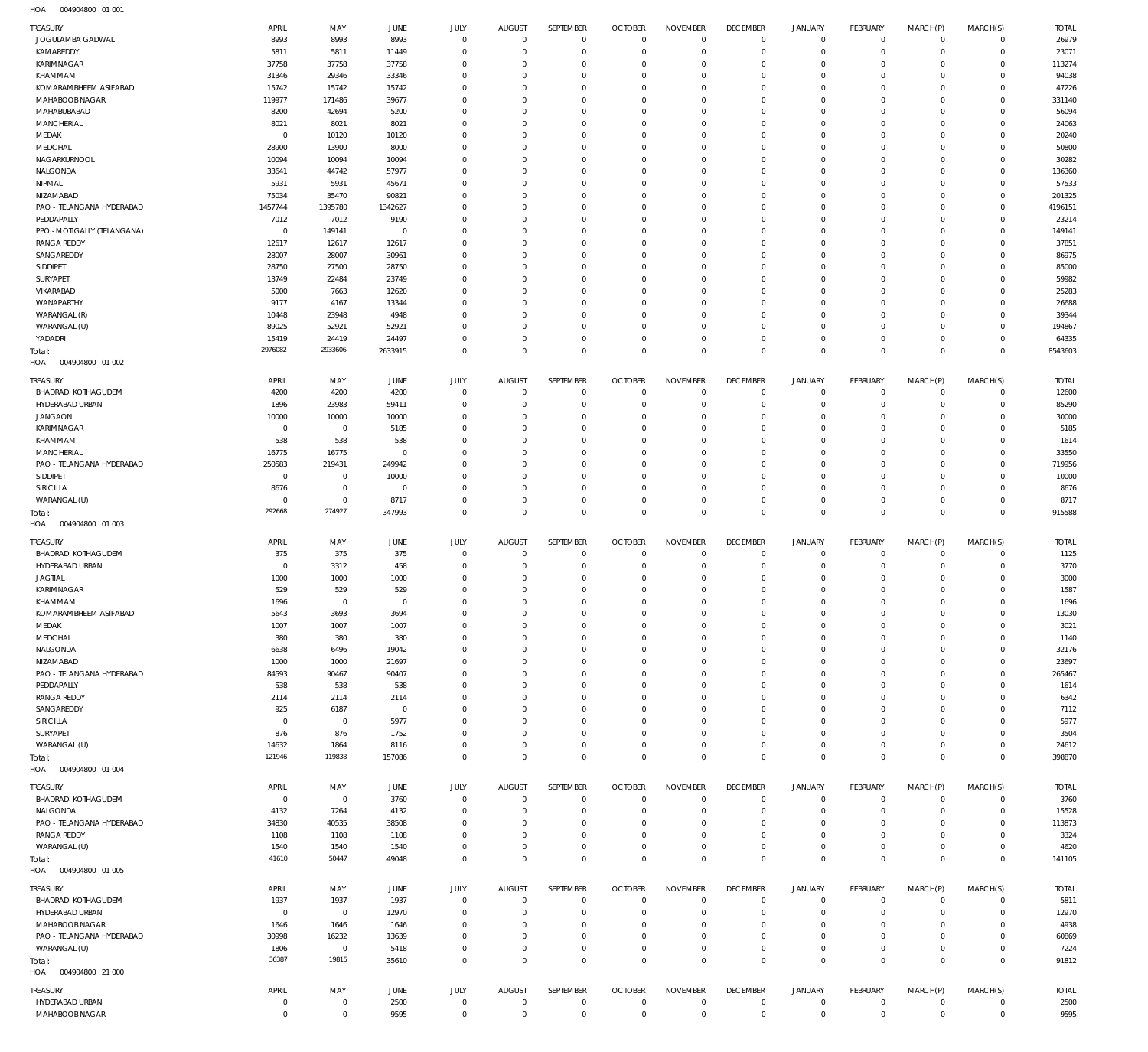004904800 01 001 HOA

| TREASURY                                | APRIL              | MAY                    | JUNE                   | JULY                        | <b>AUGUST</b>                   | SEPTEMBER                  | <b>OCTOBER</b>                   | <b>NOVEMBER</b>                | <b>DECEMBER</b>                   | <b>JANUARY</b>                | <b>FEBRUARY</b>            | MARCH(P)                   | MARCH(S)                   | <b>TOTAL</b>    |
|-----------------------------------------|--------------------|------------------------|------------------------|-----------------------------|---------------------------------|----------------------------|----------------------------------|--------------------------------|-----------------------------------|-------------------------------|----------------------------|----------------------------|----------------------------|-----------------|
| JOGULAMBA GADWAL                        | 8993               | 8993                   | 8993                   | $\mathbf 0$                 | $\overline{0}$                  | $\mathbf 0$                | $\overline{0}$                   | $\mathbf 0$                    | $\overline{0}$                    | $\mathbf 0$                   | $\overline{0}$             | $\mathbf 0$                | $\mathbf 0$                | 26979           |
| KAMAREDDY                               | 5811               | 5811                   | 11449                  | $\Omega$                    | $\overline{0}$                  | $\mathbf 0$                | $\overline{0}$                   | $\Omega$                       | $\mathbf 0$                       | $\mathbf 0$                   | $\mathbf 0$                | $\mathbf 0$                | $\mathbf 0$                | 23071           |
| KARIMNAGAR                              | 37758              | 37758                  | 37758                  | $\Omega$                    | $^{\circ}$                      | $\mathbf 0$                | $\mathbf 0$                      | $\Omega$                       | $\mathbf 0$                       | $\mathbf 0$                   | $\mathbf 0$                | $\mathbf 0$                | $\mathbf 0$                | 113274          |
| KHAMMAM                                 | 31346              | 29346                  | 33346                  | $\Omega$                    | $\Omega$                        | $\Omega$                   | $\mathbf 0$                      | $\Omega$                       | $\mathbf 0$                       | $\mathbf 0$                   | $\mathbf 0$                | $\Omega$                   | $\mathbf 0$                | 94038           |
| KOMARAMBHEEM ASIFABAD<br>MAHABOOB NAGAR | 15742<br>119977    | 15742<br>171486        | 15742<br>39677         | $\Omega$<br>$\Omega$        | $\Omega$<br>$\mathbf 0$         | $\Omega$<br>$\mathbf 0$    | $\mathbf 0$<br>$\mathbf 0$       | $\Omega$<br>$\Omega$           | $\mathbf 0$<br>$\mathbf 0$        | $\mathbf 0$<br>$\mathbf 0$    | $\mathbf 0$<br>$\mathbf 0$ | $\Omega$<br>$\Omega$       | $\Omega$<br>$^{\circ}$     | 47226<br>331140 |
| MAHABUBABAD                             | 8200               | 42694                  | 5200                   | $\Omega$                    | $\Omega$                        | $\Omega$                   | $\Omega$                         | $\Omega$                       | $\Omega$                          | $\Omega$                      | $\Omega$                   | $\Omega$                   | $\Omega$                   | 56094           |
| MANCHERIAL                              | 8021               | 8021                   | 8021                   | $\Omega$                    | $\mathbf 0$                     | $\mathbf 0$                | $\mathbf 0$                      | $\Omega$                       | $\mathbf 0$                       | $\mathbf 0$                   | $\mathbf 0$                | $\Omega$                   | $\mathbf 0$                | 24063           |
| MEDAK                                   | $\mathbf 0$        | 10120                  | 10120                  | $\Omega$                    | $\Omega$                        | $\Omega$                   | $\mathbf 0$                      | $\Omega$                       | $\mathbf 0$                       | $\mathbf 0$                   | $\mathbf 0$                | $\mathbf 0$                | $\Omega$                   | 20240           |
| MEDCHAL                                 | 28900              | 13900                  | 8000                   | $\Omega$                    | $\Omega$                        | $\Omega$                   | $\mathbf 0$                      | $\Omega$                       | $\Omega$                          | $\Omega$                      | $\mathbf 0$                | $\Omega$                   | $^{\circ}$                 | 50800           |
| NAGARKURNOOL                            | 10094              | 10094                  | 10094                  | $\Omega$                    | $\mathbf 0$                     | $\Omega$                   | $\mathbf 0$                      | $\Omega$                       | $\mathbf 0$                       | $\mathbf 0$                   | $\mathbf 0$                | $\mathbf 0$                | $\Omega$                   | 30282           |
| NALGONDA                                | 33641              | 44742                  | 57977                  | $\Omega$                    | $\Omega$                        | $\Omega$                   | $\mathbf 0$                      | $\Omega$                       | $\Omega$                          | $\mathbf 0$                   | $\Omega$                   | $\Omega$                   | $^{\circ}$                 | 136360          |
| NIRMAL                                  | 5931               | 5931                   | 45671                  | $\Omega$                    | $\mathbf 0$                     | $\Omega$                   | $\mathbf 0$                      | $\Omega$                       | $\mathbf 0$                       | $\mathbf 0$                   | $\mathbf 0$                | $\Omega$                   | $\Omega$                   | 57533           |
| NIZAMABAD                               | 75034              | 35470                  | 90821                  | $\Omega$                    | $\mathbf 0$                     | $\mathbf 0$                | $\mathbf 0$                      | $\Omega$                       | $\mathbf 0$                       | $\mathbf 0$                   | $\mathbf 0$                | $\Omega$                   | $^{\circ}$                 | 201325          |
| PAO - TELANGANA HYDERABAD               | 1457744            | 1395780                | 1342627                | $\Omega$                    | $\Omega$                        | $\Omega$                   | $\Omega$                         | $\Omega$                       | $\Omega$                          | $\Omega$                      | $\Omega$                   | $\Omega$                   | $\Omega$                   | 4196151         |
| PEDDAPALLY                              | 7012               | 7012                   | 9190                   | $\Omega$                    | $\mathbf 0$                     | $\mathbf 0$                | $\mathbf 0$                      | $\Omega$                       | $\mathbf 0$                       | $\mathbf 0$                   | $\mathbf 0$                | $\Omega$                   | $^{\circ}$                 | 23214           |
| PPO - MOTIGALLY (TELANGANA)             | $\mathbf 0$        | 149141                 | $\mathbf 0$            | $\Omega$                    | $\Omega$                        | $\Omega$                   | $\mathbf 0$                      | $\Omega$                       | $\mathbf 0$                       | $\mathbf 0$                   | $\mathbf 0$                | $\Omega$                   | $\Omega$                   | 149141          |
| <b>RANGA REDDY</b>                      | 12617              | 12617                  | 12617                  | $\Omega$                    | $\Omega$                        | $\Omega$                   | $\mathbf 0$                      | $\Omega$                       | $\Omega$                          | $\Omega$                      | $\mathbf 0$                | $\Omega$                   | $\Omega$                   | 37851           |
| SANGAREDDY<br>SIDDIPET                  | 28007<br>28750     | 28007<br>27500         | 30961<br>28750         | $\Omega$<br>$\Omega$        | $\mathbf 0$<br>$\Omega$         | $\Omega$<br>$\Omega$       | $\mathbf 0$<br>$\mathbf 0$       | $\Omega$<br>$\Omega$           | $\mathbf 0$<br>$\Omega$           | $\mathbf 0$<br>$\mathbf 0$    | $\mathbf 0$<br>$\Omega$    | $\mathbf 0$<br>$\Omega$    | $\Omega$<br>$^{\circ}$     | 86975<br>85000  |
| SURYAPET                                | 13749              | 22484                  | 23749                  | $\Omega$                    | $\mathbf 0$                     | $\Omega$                   | $\mathbf 0$                      | $\Omega$                       | $\mathbf 0$                       | $\mathbf 0$                   | $\mathbf 0$                | $\Omega$                   | $\Omega$                   | 59982           |
| VIKARABAD                               | 5000               | 7663                   | 12620                  | $\Omega$                    | $\mathbf 0$                     | $\Omega$                   | $\mathbf 0$                      | $\Omega$                       | $\mathbf 0$                       | $\mathbf 0$                   | $\mathbf 0$                | $\Omega$                   | $^{\circ}$                 | 25283           |
| WANAPARTHY                              | 9177               | 4167                   | 13344                  | $\Omega$                    | $\Omega$                        | $\Omega$                   | $\Omega$                         | $\Omega$                       | $\Omega$                          | $\Omega$                      | $\Omega$                   | $\Omega$                   | $\Omega$                   | 26688           |
| WARANGAL (R)                            | 10448              | 23948                  | 4948                   | $\Omega$                    | $\mathbf 0$                     | $\mathbf 0$                | $\mathbf 0$                      | $\Omega$                       | $\mathbf 0$                       | $\mathbf 0$                   | $\mathbf 0$                | $\Omega$                   | $^{\circ}$                 | 39344           |
| WARANGAL (U)                            | 89025              | 52921                  | 52921                  | $\Omega$                    | $\Omega$                        | $\Omega$                   | $\mathbf 0$                      | $\Omega$                       | $\mathbf 0$                       | $\mathbf 0$                   | $\mathbf 0$                | $\mathbf 0$                | $\Omega$                   | 194867          |
| YADADRI                                 | 15419              | 24419                  | 24497                  | $\Omega$                    | $\overline{0}$                  | $\mathbf 0$                | $\mathbf 0$                      | $\Omega$                       | $\mathbf 0$                       | $\mathbf 0$                   | $\mathbf 0$                | $\mathbf 0$                | $\mathbf 0$                | 64335           |
| Total:                                  | 2976082            | 2933606                | 2633915                | $\Omega$                    | $\Omega$                        | $\mathbf 0$                | $\overline{0}$                   | $\mathbf 0$                    | $\mathbf 0$                       | $\mathbf 0$                   | $\mathbf 0$                | $\mathbf 0$                | $\mathbf 0$                | 8543603         |
| HOA<br>004904800 01 002                 |                    |                        |                        |                             |                                 |                            |                                  |                                |                                   |                               |                            |                            |                            |                 |
| TREASURY                                | APRIL              | MAY                    | JUNE                   | <b>JULY</b>                 | <b>AUGUST</b>                   | SEPTEMBER                  | <b>OCTOBER</b>                   | <b>NOVEMBER</b>                | <b>DECEMBER</b>                   | <b>JANUARY</b>                | <b>FEBRUARY</b>            | MARCH(P)                   | MARCH(S)                   | <b>TOTAL</b>    |
| <b>BHADRADI KOTHAGUDEM</b>              | 4200               | 4200                   | 4200                   | $\Omega$                    | $\mathbf 0$                     | $\mathbf 0$                | $\mathbf 0$                      | $\Omega$                       | $\mathbf 0$                       | $\mathbf 0$                   | $\mathbf 0$                | $^{\circ}$                 | $\mathbf 0$                | 12600           |
| HYDERABAD URBAN                         | 1896               | 23983                  | 59411                  | $\Omega$                    | $\mathbf 0$                     | $\mathbf 0$                | $\overline{0}$                   | $\Omega$                       | $\mathbf 0$                       | $\mathbf 0$                   | $\mathbf 0$                | $\Omega$                   | $\mathbf 0$                | 85290           |
| <b>JANGAON</b>                          | 10000              | 10000                  | 10000                  | $\Omega$                    | $\Omega$                        | $\Omega$                   | $\mathbf 0$                      | $\Omega$                       | $\mathbf 0$                       | $\mathbf 0$                   | $\mathbf 0$                | $\Omega$                   | $\Omega$                   | 30000           |
| KARIMNAGAR                              | $\overline{0}$     | $\overline{0}$         | 5185                   | $\Omega$                    | $\Omega$                        | $\Omega$                   | $\Omega$                         | $\Omega$                       | $\Omega$                          | $\Omega$                      | $\Omega$                   | $\Omega$                   | $\Omega$                   | 5185            |
| KHAMMAM                                 | 538                | 538                    | 538                    | $\Omega$                    | $\Omega$                        | $\Omega$                   | $\mathbf 0$                      | $\Omega$                       | $\Omega$                          | $\Omega$                      | $\Omega$                   | $\Omega$                   | $\Omega$                   | 1614            |
| MANCHERIAL                              | 16775              | 16775                  | $\Omega$               | $\Omega$                    | $\Omega$                        | $\Omega$                   | $\Omega$                         | $\Omega$                       | $\Omega$                          | $\Omega$                      | $\Omega$                   | $\Omega$                   | $\Omega$                   | 33550           |
| PAO - TELANGANA HYDERABAD               | 250583             | 219431                 | 249942                 | $\Omega$                    | $\Omega$                        | $\Omega$                   | $\Omega$                         | $\Omega$                       | $\Omega$                          | $\Omega$                      | $\Omega$                   | $\Omega$                   | $\Omega$                   | 719956          |
| SIDDIPET                                | $\mathbf 0$        | $^{\circ}$             | 10000                  | $\Omega$                    | $\Omega$                        | $\Omega$                   | $\Omega$                         | $\Omega$                       | $\mathbf 0$                       | $\Omega$                      | $\Omega$                   | $\Omega$                   | $\Omega$                   | 10000           |
| SIRICILLA                               | 8676               | $\mathbf{0}$           | $\overline{0}$         | $\Omega$                    | $\Omega$                        | $\Omega$                   | $\Omega$                         | $\Omega$                       | $\Omega$                          | $\Omega$                      | $\Omega$                   | $\Omega$                   | $\Omega$                   | 8676            |
| WARANGAL (U)                            | $\Omega$<br>292668 | $\mathbf{0}$<br>274927 | 8717<br>347993         | $\Omega$<br>$\Omega$        | $\mathbf 0$<br>$\Omega$         | $\mathbf 0$<br>$\mathbf 0$ | $^{\circ}$<br>$\overline{0}$     | $\mathbf 0$<br>$\Omega$        | $\mathbf 0$<br>$\mathbf 0$        | $\mathbf 0$<br>$\mathbf 0$    | $\mathbf 0$<br>$\mathbf 0$ | $\mathbf 0$<br>$\Omega$    | $\mathbf 0$<br>$\mathbf 0$ | 8717<br>915588  |
| Total:<br>HOA<br>004904800 01 003       |                    |                        |                        |                             |                                 |                            |                                  |                                |                                   |                               |                            |                            |                            |                 |
|                                         |                    |                        |                        |                             |                                 |                            |                                  |                                |                                   |                               |                            |                            |                            |                 |
| TREASURY                                | APRIL              | MAY                    | JUNE                   | JULY                        | <b>AUGUST</b>                   | SEPTEMBER                  | <b>OCTOBER</b>                   | <b>NOVEMBER</b>                | <b>DECEMBER</b>                   | <b>JANUARY</b>                | FEBRUARY                   | MARCH(P)                   | MARCH(S)                   | <b>TOTAL</b>    |
| <b>BHADRADI KOTHAGUDEM</b>              | 375                | 375                    | 375                    | $\mathbf 0$                 | $\overline{0}$                  | $^{\circ}$                 | $\overline{0}$                   | $\Omega$                       | $\mathbf 0$                       | 0                             | $\mathbf 0$                | $^{\circ}$                 | $^{\circ}$                 | 1125            |
| HYDERABAD URBAN                         | $^{\circ}$         | 3312                   | 458                    | $\mathbf 0$                 | $\overline{0}$                  | $\mathbf 0$                | $\overline{0}$                   | $\mathbf 0$                    | $\overline{0}$                    | $\mathbf 0$                   | $\mathbf 0$                | $\mathbf 0$                | $\mathbf 0$                | 3770            |
| <b>JAGTIAL</b>                          | 1000               | 1000                   | 1000                   | $\Omega$                    | $\mathbf 0$                     | $\mathbf 0$                | $\overline{0}$                   | $\Omega$                       | $\mathbf 0$                       | $\mathbf 0$                   | $\mathbf 0$                | $\mathbf 0$                | $^{\circ}$                 | 3000            |
| KARIMNAGAR                              | 529                | 529                    | 529                    | $\Omega$<br>$\Omega$        | $\Omega$                        | $\Omega$                   | $\mathbf 0$<br>$\overline{0}$    | $\Omega$                       | $\mathbf 0$                       | $\mathbf 0$                   | $\Omega$                   | $\Omega$                   | $\Omega$                   | 1587            |
| KHAMMAM<br>KOMARAMBHEEM ASIFABAD        | 1696<br>5643       | $\overline{0}$<br>3693 | $\overline{0}$<br>3694 | $\Omega$                    | $\overline{0}$<br>$\Omega$      | $\mathbf 0$<br>$\Omega$    | $\Omega$                         | $\mathbf 0$<br>$\Omega$        | $\overline{0}$<br>$\Omega$        | $\mathbf 0$<br>$\Omega$       | $\mathbf 0$<br>$\Omega$    | $\mathbf 0$<br>$\Omega$    | $\mathbf 0$<br>$\Omega$    | 1696<br>13030   |
| MEDAK                                   | 1007               | 1007                   | 1007                   | $\mathbf 0$                 | $\mathbf 0$                     | $\mathbf 0$                | $\overline{0}$                   | $\mathbf 0$                    | $\mathbf 0$                       | $\mathbf 0$                   | $\mathbf 0$                | $\mathbf 0$                | $\mathbf 0$                | 3021            |
| MEDCHAL                                 | 380                | 380                    | 380                    | $\mathbf 0$                 | $\mathbf 0$                     | $\mathbf 0$                | $\mathbf 0$                      | $\mathbf 0$                    | $\mathbf 0$                       | $\mathbf 0$                   | $\mathbf 0$                | $\mathbf 0$                | $^{\circ}$                 | 1140            |
| NALGONDA                                | 6638               | 6496                   | 19042                  | $\Omega$                    | $\Omega$                        | $\Omega$                   | $\overline{0}$                   | $\Omega$                       | $\mathbf 0$                       | 0                             | $\mathbf 0$                | $\Omega$                   | $\mathbf 0$                | 32176           |
| NIZAMABAD                               | 1000               | 1000                   | 21697                  | $\Omega$                    | $^{\circ}$                      | $\mathbf 0$                | $\mathbf 0$                      | $\mathbf 0$                    | $\mathbf 0$                       | $\mathbf 0$                   | $\mathbf 0$                | $\mathbf 0$                | $\mathbf 0$                | 23697           |
| PAO - TELANGANA HYDERABAD               | 84593              | 90467                  | 90407                  | $\Omega$                    | $\Omega$                        | $\mathbf 0$                | $\overline{0}$                   | $\Omega$                       | $\mathbf 0$                       | $\mathbf 0$                   | $\mathbf 0$                | $\Omega$                   | $\mathbf 0$                | 265467          |
| PEDDAPALLY                              | 538                | 538                    | 538                    | $\Omega$                    | $^{\circ}$                      | $\Omega$                   | $^{\circ}$                       | $\mathbf 0$                    | $\mathbf 0$                       | 0                             | $\mathbf 0$                | $\Omega$                   | $\Omega$                   | 1614            |
| <b>RANGA REDDY</b>                      | 2114               | 2114                   | 2114                   | $\Omega$                    | $^{\circ}$                      | $\mathbf 0$                | $\overline{0}$                   | $\mathbf 0$                    | $\mathbf 0$                       | $\mathbf 0$                   | $\mathbf 0$                | $\Omega$                   | $^{\circ}$                 | 6342            |
| SANGAREDDY                              | 925                | 6187                   | $\overline{0}$         | $\Omega$                    | $\Omega$                        | $\Omega$                   | $\mathbf 0$                      | $\Omega$                       | $\mathbf 0$                       | $\Omega$                      | $\mathbf 0$                | $\Omega$                   | $\Omega$                   | 7112            |
| SIRICILLA                               | $^{\circ}$         | $\overline{0}$         | 5977                   | $\Omega$                    | $^{\circ}$                      | $\mathbf 0$                | $^{\circ}$                       | $\Omega$                       | $\mathbf 0$                       | 0                             | $\mathbf 0$                | $\Omega$                   | $^{\circ}$                 | 5977            |
| SURYAPET                                | 876                | 876                    | 1752                   | $\Omega$                    | $\mathbf 0$                     | $\Omega$                   | $\mathbf 0$                      | $\mathbf 0$                    | $\mathbf 0$                       | $\mathbf 0$                   | $\mathbf 0$                | $\mathbf 0$                | $^{\circ}$                 | 3504            |
| WARANGAL (U)                            | 14632              | 1864                   | 8116                   | $\mathbf 0$                 | $\overline{0}$                  | $\mathbf 0$                | $\overline{0}$                   | $\mathbf 0$                    | $\overline{0}$                    | $\mathbf 0$                   | $\mathbf 0$                | $\mathbf 0$                | $\mathbf 0$                | 24612           |
| Total:                                  | 121946             | 119838                 | 157086                 | $\mathbf 0$                 | $\overline{0}$                  | $\mathbf 0$                | $\overline{0}$                   | $\mathbf 0$                    | $\overline{0}$                    | $\mathbf 0$                   | $\mathbf 0$                | $\mathbf 0$                | $\mathbf 0$                | 398870          |
| HOA<br>004904800 01 004                 |                    |                        |                        |                             |                                 |                            |                                  |                                |                                   |                               |                            |                            |                            |                 |
| TREASURY                                | APRIL              | MAY                    | JUNE                   | <b>JULY</b>                 | <b>AUGUST</b>                   | SEPTEMBER                  | <b>OCTOBER</b>                   | <b>NOVEMBER</b>                | <b>DECEMBER</b>                   | <b>JANUARY</b>                | FEBRUARY                   | MARCH(P)                   | MARCH(S)                   | <b>TOTAL</b>    |
| <b>BHADRADI KOTHAGUDEM</b>              | $\mathbf 0$        | $\mathbf 0$            | 3760                   | $\mathbf 0$                 | $\overline{0}$                  | $\mathbf 0$                | $\overline{0}$                   | $\Omega$                       | $\mathbf 0$                       | $\mathbf 0$                   | $\mathbf 0$                | $^{\circ}$                 | $\mathbf 0$                | 3760            |
| NALGONDA                                | 4132               | 7264                   | 4132                   | $\mathbf 0$                 | $\mathbf 0$                     | $\mathbf 0$                | $^{\circ}$                       | $\mathbf 0$                    | $\mathbf 0$                       | $\mathbf 0$                   | $\mathbf 0$                | $\Omega$                   | $\mathbf 0$                | 15528           |
| PAO - TELANGANA HYDERABAD               | 34830              | 40535                  | 38508                  | $\Omega$                    | $\mathbf 0$                     | $\mathbf 0$                | $\mathbf 0$                      | $\Omega$                       | $\mathbf 0$                       | $\mathbf 0$                   | $\mathbf 0$                | $\Omega$                   | $\mathbf 0$                | 113873          |
| <b>RANGA REDDY</b>                      | 1108               | 1108                   | 1108                   | $\Omega$<br>$\Omega$        | $\Omega$                        | $\mathbf 0$                | $\mathbf 0$                      | $\Omega$                       | $\mathbf 0$                       | $\mathbf 0$<br>$\mathbf 0$    | $\mathbf 0$                | $\Omega$                   | $\mathbf 0$                | 3324            |
| WARANGAL (U)                            | 1540<br>41610      | 1540<br>50447          | 1540<br>49048          | $\Omega$                    | $\mathbf 0$<br>$\Omega$         | $\mathbf 0$<br>$\mathbf 0$ | $\mathbf 0$<br>$\mathbf 0$       | $\mathbf 0$<br>$\mathbf 0$     | $\mathbf 0$<br>$\mathbf 0$        | $\mathbf 0$                   | $\mathbf 0$<br>$\mathbf 0$ | $\mathbf 0$<br>$\Omega$    | $\mathbf 0$<br>$\mathbf 0$ | 4620<br>141105  |
| Total:<br>HOA<br>004904800 01 005       |                    |                        |                        |                             |                                 |                            |                                  |                                |                                   |                               |                            |                            |                            |                 |
|                                         |                    |                        |                        |                             |                                 |                            |                                  |                                |                                   |                               |                            |                            |                            |                 |
| TREASURY                                | APRIL              | MAY                    | JUNE                   | <b>JULY</b><br>$\mathbf{0}$ | <b>AUGUST</b><br>$\overline{0}$ | SEPTEMBER<br>$\mathbf 0$   | <b>OCTOBER</b><br>$\overline{0}$ | <b>NOVEMBER</b><br>$\mathbf 0$ | <b>DECEMBER</b><br>$\overline{0}$ | <b>JANUARY</b><br>$\mathbf 0$ | FEBRUARY<br>$\mathbf 0$    | MARCH(P)                   | MARCH(S)                   | <b>TOTAL</b>    |
| <b>BHADRADI KOTHAGUDEM</b>              | 1937<br>$^{\circ}$ | 1937                   | 1937                   | $\mathbf 0$                 | $\overline{0}$                  |                            |                                  | $\mathbf 0$                    |                                   | $\mathbf 0$                   |                            | $\mathbf 0$<br>$\mathbf 0$ | $\mathbf 0$<br>$\mathbf 0$ | 5811            |
| HYDERABAD URBAN                         |                    | $\overline{0}$         | 12970<br>1646          | $\mathbf 0$                 | $^{\circ}$                      | $\mathbf 0$<br>$\mathbf 0$ | $\overline{0}$<br>$\mathbf 0$    | $\mathbf 0$                    | 0<br>$\mathbf 0$                  | $\mathbf 0$                   | $\mathbf 0$<br>$\mathbf 0$ | $\mathbf 0$                | $^{\circ}$                 | 12970<br>4938   |
|                                         |                    |                        |                        |                             |                                 |                            |                                  |                                |                                   |                               |                            |                            |                            |                 |
| MAHABOOB NAGAR                          | 1646               | 1646                   |                        | $\Omega$                    |                                 |                            |                                  | $\Omega$                       |                                   |                               |                            | $\Omega$                   |                            |                 |
| PAO - TELANGANA HYDERABAD               | 30998              | 16232                  | 13639                  | $\mathbf 0$                 | $^{\circ}$<br>$\overline{0}$    | $\mathbf 0$<br>$\mathbf 0$ | $\overline{0}$                   | $\mathbf 0$                    | $\overline{0}$<br>$\overline{0}$  | 0<br>$\mathbf 0$              | $^{\circ}$                 | $\mathbf 0$                | $\mathbf 0$<br>$\mathbf 0$ | 60869           |
| WARANGAL (U)                            | 1806<br>36387      | $\,0\,$<br>19815       | 5418<br>35610          | $\mathbf 0$                 | $\Omega$                        | $\mathbf 0$                | $\overline{0}$<br>$\overline{0}$ | $\mathbf 0$                    | $\overline{0}$                    | $\mathbf 0$                   | $\overline{0}$<br>$\Omega$ | $\Omega$                   | $\mathbf 0$                | 7224<br>91812   |
| Total:<br>004904800 21 000<br>HOA       |                    |                        |                        |                             |                                 |                            |                                  |                                |                                   |                               |                            |                            |                            |                 |
| TREASURY                                | APRIL              | MAY                    | <b>JUNE</b>            | JULY                        | <b>AUGUST</b>                   | SEPTEMBER                  | <b>OCTOBER</b>                   | <b>NOVEMBER</b>                | <b>DECEMBER</b>                   | <b>JANUARY</b>                | FEBRUARY                   | MARCH(P)                   | MARCH(S)                   | <b>TOTAL</b>    |
| HYDERABAD URBAN                         | $\overline{0}$     | $\mathbf 0$            | 2500                   | $\mathbf 0$                 | $\overline{0}$                  | $\overline{0}$             | $\overline{0}$                   | $\mathbf 0$                    | $\mathbf 0$                       | 0                             | $\mathbf 0$                | $^{\circ}$                 | $\mathbf 0$                | 2500            |
| MAHABOOB NAGAR                          | $\,0\,$            | $\mathbf 0$            | 9595                   | $\bf 0$                     | $\overline{0}$                  | $\mathbf 0$                | $\mathbf 0$                      | $\mathbf 0$                    | $\bf 0$                           | $\mathsf{O}\xspace$           | $\mathbf 0$                | $\mathbf 0$                | $\mathsf{O}$               | 9595            |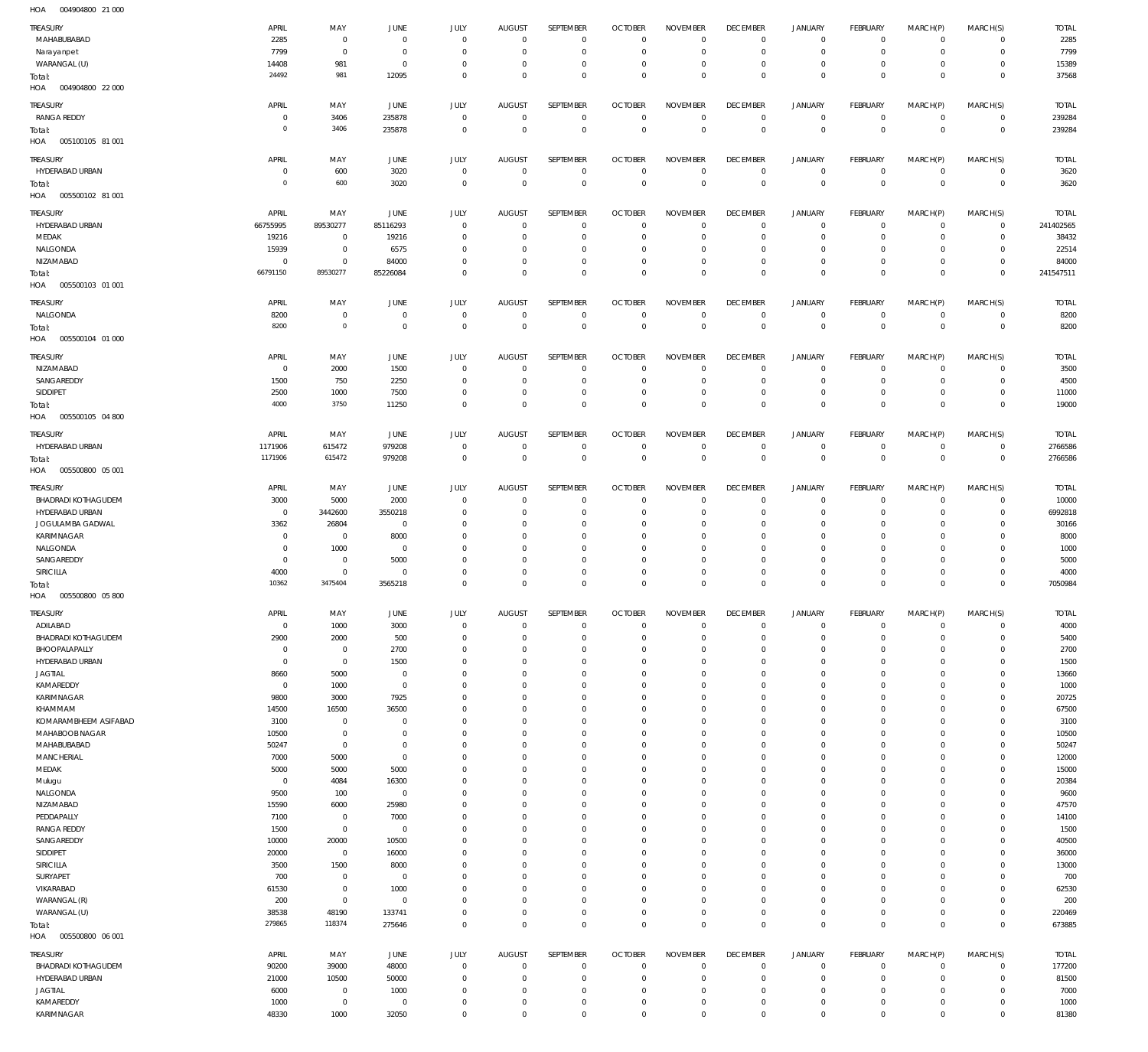004904800 21 000 HOA

| <b>TREASURY</b>                   | APRIL                      | MAY                        | <b>JUNE</b>             | JULY                       | <b>AUGUST</b>                    | SEPTEMBER                  | <b>OCTOBER</b>                   | <b>NOVEMBER</b>            | <b>DECEMBER</b>                  | <b>JANUARY</b>             | FEBRUARY                         | MARCH(P)                   | MARCH(S)                         | <b>TOTAL</b>   |
|-----------------------------------|----------------------------|----------------------------|-------------------------|----------------------------|----------------------------------|----------------------------|----------------------------------|----------------------------|----------------------------------|----------------------------|----------------------------------|----------------------------|----------------------------------|----------------|
| MAHABUBABAD                       | 2285                       | $\mathbf 0$                | $\overline{0}$          | $\mathbf 0$                | $\overline{0}$                   | $\mathbf 0$                | $\overline{0}$                   | $\mathbf 0$                | $\overline{0}$                   | $\circ$                    | $\overline{0}$                   | $\mathbf 0$                | $\circ$                          | 2285           |
| Narayanpet                        | 7799                       | $\mathbf 0$                | $\overline{0}$          | $\mathbf 0$                | $\overline{0}$                   | $\mathbf 0$                | $\overline{0}$                   | $\mathbf 0$                | $\overline{0}$                   | $\mathbf 0$                | $\overline{0}$                   | $\mathbf 0$                | $\overline{0}$                   | 7799           |
| WARANGAL (U)                      | 14408<br>24492             | 981<br>981                 | $\overline{0}$<br>12095 | $\mathbf 0$<br>$\mathbf 0$ | $\overline{0}$<br>$\overline{0}$ | $\mathbf 0$<br>$\mathbf 0$ | $\overline{0}$<br>$\overline{0}$ | $\mathbf 0$<br>$\mathbf 0$ | $\overline{0}$<br>$\overline{0}$ | $\mathbf 0$<br>$\mathbf 0$ | $\overline{0}$<br>$\overline{0}$ | $\mathbf 0$<br>$\mathbf 0$ | $\overline{0}$<br>$\overline{0}$ | 15389          |
| Total:<br>HOA<br>004904800 22 000 |                            |                            |                         |                            |                                  |                            |                                  |                            |                                  |                            |                                  |                            |                                  | 37568          |
|                                   |                            |                            |                         |                            |                                  |                            |                                  |                            |                                  |                            |                                  |                            |                                  |                |
| <b>TREASURY</b>                   | APRIL                      | MAY                        | JUNE                    | <b>JULY</b>                | <b>AUGUST</b>                    | SEPTEMBER                  | <b>OCTOBER</b>                   | <b>NOVEMBER</b>            | <b>DECEMBER</b>                  | <b>JANUARY</b>             | FEBRUARY                         | MARCH(P)                   | MARCH(S)                         | <b>TOTAL</b>   |
| <b>RANGA REDDY</b>                | $^{\circ}$                 | 3406                       | 235878                  | $\mathbf 0$                | $\overline{0}$                   | $\overline{0}$             | $\overline{0}$                   | $\mathbf 0$                | $\overline{0}$                   | $\circ$                    | $\overline{0}$                   | $\mathbf{0}$               | $\overline{0}$                   | 239284         |
| Total:                            | $\mathbf 0$                | 3406                       | 235878                  | $\mathbf 0$                | $\mathbf 0$                      | $\mathbf 0$                | $\overline{0}$                   | $\overline{0}$             | $\overline{0}$                   | $\mathbf 0$                | $\overline{0}$                   | $\mathbf 0$                | $\overline{0}$                   | 239284         |
| HOA<br>005100105 81 001           |                            |                            |                         |                            |                                  |                            |                                  |                            |                                  |                            |                                  |                            |                                  |                |
| TREASURY                          | APRIL                      | MAY                        | <b>JUNE</b>             | <b>JULY</b>                | <b>AUGUST</b>                    | SEPTEMBER                  | <b>OCTOBER</b>                   | <b>NOVEMBER</b>            | <b>DECEMBER</b>                  | <b>JANUARY</b>             | FEBRUARY                         | MARCH(P)                   | MARCH(S)                         | <b>TOTAL</b>   |
| HYDERABAD URBAN                   | $\overline{0}$             | 600                        | 3020                    | $\mathbf 0$                | $\overline{0}$                   | $\mathbf 0$                | $\overline{0}$                   | $\overline{0}$             | $\overline{0}$                   | $\overline{0}$             | $\overline{0}$                   | $\circ$                    | $\overline{0}$                   | 3620           |
| Total:                            | $\mathbf 0$                | 600                        | 3020                    | $\mathbf 0$                | $\overline{0}$                   | $\mathbf 0$                | $\overline{0}$                   | $\overline{0}$             | $\overline{0}$                   | $\mathbf 0$                | $\overline{0}$                   | $\mathbf 0$                | $\overline{0}$                   | 3620           |
| 005500102 81 001<br>HOA           |                            |                            |                         |                            |                                  |                            |                                  |                            |                                  |                            |                                  |                            |                                  |                |
|                                   |                            |                            |                         |                            |                                  |                            |                                  |                            |                                  |                            |                                  |                            |                                  |                |
| <b>TREASURY</b>                   | APRIL                      | MAY                        | JUNE                    | JULY                       | <b>AUGUST</b>                    | SEPTEMBER                  | <b>OCTOBER</b>                   | <b>NOVEMBER</b>            | <b>DECEMBER</b>                  | <b>JANUARY</b>             | FEBRUARY                         | MARCH(P)                   | MARCH(S)                         | <b>TOTAL</b>   |
| HYDERABAD URBAN                   | 66755995                   | 89530277                   | 85116293                | $\mathbf 0$                | $\mathbf 0$                      | $\mathbf 0$                | $\overline{0}$                   | $\mathbf 0$                | $\mathbf 0$                      | $\mathbf 0$                | $\circ$                          | $\mathbf 0$                | $\overline{0}$                   | 241402565      |
| MEDAK                             | 19216                      | $\mathbf 0$                | 19216                   | $\mathbf 0$                | $^{\circ}$                       | $\mathbf 0$                | $\overline{0}$                   | $\Omega$                   | $\mathbf 0$                      | $\mathbf 0$                | $\mathbf{0}$                     | $\mathbf 0$                | $\overline{0}$                   | 38432          |
| NALGONDA                          | 15939                      | $\mathbf 0$                | 6575                    | $\mathbf 0$                | $\mathbf 0$                      | $\mathbf 0$                | $^{\circ}$                       | $\mathbf 0$                | $\mathbf 0$                      | $\mathbf 0$                | $\mathbf{0}$                     | $\mathbf 0$                | $\mathbf{0}$                     | 22514          |
| NIZAMABAD                         | $\overline{0}$<br>66791150 | $\mathbf 0$<br>89530277    | 84000                   | $\mathbf 0$                | $\mathbf 0$                      | $\mathbf 0$                | $\overline{0}$                   | $\mathbf 0$                | $\overline{0}$                   | $\mathbf 0$<br>$\mathbf 0$ | $\overline{0}$                   | $\mathbf 0$                | $\circ$                          | 84000          |
| Total:                            |                            |                            | 85226084                | $\mathbf 0$                | $\mathbf 0$                      | $\mathbf 0$                | $\mathbf 0$                      | $\mathbf 0$                | $\mathbf 0$                      |                            | $\overline{0}$                   | $\mathbf 0$                | $\overline{0}$                   | 241547511      |
| HOA<br>005500103 01 001           |                            |                            |                         |                            |                                  |                            |                                  |                            |                                  |                            |                                  |                            |                                  |                |
| TREASURY                          | APRIL                      | MAY                        | <b>JUNE</b>             | <b>JULY</b>                | <b>AUGUST</b>                    | SEPTEMBER                  | <b>OCTOBER</b>                   | <b>NOVEMBER</b>            | <b>DECEMBER</b>                  | <b>JANUARY</b>             | FEBRUARY                         | MARCH(P)                   | MARCH(S)                         | <b>TOTAL</b>   |
| NALGONDA                          | 8200                       | $\mathbf 0$                | $\overline{0}$          | $\mathbf 0$                | $\overline{0}$                   | $\mathbf 0$                | $\overline{0}$                   | $\mathbf 0$                | $\overline{0}$                   | $\circ$                    | $\overline{0}$                   | $\circ$                    | $\overline{0}$                   | 8200           |
| Total:                            | 8200                       | $\mathbf 0$                | $\overline{0}$          | $\mathbf 0$                | $\overline{0}$                   | $\,0\,$                    | $\overline{0}$                   | $\overline{0}$             | $\overline{0}$                   | $\overline{0}$             | $\overline{0}$                   | $\overline{0}$             | $\overline{0}$                   | 8200           |
| HOA<br>005500104 01 000           |                            |                            |                         |                            |                                  |                            |                                  |                            |                                  |                            |                                  |                            |                                  |                |
| TREASURY                          | APRIL                      | MAY                        | <b>JUNE</b>             | JULY                       | <b>AUGUST</b>                    | SEPTEMBER                  | <b>OCTOBER</b>                   | <b>NOVEMBER</b>            | <b>DECEMBER</b>                  | <b>JANUARY</b>             | FEBRUARY                         | MARCH(P)                   | MARCH(S)                         | <b>TOTAL</b>   |
| NIZAMABAD                         | $^{\circ}$                 | 2000                       | 1500                    | $\mathbf 0$                | $^{\circ}$                       | $\mathbf 0$                | $^{\circ}$                       | $\mathbf 0$                | $\mathbf 0$                      | 0                          | $\mathbf 0$                      | $\mathbf 0$                | $\mathbf{0}$                     | 3500           |
| SANGAREDDY                        | 1500                       | 750                        | 2250                    | $\mathbf 0$                | $\mathbf 0$                      | $\mathbf 0$                | $\overline{0}$                   | $\Omega$                   | $\mathbf 0$                      | $\mathbf 0$                | $\circ$                          | $\mathbf 0$                | $\mathbf{0}$                     | 4500           |
| SIDDIPET                          | 2500                       | 1000                       | 7500                    | $\mathbf 0$                | $\mathbf 0$                      | $\mathbf 0$                | $\mathbf 0$                      | $\mathbf 0$                | $\mathbf 0$                      | $\mathbf 0$                | $\overline{0}$                   | $\mathbf 0$                | $\overline{0}$                   | 11000          |
| Total:                            | 4000                       | 3750                       | 11250                   | $\mathbf 0$                | $\mathbf 0$                      | $\mathbf 0$                | $\overline{0}$                   | $\mathbf 0$                | $\mathbf 0$                      | $\overline{0}$             | $\overline{0}$                   | $\mathbf 0$                | $\overline{0}$                   | 19000          |
| HOA<br>005500105 04 800           |                            |                            |                         |                            |                                  |                            |                                  |                            |                                  |                            |                                  |                            |                                  |                |
|                                   |                            |                            |                         |                            |                                  |                            |                                  |                            |                                  |                            |                                  |                            |                                  |                |
| TREASURY                          | APRIL                      | MAY                        | <b>JUNE</b>             | <b>JULY</b>                | <b>AUGUST</b>                    | SEPTEMBER                  | <b>OCTOBER</b>                   | <b>NOVEMBER</b>            | <b>DECEMBER</b>                  | <b>JANUARY</b>             | FEBRUARY                         | MARCH(P)                   | MARCH(S)                         | <b>TOTAL</b>   |
| HYDERABAD URBAN                   | 1171906                    | 615472                     | 979208                  | $\mathbf 0$                | $\overline{0}$                   | $\mathbf 0$                | $\overline{0}$                   | $\mathbf 0$                | $\overline{0}$                   | $\circ$                    | $\overline{0}$                   | 0                          | $\overline{0}$                   | 2766586        |
| Total:                            | 1171906                    | 615472                     | 979208                  | $\mathbf 0$                | $\overline{0}$                   | $\mathbb O$                | $\overline{0}$                   | $\mathbf 0$                | $\overline{0}$                   | $\mathbf 0$                | $\overline{0}$                   | $\mathbf 0$                | $\overline{0}$                   | 2766586        |
| HOA<br>005500800 05 001           |                            |                            |                         |                            |                                  |                            |                                  |                            |                                  |                            |                                  |                            |                                  |                |
| TREASURY                          | APRIL                      | MAY                        | <b>JUNE</b>             | <b>JULY</b>                | <b>AUGUST</b>                    | SEPTEMBER                  | <b>OCTOBER</b>                   | <b>NOVEMBER</b>            | <b>DECEMBER</b>                  | <b>JANUARY</b>             | FEBRUARY                         | MARCH(P)                   | MARCH(S)                         | <b>TOTAL</b>   |
| <b>BHADRADI KOTHAGUDEM</b>        | 3000                       | 5000                       | 2000                    | $\mathbf 0$                | $\mathbf 0$                      | $^{\circ}$                 | $\overline{0}$                   | $\Omega$                   | $\mathbf 0$                      | $\circ$                    | $\overline{0}$                   | $\mathbf 0$                | $\mathbf{0}$                     | 10000          |
| HYDERABAD URBAN                   | $\overline{0}$             | 3442600                    | 3550218                 | $\mathbf 0$                | $^{\circ}$                       | $\mathbf 0$                | $\overline{0}$                   | $\mathbf 0$                | $\mathbf 0$                      | $\mathbf 0$                | $\overline{0}$                   | $\mathbf 0$                | $\circ$                          | 6992818        |
| JOGULAMBA GADWAL                  | 3362                       | 26804                      | $\overline{0}$          | $\mathbf 0$                | $^{\circ}$                       | $\mathbf 0$                | $\mathbf 0$                      | $\mathbf 0$                | $\mathbf 0$                      | $\mathbf 0$                | $\mathbf{0}$                     | $\Omega$                   | $\circ$                          | 30166          |
| KARIMNAGAR                        | $^{\circ}$                 | $\mathbf 0$                | 8000                    | $\mathbf 0$                | $\mathbf 0$                      | $\mathbf 0$                | $^{\circ}$                       | $\mathbf 0$                | $\mathbf 0$                      | $\mathbf 0$                | $\mathbf{0}$                     | $\Omega$                   | $\mathbf{0}$                     | 8000           |
| NALGONDA                          | $^{\circ}$                 | 1000                       | $\overline{0}$          | $\Omega$                   | $\mathbf 0$                      | $\mathbf 0$                | $\mathbf 0$                      | $\mathbf 0$                | $\mathbf 0$                      | $\mathbf 0$                | $\mathbf 0$                      | $\Omega$                   | $\mathbf 0$                      | 1000           |
| SANGAREDDY                        | $^{\circ}$                 | $\mathbf 0$                | 5000                    | $\Omega$                   | $\mathbf 0$                      | $\mathbf 0$                | $\mathbf 0$                      | $\mathbf 0$                | $\mathbf 0$                      | $\mathbf 0$                | $\mathbf{0}$                     | $\Omega$                   | $\mathbf{0}$                     | 5000           |
| SIRICILLA                         | 4000                       | $\mathbf 0$                | $\overline{0}$          | $\Omega$                   | $\mathbf 0$                      | $\mathbf 0$                | $\mathbf 0$                      | $\mathbf 0$                | $\mathbf 0$                      | $\mathbf 0$                | $\circ$                          | 0                          | $\mathbf 0$                      | 4000           |
| Total:                            | 10362                      | 3475404                    | 3565218                 | $\Omega$                   | $\Omega$                         | $\mathbf 0$                | $\mathbf 0$                      | $\mathbf 0$                | $\mathbf 0$                      | $\mathbf 0$                | $\overline{0}$                   | $\mathbf 0$                | $\mathbf 0$                      | 7050984        |
| HOA<br>005500800 05 800           |                            |                            |                         |                            |                                  |                            |                                  |                            |                                  |                            |                                  |                            |                                  |                |
| TREASURY                          | APRIL                      | MAY                        | <b>JUNE</b>             | <b>JULY</b>                | AUGUS1                           | SEPTEMBER                  | <b>OCTOBER</b>                   | <b>NOVEMBER</b>            | <b>DECEMBER</b>                  | <b>JANUARY</b>             | FEBRUARY                         | MARCH(P)                   | MARCH(S)                         | <b>TOTAL</b>   |
| ADILABAD                          | $\overline{0}$             | 1000                       | 3000                    | $\mathbf 0$                | $\overline{0}$                   | $\mathbf 0$                | $\overline{0}$                   | $\mathbf 0$                | $\overline{0}$                   | $\circ$                    | $\overline{0}$                   | 0                          | $\overline{0}$                   | 4000           |
| <b>BHADRADI KOTHAGUDEM</b>        | 2900                       | 2000                       | 500                     | $\mathbf 0$                | $\mathbf 0$                      | $\mathbf 0$                | $\overline{0}$                   | $\mathbf 0$                | $\mathbf 0$                      | 0                          | $\overline{0}$                   | 0                          | $\circ$                          | 5400           |
| BHOOPALAPALLY                     | $\overline{0}$             | $\overline{0}$             | 2700                    | $\mathbf 0$                | $\mathbf 0$                      | $\mathbf 0$                | $\overline{0}$                   | $\mathbf 0$                | $\overline{0}$                   | $\mathbf 0$                | $\mathbf{0}$                     | 0                          | $\mathbf{0}$                     | 2700           |
| HYDERABAD URBAN                   | $\overline{0}$             | $\mathbf 0$                | 1500                    | $\mathbf 0$                | $\mathbf 0$                      | $\mathbf 0$                | $\overline{0}$                   | $\mathbf 0$                | $\mathbf 0$                      | 0                          | $\mathbf{0}$                     | 0                          | $\mathbf{0}$                     | 1500           |
| <b>JAGTIAL</b>                    | 8660                       | 5000                       | $\overline{0}$          | $\Omega$                   | $\mathbf 0$                      | $\mathbf 0$                | $\mathbf 0$                      | $\mathbf 0$                | $\mathbf 0$                      | $\mathbf 0$                | $\mathbf{0}$                     | $\Omega$                   | $\mathbf{0}$                     | 13660          |
| KAMAREDDY                         | $\overline{0}$             | 1000                       | $\overline{0}$          | $\mathbf 0$                | $\mathbf 0$                      | $\mathbf 0$                | $\overline{0}$                   | $\mathbf 0$                | $\mathbf 0$                      | 0                          | $\mathbf{0}$                     | 0                          | $\mathbf{0}$                     | 1000           |
| KARIMNAGAR                        | 9800                       | 3000                       | 7925                    | $\Omega$                   | $\mathbf 0$                      | $\mathbf 0$                | $\mathbf 0$                      | $\mathbf 0$                | $\mathbf 0$                      | $\mathbf 0$                | $\mathbf{0}$                     | $\Omega$                   | $\mathbf{0}$                     | 20725          |
| KHAMMAM                           | 14500                      | 16500                      | 36500                   | $\Omega$                   | $\mathbf 0$                      | $\mathbf 0$                | $\overline{0}$                   | $\mathbf 0$                | $\mathbf 0$                      | 0                          | $\mathbf{0}$                     | $\Omega$                   | $\mathbf{0}$                     | 67500          |
| KOMARAMBHEEM ASIFABAD             | 3100                       | $\mathbf 0$                | $\overline{0}$          | $\Omega$                   | $\mathbf 0$                      | $\mathbf 0$                | $\mathbf 0$                      | $\mathbf 0$                | $\mathbf 0$                      | $\mathbf 0$                | $\mathbf{0}$                     | 0                          | $\mathbf{0}$                     | 3100           |
| MAHABOOB NAGAR                    | 10500                      | $\mathbf 0$                | $\overline{0}$          | $\Omega$                   | $\mathbf 0$                      | $\mathbf 0$                | $\mathbf 0$                      | $\mathbf 0$                | $\mathbf 0$                      | $\mathbf 0$                | $\mathbf{0}$                     | $\Omega$                   | $\mathbf{0}$                     | 10500          |
| MAHABUBABAD                       | 50247                      | $\overline{0}$             | $\overline{0}$          | $\mathbf 0$                | $\mathbf 0$                      | $\mathbf 0$                | $\overline{0}$                   | $\mathbf 0$                | $\mathbf 0$                      | $\mathbf 0$                | $\mathbf{0}$                     | 0                          | $\mathbf{0}$                     | 50247          |
| MANCHERIAL                        | 7000                       | 5000                       | $\overline{0}$          | $\Omega$                   | $\mathbf 0$                      | $\mathbf 0$                | $\mathbf 0$                      | $\mathbf 0$                | $\mathbf 0$                      | 0                          | $\mathbf{0}$                     | $\Omega$                   | $\mathbf{0}$                     | 12000          |
| MEDAK                             | 5000                       | 5000                       | 5000                    | $\Omega$                   | $\mathbf 0$                      | $\mathbf 0$                | $\mathbf 0$                      | $\mathbf 0$                | $\mathbf 0$                      | $\mathbf 0$                | $\mathbf{0}$                     | $\Omega$                   | $\mathbf{0}$                     | 15000          |
| Mulugu                            | $\overline{0}$             | 4084                       | 16300                   | $\mathbf 0$<br>$\Omega$    | $\mathbf 0$<br>$\mathbf 0$       | $\mathbf 0$<br>$\mathbf 0$ | $\mathbf 0$<br>$\mathbf 0$       | $\mathbf 0$<br>$\mathbf 0$ | $\mathbf 0$<br>$\mathbf 0$       | 0<br>$\mathbf 0$           | $\mathbf{0}$<br>$\mathbf{0}$     | $\Omega$<br>$\Omega$       | $\mathbf{0}$<br>$\mathbf{0}$     | 20384          |
| NALGONDA                          | 9500                       | 100                        | $\overline{0}$          |                            |                                  |                            |                                  |                            |                                  |                            |                                  |                            |                                  | 9600           |
| NIZAMABAD                         | 15590                      | 6000                       | 25980                   | $\Omega$                   | $\mathbf 0$                      | $\mathbf 0$                | $\overline{0}$                   | $\mathbf 0$                | $\mathbf 0$                      | 0                          | $\mathbf{0}$                     | 0                          | $\mathbf{0}$                     | 47570          |
| PEDDAPALLY<br><b>RANGA REDDY</b>  | 7100<br>1500               | $\mathbf 0$<br>$\mathbf 0$ | 7000<br>$\overline{0}$  | $\Omega$<br>$\Omega$       | $\mathbf 0$<br>$\mathbf 0$       | $\mathbf 0$<br>$\mathbf 0$ | $\mathbf 0$<br>$\overline{0}$    | $\mathbf 0$<br>$\mathbf 0$ | $\mathbf 0$<br>$\mathbf 0$       | $\mathbf 0$<br>0           | $\mathbf{0}$<br>$\mathbf{0}$     | $\Omega$<br>$\Omega$       | $\mathbf{0}$<br>$\mathbf{0}$     | 14100<br>1500  |
|                                   |                            | 20000                      | 10500                   | $\Omega$                   | $\mathbf 0$                      | $\mathbf 0$                | $\mathbf 0$                      | $\mathbf 0$                | $\mathbf 0$                      | $\mathbf 0$                | $\mathbf{0}$                     | $\Omega$                   | $\mathbf{0}$                     |                |
| SANGAREDDY<br>SIDDIPET            | 10000<br>20000             | $\overline{0}$             | 16000                   | $\Omega$                   | $\mathbf 0$                      | $\mathbf 0$                | $\mathbf 0$                      | $\mathbf 0$                | $\mathbf 0$                      | 0                          | $\mathbf{0}$                     | $\Omega$                   | $\mathbf{0}$                     | 40500<br>36000 |
| SIRICILLA                         | 3500                       | 1500                       | 8000                    | $\Omega$                   | $\mathbf 0$                      | $\mathbf 0$                | $\mathbf 0$                      | $\mathbf 0$                | $\mathbf 0$                      | $\mathbf 0$                | $\mathbf{0}$                     | $\Omega$                   | $\mathbf{0}$                     | 13000          |
| SURYAPET                          | 700                        | $\mathbf 0$                | $\overline{0}$          | $\Omega$                   | $\mathbf 0$                      | $\mathbf 0$                | $\mathbf 0$                      | $\mathbf 0$                | $\mathbf 0$                      | 0                          | $\mathbf{0}$                     | $\Omega$                   | $\mathbf{0}$                     | 700            |
| VIKARABAD                         | 61530                      | $\mathbf 0$                | 1000                    | $\mathbf 0$                | $\mathbf 0$                      | $\mathbf 0$                | $\mathbf 0$                      | $\mathbf 0$                | $\mathbf 0$                      | $\mathbf 0$                | $\mathbf{0}$                     | $\Omega$                   | $\mathbf{0}$                     | 62530          |
| WARANGAL (R)                      | 200                        | $\mathbf 0$                | $\overline{0}$          | $\mathbf 0$                | $\mathbf 0$                      | $\mathbf 0$                | $\overline{0}$                   | $\mathbf 0$                | $\mathbf 0$                      | 0                          | $\mathbf{0}$                     | 0                          | $\mathbf{0}$                     | 200            |
| WARANGAL (U)                      | 38538                      | 48190                      | 133741                  | $\mathbf 0$                | $\mathbf 0$                      | $\mathbf 0$                | $\mathbf 0$                      | $\mathbf 0$                | $\mathbf 0$                      | 0                          | $\circ$                          | $\mathbf 0$                | $\mathbf{0}$                     | 220469         |
| Total:                            | 279865                     | 118374                     | 275646                  | $\mathbf 0$                | $\overline{0}$                   | $\mathbf 0$                | $\overline{0}$                   | $\mathbf 0$                | $\overline{0}$                   | $\mathbf 0$                | $\overline{0}$                   | $\mathbf 0$                | $\overline{0}$                   | 673885         |
| 005500800 06 001<br>HOA           |                            |                            |                         |                            |                                  |                            |                                  |                            |                                  |                            |                                  |                            |                                  |                |
|                                   |                            |                            |                         |                            |                                  |                            |                                  |                            |                                  |                            |                                  |                            |                                  |                |
| TREASURY                          | APRIL                      | MAY                        | <b>JUNE</b>             | JULY                       | <b>AUGUST</b>                    | SEPTEMBER                  | <b>OCTOBER</b>                   | <b>NOVEMBER</b>            | <b>DECEMBER</b>                  | <b>JANUARY</b>             | FEBRUARY                         | MARCH(P)                   | MARCH(S)                         | <b>TOTAL</b>   |
|                                   |                            |                            |                         |                            |                                  |                            |                                  |                            |                                  |                            |                                  |                            |                                  |                |
| <b>BHADRADI KOTHAGUDEM</b>        | 90200                      | 39000                      | 48000                   | $\mathbf 0$                | $\mathbf 0$                      | $\mathbf 0$                | $\mathbf 0$                      | $\mathbf 0$                | $\mathbf 0$                      | $\mathbf 0$                | $\circ$                          | $^{\circ}$                 | $\circ$                          | 177200         |
| HYDERABAD URBAN                   | 21000                      | 10500                      | 50000                   | $\mathbf 0$                | $\mathbf 0$                      | $\mathbf 0$                | $\overline{0}$                   | $\Omega$                   | $\mathbf 0$                      | $\mathbf 0$                | $\mathbf{0}$                     | $\mathbf 0$                | $\mathbf{0}$                     | 81500          |
| <b>JAGTIAL</b>                    | 6000                       | $\mathbf 0$                | 1000                    | $\mathbf 0$                | $\mathbf 0$                      | $\mathbf 0$                | $\mathbf 0$                      | $\mathbf 0$                | $\mathbf 0$                      | $\mathbf 0$                | $\mathbf{0}$                     | 0                          | $\mathbf{0}$                     | 7000           |
| KAMAREDDY<br>KARIMNAGAR           | 1000<br>48330              | $\mathbf 0$<br>1000        | $\overline{0}$<br>32050 | $\mathbf 0$<br>$\mathbf 0$ | $\mathbf 0$<br>$\mathbf 0$       | $\mathbf 0$<br>$\mathbf 0$ | $\mathbf 0$<br>$\mathbf 0$       | $\mathbf 0$<br>$\mathbf 0$ | $\mathbf 0$<br>$\overline{0}$    | 0<br>$\mathbf 0$           | $\circ$<br>$\mathbf 0$           | $\mathbf 0$<br>$\mathbf 0$ | $\circ$<br>$\mathbf{0}$          | 1000<br>81380  |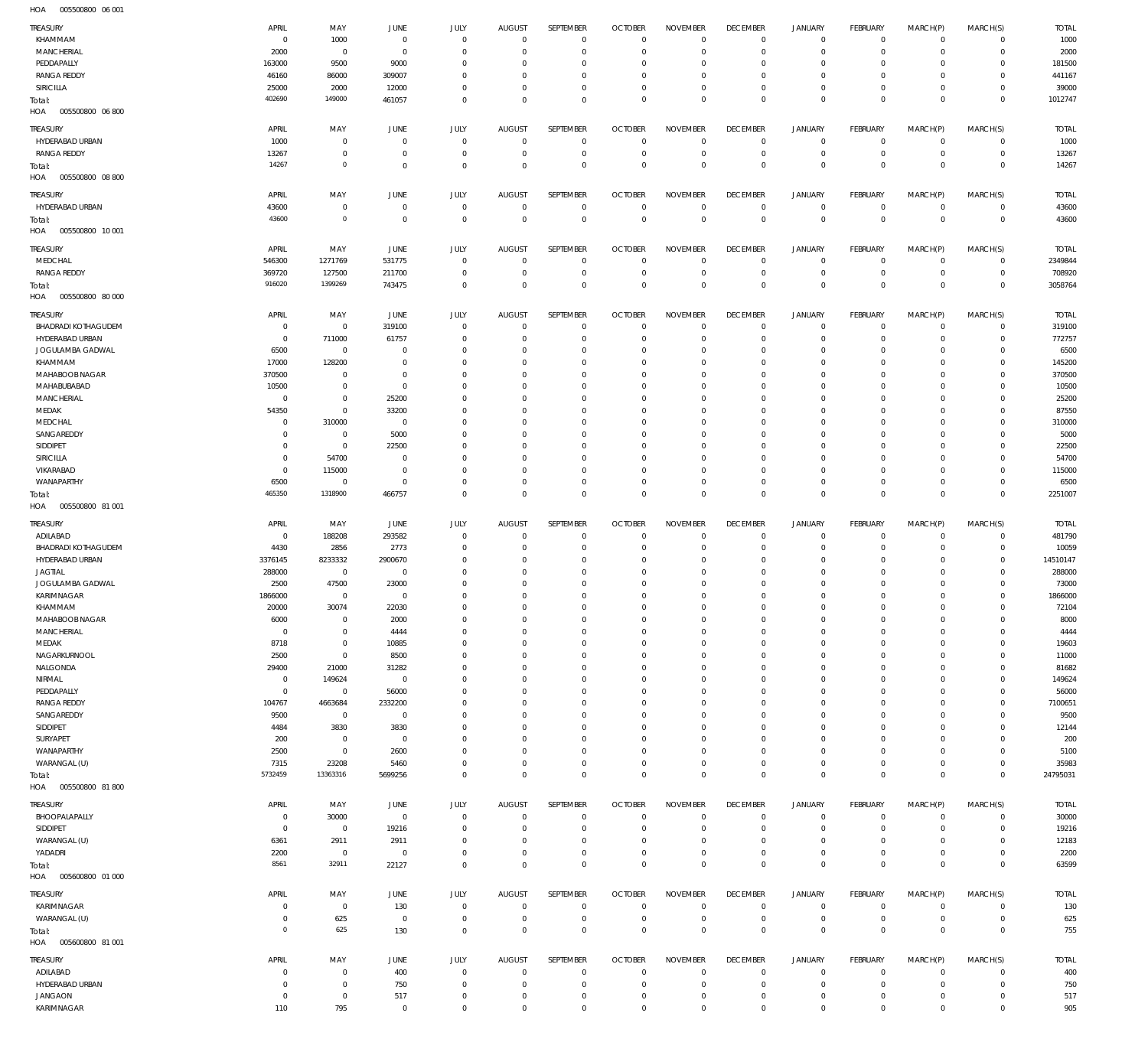005500800 06 001 HOA

| TREASURY                          | APRIL           |                    | <b>JUNE</b>         |                             | <b>AUGUST</b>             | SEPTEMBER                  | <b>OCTOBER</b>                | <b>NOVEMBER</b>            | <b>DECEMBER</b>  | <b>JANUARY</b>                     | FEBRUARY                   | MARCH(P)         | MARCH(S)         | <b>TOTAL</b> |
|-----------------------------------|-----------------|--------------------|---------------------|-----------------------------|---------------------------|----------------------------|-------------------------------|----------------------------|------------------|------------------------------------|----------------------------|------------------|------------------|--------------|
| KHAMMAM                           | $^{\circ}$      | MAY<br>1000        |                     | JULY<br>$\mathbf{0}$        | $^{\circ}$                | $\mathbf{0}$               | $\overline{0}$                | $\overline{0}$             | $\mathbf 0$      | 0                                  | $\mathbf 0$                | $\mathbf 0$      | $\mathbf 0$      | 1000         |
| MANCHERIAL                        |                 |                    | $\overline{0}$      | $\mathbf{0}$                | $^{\circ}$                | $\mathbf 0$                | $^{\circ}$                    | $\overline{0}$             | $\mathbf 0$      | $\mathbf 0$                        | $\mathbf 0$                | $\mathbf 0$      | $\mathbf 0$      | 2000         |
|                                   | 2000            | $\overline{0}$     | $\overline{0}$      |                             |                           |                            |                               |                            |                  |                                    |                            |                  |                  |              |
| PEDDAPALLY                        | 163000          | 9500               | 9000                | $\mathbf{0}$                | 0                         | $\mathbf{0}$               | 0                             | $^{\circ}$                 | 0                | 0                                  | $\mathbf 0$                | $\mathbf 0$      | $\mathbf 0$      | 181500       |
| <b>RANGA REDDY</b>                | 46160           | 86000              | 309007              | $\mathbf{0}$                | 0                         | $\mathbf{0}$               | 0                             | $\mathbf{0}$               | 0                | 0                                  | 0                          | $\mathbf 0$      | $\mathbf 0$      | 441167       |
| <b>SIRICILLA</b>                  | 25000           | 2000               | 12000               | $\mathbf{0}$                | $\mathbf{0}$              | $\mathbf{0}$               | $^{\circ}$                    | $\mathbf{0}$               | $\mathbf 0$      | $\mathbf 0$                        | $\mathbf 0$                | 0                | 0                | 39000        |
| Total:<br>HOA<br>005500800 06 800 | 402690          | 149000             | 461057              | $\mathbf 0$                 | $^{\circ}$                | $\mathbf 0$                | $^{\circ}$                    | $\mathbf 0$                | $\mathbf 0$      | $\mathbf 0$                        | $\mathbf 0$                | $\mathbf 0$      | $\mathbf 0$      | 1012747      |
| TREASURY                          | APRIL           | MAY                | <b>JUNE</b>         | JULY                        | <b>AUGUST</b>             | SEPTEMBER                  | <b>OCTOBER</b>                | <b>NOVEMBER</b>            | <b>DECEMBER</b>  | JANUARY                            | <b>FEBRUARY</b>            | MARCH(P)         | MARCH(S)         | <b>TOTAL</b> |
| HYDERABAD URBAN                   | 1000            | $\mathbf 0$        | $\mathbf 0$         | $\mathbf 0$                 | $^{\circ}$                | $\mathbf 0$                | $\overline{0}$                | $\mathbf 0$                | 0                | 0                                  | $\overline{0}$             | $\mathbf 0$      | 0                | 1000         |
| <b>RANGA REDDY</b>                | 13267           | $\mathbf 0$        | $\overline{0}$      | $\mathbf{0}$                | 0                         | $\mathbb O$                | $\overline{0}$                | $\mathbf{0}$               | 0                | $\mathsf{O}\xspace$                | $\mathbf 0$                | $\mathbf 0$      | $\overline{0}$   | 13267        |
| Total:                            | 14267           | $\mathbf 0$        | $\overline{0}$      | $\mathbf{0}$                | $^{\circ}$                | $\mathbf 0$                | $^{\circ}$                    | $\mathbf{0}$               | $\mathbf 0$      | $\mathbb O$                        | $\mathbf 0$                | $\mathbf 0$      | 0                | 14267        |
| HOA<br>005500800 08 800           |                 |                    |                     |                             |                           |                            |                               |                            |                  |                                    |                            |                  |                  |              |
| TREASURY                          | APRIL           | MAY                | <b>JUNE</b>         | JULY                        | <b>AUGUST</b>             | SEPTEMBER                  | <b>OCTOBER</b>                | <b>NOVEMBER</b>            | <b>DECEMBER</b>  | JANUARY                            | FEBRUARY                   | MARCH(P)         | MARCH(S)         | <b>TOTAL</b> |
| HYDERABAD URBAN                   | 43600           | $\mathbf 0$        | $\mathbf 0$         | $\mathbf 0$                 | $^{\circ}$                | $\mathbf{0}$               | $\overline{0}$                | $\mathbf 0$                | $\mathbf 0$      | 0                                  | $\mathbf 0$                | $\mathbf 0$      | $^{\circ}$       | 43600        |
| Total:                            | 43600           | $\mathbf 0$        | $\mathbf 0$         | $\mathbb O$                 | $\overline{0}$            | $\mathbf 0$                | $\overline{0}$                | $\mathbf 0$                | $\mathbf{0}$     | $\mathbf 0$                        | $\overline{0}$             | $\mathbf 0$      | $\mathbf 0$      | 43600        |
| HOA<br>005500800 10 001           |                 |                    |                     |                             |                           |                            |                               |                            |                  |                                    |                            |                  |                  |              |
| TREASURY                          | APRIL           | MAY                | JUNE                | JULY                        | <b>AUGUST</b>             | SEPTEMBER                  | <b>OCTOBER</b>                | <b>NOVEMBER</b>            | <b>DECEMBER</b>  | JANUARY                            | <b>FEBRUARY</b>            | MARCH(P)         | MARCH(S)         | <b>TOTAL</b> |
| MEDCHAL                           | 546300          | 1271769            | 531775              | $\mathbf{0}$                | $^{\circ}$                | $\mathbf 0$                | $\overline{0}$                | $\overline{0}$             | 0                | 0                                  | $\mathbf 0$                | $\mathbf 0$      | $\mathbf 0$      | 2349844      |
| <b>RANGA REDDY</b>                | 369720          | 127500             | 211700              | $\mathbf{0}$                | 0                         | $\mathbf 0$                | $\overline{0}$                | $^{\circ}$                 | $\mathbf 0$      | $\mathsf{O}\xspace$                | $\mathbf 0$                | $\mathbf 0$      | $\mathbf 0$      | 708920       |
| Total:                            | 916020          | 1399269            | 743475              | $\mathbf 0$                 | $^{\circ}$                | $\mathbb O$                | $\mathbf 0$                   | $\mathbf 0$                | 0                | $\mathbb O$                        | $\mathbf 0$                | $\mathbf 0$      | $\bf 0$          | 3058764      |
| HOA<br>005500800 80 000           |                 |                    |                     |                             |                           |                            |                               |                            |                  |                                    |                            |                  |                  |              |
| TREASURY                          | APRIL           | MAY                | JUNE                | JULY                        | <b>AUGUST</b>             | SEPTEMBER                  | <b>OCTOBER</b>                | <b>NOVEMBER</b>            | <b>DECEMBER</b>  | JANUARY                            | FEBRUARY                   | MARCH(P)         | MARCH(S)         | <b>TOTAL</b> |
| <b>BHADRADI KOTHAGUDEM</b>        | $\overline{0}$  | $\mathbf 0$        | 319100              | $\mathbf{0}$                | $^{\circ}$                | $\mathbf{0}$               | $\overline{0}$                | $^{\circ}$                 | $\mathbf 0$      | $\mathbf 0$                        | $\mathbf 0$                | $\mathbf 0$      | $\mathbf 0$      | 319100       |
| HYDERABAD URBAN                   | 0               | 711000             | 61757               | $\mathbf{0}$                | 0                         | $\mathbf{0}$               | $^{\circ}$                    | $^{\circ}$                 | $\mathbf 0$      | $\mathbf 0$                        | $^{\circ}$                 | $\mathbf 0$      | 0                | 772757       |
| JOGULAMBA GADWAL                  | 6500            | $\mathbf 0$        | $^{\circ}$          | $^{\circ}$                  | 0                         | $\mathbf{0}$               | $^{\circ}$                    | $^{\circ}$                 | 0                | 0                                  | $\mathbf 0$                | $\mathbf 0$      | $\mathbf 0$      | 6500         |
| KHAMMAM                           | 17000           | 128200             | $\overline{0}$      | $\mathbf{0}$                | 0                         | $\mathbf{0}$               | 0                             | $\mathbf{0}$               | 0                | 0                                  | 0                          | $\mathbf 0$      | 0                | 145200       |
| MAHABOOB NAGAR                    | 370500          | $\mathbf 0$        | $^{\circ}$          | $\mathbf{0}$                | 0                         | $\mathbf{0}$               | 0                             | $^{\circ}$                 | 0                | 0                                  | 0                          | 0                | $\mathbf 0$      | 370500       |
| MAHABUBABAD                       | 10500           | $\mathbf 0$        | $\overline{0}$      | $\mathbf{0}$                | 0                         | $\mathbf{0}$               | 0                             | $\mathbf{0}$               | 0                | 0                                  | 0                          | $\mathbf 0$      | $\mathbf 0$      | 10500        |
| MANCHERIAL                        | $\overline{0}$  | $\mathbf 0$        | 25200               | $\mathbf{0}$                | 0                         | $\mathbf{0}$               | 0                             | $\mathbf{0}$               | 0                | 0                                  | 0                          | $\mathbf 0$      | $\mathbf 0$      | 25200        |
| MEDAK                             | 54350           | $\mathbf 0$        | 33200               | $\mathbf{0}$                | $^{\circ}$                | $\mathbf{0}$               | 0                             | $\mathbf{0}$               | 0                | $\mathbf 0$                        | $\mathbf 0$                | $\mathbf 0$      | $\mathbf 0$      | 87550        |
| MEDCHAL                           | 0               | 310000             | $\overline{0}$      | $\mathbf{0}$                | 0                         | $\mathbf{0}$               | 0                             | $\mathbf{0}$               | 0                | 0                                  | 0                          | $\mathbf 0$      | $\mathbf 0$      | 310000       |
| SANGAREDDY                        | 0               | $\mathbf 0$        | 5000                | 0                           | 0                         | $\mathbf{0}$               | 0                             | $\mathbf{0}$               | 0                | 0                                  | 0                          | $\mathbf 0$      | $\mathbf 0$      | 5000         |
| SIDDIPET                          | 0               | $\mathbf 0$        | 22500               | $\mathbf{0}$                | $^{\circ}$                | $\mathbf{0}$               | $^{\circ}$                    | $\mathbf{0}$               | 0                | 0                                  | $\mathbf 0$                | $\mathbf 0$      | $\mathbf 0$      | 22500        |
| SIRICILLA                         | 0               | 54700              | $^{\circ}$          | $\mathbf{0}$                | 0                         | $\mathbf{0}$               | 0                             | $\mathbf{0}$               | 0                | 0                                  | 0                          | $\mathbf 0$      | $\mathbf 0$      | 54700        |
| VIKARABAD                         | 0               | 115000             | $\overline{0}$      | $\mathbf{0}$                | 0                         | $\mathbf{0}$               | 0                             | $\mathbf{0}$               | $\mathbf 0$      | 0                                  | 0                          | $\mathbf 0$      | $\mathbf 0$      | 115000       |
| WANAPARTHY                        | 6500            | $\mathbf 0$        | $\overline{0}$      | $\mathbf{0}$                | $\mathbf{0}$              | $\mathbf 0$                | $^{\circ}$                    | $\mathbf{0}$               | $\mathbf 0$      | $\mathbf 0$                        | $^{\circ}$                 | 0                | $\mathbf 0$      | 6500         |
|                                   | 465350          | 1318900            | 466757              | $\mathbf 0$                 | $\mathbf 0$               | $\mathbf 0$                | $\mathbf 0$                   | $\mathbf 0$                | $\mathbf 0$      | $\mathbf 0$                        | $\mathbf 0$                | $\mathbf 0$      | $\mathbf 0$      | 2251007      |
| Total:<br>HOA<br>005500800 81 001 |                 |                    |                     |                             |                           |                            |                               |                            |                  |                                    |                            |                  |                  |              |
|                                   |                 |                    |                     |                             |                           |                            |                               |                            |                  |                                    |                            |                  |                  |              |
|                                   |                 |                    |                     |                             | AUGUST                    | SEPTEMBER                  | <b>OCTOBER</b>                | <b>NOVEMBER</b>            | <b>DECEMBER</b>  | <b>JANUARY</b>                     | FEBRUARY                   | MARCH(P)         | MARCH(S)         | <b>TOTAL</b> |
| TREASURY                          | APRIL           | MAY                | JUNE                | JULY                        |                           |                            |                               |                            |                  |                                    |                            |                  |                  |              |
| ADILABAD                          | $\overline{0}$  | 188208             | 293582              | $\mathbf{0}$                | $^{\circ}$                | $\mathbf 0$                | $^{\circ}$                    | $^{\circ}$                 | 0                | 0                                  | $^{\circ}$                 | $\mathbf 0$      | $\mathbf 0$      | 481790       |
| <b>BHADRADI KOTHAGUDEM</b>        | 4430            | 2856               | 2773                | $\mathbf{0}$                | 0                         | $\mathbf 0$                | $\overline{0}$                | $^{\circ}$                 | $\mathbf 0$      | 0                                  | $\mathbf 0$                | $\mathbf 0$      | 0                | 10059        |
| HYDERABAD URBAN                   | 3376145         | 8233332            | 2900670             | 0                           | 0                         | $\mathbf 0$                | 0                             | 0                          | 0                | 0                                  | $\mathbf 0$                | 0                | $\mathbf 0$      | 14510147     |
| <b>JAGTIAL</b>                    | 288000          | $\overline{0}$     | $\mathbf 0$         | $^{\circ}$                  | 0                         | $\mathbf{0}$               | 0                             | 0                          | 0                | 0                                  | 0                          | 0                | $\mathbf 0$      | 288000       |
| JOGULAMBA GADWAL                  | 2500            | 47500              | 23000               | 0                           | 0                         | $\mathbf 0$                | 0                             | $^{\circ}$                 | 0                | $\mathbf 0$                        | 0                          | 0                | $\mathbf 0$      | 73000        |
| KARIMNAGAR                        | 1866000         | $\mathbf 0$        | $^{\circ}$          | $\mathbf{0}$                | $\mathbf{0}$              | $\mathbf 0$                | $^{\circ}$                    | $\mathbf{0}$               | $\mathbf 0$      | 0                                  | $\mathbf 0$                | $\mathbf 0$      | $\mathbf 0$      | 1866000      |
| KHAMMAM                           | 20000           | 30074              | 22030               | $\Omega$                    | $\Omega$                  | $\Omega$                   | $\Omega$                      | $\overline{0}$             | $\Omega$         | $\Omega$                           | $\Omega$                   | $\Omega$         | $\mathbf 0$      | 72104        |
| MAHABOOB NAGAR                    | 6000            | $\mathbb O$        | 2000                | $\mathbf 0$                 | $\mathbf{0}$              | $\mathbb O$                | $^{\circ}$                    | $\mathbf{0}$               | $\mathbf 0$      | $\mathbf 0$                        | $\mathbf 0$                | $\mathbf 0$      | $\mathbf 0$      | 8000         |
| MANCHERIAL                        | $\mathbf 0$     | $\mathbf 0$        | 4444                | $\mathbf{0}$                | $\mathbf{0}$              | $\mathbb O$                | $^{\circ}$                    | $\mathbf{0}$               | $\mathbf 0$      | $\mathsf{O}\xspace$                | $\mathbf 0$                | $\mathbf 0$      | $\mathbf 0$      | 4444         |
| MEDAK                             | 8718            | $\mathbf 0$        | 10885               | $\mathbf{0}$                | 0                         | $\mathbf 0$                | $\overline{0}$                | $\mathbf{0}$               | $\mathbf 0$      | $\mathbf 0$                        | $\mathbf 0$                | $\mathbf 0$      | $\mathbf 0$      | 19603        |
| NAGARKURNOOL                      | 2500            | $\mathbf 0$        | 8500                | $\mathbf{0}$                | $\mathbf{0}$              | $\mathbf 0$                | $^{\circ}$                    | $\mathbf{0}$               | $\mathbf 0$      | $\mathbf 0$                        | $\mathbf 0$                | $\mathbf 0$      | $\mathbf 0$      | 11000        |
| NALGONDA                          | 29400           | 21000              | 31282               | $\mathbf{0}$                | 0                         | $\mathbf 0$                | $^{\circ}$                    | $\mathbf{0}$               | 0                | 0                                  | $\mathbf 0$                | $\mathbf 0$      | $\mathbf 0$      | 81682        |
| NIRMAL                            | $\overline{0}$  | 149624             | $\overline{0}$      | $\mathbf{0}$                | $^{\circ}$                | $\mathbf 0$                | $^{\circ}$                    | $\mathbf{0}$               | $\mathbf 0$      | $\mathbf 0$                        | $\mathbf 0$                | $\mathbf 0$      | $\mathbf 0$      | 149624       |
| PEDDAPALLY                        | $\overline{0}$  | $\,0\,$            | 56000               | $\mathbf{0}$                | 0                         | $\mathbf 0$                | $^{\circ}$                    | $\mathbf{0}$               | $\mathbf 0$      | 0                                  | $\mathbf 0$                | $\mathbf 0$      | $\mathbf 0$      | 56000        |
| <b>RANGA REDDY</b>                | 104767          | 4663684            | 2332200             | $\mathbf{0}$                | $^{\circ}$                | $\mathbb O$                | $^{\circ}$                    | $\mathbf{0}$               | 0                | $\mathsf{O}\xspace$                | $\mathbf 0$                | $\mathbf 0$      | $\mathbf 0$      | 7100651      |
| SANGAREDDY                        | 9500            | $\mathbf 0$        | $\overline{0}$      | $\mathbf{0}$                | 0                         | $\mathbf{0}$               | $^{\circ}$                    | $\mathbf{0}$               | $\mathbf 0$      | $\mathbf 0$                        | $\mathbf 0$                | $\mathbf 0$      | $\mathbf 0$      | 9500         |
| SIDDIPET                          | 4484            | 3830               | 3830                | $\mathbf{0}$                | 0                         | $\mathbf 0$                | $^{\circ}$                    | $\mathbf{0}$               | 0                | 0                                  | $\mathbf 0$                | $\mathbf 0$      | $\mathbf 0$      | 12144        |
| SURYAPET                          | 200             | $\mathbb O$        | $\mathbf 0$         | $\mathbf{0}$                | $^{\circ}$                | $\mathbf 0$                | $^{\circ}$                    | $\mathbf{0}$               | $\mathbf 0$      | $\mathbf 0$                        | $\mathbf 0$                | $\mathbf 0$      | $\mathbf 0$      | 200          |
| WANAPARTHY                        | 2500            | $\mathbf 0$        | 2600                | $\mathbf{0}$                | $\mathbf{0}$              | $\mathbf 0$                | $^{\circ}$                    | $\mathbf{0}$               | $\mathbf 0$      | $\mathbf 0$                        | $\mathbf 0$                | 0                | $\mathbf 0$      | 5100         |
|                                   |                 |                    |                     | $\mathbf{0}$                | $^{\circ}$                | $\mathbb O$                | $\overline{0}$                | $\mathbf 0$                | 0                | $\mathsf{O}\xspace$                | 0                          | 0                | $\mathbf 0$      |              |
| WARANGAL (U)                      | 7315<br>5732459 | 23208<br>13363316  | 5460                | $\mathbf 0$                 | $\mathbf 0$               | $\mathbf 0$                | $\mathbf 0$                   | $\mathbf 0$                | $\mathbf 0$      | $\mathbf 0$                        | $\mathbf 0$                | $\mathbf 0$      | $\mathbf 0$      | 35983        |
| Total:<br>HOA<br>005500800 81 800 |                 |                    | 5699256             |                             |                           |                            |                               |                            |                  |                                    |                            |                  |                  | 24795031     |
|                                   |                 |                    |                     |                             |                           |                            |                               |                            |                  |                                    |                            |                  |                  |              |
| TREASURY                          | APRIL           | MAY                | JUNE                | JULY                        | <b>AUGUST</b>             | SEPTEMBER                  | <b>OCTOBER</b>                | <b>NOVEMBER</b>            | <b>DECEMBER</b>  | JANUARY                            | FEBRUARY                   | MARCH(P)         | MARCH(S)         | <b>TOTAL</b> |
| BHOOPALAPALLY                     | $\overline{0}$  | 30000              | $\overline{0}$      | $\mathbf 0$                 | $\mathbf{0}$              | $\mathbf 0$                | $\overline{0}$                | $\mathbf{0}$               | $\mathbf 0$      | $\mathsf{O}\xspace$                | $\mathbf 0$                | 0                | $\mathbf 0$      | 30000        |
| SIDDIPET                          | $^{\circ}$      | $\,0\,$            | 19216               | $\mathbf{0}$                | $^{\circ}$                | $\mathbf 0$                | $^{\circ}$                    | $\overline{0}$             | $\mathbf 0$      | $\mathsf{O}\xspace$                | $^{\circ}$                 | $\mathbf 0$      | $\mathbf 0$      | 19216        |
| WARANGAL (U)                      | 6361            | 2911               | 2911                | $\mathbf{0}$                | $^{\circ}$                | $\mathbf 0$                | $^{\circ}$                    | $\mathbf{0}$               | $\mathbf 0$      | $\mathbf 0$                        | $^{\circ}$                 | 0                | 0                | 12183        |
| YADADRI                           | 2200            | $\mathbb O$        | $\overline{0}$      | $\mathbf{0}$                | $\mathbf{0}$              | $\mathbb O$                | $^{\circ}$                    | $\mathbf{0}$               | 0                | $\mathsf{O}\xspace$                | $^{\circ}$                 | 0                | 0                | 2200         |
| Total:                            | 8561            | 32911              | 22127               | $\mathbf 0$                 | $\mathbf 0$               | $\mathbf 0$                | $\mathbf 0$                   | $\mathbf 0$                | $\mathbf 0$      | $\mathbf 0$                        | $\mathbf{0}$               | $\mathbf 0$      | $\mathbf 0$      | 63599        |
| HOA<br>005600800 01 000           |                 |                    |                     |                             |                           |                            |                               |                            |                  |                                    |                            |                  |                  |              |
| TREASURY                          | APRIL           | MAY                | JUNE                | JULY                        | AUGUST                    | SEPTEMBER                  | <b>OCTOBER</b>                | <b>NOVEMBER</b>            | <b>DECEMBER</b>  | JANUARY                            | FEBRUARY                   | MARCH(P)         | MARCH(S)         | <b>TOTAL</b> |
| KARIMNAGAR                        | $\overline{0}$  | $\mathbf 0$        | 130                 | $\mathbf 0$                 | $\mathbf 0$               | $\mathbf 0$                | $\overline{0}$                | $\mathbf 0$                | 0                | 0                                  | $\mathbf 0$                | 0                | $\mathbf 0$      | 130          |
| WARANGAL (U)                      | 0               | 625                | $\overline{0}$      | $\mathbf 0$                 | $\overline{0}$            | $\mathbb O$                | $\overline{0}$                | $\mathbf 0$                | 0                | $\mathsf{O}\xspace$                | $\overline{0}$             | 0                | $\overline{0}$   | 625          |
| Total:                            | $\circ$         | 625                | 130                 | $\mathbf 0$                 | $\mathbf{0}$              | $\mathbf 0$                | $\mathbf{0}$                  | $\mathbf 0$                | $\mathbf{0}$     | $\mathbf 0$                        | $\mathbf{0}$               | $\mathbf 0$      | $\mathbf 0$      | 755          |
| HOA   005600800   81 001          |                 |                    |                     |                             |                           |                            |                               |                            |                  |                                    |                            |                  |                  |              |
|                                   |                 |                    |                     |                             |                           |                            |                               |                            |                  |                                    |                            |                  |                  |              |
| <b>TREASURY</b>                   | APRIL           | MAY                | JUNE                | JULY                        | AUGUST                    | SEPTEMBER                  | <b>OCTOBER</b>                | <b>NOVEMBER</b>            | <b>DECEMBER</b>  | JANUARY                            | FEBRUARY                   | MARCH(P)         | MARCH(S)         | <b>TOTAL</b> |
| ADILABAD                          | 0               | $\mathbf 0$        | 400                 | $\mathbf 0$                 | $\mathbf 0$               | $\mathbf 0$                | $\overline{0}$                | $\overline{0}$             | 0                | $\mathsf{O}\xspace$                | $\mathbf 0$                | $\mathbf 0$      | $\mathbf 0$      | 400          |
| HYDERABAD URBAN                   | $^{\circ}$      | $\mathbf 0$        | 750                 | $\mathbf 0$                 | $\mathbf{0}$              | $\mathbf 0$                | $\overline{0}$                | $\mathbf 0$                | $\mathbf 0$      | $\mathbf 0$                        | $\mathbf 0$                | $\mathbf 0$      | $\mathbf 0$      | 750          |
| <b>JANGAON</b><br>KARIMNAGAR      | 0<br>110        | $\mathbb O$<br>795 | 517<br>$\mathbf{0}$ | $\mathbf{0}$<br>$\mathbf 0$ | $^{\circ}$<br>$\mathbf 0$ | $\mathbf 0$<br>$\mathbf 0$ | $\overline{0}$<br>$\mathbf 0$ | $\mathbf 0$<br>$\mathbf 0$ | 0<br>$\mathbf 0$ | $\mathsf{O}\xspace$<br>$\mathbf 0$ | $\mathbf 0$<br>$\mathbf 0$ | 0<br>$\mathbf 0$ | 0<br>$\mathbf 0$ | 517<br>905   |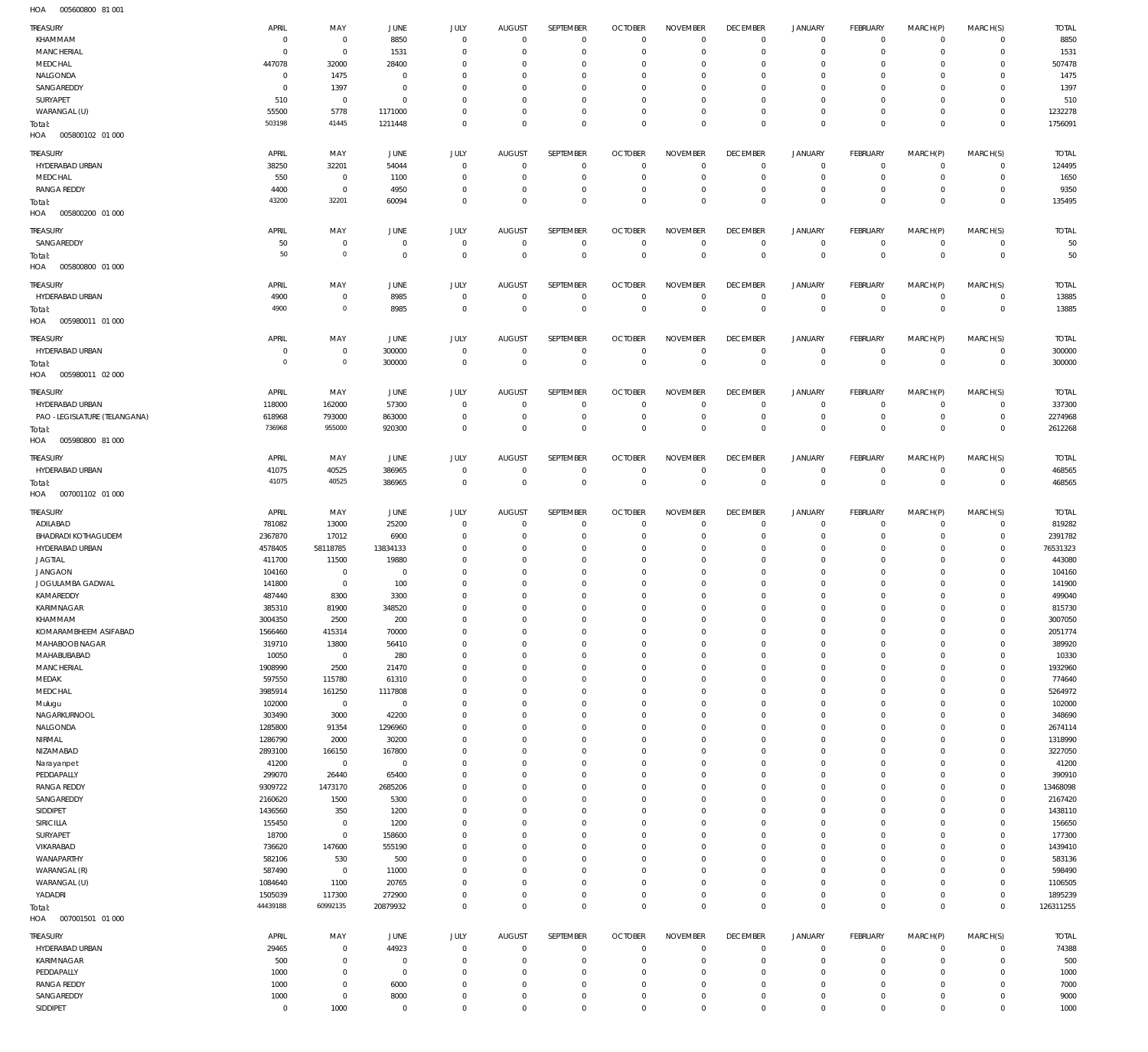005600800 81 001 HOA

| TREASURY                                      | APRIL               | MAY                            | JUNE                | JULY                         | <b>AUGUST</b>            | SEPTEMBER                     | <b>OCTOBER</b>                | <b>NOVEMBER</b>            | <b>DECEMBER</b>              | <b>JANUARY</b>                             | FEBRUARY                         | MARCH(P)                   | MARCH(S)                         | <b>TOTAL</b>         |
|-----------------------------------------------|---------------------|--------------------------------|---------------------|------------------------------|--------------------------|-------------------------------|-------------------------------|----------------------------|------------------------------|--------------------------------------------|----------------------------------|----------------------------|----------------------------------|----------------------|
| KHAMMAM                                       | $^{\circ}$          | $\,0\,$                        | 8850                | $\mathbf 0$                  | $^{\circ}$               | $\mathbf 0$                   | $\mathbf 0$                   | $\mathbf 0$                | $\overline{0}$               | $\mathsf{O}\xspace$                        | $\overline{0}$                   | $\overline{0}$             | $\overline{0}$                   | 8850                 |
| MANCHERIAL<br>MEDCHAL                         | $\Omega$<br>447078  | $\,0\,$<br>32000               | 1531<br>28400       | $\mathbf{0}$<br>$\mathbf{0}$ | $\Omega$<br>$\Omega$     | $\mathbf 0$<br>$\mathbf 0$    | $^{\circ}$<br>$^{\circ}$      | $^{\circ}$<br>$\mathbf 0$  | $\overline{0}$<br>$^{\circ}$ | $\mathsf{O}\xspace$<br>$\mathbf 0$         | $\mathbf 0$<br>$\mathbf 0$       | $\mathbf 0$<br>$\mathbf 0$ | $\circ$<br>$\mathbf{0}$          | 1531<br>507478       |
| NALGONDA                                      | - 0                 | 1475                           | $\mathbf 0$         | $\mathbf 0$                  | $\Omega$                 | $\mathbf 0$                   | 0                             | $\mathbf 0$                | $\overline{0}$               | 0                                          | $\mathbf 0$                      | 0                          | $\mathbf{0}$                     | 1475                 |
| SANGAREDDY                                    | $\Omega$            | 1397                           | $\mathbf{0}$        | $\mathbf{0}$                 | $\Omega$                 | $\mathbf 0$                   | 0                             | $\mathbf 0$                | $^{\circ}$                   | 0                                          | $\mathbf 0$                      | $\Omega$                   | $\mathbf 0$                      | 1397                 |
| SURYAPET                                      | 510                 | $\,0\,$                        | $\Omega$            | $\mathbf{0}$                 | $\Omega$                 | $\mathbf 0$                   | 0                             | $\mathbf 0$                | $\mathbf 0$                  | 0                                          | $\mathbf 0$                      | $\mathbf 0$                | $\circ$                          | 510                  |
| WARANGAL (U)<br>Total:                        | 55500<br>503198     | 5778<br>41445                  | 1171000<br>1211448  | $\mathbf 0$<br>$\mathbf 0$   | $\Omega$<br>$\Omega$     | $\mathbf 0$<br>$\mathbf 0$    | $^{\circ}$<br>$\mathbf 0$     | $\mathbf 0$<br>$\mathbf 0$ | $\mathbf 0$<br>$\mathbf 0$   | $\mathbf 0$<br>$\mathbf 0$                 | $\mathbf 0$<br>$\overline{0}$    | $\mathbf 0$<br>$\mathbf 0$ | $\circ$<br>$\overline{0}$        | 1232278<br>1756091   |
| HOA<br>005800102 01 000                       |                     |                                |                     |                              |                          |                               |                               |                            |                              |                                            |                                  |                            |                                  |                      |
| TREASURY                                      | APRIL               | MAY                            | JUNE                | JULY                         | <b>AUGUST</b>            | SEPTEMBER                     | <b>OCTOBER</b>                | <b>NOVEMBER</b>            | <b>DECEMBER</b>              | <b>JANUARY</b>                             | FEBRUARY                         | MARCH(P)                   | MARCH(S)                         | <b>TOTAL</b>         |
| HYDERABAD URBAN                               | 38250               | 32201                          | 54044               | $^{\circ}$                   | 0                        | $\mathbf 0$                   | $^{\circ}$                    | $^{\circ}$                 | $\mathbf 0$                  | 0                                          | $\mathbf 0$                      | $\mathbf 0$                | $\mathbf{0}$                     | 124495               |
| MEDCHAL                                       | 550                 | $\,0\,$                        | 1100                | $\Omega$                     | $\Omega$                 | $\mathbf 0$                   | $^{\circ}$                    | $\Omega$                   | $\mathbf 0$                  | $\mathbf 0$                                | $\mathbf 0$                      | $\mathbf 0$                | $\circ$                          | 1650                 |
| <b>RANGA REDDY</b>                            | 4400<br>43200       | $\,0\,$<br>32201               | 4950                | $\mathbf 0$                  | $\circ$                  | $\mathbf 0$                   | 0                             | $^{\circ}$                 | $^{\circ}$                   | $\mathbf 0$                                | $^{\circ}$                       | $\mathbf 0$<br>$\Omega$    | $\mathbf{0}$                     | 9350                 |
| Total:<br>HOA<br>005800200 01 000             |                     |                                | 60094               | $\mathbf 0$                  | $\Omega$                 | $\mathbf 0$                   | $^{\circ}$                    | $\mathbf 0$                | $\mathbf 0$                  | $\mathbf 0$                                | $\overline{0}$                   |                            | $\mathbf 0$                      | 135495               |
| TREASURY                                      | APRIL               | MAY                            | JUNE                | JULY                         | <b>AUGUST</b>            | SEPTEMBER                     | <b>OCTOBER</b>                | <b>NOVEMBER</b>            | <b>DECEMBER</b>              | <b>JANUARY</b>                             | FEBRUARY                         | MARCH(P)                   | MARCH(S)                         | <b>TOTAL</b>         |
| SANGAREDDY                                    | 50                  | $\,0\,$                        | $\mathbf 0$         | $\mathbf 0$                  | $\mathbf 0$              | $\mathbf 0$                   | $^{\circ}$                    | 0                          | $\overline{0}$               | 0                                          | $\overline{0}$                   | $\mathbf 0$                | $\circ$                          | 50                   |
| Total:                                        | 50                  | $\circ$                        | $\mathbf 0$         | $\mathbf 0$                  | $\mathbf 0$              | $\mathsf 0$                   | $\overline{0}$                | $\mathbb O$                | $\overline{0}$               | $\mathbf 0$                                | $\overline{0}$                   | $\mathbf 0$                | $\overline{0}$                   | 50                   |
| HOA<br>005800800 01 000                       |                     |                                |                     |                              |                          |                               |                               |                            |                              |                                            |                                  |                            |                                  |                      |
| TREASURY                                      | APRIL               | MAY                            | <b>JUNE</b>         | JULY                         | <b>AUGUST</b>            | SEPTEMBER                     | <b>OCTOBER</b>                | <b>NOVEMBER</b>            | <b>DECEMBER</b>              | <b>JANUARY</b>                             | FEBRUARY                         | MARCH(P)                   | MARCH(S)                         | <b>TOTAL</b>         |
| HYDERABAD URBAN                               | 4900<br>4900        | $\,0\,$<br>$\circ$             | 8985<br>8985        | $\mathbf 0$<br>$\mathbf 0$   | $^{\circ}$<br>$\Omega$   | $\mathbf 0$<br>$\overline{0}$ | $\overline{0}$<br>$\mathbf 0$ | $^{\circ}$<br>$\mathbf 0$  | $^{\circ}$<br>$\overline{0}$ | $\mathsf{O}\xspace$<br>$\mathbf 0$         | $\overline{0}$<br>$\overline{0}$ | $\mathbf 0$<br>$\mathbf 0$ | $\overline{0}$<br>$\overline{0}$ | 13885<br>13885       |
| Total:<br>HOA<br>005980011 01 000             |                     |                                |                     |                              |                          |                               |                               |                            |                              |                                            |                                  |                            |                                  |                      |
| TREASURY                                      | APRIL               | MAY                            | JUNE                | JULY                         | <b>AUGUST</b>            | SEPTEMBER                     | <b>OCTOBER</b>                | <b>NOVEMBER</b>            | <b>DECEMBER</b>              | <b>JANUARY</b>                             | FEBRUARY                         | MARCH(P)                   | MARCH(S)                         | <b>TOTAL</b>         |
| HYDERABAD URBAN                               | $^{\circ}$          | $\,0\,$                        | 300000              | $\mathbf 0$                  | $\overline{0}$           | $\mathbf 0$                   | $\overline{0}$                | $\mathbf 0$                | $\overline{0}$               | $\mathsf{O}\xspace$                        | $\overline{0}$                   | $\mathbf 0$                | $\overline{0}$                   | 300000               |
| Total:                                        | $\circ$             | $\mathbb O$                    | 300000              | $\mathbf 0$                  | $^{\circ}$               | $\mathsf 0$                   | $\overline{0}$                | $\mathbb O$                | $\mathbf 0$                  | $\bf 0$                                    | $\overline{0}$                   | $\mathbf 0$                | $\overline{0}$                   | 300000               |
| HOA<br>005980011 02 000                       |                     |                                |                     |                              |                          |                               |                               |                            |                              |                                            |                                  |                            |                                  |                      |
| TREASURY                                      | APRIL               | MAY                            | JUNE                | JULY                         | <b>AUGUST</b>            | SEPTEMBER                     | <b>OCTOBER</b>                | <b>NOVEMBER</b>            | <b>DECEMBER</b>              | <b>JANUARY</b>                             | <b>FEBRUARY</b>                  | MARCH(P)                   | MARCH(S)                         | <b>TOTAL</b>         |
| HYDERABAD URBAN                               | 118000              | 162000                         | 57300               | $\mathbf 0$                  | $\circ$                  | $\mathbf 0$                   | $^{\circ}$                    | $^{\circ}$                 | $\mathbf 0$                  | $\mathbf 0$                                | $\mathbf 0$                      | $\mathbf 0$                | $\mathbf{0}$                     | 337300               |
| PAO -LEGISLATURE (TELANGANA)<br>Total:        | 618968<br>736968    | 793000<br>955000               | 863000<br>920300    | $\mathbf 0$<br>$\mathbf 0$   | 0<br>$\Omega$            | $\mathbf 0$<br>$\mathbf 0$    | $^{\circ}$<br>$\mathbf 0$     | $\mathbf 0$<br>$\mathbf 0$ | $\mathbf 0$<br>$\mathbf 0$   | $\mathsf{O}\xspace$<br>$\mathbf 0$         | $\overline{0}$<br>$\overline{0}$ | $\mathbf 0$<br>$\mathbf 0$ | $\circ$<br>$\mathbf 0$           | 2274968<br>2612268   |
| HOA<br>005980800 81 000                       |                     |                                |                     |                              |                          |                               |                               |                            |                              |                                            |                                  |                            |                                  |                      |
| TREASURY                                      | APRIL               | MAY                            | JUNE                | JULY                         | <b>AUGUST</b>            | SEPTEMBER                     | <b>OCTOBER</b>                | <b>NOVEMBER</b>            | <b>DECEMBER</b>              | <b>JANUARY</b>                             | FEBRUARY                         | MARCH(P)                   | MARCH(S)                         | <b>TOTAL</b>         |
| HYDERABAD URBAN                               | 41075               | 40525                          | 386965              | $\mathbf 0$                  | $\mathbf 0$              | $\mathbf 0$                   | $\mathbf 0$                   | $\mathbf 0$                | $\mathbf 0$                  | $\mathsf{O}\xspace$                        | $\overline{0}$                   | $\overline{0}$             | $\overline{0}$                   | 468565               |
| Total:                                        | 41075               | 40525                          | 386965              | $\mathbf 0$                  | $\overline{0}$           | $\mathsf 0$                   | $\overline{0}$                | $\mathbb O$                | $\mathbf 0$                  | $\bf 0$                                    | $\overline{0}$                   | $\mathbf 0$                | $\overline{0}$                   | 468565               |
| HOA<br>007001102 01 000                       |                     |                                |                     |                              |                          |                               |                               |                            |                              |                                            |                                  |                            |                                  |                      |
| TREASURY                                      | APRIL               | MAY                            | JUNE                | JULY                         | <b>AUGUST</b>            | SEPTEMBER                     | <b>OCTOBER</b>                | <b>NOVEMBER</b>            | <b>DECEMBER</b>              | <b>JANUARY</b>                             | FEBRUARY                         | MARCH(P)                   | MARCH(S)                         | <b>TOTAL</b>         |
| ADILABAD                                      | 781082              | 13000                          | 25200               | $\mathbf 0$                  | $^{\circ}$               | $\mathbf{0}$                  | $^{\circ}$                    | $\mathbf 0$                | $\mathbf 0$                  | $\mathbf 0$                                | $\mathbf 0$                      | $\mathbf 0$                | $\circ$                          | 819282               |
| <b>BHADRADI KOTHAGUDEM</b><br>HYDERABAD URBAN | 2367870<br>4578405  | 17012<br>58118785              | 6900<br>13834133    | $\mathbf 0$<br>$\Omega$      | 0<br>$\Omega$            | $\mathbf 0$<br>$\mathbf{0}$   | 0<br>0                        | $^{\circ}$<br>$\mathbf 0$  | $^{\circ}$<br>$\mathbf 0$    | $\mathsf{O}\xspace$<br>$\mathbf 0$         | $\mathbf 0$<br>$\mathbf 0$       | $\mathbf 0$<br>$\mathbf 0$ | $\mathbf 0$<br>$\mathbf{0}$      | 2391782<br>76531323  |
| <b>JAGTIAL</b>                                | 411700              | 11500                          | 19880               | $\Omega$                     | $\Omega$                 | $\mathbf{0}$                  | 0                             | $\mathbf 0$                | 0                            | 0                                          | $\mathbf 0$                      | $\Omega$                   | 0                                | 443080               |
| <b>JANGAON</b>                                | 104160              | $\,0\,$                        | $^{\circ}$          | $\Omega$                     | $\Omega$                 | $\mathbf{0}$                  | $\Omega$                      | $\mathbf 0$                | $^{\circ}$                   | $\mathbf 0$                                | $\Omega$                         | $\Omega$                   | $\mathbf 0$                      | 104160               |
| JOGULAMBA GADWAL                              | 141800              | $\,0\,$                        | 100                 | $\Omega$                     | $\Omega$                 | $\mathbf{0}$                  | 0                             | $^{\circ}$                 | 0                            | 0                                          | 0                                | $\Omega$                   | $\mathbf 0$                      | 141900               |
| KAMAREDDY<br>KARIMNAGAR                       | 487440<br>385310    | 8300<br>81900                  | 3300<br>348520      | $\Omega$<br>$\mathbf{0}$     | $\Omega$<br>$\mathbf{0}$ | $\mathbf{0}$<br>$\mathbf{0}$  | 0<br>$\Omega$                 | $^{\circ}$<br>$\Omega$     | $^{\circ}$<br>$\Omega$       | $\mathbf 0$<br>$\Omega$                    | $\Omega$<br>$\Omega$             | $\Omega$<br>$\Omega$       | $\mathbf 0$<br>$\mathbf{0}$      | 499040<br>815730     |
| KHAMMAM                                       | 3004350             | 2500                           | 200                 | $\mathbf 0$                  | $\mathbf 0$              | $\mathbf 0$                   | $\mathbf 0$                   | $\mathbf 0$                | $\mathbf 0$                  | $\mathsf{O}\xspace$                        | $\mathbf 0$                      | $\mathbf 0$                | $\circ$                          | 3007050              |
| KOMARAMBHEEM ASIFABAD                         | 1566460             | 415314                         | 70000               | $\mathbf 0$                  | $\Omega$                 | $\mathbf 0$                   | $\mathbf 0$                   | $\mathbf 0$                | $\mathbf 0$                  | $\mathbf 0$                                | $\mathbf 0$                      | $\Omega$                   | $\mathbf 0$                      | 2051774              |
| MAHABOOB NAGAR                                | 319710              | 13800                          | 56410               | $\mathbf 0$                  | $\Omega$                 | $\mathbf 0$                   | $\mathbf 0$                   | $\mathbf 0$                | $\mathbf 0$                  | $\mathbf 0$                                | $\mathbf 0$                      | $\Omega$                   | $\mathbf 0$                      | 389920               |
| MAHABUBABAD<br>MANCHERIAL                     | 10050<br>1908990    | $\,0\,$<br>2500                | 280<br>21470        | $\mathbf{0}$<br>$\mathbf 0$  | $\Omega$<br>$\Omega$     | $\mathbf 0$<br>$\mathbf 0$    | $\Omega$<br>$^{\circ}$        | $\Omega$<br>$\mathbf 0$    | $\mathbf 0$<br>$\mathbf 0$   | $\mathbf 0$<br>$\mathbf 0$                 | $\mathbf 0$<br>$\mathbf 0$       | $\Omega$<br>$\Omega$       | $\mathbf 0$<br>$\mathbf 0$       | 10330<br>1932960     |
| MEDAK                                         | 597550              | 115780                         | 61310               | $\Omega$                     | $\Omega$                 | $\mathbf 0$                   | $\Omega$                      | $\Omega$                   | $^{\circ}$                   | $\mathbf 0$                                | $\mathbf 0$                      | $\Omega$                   | $\mathbf 0$                      | 774640               |
| MEDCHAL                                       | 3985914             | 161250                         | 1117808             | $\mathbf{0}$                 | $\Omega$                 | $\mathbf 0$                   | $^{\circ}$                    | $\mathbf 0$                | $\mathbf 0$                  | $\mathbf 0$                                | $\mathbf 0$                      | $\Omega$                   | $\mathbf 0$                      | 5264972              |
| Mulugu                                        | 102000              | $\,0\,$                        | $\,0\,$             | $\mathbf{0}$                 | $\Omega$                 | $\mathbf 0$                   | $^{\circ}$                    | $\mathbf 0$<br>$\Omega$    | $\mathbf 0$                  | $\mathbf 0$                                | $\mathbf 0$                      | $\Omega$<br>$\Omega$       | $\mathbf 0$                      | 102000               |
| NAGARKURNOOL<br>NALGONDA                      | 303490<br>1285800   | 3000<br>91354                  | 42200<br>1296960    | $\mathbf{0}$<br>$\mathbf{0}$ | $\Omega$<br>$\Omega$     | $\mathbf 0$<br>$\mathbf 0$    | $^{\circ}$<br>$^{\circ}$      | $\Omega$                   | $\mathbf 0$<br>$\mathbf 0$   | $\mathbf 0$<br>$\mathbf 0$                 | $\Omega$<br>$\mathbf 0$          | $\Omega$                   | $\mathbf 0$<br>$\mathbf 0$       | 348690<br>2674114    |
| NIRMAL                                        | 1286790             | 2000                           | 30200               | $\mathbf{0}$                 | $\Omega$                 | $\mathbf 0$                   | $^{\circ}$                    | $\Omega$                   | $\mathbf 0$                  | $\mathbf 0$                                | $\Omega$                         | $\Omega$                   | $\mathbf 0$                      | 1318990              |
| NIZAMABAD                                     | 2893100             | 166150                         | 167800              | $\mathbf{0}$                 | $\Omega$                 | $\mathbf 0$                   | $^{\circ}$                    | $\Omega$                   | $\mathbf 0$                  | $\mathbf 0$                                | $\mathbf 0$                      | $\Omega$                   | $\mathbf 0$                      | 3227050              |
| Narayanpet                                    | 41200               | $\,0\,$                        | $^{\circ}$          | $\mathbf{0}$                 | $\Omega$                 | $\mathbf 0$                   | $^{\circ}$                    | $\mathbf 0$<br>$\Omega$    | $\mathbf 0$                  | $\mathbf 0$                                | $\Omega$                         | $\Omega$<br>$\Omega$       | $\mathbf 0$                      | 41200                |
| PEDDAPALLY<br><b>RANGA REDDY</b>              | 299070<br>9309722   | 26440<br>1473170               | 65400<br>2685206    | $\mathbf{0}$<br>$\mathbf{0}$ | $\Omega$<br>$\Omega$     | $\mathbf 0$<br>$\mathbf 0$    | $\Omega$<br>$^{\circ}$        | $\mathbf 0$                | $\Omega$<br>$^{\circ}$       | $\mathbf 0$<br>$\mathbf 0$                 | $\mathbf 0$<br>$\mathbf 0$       | $\Omega$                   | $\mathbf 0$<br>$\mathbf 0$       | 390910<br>13468098   |
| SANGAREDDY                                    | 2160620             | 1500                           | 5300                | $\mathbf{0}$                 | $\Omega$                 | $\mathbf 0$                   | $\Omega$                      | $\Omega$                   | $^{\circ}$                   | $\mathbf 0$                                | $\mathbf 0$                      | $\Omega$                   | $\mathbf 0$                      | 2167420              |
| SIDDIPET                                      | 1436560             | 350                            | 1200                | $\mathbf 0$                  | $\Omega$                 | $\mathbf 0$                   | $^{\circ}$                    | $\mathbf 0$                | $^{\circ}$                   | $\mathbf 0$                                | $\mathbf 0$                      | $\Omega$                   | $\mathbf 0$                      | 1438110              |
| SIRICILLA                                     | 155450              | $\,0\,$                        | 1200                | $\Omega$                     | $\Omega$                 | $\mathbf 0$                   | $\Omega$                      | $\Omega$                   | $^{\circ}$                   | $\mathbf 0$                                | $\mathbf 0$                      | $\Omega$<br>$\Omega$       | $\mathbf 0$                      | 156650               |
| SURYAPET<br>VIKARABAD                         | 18700<br>736620     | $\,0\,$<br>147600              | 158600<br>555190    | $\mathbf{0}$<br>$\Omega$     | $\Omega$<br>$\Omega$     | $\mathbf 0$<br>$\mathbf 0$    | $^{\circ}$<br>$^{\circ}$      | $\mathbf 0$<br>$\mathbf 0$ | $^{\circ}$<br>$^{\circ}$     | $\mathbf 0$<br>$\mathbf 0$                 | $\mathbf 0$<br>$\mathbf 0$       | $\Omega$                   | $\mathbf{0}$<br>$\mathbf 0$      | 177300<br>1439410    |
| WANAPARTHY                                    | 582106              | 530                            | 500                 | $\mathbf{0}$                 | $\Omega$                 | $\mathbf 0$                   | $^{\circ}$                    | $\mathbf 0$                | $^{\circ}$                   | $\mathbf 0$                                | $\mathbf 0$                      | $\Omega$                   | $\mathbf 0$                      | 583136               |
| WARANGAL (R)                                  | 587490              | $\,0\,$                        | 11000               | $\mathbf{0}$                 | $\Omega$                 | $\mathbf 0$                   | $^{\circ}$                    | $\Omega$                   | $^{\circ}$                   | $\mathbf 0$                                | $\mathbf 0$                      | $\Omega$                   | $\mathbf 0$                      | 598490               |
| WARANGAL (U)                                  | 1084640             | 1100                           | 20765               | $\mathbf{0}$                 | $\Omega$                 | $\mathbf 0$                   | $^{\circ}$                    | $\mathbf 0$                | $^{\circ}$                   | $\mathbf 0$                                | $\Omega$                         | $\Omega$                   | $\mathbf 0$                      | 1106505              |
| YADADRI<br>Total:                             | 1505039<br>44439188 | 117300<br>60992135             | 272900<br>20879932  | $\mathbf 0$<br>$\mathbf 0$   | $^{\circ}$<br>$\Omega$   | $\mathbf 0$<br>$\mathsf 0$    | $\mathbf 0$<br>$\Omega$       | $\mathbf 0$<br>$\mathbf 0$ | $\mathbf 0$<br>$\mathbf 0$   | $\mathbf 0$<br>$\mathbf 0$                 | $\mathbf 0$<br>$\Omega$          | $\mathbf 0$<br>$\Omega$    | $\mathbf 0$<br>$\mathbf 0$       | 1895239<br>126311255 |
| HOA<br>007001501 01 000                       |                     |                                |                     |                              |                          |                               |                               |                            |                              |                                            |                                  |                            |                                  |                      |
| TREASURY                                      | APRIL               | MAY                            | JUNE                | JULY                         | <b>AUGUST</b>            | SEPTEMBER                     | <b>OCTOBER</b>                | <b>NOVEMBER</b>            | <b>DECEMBER</b>              | JANUARY                                    | FEBRUARY                         | MARCH(P)                   | MARCH(S)                         | <b>TOTAL</b>         |
| HYDERABAD URBAN                               | 29465               | $\,0\,$                        | 44923               | $\mathbf 0$                  | $\overline{0}$           | $\mathbf 0$                   | $\circ$                       | $\mathbf 0$                | $\mathbf 0$                  | $\mathsf{O}\xspace$                        | $\overline{0}$                   | $\mathbf 0$                | $\overline{0}$                   | 74388                |
| KARIMNAGAR                                    | 500                 | $\,0\,$                        | $\mathbf 0$         | $\mathbf 0$                  | 0                        | $\mathbf 0$                   | $^{\circ}$                    | $\circ$                    | $\overline{0}$               | $\mathsf{O}\xspace$                        | $\overline{0}$                   | $\mathbf 0$                | $\circ$                          | 500                  |
| PEDDAPALLY<br><b>RANGA REDDY</b>              | 1000<br>1000        | $\mathsf{O}\xspace$<br>$\,0\,$ | $\mathbf 0$<br>6000 | $\mathbf 0$<br>$\mathbf 0$   | $\Omega$<br>$\Omega$     | $\mathbf 0$<br>$\mathbf 0$    | $^{\circ}$<br>$^{\circ}$      | $\mathbf 0$<br>$\mathbb O$ | $^{\circ}$<br>$\mathbf 0$    | $\mathsf{O}\xspace$<br>$\mathsf{O}\xspace$ | $\mathbf 0$<br>$\mathbf 0$       | $\mathbf 0$<br>$\mathbf 0$ | $\mathbf{0}$<br>$\circ$          | 1000<br>7000         |
| SANGAREDDY                                    | 1000                | $\,0\,$                        | 8000                | $\mathbf 0$                  | $\Omega$                 | $\mathbf 0$                   | $^{\circ}$                    | $\mathbf 0$                | $\mathbf 0$                  | $\mathsf{O}\xspace$                        | $\mathbf 0$                      | $\mathbf 0$                | $\circ$                          | 9000                 |
| SIDDIPET                                      | $\mathbf 0$         | 1000                           | $\,0\,$             | $\mathbf 0$                  | $\mathbf 0$              | $\mathsf 0$                   | $\mathbf 0$                   | $\mathbf 0$                | $\mathbf 0$                  | $\mathbf 0$                                | $\mathbf 0$                      | $\mathbf 0$                | $\mathbb O$                      | 1000                 |
|                                               |                     |                                |                     |                              |                          |                               |                               |                            |                              |                                            |                                  |                            |                                  |                      |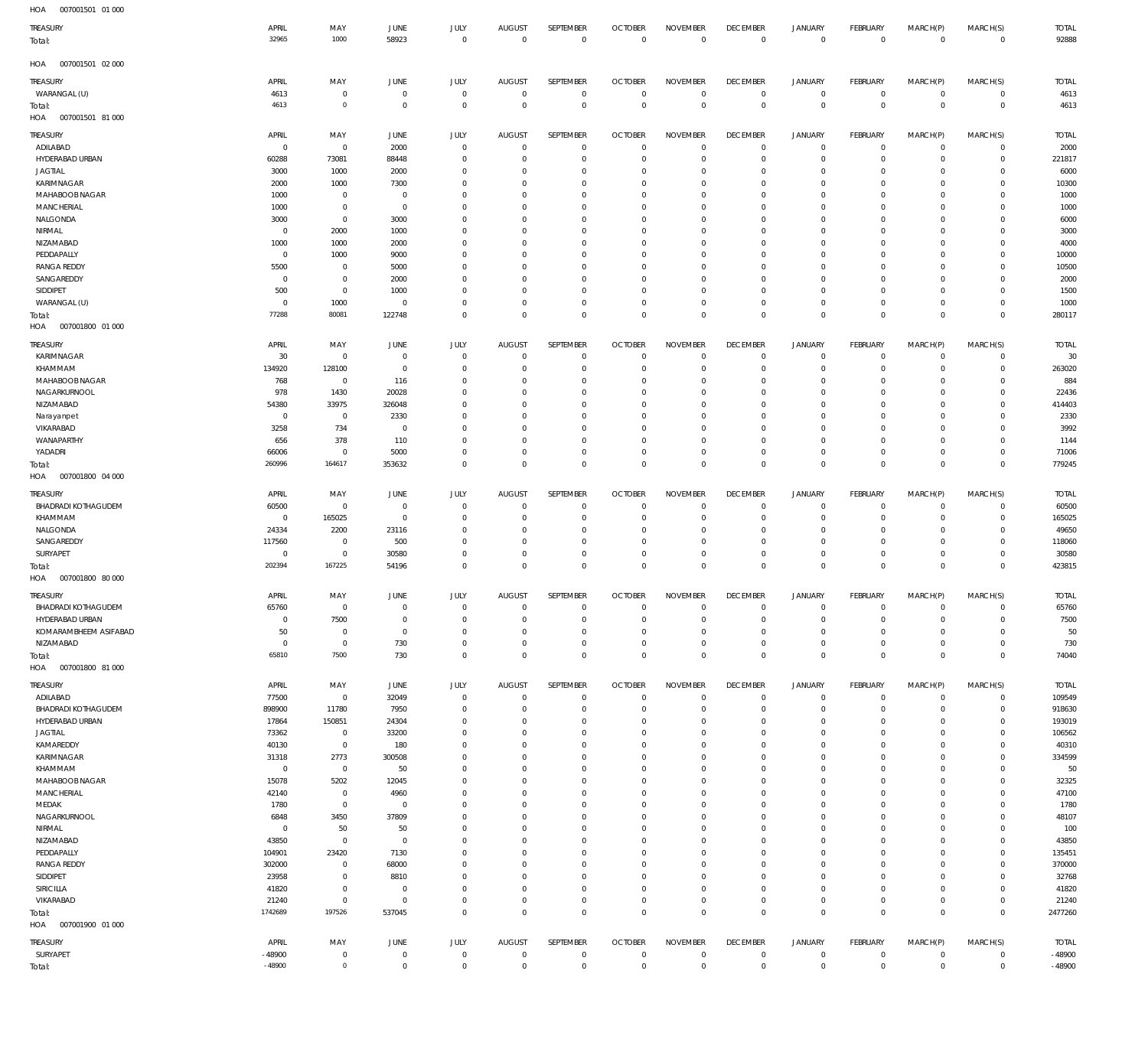| HOA<br>007001501 01 000                |                          |                               |                          |                            |                          |                                  |                            |                                  |                                  |                            |                            |                             |                                            |                  |
|----------------------------------------|--------------------------|-------------------------------|--------------------------|----------------------------|--------------------------|----------------------------------|----------------------------|----------------------------------|----------------------------------|----------------------------|----------------------------|-----------------------------|--------------------------------------------|------------------|
| <b>TREASURY</b>                        | APRIL                    | MAY                           | JUNE                     | <b>JULY</b>                | <b>AUGUST</b>            | SEPTEMBER                        | <b>OCTOBER</b>             | <b>NOVEMBER</b>                  | <b>DECEMBER</b>                  | <b>JANUARY</b>             | FEBRUARY                   | MARCH(P)                    | MARCH(S)                                   | <b>TOTAL</b>     |
| Total:                                 | 32965                    | 1000                          | 58923                    | $\mathbf 0$                | $\mathbf 0$              | $\mathbb O$                      | $\overline{0}$             | $\overline{0}$                   | $\overline{0}$                   | $\,0\,$                    | $\overline{0}$             | $\overline{0}$              | $\mathbb O$                                | 92888            |
| HOA<br>007001501 02 000                |                          |                               |                          |                            |                          |                                  |                            |                                  |                                  |                            |                            |                             |                                            |                  |
| Treasury                               | APRIL                    | MAY                           | JUNE                     | <b>JULY</b>                | <b>AUGUST</b>            | SEPTEMBER                        | <b>OCTOBER</b>             | <b>NOVEMBER</b>                  | <b>DECEMBER</b>                  | JANUARY                    | FEBRUARY                   | MARCH(P)                    | MARCH(S)                                   | <b>TOTAL</b>     |
| WARANGAL (U)                           | 4613                     | $\mathbf 0$                   | $\overline{0}$           | $\mathbb O$                | $\overline{0}$           | $\,0\,$                          | $\overline{0}$             | $^{\circ}$                       | $\overline{0}$                   | $\mathbb O$                | $\circ$                    | $\overline{0}$              | $\mathsf{O}\xspace$                        | 4613             |
| Total:                                 | 4613                     | $\mathbf 0$                   | $\overline{0}$           | $\mathbb O$                | $\overline{0}$           | $\mathbb O$                      | $\overline{0}$             | $\mathbf 0$                      | $\mathbf 0$                      | $\,0\,$                    | $\overline{0}$             | $\overline{0}$              | $\mathbb O$                                | 4613             |
| HOA<br>007001501 81 000                |                          |                               |                          |                            |                          |                                  |                            |                                  |                                  |                            |                            |                             |                                            |                  |
| TREASURY                               | APRIL                    | MAY                           | <b>JUNE</b>              | <b>JULY</b>                | <b>AUGUST</b>            | SEPTEMBER                        | <b>OCTOBER</b>             | <b>NOVEMBER</b>                  | <b>DECEMBER</b>                  | JANUARY                    | <b>FEBRUARY</b>            | MARCH(P)                    | MARCH(S)                                   | <b>TOTAL</b>     |
| ADILABAD                               | $\overline{0}$           | $\mathbf 0$                   | 2000                     | $\mathbf 0$                | $^{\circ}$               | $\overline{0}$                   | $\Omega$                   | $\Omega$                         | $\mathbf 0$                      | $\mathbb O$                | $\mathbf 0$                | $\mathbf{0}$                | 0                                          | 2000             |
| HYDERABAD URBAN                        | 60288                    | 73081                         | 88448                    | $\mathbf 0$                | 0                        | $\overline{0}$                   | $\Omega$                   | $\Omega$                         | $\overline{0}$                   | $\circ$                    | $\mathbf 0$                | $\mathbf 0$                 | $\mathsf{O}\xspace$                        | 221817           |
| <b>JAGTIAL</b>                         | 3000                     | 1000                          | 2000                     | 0<br>$\Omega$              | $\Omega$                 | $\overline{0}$                   | $\Omega$<br>$\Omega$       | $\Omega$<br>$^{\circ}$           | $\overline{0}$<br>$\mathbf 0$    | $\circ$                    | $\mathbf 0$<br>$\Omega$    | $\mathbf 0$<br>$\mathbf 0$  | $\mathbf 0$<br>$\mathbf 0$                 | 6000             |
| KARIMNAGAR<br>MAHABOOB NAGAR           | 2000<br>1000             | 1000<br>$\mathbf 0$           | 7300<br>$\mathbf 0$      | $\Omega$                   | 0<br>$\Omega$            | $\overline{0}$<br>$\overline{0}$ | $\Omega$                   | $\Omega$                         | $\mathbf 0$                      | $\circ$<br>$\circ$         | $\Omega$                   | $\Omega$                    | $\mathbf 0$                                | 10300<br>1000    |
| MANCHERIAL                             | 1000                     | $\mathbf 0$                   | $\overline{0}$           | $\Omega$                   | $\Omega$                 | $\overline{0}$                   | $\Omega$                   | $\Omega$                         | $\overline{0}$                   | $\circ$                    | $\Omega$                   | $\mathbf 0$                 | $\mathbf 0$                                | 1000             |
| NALGONDA                               | 3000                     | $\mathbf 0$                   | 3000                     | $\Omega$                   | $\Omega$                 | $\overline{0}$                   | $\Omega$                   | $\overline{0}$                   | $\overline{0}$                   | $\circ$                    | $\Omega$                   | $\mathbf 0$                 | $\mathbf 0$                                | 6000             |
| NIRMAL                                 | $\overline{0}$           | 2000                          | 1000                     | $\Omega$                   | 0                        | $\overline{0}$                   | $\Omega$                   | $\Omega$                         | $\mathbf 0$                      | $\circ$                    | $\Omega$                   | $\mathbf 0$                 | $\mathbf 0$                                | 3000             |
| NIZAMABAD                              | 1000                     | 1000                          | 2000                     | $\Omega$                   | $\Omega$                 | $\overline{0}$                   | $\Omega$                   | $\mathbf{0}$                     | $\overline{0}$                   | $\mathbf 0$                | $\Omega$                   | $\mathbf 0$                 | $\mathbf 0$                                | 4000             |
| PEDDAPALLY                             | $\overline{0}$           | 1000                          | 9000                     | $\Omega$                   | 0                        | $\overline{0}$                   | $\Omega$                   | $^{\circ}$                       | $\overline{0}$                   | $\circ$                    | $\Omega$                   | $\mathbf 0$                 | $\mathbf 0$                                | 10000            |
| <b>RANGA REDDY</b>                     | 5500                     | $\mathbf 0$                   | 5000                     | $\Omega$                   | $\Omega$                 | $\overline{0}$                   | $\Omega$                   | $\Omega$                         | $\mathbf 0$                      | $\circ$                    | $\Omega$                   | $\mathbf 0$                 | $\mathbf 0$                                | 10500            |
| SANGAREDDY<br>SIDDIPET                 | $\overline{0}$<br>500    | $\mathbf 0$<br>$\mathbf 0$    | 2000<br>1000             | $\Omega$<br>$\Omega$       | $\Omega$<br>$\Omega$     | $\overline{0}$<br>$\overline{0}$ | $\Omega$<br>$\Omega$       | $\Omega$<br>$\overline{0}$       | $\overline{0}$<br>$\overline{0}$ | $\circ$<br>$\mathbf 0$     | $\Omega$<br>$\mathbf 0$    | $\mathbf 0$<br>$\mathbf 0$  | $\mathbf 0$<br>$\mathbf 0$                 | 2000<br>1500     |
| WARANGAL (U)                           | $\overline{0}$           | 1000                          | $\mathbf 0$              | $\Omega$                   | 0                        | $\overline{0}$                   | $\Omega$                   | $^{\circ}$                       | $\mathbf 0$                      | $\mathbf 0$                | $\mathbf 0$                | $\mathbf 0$                 | $\mathbf 0$                                | 1000             |
| Total:                                 | 77288                    | 80081                         | 122748                   | $\mathbf 0$                | $\Omega$                 | $\mathbf 0$                      | $\Omega$                   | $\overline{0}$                   | $\mathbf 0$                      | $\mathbf 0$                | $\Omega$                   | $\mathbf 0$                 | $\mathbf 0$                                | 280117           |
| HOA<br>007001800 01 000                |                          |                               |                          |                            |                          |                                  |                            |                                  |                                  |                            |                            |                             |                                            |                  |
| TREASURY                               | APRIL                    | MAY                           | JUNE                     | JULY                       | <b>AUGUST</b>            | SEPTEMBER                        | <b>OCTOBER</b>             | <b>NOVEMBER</b>                  | <b>DECEMBER</b>                  | JANUARY                    | <b>FEBRUARY</b>            | MARCH(P)                    | MARCH(S)                                   | <b>TOTAL</b>     |
| KARIMNAGAR                             | 30                       | $\overline{0}$                | $\overline{0}$           | $\mathbf 0$                | $\overline{0}$           | $\mathbf 0$                      | $\Omega$                   | $\Omega$                         | $\mathbf 0$                      | $\mathbb O$                | $\mathbf 0$                | $\mathbf{0}$                | 0                                          | 30               |
| KHAMMAM                                | 134920                   | 128100                        | $\overline{0}$           | $\mathbf 0$                | 0                        | $\,0\,$                          | $\Omega$                   | $^{\circ}$                       | $\mathbf 0$                      | $\mathbb O$                | $\mathbf 0$                | $\mathbf 0$                 | $\mathsf{O}\xspace$                        | 263020           |
| MAHABOOB NAGAR                         | 768                      | $\overline{0}$                | 116                      | $\mathbf 0$                | 0                        | $\overline{0}$                   | n                          | $\Omega$                         | 0                                | $\circ$                    | 0                          | $\mathbf 0$                 | $\mathbf 0$                                | 884              |
| NAGARKURNOOL                           | 978                      | 1430                          | 20028                    | $\mathbf 0$                | $\Omega$                 | $\overline{0}$                   | $\Omega$                   | $^{\circ}$                       | $\overline{0}$                   | $\mathbf 0$                | 0                          | $\mathbf 0$                 | $\mathsf{O}\xspace$                        | 22436            |
| NIZAMABAD                              | 54380                    | 33975                         | 326048                   | $\mathbf 0$                | $\Omega$                 | $\mathbf 0$                      | $\Omega$                   | $\Omega$                         | $\mathbf 0$                      | $\mathbf 0$                | 0                          | $\mathbf 0$                 | $\mathsf{O}\xspace$                        | 414403           |
| Narayanpet<br>VIKARABAD                | $\overline{0}$<br>3258   | $\overline{0}$<br>734         | 2330<br>$\overline{0}$   | $\mathbf 0$<br>$\mathbf 0$ | $\Omega$<br>$\Omega$     | $\mathbf 0$<br>$\mathbf 0$       | n<br>$\Omega$              | $\Omega$<br>$\Omega$             | $\mathbf 0$<br>$\overline{0}$    | $\mathbf 0$<br>$\mathbf 0$ | $\Omega$<br>0              | $\mathbf 0$<br>$\mathbf 0$  | 0<br>$\mathbf 0$                           | 2330<br>3992     |
| WANAPARTHY                             | 656                      | 378                           | 110                      | $\mathbf 0$                | $\Omega$                 | $\mathbf 0$                      | $\Omega$                   | $^{\circ}$                       | $\overline{0}$                   | $\mathbf 0$                | 0                          | $\mathbf{0}$                | $\mathsf{O}\xspace$                        | 1144             |
| YADADRI                                | 66006                    | $\overline{0}$                | 5000                     | $\mathbf 0$                | $\Omega$                 | $\mathbf 0$                      | $\Omega$                   | $^{\circ}$                       | $\overline{0}$                   | $\mathbf 0$                | 0                          | $\mathbf{0}$                | $\mathsf{O}\xspace$                        | 71006            |
| Total:                                 | 260996                   | 164617                        | 353632                   | $\mathbf 0$                | $\Omega$                 | $\mathbf 0$                      | $\Omega$                   | $\mathbf 0$                      | $\mathbf 0$                      | $\,0\,$                    | $\mathbf 0$                | $\mathbf 0$                 | $\mathbf 0$                                | 779245           |
| HOA<br>007001800 04 000                |                          |                               |                          |                            |                          |                                  |                            |                                  |                                  |                            |                            |                             |                                            |                  |
| TREASURY                               | APRIL                    | MAY                           | <b>JUNE</b>              | JULY                       | <b>AUGUST</b>            | SEPTEMBER                        | <b>OCTOBER</b>             | <b>NOVEMBER</b>                  | <b>DECEMBER</b>                  | <b>JANUARY</b>             | <b>FEBRUARY</b>            | MARCH(P)                    | MARCH(S)                                   | <b>TOTAL</b>     |
| <b>BHADRADI KOTHAGUDEM</b>             | 60500                    | $\overline{0}$                | $\mathbf 0$              | $\mathbf 0$                | $\circ$                  | $\overline{0}$                   | $\Omega$                   | $\Omega$                         | $\mathbf 0$                      | $\circ$                    | $\mathbf 0$                | $\mathbf 0$                 | 0                                          | 60500            |
| KHAMMAM                                | $\overline{0}$           | 165025                        | $\overline{0}$           | $\mathbf 0$                | 0                        | $\overline{0}$                   | -0                         | $^{\circ}$                       | $\overline{0}$                   | $\circ$                    | $\mathbf 0$                | $\mathbf 0$                 | 0                                          | 165025           |
| NALGONDA                               | 24334                    | 2200                          | 23116                    | $\mathbf 0$                | 0                        | $\overline{0}$                   | $\Omega$                   | $^{\circ}$                       | $\overline{0}$                   | $\circ$                    | $\Omega$                   | $\mathbf 0$                 | $\mathbf 0$                                | 49650            |
| SANGAREDDY<br>SURYAPET                 | 117560<br>$\overline{0}$ | $\overline{0}$<br>$\mathbf 0$ | 500<br>30580             | $\Omega$<br>$\mathbf 0$    | $\Omega$<br>$\circ$      | $\overline{0}$<br>$\,0\,$        | $\Omega$<br>$\Omega$       | $\Omega$<br>$\overline{0}$       | $\overline{0}$<br>$\mathbf 0$    | $\circ$<br>$\mathbf 0$     | $\mathbf 0$<br>$\mathbf 0$ | $\mathbf 0$<br>$\mathbf 0$  | $\mathsf{O}\xspace$<br>$\mathsf{O}\xspace$ | 118060<br>30580  |
| lotal:                                 | 202394                   | 167225                        | 54196                    | $\mathbf 0$                | $\Omega$                 | $\mathbf 0$                      | $\Omega$                   | $\mathbf 0$                      | $\mathbf 0$                      | $\mathbf 0$                | $\Omega$                   | $\mathbf 0$                 | $\bf 0$                                    | 423815           |
| HOA<br>007001800 80 000                |                          |                               |                          |                            |                          |                                  |                            |                                  |                                  |                            |                            |                             |                                            |                  |
| TREASURY                               | APRIL                    | MAY                           | <b>JUNE</b>              | <b>JULY</b>                | <b>AUGUST</b>            | SEPTEMBER                        | <b>OCTOBER</b>             | <b>NOVEMBER</b>                  | <b>DECEMBER</b>                  | <b>JANUARY</b>             | FEBRUARY                   | MARCH(P)                    | MARCH(S)                                   | <b>TOTAL</b>     |
| <b>BHADRADI KOTHAGUDEM</b>             | 65760                    | $\overline{0}$                | 0                        | 0                          | - 0                      | $\mathbb O$                      | $\Omega$                   | $\circ$                          | 0                                | $\mathbf 0$                | $\mathbf 0$                | $\mathbf 0$                 | $\mathsf{O}\xspace$                        | 65760            |
| HYDERABAD URBAN                        | $\overline{0}$           | 7500                          | $\mathbf 0$              | $\mathbb O$                | $\Omega$                 | $\mathbb O$                      | $\overline{0}$             | $\overline{0}$                   | $\mathbf 0$                      | $\mathbf 0$                | $\mathbf 0$                | $\mathbf{0}$                | $\mathsf{O}\xspace$                        | 7500             |
| KOMARAMBHEEM ASIFABAD                  | 50                       | $\overline{0}$                | $\overline{0}$           | $\mathbf 0$                | $^{\circ}$               | $\,0\,$                          | $\Omega$                   | $\mathbb O$                      | $\mathbf 0$                      | $\mathbb O$                | $\mathbf 0$                | $\circ$                     | $\mathsf{O}\xspace$                        | 50               |
| NIZAMABAD                              | $\mathbf 0$              | $\mathbf 0$                   | 730                      | $\mathbf 0$                | $\Omega$                 | $\mathbb O$                      | $\Omega$                   | $\mathbb O$                      | $\mathbf 0$                      | $\mathbf 0$                | $\mathbf 0$                | $\mathbf{0}$                | $\mathsf{O}\xspace$                        | 730              |
| Total:                                 | 65810                    | 7500                          | 730                      | $\mathbf 0$                | $\Omega$                 | $\mathbb O$                      | $\overline{0}$             | $\overline{0}$                   | $\mathbb O$                      | $\mathbb O$                | $\overline{0}$             | $\overline{0}$              | $\mathsf 0$                                | 74040            |
| HOA<br>007001800 81 000                |                          |                               |                          |                            |                          |                                  |                            |                                  |                                  |                            |                            |                             |                                            |                  |
| TREASURY                               | APRIL                    | MAY                           | JUNE                     | <b>JULY</b>                | <b>AUGUST</b>            | SEPTEMBER                        | <b>OCTOBER</b>             | <b>NOVEMBER</b>                  | <b>DECEMBER</b>                  | JANUARY                    | FEBRUARY                   | MARCH(P)                    | MARCH(S)                                   | <b>TOTAL</b>     |
| ADILABAD<br><b>BHADRADI KOTHAGUDEM</b> | 77500<br>898900          | $\overline{0}$<br>11780       | 32049<br>7950            | $\mathbf 0$<br>$\mathbf 0$ | $\mathbf{0}$<br>$\Omega$ | $\mathbb O$<br>$\,0\,$           | $\overline{0}$<br>$\Omega$ | $\mathbf{0}$<br>$\Omega$         | $\overline{0}$                   | $\mathbb O$<br>$\mathbb O$ | $\mathbf 0$<br>$\mathbf 0$ | $\mathbf{0}$<br>$\mathbf 0$ | $\mathbf 0$<br>$\mathsf{O}\xspace$         | 109549<br>918630 |
| HYDERABAD URBAN                        | 17864                    | 150851                        | 24304                    | $\mathbf 0$                | $\Omega$                 | $\mathbb O$                      | $\Omega$                   | $\circ$                          | $\mathbf 0$<br>$\mathbf 0$       | $\mathbf 0$                | $\mathbf 0$                | $\mathbf 0$                 | $\mathsf{O}\xspace$                        | 193019           |
| JAGTIAL                                | 73362                    | $\overline{0}$                | 33200                    | $\mathbf 0$                | $\Omega$                 | $\mathbb O$                      | $\Omega$                   | $\overline{0}$                   | $\overline{0}$                   | $\mathbf 0$                | $\Omega$                   | $\mathbf 0$                 | $\mathsf{O}\xspace$                        | 106562           |
| KAMAREDDY                              | 40130                    | $\mathbf 0$                   | 180                      | $^{\circ}$                 | $\Omega$                 | $\mathbb O$                      | $\Omega$                   | $\overline{0}$                   | $\overline{0}$                   | $\mathbf 0$                | $\Omega$                   | $\mathbf 0$                 | $\mathsf{O}\xspace$                        | 40310            |
| KARIMNAGAR                             | 31318                    | 2773                          | 300508                   | $\Omega$                   | $\Omega$                 | $\mathbb O$                      | $\Omega$                   | $\mathbf{0}$                     | $\overline{0}$                   | $\mathbf 0$                | $\Omega$                   | $\mathbf 0$                 | $\mathsf{O}\xspace$                        | 334599           |
| KHAMMAM                                | $\overline{0}$           | $\overline{0}$                | 50                       | $\Omega$                   | $\Omega$                 | $\mathbb O$                      | $\Omega$                   | $\overline{0}$                   | $\mathbf 0$                      | $\mathbf 0$                | $\Omega$                   | $\mathbf 0$                 | $\mathbf 0$                                | 50               |
| MAHABOOB NAGAR                         | 15078                    | 5202                          | 12045                    | $\Omega$                   | $\Omega$                 | $\mathbb O$                      | $\Omega$                   | $\mathbf{0}$                     | $\overline{0}$                   | $\mathbf 0$                | $\Omega$                   | $\mathbf 0$                 | $\mathsf{O}\xspace$                        | 32325            |
| MANCHERIAL<br>MEDAK                    | 42140<br>1780            | $\mathbf 0$<br>$\,0\,$        | 4960<br>$\overline{0}$   | $\Omega$<br>$\Omega$       | $\Omega$<br>$\Omega$     | $\mathbb O$<br>$\mathbb O$       | $\Omega$<br>$\Omega$       | $\overline{0}$<br>$\overline{0}$ | $\mathbf 0$<br>$\overline{0}$    | $\mathbf 0$<br>$\mathbf 0$ | $\Omega$<br>$\Omega$       | $\Omega$<br>$\mathbf 0$     | $\mathbf 0$<br>$\mathsf{O}\xspace$         | 47100<br>1780    |
| NAGARKURNOOL                           | 6848                     | 3450                          | 37809                    | $\Omega$                   | $\Omega$                 | $\mathbf 0$                      | $\Omega$                   | $\overline{0}$                   | $\mathbf 0$                      | $\mathbf 0$                | $\Omega$                   | $\mathbf 0$                 | $\mathbf 0$                                | 48107            |
| NIRMAL                                 | $\overline{0}$           | 50                            | 50                       | $\Omega$                   | $\Omega$                 | $\mathbf 0$                      | $\Omega$                   | $\mathbf{0}$                     | $\overline{0}$                   | $\mathbf 0$                | $\Omega$                   | $\Omega$                    | $\mathsf{O}\xspace$                        | 100              |
| NIZAMABAD                              | 43850                    | $\overline{0}$                | $\overline{0}$           | $\Omega$                   | $\Omega$                 | $\mathbf 0$                      | $\Omega$                   | $\overline{0}$                   | $\mathbf 0$                      | $\mathbf 0$                | $\Omega$                   | $\mathbf 0$                 | $\mathbf 0$                                | 43850            |
| PEDDAPALLY                             | 104901                   | 23420                         | 7130                     | $\Omega$                   | $\Omega$                 | $\overline{0}$                   | $\Omega$                   | $\mathbf{0}$                     | $\overline{0}$                   | $\mathbf 0$                | $\Omega$                   | $\mathbf 0$                 | $\mathsf{O}\xspace$                        | 135451           |
| <b>RANGA REDDY</b>                     | 302000                   | $\mathbf 0$                   | 68000                    | $\Omega$                   | $\Omega$                 | $\mathbb O$                      | $\Omega$                   | $\overline{0}$                   | $\overline{0}$                   | $\mathbf 0$                | $\Omega$                   | $\Omega$                    | $\mathbf 0$                                | 370000           |
| SIDDIPET                               | 23958                    | $\mathbf 0$                   | 8810                     | $\Omega$                   | $\Omega$                 | $\mathbb O$                      | $\Omega$                   | $\overline{0}$                   | $\overline{0}$                   | $\mathbf 0$                | $\Omega$                   | $\mathbf 0$                 | $\mathbf 0$                                | 32768            |
| <b>SIRICILLA</b>                       | 41820                    | $\mathbf 0$                   | $^{\circ}$               | $\mathbf 0$<br>$\mathbf 0$ | $\Omega$                 | $\mathbb O$                      | $\Omega$<br>$\Omega$       | $\mathbb O$                      | $\mathbf 0$                      | $\mathbf 0$                | $\mathbf 0$<br>$\mathbf 0$ | $\mathbf 0$<br>$\mathbf 0$  | $\mathsf{O}\xspace$                        | 41820            |
| VIKARABAD<br>Total:                    | 21240<br>1742689         | $\mathbf 0$<br>197526         | $\overline{0}$<br>537045 | $\mathbf 0$                | $\Omega$<br>$\Omega$     | $\mathbb O$<br>$\mathbb O$       | $\Omega$                   | $\mathbb O$<br>$\overline{0}$    | $\overline{0}$<br>$\mathbb O$    | $\mathbb O$<br>$\mathbb O$ | $\Omega$                   | $\mathbf 0$                 | $\mathsf{O}\xspace$<br>$\bf 0$             | 21240<br>2477260 |
| HOA<br>007001900 01 000                |                          |                               |                          |                            |                          |                                  |                            |                                  |                                  |                            |                            |                             |                                            |                  |
| TREASURY                               | APRIL                    | MAY                           | JUNE                     | <b>JULY</b>                | <b>AUGUST</b>            | SEPTEMBER                        | <b>OCTOBER</b>             | <b>NOVEMBER</b>                  | <b>DECEMBER</b>                  | JANUARY                    | FEBRUARY                   | MARCH(P)                    | MARCH(S)                                   | <b>TOTAL</b>     |
| SURYAPET                               | $-48900$                 | $\mathbf 0$                   | $\mathbf 0$              | $\mathbf 0$                | $\mathbf 0$              | $\mathbb O$                      | $\mathbf 0$                | $\overline{0}$                   | $\overline{0}$                   | $\mathbb O$                | $\overline{0}$             | $\overline{0}$              | $\mathsf{O}\xspace$                        | $-48900$         |
| Total:                                 | $-48900$                 | $\mathbb O$                   | $\mathbf 0$              | $\mathbf 0$                | $\mathbf 0$              | $\mathsf{O}\xspace$              | $\overline{0}$             | $\,0\,$                          | $\,0\,$                          | $\,0\,$                    | $\overline{0}$             | $\,0\,$                     | $\mathsf{O}\xspace$                        | $-48900$         |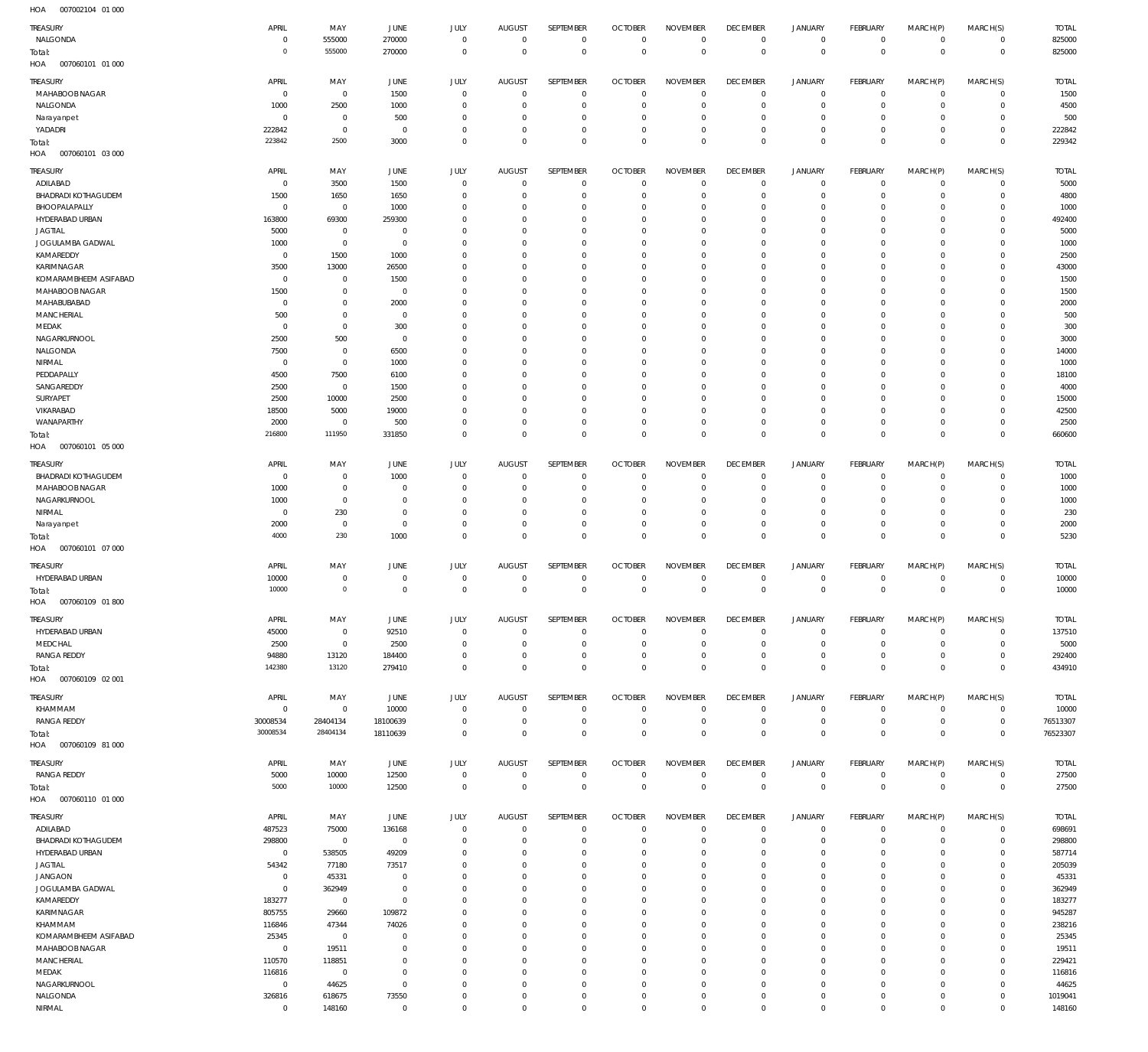| .<br>001002107<br>$\cup$ . $\cup$ $\cup$ |                |                     |                |                     |                |                     |                |                         |                 |                |                |              |                |              |
|------------------------------------------|----------------|---------------------|----------------|---------------------|----------------|---------------------|----------------|-------------------------|-----------------|----------------|----------------|--------------|----------------|--------------|
| TREASURY                                 | APRIL          | MAY                 | JUNE           | JULY                | <b>AUGUST</b>  | SEPTEMBER           | <b>OCTOBER</b> | <b>NOVEMBER</b>         | <b>DECEMBER</b> | <b>JANUARY</b> | FEBRUARY       | MARCH(P)     | MARCH(S)       | <b>TOTAL</b> |
| NALGONDA                                 | $\mathbf 0$    | 555000              | 270000         | $\mathbf 0$         | $\overline{0}$ | $\mathbf 0$         | $\overline{0}$ | $\mathbf 0$             | $\overline{0}$  | $\circ$        | $\overline{0}$ | $\mathbf{0}$ | $\overline{0}$ | 825000       |
| Total:                                   | $\circ$        | 555000              | 270000         | $\mathbf 0$         | $\mathbf 0$    | $\mathbf 0$         | $\overline{0}$ | $\overline{0}$          | $\overline{0}$  | $\mathbf 0$    | $\overline{0}$ | $\mathbf 0$  | $\overline{0}$ | 825000       |
| HOA<br>007060101 01 000                  |                |                     |                |                     |                |                     |                |                         |                 |                |                |              |                |              |
| TREASURY                                 | APRIL          | MAY                 | <b>JUNE</b>    | JULY                | <b>AUGUST</b>  | SEPTEMBER           | <b>OCTOBER</b> | <b>NOVEMBER</b>         | <b>DECEMBER</b> | <b>JANUARY</b> | FEBRUARY       | MARCH(P)     | MARCH(S)       | <b>TOTAL</b> |
| MAHABOOB NAGAR                           | $\mathbf 0$    | $\mathbf 0$         | 1500           | $\mathbf 0$         | $\mathbf 0$    | 0                   | $\overline{0}$ | $\mathbf 0$             | $\overline{0}$  | $\mathbf 0$    | $\overline{0}$ | $^{\circ}$   | $\circ$        | 1500         |
| NALGONDA                                 | 1000           | 2500                | 1000           | $\mathbf 0$         | $\mathbf 0$    | $\mathbf 0$         | $\overline{0}$ | $\mathbf 0$             | $\overline{0}$  | $\mathbf 0$    | $\circ$        | $\mathbf 0$  | $\circ$        | 4500         |
|                                          | 0              | $\bf 0$             | 500            | $\mathbf 0$         | $\mathbf 0$    | $\mathbf 0$         | $\mathbf 0$    | $\mathbf 0$             | $\overline{0}$  | 0              | $\mathbf{0}$   | $\mathbf 0$  | $\mathbf{0}$   | 500          |
| Narayanpet                               |                |                     |                |                     |                |                     |                |                         |                 |                |                |              |                |              |
| YADADRI                                  | 222842         | $\mathsf{O}\xspace$ | $\overline{0}$ | $\mathbf 0$         | $\mathbf 0$    | $\bf 0$             | $\overline{0}$ | 0                       | $\overline{0}$  | $\mathbf 0$    | $\circ$        | $\mathbf 0$  | $\circ$        | 222842       |
| Total:                                   | 223842         | 2500                | 3000           | $\mathbf 0$         | $\mathbf 0$    | $\mathbf 0$         | $\overline{0}$ | $\mathbf 0$             | $\overline{0}$  | $\mathbf 0$    | $\overline{0}$ | $\mathbf 0$  | $\overline{0}$ | 229342       |
| HOA<br>007060101 03 000                  |                |                     |                |                     |                |                     |                |                         |                 |                |                |              |                |              |
| TREASURY                                 | APRIL          | MAY                 | <b>JUNE</b>    | JULY                | <b>AUGUST</b>  | SEPTEMBER           | <b>OCTOBER</b> | <b>NOVEMBER</b>         | <b>DECEMBER</b> | <b>JANUARY</b> | FEBRUARY       | MARCH(P)     | MARCH(S)       | <b>TOTAL</b> |
| ADILABAD                                 | $^{\circ}$     | 3500                | 1500           | $\mathbf 0$         | $\mathbf 0$    | $\mathbf 0$         | $\overline{0}$ | $\Omega$                | $\overline{0}$  | $\circ$        | $\overline{0}$ | $\mathbf 0$  | $\mathbf{0}$   | 5000         |
| <b>BHADRADI KOTHAGUDEM</b>               | 1500           | 1650                | 1650           | $\mathbf 0$         | $\mathbf 0$    | $\mathbf 0$         | $\mathbf 0$    | $\mathbf 0$             | $\mathbf 0$     | $\mathbf 0$    | $\circ$        | $\mathbf 0$  | $\circ$        | 4800         |
| BHOOPALAPALLY                            | $\mathbf 0$    | $\mathbf 0$         | 1000           | $\Omega$            | $\mathbf 0$    | $\mathbf 0$         | $\mathbf 0$    | $\mathbf 0$             | $\mathbf 0$     | $\mathbf 0$    | $^{\circ}$     | $\Omega$     | $\mathbf{0}$   | 1000         |
|                                          |                |                     |                |                     |                |                     |                |                         |                 |                |                |              |                |              |
| HYDERABAD URBAN                          | 163800         | 69300               | 259300         | $\Omega$            | 0              | $\mathbf 0$         | $\mathbf 0$    | $\Omega$                | $\mathbf 0$     | 0              | $\mathbf 0$    | $\Omega$     | $\mathbf 0$    | 492400       |
| <b>JAGTIAL</b>                           | 5000           | $\bf 0$             | $\mathbf 0$    | $\Omega$            | $\Omega$       | $\mathbf 0$         | $\Omega$       | $\Omega$                | $\mathbf 0$     | $\mathbf 0$    | $\mathbf 0$    | $\Omega$     | $\mathbf 0$    | 5000         |
| JOGULAMBA GADWAL                         | 1000           | $\bf 0$             | $\overline{0}$ | $\Omega$            | $\Omega$       | $\mathbf 0$         | $\mathbf 0$    | $\Omega$                | $\mathbf 0$     | $\mathbf 0$    | $\mathbf 0$    | $\Omega$     | $\mathbf 0$    | 1000         |
| KAMAREDDY                                | $\mathbf 0$    | 1500                | 1000           | $\Omega$            | $\Omega$       | $\mathbf 0$         | $\mathbf 0$    | $\Omega$                | $\mathbf 0$     | $\mathbf 0$    | $\mathbf 0$    | $\Omega$     | $\mathbf 0$    | 2500         |
| KARIMNAGAR                               | 3500           | 13000               | 26500          | $\Omega$            | $\Omega$       | $\mathbf 0$         | $\mathbf 0$    | $\Omega$                | $\mathbf 0$     | $\mathbf 0$    | $\mathbf 0$    | $\Omega$     | $\mathbf 0$    | 43000        |
| KOMARAMBHEEM ASIFABAD                    | $\mathbf 0$    | $\bf 0$             | 1500           | $\Omega$            | $\Omega$       | $\mathbf 0$         | $\mathbf 0$    | $\mathbf 0$             | $\mathbf 0$     | $\mathbf 0$    | $\mathbf 0$    | $\Omega$     | $\mathbf 0$    | 1500         |
| MAHABOOB NAGAR                           | 1500           | $\bf 0$             | $\overline{0}$ | $\Omega$            | $\Omega$       | $\mathbf 0$         | $\mathbf 0$    | $\Omega$                | $\mathbf 0$     | $\mathbf 0$    | $\mathbf 0$    | $\Omega$     | $\mathbf 0$    | 1500         |
| MAHABUBABAD                              | $\mathbf 0$    | $\mathsf{O}\xspace$ | 2000           | $\Omega$            | $\Omega$       | $\mathbf 0$         | $\mathbf 0$    | $\Omega$                | $\mathbf 0$     | $\mathbf 0$    | $^{\circ}$     | $\Omega$     | $\mathbf 0$    | 2000         |
| MANCHERIAL                               | 500            | $\bf 0$             | $\mathbf 0$    | $\Omega$            | $\Omega$       | $\mathbf 0$         | $\mathbf 0$    | $\Omega$                | $\mathbf 0$     | $\mathbf 0$    | $\mathbf 0$    | $\Omega$     | $\mathbf 0$    | 500          |
| MEDAK                                    | $\mathbf 0$    | $\mathbf 0$         | 300            | $\Omega$            | $\Omega$       | $\mathbf 0$         | $\Omega$       | $\Omega$                | $\mathbf 0$     | $\mathbf 0$    | $\mathbf 0$    | $\Omega$     | $\mathbf 0$    | 300          |
| NAGARKURNOOL                             | 2500           | 500                 | $\overline{0}$ | $\Omega$            | $\Omega$       | $\mathbf 0$         | $\mathbf 0$    | $\Omega$                | $\mathbf 0$     | $\circ$        | $\mathbf 0$    | $\Omega$     | $\mathbf 0$    | 3000         |
| NALGONDA                                 | 7500           | $\bf 0$             | 6500           | $\Omega$            | $\Omega$       | $\mathbf 0$         | $\Omega$       | $\Omega$                | $\mathbf 0$     | $\mathbf 0$    | $\Omega$       | $\Omega$     | $\Omega$       | 14000        |
| NIRMAL                                   | $\overline{0}$ | $\mathbf 0$         | 1000           | $\Omega$            | $\Omega$       | $\mathbf 0$         | $\mathbf 0$    | $\Omega$                | $\mathbf 0$     | $\mathbf 0$    | $\mathbf 0$    | $\Omega$     | $\mathbf 0$    | 1000         |
| PEDDAPALLY                               | 4500           | 7500                | 6100           | $\Omega$            | $\Omega$       | $\mathbf 0$         | $\Omega$       | $\Omega$                | $\mathbf 0$     | $\mathbf 0$    | $\mathbf 0$    | $\Omega$     | $\mathbf 0$    | 18100        |
| SANGAREDDY                               | 2500           | $\bf 0$             | 1500           | $\Omega$            | $\Omega$       | $\mathbf 0$         | $\mathbf 0$    | $\Omega$                | $\mathbf 0$     | $\mathbf 0$    | $\mathbf 0$    | $\Omega$     | $\mathbf 0$    | 4000         |
| SURYAPET                                 | 2500           | 10000               | 2500           | $\Omega$            | $\mathbf 0$    | $\mathbf 0$         | $\mathbf 0$    | $\mathbf 0$             | $\mathbf 0$     | $\mathbf 0$    | $\mathbf 0$    | $\Omega$     | $\mathbf 0$    | 15000        |
|                                          |                |                     |                | $\Omega$            | $\Omega$       | $\mathbf 0$         |                | $\Omega$                |                 | $\mathbf 0$    |                | $\Omega$     |                |              |
| VIKARABAD                                | 18500          | 5000                | 19000          |                     |                |                     | $\mathbf 0$    |                         | $\mathbf 0$     |                | $\mathbf 0$    |              | $\mathbf 0$    | 42500        |
| WANAPARTHY                               | 2000           | $\mathbf 0$         | 500            | $\Omega$            | $\mathbf 0$    | $\mathbf 0$         | $\mathbf 0$    | $\mathbf 0$             | $\mathbf 0$     | $\mathbf 0$    | $\mathbf{0}$   | $\mathbf 0$  | $\mathbf{0}$   | 2500         |
| Total:                                   | 216800         | 111950              | 331850         | $\Omega$            | $\mathbf 0$    | $\mathbf 0$         | $\mathbf 0$    | $\mathbf 0$             | $\mathbf 0$     | $\mathbf 0$    | $\mathbf 0$    | $\mathbf 0$  | $\mathbf 0$    | 660600       |
| HOA<br>007060101 05 000                  |                |                     |                |                     |                |                     |                |                         |                 |                |                |              |                |              |
| TREASURY                                 | APRIL          | MAY                 | <b>JUNE</b>    | JULY                | <b>AUGUST</b>  | SEPTEMBER           | <b>OCTOBER</b> | <b>NOVEMBER</b>         | <b>DECEMBER</b> | <b>JANUARY</b> | FEBRUARY       | MARCH(P)     | MARCH(S)       | <b>TOTAL</b> |
| <b>BHADRADI KOTHAGUDEM</b>               | $\mathbf 0$    | 0                   | 1000           | 0                   | 0              | 0                   | $\overline{0}$ | $\mathbf 0$             | $\mathbf 0$     | 0              | $\overline{0}$ | $\mathbf 0$  | $\circ$        | 1000         |
| MAHABOOB NAGAR                           | 1000           | $\mathsf{O}\xspace$ | $\mathbf 0$    | $\mathbf 0$         | $\mathbf 0$    | $\bf 0$             | $\overline{0}$ | $\mathbf 0$             | $\overline{0}$  | $\mathbf 0$    | $\circ$        | $\mathbf 0$  | $\circ$        | 1000         |
|                                          |                | $\mathsf{O}\xspace$ | $\overline{0}$ | $\mathbf 0$         | $\mathbf 0$    |                     | $\mathbf 0$    | $\mathbf 0$             | $\overline{0}$  |                | $\mathbf{0}$   |              | $\mathbf{0}$   |              |
| NAGARKURNOOL                             | 1000           |                     |                |                     |                | 0                   |                |                         |                 | 0              |                | 0            |                | 1000         |
| NIRMAL                                   | $\mathbf 0$    | 230                 | $\overline{0}$ | $\mathbf 0$         | $\mathbf 0$    | $\mathbf 0$         | $\overline{0}$ | $\mathbf 0$             | $\overline{0}$  | $\mathbf 0$    | $\circ$        | $\mathbf 0$  | $\mathbf{0}$   | 230          |
| Narayanpet                               | 2000           | $\mathbf 0$         | $\overline{0}$ | $\mathbf 0$         | $\mathbf 0$    | $\mathbf 0$         | $\mathbf 0$    | $\mathbf 0$             | $\overline{0}$  | $\mathbf 0$    | $\circ$        | $\mathbf 0$  | $\circ$        | 2000         |
| Total:                                   | 4000           | 230                 | 1000           | $\mathbf 0$         | $\overline{0}$ | $\mathbf 0$         | $\overline{0}$ | $\mathbf 0$             | $\overline{0}$  | $\mathbf 0$    | $\overline{0}$ | $\mathbf 0$  | $\overline{0}$ | 5230         |
| HOA<br>007060101 07 000                  |                |                     |                |                     |                |                     |                |                         |                 |                |                |              |                |              |
| TREASURY                                 | APRIL          | MAY                 | <b>JUNE</b>    | JULY                | <b>AUGUST</b>  | SEPTEMBER           | <b>OCTOBER</b> | <b>NOVEMBER</b>         | <b>DECEMBER</b> | <b>JANUARY</b> | FEBRUARY       | MARCH(P)     | MARCH(S)       | <b>TOTAL</b> |
| HYDERABAD URBAN                          | 10000          | 0                   | $\mathbf 0$    | $\mathbf 0$         | $\mathbf 0$    | 0                   | $\overline{0}$ | $\mathbf 0$             | $\overline{0}$  | 0              | $\circ$        | $^{\circ}$   | $\mathbf 0$    | 10000        |
|                                          | 10000          | $\mathbf 0$         | $\mathbf{0}$   | $\mathbf 0$         | $\mathbf 0$    | $\mathbf 0$         | $\overline{0}$ | $\mathbf 0$             | $\overline{0}$  | $\mathbf 0$    | $\overline{0}$ | $\mathbf 0$  | $\overline{0}$ | 10000        |
| Total:                                   |                |                     |                |                     |                |                     |                |                         |                 |                |                |              |                |              |
| HOA<br>007060109 01 800                  |                |                     |                |                     |                |                     |                |                         |                 |                |                |              |                |              |
| TREASURY                                 | APRIL          | MAY                 | JUNE           | JULY                | <b>AUGUST</b>  | SEPTEMBER           | <b>OCTOBER</b> | <b>NOVEMBER</b>         | <b>DECEMBER</b> | <b>JANUARY</b> | FEBRUARY       | MARCH(P)     | MARCH(S)       | <b>TOTAL</b> |
| HYDERABAD URBAN                          | 45000          | $\mathbb O$         | 92510          | $\bf 0$             | $\overline{0}$ | $\bf 0$             | $\overline{0}$ | $\mathbf 0$             | $\overline{0}$  | $\circ$        | $\overline{0}$ | $\circ$      | $\overline{0}$ | 137510       |
| MEDCHAL                                  | 2500           | $\mathsf{O}\xspace$ | 2500           | 0                   | $\mathbf 0$    | $\bf 0$             | $\overline{0}$ | $\mathbf 0$             | $\overline{0}$  | $\mathbf 0$    | $\overline{0}$ | $\mathbf 0$  | $\overline{0}$ | 5000         |
| <b>RANGA REDDY</b>                       | 94880          | 13120               | 184400         | $\mathbf 0$         | $\mathbf 0$    | $\bf 0$             | $\overline{0}$ | $\mathbf 0$             | $\overline{0}$  | $\mathbf 0$    | $\overline{0}$ | $\mathbf 0$  | $\overline{0}$ | 292400       |
| Total:                                   | 142380         | 13120               | 279410         | $\mathbf 0$         | $\mathbf 0$    | $\mathbf 0$         | $\overline{0}$ | $\mathbf 0$             | $\overline{0}$  | $\bf 0$        | $\overline{0}$ | $\mathbf 0$  | $\overline{0}$ | 434910       |
| 007060109 02 001<br>HOA                  |                |                     |                |                     |                |                     |                |                         |                 |                |                |              |                |              |
|                                          |                |                     |                |                     |                |                     |                |                         |                 |                |                |              |                |              |
| TREASURY                                 | APRIL          | MAY                 | JUNE           | JULY                | <b>AUGUST</b>  | SEPTEMBER           | <b>OCTOBER</b> | <b>NOVEMBER</b>         | <b>DECEMBER</b> | <b>JANUARY</b> | FEBRUARY       | MARCH(P)     | MARCH(S)       | <b>TOTAL</b> |
| KHAMMAM                                  | $\mathbf 0$    | $\mathbf 0$         | 10000          | $\mathbf 0$         | $\mathbf 0$    | $\mathbf 0$         | $\overline{0}$ | $\mathbf 0$             | $\overline{0}$  | $\mathbf 0$    | $\circ$        | $\mathbf 0$  | $\overline{0}$ | 10000        |
| <b>RANGA REDDY</b>                       | 30008534       | 28404134            | 18100639       | $\mathbf 0$         | $\mathbf 0$    | $\bf 0$             | $\overline{0}$ | $\mathbf 0$             | $\overline{0}$  | $\mathbf 0$    | $\overline{0}$ | $\mathbf 0$  | $\overline{0}$ | 76513307     |
| Total:                                   | 30008534       | 28404134            | 18110639       | $\mathbf 0$         | $\mathbf 0$    | $\mathbf 0$         | $\overline{0}$ | $\mathbf 0$             | $\overline{0}$  | $\mathbf 0$    | $\overline{0}$ | $\mathbf 0$  | $\overline{0}$ | 76523307     |
| 007060109 81 000<br>HOA                  |                |                     |                |                     |                |                     |                |                         |                 |                |                |              |                |              |
|                                          |                |                     |                |                     |                |                     |                |                         |                 |                |                |              |                |              |
| TREASURY                                 | APRIL          | MAY                 | JUNE           | JULY                | AUGUST         | SEPTEMBER           | <b>OCTOBER</b> | <b>NOVEMBER</b>         | <b>DECEMBER</b> | <b>JANUARY</b> | FEBRUARY       | MARCH(P)     | MARCH(S)       | <b>TOTAL</b> |
| <b>RANGA REDDY</b>                       | 5000           | 10000               | 12500          | $\bf 0$             | $\overline{0}$ | $\mathbf 0$         | $\overline{0}$ | $\overline{0}$          | $\overline{0}$  | $\circ$        | $\overline{0}$ | $\circ$      | $\overline{0}$ | 27500        |
| Total:                                   | 5000           | 10000               | 12500          | $\mathsf{O}\xspace$ | $\overline{0}$ | $\mathsf{O}\xspace$ | $\overline{0}$ | $\overline{0}$          | $\overline{0}$  | $\mathbf 0$    | $\overline{0}$ | $\mathbf 0$  | $\overline{0}$ | 27500        |
| HOA<br>007060110 01 000                  |                |                     |                |                     |                |                     |                |                         |                 |                |                |              |                |              |
| TREASURY                                 | APRIL          | MAY                 | JUNE           | JULY                | <b>AUGUST</b>  | SEPTEMBER           | <b>OCTOBER</b> | <b>NOVEMBER</b>         | <b>DECEMBER</b> | <b>JANUARY</b> | FEBRUARY       | MARCH(P)     | MARCH(S)       | <b>TOTAL</b> |
| ADILABAD                                 | 487523         | 75000               | 136168         | $\mathbf 0$         | $\mathbf 0$    | $\mathbf 0$         | $\overline{0}$ | $\Omega$                | $\overline{0}$  | $\mathbf 0$    | $\circ$        | $\mathbf 0$  | $\mathbf{0}$   | 698691       |
| <b>BHADRADI KOTHAGUDEM</b>               | 298800         | $\,0\,$             | $\overline{0}$ | $\mathbf 0$         | $\mathbf 0$    | $\mathbf 0$         | $\overline{0}$ | $\Omega$                | $\mathbf 0$     | $\mathbf 0$    | $\circ$        | $\mathbf 0$  | $\circ$        | 298800       |
|                                          |                |                     |                |                     |                |                     |                |                         |                 |                |                |              |                |              |
| HYDERABAD URBAN                          | $\mathbf 0$    | 538505              | 49209          | $\Omega$            | $\mathbf 0$    | $\mathbf 0$         | $\mathbf 0$    | $\mathbf 0$<br>$\Omega$ | $\mathbf 0$     | $\mathbf 0$    | $\mathbf 0$    | $\Omega$     | $\mathbf 0$    | 587714       |
| <b>JAGTIAL</b>                           | 54342          | 77180               | 73517          | $\Omega$            | $\mathbf 0$    | $\mathbf 0$         | $\mathbf 0$    |                         | $\mathbf 0$     | $\mathbf 0$    | $\mathbf 0$    | $\Omega$     | $\mathbf 0$    | 205039       |
| <b>JANGAON</b>                           | $\mathbf 0$    | 45331               | $\mathbf 0$    | $\Omega$            | $\Omega$       | $\mathbf 0$         | $\mathbf 0$    | $\mathbf 0$             | $\mathbf 0$     | $\mathbf 0$    | $\mathbf 0$    | $\Omega$     | $\mathbf{0}$   | 45331        |
| JOGULAMBA GADWAL                         | $\bf 0$        | 362949              | $\overline{0}$ | $\Omega$            | $\Omega$       | $\mathbf 0$         | $\mathbf 0$    | $\Omega$                | $\mathbf 0$     | $\mathbf 0$    | $\mathbf 0$    | $\Omega$     | $\mathbf 0$    | 362949       |
| KAMAREDDY                                | 183277         | $\mathbf{0}$        | $\overline{0}$ | $\Omega$            | $\Omega$       | $\mathbf 0$         | $\mathbf 0$    | $\mathbf 0$             | $\mathbf 0$     | $\mathbf 0$    | $\mathbf{0}$   | $\Omega$     | $\mathbf{0}$   | 183277       |
| KARIMNAGAR                               | 805755         | 29660               | 109872         | $\Omega$            | $\mathbf 0$    | $\mathbf 0$         | $\mathbf 0$    | $\Omega$                | $\mathbf 0$     | $\mathbf 0$    | $\mathbf 0$    | $\Omega$     | $\mathbf 0$    | 945287       |
| KHAMMAM                                  | 116846         | 47344               | 74026          | $\Omega$            | $\Omega$       | $\mathbf 0$         | $\mathbf 0$    | $\Omega$                | $\mathbf 0$     | $\mathbf 0$    | $\mathbf 0$    | $\Omega$     | $\mathbf{0}$   | 238216       |
| KOMARAMBHEEM ASIFABAD                    | 25345          | $\mathbf 0$         | $\overline{0}$ | $\Omega$            | $\mathbf 0$    | $\mathbf 0$         | $\mathbf 0$    | $\Omega$                | $\mathbf 0$     | $\mathbf 0$    | $\mathbf 0$    | $\Omega$     | $\mathbf 0$    | 25345        |
| MAHABOOB NAGAR                           | $\mathbf 0$    | 19511               | $\overline{0}$ | $\Omega$            | $\Omega$       | $\mathbf 0$         | $\mathbf 0$    | $\Omega$                | $\mathbf 0$     | $\mathbf 0$    | $\mathbf 0$    | $\Omega$     | $\mathbf 0$    | 19511        |
| MANCHERIAL                               | 110570         | 118851              | $\overline{0}$ | $\Omega$            | $\mathbf 0$    | $\mathbf 0$         | $\mathbf 0$    | $\Omega$                | $\mathbf 0$     | $\mathbf 0$    | $\mathbf 0$    | $\Omega$     | $\mathbf 0$    | 229421       |
| MEDAK                                    |                |                     | $\mathbf 0$    | $\Omega$            | $\Omega$       | $\mathbf 0$         | $\mathbf 0$    | $\mathbf 0$             | $\mathbf 0$     | $\mathbf 0$    | $\mathbf 0$    | $\Omega$     | $\mathbf{0}$   | 116816       |
|                                          | 116816         | $\mathbf 0$         |                |                     |                |                     |                |                         |                 |                |                |              |                |              |
| NAGARKURNOOL                             | $\overline{0}$ | 44625               | $\mathbf 0$    | $\Omega$            | $\mathbf 0$    | $\mathbf 0$         | $\mathbf 0$    | $\Omega$                | $\mathbf 0$     | $\mathbf 0$    | $\mathbf 0$    | $\Omega$     | $\mathbf 0$    | 44625        |
| NALGONDA                                 | 326816         | 618675              | 73550          | $\mathbf 0$         | $\mathbf 0$    | $\bf 0$             | 0              | $\mathbf 0$             | $\mathbf 0$     | $\mathbf 0$    | $\circ$        | $\mathbf 0$  | $\circ$        | 1019041      |
| NIRMAL                                   | $\mathbb O$    | 148160              | $\mathbf{0}$   | $\mathbf 0$         | $\mathbf 0$    | $\mathbf 0$         | $\mathbf 0$    | $\mathbf 0$             | $\mathbf 0$     | $\mathbf 0$    | $\mathbf 0$    | $\mathbf 0$  | $\mathbf 0$    | 148160       |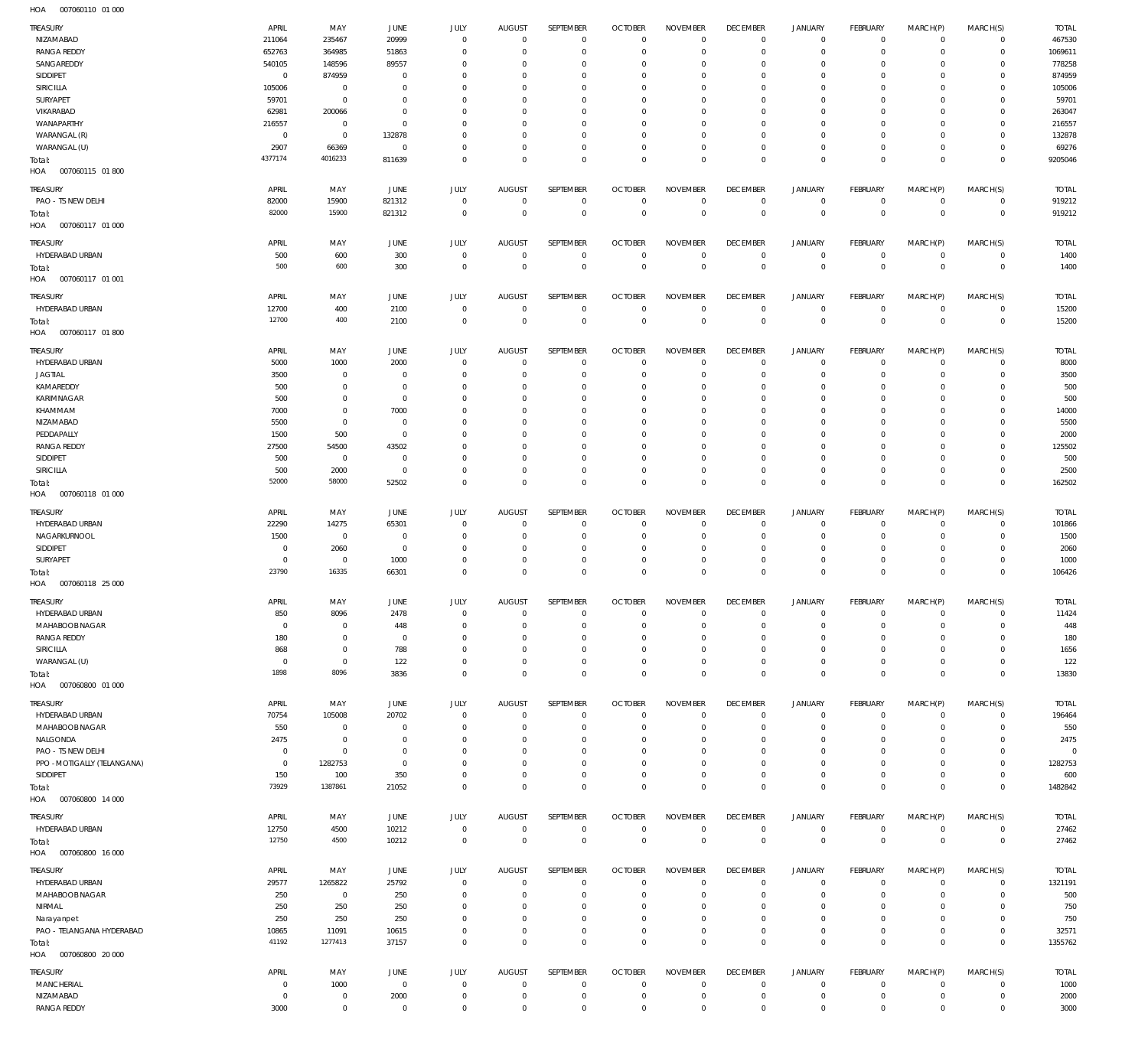| TREASURY                          | APRIL          | MAY                 | <b>JUNE</b>    | <b>JULY</b>                | <b>AUGUST</b>               | SEPTEMBER                  | <b>OCTOBER</b>                   | <b>NOVEMBER</b>  | <b>DECEMBER</b>                   | <b>JANUARY</b>             | FEBRUARY                   | MARCH(P)                | MARCH(S)                         | <b>TOTAL</b>   |
|-----------------------------------|----------------|---------------------|----------------|----------------------------|-----------------------------|----------------------------|----------------------------------|------------------|-----------------------------------|----------------------------|----------------------------|-------------------------|----------------------------------|----------------|
| NIZAMABAD                         | 211064         | 235467              | 20999          | $\mathbf 0$                | $\mathbf{0}$                | $\mathbf 0$                | $\mathbf 0$                      | $\mathbf 0$      | $\mathbf 0$                       | $\mathbf 0$                | $\mathbf{0}$               | $\mathbf 0$             | $^{\circ}$                       | 467530         |
| <b>RANGA REDDY</b>                | 652763         | 364985              | 51863          | $^{\circ}$                 | $^{\circ}$                  | $\mathbf 0$                | $\mathbf 0$                      | $\mathbf 0$      | $\mathbf 0$                       | $\mathbf 0$                | $^{\circ}$                 | $\mathbf 0$             | $\mathbf 0$                      | 1069611        |
| SANGAREDDY                        | 540105         | 148596              | 89557          | 0                          | 0                           | $\mathbf 0$                | $\mathbf 0$                      | 0                | $\mathbf 0$                       | $\mathbf 0$                | $\mathbf 0$                | $\Omega$                | $\mathbf 0$                      | 778258         |
| SIDDIPET                          | $\overline{0}$ | 874959              | $^{\circ}$     | $^{\circ}$                 | $^{\circ}$                  | $\mathbf 0$                | $\mathbf 0$                      | $\mathbf 0$      | $\mathbf 0$                       | $\mathbf 0$                | $\mathbf 0$                | $\Omega$                | $\mathbf 0$                      | 874959         |
| SIRICILLA                         | 105006         | $^{\circ}$          | $^{\circ}$     | 0                          | 0                           | $\mathbf 0$                | $\mathbf 0$                      | 0                | $\mathbf 0$                       | $\mathbf 0$                | $\mathbf 0$                | 0                       | $\mathbf 0$                      | 105006         |
| SURYAPET                          | 59701          | $\mathbf 0$         | $^{\circ}$     | $^{\circ}$                 | $^{\circ}$                  | $\mathbf 0$                | $\mathbf 0$                      | $\mathbf 0$      | $\mathbf 0$                       | $\mathbf 0$                | $\mathbf 0$                | $\Omega$                | $\mathbf 0$                      | 59701          |
| VIKARABAD                         | 62981          | 200066              | $^{\circ}$     | 0                          | $^{\circ}$                  | $\mathbf 0$                | $\mathbf 0$                      | 0                | $\mathbf 0$                       | $\mathbf 0$                | $\mathbf 0$                | 0                       | $\mathbf 0$                      | 263047         |
| WANAPARTHY                        | 216557         | $\mathbf 0$         | $^{\circ}$     | $^{\circ}$                 | $^{\circ}$                  | $\mathbf 0$                | $\mathbf 0$                      | $\mathbf 0$      | $\mathbf 0$                       | $\mathbf 0$                | $\mathbf 0$                | $\Omega$                | $\mathbf 0$                      | 216557         |
| WARANGAL (R)                      | $\mathbf 0$    | $\mathbf 0$         | 132878         | 0                          | $^{\circ}$                  | $\mathbf 0$                | $\mathbf 0$                      | $\mathbf 0$      | $\mathbf 0$                       | $\mathbf 0$                | $\mathbf 0$                | $\Omega$                | $\mathbf 0$                      | 132878         |
| WARANGAL (U)                      | 2907           | 66369               | $^{\circ}$     | $\mathbf 0$                | $^{\circ}$                  | $\mathbf 0$                | $\mathbf 0$                      | $\mathbf 0$      | $\mathbf 0$                       | $\mathbf 0$                | $^{\circ}$                 | $\Omega$                | $\mathbf 0$                      | 69276          |
| Total:                            | 4377174        | 4016233             | 811639         | $\mathbf 0$                | $\mathbf{0}$                | $\mathbf 0$                | $\mathbf 0$                      | $\mathbf 0$      | $\mathbf 0$                       | $\mathbf 0$                | $\overline{0}$             | $\mathbf 0$             | $\mathbf 0$                      | 9205046        |
| HOA  007060115  01 800            |                |                     |                |                            |                             |                            |                                  |                  |                                   |                            |                            |                         |                                  |                |
| TREASURY                          | APRIL          | MAY                 | JUNE           | JULY                       | <b>AUGUST</b>               | SEPTEMBER                  | <b>OCTOBER</b>                   | <b>NOVEMBER</b>  | <b>DECEMBER</b>                   | <b>JANUARY</b>             | FEBRUARY                   | MARCH(P)                | MARCH(S)                         | <b>TOTAL</b>   |
| PAO - TS NEW DELHI                | 82000          | 15900               | 821312         | $\mathbf 0$                | $\overline{0}$              | $\mathbf 0$                | $\overline{0}$                   | $\mathbf 0$      | $\overline{0}$                    | $\overline{0}$             | $\mathbf{0}$               | $\mathbf 0$             | $\mathbf{0}$                     | 919212         |
| Total:                            | 82000          | 15900               | 821312         | $\mathbf 0$                | $\overline{0}$              | $\mathbf 0$                | $\overline{0}$                   | $\mathbf 0$      | $\overline{0}$                    | $\mathbf 0$                | $\overline{0}$             | $\mathbf 0$             | $\overline{0}$                   | 919212         |
| HOA<br>007060117 01 000           |                |                     |                |                            |                             |                            |                                  |                  |                                   |                            |                            |                         |                                  |                |
| TREASURY                          | APRIL          | MAY                 | <b>JUNE</b>    | <b>JULY</b>                | <b>AUGUST</b>               | SEPTEMBER                  | <b>OCTOBER</b>                   | <b>NOVEMBER</b>  | <b>DECEMBER</b>                   | <b>JANUARY</b>             | FEBRUARY                   | MARCH(P)                | MARCH(S)                         | <b>TOTAL</b>   |
| HYDERABAD URBAN                   | 500            | 600                 | 300            | $\mathbf 0$                | $^{\circ}$                  | $\mathbf 0$                | $\overline{0}$                   | $\mathbf 0$      | $\mathbf 0$                       | $\mathbf 0$                | $\mathbf{0}$               | $\mathbf 0$             | $\circ$                          | 1400           |
| Total:                            | 500            | 600                 | 300            | $\mathbf 0$                | $\mathbf 0$                 | $\mathbf 0$                | $\overline{0}$                   | $\mathbf 0$      | $\overline{0}$                    | $\mathbf 0$                | $\overline{0}$             | $\mathbf 0$             | $\overline{0}$                   | 1400           |
| HOA<br>007060117 01 001           |                |                     |                |                            |                             |                            |                                  |                  |                                   |                            |                            |                         |                                  |                |
|                                   |                |                     |                |                            |                             |                            |                                  |                  |                                   |                            |                            |                         |                                  |                |
| TREASURY                          | APRIL          | MAY                 | JUNE           | <b>JULY</b><br>$\mathbf 0$ | <b>AUGUST</b><br>$^{\circ}$ | <b>SEPTEMBER</b>           | <b>OCTOBER</b><br>$\overline{0}$ | <b>NOVEMBER</b>  | <b>DECEMBER</b><br>$\overline{0}$ | <b>JANUARY</b>             | FEBRUARY<br>$\circ$        | MARCH(P)<br>$\mathbf 0$ | MARCH(S)                         | <b>TOTAL</b>   |
| HYDERABAD URBAN                   | 12700<br>12700 | 400<br>400          | 2100<br>2100   | $\mathbf 0$                | $\overline{0}$              | 0<br>$\mathbf 0$           | $\overline{0}$                   | 0<br>$\mathbf 0$ | $\overline{0}$                    | 0<br>$\overline{0}$        | $\overline{0}$             | $\overline{0}$          | $\overline{0}$<br>$\overline{0}$ | 15200<br>15200 |
| Total:<br>HOA<br>007060117 01 800 |                |                     |                |                            |                             |                            |                                  |                  |                                   |                            |                            |                         |                                  |                |
|                                   |                |                     |                |                            |                             |                            |                                  |                  |                                   |                            |                            |                         |                                  |                |
| TREASURY                          | APRIL          | MAY                 | <b>JUNE</b>    | JULY                       | <b>AUGUST</b>               | SEPTEMBER                  | <b>OCTOBER</b>                   | <b>NOVEMBER</b>  | <b>DECEMBER</b>                   | <b>JANUARY</b>             | FEBRUARY                   | MARCH(P)                | MARCH(S)                         | <b>TOTAL</b>   |
| HYDERABAD URBAN                   | 5000           | 1000                | 2000           | $\mathbf 0$                | $^{\circ}$                  | $\mathbf 0$                | $\mathbf 0$                      | $\mathbf 0$      | $\mathbf 0$                       | $\mathbf 0$                | $^{\circ}$                 | $\mathbf 0$             | $\mathbf{0}$                     | 8000           |
| <b>JAGTIAL</b>                    | 3500           | $\mathbf 0$         | $^{\circ}$     | $\mathbf 0$                | $^{\circ}$                  | $\mathbf 0$                | $\mathbf 0$                      | $\mathbf 0$      | $\mathbf 0$                       | $\mathbf 0$                | $\mathbf 0$                | $\mathbf 0$             | $\mathbf 0$                      | 3500           |
| KAMAREDDY                         | 500            | $\mathbf 0$         | 0              | $\mathbf 0$                | $^{\circ}$                  | $\mathbf 0$                | $\mathbf 0$                      | $\mathbf 0$      | $\mathbf 0$                       | $\mathbf 0$                | $^{\circ}$                 | 0                       | $\mathbf 0$                      | 500            |
| KARIMNAGAR                        | 500            | $\mathbf 0$         | $^{\circ}$     | 0                          | $^{\circ}$                  | $\mathbf 0$                | $\mathbf 0$                      | $\Omega$         | $\mathbf 0$                       | $\mathbf 0$                | $\mathbf 0$                | 0                       | $\mathbf 0$                      | 500            |
| KHAMMAM                           | 7000           | $\mathbf 0$         | 7000           | $\mathbf{0}$               | $^{\circ}$                  | $\mathbf 0$                | $\mathbf 0$                      | $\mathbf 0$      | $\mathbf 0$                       | $\mathbf 0$                | $\mathbf 0$                | $\Omega$                | $\mathbf 0$                      | 14000          |
| NIZAMABAD                         | 5500           | $\mathbf 0$         | $^{\circ}$     | 0                          | $^{\circ}$                  | $\mathbf 0$                | $\mathbf 0$                      | $\mathbf 0$      | $\mathbf 0$                       | $\mathbf 0$                | $\mathbf 0$                | 0                       | $\mathbf 0$                      | 5500           |
| PEDDAPALLY                        | 1500           | 500                 | 0<br>43502     | $\mathbf 0$                | $^{\circ}$                  | $\mathbf 0$                | $\mathbf 0$                      | $\mathbf 0$      | $\mathbf 0$                       | $\mathbf 0$                | $\mathbf 0$                | $\Omega$                | $\mathbf 0$                      | 2000           |
| <b>RANGA REDDY</b><br>SIDDIPET    | 27500<br>500   | 54500<br>$^{\circ}$ | $^{\circ}$     | 0<br>$\mathbf 0$           | $^{\circ}$<br>$^{\circ}$    | $\mathbf 0$<br>$\mathbf 0$ | $\mathbf 0$<br>$\mathbf 0$       | 0<br>$\mathbf 0$ | $\mathbf 0$<br>$\mathbf 0$        | $\mathbf 0$<br>$\mathbf 0$ | $\mathbf 0$<br>$\mathbf 0$ | 0<br>$\Omega$           | $\mathbf 0$<br>$\mathbf 0$       | 125502<br>500  |
| SIRICILLA                         | 500            | 2000                | $\overline{0}$ | $^{\circ}$                 | $^{\circ}$                  | $\mathbf 0$                | $\mathbf 0$                      | $\mathbf 0$      | $\mathbf 0$                       | $\mathbf 0$                | $\mathbf 0$                | $\mathbf 0$             | $\mathbf 0$                      | 2500           |
| Total:                            | 52000          | 58000               | 52502          | $\mathbf 0$                | $\mathbf 0$                 | $\mathbf 0$                | $\mathbf 0$                      | $\mathbf 0$      | $\overline{0}$                    | $\mathbf 0$                | $\overline{0}$             | $\mathbf 0$             | $\mathbf 0$                      | 162502         |
| HOA<br>007060118 01 000           |                |                     |                |                            |                             |                            |                                  |                  |                                   |                            |                            |                         |                                  |                |
|                                   |                |                     |                |                            |                             |                            |                                  |                  |                                   |                            |                            |                         |                                  |                |
| TREASURY                          | APRIL          | MAY                 | JUNE           | <b>JULY</b>                | <b>AUGUST</b>               | SEPTEMBER                  | <b>OCTOBER</b>                   | <b>NOVEMBER</b>  | <b>DECEMBER</b>                   | <b>JANUARY</b>             | FEBRUARY                   | MARCH(P)                | MARCH(S)                         | <b>TOTAL</b>   |
| HYDERABAD URBAN                   | 22290          | 14275               | 65301          | $\mathbf 0$                | $^{\circ}$                  | $\mathbf 0$                | $\mathbf 0$                      | $\mathbf 0$      | $\mathbf 0$                       | $\mathbf 0$                | $^{\circ}$                 | $\mathbf 0$             | $\mathbf{0}$                     | 101866         |
| NAGARKURNOOL                      | 1500           | $\overline{0}$      | - 0            | $^{\circ}$                 | $^{\circ}$                  | $\mathbf 0$                | $\mathbf 0$                      | $\mathbf 0$      | $\mathbf 0$                       | $\mathbf 0$                | $^{\circ}$                 | $\mathbf 0$             | $\mathbf{0}$                     | 1500           |
| SIDDIPET                          | $^{\circ}$     | 2060                | - 0            | $^{\circ}$                 | $^{\circ}$                  | $\mathbf 0$                | $\mathbf 0$                      | $\mathbf 0$      | $\mathbf 0$                       | $\mathbf 0$                | $^{\circ}$                 | $\mathbf 0$             | $\mathbf{0}$                     | 2060           |
| SURYAPET                          | $^{\circ}$     | $\mathbf{0}$        | 1000           | $\mathbf 0$                | $^{\circ}$                  | $\mathbf 0$                | $\mathbf 0$                      | $\mathbf 0$      | $\mathbf 0$                       | $\mathbf 0$                | $\mathbf{0}$               | $\mathbf 0$             | $\mathbf{0}$                     | 1000           |
| Total:                            | 23790          | 16335               | 66301          | $\mathbf 0$                | $\mathbf 0$                 | $\mathbf 0$                | $\mathbf 0$                      | $\mathbf 0$      | $\mathbf 0$                       | $\mathbf 0$                | $\overline{0}$             | $\mathbf 0$             | $\overline{0}$                   | 106426         |
| 007060118 25 000<br>HOA           |                |                     |                |                            |                             |                            |                                  |                  |                                   |                            |                            |                         |                                  |                |
| TREASURY                          | APRIL          | MAY                 | JUNE           | JULY                       | AUGUST                      | SEPTEMBER                  | <b>OCTOBER</b>                   | <b>NOVEMBER</b>  | <b>DECEMBER</b>                   | <b>JANUARY</b>             | FEBRUARY                   | MARCH(P)                | MARCH(S)                         | <b>TOTAL</b>   |
| HYDERABAD URBAN                   | 850            | 8096                | 2478           | $\Omega$                   |                             |                            | $\Omega$                         | $\Omega$         |                                   |                            |                            |                         |                                  | 11424          |
| MAHABOOB NAGAR                    | $^{\circ}$     | $\mathbf 0$         | 448            | $^{\circ}$                 | $^{\circ}$                  | $\mathbf 0$                | $\mathbf 0$                      | $\mathbf 0$      | $\mathbf 0$                       | $\mathbf 0$                | $\mathbf 0$                | $\mathbf 0$             | $\mathbf 0$                      | 448            |
| <b>RANGA REDDY</b>                | 180            | $\mathbf 0$         | $\overline{0}$ | $\mathbf 0$                | $^{\circ}$                  | $\mathbf 0$                | $\mathbf 0$                      | $\mathbf 0$      | $\mathbf 0$                       | $\mathbf 0$                | $\mathbf 0$                | $\mathbf 0$             | $\mathbf 0$                      | 180            |
| SIRICILLA                         | 868            | $\mathbf 0$         | 788            | $\mathbf 0$                | $^{\circ}$                  | $\mathbf 0$                | $\mathbf 0$                      | $\mathbf 0$      | $\mathbf 0$                       | $\mathbf 0$                | $\mathbf 0$                | $\mathbf 0$             | $\mathbf 0$                      | 1656           |
| WARANGAL (U)                      | $\mathbf 0$    | $\mathbf 0$         | 122            | $\mathbf 0$                | $^{\circ}$                  | $\mathbf 0$                | $\mathbf 0$                      | $\mathbf 0$      | $\mathbf 0$                       | $\mathbf 0$                | $\mathbf 0$                | $\mathbf 0$             | $\mathbf 0$                      | 122            |
| Total:                            | 1898           | 8096                | 3836           | $\mathbf 0$                | $\mathbf{0}$                | $\mathbf 0$                | $\mathbf 0$                      | $\mathbf 0$      | $\mathbf 0$                       | $\mathbf 0$                | $\overline{0}$             | $\mathbf 0$             | $\mathbf 0$                      | 13830          |
| 007060800 01 000<br>HOA           |                |                     |                |                            |                             |                            |                                  |                  |                                   |                            |                            |                         |                                  |                |
| TREASURY                          | APRIL          | MAY                 | JUNE           | JULY                       | <b>AUGUST</b>               | <b>SEPTEMBER</b>           | <b>OCTOBER</b>                   | <b>NOVEMBER</b>  | <b>DECEMBER</b>                   | <b>JANUARY</b>             | FEBRUARY                   | MARCH(P)                | MARCH(S)                         | <b>TOTAL</b>   |
| HYDERABAD URBAN                   | 70754          | 105008              | 20702          | $\mathbf 0$                | $^{\circ}$                  | $\mathbf 0$                | $\mathbf 0$                      | $\mathbf 0$      | $\mathbf 0$                       | $\mathbf 0$                | $\circ$                    | $\circ$                 | $\mathbf{0}$                     | 196464         |
| MAHABOOB NAGAR                    | 550            | $\mathbf 0$         | $\circ$        | $\mathbf 0$                | $^{\circ}$                  | $\mathbf 0$                | $\mathbf 0$                      | $\mathbf 0$      | $\mathbf 0$                       | $\mathbf 0$                | $\mathbf{0}$               | $\circ$                 | $\mathbf{0}$                     | 550            |
| NALGONDA                          | 2475           | $\mathbf 0$         | 0              | $\mathbf 0$                | $^{\circ}$                  | $\mathbf 0$                | $\mathbf 0$                      | $\mathbf 0$      | $\mathbf 0$                       | $\mathbf 0$                | $\mathbf 0$                | $\circ$                 | $\mathbf{0}$                     | 2475           |
| PAO - TS NEW DELHI                | $\mathbf 0$    | $\mathbf 0$         | $^{\circ}$     | $\mathbf 0$                | $^{\circ}$                  | $\mathbf 0$                | $\mathbf 0$                      | $\mathbf 0$      | $\mathbf 0$                       | 0                          | $^{\circ}$                 | $\circ$                 | $\mathbf{0}$                     | $\Omega$       |
| PPO - MOTIGALLY (TELANGANA)       | $^{\circ}$     | 1282753             | 0              | $\mathbf 0$                | $^{\circ}$                  | $\mathbf 0$                | $\mathbf 0$                      | $\mathbf 0$      | $\mathbf 0$                       | $\mathbf 0$                | $\mathbf 0$                | $\circ$                 | $\mathbf{0}$                     | 1282753        |
| SIDDIPET                          | 150            | 100                 | 350            | $\mathbf 0$                | $^{\circ}$                  | $\mathbf 0$                | $\mathbf 0$                      | $\mathbf 0$      | $\mathbf 0$                       | $\mathbf 0$                | $\mathbf{0}$               | $\circ$                 | $\mathbf{0}$                     | 600            |
| Total:                            | 73929          | 1387861             | 21052          | $\mathbf 0$                | $\mathbf 0$                 | $\mathbf 0$                | $\mathbf 0$                      | $\mathbf 0$      | $\overline{0}$                    | $\mathbf 0$                | $\overline{0}$             | $\mathbf 0$             | $\overline{0}$                   | 1482842        |
| 007060800 14 000<br>HOA           |                |                     |                |                            |                             |                            |                                  |                  |                                   |                            |                            |                         |                                  |                |
| TREASURY                          | APRIL          | MAY                 | JUNE           | JULY                       | AUGUST                      | SEPTEMBER                  | <b>OCTOBER</b>                   | <b>NOVEMBER</b>  | <b>DECEMBER</b>                   | <b>JANUARY</b>             | FEBRUARY                   | MARCH(P)                | MARCH(S)                         | <b>TOTAL</b>   |
| HYDERABAD URBAN                   | 12750          | 4500                | 10212          | $\mathbf 0$                | $\mathbf 0$                 | $\mathbf 0$                | $\mathbf{0}$                     | $\mathbf 0$      | $\overline{0}$                    | $\overline{0}$             | $\mathbf{0}$               | $\mathbf 0$             | $\circ$                          | 27462          |
| Total:                            | 12750          | 4500                | 10212          | $\mathbf 0$                | $\mathbf 0$                 | $\mathbf 0$                | $\mathbf{0}$                     | $\mathbf 0$      | $\overline{0}$                    | $\overline{0}$             | $\overline{0}$             | $\mathbf 0$             | $\overline{0}$                   | 27462          |
| HOA<br>007060800 16 000           |                |                     |                |                            |                             |                            |                                  |                  |                                   |                            |                            |                         |                                  |                |
| TREASURY                          | APRIL          | MAY                 | JUNE           | JULY                       | <b>AUGUST</b>               | SEPTEMBER                  | <b>OCTOBER</b>                   | <b>NOVEMBER</b>  | <b>DECEMBER</b>                   | <b>JANUARY</b>             | FEBRUARY                   | MARCH(P)                | MARCH(S)                         | <b>TOTAL</b>   |
| HYDERABAD URBAN                   | 29577          | 1265822             | 25792          | $\mathbf 0$                | $^{\circ}$                  | $\mathbf 0$                | $\overline{0}$                   | $\mathbf 0$      | $\mathbf 0$                       | $\mathbf 0$                | $\mathbf{0}$               | $\circ$                 | $\overline{0}$                   | 1321191        |
| MAHABOOB NAGAR                    | 250            | $\overline{0}$      | 250            | $^{\circ}$                 | $^{\circ}$                  | $\mathbf 0$                | $\overline{0}$                   | $\mathbf 0$      | $\mathbf 0$                       | $\mathbf 0$                | $\mathbf{0}$               | $\circ$                 | $\mathbf{0}$                     | 500            |
| NIRMAL                            | 250            | 250                 | 250            | $^{\circ}$                 | $^{\circ}$                  | $\mathbf 0$                | $\mathbf 0$                      | $\mathbf 0$      | $\mathbf 0$                       | $\mathbf 0$                | $^{\circ}$                 | $\circ$                 | $\mathbf{0}$                     | 750            |
| Narayanpet                        | 250            | 250                 | 250            | $^{\circ}$                 | $^{\circ}$                  | $\mathbf 0$                | $\mathbf 0$                      | $\mathbf 0$      | $\mathbf 0$                       | $\mathbf 0$                | $\mathbf{0}$               | $\circ$                 | $\mathbf{0}$                     | 750            |
| PAO - TELANGANA HYDERABAD         | 10865          | 11091               | 10615          | $\mathbf 0$                | $\mathbf{0}$                | $\mathbf 0$                | $\mathbf 0$                      | $\mathbf 0$      | $\mathbf 0$                       | $\mathbf 0$                | $\mathbf{0}$               | $\circ$                 | $\mathbf{0}$                     | 32571          |
| Total:                            | 41192          | 1277413             | 37157          | $\mathbf 0$                | $\mathbf 0$                 | $\mathbf 0$                | $\mathbf 0$                      | $\mathbf 0$      | $\mathbf 0$                       | $\mathbf 0$                | $\overline{0}$             | $\mathbf 0$             | $\overline{0}$                   | 1355762        |
| HOA<br>007060800 20 000           |                |                     |                |                            |                             |                            |                                  |                  |                                   |                            |                            |                         |                                  |                |
| TREASURY                          | APRIL          | MAY                 | JUNE           | <b>JULY</b>                | AUGUST                      | SEPTEMBER                  | <b>OCTOBER</b>                   | <b>NOVEMBER</b>  | <b>DECEMBER</b>                   | <b>JANUARY</b>             | FEBRUARY                   | MARCH(P)                | MARCH(S)                         | <b>TOTAL</b>   |
| <b>MANCHERIAL</b>                 | $^{\circ}$     | 1000                | $\overline{0}$ | $^{\circ}$                 | $\mathbf{0}$                | $\mathbf 0$                | $\overline{0}$                   | $\mathbf 0$      | $\mathbf 0$                       | $^{\circ}$                 | $^{\circ}$                 | $\circ$                 | $\mathbf{0}$                     | 1000           |
| NIZAMABAD                         | $^{\circ}$     | $\mathbf 0$         | 2000           | $\mathbf 0$                | $^{\circ}$                  | $\mathbf 0$                | 0                                | $\mathbf 0$      | $\mathbf 0$                       | $\mathbf 0$                | $\circ$                    | $\circ$                 | $\mathbf{0}$                     | 2000           |
| <b>RANGA REDDY</b>                | 3000           | $\mathsf 0$         | $\overline{0}$ | $\mathbf 0$                | $\mathbf 0$                 | $\mathbf 0$                | $\mathbf 0$                      | $\mathbf 0$      | $\overline{0}$                    | $\mathbf 0$                | $\circ$                    | $\mathbf 0$             | $\circ$                          | 3000           |
|                                   |                |                     |                |                            |                             |                            |                                  |                  |                                   |                            |                            |                         |                                  |                |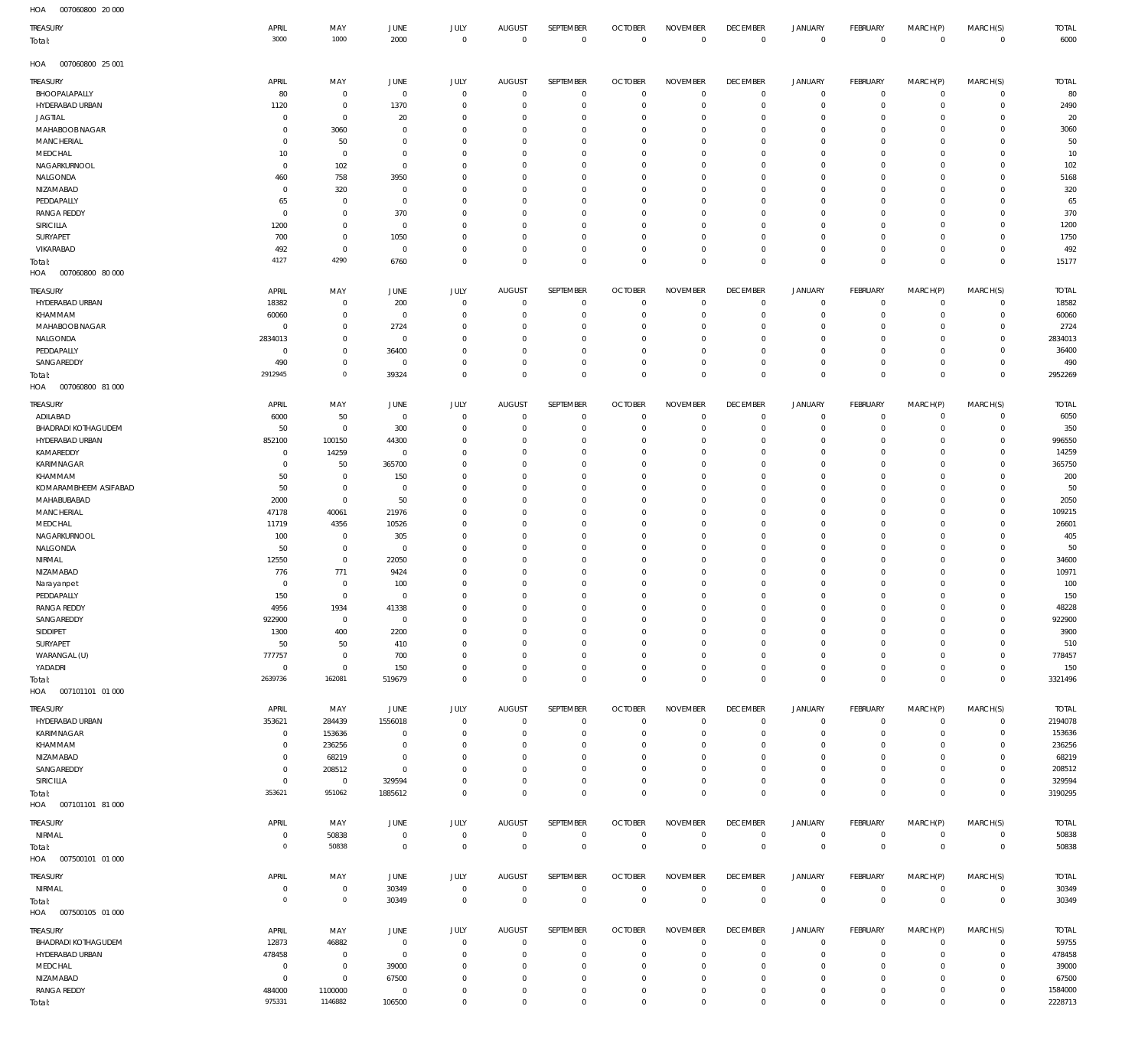| HOA<br>007060800 20 000 |                |                |                |             |                |             |                |                     |                 |                     |                |             |                |              |
|-------------------------|----------------|----------------|----------------|-------------|----------------|-------------|----------------|---------------------|-----------------|---------------------|----------------|-------------|----------------|--------------|
| TREASURY                | APRIL          | MAY            | <b>JUNE</b>    | <b>JULY</b> | <b>AUGUST</b>  | SEPTEMBER   | <b>OCTOBER</b> | <b>NOVEMBER</b>     | <b>DECEMBER</b> | <b>JANUARY</b>      | FEBRUARY       | MARCH(P)    | MARCH(S)       | <b>TOTAL</b> |
| Total:                  | 3000           | 1000           | 2000           | $\mathbf 0$ | $\mathbf 0$    | $\mathbb O$ | $\mathbb O$    | $\mathbf 0$         | $\mathbf 0$     | $\mathbf 0$         | $\mathbf 0$    | $\mathbf 0$ | $\overline{0}$ | 6000         |
|                         |                |                |                |             |                |             |                |                     |                 |                     |                |             |                |              |
| HOA<br>007060800 25 001 |                |                |                |             |                |             |                |                     |                 |                     |                |             |                |              |
|                         |                |                |                |             |                |             |                |                     |                 |                     |                |             |                |              |
| TREASURY                | APRIL          | MAY            | JUNE           | <b>JULY</b> | <b>AUGUST</b>  | SEPTEMBER   | <b>OCTOBER</b> | <b>NOVEMBER</b>     | <b>DECEMBER</b> | <b>JANUARY</b>      | FEBRUARY       | MARCH(P)    | MARCH(S)       | <b>TOTAL</b> |
| BHOOPALAPALLY           | 80             | $\mathbb O$    | $\overline{0}$ | $\mathbb O$ | $\overline{0}$ | 0           | $\overline{0}$ | $\mathbf 0$         | $\mathbf 0$     | $\overline{0}$      | $\circ$        | 0           | $\circ$        | 80           |
| HYDERABAD URBAN         | 1120           | $\mathbb O$    | 1370           | $^{\circ}$  | 0              | 0           | $\mathbf 0$    | $\mathbf 0$         | 0               | $\mathbf 0$         | $\overline{0}$ | $\circ$     | $\circ$        | 2490         |
| <b>JAGTIAL</b>          | 0              | $\mathbb O$    | 20             | $^{\circ}$  | 0              | 0           | $\mathbf 0$    | $\mathbf 0$         | $\mathbf 0$     | 0                   | $\circ$        | 0           | $\mathbf{0}$   | 20           |
| MAHABOOB NAGAR          | 0              | 3060           | $\circ$        | $^{\circ}$  | 0              | $\mathbf 0$ | 0              | $\mathbf 0$         | $\mathbf 0$     | $\mathbf 0$         | $\mathbf{0}$   | 0           | $\circ$        | 3060         |
| MANCHERIAL              | 0              | 50             | 0              | $\mathbf 0$ | 0              | 0           | $\mathbf 0$    | $\mathbf 0$         | 0               | $\mathbf 0$         | $\circ$        | 0           | $\mathbf 0$    | 50           |
| MEDCHAL                 | 10             | $\mathbb O$    | $^{\circ}$     | $\mathbf 0$ | 0              | $\mathbf 0$ | $\mathbf 0$    | $\mathbf 0$         | $\mathbf 0$     | $\mathbf 0$         | $\mathbf 0$    | $\Omega$    | $\mathbf 0$    | 10           |
| NAGARKURNOOL            | $\mathbf 0$    | 102            | $\circ$        | $\mathbf 0$ | 0              | $\mathbf 0$ | $\mathbf 0$    | $\mathbf 0$         | $\mathbf 0$     | $\mathbf 0$         | $\circ$        | $\circ$     | $\mathbf{0}$   | 102          |
| NALGONDA                | 460            | 758            | 3950           | $\mathbf 0$ | 0              | $\mathbf 0$ | 0              | $\mathbf 0$         | $\mathbf 0$     | $\mathbf 0$         | $\mathbf 0$    | $\Omega$    | $\mathbf 0$    | 5168         |
| NIZAMABAD               | 0              | 320            | 0              | $\mathbf 0$ | 0              | $\mathbf 0$ | $\mathbf 0$    | $\mathbf 0$         | $\mathbf 0$     | $\mathbf 0$         | $\mathbf{0}$   | $\circ$     | $\mathbf{0}$   | 320          |
|                         |                |                |                |             |                |             |                |                     |                 |                     | $\mathbf 0$    |             | $\mathbf 0$    |              |
| PEDDAPALLY              | 65             | $\mathbb O$    | $\circ$        | $\mathbf 0$ | 0              | 0           | 0              | $\mathbf 0$         | $\mathbf 0$     | 0                   |                | 0           |                | 65           |
| <b>RANGA REDDY</b>      | $^{\circ}$     | $\mathbf 0$    | 370            | $^{\circ}$  | 0              | $\mathbf 0$ | $\mathbf 0$    | $\mathbf 0$         | $\mathbf 0$     | $\mathbf 0$         | $\mathbf 0$    | $\circ$     | $\mathbf{0}$   | 370          |
| SIRICILLA               | 1200           | $\mathbb O$    | $\circ$        | $^{\circ}$  | 0              | 0           | 0              | $\mathbf 0$         | $\mathbf 0$     | 0                   | $\circ$        | 0           | $\mathbf 0$    | 1200         |
| SURYAPET                | 700            | $\mathbf 0$    | 1050           | $^{\circ}$  | 0              | $\mathbf 0$ | $\mathbf 0$    | $\mathbf 0$         | $\mathbf 0$     | $\mathbf 0$         | $\mathbf 0$    | $\circ$     | $\mathbf 0$    | 1750         |
| VIKARABAD               | 492            | $\mathbf 0$    | $\circ$        | $\mathbf 0$ | $^{\circ}$     | $\bf 0$     | $\mathbf 0$    | $\mathbf 0$         | $\mathbf 0$     | $\mathbf 0$         | $\circ$        | $\circ$     | $\circ$        | 492          |
| Total:                  | 4127           | 4290           | 6760           | $\mathbb O$ | $^{\circ}$     | $\mathbb O$ | $\mathbf 0$    | $\bf 0$             | $\mathbf 0$     | $\mathbf 0$         | $\overline{0}$ | $\mathbf 0$ | $\overline{0}$ | 15177        |
| HOA<br>007060800 80 000 |                |                |                |             |                |             |                |                     |                 |                     |                |             |                |              |
|                         |                |                |                |             |                |             |                |                     |                 |                     |                |             |                |              |
| TREASURY                | APRIL          | MAY            | <b>JUNE</b>    | JULY        | <b>AUGUST</b>  | SEPTEMBER   | <b>OCTOBER</b> | <b>NOVEMBER</b>     | <b>DECEMBER</b> | <b>JANUARY</b>      | FEBRUARY       | MARCH(P)    | MARCH(S)       | <b>TOTAL</b> |
| HYDERABAD URBAN         | 18382          | $\mathbf 0$    | 200            | $^{\circ}$  | $^{\circ}$     | $\mathbf 0$ | $\overline{0}$ | $\Omega$            | $\mathbf 0$     | $\mathbf 0$         | $\circ$        | $\mathbf 0$ | $\mathbf 0$    | 18582        |
| KHAMMAM                 | 60060          | $\mathbb O$    | $\circ$        | $^{\circ}$  | 0              | 0           | $\mathbf 0$    | $\mathbf 0$         | $\mathbf 0$     | $\mathbf 0$         | $\mathbf 0$    | $\circ$     | $\mathbf 0$    | 60060        |
| MAHABOOB NAGAR          | $^{\circ}$     | $\mathbb O$    | 2724           | $\Omega$    | 0              | $\mathbf 0$ | 0              | $\mathbf 0$         | $\mathbf 0$     | 0                   | $\mathbf 0$    | $\Omega$    | $\mathbf 0$    | 2724         |
| NALGONDA                | 2834013        | $\mathbf 0$    | 0              | $^{\circ}$  | $^{\circ}$     | $\mathbf 0$ | 0              | $\mathbf 0$         | $\mathbf 0$     | $\mathbf 0$         | $\mathbf 0$    | $\circ$     | $\mathbf 0$    | 2834013      |
| PEDDAPALLY              | 0              | $\mathbb O$    | 36400          | $\Omega$    | 0              | $\mathbf 0$ | 0              | $\mathbf 0$         | $\mathbf 0$     | $\mathbf 0$         | $\mathbf 0$    | $\Omega$    | $\mathbf 0$    | 36400        |
| SANGAREDDY              | 490            | $\mathbf 0$    | 0              | $^{\circ}$  | $\mathbf{0}$   | $\mathbf 0$ | 0              | $\mathbf 0$         | $\mathbf 0$     | $\mathbf 0$         | $\mathbf 0$    | $\circ$     | $\circ$        | 490          |
| Total:                  | 2912945        | $\mathbf 0$    | 39324          | $\mathbf 0$ | $\mathbf 0$    | $\mathbf 0$ | $\mathbf 0$    | $\mathbf 0$         | $\mathbf 0$     | $\mathbf 0$         | $\overline{0}$ | $\mathbf 0$ | $\mathbf 0$    | 2952269      |
| HOA<br>007060800 81 000 |                |                |                |             |                |             |                |                     |                 |                     |                |             |                |              |
|                         |                |                |                |             |                |             |                |                     |                 |                     |                |             |                |              |
| TREASURY                | APRIL          | MAY            | <b>JUNE</b>    | JULY        | <b>AUGUST</b>  | SEPTEMBER   | <b>OCTOBER</b> | <b>NOVEMBER</b>     | <b>DECEMBER</b> | <b>JANUARY</b>      | FEBRUARY       | MARCH(P)    | MARCH(S)       | <b>TOTAL</b> |
| ADILABAD                | 6000           | 50             | $\circ$        | $\mathbf 0$ | $^{\circ}$     | 0           | $\mathbf 0$    | $\mathbf 0$         | $\mathbf 0$     | $\overline{0}$      | $\overline{0}$ | $\circ$     | $\circ$        | 6050         |
| BHADRADI KOTHAGUDEM     | 50             | $\mathbb O$    | 300            | $\mathbf 0$ | 0              | 0           | 0              | 0                   | 0               | $\mathbf 0$         | $\circ$        | $\circ$     | $\circ$        | 350          |
| HYDERABAD URBAN         | 852100         | 100150         | 44300          | $\mathbf 0$ | 0              | 0           | $\mathbf 0$    | $\mathbf 0$         | 0               | $\mathbf 0$         | $\circ$        | 0           | $\circ$        | 996550       |
| KAMAREDDY               | 0              | 14259          | 0              | $\mathbf 0$ | 0              | $\mathbf 0$ | $\mathbf 0$    | $\mathbf 0$         | $\mathbf 0$     | 0                   | $\circ$        | 0           | $\mathbf{0}$   | 14259        |
| <b>KARIMNAGAR</b>       | 0              |                | 365700         | $\mathbf 0$ | 0              | $\mathbf 0$ | 0              | $\mathbf 0$         | $\mathbf 0$     | $\mathbf 0$         | $\mathbf 0$    | $\Omega$    | $\mathbf 0$    | 365750       |
|                         |                | 50             |                |             |                |             |                |                     |                 |                     |                |             |                |              |
| KHAMMAM                 | 50             | $\mathbb O$    | 150            | $\mathbf 0$ | 0              | $\mathbf 0$ | $\mathbf 0$    | $\mathbf 0$         | $\mathbf 0$     | $\mathbf 0$         | $\circ$        | 0           | $\mathbf{0}$   | 200          |
| KOMARAMBHEEM ASIFABAD   | 50             | $\mathbb O$    | $\circ$        | $\mathbf 0$ | 0              | 0           | $\mathbf 0$    | $\mathbf 0$         | $\mathbf 0$     | $\mathbf 0$         | $\mathbf 0$    | $\Omega$    | $\mathbf 0$    | 50           |
| MAHABUBABAD             | 2000           | $\mathbf 0$    | 50             | $^{\circ}$  | $^{\circ}$     | $\mathbf 0$ | $\mathbf 0$    | $\mathbf 0$         | $\mathbf 0$     | $\mathbf 0$         | $\mathbf{0}$   | $\mathbf 0$ | $\mathbf{0}$   | 2050         |
| MANCHERIAL              | 47178          | 40061          | 21976          | $^{\circ}$  | 0              | 0           | 0              | $\mathbf 0$         | 0               | 0                   | $\mathbf 0$    | 0           | $\mathbf 0$    | 109215       |
| MEDCHAL                 | 11719          | 4356           | 10526          | $^{\circ}$  | 0              | $\mathbf 0$ | $\mathbf 0$    | $\mathbf 0$         | $\mathbf 0$     | $\mathbf 0$         | $\mathbf 0$    | $\Omega$    | $\mathbf 0$    | 26601        |
| NAGARKURNOOL            | 100            | $\mathbf 0$    | 305            | $^{\circ}$  | 0              | $\mathbf 0$ | $\mathbf 0$    | $\mathbf 0$         | $\mathbf 0$     | 0                   | $\circ$        | 0           | $\circ$        | 405          |
| NALGONDA                | 50             | $\mathbb O$    | $\circ$        | $^{\circ}$  | 0              | $\mathbf 0$ | $\mathbf 0$    | $\mathbf 0$         | $\mathbf 0$     | $\mathbf 0$         | $\mathbf 0$    | $\Omega$    | $\mathbf 0$    | 50           |
| NIRMAL                  | 12550          | $\mathbf 0$    | 22050          | $^{\circ}$  | 0              | $\mathbf 0$ | 0              | $\mathbf 0$         | $\mathbf 0$     | $\mathbf 0$         | $^{\circ}$     | 0           | $\circ$        | 34600        |
| NIZAMABAD               | 776            | 771            | 9424           | $^{\circ}$  | 0              | $\mathbf 0$ | $\mathbf 0$    | $\mathbf 0$         | $\mathbf 0$     | $\mathbf 0$         | $\mathbf 0$    | 0           | $\mathbf 0$    | 10971        |
|                         | 0              | $\mathbb O$    | 100            | $\mathbf 0$ | 0              | $\mathbf 0$ | $\mathbf 0$    | $\mathbf 0$         | $\mathbf 0$     | $\mathbf 0$         | $\mathbf 0$    | 0           | $\mathbf{0}$   | 100          |
| Narayanpet              |                |                | $\mathbf 0$    | $\mathbf 0$ | $\mathbf 0$    | $\mathbf 0$ | $\mathbf 0$    | $\mathbf 0$         | $\mathbf 0$     | $\mathbf 0$         | $\mathbf 0$    | $\mathbf 0$ | $\mathbf{0}$   |              |
| PEDDAPALLY              | 150            | $\mathbf 0$    |                |             |                |             |                |                     |                 |                     |                |             |                | 150          |
| <b>RANGA REDDY</b>      | 4956           | 1934           | 41338          | $\mathbf 0$ | 0              | $\bf 0$     | 0              | 0                   | 0               | 0                   | $\mathbf 0$    | 0           | $\mathbf 0$    | 48228        |
| SANGAREDDY              | 922900         | $\overline{0}$ | $\overline{0}$ | $\mathbb O$ | $\mathbf{0}$   | $\mathbb O$ | $\mathbf 0$    | $\mathbf 0$         | $\overline{0}$  | $\mathsf{O}\xspace$ | $\circ$        | $\mathbf 0$ | $\circ$        | 922900       |
| SIDDIPET                | 1300           | 400            | 2200           | $\mathbf 0$ | $\mathbf{0}$   | $\mathbb O$ | $\mathbf 0$    | $\mathbf 0$         | 0               | $\mathbf 0$         | $\circ$        | $\mathbf 0$ | $\circ$        | 3900         |
| SURYAPET                | 50             | 50             | 410            | $\mathbf 0$ | $\mathbf{0}$   | $\mathbf 0$ | 0              | $\mathbf 0$         | $\mathbf 0$     | $\mathbf 0$         | $\mathbf{0}$   | $\mathbf 0$ | $\mathbf{0}$   | 510          |
| WARANGAL (U)            | 777757         | $\overline{0}$ | 700            | $\mathbf 0$ | $\mathbf{0}$   | $\mathbb O$ | 0              | $\mathbf 0$         | $\mathbf 0$     | $\mathbf 0$         | $\circ$        | $\mathbf 0$ | $\circ$        | 778457       |
| YADADRI                 | $\mathbb O$    | $\mathbf 0$    | 150            | $\mathbf 0$ | $\mathbf 0$    | $\mathbf 0$ | $\mathbf 0$    | $\mathbf 0$         | $\overline{0}$  | $\mathbf 0$         | $\circ$        | $\mathbf 0$ | $\circ$        | 150          |
| Total:                  | 2639736        | 162081         | 519679         | $\mathbf 0$ | $\mathbf 0$    | $\mathbf 0$ | $\mathbf 0$    | $\mathbf 0$         | $\overline{0}$  | $\mathsf{O}\xspace$ | $\overline{0}$ | $\mathbf 0$ | $\overline{0}$ | 3321496      |
| HOA<br>007101101 01 000 |                |                |                |             |                |             |                |                     |                 |                     |                |             |                |              |
|                         |                |                |                |             |                |             |                |                     |                 |                     |                |             |                |              |
| TREASURY                | APRIL          | MAY            | <b>JUNE</b>    | JULY        | AUGUST         | SEPTEMBER   | <b>OCTOBER</b> | <b>NOVEMBER</b>     | <b>DECEMBER</b> | <b>JANUARY</b>      | FEBRUARY       | MARCH(P)    | MARCH(S)       | <b>TOTAL</b> |
| HYDERABAD URBAN         | 353621         | 284439         | 1556018        | $\mathbf 0$ | $\mathbf 0$    | $\bf 0$     | $\overline{0}$ | $\mathbf 0$         | $\bf 0$         | $\overline{0}$      | $\circ$        | $\mathbf 0$ | $\circ$        | 2194078      |
| KARIMNAGAR              | $\mathbf 0$    | 153636         | $\overline{0}$ | $\mathbf 0$ | $\mathbf{0}$   | $\bf 0$     | $\mathbf 0$    | $\Omega$            | $\mathbf 0$     | $\mathbf 0$         | $\circ$        | $\mathbf 0$ | $\circ$        | 153636       |
| KHAMMAM                 | $\mathbf 0$    | 236256         | $\mathbf 0$    | $\mathbf 0$ | $\mathbf{0}$   | $\mathbf 0$ | $\mathbf 0$    | $\mathbf 0$         | $\mathbf 0$     | $\mathbf 0$         | $^{\circ}$     | $\mathbf 0$ | $\mathbf{0}$   | 236256       |
| NIZAMABAD               | 0              | 68219          | $^{\circ}$     | $\mathbf 0$ | $\mathbf{0}$   | $\mathbf 0$ | $\mathbf 0$    | $\mathbf 0$         | $\mathbf 0$     | $\mathbf 0$         | $\mathbf 0$    | $\circ$     | $\mathbf 0$    | 68219        |
| SANGAREDDY              | $^{\circ}$     | 208512         | $^{\circ}$     | $^{\circ}$  | $\Omega$       | $\mathbf 0$ | $\mathbf 0$    | $\mathbf 0$         | $\mathbf 0$     | $\mathbf 0$         | $^{\circ}$     | $\Omega$    | $\mathbf 0$    | 208512       |
| SIRICILLA               | $\mathbf 0$    | $\overline{0}$ | 329594         | $\Omega$    | $\mathbf{0}$   | $\mathbf 0$ | $\mathbf 0$    | $\mathbf 0$         | $\mathbf 0$     | $\mathsf{O}\xspace$ | $\circ$        | $\mathbf 0$ | $\circ$        | 329594       |
|                         | 353621         | 951062         |                |             | $\Omega$       | $\mathbf 0$ |                |                     |                 | $\mathbf 0$         |                |             |                |              |
| Total:                  |                |                | 1885612        | $\mathbf 0$ |                |             | $\mathbf 0$    | $\mathbf 0$         | $\mathbf{0}$    |                     | $\overline{0}$ | $\mathbf 0$ | $\mathbf 0$    | 3190295      |
| HOA<br>007101101 81 000 |                |                |                |             |                |             |                |                     |                 |                     |                |             |                |              |
| TREASURY                | APRIL          | MAY            | <b>JUNE</b>    | JULY        | AUGUST         | SEPTEMBER   | <b>OCTOBER</b> | <b>NOVEMBER</b>     | <b>DECEMBER</b> | <b>JANUARY</b>      | FEBRUARY       | MARCH(P)    | MARCH(S)       | <b>TOTAL</b> |
| NIRMAL                  | 0              | 50838          | $\overline{0}$ | $\mathbb O$ | $\mathbf 0$    | $\mathbb O$ | $\overline{0}$ | $\mathbf 0$         | $\overline{0}$  | $\circ$             | $\overline{0}$ | $\circ$     | $\overline{0}$ | 50838        |
|                         | $\overline{0}$ | 50838          |                |             | $\mathbf{0}$   |             |                | $\mathsf{O}\xspace$ | $\mathbf 0$     | $\mathbf 0$         |                |             |                |              |
| Total:                  |                |                | $\overline{0}$ | $\mathbf 0$ |                | $\mathsf 0$ | $\mathbf 0$    |                     |                 |                     | $\overline{0}$ | $\mathbf 0$ | $\overline{0}$ | 50838        |
| 007500101 01 000<br>HOA |                |                |                |             |                |             |                |                     |                 |                     |                |             |                |              |
| TREASURY                | APRIL          | MAY            | JUNE           | <b>JULY</b> | AUGUST         | SEPTEMBER   | <b>OCTOBER</b> | <b>NOVEMBER</b>     | <b>DECEMBER</b> | <b>JANUARY</b>      | FEBRUARY       | MARCH(P)    | MARCH(S)       | <b>TOTAL</b> |
| NIRMAL                  | $\mathbf 0$    | $\mathbf 0$    | 30349          | $\mathbf 0$ | $\mathbf 0$    | $\mathbb O$ | $\mathbf{0}$   | $\mathbf 0$         | $\mathbf 0$     | $\overline{0}$      | $\circ$        | $\mathbf 0$ | $\overline{0}$ | 30349        |
|                         | $\overline{0}$ | $\mathbf 0$    |                | $\mathbf 0$ | $\mathbf 0$    | $\mathbf 0$ | $\overline{0}$ | $\mathbf 0$         |                 |                     |                | $\mathbf 0$ |                |              |
| Total:                  |                |                | 30349          |             |                |             |                |                     | $\mathbf 0$     | $\mathbf 0$         | $\overline{0}$ |             | $\overline{0}$ | 30349        |
| HOA<br>007500105 01 000 |                |                |                |             |                |             |                |                     |                 |                     |                |             |                |              |
| TREASURY                | APRIL          | MAY            | JUNE           | <b>JULY</b> | <b>AUGUST</b>  | SEPTEMBER   | <b>OCTOBER</b> | <b>NOVEMBER</b>     | <b>DECEMBER</b> | <b>JANUARY</b>      | FEBRUARY       | MARCH(P)    | MARCH(S)       | <b>TOTAL</b> |
| BHADRADI KOTHAGUDEM     | 12873          | 46882          | $\overline{0}$ | $\mathbf 0$ | $\overline{0}$ | 0           | $\mathbf 0$    | 0                   | $\mathbf 0$     | $\mathbf 0$         | $\circ$        | 0           | $\circ$        | 59755        |
| HYDERABAD URBAN         | 478458         |                |                | $\mathbb O$ | $\mathbf{0}$   | $\mathbb O$ | $\overline{0}$ | $\mathbf 0$         | $\overline{0}$  | $\mathbf 0$         |                | $\mathbf 0$ |                |              |
|                         |                | $\mathbf 0$    | $\overline{0}$ |             |                |             |                |                     |                 |                     | $\overline{0}$ |             | $\overline{0}$ | 478458       |
| MEDCHAL                 | $\overline{0}$ | $\mathbf 0$    | 39000          | $\mathbf 0$ | $\mathbf{0}$   | $\mathbb O$ | 0              | 0                   | $\mathbf 0$     | $\mathbf 0$         | $\circ$        | $\circ$     | $\circ$        | 39000        |
| NIZAMABAD               | $\overline{0}$ | $\mathbf 0$    | 67500          | $\mathbf 0$ | $\mathbf{0}$   | $\mathbb O$ | 0              | $\bf 0$             | $\overline{0}$  | $\mathbf 0$         | $\circ$        | $\circ$     | $\circ$        | 67500        |
| <b>RANGA REDDY</b>      | 484000         | 1100000        | $\overline{0}$ | $\mathbb O$ | $\mathbf 0$    | $\mathbb O$ | 0              | 0                   | $\mathbf 0$     | $\mathsf{O}\xspace$ | $\circ$        | 0           | $\overline{0}$ | 1584000      |
| Total:                  | 975331         | 1146882        | 106500         | $\mathbf 0$ | $\mathbf 0$    | $\mathsf 0$ | $\bf 0$        | $\mathsf{O}\xspace$ | $\mathbf 0$     | $\mathsf{O}\xspace$ | $\overline{0}$ | $\mathbf 0$ | $\overline{0}$ | 2228713      |
|                         |                |                |                |             |                |             |                |                     |                 |                     |                |             |                |              |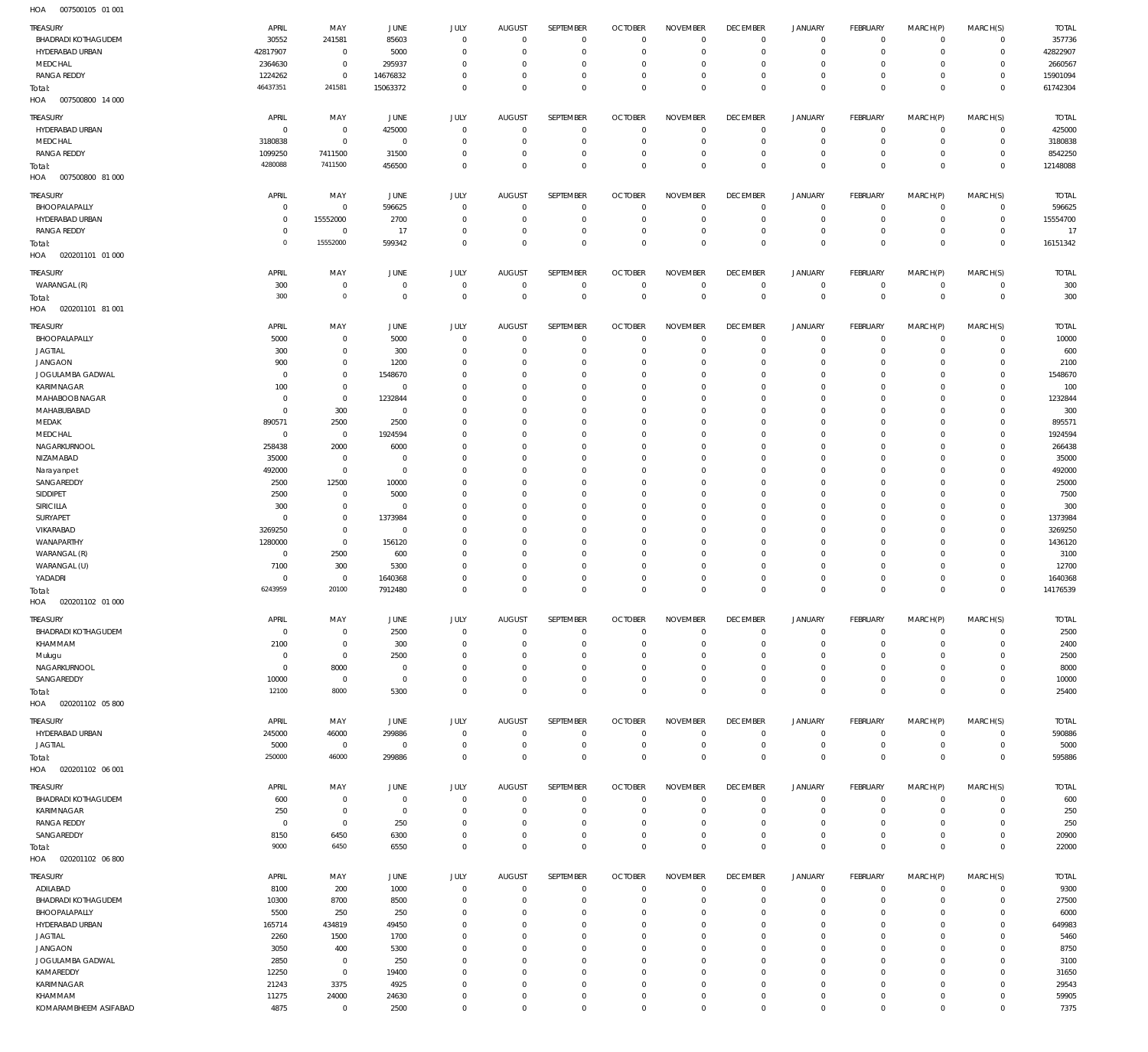007500105 01 001 HOA

| .<br>annonino el pel             |                |                      |                |                          |                      |                              |                        |                           |                           |                         |                           |                            |                            |               |
|----------------------------------|----------------|----------------------|----------------|--------------------------|----------------------|------------------------------|------------------------|---------------------------|---------------------------|-------------------------|---------------------------|----------------------------|----------------------------|---------------|
| TREASURY                         | APRIL          | MAY                  | JUNE           | JULY                     | <b>AUGUST</b>        | SEPTEMBER                    | <b>OCTOBER</b>         | <b>NOVEMBER</b>           | <b>DECEMBER</b>           | <b>JANUARY</b>          | FEBRUARY                  | MARCH(P)                   | MARCH(S)                   | <b>TOTAL</b>  |
| <b>BHADRADI KOTHAGUDEM</b>       | 30552          | 241581               | 85603          | $\Omega$                 | $\Omega$             | $\mathbf{0}$                 | $\Omega$               | $\mathbf 0$               | $\mathbf 0$               | $\mathbf 0$             | $^{\circ}$                | $^{\circ}$                 | $\mathbf 0$                | 357736        |
|                                  |                |                      |                |                          |                      |                              |                        |                           |                           |                         |                           |                            |                            |               |
| HYDERABAD URBAN                  | 42817907       | $^{\circ}$           | 5000           | $\Omega$                 | $\Omega$             | $\mathbf 0$                  | $\Omega$               | $\Omega$                  | $^{\circ}$                | $\mathbf 0$             | $^{\circ}$                | $\Omega$                   | $\mathbf 0$                | 42822907      |
| MEDCHAL                          | 2364630        | $\mathbb O$          | 295937         | $\Omega$                 | $\Omega$             | $\Omega$                     | $\Omega$               | $\Omega$                  | $\mathbf 0$               | $\mathbf 0$             | $\Omega$                  | $\Omega$                   | $\mathbf 0$                | 2660567       |
| <b>RANGA REDDY</b>               | 1224262        | $\mathbb O$          | 14676832       | $\Omega$                 | $\Omega$             | $\mathbf 0$                  | $\Omega$               | $\Omega$                  | $\mathbf 0$               | $\mathbf 0$             | $^{\circ}$                | $\Omega$                   | $\mathbf 0$                | 15901094      |
| Total:                           | 46437351       | 241581               | 15063372       | $\Omega$                 | $\Omega$             | $\Omega$                     | $\Omega$               | $\Omega$                  | $\Omega$                  | $\mathbf 0$             | $\Omega$                  | $\Omega$                   | $\Omega$                   | 61742304      |
| HOA<br>007500800 14 000          |                |                      |                |                          |                      |                              |                        |                           |                           |                         |                           |                            |                            |               |
|                                  |                |                      |                |                          |                      |                              |                        |                           |                           |                         |                           |                            |                            |               |
| TREASURY                         | APRIL          | MAY                  | JUNE           | JULY                     | <b>AUGUST</b>        | SEPTEMBER                    | <b>OCTOBER</b>         | <b>NOVEMBER</b>           | <b>DECEMBER</b>           | <b>JANUARY</b>          | FEBRUARY                  | MARCH(P)                   | MARCH(S)                   | <b>TOTAL</b>  |
| HYDERABAD URBAN                  | $^{\circ}$     | $\,0\,$              | 425000         | $\mathbf{0}$             | $\overline{0}$       | $\mathbf{0}$                 | $^{\circ}$             | $\mathbf 0$               | $^{\circ}$                | $\mathbf 0$             | $\overline{0}$            | $\mathbf 0$                | $\mathbf 0$                | 425000        |
| MEDCHAL                          | 3180838        | $\,0\,$              | $\overline{0}$ | $^{\circ}$               | $\Omega$             | $\mathbf 0$                  | $^{\circ}$             | $\circ$                   | $\circ$                   | $\mathbf 0$             | $\mathbf 0$               | $\mathbf 0$                | $\mathbf 0$                | 3180838       |
|                                  |                |                      |                |                          |                      |                              |                        |                           |                           |                         |                           |                            |                            |               |
| <b>RANGA REDDY</b>               | 1099250        | 7411500              | 31500          | $^{\circ}$               | $\Omega$             | $\mathbf 0$                  | $^{\circ}$             | $\mathbf 0$               | $^{\circ}$                | $\mathbf 0$             | $\mathbf 0$               | $\mathbf 0$                | $\mathbf 0$                | 8542250       |
| Total:                           | 4280088        | 7411500              | 456500         | $\mathbf 0$              | $\Omega$             | $\mathbf 0$                  | $\Omega$               | $\mathbf 0$               | $\mathbf 0$               | $\mathbf 0$             | $\overline{0}$            | $\mathbf 0$                | $\mathbf 0$                | 12148088      |
| HOA<br>007500800 81 000          |                |                      |                |                          |                      |                              |                        |                           |                           |                         |                           |                            |                            |               |
|                                  |                |                      |                |                          |                      |                              |                        |                           |                           |                         |                           |                            |                            |               |
| TREASURY                         | APRIL          | MAY                  | JUNE           | JULY                     | <b>AUGUST</b>        | SEPTEMBER                    | <b>OCTOBER</b>         | <b>NOVEMBER</b>           | <b>DECEMBER</b>           | <b>JANUARY</b>          | FEBRUARY                  | MARCH(P)                   | MARCH(S)                   | <b>TOTAL</b>  |
| BHOOPALAPALLY                    | $^{\circ}$     | $\mathbf{0}$         | 596625         | $\Omega$                 | $\Omega$             | $\mathbf{0}$                 | $^{\circ}$             | $^{\circ}$                | $^{\circ}$                | $^{\circ}$              | $^{\circ}$                | $^{\circ}$                 | $\mathbf 0$                | 596625        |
| HYDERABAD URBAN                  | $^{\circ}$     | 15552000             | 2700           | $\Omega$                 | $\Omega$             | $\mathbf 0$                  | $^{\circ}$             | $\Omega$                  | $\mathbf 0$               | $\mathbf 0$             | $^{\circ}$                | $\mathbf 0$                | $\mathbf 0$                | 15554700      |
| <b>RANGA REDDY</b>               | $\Omega$       | $\overline{0}$       | 17             | $\Omega$                 | $\Omega$             | $\mathbf 0$                  | $^{\circ}$             | $^{\circ}$                | $^{\circ}$                | $\mathbf 0$             | $^{\circ}$                | $\Omega$                   | $\mathbf 0$                | 17            |
| Total:                           | $\circ$        | 15552000             | 599342         | $\Omega$                 | $\Omega$             | $\Omega$                     | $\Omega$               | $\Omega$                  | $\mathbf 0$               | $\mathbf 0$             | $\mathbf 0$               | $\Omega$                   | $\mathbf 0$                | 16151342      |
| HOA<br>020201101 01 000          |                |                      |                |                          |                      |                              |                        |                           |                           |                         |                           |                            |                            |               |
|                                  |                |                      |                |                          |                      |                              |                        |                           |                           |                         |                           |                            |                            |               |
| TREASURY                         | APRIL          | MAY                  | JUNE           | JULY                     | <b>AUGUST</b>        | SEPTEMBER                    | <b>OCTOBER</b>         | <b>NOVEMBER</b>           | <b>DECEMBER</b>           | <b>JANUARY</b>          | FEBRUARY                  | MARCH(P)                   | MARCH(S)                   | <b>TOTAL</b>  |
| WARANGAL (R)                     | 300            | $\,0\,$              | $\mathbf 0$    | $\mathbf 0$              | 0                    | $\mathbf 0$                  | $^{\circ}$             | 0                         | 0                         | 0                       | $\mathbf 0$               | $\mathbf 0$                | $\mathbf 0$                | 300           |
|                                  |                |                      |                |                          |                      |                              |                        |                           |                           |                         |                           |                            |                            |               |
| Total:                           | 300            | $\mathbb O$          | $\mathbf{0}$   | $\mathbf 0$              | $\overline{0}$       | $\mathsf 0$                  | $\mathbf 0$            | $\mathbb O$               | $\mathbf 0$               | $\mathbb O$             | $\overline{0}$            | $\mathbf 0$                | $\mathbf{0}$               | 300           |
| HOA<br>020201101 81 001          |                |                      |                |                          |                      |                              |                        |                           |                           |                         |                           |                            |                            |               |
|                                  | APRIL          |                      |                |                          |                      | SEPTEMBER                    |                        | <b>NOVEMBER</b>           | <b>DECEMBER</b>           |                         |                           |                            |                            |               |
| TREASURY                         |                | MAY                  | JUNE           | JULY                     | <b>AUGUST</b>        |                              | <b>OCTOBER</b>         |                           |                           | <b>JANUARY</b>          | FEBRUARY                  | MARCH(P)                   | MARCH(S)                   | <b>TOTAL</b>  |
| BHOOPALAPALLY                    | 5000           | $\mathbf 0$          | 5000           | $^{\circ}$               | $\Omega$             | $\mathbf 0$                  | $^{\circ}$             | $^{\circ}$                | $\mathbf 0$               | $^{\circ}$              | $^{\circ}$                | $^{\circ}$                 | $\mathbf 0$                | 10000         |
| JAGTIAL                          | 300            | $\mathbb O$          | 300            | $\Omega$                 | $\Omega$             | $\Omega$                     | $\Omega$               | $\Omega$                  | $^{\circ}$                | $\mathbf 0$             | $^{\circ}$                | $\Omega$                   | $\mathbf 0$                | 600           |
| <b>JANGAON</b>                   | 900            | $\mathbf 0$          | 1200           | $\Omega$                 | 0                    | $\Omega$                     | $\Omega$               | $\Omega$                  | $\Omega$                  | $\mathbf 0$             | $^{\circ}$                | $\Omega$                   | $\mathbf 0$                | 2100          |
| JOGULAMBA GADWAL                 | $\Omega$       | $\mathbf 0$          | 1548670        | $\Omega$                 | $\Omega$             | $\Omega$                     | $\Omega$               | $\Omega$                  | $\Omega$                  | $\mathbf 0$             | $\Omega$                  | $\Omega$                   | $^{\circ}$                 | 1548670       |
| KARIMNAGAR                       | 100            | $\mathbf 0$          | $\overline{0}$ | $\Omega$                 | $\Omega$             | $\Omega$                     | $\Omega$               | $\Omega$                  | $\Omega$                  | $\Omega$                | $\Omega$                  | $\Omega$                   | $\Omega$                   | 100           |
|                                  |                |                      |                |                          |                      |                              |                        |                           |                           |                         |                           |                            |                            |               |
| MAHABOOB NAGAR                   | $\overline{0}$ | $\mathbf 0$          | 1232844        | $\Omega$                 | $\Omega$             | $\Omega$                     | $\Omega$               | $\Omega$                  | $\Omega$                  | $^{\circ}$              | $\Omega$                  | $\Omega$                   | $^{\circ}$                 | 1232844       |
| MAHABUBABAD                      | $\Omega$       | 300                  | $\Omega$       | $\Omega$                 | $\Omega$             | $\Omega$                     | $\Omega$               | $\Omega$                  | $\Omega$                  | $\Omega$                | $\Omega$                  | $\Omega$                   | $\Omega$                   | 300           |
| MEDAK                            | 890571         | 2500                 | 2500           | $\Omega$                 | $\Omega$             | $\Omega$                     | $\Omega$               | $\Omega$                  | $\Omega$                  | $\mathbf 0$             | $\Omega$                  | $\Omega$                   | $\mathbf 0$                | 895571        |
| MEDCHAL                          | $\Omega$       | $\mathbf 0$          | 1924594        | $\Omega$                 | $\Omega$             | $\Omega$                     | $\Omega$               | $\Omega$                  | $\Omega$                  | $\Omega$                | $\Omega$                  | $\Omega$                   | $\Omega$                   | 1924594       |
| NAGARKURNOOL                     | 258438         | 2000                 | 6000           | $\Omega$                 | $\Omega$             | $\Omega$                     | $\Omega$               | $\Omega$                  | $\Omega$                  | $\Omega$                | $\Omega$                  | $\Omega$                   | $\mathbf 0$                | 266438        |
|                                  |                | $^{\circ}$           | $\Omega$       | $\Omega$                 | $\Omega$             | $\Omega$                     | $\Omega$               | $\Omega$                  | $\Omega$                  | $\Omega$                | $\Omega$                  | $\Omega$                   | $\Omega$                   |               |
| NIZAMABAD                        | 35000          |                      |                |                          |                      |                              |                        |                           |                           |                         |                           |                            |                            | 35000         |
| Narayanpet                       | 492000         | $\mathbf 0$          | $\Omega$       | $\Omega$                 | $\Omega$             | $\Omega$                     | $\Omega$               | $\Omega$                  | $\Omega$                  | $\Omega$                | $\Omega$                  | $\Omega$                   | $\Omega$                   | 492000        |
| SANGAREDDY                       | 2500           | 12500                | 10000          | $\Omega$                 | 0                    | $\Omega$                     | $\Omega$               | $\Omega$                  | $\Omega$                  | $\Omega$                | $\Omega$                  | $\Omega$                   | $^{\circ}$                 | 25000         |
| SIDDIPET                         | 2500           | $\overline{0}$       | 5000           | $\Omega$                 | $\Omega$             | $\Omega$                     | $\Omega$               | $\Omega$                  | $\Omega$                  | $\Omega$                | $\Omega$                  | $\Omega$                   | $\Omega$                   | 7500          |
| SIRICILLA                        | 300            | $\overline{0}$       | $\Omega$       | $\Omega$                 | $\Omega$             | $\Omega$                     | $\Omega$               | $\Omega$                  | $\Omega$                  | $\Omega$                | $\Omega$                  | $\Omega$                   | $\Omega$                   | 300           |
| SURYAPET                         | $\Omega$       | $\mathbf 0$          | 1373984        | $\Omega$                 | $\Omega$             | $\Omega$                     | $\Omega$               | $\Omega$                  | $\Omega$                  | $\Omega$                | $\Omega$                  | $\Omega$                   | $\Omega$                   | 1373984       |
|                                  |                |                      |                |                          |                      |                              |                        |                           |                           |                         |                           |                            |                            |               |
| VIKARABAD                        | 3269250        | $\mathbf 0$          | $\overline{0}$ | $\Omega$                 | $\Omega$             | $\Omega$                     | $\Omega$               | $\Omega$                  | $\Omega$                  | $\Omega$                | $\Omega$                  | $\Omega$                   | $\Omega$                   | 3269250       |
| WANAPARTHY                       | 1280000        | $\mathbf 0$          | 156120         | $\Omega$                 | $\Omega$             | $\Omega$                     | $\Omega$               | $\Omega$                  | $\Omega$                  | $\Omega$                | $\Omega$                  | $\Omega$                   | $^{\circ}$                 | 1436120       |
| WARANGAL (R)                     | $\Omega$       | 2500                 | 600            | $\Omega$                 | $\Omega$             | $\Omega$                     | $\Omega$               | $\Omega$                  | $\Omega$                  | $\Omega$                | $\Omega$                  | $\Omega$                   | $\Omega$                   | 3100          |
| WARANGAL (U)                     | 7100           | 300                  | 5300           | $\Omega$                 | $\Omega$             | $\Omega$                     | $\Omega$               | $\Omega$                  | $\mathbf 0$               | $\mathbf 0$             | $^{\circ}$                | $\Omega$                   | $\mathbf 0$                | 12700         |
| YADADRI                          | $\Omega$       | $\overline{0}$       | 1640368        | $\Omega$                 | $\Omega$             | $\Omega$                     | $\Omega$               | $\Omega$                  | $\Omega$                  | $\mathbf 0$             | $^{\circ}$                | $\Omega$                   | $^{\circ}$                 | 1640368       |
|                                  | 6243959        | 20100                | 7912480        | $\mathbf{0}$             | $\Omega$             | $\mathbf{0}$                 | $\Omega$               | $\mathbf 0$               | $\Omega$                  | $\mathbf 0$             | $\Omega$                  | $\Omega$                   | $\Omega$                   | 14176539      |
| Total:                           |                |                      |                |                          |                      |                              |                        |                           |                           |                         |                           |                            |                            |               |
| HOA<br>020201102 01 000          |                |                      |                |                          |                      |                              |                        |                           |                           |                         |                           |                            |                            |               |
|                                  |                |                      |                |                          |                      |                              |                        |                           |                           |                         |                           |                            |                            |               |
| TREASURY                         | APRIL          | MAY                  | JUNE           | JULY                     | <b>AUGUST</b>        | SEPTEMBER                    | <b>OCTOBER</b>         | <b>NOVEMBER</b>           | <b>DECEMBER</b>           | <b>JANUARY</b>          | FEBRUARY                  | MARCH(P)                   | MARCH(S)                   | <b>TOTAL</b>  |
| BHADRADI KOTHAGUDEM              | $\overline{0}$ | $\,0\,$              | 2500           | $\mathbf 0$              | $\Omega$             | $\mathbf 0$                  | $\mathbf 0$            | $\mathbf 0$               | $^{\circ}$                | $\mathbf 0$             | $\overline{0}$            | $\mathbf 0$                | $\mathbf 0$                | 2500          |
| KHAMMAM                          | 2100           | $\,0\,$              | 300            | $\mathbf{0}$             | $\Omega$             | $\mathbf 0$                  | $\Omega$               | $\mathbf 0$               | $^{\circ}$                | $\mathbf 0$             | $^{\circ}$                | $\mathbf 0$                | $\mathbf 0$                | 2400          |
| Mulugu                           | $\overline{0}$ | $\,0\,$              | 2500           | $^{\circ}$               | $\Omega$             | $\mathbf{0}$                 | $\Omega$               | $\mathbf 0$               | $\Omega$                  | $\mathbf 0$             | $^{\circ}$                | $^{\circ}$                 | $\mathbf 0$                | 2500          |
| NAGARKURNOOL                     | $\Omega$       | 8000                 | $\overline{0}$ | $\Omega$                 | $\Omega$             | $\mathbf{0}$                 | $\Omega$               | $\mathbf 0$               | $\Omega$                  | $\mathbf 0$             | $^{\circ}$                | $\Omega$                   | $\mathbf 0$                | 8000          |
| SANGAREDDY                       | 10000          | $\,0\,$              | $\mathbf 0$    | $^{\circ}$               | $\Omega$             | $\mathbf 0$                  | $^{\circ}$             | $\mathbf 0$               | $\mathbf 0$               | $\mathbf 0$             | $^{\circ}$                | $\mathbf 0$                | $\mathbf 0$                | 10000         |
|                                  |                |                      |                |                          |                      |                              |                        |                           |                           |                         |                           |                            |                            |               |
| Total:                           | 12100          | 8000                 | 5300           | $\mathbf 0$              | $\Omega$             | $\mathbf 0$                  | $\Omega$               | $\mathbf 0$               | $\mathbf 0$               | $\mathbf 0$             | $\Omega$                  | $\mathbf 0$                | $\overline{0}$             | 25400         |
| 020201102 05 800<br>HOA          |                |                      |                |                          |                      |                              |                        |                           |                           |                         |                           |                            |                            |               |
| TREASURY                         | APRIL          | MAY                  | JUNE           | JULY                     | <b>AUGUST</b>        | SEPTEMBER                    | <b>OCTOBER</b>         | <b>NOVEMBER</b>           | <b>DECEMBER</b>           | <b>JANUARY</b>          | FEBRUARY                  | MARCH(P)                   | MARCH(S)                   | <b>TOTAL</b>  |
|                                  |                |                      |                |                          |                      |                              |                        |                           |                           |                         |                           |                            |                            |               |
| HYDERABAD URBAN                  | 245000         | 46000                | 299886         | $^{\circ}$               | $^{\circ}$           | $\mathbf{0}$                 | $\mathbf 0$            | $\mathbf 0$               | $\mathbf 0$               | $\mathbf 0$             | $^{\circ}$                | $\mathbf 0$                | $\circ$                    | 590886        |
| JAGTIAL                          | 5000           | $\,0\,$              | $^{\circ}$     | $\mathbf{0}$             | $\Omega$             | $\mathbf 0$                  | $\mathbf 0$            | $\mathbf 0$               | $\mathbf 0$               | $\mathbf 0$             | $\mathbf 0$               | $\mathbf 0$                | $\mathbf 0$                | 5000          |
| Total:                           | 250000         | 46000                | 299886         | $\mathbf{0}$             | $\Omega$             | $\mathbf 0$                  | $\mathbf 0$            | $\mathbf 0$               | $\mathbf 0$               | $\mathbf 0$             | $\mathbf 0$               | $\Omega$                   | $\mathbf 0$                | 595886        |
| 020201102 06 001<br>HOA          |                |                      |                |                          |                      |                              |                        |                           |                           |                         |                           |                            |                            |               |
|                                  |                |                      |                |                          |                      |                              |                        |                           |                           |                         |                           |                            |                            |               |
| TREASURY                         | APRIL          | MAY                  | JUNE           | JULY                     | <b>AUGUST</b>        | SEPTEMBER                    | <b>OCTOBER</b>         | <b>NOVEMBER</b>           | <b>DECEMBER</b>           | <b>JANUARY</b>          | FEBRUARY                  | MARCH(P)                   | MARCH(S)                   | <b>TOTAL</b>  |
| BHADRADI KOTHAGUDEM              | 600            | $\,0\,$              | $^{\circ}$     | $\mathbf{0}$             | $\overline{0}$       | $\mathbf 0$                  | $\circ$                | $\mathbf 0$               | $^{\circ}$                | 0                       | $\mathbf 0$               | $^{\circ}$                 | $\mathbf 0$                | 600           |
| KARIMNAGAR                       | 250            | $\,0\,$              | $^{\circ}$     | $\mathbf{0}$             | $\Omega$             | $\mathbf 0$                  | $\Omega$               | $\mathbf 0$               | $^{\circ}$                | $\mathbf 0$             | $\overline{0}$            | $\mathbf 0$                | $\mathbf 0$                | 250           |
| <b>RANGA REDDY</b>               | $\overline{0}$ | $\,0\,$              | 250            | $^{\circ}$               | $\Omega$             | $\mathbf 0$                  | $^{\circ}$             | $\mathbf 0$               | $^{\circ}$                | $\mathbf 0$             | $^{\circ}$                | $\mathbf 0$                | $\mathbf 0$                | 250           |
|                                  |                |                      |                |                          |                      |                              |                        |                           |                           |                         |                           |                            |                            |               |
| SANGAREDDY                       | 8150           | 6450                 | 6300           | $\mathbf{0}$             | $\Omega$             | $\mathbf 0$                  | $\Omega$               | $\mathbf 0$               | $\mathbf 0$               | $\mathbf 0$             | $^{\circ}$                | $\mathbf 0$                | $\mathbf 0$                | 20900         |
| Total:                           | 9000           | 6450                 | 6550           | $\mathbf 0$              | $\Omega$             | $\mathbf 0$                  | $\mathbf 0$            | $\mathbf 0$               | $\mathbf 0$               | $\mathbf 0$             | $\mathbf 0$               | $\mathbf 0$                | $\mathbf 0$                | 22000         |
| HOA<br>020201102 06 800          |                |                      |                |                          |                      |                              |                        |                           |                           |                         |                           |                            |                            |               |
|                                  |                |                      |                |                          |                      |                              |                        |                           |                           |                         |                           |                            |                            |               |
| TREASURY                         | APRIL          | MAY                  | JUNE           | JULY                     | <b>AUGUST</b>        | SEPTEMBER                    | <b>OCTOBER</b>         | <b>NOVEMBER</b>           | <b>DECEMBER</b>           | <b>JANUARY</b>          | FEBRUARY                  | MARCH(P)                   | MARCH(S)                   | <b>TOTAL</b>  |
|                                  |                |                      | 1000           | $\Omega$                 | $\Omega$             | $\mathbf 0$                  | $\Omega$               | $\Omega$                  | $\mathbf 0$               | $^{\circ}$              | $\mathbf 0$               | $^{\circ}$                 | $\mathbf 0$                | 9300          |
| ADILABAD                         | 8100           | 200                  |                | $\Omega$                 | $\Omega$             | $\mathbf{0}$                 | $^{\circ}$             | $\Omega$                  | $^{\circ}$                | $\mathbf 0$             | $^{\circ}$                | $\Omega$                   | $\mathbf 0$                | 27500         |
| <b>BHADRADI KOTHAGUDEM</b>       | 10300          | 8700                 | 8500           |                          |                      |                              |                        |                           |                           |                         |                           |                            |                            |               |
| BHOOPALAPALLY                    |                |                      |                | $\Omega$                 | 0                    | $\Omega$                     | $\Omega$               | $\Omega$                  | $\Omega$                  | $\mathbf 0$             | $^{\circ}$                | $\Omega$                   | $^{\circ}$                 |               |
|                                  | 5500           | 250                  | 250            |                          |                      |                              |                        |                           |                           |                         |                           |                            |                            | 6000          |
| HYDERABAD URBAN                  | 165714         | 434819               | 49450          | $\Omega$                 | $\Omega$             | $\Omega$                     | $\Omega$               | $\Omega$                  | $\Omega$                  | $\Omega$                | $\Omega$                  | $\Omega$                   | $\mathbf 0$                | 649983        |
| <b>JAGTIAL</b>                   | 2260           | 1500                 | 1700           | $\Omega$                 | $\Omega$             | $\Omega$                     | $\Omega$               | $\Omega$                  | $\Omega$                  | $\mathbf 0$             | $\Omega$                  | $\Omega$                   | $^{\circ}$                 | 5460          |
| <b>JANGAON</b>                   | 3050           | 400                  | 5300           | $\Omega$                 | $\Omega$             | $\Omega$                     | $\Omega$               | $\Omega$                  | $\Omega$                  | $\Omega$                | $\Omega$                  | $\Omega$                   | $\Omega$                   | 8750          |
| JOGULAMBA GADWAL                 | 2850           | $\overline{0}$       | 250            | $\Omega$                 | $\Omega$             | $\Omega$                     | $\Omega$               | $\Omega$                  | $\Omega$                  | $\Omega$                | $\Omega$                  | $\Omega$                   | $\Omega$                   | 3100          |
| KAMAREDDY                        | 12250          | $\mathbb O$          | 19400          | $\Omega$                 | $\Omega$             | $\Omega$                     | $\Omega$               | $\Omega$                  | $\Omega$                  | $\Omega$                | $\Omega$                  | $\Omega$                   | $\Omega$                   |               |
|                                  |                |                      |                | $\Omega$                 | $\Omega$             | $\Omega$                     | $\Omega$               | $\Omega$                  | $\Omega$                  | $\Omega$                | $\Omega$                  | $\Omega$                   | $\Omega$                   | 31650         |
| KARIMNAGAR                       | 21243          | 3375                 | 4925           |                          |                      |                              |                        |                           |                           |                         |                           |                            |                            | 29543         |
| KHAMMAM<br>KOMARAMBHEEM ASIFABAD | 11275<br>4875  | 24000<br>$\mathbb O$ | 24630<br>2500  | $\Omega$<br>$\mathbf{0}$ | $\Omega$<br>$\Omega$ | $\mathbf{0}$<br>$\mathbf{0}$ | $^{\circ}$<br>$\Omega$ | $^{\circ}$<br>$\mathbf 0$ | $^{\circ}$<br>$\mathbf 0$ | $\mathbf 0$<br>$\Omega$ | $^{\circ}$<br>$\mathbf 0$ | $\mathbf 0$<br>$\mathbf 0$ | $\mathbf 0$<br>$\mathbf 0$ | 59905<br>7375 |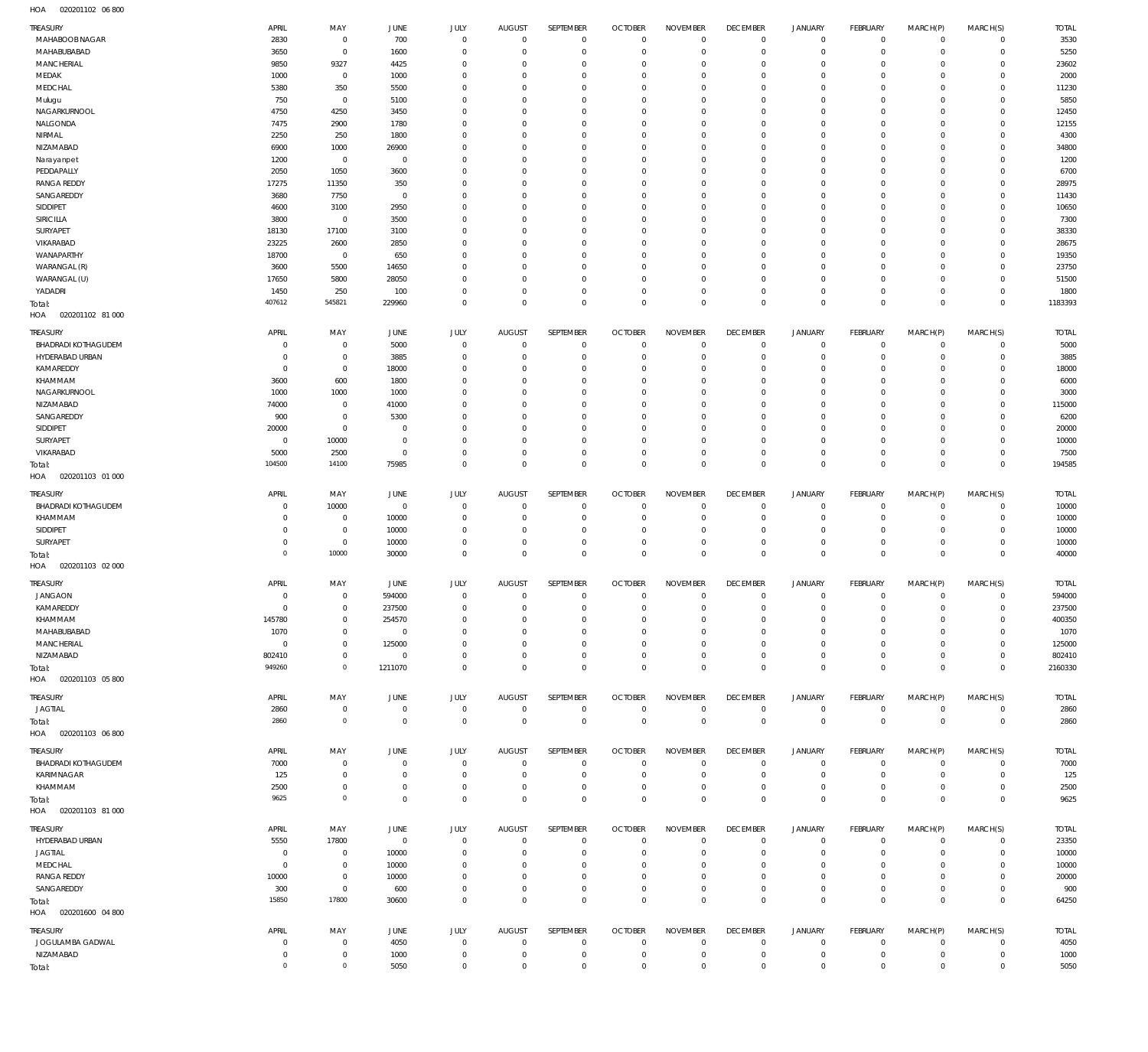020201102 06 800 HOA

| TREASURY                          | APRIL          | MAY                        | JUNE           | <b>JULY</b>                | <b>AUGUST</b>              | SEPTEMBER    | <b>OCTOBER</b> | <b>NOVEMBER</b> | <b>DECEMBER</b>  | JANUARY             | FEBRUARY        | MARCH(P)       | MARCH(S)                  | <b>TOTAL</b> |
|-----------------------------------|----------------|----------------------------|----------------|----------------------------|----------------------------|--------------|----------------|-----------------|------------------|---------------------|-----------------|----------------|---------------------------|--------------|
| MAHABOOB NAGAR                    | 2830           | $\mathbf 0$                | 700            | $\mathbf 0$                | $\mathbf 0$                | $\mathbf 0$  | $\overline{0}$ | $\mathbf 0$     | $\mathbf 0$      | $\overline{0}$      | $\overline{0}$  | $\mathbf 0$    | $\circ$                   | 3530         |
| MAHABUBABAD                       | 3650           | $\mathbf 0$                | 1600           | $\mathbf 0$                | $\mathbf 0$                | $\mathbf 0$  | $\overline{0}$ | $\overline{0}$  | $\mathbf 0$      | $\mathbf 0$         | $\overline{0}$  | $\mathbf 0$    | $\mathbf{0}$              | 5250         |
| MANCHERIAL                        | 9850           | 9327                       | 4425           | $\Omega$                   | $\Omega$                   | $\mathbf 0$  | $^{\circ}$     | $\Omega$        | $\mathbf 0$      | $\mathbf 0$         | $\mathbf 0$     | $\Omega$       | $\mathbf 0$               | 23602        |
| MEDAK                             | 1000           | $\mathbf 0$                | 1000           | $\mathbf 0$                | $\Omega$                   | $\mathbf 0$  | $^{\circ}$     | $\mathbf 0$     | $\mathbf 0$      | $\mathbf 0$         | $\mathbf 0$     | $\Omega$       | $\mathbf{0}$              | 2000         |
| MEDCHAL                           | 5380           | 350                        | 5500           | $\Omega$                   | $\Omega$                   | $\mathbf 0$  | $^{\circ}$     | $\mathbf 0$     | $\mathbf 0$      | $\mathbf 0$         | $\mathbf 0$     | $\Omega$       | $\mathbf 0$               | 11230        |
| Mulugu                            | 750            | $\mathbf 0$                | 5100           | $\Omega$                   | $\Omega$                   | $\mathbf 0$  | $^{\circ}$     | $\Omega$        | $\mathbf 0$      | $\mathbf 0$         | $\Omega$        | $\Omega$       | $\mathbf 0$               | 5850         |
| NAGARKURNOOL                      | 4750           | 4250                       | 3450           | $\Omega$                   | $\Omega$                   | $\mathbf 0$  | $^{\circ}$     | $\Omega$        | $\mathbf 0$      | $\mathbf 0$         | $\mathbf 0$     | $\Omega$       | $\mathbf 0$               | 12450        |
| NALGONDA                          | 7475           | 2900                       | 1780           | $\Omega$                   | $\Omega$                   | $\mathbf 0$  | $^{\circ}$     | $\Omega$        | $\mathbf 0$      | $\mathbf 0$         | $\Omega$        | $\Omega$       | $\mathbf 0$               | 12155        |
| NIRMAL                            | 2250           | 250                        | 1800           | $\Omega$                   | $\Omega$                   | $\mathbf 0$  | $^{\circ}$     | $\Omega$        | $\mathbf 0$      | $\mathbf 0$         | $\mathbf 0$     | $\Omega$       | $\mathbf 0$               | 4300         |
| NIZAMABAD                         | 6900           | 1000                       | 26900          | $\Omega$                   | $\Omega$                   | $\mathbf 0$  | $^{\circ}$     | $\mathbf 0$     | $\mathbf 0$      | $\mathbf 0$         | $\Omega$        | $\Omega$       | $\mathbf 0$               | 34800        |
| Narayanpet                        | 1200           | $\mathbf 0$                | $\mathbf{0}$   | $\Omega$                   | $\Omega$                   | $\mathbf 0$  | $\overline{0}$ | $\Omega$        | $\mathbf 0$      | $\mathbf 0$         | $\mathbf 0$     | $\Omega$       | $\mathbf 0$               | 1200         |
| PEDDAPALLY                        | 2050           | 1050                       | 3600           | $\mathbf 0$                | $\Omega$                   | $\mathbf 0$  | $^{\circ}$     | $\mathbf 0$     | $\mathbf 0$      | $\mathbf 0$         | $\Omega$        | $\Omega$       | $\mathbf 0$               | 6700         |
| <b>RANGA REDDY</b>                | 17275          | 11350                      | 350            | $\Omega$                   | $\Omega$                   | $\mathbf 0$  | $^{\circ}$     | $\Omega$        | $\mathbf 0$      | $\mathbf 0$         | $\mathbf 0$     | $\Omega$       | $\mathbf 0$               | 28975        |
| SANGAREDDY                        | 3680           | 7750                       | $\overline{0}$ | $\mathbf 0$                | $\Omega$                   | $\mathbf 0$  | $^{\circ}$     | $\mathbf 0$     | $\mathbf 0$      | $\mathbf 0$         | $\mathbf 0$     | $\Omega$       | $\mathbf 0$               | 11430        |
| SIDDIPET                          | 4600           | 3100                       | 2950           | $\Omega$                   | $\Omega$                   | $\mathbf 0$  | $\Omega$       | $\Omega$        | $\mathbf 0$      | $\mathbf 0$         | $\mathbf 0$     | $\Omega$       | $\mathbf 0$               | 10650        |
| SIRICILLA                         | 3800           | $\mathbf 0$                | 3500           | $\mathbf 0$                | $\Omega$                   | $\mathbf 0$  | $^{\circ}$     | $\mathbf 0$     | $\mathbf 0$      | $\mathbf 0$         | $\mathbf 0$     | $\Omega$       | $\mathbf 0$               | 7300         |
| SURYAPET                          | 18130          | 17100                      | 3100           | $\Omega$                   | $\Omega$                   | $\mathbf 0$  | $^{\circ}$     | $\Omega$        | $\mathbf 0$      | $\mathbf 0$         | $\mathbf 0$     | $\Omega$       | $\mathbf 0$               | 38330        |
| VIKARABAD                         | 23225          | 2600                       | 2850           | $\mathbf 0$                | $\Omega$                   | $\mathbf 0$  | $\overline{0}$ | $\Omega$        | $\mathbf 0$      | $\mathbf 0$         | $\mathbf 0$     | $\Omega$       | $\mathbf 0$               | 28675        |
| WANAPARTHY                        | 18700          | $\mathbf 0$                | 650            | $\Omega$                   | $\Omega$                   | $\mathbf 0$  | $^{\circ}$     | $\Omega$        | $\mathbf 0$      | $\mathbf 0$         | $\mathbf 0$     | $\Omega$       | $\mathbf 0$               | 19350        |
| WARANGAL (R)                      | 3600           | 5500                       | 14650          | $\Omega$                   | $\Omega$                   | $\mathbf 0$  | $^{\circ}$     | $\Omega$        | $\mathbf 0$      | $\mathbf 0$         | $\Omega$        | $\Omega$       | $\mathbf 0$               | 23750        |
| WARANGAL (U)                      | 17650          | 5800                       | 28050          | $\Omega$                   | $\Omega$                   | $\mathbf 0$  | $^{\circ}$     | $\mathbf 0$     | $\mathbf 0$      | $\mathbf 0$         | $\mathbf 0$     | $\Omega$       | $\mathbf 0$               | 51500        |
| YADADRI                           | 1450           | 250                        | 100            | $\mathbf 0$                | $^{\circ}$                 | $\mathbf 0$  | $^{\circ}$     | $\overline{0}$  | $\mathbf 0$      | $\mathbf 0$         | $\mathbf 0$     | $\mathbf 0$    | $\mathbf 0$               | 1800         |
| Total:                            | 407612         | 545821                     | 229960         | $\mathbf 0$                | $\mathbf 0$                | $\mathbf 0$  | $\mathbf 0$    | $\mathbf 0$     | $\mathbf 0$      | $\mathbf 0$         | $\overline{0}$  | $\mathbf 0$    | $\mathbf 0$               | 1183393      |
| HOA<br>020201102 81 000           |                |                            |                |                            |                            |              |                |                 |                  |                     |                 |                |                           |              |
| TREASURY                          | APRIL          | MAY                        | JUNE           | JULY                       | <b>AUGUST</b>              | SEPTEMBER    | <b>OCTOBER</b> | <b>NOVEMBER</b> | <b>DECEMBER</b>  | JANUARY             | FEBRUARY        | MARCH(P)       | MARCH(S)                  | <b>TOTAL</b> |
| BHADRADI KOTHAGUDEM               | $\overline{0}$ | $\mathbf 0$                | 5000           | $\mathbf 0$                | $\mathbf 0$                | $\mathbf 0$  | $\overline{0}$ | $\overline{0}$  | $\mathbf 0$      | $\mathbf 0$         | $\overline{0}$  | $\mathbf 0$    | $\circ$                   | 5000         |
| HYDERABAD URBAN                   | $\overline{0}$ | $\mathbf 0$                | 3885           | $\mathbf 0$                | $\mathbf 0$                | $\mathbb O$  | $\overline{0}$ | $\mathbf 0$     | $\bf 0$          | $\mathsf{O}\xspace$ | $\overline{0}$  | $\mathbf 0$    | $\overline{0}$            | 3885         |
| KAMAREDDY                         | $\overline{0}$ | $\mathbf 0$                | 18000          | $\mathbf 0$                | $^{\circ}$                 | $\mathbb O$  | $\overline{0}$ | $\mathbf 0$     | $\mathbf 0$      | $\mathbf 0$         | $\overline{0}$  | $\mathbf 0$    | $\mathbf{0}$              | 18000        |
| KHAMMAM                           | 3600           | 600                        | 1800           | $\mathbf 0$                | $\Omega$                   | $\mathbf 0$  | $\overline{0}$ | $\mathbf 0$     | $\mathbf 0$      | $\mathbf 0$         | $\mathbf 0$     | $\Omega$       | $\mathbf{0}$              | 6000         |
| NAGARKURNOOL                      | 1000           | 1000                       | 1000           | $\mathbf 0$                | $\mathbf 0$                | $\mathbb O$  | $^{\circ}$     | $\mathbf 0$     | $\mathbf 0$      | $\mathbf 0$         | $\mathbf 0$     | $\mathbf 0$    | $\mathbf{0}$              | 3000         |
| NIZAMABAD                         | 74000          | $\mathbf 0$                | 41000          | $\mathbf 0$                | $\Omega$                   | $\mathbf 0$  | $\overline{0}$ | $\mathbf 0$     | $\mathbf 0$      | $\mathbf 0$         | $\mathbf 0$     | $\Omega$       | $\mathbf 0$               | 115000       |
| SANGAREDDY                        | 900            | $\mathbf 0$                | 5300           | $\mathbf 0$                | $\mathbf 0$                | $\mathbf 0$  | $\overline{0}$ | $\mathbf 0$     | $\mathbf 0$      | $\mathbf 0$         | $\overline{0}$  | $\mathbf 0$    | $\mathbf{0}$              | 6200         |
| SIDDIPET                          | 20000          | $\mathbf 0$                | 0              | $\mathbf 0$                | $\mathbf 0$                | $\mathbf 0$  | $\overline{0}$ | $\mathbf 0$     | $\mathbf 0$      | $\mathbf 0$         | $\mathbf 0$     | $\Omega$       | $\mathbf{0}$              | 20000        |
| SURYAPET                          | $\mathbf 0$    | 10000                      | $\overline{0}$ | $\mathbf 0$                | $\mathbf 0$                | $\mathbf 0$  | $\overline{0}$ | $\mathbf 0$     | $\mathbf 0$      | $\mathbf 0$         | $\mathbf 0$     | $\mathbf 0$    | $\mathbf{0}$              | 10000        |
| VIKARABAD                         | 5000           | 2500                       | $\overline{0}$ | $\mathbf 0$                | $\mathbf 0$                | $\mathbb O$  | $\mathbf 0$    | $\mathbb O$     | $\bf 0$          | $\mathsf{O}\xspace$ | $\overline{0}$  | $\mathbf 0$    | $\circ$                   | 7500         |
| Total:                            | 104500         | 14100                      | 75985          | $\mathbf 0$                | $\mathbf 0$                | $\mathsf 0$  | $\mathbf 0$    | $\mathbf 0$     | $\mathbf 0$      | $\mathsf{O}\xspace$ | $\overline{0}$  | $\mathbf 0$    | $\overline{0}$            | 194585       |
| HOA<br>020201103 01 000           |                |                            |                |                            |                            |              |                |                 |                  |                     |                 |                |                           |              |
| TREASURY                          | APRIL          | MAY                        | JUNE           | JULY                       | <b>AUGUST</b>              | SEPTEMBER    | <b>OCTOBER</b> | <b>NOVEMBER</b> | <b>DECEMBER</b>  | <b>JANUARY</b>      | <b>FEBRUARY</b> | MARCH(P)       | MARCH(S)                  | <b>TOTAL</b> |
| <b>BHADRADI KOTHAGUDEM</b>        | $^{\circ}$     | 10000                      | $\mathbf 0$    | $\mathbf 0$                | $\mathbf 0$                | $\mathbf 0$  | $\overline{0}$ | $\overline{0}$  | $\mathbf 0$      | $\mathbf 0$         | $\overline{0}$  | $\mathbf 0$    | $\mathbf{0}$              | 10000        |
| KHAMMAM                           | 0              | $\mathbf 0$                | 10000          | $^{\circ}$                 | $^{\circ}$                 | $\mathbf 0$  | $\overline{0}$ | $\overline{0}$  | $\bf 0$          | $\mathbf 0$         | $\overline{0}$  | $\mathbf 0$    | $\mathbf 0$               | 10000        |
| SIDDIPET                          | $\mathbf{0}$   | $\mathbf 0$                | 10000          | $\mathbf 0$                | $^{\circ}$                 | $\mathbf 0$  | $\overline{0}$ | $\mathbf 0$     | $\mathbf 0$      | $\mathbf 0$         | $\overline{0}$  | $\mathbf 0$    | $\mathbf{0}$              | 10000        |
| SURYAPET                          | $^{\circ}$     | $\mathbf 0$                | 10000          | $\mathbf 0$                | $^{\circ}$                 | $\mathbf 0$  | $\overline{0}$ | $\overline{0}$  | $\bf 0$          | $\mathsf{O}\xspace$ | $\overline{0}$  | $\mathbf 0$    | $\mathbf 0$               | 10000        |
| Total:                            | $\mathbf 0$    | 10000                      | 30000          | $\mathbf 0$                | $\Omega$                   | $\mathsf 0$  | $\mathbf 0$    | $\mathbf 0$     | $\mathbf 0$      | $\mathbf 0$         | $\overline{0}$  | $\mathbf 0$    | $\mathbb O$               | 40000        |
| HOA<br>020201103 02 000           |                |                            |                |                            |                            |              |                |                 |                  |                     |                 |                |                           |              |
|                                   |                |                            |                |                            |                            |              |                |                 |                  |                     |                 |                |                           |              |
| TREASURY                          | <b>APRIL</b>   | MAY                        | JUNE           | JULY                       | <b>AUGUST</b>              | SEPTEMBER    | <b>OCTOBER</b> | <b>NOVEMBER</b> | <b>DECEMBER</b>  | JANUARY             | <b>FEBRUARY</b> | MARCH(P)       | MARCH(S)                  | <b>TOTAL</b> |
| <b>JANGAON</b>                    | $^{\circ}$     | $\mathbf 0$                | 594000         | $\mathbf 0$                | $\mathbf 0$                | $\mathbf 0$  | $\overline{0}$ | $\mathbb O$     | $\mathbf 0$      | $\mathbf 0$         | $\overline{0}$  | $\circ$        | $\overline{0}$            | 594000       |
| KAMAREDDY                         | $\Omega$       | $\mathbf{0}$               | 237500         | $\mathbf{0}$               | $\Omega$                   | $\mathbf{0}$ | $\Omega$       | $\Omega$        | $\Omega$         | $\Omega$            | $\Omega$        | $\Omega$       | $\overline{0}$            | 237500       |
| KHAMMAM                           | 145780         | $\mathbf 0$                | 254570         | $\mathbf 0$                | $\mathbf 0$                | $\mathbf 0$  | $\overline{0}$ | $\mathbf 0$     | $\mathbf 0$      | $\mathsf{O}\xspace$ | $\overline{0}$  | $\mathbf 0$    | $\overline{0}$            | 400350       |
| MAHABUBABAD                       | 1070           | $\mathbf 0$                | $\mathbf 0$    | $\mathbf 0$                | $^{\circ}$                 | $\mathbb O$  | $\overline{0}$ | $\mathbf 0$     | 0                | $\mathsf{O}\xspace$ | $\overline{0}$  | $\mathbf 0$    | $\circ$                   | 1070         |
| MANCHERIAL                        | $\mathbf 0$    | $\mathbf 0$                | 125000         | $\mathbf 0$                | $^{\circ}$                 | $\mathbf 0$  | $^{\circ}$     | $\mathbf{0}$    | $\mathbf 0$      | $\mathsf{O}\xspace$ | $\overline{0}$  | $\mathbf 0$    | $\mathbf{0}$              | 125000       |
| NIZAMABAD                         | 802410         | $\mathbf 0$                | $\mathbf 0$    | $\mathbf 0$                | $^{\circ}$                 | $\mathbb O$  | $\overline{0}$ | $\mathbb O$     | $\bf 0$          | $\mathsf{O}\xspace$ | $\overline{0}$  | $\mathbf 0$    | $\circ$                   | 802410       |
| Total:                            | 949260         | $\circ$                    | 1211070        | $\mathbf 0$                | $\mathbf 0$                | $\mathbf 0$  | $\mathbf 0$    | $\mathbf 0$     | $\mathbf 0$      | $\mathsf{O}\xspace$ | $\overline{0}$  | $\mathbf 0$    | $\overline{0}$            | 2160330      |
| HOA  020201103  05  800           |                |                            |                |                            |                            |              |                |                 |                  |                     |                 |                |                           |              |
| TREASURY                          | APRIL          | MAY                        | JUNE           | JULY                       | AUGUST                     | SEPTEMBER    | <b>OCTOBER</b> | <b>NOVEMBER</b> | <b>DECEMBER</b>  | JANUARY             | FEBRUARY        | MARCH(P)       | MARCH(S)                  | <b>TOTAL</b> |
| <b>JAGTIAL</b>                    | 2860           | $\mathbf 0$                | $\mathbf 0$    | $\mathbf 0$                | $\mathbb O$                | $\mathbf 0$  | $\overline{0}$ | $\mathbf 0$     | $\mathbf 0$      | $\mathbf 0$         | $\overline{0}$  | $\mathbf 0$    | $\overline{0}$            | 2860         |
| Total:                            | 2860           | $\circ$                    | $\mathbf 0$    | $\mathbf 0$                | $\mathbf 0$                | $\mathsf 0$  | $\overline{0}$ | $\mathbf 0$     | $\mathbf{0}$     | $\mathbf 0$         | $\overline{0}$  | $\overline{0}$ | $\overline{0}$            | 2860         |
| HOA<br>020201103 06 800           |                |                            |                |                            |                            |              |                |                 |                  |                     |                 |                |                           |              |
| TREASURY                          | APRIL          | MAY                        | JUNE           | JULY                       | AUGUST                     | SEPTEMBER    | <b>OCTOBER</b> | <b>NOVEMBER</b> | <b>DECEMBER</b>  | JANUARY             | FEBRUARY        | MARCH(P)       | MARCH(S)                  | <b>TOTAL</b> |
|                                   |                |                            | $\mathbf 0$    |                            |                            | $\mathbb O$  | $\overline{0}$ | $\mathbf 0$     |                  | $\overline{0}$      | $\overline{0}$  | $\circ$        |                           |              |
| BHADRADI KOTHAGUDEM<br>KARIMNAGAR | 7000<br>125    | $\mathbf 0$<br>$\mathbf 0$ | $\overline{0}$ | $\mathbf 0$<br>$\mathbb O$ | $\mathbf 0$<br>$\mathbf 0$ | $\mathbb O$  | $\overline{0}$ | $\mathbf 0$     | 0<br>$\mathbf 0$ | $\mathbf 0$         | $\overline{0}$  | $\mathbf 0$    | $\overline{0}$<br>$\circ$ | 7000<br>125  |
| KHAMMAM                           | 2500           | $\mathbf 0$                | $\mathbf 0$    | $\mathbf 0$                | $\mathbf 0$                | $\mathbb O$  | $\overline{0}$ | $\mathbf 0$     | $\bf 0$          | $\mathsf{O}\xspace$ | $\overline{0}$  | $\circ$        | $\overline{0}$            |              |
|                                   | 9625           | $\mathbf 0$                | $\mathbf{0}$   |                            | $\mathbf 0$                | $\mathsf 0$  | $\overline{0}$ | $\mathbf 0$     | $\bf 0$          | $\mathsf{O}\xspace$ | $\overline{0}$  | $\mathbf 0$    | $\overline{0}$            | 2500         |
| Total:                            |                |                            |                | $\mathbf 0$                |                            |              |                |                 |                  |                     |                 |                |                           | 9625         |
| HOA<br>020201103 81 000           |                |                            |                |                            |                            |              |                |                 |                  |                     |                 |                |                           |              |
| TREASURY                          | APRIL          | MAY                        | JUNE           | JULY                       | <b>AUGUST</b>              | SEPTEMBER    | <b>OCTOBER</b> | <b>NOVEMBER</b> | <b>DECEMBER</b>  | JANUARY             | FEBRUARY        | MARCH(P)       | MARCH(S)                  | <b>TOTAL</b> |
| HYDERABAD URBAN                   | 5550           | 17800                      | $\mathbf 0$    | $\mathbf 0$                | $\mathbf 0$                | $\mathbf 0$  | $\overline{0}$ | $^{\circ}$      | 0                | $\mathbf 0$         | $\overline{0}$  | $^{\circ}$     | $\mathbf{0}$              | 23350        |
| <b>JAGTIAL</b>                    | 0              | $\mathbf 0$                | 10000          | $\mathbf 0$                | 0                          | $\mathbb O$  | $^{\circ}$     | $\overline{0}$  | $\mathbf 0$      | $\mathbf 0$         | $\overline{0}$  | $\mathbf 0$    | $\circ$                   | 10000        |
| MEDCHAL                           | $^{\circ}$     | $\mathbf 0$                | 10000          | $\mathbf 0$                | $\Omega$                   | $\mathbf 0$  | $\mathbf 0$    | $\mathbf{0}$    | $\mathbf 0$      | $\mathbf 0$         | $\mathbf 0$     | $\mathbf 0$    | $\mathbf{0}$              | 10000        |
| <b>RANGA REDDY</b>                | 10000          | $\mathbf 0$                | 10000          | $\mathbf 0$                | $\mathbf{0}$               | $\mathbf 0$  | $\mathbf 0$    | $\mathbf{0}$    | $\mathbf 0$      | $\mathsf{O}\xspace$ | $\mathbf 0$     | $\mathbf 0$    | $\circ$                   | 20000        |
| SANGAREDDY                        | 300            | $\mathbf 0$                | 600            | $\mathbf 0$                | $\mathbf 0$                | $\mathbb O$  | $\mathbf 0$    | $\mathbf 0$     | $\bf 0$          | $\mathsf{O}\xspace$ | $\mathbf 0$     | $\mathbf 0$    | $\circ$                   | 900          |
| Total:                            | 15850          | 17800                      | 30600          | $\mathbf 0$                | $\mathbf 0$                | $\mathsf 0$  | $\overline{0}$ | $\mathbf 0$     | $\mathbf 0$      | $\mathbf 0$         | $\overline{0}$  | $\mathbf 0$    | $\overline{0}$            | 64250        |
| HOA  020201600  04 800            |                |                            |                |                            |                            |              |                |                 |                  |                     |                 |                |                           |              |
| TREASURY                          | APRIL          | MAY                        | JUNE           | JULY                       | <b>AUGUST</b>              | SEPTEMBER    | <b>OCTOBER</b> | <b>NOVEMBER</b> | <b>DECEMBER</b>  | <b>JANUARY</b>      | <b>FEBRUARY</b> | MARCH(P)       | MARCH(S)                  | <b>TOTAL</b> |
| JOGULAMBA GADWAL                  | 0              | $\mathbf 0$                | 4050           | $\mathbb O$                | $\mathbf 0$                | $\mathbf 0$  | $\overline{0}$ | $\mathbf 0$     | 0                | $\overline{0}$      | $\overline{0}$  | 0              | $\circ$                   | 4050         |
| NIZAMABAD                         | $\mathbf 0$    | $\mathbf 0$                | 1000           | $\mathbf 0$                | $\mathbf 0$                | $\mathbf 0$  | $\overline{0}$ | $\mathbb O$     | $\mathbf 0$      | $\mathsf{O}\xspace$ | $\overline{0}$  | $\circ$        | $\overline{0}$            | 1000         |
| Total:                            | $\mathbf 0$    | $\mathsf{O}\xspace$        | 5050           | $\mathbf 0$                | $\mathbf 0$                | $\mathbf 0$  | $\mathbf 0$    | $\mathbb O$     | $\bf 0$          | $\mathsf{O}\xspace$ | $\overline{0}$  | $\bf 0$        | $\overline{0}$            | 5050         |
|                                   |                |                            |                |                            |                            |              |                |                 |                  |                     |                 |                |                           |              |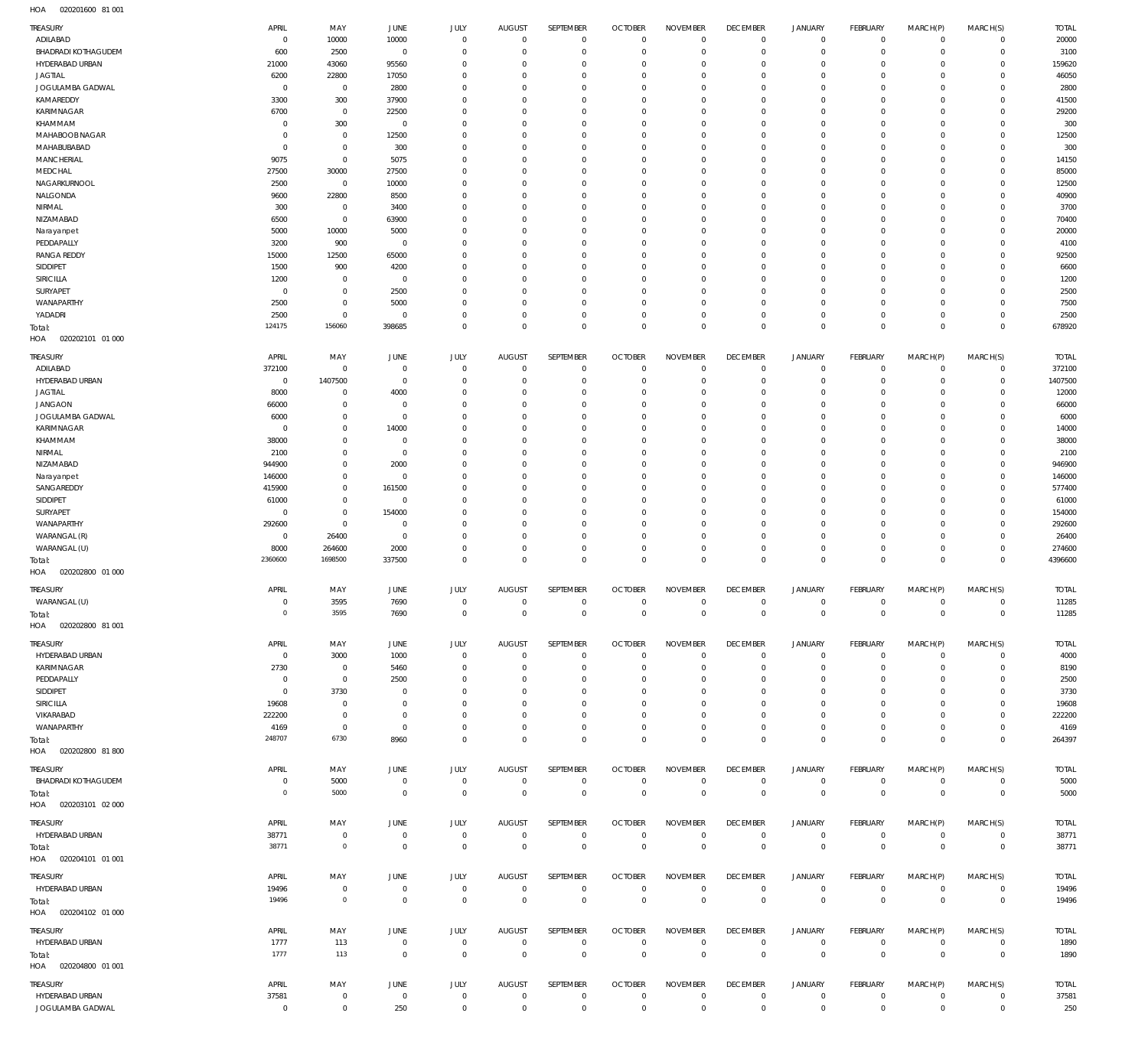020201600 81 001 HOA

| TREASURY<br>ADILABAD                | APRIL<br>$\circ$         | MAY<br>10000              | <b>JUNE</b><br>10000     | JULY<br>$\mathbf 0$     | <b>AUGUST</b><br>$\overline{0}$ | SEPTEMBER<br>$\mathbf 0$   | <b>OCTOBER</b><br>$\overline{0}$ | <b>NOVEMBER</b><br>$\mathbf 0$ | <b>DECEMBER</b><br>$\overline{0}$ | <b>JANUARY</b><br>$\circ$     | FEBRUARY<br>$\overline{0}$ | MARCH(P)<br>$\mathbf 0$  | MARCH(S)<br>$\overline{0}$  | <b>TOTAL</b><br>20000 |
|-------------------------------------|--------------------------|---------------------------|--------------------------|-------------------------|---------------------------------|----------------------------|----------------------------------|--------------------------------|-----------------------------------|-------------------------------|----------------------------|--------------------------|-----------------------------|-----------------------|
| <b>BHADRADI KOTHAGUDEM</b>          | 600                      | 2500                      | $\overline{0}$           | $\mathbf 0$             | $^{\circ}$                      | $\mathbf 0$                | $\mathbf 0$                      | $\mathbf 0$                    | $\mathbf 0$                       | $\mathbf 0$                   | $\mathbf{0}$               | $\mathbf 0$              | $\mathbf{0}$                | 3100                  |
| HYDERABAD URBAN                     | 21000                    | 43060                     | 95560                    | $\Omega$                | $\Omega$                        | $\mathbf 0$                | $\mathbf 0$                      | $\Omega$                       | $\mathbf 0$                       | $\mathbf 0$                   | $\mathbf{0}$               | $\Omega$                 | $\mathbf{0}$                | 159620                |
| <b>JAGTIAL</b>                      | 6200                     | 22800                     | 17050                    | $\mathbf 0$             | $\Omega$                        | $\mathbf 0$                | $\mathbf 0$                      | $\mathbf 0$                    | $\mathbf 0$                       | $\mathbf 0$                   | $\mathbf 0$                | $\Omega$                 | $\mathbf{0}$                | 46050                 |
| JOGULAMBA GADWAL                    | $^{\circ}$               | $\overline{0}$            | 2800                     | $\Omega$                | $\Omega$                        | $\mathbf 0$                | $\Omega$                         | $\Omega$                       | $\mathbf 0$                       | $\mathbf 0$                   | $\mathbf{0}$               | $\Omega$                 | $\mathbf 0$                 | 2800                  |
| KAMAREDDY                           | 3300                     | 300                       | 37900                    | $\mathbf 0$             | $\Omega$                        | $\mathbf 0$                | $\mathbf 0$                      | $\mathbf 0$                    | $\mathbf 0$                       | $\mathbf 0$                   | $\mathbf{0}$               | $\Omega$                 | $\mathbf 0$                 | 41500                 |
| KARIMNAGAR                          | 6700                     | $\overline{0}$            | 22500                    | $\mathbf 0$             | $\Omega$                        | $\mathbf 0$                | $\mathbf 0$                      | $\Omega$                       | $\mathbf 0$                       | $\mathbf 0$                   | $\mathbf 0$                | $\Omega$                 | $\mathbf 0$                 | 29200                 |
| KHAMMAM<br>MAHABOOB NAGAR           | $^{\circ}$<br>$^{\circ}$ | 300<br>$\mathbb O$        | $\overline{0}$<br>12500  | $\Omega$<br>$\mathbf 0$ | $\Omega$<br>$\Omega$            | $\mathbf 0$<br>$\mathbf 0$ | $\mathbf 0$<br>$\mathbf 0$       | $\Omega$<br>$\mathbf 0$        | $\Omega$<br>$\mathbf 0$           | $\Omega$<br>$\mathbf 0$       | $\mathbf 0$<br>$\mathbf 0$ | $\Omega$<br>$\Omega$     | $\mathbf{0}$<br>$\mathbf 0$ | 300<br>12500          |
| MAHABUBABAD                         | $^{\circ}$               | $\mathbf 0$               | 300                      | $\Omega$                | $\Omega$                        | $\mathbf 0$                | $\mathbf 0$                      | $\Omega$                       | $\mathbf 0$                       | $\Omega$                      | $\mathbf 0$                | $\Omega$                 | $\Omega$                    | 300                   |
| MANCHERIAL                          | 9075                     | $\mathbb O$               | 5075                     | $\mathbf 0$             | $\Omega$                        | $\mathbf 0$                | $\mathbf 0$                      | $\Omega$                       | $\mathbf 0$                       | $\mathbf 0$                   | $\mathbf{0}$               | $\Omega$                 | $\mathbf 0$                 | 14150                 |
| MEDCHAL                             | 27500                    | 30000                     | 27500                    | $\Omega$                | $\Omega$                        | $\mathbf 0$                | $\mathbf 0$                      | $\Omega$                       | $\Omega$                          | $\Omega$                      | $\Omega$                   | $\Omega$                 | $\Omega$                    | 85000                 |
| NAGARKURNOOL                        | 2500                     | $\overline{0}$            | 10000                    | $\Omega$                | $\Omega$                        | $\mathbf 0$                | $\mathbf 0$                      | $\Omega$                       | $\mathbf 0$                       | $\mathbf 0$                   | $\mathbf{0}$               | $\Omega$                 | $\mathbf{0}$                | 12500                 |
| NALGONDA                            | 9600                     | 22800                     | 8500                     | $\mathbf 0$             | $\Omega$                        | $\mathbf 0$                | $\mathbf 0$                      | $\mathbf 0$                    | $\mathbf 0$                       | $\mathbf 0$                   | $\mathbf 0$                | $\Omega$                 | $\mathbf 0$                 | 40900                 |
| NIRMAL                              | 300                      | $\mathbf 0$               | 3400                     | $\Omega$                | $\Omega$                        | $\Omega$                   | $\Omega$                         | $\Omega$                       | $\Omega$                          | $\Omega$                      | $\mathbf{0}$               | $\Omega$                 | $\mathbf 0$                 | 3700                  |
| NIZAMABAD                           | 6500                     | $\mathbb O$               | 63900                    | $^{\circ}$              | $\Omega$                        | $\mathbf 0$                | $\mathbf 0$                      | $\mathbf 0$                    | $\mathbf 0$                       | $\mathbf 0$                   | $\mathbf 0$                | $\Omega$                 | $\mathbf 0$                 | 70400                 |
| Narayanpet                          | 5000                     | 10000                     | 5000                     | $\Omega$                | $\Omega$                        | $\mathbf 0$                | $\Omega$                         | $\Omega$                       | $\mathbf 0$                       | $\Omega$                      | $\Omega$                   | $\Omega$                 | $\mathbf 0$                 | 20000                 |
| PEDDAPALLY<br><b>RANGA REDDY</b>    | 3200<br>15000            | 900<br>12500              | $\circ$<br>65000         | $^{\circ}$<br>$\Omega$  | $\Omega$<br>$\Omega$            | $\mathbf 0$<br>$\mathbf 0$ | $\mathbf 0$<br>$\mathbf 0$       | $\mathbf 0$<br>$\Omega$        | $\mathbf 0$<br>$\mathbf 0$        | $\mathbf 0$<br>$\mathbf 0$    | $\mathbf 0$<br>$\mathbf 0$ | $\Omega$<br>$\Omega$     | $\mathbf 0$<br>$\mathbf 0$  | 4100<br>92500         |
| SIDDIPET                            | 1500                     | 900                       | 4200                     | $\Omega$                | $\Omega$                        | $\mathbf 0$                | $\mathbf 0$                      | $\Omega$                       | $\Omega$                          | $\Omega$                      | $\mathbf 0$                | $\Omega$                 | $\mathbf{0}$                | 6600                  |
| SIRICILLA                           | 1200                     | $\mathbb O$               | $\circ$                  | $\Omega$                | $\Omega$                        | $\mathbf 0$                | $\mathbf 0$                      | $\mathbf 0$                    | $\mathbf 0$                       | $\mathbf 0$                   | $\mathbf 0$                | $\Omega$                 | $\mathbf 0$                 | 1200                  |
| SURYAPET                            | $^{\circ}$               | $\mathbf 0$               | 2500                     | $\Omega$                | $\Omega$                        | $\mathbf 0$                | $\mathbf 0$                      | $\mathbf 0$                    | $\mathbf 0$                       | $\mathbf 0$                   | $\mathbf 0$                | $\Omega$                 | $\mathbf 0$                 | 2500                  |
| WANAPARTHY                          | 2500                     | $\mathbb O$               | 5000                     | $\mathbf 0$             | $^{\circ}$                      | $\mathbf 0$                | $\mathbf 0$                      | $\mathbf 0$                    | $\mathbf 0$                       | $\mathbf 0$                   | $\mathbf{0}$               | $\Omega$                 | $\mathbf 0$                 | 7500                  |
| YADADRI                             | 2500                     | $\mathbf 0$               | $^{\circ}$               | $\mathbf 0$             | $\Omega$                        | $\mathbf 0$                | $\mathbf 0$                      | $\mathbf 0$                    | $\mathbf 0$                       | $\mathbf 0$                   | $\mathbf 0$                | $\Omega$                 | $\mathbf{0}$                | 2500                  |
| Total:<br>HOA<br>020202101 01 000   | 124175                   | 156060                    | 398685                   | $\mathbf 0$             | $\Omega$                        | $\mathbf 0$                | $\Omega$                         | $\mathbf 0$                    | $\mathbf 0$                       | $\mathbf 0$                   | $\Omega$                   | $\Omega$                 | $\overline{0}$              | 678920                |
| TREASURY                            | APRIL                    | MAY                       | <b>JUNE</b>              | <b>JULY</b>             | <b>AUGUST</b>                   | SEPTEMBER                  | <b>OCTOBER</b>                   | <b>NOVEMBER</b>                | <b>DECEMBER</b>                   | <b>JANUARY</b>                | FEBRUARY                   | MARCH(P)                 | MARCH(S)                    | <b>TOTAL</b>          |
| ADILABAD                            | 372100                   | $^{\circ}$                | $^{\circ}$               | $^{\circ}$              | $^{\circ}$                      | $\mathbf 0$                | $\mathbf 0$                      | $\mathbf 0$                    | $\mathbf 0$                       | $\mathbf 0$                   | $\mathbf 0$                | $\mathbf 0$              | $\mathbf{0}$                | 372100                |
| HYDERABAD URBAN                     | $\mathbf 0$              | 1407500                   | $\circ$                  | $\Omega$                | $\Omega$                        | $\Omega$                   | $\mathbf 0$                      | $\Omega$                       | $\Omega$                          | $\mathbf 0$                   | $\mathbf{0}$               | $\Omega$                 | $\mathbf{0}$                | 1407500               |
| JAGTIAL                             | 8000                     | $^{\circ}$                | 4000                     | $\Omega$                | $\Omega$                        | $\mathbf 0$                | $\mathbf 0$                      | $\Omega$                       | $\mathbf 0$                       | $\mathbf 0$<br>$\Omega$       | $\mathbf 0$                | $\Omega$                 | $\mathbf 0$<br>$\Omega$     | 12000                 |
| <b>JANGAON</b><br>JOGULAMBA GADWAL  | 66000<br>6000            | $^{\circ}$<br>$\mathbf 0$ | $^{\circ}$<br>$^{\circ}$ | $\Omega$<br>$\Omega$    | $\Omega$<br>$\Omega$            | $\Omega$<br>$\mathbf 0$    | $\Omega$<br>$\Omega$             | $\Omega$<br>$\Omega$           | $\Omega$<br>$\mathbf 0$           | $\Omega$                      | $\mathbf 0$<br>$\Omega$    | $\Omega$<br>$\Omega$     | $\mathbf 0$                 | 66000<br>6000         |
| KARIMNAGAR                          | $\Omega$                 | $\Omega$                  | 14000                    | $\Omega$                | $\Omega$                        | $\Omega$                   | $\Omega$                         | $\Omega$                       | $\Omega$                          | $\Omega$                      | $\Omega$                   | $\Omega$                 | $\Omega$                    | 14000                 |
| KHAMMAM                             | 38000                    | $\mathbf 0$               | $^{\circ}$               | $\Omega$                | $\Omega$                        | $\Omega$                   | $\Omega$                         | $\Omega$                       | $\mathbf 0$                       | $\Omega$                      | $\Omega$                   | $\Omega$                 | $\mathbf 0$                 | 38000                 |
| NIRMAL                              | 2100                     | $\mathbf 0$               | $\circ$                  | $\Omega$                | $\Omega$                        | $\Omega$                   | $\Omega$                         | $\Omega$                       | $\Omega$                          | $\Omega$                      | $\Omega$                   | $\Omega$                 | $\Omega$                    | 2100                  |
| NIZAMABAD                           | 944900                   | $\mathbf 0$               | 2000                     | $\Omega$                | $\Omega$                        | $\Omega$                   | $\Omega$                         | $\Omega$                       | $\Omega$                          | $\Omega$                      | $\Omega$                   | $\Omega$                 | $\Omega$                    | 946900                |
| Narayanpet                          | 146000                   | $\mathbf 0$               | $^{\circ}$               | $\Omega$                | $\Omega$                        | $\Omega$                   | $\Omega$                         | $\Omega$                       | $\Omega$                          | $\Omega$                      | $\Omega$                   | $\Omega$                 | $\Omega$                    | 146000                |
| SANGAREDDY                          | 415900                   | $\mathbf 0$               | 161500                   | $\Omega$                | $\Omega$                        | $\Omega$                   | $\Omega$                         | $\Omega$                       | $\Omega$                          | $\Omega$                      | $\Omega$                   | $\Omega$                 | $\Omega$                    | 577400                |
| SIDDIPET                            | 61000                    | $\mathbf 0$               | $^{\circ}$               | $\Omega$                | $\Omega$                        | $\Omega$                   | $\Omega$                         | $\Omega$                       | $\Omega$                          | $\Omega$                      | $\mathbf 0$                | $\Omega$                 | $\mathbf 0$                 | 61000                 |
| SURYAPET                            | $\Omega$                 | $\mathbf 0$               | 154000                   | $\Omega$                | $\Omega$                        | $\Omega$                   | $\Omega$                         | $\Omega$                       | $\Omega$                          | $\Omega$                      | $\Omega$                   | $\Omega$                 | $\Omega$                    | 154000                |
| WANAPARTHY<br>WARANGAL (R)          | 292600<br>$\Omega$       | $\mathbf 0$<br>26400      | $\Omega$<br>$^{\circ}$   | $\Omega$<br>$\Omega$    | $\Omega$<br>$\Omega$            | $\Omega$<br>$\mathbf 0$    | $\Omega$<br>$\Omega$             | $\Omega$<br>$\Omega$           | $\Omega$<br>$\mathbf 0$           | $\Omega$<br>$\mathbf 0$       | $\Omega$<br>$\Omega$       | $\Omega$<br>$\Omega$     | $\Omega$<br>$\mathbf 0$     | 292600<br>26400       |
| WARANGAL (U)                        | 8000                     | 264600                    | 2000                     | $\Omega$                | $\Omega$                        | $\mathbf 0$                | $\mathbf 0$                      | $\Omega$                       | $\mathbf 0$                       | $\mathbf 0$                   | $\mathbf 0$                | $\Omega$                 | $\mathbf 0$                 | 274600                |
| Total:                              | 2360600                  | 1698500                   | 337500                   | $\Omega$                | $\Omega$                        | $\Omega$                   | $\Omega$                         | $\Omega$                       | $\mathbf 0$                       | $\mathbf 0$                   | $\Omega$                   | $\Omega$                 | $\mathbf 0$                 | 4396600               |
| HOA<br>020202800 01 000             |                          |                           |                          |                         |                                 |                            |                                  |                                |                                   |                               |                            |                          |                             |                       |
| TREASURY<br>WARANGAL (U)            | APRIL<br>$\mathbf 0$     | MAY<br>3595               | JUNE<br>7690             | JULY<br>$\mathbf 0$     | <b>AUGUST</b><br>$\mathbf 0$    | SEPTEMBER<br>$\mathbf 0$   | <b>OCTOBER</b><br>$\mathbf{0}$   | <b>NOVEMBER</b><br>$\mathbf 0$ | <b>DECEMBER</b><br>$\overline{0}$ | <b>JANUARY</b><br>$\mathbf 0$ | FEBRUARY<br>$\overline{0}$ | MARCH(P)<br>$\mathbf{0}$ | MARCH(S)<br>$\overline{0}$  | <b>TOTAL</b><br>11285 |
| Total:                              | $\mathbf{0}$             | 3595                      | 7690                     | $\mathbf 0$             | $\mathbf{0}$                    | 0                          | $\mathbf 0$                      | 0                              | 0                                 | $\mathbf 0$                   | $^{\circ}$                 | $\mathbf 0$              | $\overline{0}$              | 11285                 |
| HOA<br>020202800 81 001<br>TREASURY | APRIL                    | MAY                       | JUNE                     | JULY                    | <b>AUGUST</b>                   | SEPTEMBER                  | <b>OCTOBER</b>                   | <b>NOVEMBER</b>                | <b>DECEMBER</b>                   | <b>JANUARY</b>                | FEBRUARY                   |                          |                             |                       |
| HYDERABAD URBAN                     | $\mathbf 0$              | 3000                      | 1000                     | $\mathbf 0$             | $\mathbf 0$                     | $\mathbf 0$                | $\overline{0}$                   | $\mathbf 0$                    | $\mathbf{0}$                      | $\mathbf 0$                   | $\mathbf{0}$               | MARCH(P)<br>$\mathbf 0$  | MARCH(S)<br>$\mathbf{0}$    | <b>TOTAL</b><br>4000  |
| KARIMNAGAR                          | 2730                     | $\mathbf 0$               | 5460                     | $^{\circ}$              | $\mathbf{0}$                    | $\mathbf 0$                | $\overline{0}$                   | $\mathbf 0$                    | $\mathbf 0$                       | $\mathbf 0$                   | $\circ$                    | $\circ$                  | $\mathbf{0}$                | 8190                  |
| PEDDAPALLY                          | $^{\circ}$               | $\mathbb O$               | 2500                     | $\Omega$                | $^{\circ}$                      | $\mathbf 0$                | $\mathbf 0$                      | $\mathbf 0$                    | $\mathbf 0$                       | $\mathbf 0$                   | $\mathbf 0$                | $\Omega$                 | $\mathbf 0$                 | 2500                  |
| SIDDIPET                            | $^{\circ}$               | 3730                      | $^{\circ}$               | $\Omega$                | $\Omega$                        | $\mathbf 0$                | $\mathbf 0$                      | $\mathbf 0$                    | $\mathbf 0$                       | $\mathbf 0$                   | $\mathbf 0$                | $\Omega$                 | $\mathbf 0$                 | 3730                  |
| SIRICILLA                           | 19608                    | $\mathbb O$               | $\overline{0}$           | $\mathbf 0$             | $\Omega$                        | $\mathbf 0$                | $\mathbf 0$                      | $\mathbf 0$                    | $\mathbf 0$                       | $\mathbf 0$                   | $\mathbf 0$                | $\Omega$                 | $\mathbf 0$                 | 19608                 |
| VIKARABAD                           | 222200                   | $\mathbf 0$               | $^{\circ}$               | $\Omega$                | $\Omega$                        | $\Omega$                   | $\mathbf 0$                      | $\Omega$                       | $\mathbf 0$                       | $\mathbf 0$                   | $\mathbf 0$                | $\Omega$                 | $\mathbf 0$                 | 222200                |
| WANAPARTHY                          | 4169                     | $\overline{0}$            | $^{\circ}$               | $\mathbf 0$             | $\mathbf{0}$                    | $\mathbf 0$                | $\mathbf 0$                      | $\mathbf 0$                    | $\mathbf 0$                       | $\mathbf 0$                   | $^{\circ}$                 | $\circ$                  | $\mathbf{0}$                | 4169                  |
| Total:<br>HOA  020202800  81  800   | 248707                   | 6730                      | 8960                     | $\Omega$                | $\mathbf 0$                     | $\mathbf 0$                | $\mathbf 0$                      | $\mathbf 0$                    | $\mathbf 0$                       | $\mathbf 0$                   | $\overline{0}$             | $\mathbf 0$              | $\mathbf 0$                 | 264397                |
| TREASURY                            | APRIL                    | MAY                       | JUNE                     | JULY                    | <b>AUGUST</b>                   | SEPTEMBER                  | <b>OCTOBER</b>                   | <b>NOVEMBER</b>                | <b>DECEMBER</b>                   | <b>JANUARY</b>                | FEBRUARY                   | MARCH(P)                 | MARCH(S)                    | <b>TOTAL</b>          |
| BHADRADI KOTHAGUDEM                 | 0                        | 5000                      | $\overline{0}$           | $\mathbb O$             | $\mathbf 0$                     | $\,0\,$                    | $\overline{0}$                   | $\mathbf 0$                    | $\overline{0}$                    | $\circ$                       | $\overline{0}$             | $\mathbf{0}$             | $\overline{0}$              | 5000                  |
| Total:<br>HOA<br>020203101 02 000   | $\circ$                  | 5000                      | $\overline{0}$           | $\mathbb O$             | $\overline{0}$                  | $\mathbf 0$                | $\mathbf 0$                      | $\bf 0$                        | $\overline{0}$                    | $\bf 0$                       | $\overline{0}$             | $\mathbf 0$              | $\overline{0}$              | 5000                  |
| TREASURY                            | APRIL                    | MAY                       | JUNE                     | JULY                    | <b>AUGUST</b>                   | SEPTEMBER                  | <b>OCTOBER</b>                   | <b>NOVEMBER</b>                | <b>DECEMBER</b>                   | <b>JANUARY</b>                | FEBRUARY                   | MARCH(P)                 | MARCH(S)                    | <b>TOTAL</b>          |
| HYDERABAD URBAN                     | 38771                    | $\mathbf 0$               | $\overline{0}$           | $\mathbb O$             | $\mathbf 0$                     | $\mathbf 0$                | $\mathbf 0$                      | $\mathbf 0$                    | $\mathbf 0$                       | $\circ$                       | $\overline{0}$             | $\mathbf{0}$             | $\overline{0}$              | 38771                 |
| Total:<br>HOA  020204101  01  001   | 38771                    | $\mathbf 0$               | $\overline{0}$           | $\mathbb O$             | $\mathbf 0$                     | $\mathbf 0$                | $\mathbb O$                      | $\mathbf 0$                    | $\mathbf 0$                       | $\mathbf 0$                   | $\overline{0}$             | $\mathbf 0$              | $\,0\,$                     | 38771                 |
| TREASURY                            | APRIL                    | MAY                       | JUNE                     | JULY                    | <b>AUGUST</b>                   | SEPTEMBER                  | <b>OCTOBER</b>                   | <b>NOVEMBER</b>                | <b>DECEMBER</b>                   | <b>JANUARY</b>                | FEBRUARY                   | MARCH(P)                 | MARCH(S)                    | <b>TOTAL</b>          |
| HYDERABAD URBAN                     | 19496                    | $\overline{0}$            | $\overline{0}$           | $\mathbf 0$             | $\mathbf 0$                     | $\,0\,$                    | $\overline{0}$                   | $\mathbf 0$                    | $\overline{0}$                    | $\mathbb O$                   | $\overline{0}$             | $\circ$                  | $\overline{0}$              | 19496                 |
| Total:<br>HOA<br>020204102 01 000   | 19496                    | $\mathbb O$               | $\overline{0}$           | $\mathbb O$             | $\mathbf 0$                     | $\mathsf 0$                | $\overline{0}$                   | $\,0\,$                        | $\overline{0}$                    | $\mathbf 0$                   | $\overline{0}$             | $\mathbf 0$              | $\overline{0}$              | 19496                 |
| TREASURY                            | APRIL                    | MAY                       | JUNE                     | <b>JULY</b>             | <b>AUGUST</b>                   | SEPTEMBER                  | <b>OCTOBER</b>                   | <b>NOVEMBER</b>                | <b>DECEMBER</b>                   | <b>JANUARY</b>                | FEBRUARY                   | MARCH(P)                 | MARCH(S)                    | <b>TOTAL</b>          |
| HYDERABAD URBAN                     | 1777                     | 113                       | $\overline{0}$           | $\mathbb O$             | $\mathbf 0$                     | $\mathbf 0$                | $\mathbf 0$                      | $\mathbf 0$                    | $\mathbf 0$                       | $\mathbf 0$                   | $\mathbf{0}$               | $\mathbf 0$              | $\mathbf{0}$                | 1890                  |
| Total:<br>HOA  020204800  01  001   | 1777                     | 113                       | $\overline{0}$           | $\mathbf 0$             | $\mathbf 0$                     | $\mathbf 0$                | $\overline{0}$                   | $\bf 0$                        | $\mathbf 0$                       | $\mathbf 0$                   | $\overline{0}$             | $\mathbf 0$              | $\overline{0}$              | 1890                  |
| TREASURY                            | APRIL                    | MAY                       | JUNE                     | <b>JULY</b>             | <b>AUGUST</b>                   | SEPTEMBER                  | <b>OCTOBER</b>                   | <b>NOVEMBER</b>                | <b>DECEMBER</b>                   | <b>JANUARY</b>                | FEBRUARY                   | MARCH(P)                 | MARCH(S)                    | <b>TOTAL</b>          |
| HYDERABAD URBAN                     | 37581                    | $\overline{0}$            | $\overline{0}$           | $\mathbb O$             | $\overline{0}$                  | 0                          | $\overline{0}$                   | $\mathbf 0$                    | $\overline{0}$                    | $\overline{0}$                | $\overline{0}$             | 0                        | $\circ$                     | 37581                 |
| JOGULAMBA GADWAL                    | $\mathbb O$              | $\mathbf 0$               | 250                      | $\mathbf 0$             | $\mathbf 0$                     | $\mathsf 0$                | $\mathbf 0$                      | $\mathsf{O}\xspace$            | $\mathbf 0$                       | $\mathsf 0$                   | $\overline{0}$             | $\mathbf 0$              | $\overline{0}$              | 250                   |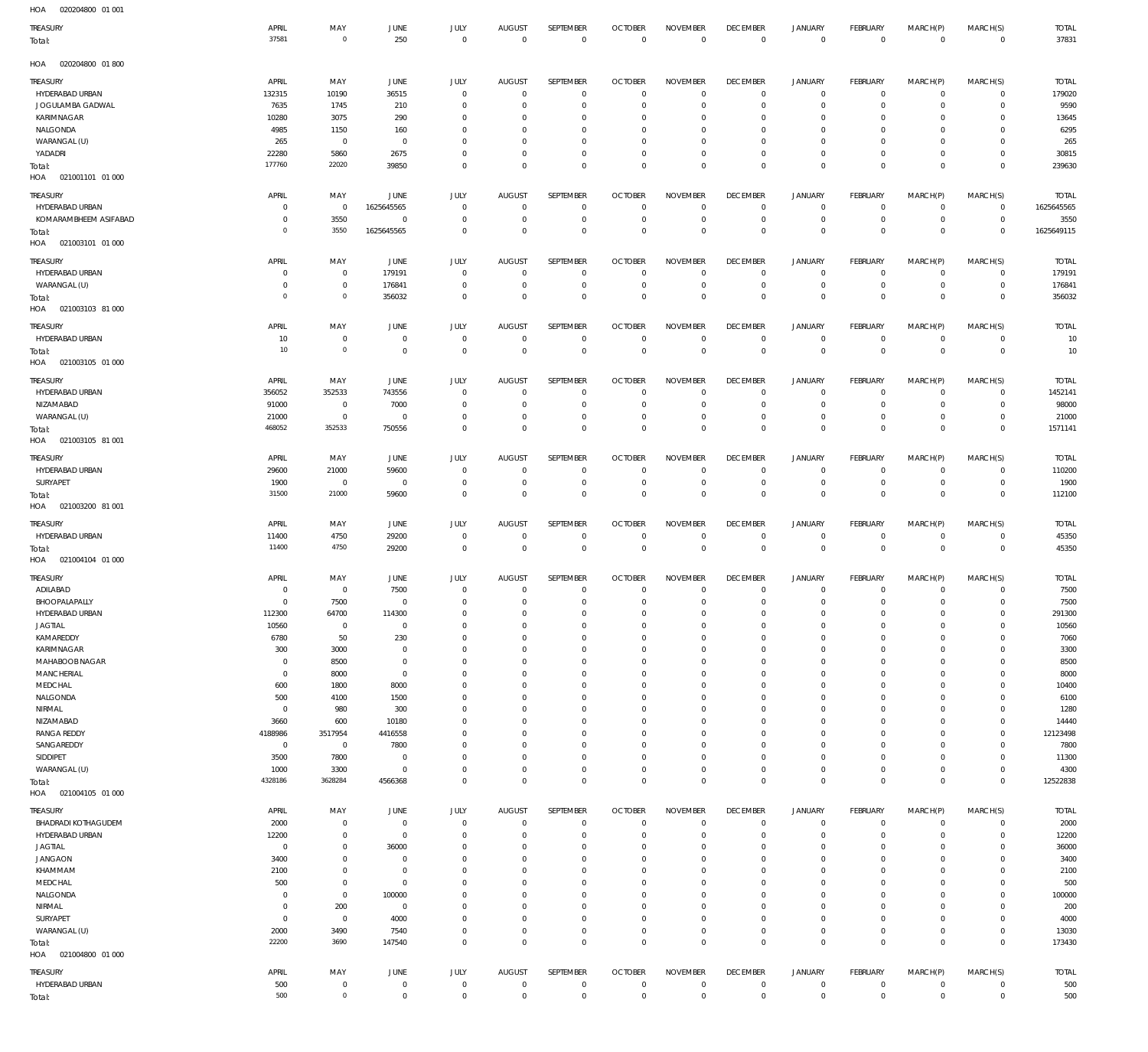| TREASURY<br>Total:                | APRIL<br>37581             | MAY<br>$\overline{0}$         | <b>JUNE</b><br>250        | JULY<br>$\mathbb O$        | <b>AUGUST</b><br>$\mathbf 0$   | SEPTEMBER<br>$\overline{0}$      | <b>OCTOBER</b><br>$\mathbf 0$      | <b>NOVEMBER</b><br>$\overline{0}$ | <b>DECEMBER</b><br>$\overline{0}$ | <b>JANUARY</b><br>$\mathbb O$ | FEBRUARY<br>$\overline{0}$     | MARCH(P)<br>$\mathbf 0$     | MARCH(S)<br>$\,0\,$        | <b>TOTAL</b><br>37831  |
|-----------------------------------|----------------------------|-------------------------------|---------------------------|----------------------------|--------------------------------|----------------------------------|------------------------------------|-----------------------------------|-----------------------------------|-------------------------------|--------------------------------|-----------------------------|----------------------------|------------------------|
| HOA<br>020204800 01 800           |                            |                               |                           |                            |                                |                                  |                                    |                                   |                                   |                               |                                |                             |                            |                        |
| TREASURY                          | APRIL                      | MAY                           | JUNE                      | JULY                       | <b>AUGUST</b>                  | SEPTEMBER                        | <b>OCTOBER</b>                     | <b>NOVEMBER</b>                   | <b>DECEMBER</b>                   | JANUARY                       | FEBRUARY                       | MARCH(P)                    | MARCH(S)                   | <b>TOTAL</b>           |
| HYDERABAD URBAN                   | 132315                     | 10190                         | 36515                     | $\mathbf 0$                | $\mathbf 0$                    | $\overline{0}$                   | $\mathbf 0$                        | $\overline{0}$                    | $\overline{0}$                    | $\mathsf 0$                   | $\overline{0}$                 | $\mathbf 0$                 | 0                          | 179020                 |
| JOGULAMBA GADWAL                  | 7635                       | 1745                          | 210                       | 0                          | 0                              | $\overline{0}$                   | $\mathbf 0$                        | $\overline{0}$                    | $\mathbf 0$                       | $\mathsf 0$                   | $\mathbf 0$                    | $^{\circ}$                  | 0                          | 9590                   |
| KARIMNAGAR<br>NALGONDA            | 10280<br>4985              | 3075<br>1150                  | 290<br>160                | $\mathbf 0$<br>0           | $\mathbf 0$<br>$\mathbf 0$     | $\overline{0}$<br>$\overline{0}$ | $\mathbf 0$<br>$\mathbf 0$         | $\mathbf 0$<br>$\overline{0}$     | $\mathbf 0$<br>$\mathbf 0$        | $\overline{0}$<br>$\mathsf 0$ | $\mathbf 0$<br>$\circ$         | $\Omega$<br>$^{\circ}$      | $\circ$<br>$\circ$         | 13645<br>6295          |
| WARANGAL (U)                      | 265                        | $\overline{0}$                | $\mathbf 0$               | $\mathbf 0$                | $\mathbf 0$                    | $\overline{0}$                   | $\mathbf 0$                        | $\mathbf 0$                       | $\mathbf 0$                       | $\overline{0}$                | $\mathbf 0$                    | $\Omega$                    | $^{\circ}$                 | 265                    |
| YADADRI                           | 22280                      | 5860                          | 2675                      | $\mathbf 0$                | $\mathbf 0$                    | $\overline{0}$                   | $\mathbf 0$                        | $\overline{0}$                    | $\mathbf 0$                       | $\mathsf 0$                   | $\mathbf 0$                    | $\mathbf 0$                 | 0                          | 30815                  |
| Total:                            | 177760                     | 22020                         | 39850                     | $\mathbf 0$                | $\mathbf 0$                    | $\overline{0}$                   | $\mathbf 0$                        | $\overline{0}$                    | $\mathbf 0$                       | $\mathbb O$                   | $\mathbf 0$                    | $\mathbf 0$                 | $\mathbf 0$                | 239630                 |
| HOA<br>021001101 01 000           |                            |                               |                           |                            |                                |                                  |                                    |                                   |                                   |                               |                                |                             |                            |                        |
| TREASURY                          | APRIL                      | MAY                           | JUNE                      | JULY                       | <b>AUGUST</b>                  | SEPTEMBER                        | <b>OCTOBER</b>                     | <b>NOVEMBER</b>                   | <b>DECEMBER</b>                   | JANUARY                       | FEBRUARY                       | MARCH(P)                    | MARCH(S)                   | <b>TOTA</b>            |
| HYDERABAD URBAN                   | 0                          | $\overline{0}$                | 1625645565                | $\mathbf 0$                | $\mathbf 0$                    | $\overline{0}$                   | $\Omega$                           | $\mathbf 0$                       | $\overline{0}$                    | $\mathsf 0$                   | $\mathbf 0$                    | $\mathbf 0$                 | 0                          | 1625645565             |
| KOMARAMBHEEM ASIFABAD             | $\mathbf 0$<br>$\mathbf 0$ | 3550<br>3550                  | $\mathbf 0$<br>1625645565 | $\mathbf 0$<br>$\mathbf 0$ | $\mathbf 0$<br>$\mathbf 0$     | $\overline{0}$<br>$\overline{0}$ | $\mathbf 0$<br>$\mathbf 0$         | $\mathbf 0$<br>$\overline{0}$     | $\mathbf 0$<br>$\overline{0}$     | $\mathsf 0$<br>$\overline{0}$ | $\mathbf 0$<br>$\mathbf 0$     | $\mathbf 0$<br>$\mathbf 0$  | $\mathbb O$<br>$\mathbf 0$ | 3550<br>1625649115     |
| Total:<br>HOA<br>021003101 01 000 |                            |                               |                           |                            |                                |                                  |                                    |                                   |                                   |                               |                                |                             |                            |                        |
|                                   |                            |                               |                           |                            |                                |                                  |                                    |                                   |                                   |                               |                                |                             |                            |                        |
| TREASURY                          | APRIL                      | MAY<br>$\overline{0}$         | JUNE                      | JULY<br>$\bf 0$            | <b>AUGUST</b><br>$\mathbf 0$   | SEPTEMBER<br>$\overline{0}$      | <b>OCTOBER</b><br>0                | <b>NOVEMBER</b><br>$\mathbf 0$    | <b>DECEMBER</b>                   | <b>JANUARY</b>                | <b>FEBRUARY</b><br>$\mathbf 0$ | MARCH(P)<br>$^{\circ}$      | MARCH(S)                   | <b>TOTAL</b><br>179191 |
| HYDERABAD URBAN<br>WARANGAL (U)   | $\mathbf 0$<br>$\mathbf 0$ | $\overline{0}$                | 179191<br>176841          | $\mathbf 0$                | $\bf 0$                        | $\overline{0}$                   | $\mathbf 0$                        | $\overline{0}$                    | $\mathbf 0$<br>$\overline{0}$     | $\mathsf 0$<br>$\mathsf 0$    | $\overline{0}$                 | $\mathbf 0$                 | 0<br>$\mathbf 0$           | 176841                 |
| Total:                            | $\mathbf 0$                | $\mathbf 0$                   | 356032                    | $\mathbf 0$                | $\bf 0$                        | $\overline{0}$                   | $\mathbf 0$                        | $\overline{0}$                    | $\mathbf 0$                       | $\mathbb O$                   | $\mathbf{0}$                   | $\mathbf 0$                 | $\,0\,$                    | 356032                 |
| HOA<br>021003103 81 000           |                            |                               |                           |                            |                                |                                  |                                    |                                   |                                   |                               |                                |                             |                            |                        |
| TREASURY                          | APRIL                      | MAY                           | <b>JUNE</b>               | JULY                       | <b>AUGUST</b>                  | SEPTEMBER                        | <b>OCTOBER</b>                     | <b>NOVEMBER</b>                   | <b>DECEMBER</b>                   | <b>JANUARY</b>                | <b>FEBRUARY</b>                | MARCH(P)                    | MARCH(S)                   | <b>TOTAL</b>           |
| HYDERABAD URBAN                   | 10                         | $\mathbf 0$                   | $\mathbf 0$               | $\bf 0$                    | $\mathbf 0$                    | $\overline{0}$                   | $\mathbf 0$                        | $\overline{0}$                    | $\overline{0}$                    | $\mathsf 0$                   | $\mathbf 0$                    | $\circ$                     | $\mathbb O$                | 10                     |
| Total:                            | 10                         | $\overline{0}$                | $\mathbf 0$               | $\mathbf 0$                | $\bf 0$                        | $\overline{0}$                   | $\mathbf 0$                        | $\overline{0}$                    | $\overline{0}$                    | $\mathbf 0$                   | $\mathbf{0}$                   | $\mathbf 0$                 | $\,0\,$                    | 10                     |
| HOA<br>021003105 01 000           |                            |                               |                           |                            |                                |                                  |                                    |                                   |                                   |                               |                                |                             |                            |                        |
| TREASURY                          | APRIL                      | MAY                           | JUNE                      | JULY                       | <b>AUGUST</b>                  | SEPTEMBER                        | <b>OCTOBER</b>                     | <b>NOVEMBER</b>                   | <b>DECEMBER</b>                   | <b>JANUARY</b>                | FEBRUARY                       | MARCH(P)                    | MARCH(S)                   | <b>TOTAL</b>           |
| HYDERABAD URBAN                   | 356052                     | 352533                        | 743556                    | $\mathbf 0$                | $\mathbf 0$                    | $\overline{0}$                   | $\mathbf 0$                        | $\overline{0}$                    | $\overline{0}$                    | $\mathsf 0$                   | $\mathbf 0$                    | $^{\circ}$                  | 0                          | 1452141                |
| NIZAMABAD                         | 91000                      | $\overline{0}$                | 7000                      | $\mathbf 0$                | $\bf 0$                        | $\overline{0}$                   | $\mathbf 0$                        | $\overline{0}$                    | $\mathbf 0$                       | $\mathsf 0$                   | $\mathbf 0$                    | $^{\circ}$                  | 0                          | 98000                  |
| WARANGAL (U)                      | 21000                      | $\overline{0}$                | $\mathbf 0$               | $\mathbf 0$                | $\bf 0$                        | $\overline{0}$                   | $\mathbf 0$                        | $\overline{0}$                    | $\mathbf 0$                       | $\mathsf 0$                   | $\mathbf 0$                    | $\mathbf 0$                 | 0                          | 21000                  |
| Total:                            | 468052                     | 352533                        | 750556                    | $\mathbf 0$                | $\mathbf 0$                    | $\overline{0}$                   | $\mathbf 0$                        | $\overline{0}$                    | $\mathbf 0$                       | $\mathbb O$                   | $\mathbf{0}$                   | $\mathbf 0$                 | $\,0\,$                    | 1571141                |
| HOA<br>021003105 81 001           |                            |                               |                           |                            |                                |                                  |                                    |                                   |                                   |                               |                                |                             |                            |                        |
| TREASURY                          | APRIL                      | MAY                           | JUNE                      | JULY                       | <b>AUGUST</b>                  | SEPTEMBER                        | <b>OCTOBER</b>                     | <b>NOVEMBER</b>                   | <b>DECEMBER</b>                   | JANUARY                       | <b>FEBRUARY</b>                | MARCH(P)                    | MARCH(S)                   | <b>TOTAL</b>           |
| HYDERABAD URBAN                   | 29600                      | 21000                         | 59600                     | $\mathbf 0$                | $\mathbf 0$                    | $\overline{0}$                   | $\mathbf 0$                        | $\mathbf 0$                       | $\overline{0}$                    | $\circ$                       | $\mathbf 0$                    | $^{\circ}$                  | $\circ$                    | 110200                 |
| SURYAPET                          | 1900<br>31500              | $\overline{0}$<br>21000       | $\mathbf 0$<br>59600      | $\mathbf 0$<br>$\mathbf 0$ | $\mathbf 0$<br>$\mathbf 0$     | $\overline{0}$<br>$\overline{0}$ | $\mathbf 0$<br>$\mathbf 0$         | $\overline{0}$<br>$\overline{0}$  | $\mathbf 0$<br>$\mathbf 0$        | $\mathsf 0$<br>$\overline{0}$ | $\mathbf 0$<br>$\mathbf 0$     | $\mathbf 0$<br>$\mathbf 0$  | $\mathbb O$<br>$\,0\,$     | 1900<br>112100         |
| Total:<br>HOA<br>021003200 81 001 |                            |                               |                           |                            |                                |                                  |                                    |                                   |                                   |                               |                                |                             |                            |                        |
|                                   |                            |                               |                           |                            |                                |                                  |                                    |                                   |                                   |                               | FEBRUARY                       | MARCH(P)                    |                            |                        |
| TREASURY<br>HYDERABAD URBAN       | APRIL<br>11400             | MAY<br>4750                   | JUNE<br>29200             | JULY<br>$\mathbf 0$        | <b>AUGUST</b><br>$\bf 0$       | SEPTEMBER<br>$\overline{0}$      | <b>OCTOBER</b><br>$\mathbf 0$      | <b>NOVEMBER</b><br>$\overline{0}$ | <b>DECEMBER</b><br>$\overline{0}$ | <b>JANUARY</b><br>$\mathsf 0$ | $\circ$                        | $^{\circ}$                  | MARCH(S)<br>0              | <b>TOTAL</b><br>45350  |
| Total:                            | 11400                      | 4750                          | 29200                     | $\mathbf 0$                | $\mathsf{O}\xspace$            | $\overline{0}$                   | $\mathbf 0$                        | $\overline{0}$                    | $\overline{0}$                    | $\mathbf 0$                   | $\mathbf 0$                    | $\mathbb O$                 | $\,0\,$                    | 45350                  |
| HOA<br>021004104 01 000           |                            |                               |                           |                            |                                |                                  |                                    |                                   |                                   |                               |                                |                             |                            |                        |
| TREASURY                          | APRIL                      | MAY                           | JUNE                      | JULY                       | <b>AUGUST</b>                  | SEPTEMBER                        | <b>OCTOBER</b>                     | <b>NOVEMBER</b>                   | <b>DECEMBER</b>                   | <b>JANUARY</b>                | FEBRUARY                       | MARCH(P)                    | MARCH(S)                   | <b>TOTAL</b>           |
| ADILABAD                          | 0                          | $\overline{0}$                | 7500                      | $\mathbf 0$                | $\mathbf 0$                    | $^{\circ}$                       | $\mathbf 0$                        | $\mathbf 0$                       | $\overline{0}$                    | $\overline{0}$                | $\mathbf 0$                    | $^{\circ}$                  | $\circ$                    | 7500                   |
| BHOOPALAPALLY                     | $\mathbf 0$                | 7500                          | $\mathbf 0$               | $\mathbf 0$                | $\mathbf 0$                    | $\overline{0}$                   | $\mathbf 0$                        | $\overline{0}$                    | $\mathbf 0$                       | $\overline{0}$                | $\mathbf 0$                    | $\mathbf 0$                 | $\mathbf 0$                | 7500                   |
| HYDERABAD URBAN                   | 112300                     | 64700                         | 114300                    |                            |                                |                                  |                                    |                                   |                                   |                               |                                |                             |                            | 291300                 |
| <b>JAGTIAL</b>                    | 10560                      | $\overline{0}$                | $\mathbf 0$               | $\mathbf 0$                | $\mathbf 0$                    | $\mathbf 0$                      | $\mathbf 0$                        | $\mathbf 0$                       | $\mathbf 0$                       | $\overline{0}$                | 0                              | $^{\circ}$                  | $\mathbf 0$                | 10560                  |
| KAMAREDDY<br>KARIMNAGAR           | 6780<br>300                | 50<br>3000                    | 230<br>$\mathbf 0$        | $\mathbf 0$<br>$\Omega$    | $\mathbf 0$<br>$\mathbf 0$     | $\overline{0}$<br>$\mathbf 0$    | $\mathbf 0$<br>$\mathbf 0$         | $\mathbf 0$<br>$\mathbf 0$        | $\mathbf 0$<br>$\mathbf 0$        | $\mathsf 0$<br>$\overline{0}$ | $\mathbf 0$<br>$\Omega$        | $\mathbf 0$<br>$\circ$      | $\mathbf 0$<br>$\mathbf 0$ | 7060<br>3300           |
| MAHABOOB NAGAR                    | $\mathbf 0$                | 8500                          | $\mathbf 0$               | $\Omega$                   | $\mathbf 0$                    | $\mathbf 0$                      | $\mathbf 0$                        | $\mathbf 0$                       | $\mathbf 0$                       | $\mathbf 0$                   | $\Omega$                       | $\circ$                     | $\mathbf 0$                | 8500                   |
| MANCHERIAL                        | $\mathbf 0$                | 8000                          | $\mathbf 0$               | $\Omega$                   | $\mathbf 0$                    | $\mathbf 0$                      | $\mathbf 0$                        | $\overline{0}$                    | $\mathbf 0$                       | $\overline{0}$                | $\Omega$                       | $\circ$                     | $\mathbf 0$                | 8000                   |
| MEDCHAL                           | 600                        | 1800                          | 8000                      | $\Omega$                   | $\mathbf 0$                    | $\mathbf 0$                      | $\mathbf 0$                        | $\mathbf 0$                       | $\mathbf 0$                       | $\mathbf 0$                   | $\Omega$                       | $\circ$                     | $\mathbf 0$                | 10400                  |
| NALGONDA                          | 500                        | 4100                          | 1500                      | $\Omega$                   | $\mathbf 0$                    | $\mathbf 0$                      | $\mathbf 0$                        | $\overline{0}$                    | $\mathbf 0$                       | $\overline{0}$                | $\Omega$                       | $\circ$                     | $\mathbf 0$                | 6100                   |
| NIRMAL                            | $\mathbf 0$                | 980                           | 300                       | $\mathbf 0$                | $\mathbf 0$                    | $\mathbf 0$                      | $\mathbf 0$                        | $\mathbf 0$                       | $\mathbf 0$                       | $\mathbf 0$                   | $\Omega$                       | $\Omega$                    | $\circ$                    | 1280                   |
| NIZAMABAD<br><b>RANGA REDDY</b>   | 3660<br>4188986            | 600<br>3517954                | 10180<br>4416558          | $\Omega$<br>$\mathbf 0$    | $\mathbf 0$<br>$\mathbf 0$     | $\mathbf 0$<br>$\mathbf 0$       | $\mathbf 0$<br>$\mathbf 0$         | $\overline{0}$<br>$\mathbf 0$     | $\mathbf 0$<br>$\mathbf 0$        | $\overline{0}$<br>$\mathbf 0$ | $\Omega$<br>$\Omega$           | $\circ$<br>$\circ$          | $\mathbf 0$<br>$\mathbf 0$ | 14440<br>12123498      |
| SANGAREDDY                        | $\mathbb O$                | $\overline{0}$                | 7800                      | $\Omega$                   | $\mathbf 0$                    | $\mathbf 0$                      | $\mathbf 0$                        | $\mathbf 0$                       | $\mathbf 0$                       | $\mathbf 0$                   | $\Omega$                       | $\circ$                     | $\mathbf 0$                | 7800                   |
| SIDDIPET                          | 3500                       | 7800                          | $\mathbf 0$               | $\mathbf 0$                | $\mathbf 0$                    | $\mathbf 0$                      | $\mathbf 0$                        | $\mathbf 0$                       | $\mathbf 0$                       | $\overline{0}$                | $\Omega$                       | $\circ$                     | $\circ$                    | 11300                  |
| WARANGAL (U)                      | 1000                       | 3300                          | $\mathbf 0$               | $\mathbf 0$                | $\mathbf 0$                    | $\mathbf 0$                      | $\mathbf 0$                        | $\overline{0}$                    | $\mathbf 0$                       | $\overline{0}$                | $\Omega$                       | $\mathbf 0$                 | $\mathbf 0$                | 4300                   |
| Total:                            | 4328186                    | 3628284                       | 4566368                   | $\Omega$                   | $\mathbf 0$                    | $\overline{0}$                   | $\mathbf 0$                        | $\overline{0}$                    | $\overline{0}$                    | $\mathbb O$                   | $\Omega$                       | $\,0\,$                     | $\mathbf 0$                | 12522838               |
| HOA  021004105  01  000           |                            |                               |                           |                            |                                |                                  |                                    |                                   |                                   |                               |                                |                             |                            |                        |
| TREASURY                          | APRIL                      | MAY                           | JUNE                      | JULY                       | AUGUST                         | SEPTEMBER                        | <b>OCTOBER</b>                     | <b>NOVEMBER</b>                   | <b>DECEMBER</b>                   | JANUARY                       | FEBRUARY                       | MARCH(P)                    | MARCH(S)                   | <b>TOTAL</b>           |
| BHADRADI KOTHAGUDEM               | 2000                       | $\circ$                       | $\mathbf 0$               | $\bf 0$                    | $\mathbf 0$                    | $\overline{0}$                   | $\mathbf 0$                        | $\overline{0}$                    | $\overline{0}$                    | $\mathsf 0$                   | $\mathbf 0$                    | $\mathbf{0}$                | 0                          | 2000                   |
| HYDERABAD URBAN<br><b>JAGTIAL</b> | 12200<br>$\mathbb O$       | $\overline{0}$<br>$\mathbf 0$ | $\mathbf 0$<br>36000      | $\mathbf 0$<br>$\mathbf 0$ | $\mathsf{O}\xspace$<br>$\bf 0$ | $\overline{0}$<br>$\overline{0}$ | $\mathbf 0$<br>$\mathbf 0$         | $\overline{0}$<br>$\mathbf 0$     | $\mathbf 0$<br>$\mathbf 0$        | $\mathsf 0$<br>$\mathsf 0$    | $\mathbf 0$<br>0               | $\mathbf 0$<br>$\mathbf{0}$ | $\mathbb O$                | 12200<br>36000         |
| <b>JANGAON</b>                    | 3400                       | $\mathbb O$                   | $\mathbf 0$               | $\mathbf 0$                | $\mathbf 0$                    | $\overline{0}$                   | $\mathbf 0$                        | $\overline{0}$                    | $\mathbf 0$                       | $\overline{0}$                | $\mathbf 0$                    | $\mathbf 0$                 | 0<br>$\circ$               | 3400                   |
| KHAMMAM                           | 2100                       | $\mathbf 0$                   | $\mathbb O$               | $\mathbf 0$                | $\mathbf 0$                    | $\overline{0}$                   | $\mathbf 0$                        | $\overline{0}$                    | $\mathbf 0$                       | $\overline{0}$                | $\Omega$                       | $\mathbf 0$                 | 0                          | 2100                   |
| MEDCHAL                           | 500                        | $\mathbb O$                   | $\mathbb O$               | $\mathbf 0$                | $\mathbf 0$                    | $\overline{0}$                   | $\mathbf 0$                        | $\overline{0}$                    | $\mathbf 0$                       | $\overline{0}$                | $\Omega$                       | $\circ$                     | $\mathbf 0$                | 500                    |
| NALGONDA                          | $\mathbf 0$                | $\overline{0}$                | 100000                    | $\mathbf 0$                | $\mathbf 0$                    | $\overline{0}$                   | $\mathbf 0$                        | $\overline{0}$                    | $\mathbf 0$                       | $\overline{0}$                | 0                              | $\mathbf 0$                 | $\mathbb O$                | 100000                 |
| NIRMAL                            | $\mathbf 0$                | 200                           | $\mathbb O$               | $\mathbf 0$                | $\mathbf 0$                    | $\overline{0}$                   | $\mathbf 0$                        | $\overline{0}$                    | $\mathbf 0$                       | $\mathbf 0$                   | 0                              | $\circ$                     | $\mathbf 0$                | 200                    |
| SURYAPET                          | $\mathbf 0$                | $\overline{0}$                | 4000                      | $\mathbf 0$                | $\mathbf 0$                    | $\overline{0}$                   | $\mathbf 0$                        | $\overline{0}$                    | $\mathbf 0$                       | $\mathsf 0$                   | $\mathbf 0$                    | $\mathbf 0$                 | $\mathbb O$                | 4000                   |
| WARANGAL (U)                      | 2000<br>22200              | 3490<br>3690                  | 7540                      | $\mathbf 0$<br>$\mathbf 0$ | $\mathbf 0$<br>$\mathbf 0$     | $\overline{0}$<br>$\mathbf 0$    | $\mathbf 0$<br>$\mathsf{O}\xspace$ | $\overline{0}$<br>$\overline{0}$  | $\mathbf 0$<br>$\mathbb O$        | $\mathsf 0$<br>$\mathbb O$    | 0<br>$\mathbf 0$               | $\mathbf 0$<br>$\mathbb O$  | $\mathbf 0$                | 13030<br>173430        |
| Total:<br>00100100000101000       |                            |                               | 147540                    |                            |                                |                                  |                                    |                                   |                                   |                               |                                |                             | $\,0\,$                    |                        |

020204800 01 001 HOA

021004800 01 000 HOA  $\mathbf{0}$   $\mathbf 0$   $\overline{0}$  HYDERABAD URBAN TREASURY APRIL MAY JUNE  $\,$  0  $\,$ JULY AUGUST SEPTEMBER OCTOBER NOVEMBER DECEMBER JANUARY FEBRUARY MARCH(P) MARCH(S) TOTAL Total: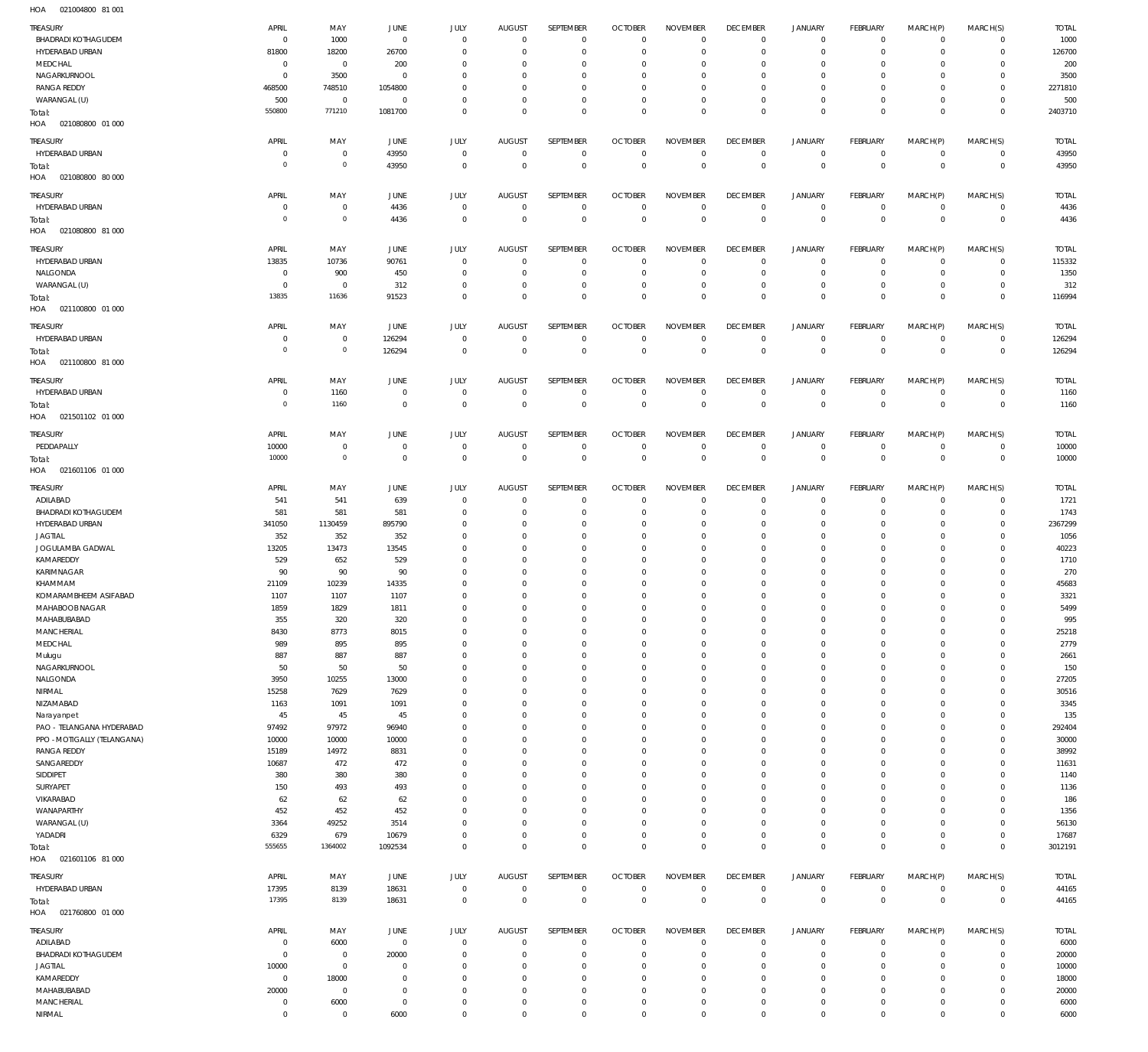021004800 81 001 HOA

| TREASURY                                          | APRIL                  |                     |                        | <b>JULY</b>             | <b>AUGUST</b>              | SEPTEMBER                  | <b>OCTOBER</b>             | <b>NOVEMBER</b>            | <b>DECEMBER</b>            | <b>JANUARY</b>             | <b>FEBRUARY</b>            | MARCH(P)                   |                            | <b>TOTAL</b>   |
|---------------------------------------------------|------------------------|---------------------|------------------------|-------------------------|----------------------------|----------------------------|----------------------------|----------------------------|----------------------------|----------------------------|----------------------------|----------------------------|----------------------------|----------------|
| <b>BHADRADI KOTHAGUDEM</b>                        | $^{\circ}$             | MAY<br>1000         | JUNE<br>$\overline{0}$ | $\mathbf 0$             | $\circ$                    | $\mathbf 0$                | $\overline{0}$             | $\overline{0}$             | $\mathbf 0$                | $\mathbf 0$                | $\overline{0}$             | $\mathbf 0$                | MARCH(S)<br>$\mathbf{0}$   | 1000           |
| HYDERABAD URBAN                                   | 81800                  | 18200               | 26700                  | $\mathbf 0$             | $\Omega$                   | $\mathbf 0$                | $^{\circ}$                 | $^{\circ}$                 | $\mathbf 0$                | $\mathbf 0$                | $\overline{0}$             | $\mathbf 0$                | $\mathbf{0}$               | 126700         |
| MEDCHAL                                           | 0                      | $\mathbf 0$         | 200                    | $\mathbf 0$             | $\Omega$                   | $\mathbf 0$                | $^{\circ}$                 | $^{\circ}$                 | $\mathbf 0$                | $\mathbf 0$                | $\overline{0}$             | $\Omega$                   | $\mathbf{0}$               | 200            |
| NAGARKURNOOL                                      | $\overline{0}$         | 3500                | 0                      | $\mathbf 0$             | $\Omega$                   | $\mathbf 0$                | $^{\circ}$                 | $\mathbf{0}$               | $\mathbf 0$                | $\mathbf 0$                | $\mathbf 0$                | $\Omega$                   | $\mathbf{0}$               | 3500           |
| <b>RANGA REDDY</b>                                | 468500                 | 748510              | 1054800                | $\Omega$                | $\Omega$                   | $\mathbf 0$                | $\Omega$                   | $\Omega$                   | $\mathbf 0$                | $\mathbf 0$                | $\overline{0}$             | $\Omega$                   | $\mathbf{0}$               | 2271810        |
| WARANGAL (U)                                      | 500                    | $\mathbf 0$         | $\overline{0}$         | $\mathbf 0$             | $\mathbf 0$                | $\mathbf 0$                | $^{\circ}$                 | $\mathbf{0}$               | $\mathbf 0$                | $\mathbf 0$                | $\overline{0}$             | $\mathbf 0$                | $\mathbf{0}$               | 500            |
| Total:                                            | 550800                 | 771210              | 1081700                | $\mathbf 0$             | $\Omega$                   | $\mathbf 0$                | $\overline{0}$             | $\mathbf 0$                | $\mathbf 0$                | $\mathbf 0$                | $\overline{0}$             | $\mathbf 0$                | $\overline{0}$             | 2403710        |
| 021080800 01 000<br>HOA                           |                        |                     |                        |                         |                            |                            |                            |                            |                            |                            |                            |                            |                            |                |
| TREASURY                                          | APRIL                  | MAY                 | JUNE                   | JULY                    | <b>AUGUST</b>              | SEPTEMBER                  | <b>OCTOBER</b>             | <b>NOVEMBER</b>            | <b>DECEMBER</b>            | <b>JANUARY</b>             | <b>FEBRUARY</b>            | MARCH(P)                   | MARCH(S)                   | <b>TOTAL</b>   |
| HYDERABAD URBAN                                   | 0                      | $\mathbf 0$         | 43950                  | $\mathbf 0$             | $\mathbf 0$                | $\mathbf 0$                | $\overline{0}$             | $\overline{0}$             | $\mathbf{0}$               | $\mathbf 0$                | $\overline{0}$             | $\mathbf 0$                | $\overline{0}$             | 43950          |
| Total:                                            | $^{\circ}$             | $\mathbf 0$         | 43950                  | $\mathbf 0$             | $^{\circ}$                 | $\mathbf 0$                | $\overline{0}$             | $\mathbf 0$                | $\mathbf 0$                | $\bf 0$                    | $\overline{0}$             | $\mathbf 0$                | $\overline{0}$             | 43950          |
| HOA  021080800  80 000                            |                        |                     |                        |                         |                            |                            |                            |                            |                            |                            |                            |                            |                            |                |
| TREASURY                                          | APRIL                  | MAY                 | JUNE                   | <b>JULY</b>             | <b>AUGUST</b>              | SEPTEMBER                  | <b>OCTOBER</b>             | <b>NOVEMBER</b>            | <b>DECEMBER</b>            | <b>JANUARY</b>             | <b>FEBRUARY</b>            | MARCH(P)                   | MARCH(S)                   | <b>TOTAL</b>   |
| HYDERABAD URBAN                                   | $\overline{0}$         | $\mathbf 0$         | 4436                   | $\mathbf 0$             | $^{\circ}$                 | $\mathbf 0$                | $\overline{0}$             | $^{\circ}$                 | $\mathbf 0$                | $\mathbf 0$                | $\overline{0}$             | $\mathbf 0$                | $\circ$                    | 4436           |
| Total:                                            | $^{\circ}$             | $\mathbf 0$         | 4436                   | $\mathbf 0$             | $\mathbf 0$                | $\mathbb O$                | $\overline{0}$             | $\mathbf 0$                | $\overline{0}$             | $\bf 0$                    | $\overline{0}$             | $\overline{0}$             | $\overline{0}$             | 4436           |
| HOA<br>021080800 81 000                           |                        |                     |                        |                         |                            |                            |                            |                            |                            |                            |                            |                            |                            |                |
| TREASURY                                          | APRIL                  | MAY                 | JUNE                   | JULY                    | <b>AUGUST</b>              | SEPTEMBER                  | <b>OCTOBER</b>             | <b>NOVEMBER</b>            | <b>DECEMBER</b>            | <b>JANUARY</b>             | <b>FEBRUARY</b>            | MARCH(P)                   | MARCH(S)                   | <b>TOTAL</b>   |
| HYDERABAD URBAN                                   | 13835                  | 10736               | 90761                  | $\Omega$                | $\Omega$                   | $\mathbf 0$                | $\overline{0}$             | $\Omega$                   | $\mathbf 0$                | $\mathbf 0$                | $\overline{0}$             | $\Omega$                   | $^{\circ}$                 | 115332         |
| NALGONDA                                          | C                      | 900                 | 450                    | $\mathbf 0$             | 0                          | $\mathbf 0$                | $^{\circ}$                 | $^{\circ}$                 | $\mathbf 0$                | $\mathbf 0$                | $\mathbf 0$                | $\Omega$                   | $\mathbf{0}$               | 1350           |
| WARANGAL (U)                                      | -C                     | $^{\circ}$          | 312                    | $\Omega$                | $\mathbf 0$                | $\mathbf 0$                | $^{\circ}$                 | $^{\circ}$                 | $\mathbf 0$                | $\mathbf 0$                | $\mathbf 0$                | $\mathbf 0$                | $\mathbf 0$                | 312            |
| Total:                                            | 13835                  | 11636               | 91523                  | $\mathbf 0$             | $\Omega$                   | $\mathbf 0$                | $\mathbf 0$                | $\mathbf 0$                | $\mathbf 0$                | $\mathbf 0$                | $\overline{0}$             | $\Omega$                   | $\mathbf 0$                | 116994         |
| HOA<br>021100800 01 000                           |                        |                     |                        |                         |                            |                            |                            |                            |                            |                            |                            |                            |                            |                |
| TREASURY                                          | APRIL                  | MAY                 | JUNE                   | <b>JULY</b>             | <b>AUGUST</b>              | SEPTEMBER                  | <b>OCTOBER</b>             | <b>NOVEMBER</b>            | <b>DECEMBER</b>            | <b>JANUARY</b>             | <b>FEBRUARY</b>            | MARCH(P)                   | MARCH(S)                   | <b>TOTAL</b>   |
| HYDERABAD URBAN                                   | C                      | $\mathbf 0$         | 126294                 | $\mathbb O$             | $^{\circ}$                 | $\mathbb O$                | $\overline{0}$             | $\mathbf 0$                | $\overline{0}$             | $\mathbf 0$                | $\overline{0}$             | $\mathbf 0$                | $\overline{0}$             | 126294         |
| Total:                                            | $^{\circ}$             | $\mathsf{O}\xspace$ | 126294                 | $\mathbf 0$             | $\circ$                    | $\mathbb O$                | $\overline{0}$             | $\mathbf 0$                | $\mathbf 0$                | $\bf 0$                    | $\overline{0}$             | $\mathbf 0$                | $\overline{0}$             | 126294         |
| HOA<br>021100800 81 000                           |                        |                     |                        |                         |                            |                            |                            |                            |                            |                            |                            |                            |                            |                |
| TREASURY                                          | APRIL                  | MAY                 | JUNE                   | JULY                    | <b>AUGUST</b>              | SEPTEMBER                  | <b>OCTOBER</b>             | <b>NOVEMBER</b>            | <b>DECEMBER</b>            | <b>JANUARY</b>             | <b>FEBRUARY</b>            | MARCH(P)                   | MARCH(S)                   | <b>TOTAL</b>   |
| HYDERABAD URBAN                                   | C                      | 1160                | $\overline{0}$         | $\mathbf 0$             | $\mathbf 0$                | $\mathbf 0$                | $\overline{0}$             | $\overline{0}$             | $\bf 0$                    | $\mathbf 0$                | $\mathbf 0$                | $\mathbf 0$                | $\mathbf{0}$               | 1160           |
| Total:                                            | $^{\circ}$             | 1160                | $^{\circ}$             | $\mathbf 0$             | $\mathbf 0$                | $\mathbf 0$                | $\overline{0}$             | $\mathbf 0$                | $\mathbf 0$                | $\mathbf 0$                | $\overline{0}$             | $\mathbf 0$                | $\,0\,$                    | 1160           |
| HOA  021501102  01  000                           |                        |                     |                        |                         |                            |                            |                            |                            |                            |                            |                            |                            |                            |                |
| TREASURY                                          | APRIL                  | MAY                 | JUNE                   | <b>JULY</b>             | <b>AUGUST</b>              | SEPTEMBER                  | <b>OCTOBER</b>             | <b>NOVEMBER</b>            | <b>DECEMBER</b>            | <b>JANUARY</b>             | <b>FEBRUARY</b>            | MARCH(P)                   | MARCH(S)                   | <b>TOTAL</b>   |
| PEDDAPALLY                                        | 10000                  | $\mathbf 0$         | $\overline{0}$         | $\mathbb O$             | 0                          | $\mathbf 0$                | $\overline{0}$             | $\overline{0}$             | 0                          | 0                          | $\overline{0}$             | $\mathbf 0$                | $\circ$                    | 10000          |
| Total:                                            | 10000                  | $\mathsf{O}\xspace$ | $\mathbf{0}$           | $\mathbf 0$             | $\mathbf 0$                | $\mathbf 0$                | $\overline{0}$             | $\mathbb O$                | $\mathbf 0$                | $\mathsf{O}\xspace$        | $\overline{0}$             | $\overline{0}$             | $\overline{0}$             | 10000          |
| HOA<br>021601106 01 000                           |                        |                     |                        |                         |                            |                            |                            |                            |                            |                            |                            |                            |                            |                |
| TREASURY                                          | APRIL                  | MAY                 | JUNE                   | JULY                    | <b>AUGUST</b>              | SEPTEMBER                  | <b>OCTOBER</b>             | <b>NOVEMBER</b>            | <b>DECEMBER</b>            | <b>JANUARY</b>             | <b>FEBRUARY</b>            | MARCH(P)                   | MARCH(S)                   | <b>TOTAL</b>   |
| ADILABAD                                          | 541                    | 541                 | 639                    | $\mathbf 0$             | $\mathbf 0$                | $\mathbf 0$                | $\overline{0}$             | $^{\circ}$                 | $\mathbf 0$                | $\mathbf 0$                | $\overline{0}$             | $\mathbf 0$                | $\mathbf 0$                | 1721           |
| BHADRADI KOTHAGUDEM                               | 581                    | 581                 | 581                    | $\Omega$                | $\Omega$                   | $\mathbf 0$                | $^{\circ}$                 | $^{\circ}$                 | $\mathbf 0$                | $\mathbf 0$                | $\mathbf 0$                | $\Omega$                   | $\mathbf 0$                | 1743           |
| HYDERABAD URBAN                                   | 341050                 | 1130459             | 895790                 | $\Omega$                | $\Omega$                   | $\mathbf 0$                | $^{\circ}$                 | $\Omega$                   | $\mathbf 0$                | $\mathbf 0$                | $\mathbf 0$                | $\Omega$                   | $\mathbf 0$                | 2367299        |
| <b>JAGTIAL</b>                                    | 352                    | 352                 | 352                    | $\Omega$                | $\Omega$                   | $\mathbf 0$                | $\Omega$                   | $\Omega$                   | $\mathbf 0$                | $\mathbf 0$                | $\Omega$                   | $\Omega$                   | $\mathbf 0$                | 1056           |
| JOGULAMBA GADWAL                                  | 13205                  | 13473               | 13545                  | $\Omega$                | $\Omega$                   | $\Omega$                   | $\Omega$                   | $\Omega$                   | $\Omega$                   | $\Omega$                   | $\mathbf 0$                | $\Omega$                   | $\mathbf 0$                | 40223          |
| KAMAREDDY                                         | 529                    | 652                 | 529                    | $\Omega$                | $\Omega$                   | $\mathbf 0$                | $^{\circ}$                 | $\Omega$                   | $\mathbf 0$                | $\mathbf 0$                | $\Omega$                   | $\Omega$                   | $\mathbf 0$                | 1710           |
| KARIMNAGAR                                        | 90                     | 90                  | 90                     | $\Omega$                | $\Omega$                   | $\Omega$                   | $\Omega$                   | $\Omega$                   | $\Omega$                   | $\Omega$                   | $\Omega$                   | 0                          | $\circ$                    | 270            |
| KHAMMAM                                           | 21109                  | 10239               | 14335                  | $\Omega$                | $\Omega$                   | $\mathbf 0$                | $^{\circ}$                 | $\Omega$                   | $\mathbf 0$                | $\mathbf 0$                | $\Omega$                   | $\Omega$                   | $\mathbf 0$                | 45683          |
| KOMARAMBHEEM ASIFABAD                             | 1107                   | 1107                | 1107                   | $\Omega$                | $\Omega$                   | $\Omega$                   | $\Omega$                   | $\Omega$                   | $\Omega$                   | $\Omega$                   | $\Omega$                   | $\Omega$                   | $\Omega$                   | 3321           |
| MAHABOOB NAGAR<br>MAHABUBABAD                     | 1859<br>355            | 1829<br>320         | 1811<br>320            | $\Omega$<br>$\mathbf 0$ | $\Omega$<br>$\mathbf 0$    | $\Omega$<br>$\mathbf 0$    | $\Omega$<br>$^{\circ}$     | $\Omega$<br>$\Omega$       | $\Omega$<br>$\mathbf 0$    | $\Omega$<br>$\mathbf 0$    | $\Omega$<br>$\mathbf 0$    | $\Omega$<br>$\Omega$       | $\Omega$<br>$\mathbf 0$    | 5499<br>995    |
| MANCHERIAL                                        | 8430                   | 8773                | 8015                   | $\Omega$                | $\Omega$                   | $\mathbf 0$                | $^{\circ}$                 | $\Omega$                   | $\mathbf 0$                | $\mathbf 0$                | $\mathbf 0$                | $\Omega$                   | $\mathbf 0$                | 25218          |
| MEDCHAL                                           | 989                    | 895                 | 895                    | $\Omega$                | $\Omega$                   | $\Omega$                   | $^{\circ}$                 | $\Omega$                   | $\mathbf 0$                | $\mathbf 0$                | $\mathbf 0$                | $\Omega$                   | $\mathbf 0$                | 2779           |
| Mulugu                                            | 887                    | 887                 | 887                    | $\Omega$                | $\Omega$                   | $\Omega$                   | $\Omega$                   | $\Omega$                   | $\mathbf 0$                | $\Omega$                   | $\Omega$                   | $\Omega$                   | $\Omega$                   | 2661           |
| NAGARKURNOOL                                      | 50                     | 50                  | 50                     | $\Omega$                | $\Omega$                   | $\Omega$                   | $\Omega$                   | $\Omega$                   | $\mathbf 0$                | $\mathbf 0$                | $^{\circ}$                 | $\Omega$                   | $\mathbf 0$                | 150            |
| NALGONDA                                          | 3950                   | 10255               | 13000                  | $\Omega$                | $\Omega$                   | $\Omega$                   | $\Omega$                   | $\Omega$                   | $\mathbf 0$                | $\mathbf 0$                | $\Omega$                   | $\Omega$                   | $\mathbf 0$                | 27205          |
| NIRMAL                                            | 15258                  | 7629                | 7629                   | $\Omega$                | $\Omega$                   | $\Omega$                   | $\Omega$                   | $\Omega$                   | $\Omega$                   | $\Omega$                   | $\mathbf 0$                | $\Omega$                   | $\mathbf 0$                | 30516          |
| NIZAMABAD                                         | 1163                   | 1091                | 1091                   | $\Omega$                | $\Omega$                   | $\mathbf 0$                | $^{\circ}$                 | $\Omega$                   | $\mathbf 0$                | $\mathbf 0$                | $\mathbf 0$                | $\Omega$                   | $\mathbf 0$                | 3345           |
| Narayanpet                                        | 45                     | 45                  | 45                     | $\Omega$                | $\Omega$                   | $\Omega$                   | $\Omega$                   | $\Omega$                   | $\Omega$                   | $\Omega$                   | $\mathbf 0$                | $\Omega$                   | $\Omega$                   | 135            |
| PAO - TELANGANA HYDERABAD                         | 97492                  | 97972               | 96940                  | $\Omega$                | $\Omega$                   | $\Omega$<br>$\Omega$       | $\Omega$                   | $\Omega$<br>$\Omega$       | $\mathbf 0$                | $\mathbf 0$<br>$\Omega$    | $\mathbf 0$<br>$\Omega$    | $\Omega$                   | $\mathbf 0$<br>$\Omega$    | 292404         |
| PPO - MOTIGALLY (TELANGANA)<br><b>RANGA REDDY</b> | 10000<br>15189         | 10000<br>14972      | 10000<br>8831          | $\Omega$<br>$\Omega$    | $\Omega$<br>$\Omega$       | $\Omega$                   | $\Omega$<br>$\Omega$       | $\Omega$                   | $\Omega$<br>$\mathbf 0$    | $\Omega$                   | $\mathbf 0$                | $\Omega$<br>$\Omega$       | $\mathbf 0$                | 30000<br>38992 |
| SANGAREDDY                                        | 10687                  | 472                 | 472                    | $\Omega$                | $\Omega$                   | $\Omega$                   | $\Omega$                   | $\Omega$                   | $\mathbf 0$                | $\mathbf 0$                | $\mathbf 0$                | $\Omega$                   | $\mathbf 0$                | 11631          |
| SIDDIPET                                          | 380                    | 380                 | 380                    | $\Omega$                | $\Omega$                   | $\Omega$                   | $\Omega$                   | $\Omega$                   | $\mathbf 0$                | $\Omega$                   | $\mathbf 0$                | $\Omega$                   | $\Omega$                   | 1140           |
| SURYAPET                                          | 150                    | 493                 | 493                    | $\Omega$                | $\Omega$                   | $\Omega$                   | $\Omega$                   | $\Omega$                   | $\mathbf 0$                | $\mathbf 0$                | $\mathbf 0$                | $\Omega$                   | $\mathbf 0$                | 1136           |
| VIKARABAD                                         | 62                     | 62                  | 62                     | $\Omega$                | $\Omega$                   | $\Omega$                   | $\Omega$                   | $\Omega$                   | $\mathbf 0$                | $\Omega$                   | $\Omega$                   | $\Omega$                   | $\Omega$                   | 186            |
| WANAPARTHY                                        | 452                    | 452                 | 452                    | $\Omega$                | $\Omega$                   | $\Omega$                   | $\Omega$                   | $\Omega$                   | $\mathbf 0$                | $\mathbf 0$                | $\mathbf 0$                | $\Omega$                   | $\mathbf 0$                | 1356           |
| WARANGAL (U)                                      | 3364                   | 49252               | 3514                   | $\Omega$                | $\Omega$                   | $\mathbf 0$                | $\Omega$                   | $\Omega$                   | $\mathbf 0$                | $\mathbf 0$                | $\Omega$                   | $\Omega$                   | $\Omega$                   | 56130          |
| YADADRI                                           | 6329                   | 679                 | 10679                  | $\Omega$                | $\Omega$                   | $\mathbf 0$                | $^{\circ}$                 | $\Omega$                   | $\mathbf 0$                | $\mathbf 0$                | $\mathbf 0$                | $\Omega$                   | $\mathbf 0$                | 17687          |
| Total:                                            | 555655                 | 1364002             | 1092534                | $\Omega$                | $\Omega$                   | $\mathbf 0$                | $\Omega$                   | $\Omega$                   | $\mathbf 0$                | $\mathbf 0$                | $\mathbf 0$                | $\Omega$                   | $\overline{0}$             | 3012191        |
| HOA<br>021601106 81 000                           |                        |                     |                        |                         |                            |                            |                            |                            |                            |                            |                            |                            |                            |                |
| TREASURY                                          | APRIL                  | MAY                 | JUNE                   | JULY                    | <b>AUGUST</b>              | SEPTEMBER                  | <b>OCTOBER</b>             | <b>NOVEMBER</b>            | <b>DECEMBER</b>            | <b>JANUARY</b>             | <b>FEBRUARY</b>            | MARCH(P)                   | MARCH(S)                   | <b>TOTAL</b>   |
| HYDERABAD URBAN                                   | 17395                  | 8139                | 18631                  | $\mathbf 0$             | $\circ$                    | $\mathbf 0$                | $\overline{0}$             | $\mathbf 0$                | $\overline{0}$             | $\mathbf 0$                | $\overline{0}$             | $\circ$                    | $\overline{0}$             | 44165          |
| Total:                                            | 17395                  | 8139                | 18631                  | $\mathbf 0$             | $\mathbf 0$                | $\mathbb O$                | $\overline{0}$             | $\mathbb O$                | $\mathbf 0$                | $\mathsf{O}\xspace$        | $\overline{0}$             | $\mathbf 0$                | $\overline{0}$             | 44165          |
| HOA<br>021760800 01 000                           |                        |                     |                        |                         |                            |                            |                            |                            |                            |                            |                            |                            |                            |                |
| TREASURY                                          | APRIL                  | MAY                 | JUNE                   | JULY                    | <b>AUGUST</b>              | SEPTEMBER                  | <b>OCTOBER</b>             | <b>NOVEMBER</b>            | <b>DECEMBER</b>            | <b>JANUARY</b>             | <b>FEBRUARY</b>            | MARCH(P)                   | MARCH(S)                   | <b>TOTAL</b>   |
| ADILABAD                                          | $\Omega$               | 6000                | $\mathbf{0}$           | $\mathbf 0$             | $\mathbf 0$                | $\mathbf 0$                | $\overline{0}$             | $\Omega$                   | $\mathbf 0$                | $\mathbf 0$                | $\overline{0}$             | $\mathbf 0$                | $\mathbf{0}$               | 6000           |
| BHADRADI KOTHAGUDEM                               | $\overline{0}$         | $\mathbf 0$         | 20000                  | $\mathbf 0$             | $\Omega$                   | $\mathbf 0$                | $^{\circ}$                 | $\Omega$                   | $\mathbf 0$                | $\mathbf 0$                | $\overline{0}$             | $\mathbf 0$                | $\mathbf{0}$               | 20000          |
| <b>JAGTIAL</b>                                    | 10000                  | $\mathbf{0}$        | $\overline{0}$         | $\Omega$                | $\Omega$                   | $\mathbf 0$                | $^{\circ}$                 | $\Omega$                   | $\mathbf 0$                | $\mathbf 0$                | $\mathbf 0$                | $\Omega$                   | $\mathbf 0$                | 10000          |
| KAMAREDDY                                         | $^{\circ}$             | 18000               | $\overline{0}$         | $\Omega$                | $\Omega$                   | $\Omega$                   | $\Omega$                   | $\Omega$                   | $\Omega$                   | $\Omega$                   | $\mathbf 0$                | $\Omega$                   | $\mathbf 0$                | 18000          |
| MAHABUBABAD                                       | 20000                  | $\mathbf 0$         | $\overline{0}$         | $\Omega$                | $\Omega$                   | $\mathbf 0$                | $^{\circ}$                 | $\mathbf 0$                | $\mathbf 0$                | $\mathbf 0$                | $\mathbf 0$                | $\Omega$                   | $\mathbf 0$                | 20000          |
| MANCHERIAL                                        | $^{\circ}$<br>$\Omega$ | 6000                | $\mathbf{0}$<br>6000   | $\Omega$<br>$\mathbf 0$ | $\mathbf 0$<br>$\mathbf 0$ | $\mathbf 0$<br>$\mathbf 0$ | $\mathbf 0$<br>$\mathbf 0$ | $\mathbf 0$<br>$\mathbf 0$ | $\mathbf 0$<br>$\mathbf 0$ | $\mathbf 0$<br>$\mathbf 0$ | $\mathbf 0$<br>$\mathbf 0$ | $\mathbf 0$<br>$\mathbf 0$ | $\mathbf 0$<br>$\mathbf 0$ | 6000           |
| NIRMAL                                            |                        | $\mathbf 0$         |                        |                         |                            |                            |                            |                            |                            |                            |                            |                            |                            | 6000           |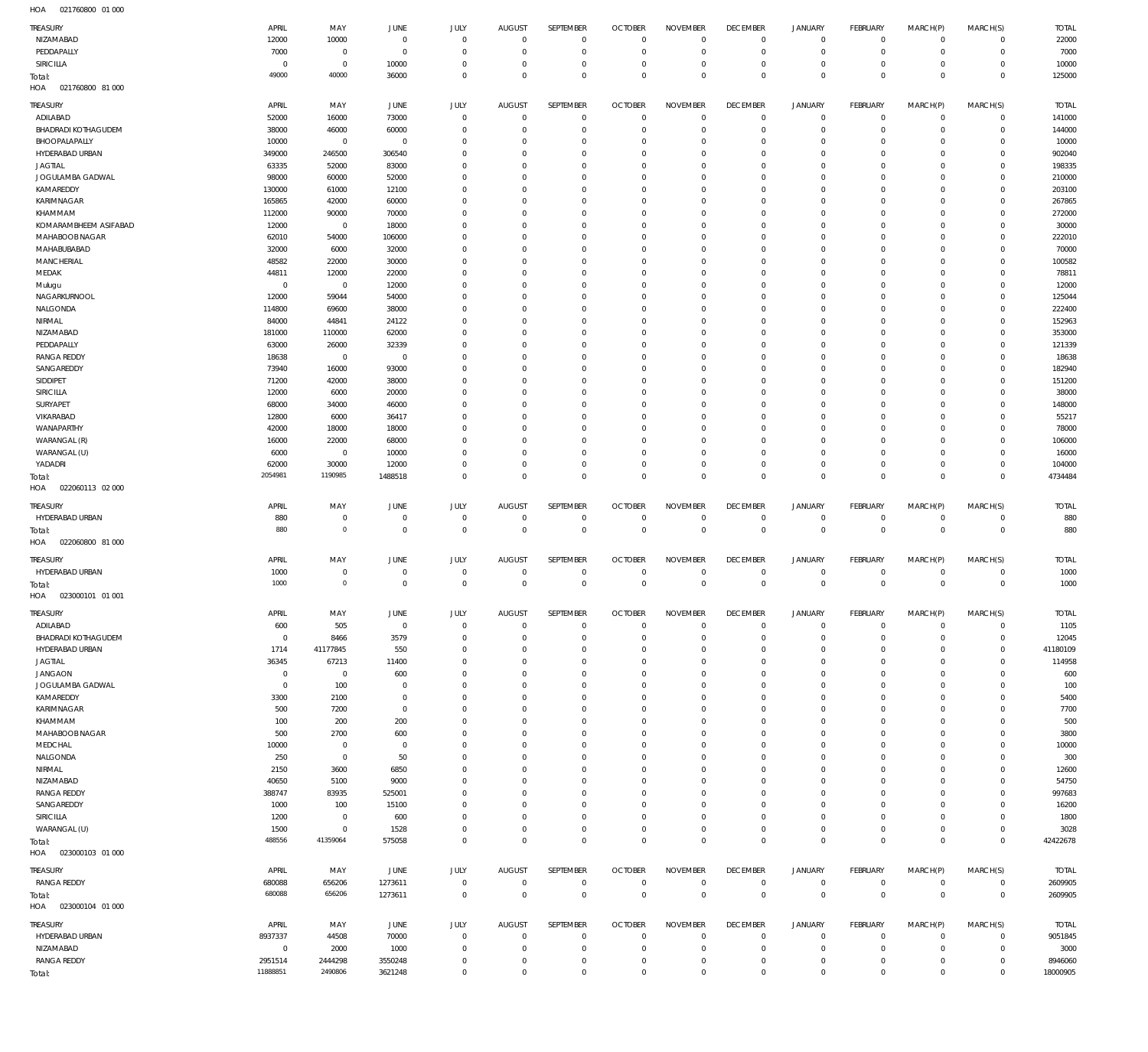| TREASURY<br>NIZAMABAD                         | APRIL<br>12000      | MAY<br>10000            | <b>JUNE</b><br>$\overline{0}$ | JULY<br>$\mathbf 0$        | <b>AUGUST</b><br>$\overline{0}$  | SEPTEMBER<br>$\overline{0}$ | <b>OCTOBER</b><br>$\overline{0}$ | <b>NOVEMBER</b><br>$^{\circ}$ | <b>DECEMBER</b><br>$\mathbf 0$ | <b>JANUARY</b><br>$\circ$ | <b>FEBRUARY</b><br>$\circ$    | MARCH(P)<br>$^{\circ}$       | MARCH(S)<br>$\circ$                | <b>TOTAL</b><br>22000 |
|-----------------------------------------------|---------------------|-------------------------|-------------------------------|----------------------------|----------------------------------|-----------------------------|----------------------------------|-------------------------------|--------------------------------|---------------------------|-------------------------------|------------------------------|------------------------------------|-----------------------|
| PEDDAPALLY                                    | 7000                | $\mathbf 0$             | $\overline{0}$                | $\mathbf 0$                | $\overline{0}$                   | $\mathbf 0$                 | $\mathbf{0}$                     | $\mathbf 0$                   | $\overline{0}$                 | $\Omega$                  | $\circ$                       | $^{\circ}$                   | $\mathbf 0$                        | 7000                  |
| SIRICILLA                                     | $\overline{0}$      | $\mathbf 0$             | 10000                         | $\mathbf 0$                | $\overline{0}$                   | $\mathbf 0$                 | $\mathbf{0}$                     | $\mathbf 0$                   | $\mathbf 0$                    | $\Omega$                  | $\mathbf 0$                   | $\Omega$                     | $\mathbf 0$                        | 10000                 |
| Total:<br>HOA<br>021760800 81 000             | 49000               | 40000                   | 36000                         | $\mathbf 0$                | $\Omega$                         | $\mathbf 0$                 | $\mathbf{0}$                     | $\mathbf 0$                   | $\mathbf 0$                    | $\Omega$                  | $\Omega$                      | $\Omega$                     | $\mathbf 0$                        | 125000                |
| TREASURY                                      | APRIL               | MAY                     | <b>JUNE</b>                   | JULY                       | <b>AUGUST</b>                    | SEPTEMBER                   | <b>OCTOBER</b>                   | <b>NOVEMBER</b>               | <b>DECEMBER</b>                | <b>JANUARY</b>            | <b>FEBRUARY</b>               | MARCH(P)                     | MARCH(S)                           | <b>TOTAL</b>          |
| ADILABAD<br><b>BHADRADI KOTHAGUDEM</b>        | 52000<br>38000      | 16000                   | 73000                         | $\Omega$<br>$\Omega$       | $\mathbf 0$<br>$\Omega$          | $\mathbf 0$<br>$\mathbf 0$  | $\overline{0}$<br>$\mathbf 0$    | $\mathbf 0$<br>$\Omega$       | $\mathbf 0$<br>$\mathbf 0$     | $\circ$<br>$\Omega$       | $\circ$<br>$\circ$            | $\mathbf{0}$<br>$\Omega$     | $\circ$<br>$\mathbf 0$             | 141000<br>144000      |
| BHOOPALAPALLY                                 | 10000               | 46000<br>$^{\circ}$     | 60000<br>$^{\circ}$           | $\Omega$                   | $\Omega$                         | $\Omega$                    | $^{\circ}$                       | $\Omega$                      | $^{\circ}$                     | $\Omega$                  | $\circ$                       | $\Omega$                     | $\Omega$                           | 10000                 |
| HYDERABAD URBAN                               | 349000              | 246500                  | 306540                        | $\Omega$                   | $\Omega$                         | $\Omega$                    | $\mathbf 0$                      | $\Omega$                      | $\overline{0}$                 | $\Omega$                  | $\circ$                       | $\Omega$                     | $\Omega$                           | 902040                |
| <b>JAGTIAL</b>                                | 63335               | 52000                   | 83000                         | $\Omega$                   | $\Omega$                         | $\Omega$                    | $\mathbf 0$                      | $\Omega$                      | $^{\circ}$                     | $\circ$                   | $\circ$                       | $\Omega$                     | $\Omega$                           | 198335                |
| JOGULAMBA GADWAL                              | 98000               | 60000                   | 52000                         | $\Omega$                   | $\Omega$                         | $\Omega$                    | $\mathbf 0$                      | $\Omega$                      | $^{\circ}$                     | $\Omega$                  | $^{\circ}$                    | $\Omega$                     | $\Omega$                           | 210000                |
| KAMAREDDY                                     | 130000              | 61000                   | 12100                         | $\Omega$                   | $\Omega$                         | $\Omega$                    | $\Omega$                         | $\Omega$                      | $^{\circ}$                     | $\Omega$                  | $^{\circ}$                    | $\Omega$                     | $\Omega$                           | 203100                |
| KARIMNAGAR                                    | 165865              | 42000                   | 60000                         | $\Omega$                   | $\Omega$                         | $\Omega$                    | $\mathbf 0$                      | $\Omega$                      | $^{\circ}$                     | $\Omega$                  | $^{\circ}$                    | $\Omega$                     | $\Omega$                           | 267865                |
| KHAMMAM<br>KOMARAMBHEEM ASIFABAD              | 112000<br>12000     | 90000<br>$\overline{0}$ | 70000<br>18000                | $\Omega$<br>$\Omega$       | $\Omega$<br>$\Omega$             | $\Omega$<br>$\Omega$        | $\Omega$<br>$\mathbf 0$          | $\Omega$<br>$\Omega$          | $^{\circ}$<br>$^{\circ}$       | $\Omega$<br>$\Omega$      | $^{\circ}$<br>$^{\circ}$      | $\Omega$<br>$\Omega$         | $\Omega$<br>$\Omega$               | 272000<br>30000       |
| MAHABOOB NAGAR                                | 62010               | 54000                   | 106000                        | $\Omega$                   | $\Omega$                         | $\Omega$                    | $\Omega$                         | $\Omega$                      | $^{\circ}$                     | $\Omega$                  | $^{\circ}$                    | $\Omega$                     | $\Omega$                           | 222010                |
| MAHABUBABAD                                   | 32000               | 6000                    | 32000                         | $\Omega$                   | $\Omega$                         | $\Omega$                    | $^{\circ}$                       | $\Omega$                      | $^{\circ}$                     | $\circ$                   | $^{\circ}$                    | $\Omega$                     | $\Omega$                           | 70000                 |
| <b>MANCHERIAL</b>                             | 48582               | 22000                   | 30000                         | $\Omega$                   | $\Omega$                         | $\Omega$                    | $\Omega$                         | $\Omega$                      | $^{\circ}$                     | $\Omega$                  | $\Omega$                      | $\Omega$                     | $\Omega$                           | 100582                |
| MEDAK                                         | 44811               | 12000                   | 22000                         | $\Omega$                   | $\Omega$                         | $\Omega$                    | $^{\circ}$                       | $\Omega$                      | $^{\circ}$                     | $\circ$                   | $^{\circ}$                    | $\Omega$                     | $\Omega$                           | 78811                 |
| Mulugu                                        | $\Omega$            | $\overline{0}$          | 12000                         | $\Omega$                   | $\Omega$                         | $\Omega$                    | $\Omega$                         | $\Omega$                      | $^{\circ}$                     | $\Omega$                  | $\Omega$                      | $\Omega$                     | $\Omega$                           | 12000                 |
| NAGARKURNOOL                                  | 12000               | 59044                   | 54000                         | $\Omega$<br>$\Omega$       | $\Omega$<br>$\Omega$             | $\Omega$<br>$\Omega$        | $^{\circ}$<br>$\Omega$           | $\Omega$<br>$\Omega$          | $^{\circ}$                     | $\circ$                   | $^{\circ}$<br>$\Omega$        | $\Omega$                     | $\Omega$<br>$\Omega$               | 125044                |
| NALGONDA<br>NIRMAL                            | 114800<br>84000     | 69600<br>44841          | 38000<br>24122                | $\Omega$                   | $\Omega$                         | $\Omega$                    | $^{\circ}$                       | $\Omega$                      | $^{\circ}$<br>$^{\circ}$       | $\Omega$<br>$\circ$       | $^{\circ}$                    | $\Omega$<br>$\Omega$         | $\Omega$                           | 222400<br>152963      |
| NIZAMABAD                                     | 181000              | 110000                  | 62000                         | $\Omega$                   | $\Omega$                         | $\Omega$                    | $\mathbf 0$                      | $\Omega$                      | $^{\circ}$                     | $\Omega$                  | $\Omega$                      | $\Omega$                     | $\Omega$                           | 353000                |
| PEDDAPALLY                                    | 63000               | 26000                   | 32339                         | $\Omega$                   | $\Omega$                         | $\Omega$                    | $\Omega$                         | $\Omega$                      | $^{\circ}$                     | $\circ$                   | $\circ$                       | $\Omega$                     | $\Omega$                           | 121339                |
| <b>RANGA REDDY</b>                            | 18638               | $\overline{0}$          | 0                             | $\Omega$                   | $\Omega$                         | $\Omega$                    | $\mathbf 0$                      | $\Omega$                      | $^{\circ}$                     | $\Omega$                  | $\circ$                       | $\Omega$                     | $\Omega$                           | 18638                 |
| SANGAREDDY                                    | 73940               | 16000                   | 93000                         | $\Omega$                   | $\Omega$                         | $\Omega$                    | $\Omega$                         | $\Omega$                      | $\overline{0}$                 | $\Omega$                  | $\circ$                       | $\Omega$                     | $\Omega$                           | 182940                |
| SIDDIPET                                      | 71200               | 42000                   | 38000                         | $\Omega$                   | $\Omega$                         | $\Omega$                    | $\mathbf 0$                      | $\Omega$                      | $^{\circ}$                     | $\Omega$                  | $\circ$                       | $\Omega$                     | $\Omega$                           | 151200                |
| SIRICILLA                                     | 12000<br>68000      | 6000                    | 20000                         | $\Omega$<br>$\Omega$       | $\Omega$<br>$\Omega$             | $\Omega$<br>$\Omega$        | $\Omega$<br>$\mathbf 0$          | $\Omega$<br>$\Omega$          | $\overline{0}$<br>$^{\circ}$   | $\Omega$<br>$\Omega$      | $\circ$<br>$\circ$            | $\Omega$<br>$\Omega$         | $\Omega$<br>$\Omega$               | 38000                 |
| SURYAPET<br>VIKARABAD                         | 12800               | 34000<br>6000           | 46000<br>36417                | $\Omega$                   | $\Omega$                         | $\Omega$                    | $\Omega$                         | $\Omega$                      | $\overline{0}$                 | $\Omega$                  | $\circ$                       | $\Omega$                     | $\Omega$                           | 148000<br>55217       |
| WANAPARTHY                                    | 42000               | 18000                   | 18000                         | $\Omega$                   | $\Omega$                         | $\Omega$                    | $\mathbf 0$                      | $\Omega$                      | $^{\circ}$                     | $\Omega$                  | $\circ$                       | $\Omega$                     | $\Omega$                           | 78000                 |
| WARANGAL (R)                                  | 16000               | 22000                   | 68000                         | $\Omega$                   | $\Omega$                         | $\Omega$                    | $\Omega$                         | $\Omega$                      | $^{\circ}$                     | $\Omega$                  | $\circ$                       | $\Omega$                     | $\Omega$                           | 106000                |
| WARANGAL (U)                                  | 6000                | $^{\circ}$              | 10000                         | $\Omega$                   | $\Omega$                         | $\Omega$                    | $\mathbf 0$                      | $\Omega$                      | $^{\circ}$                     | $\Omega$                  | $\circ$                       | $\Omega$                     | $\Omega$                           | 16000                 |
| YADADRI                                       | 62000               | 30000                   | 12000                         | $\Omega$                   | $\Omega$                         | $\mathbf 0$                 | $\mathbf 0$                      | $\Omega$                      | $\mathbf 0$                    | $\Omega$                  | $\circ$                       | $\Omega$                     | $\mathbf 0$                        | 104000                |
| Total:                                        | 2054981             | 1190985                 | 1488518                       | $\Omega$                   | $\Omega$                         | $\Omega$                    | $\Omega$                         | $\Omega$                      | $\overline{0}$                 | $\overline{0}$            | $\overline{0}$                | $\Omega$                     | $\mathbf 0$                        | 4734484               |
| HOA<br>022060113 02 000                       |                     |                         |                               |                            |                                  |                             |                                  |                               |                                |                           |                               |                              |                                    |                       |
| TREASURY                                      | APRIL               | MAY                     | JUNE                          | JULY                       | <b>AUGUST</b>                    | SEPTEMBER                   | <b>OCTOBER</b>                   | <b>NOVEMBER</b>               | <b>DECEMBER</b>                | JANUARY                   | <b>FEBRUARY</b>               | MARCH(P)                     | MARCH(S)                           | <b>TOTAL</b>          |
| HYDERABAD URBAN                               | 880                 | $\mathbf 0$             | $\circ$                       | $\bf 0$                    | $\overline{0}$                   | $\mathbf 0$                 | $\mathbf 0$                      | $^{\circ}$                    | $^{\circ}$                     | $\mathbf 0$               | $\mathbf 0$                   | $^{\circ}$                   | 0                                  | 880                   |
| Total:<br>HOA<br>022060800 81 000             | 880                 | $\mathsf{O}\xspace$     | $\overline{0}$                | $\mathbf 0$                | $\overline{0}$                   | $\overline{0}$              | $\overline{0}$                   | $\mathbf 0$                   | $\mathbf 0$                    | $\mathbf 0$               | $\overline{0}$                | $\mathbf 0$                  | $\,0\,$                            | 880                   |
|                                               |                     |                         |                               |                            |                                  |                             |                                  |                               |                                |                           |                               |                              |                                    |                       |
| TREASURY                                      |                     | MAY                     | JUNE                          | JULY                       | <b>AUGUST</b>                    |                             |                                  | <b>NOVEMBER</b>               | <b>DECEMBER</b>                | <b>JANUARY</b>            |                               |                              |                                    | <b>TOTAL</b>          |
|                                               | APRIL               |                         |                               |                            |                                  | SEPTEMBER                   | <b>OCTOBER</b>                   |                               |                                |                           | <b>FEBRUARY</b>               | MARCH(P)                     | MARCH(S)                           |                       |
| HYDERABAD URBAN                               | 1000                | $\overline{0}$          | $^{\circ}$                    | $\mathbf 0$                | $\mathbf 0$                      | $\mathbf 0$                 | $\mathbf 0$                      | $^{\circ}$                    | $^{\circ}$                     | $\Omega$                  | $\circ$                       | $\Omega$                     | $\mathbf 0$                        | 1000                  |
| Total:                                        | 1000                | $\mathsf{O}\xspace$     | $\mathbf 0$                   | $\mathbf 0$                | $\Omega$                         | $\mathbf 0$                 | $\overline{0}$                   | $\mathbf 0$                   | $\mathbf 0$                    | $\overline{0}$            | $\overline{0}$                | $\overline{0}$               | $\mathbf 0$                        | 1000                  |
| HOA<br>023000101 01 001                       |                     |                         |                               |                            |                                  |                             |                                  |                               |                                |                           |                               |                              |                                    |                       |
| <b>TREASURY</b>                               | APRIL               | MAY                     | JUNE                          | JULY                       | AUGUST                           | SEPTEMBER                   | <b>OCTOBER</b>                   | NOVEMBER                      | <b>DECEMBER</b>                | <b>JANUARY</b>            | <b>FEBRUARY</b>               | MARCH(P)                     | MARCH(S)                           | <b>TOTAL</b>          |
| ADILABAD                                      | 600<br>$\mathbf 0$  | 505                     | $\overline{0}$                | $\mathbf 0$<br>$\mathbf 0$ | $\overline{0}$<br>$\overline{0}$ | $^{\circ}$<br>$\mathbf 0$   | $\mathbf 0$                      | $^{\circ}$<br>$^{\circ}$      | $\Omega$                       | $\Omega$<br>$\Omega$      | $\circ$                       | $^{\circ}$<br>$^{\circ}$     | $\circ$                            | 1105                  |
| <b>BHADRADI KOTHAGUDEM</b><br>HYDERABAD URBAN | 1714                | 8466<br>41177845        | 3579<br>550                   | $\mathbf 0$                | $\Omega$                         | $\mathbf 0$                 | $\overline{0}$<br>$\mathbf 0$    | $\mathbf 0$                   | $\mathbf 0$<br>$\mathbf 0$     | $\Omega$                  | $\mathbf 0$<br>$\circ$        | $\Omega$                     | $\mathsf{O}\xspace$<br>$\mathbf 0$ | 12045<br>41180109     |
| <b>JAGTIAL</b>                                | 36345               | 67213                   | 11400                         | $\Omega$                   | $\Omega$                         | $\mathbf 0$                 | $\mathbf 0$                      | $\Omega$                      | $\mathbf 0$                    | $\circ$                   | $\circ$                       | $\Omega$                     | $\mathbf 0$                        | 114958                |
| JANGAON                                       | $\mathbf 0$         | $\mathbf 0$             | 600                           | $\mathbf 0$                | $\Omega$                         | $\Omega$                    | $\mathbf 0$                      | $\Omega$                      | $\mathbf 0$                    | $\Omega$                  | $\circ$                       | $\Omega$                     | $\mathbf 0$                        | 600                   |
| JOGULAMBA GADWAL                              | $^{\circ}$          | 100                     | $\circ$                       | $\Omega$                   | $\Omega$                         | $\mathbf 0$                 | $\mathbf 0$                      | $\Omega$                      | $\mathbf 0$                    | $\circ$                   | $\circ$                       | $\Omega$                     | $\mathbf 0$                        | 100                   |
| KAMAREDDY                                     | 3300                | 2100                    | $\circ$                       | $\mathbf 0$                | $\Omega$                         | $\mathbf 0$                 | $\mathbf{0}$                     | $\mathbf 0$                   | $\mathbf 0$                    | $\Omega$                  | $\circ$                       | $\Omega$                     | $\mathbf 0$                        | 5400                  |
| KARIMNAGAR                                    | 500                 | 7200                    | $\circ$                       | $\Omega$<br>$\mathbf 0$    | $\Omega$<br>$\Omega$             | $\Omega$<br>$\mathbf 0$     | $\mathbf{0}$<br>$\mathbf{0}$     | $\Omega$<br>$\mathbf 0$       | $\overline{0}$                 | $\circ$<br>$\Omega$       | $\circ$<br>$\circ$            | $\Omega$<br>$\Omega$         | $\mathbf 0$                        | 7700                  |
| KHAMMAM<br><b>MAHABOOB NAGAR</b>              | 100<br>500          | 200                     | 200<br>600                    | $\Omega$                   | $\Omega$                         | $\Omega$                    | $\mathbf{0}$                     | $\Omega$                      | $\mathbf 0$<br>$\overline{0}$  | $\circ$                   | $\circ$                       | $\Omega$                     | $\mathbf 0$<br>$\mathbf 0$         | 500<br>3800           |
| MEDCHAL                                       | 10000               | 2700<br>$\mathbf 0$     | $\circ$                       | $\mathbf 0$                | $\mathbf 0$                      | $\mathbf 0$                 | $\mathbf{0}$                     | $\mathbf 0$                   | $\mathbf 0$                    | $\Omega$                  | $\circ$                       | $\Omega$                     | $\mathbf 0$                        | 10000                 |
| NALGONDA                                      | 250                 | $\mathbf 0$             | 50                            | $\Omega$                   | $\Omega$                         | $\Omega$                    | $\mathbf{0}$                     | $\Omega$                      | $\mathbf 0$                    | $\circ$                   | $\circ$                       | $\Omega$                     | $\circ$                            | 300                   |
| NIRMAL                                        | 2150                | 3600                    | 6850                          | $\mathbf 0$                | $\Omega$                         | $\mathbf 0$                 | $\mathbf{0}$                     | $\Omega$                      | $\mathbf 0$                    | $\Omega$                  | $\circ$                       | $\Omega$                     | $\mathbf 0$                        | 12600                 |
| NIZAMABAD                                     | 40650               | 5100                    | 9000                          | $\Omega$                   | $\Omega$                         | $\Omega$                    | $\mathbf{0}$                     | $\Omega$                      | $\mathbf 0$                    | $\circ$                   | $\circ$                       | $\Omega$                     | $\mathbf 0$                        | 54750                 |
| <b>RANGA REDDY</b>                            | 388747              | 83935                   | 525001                        | $\Omega$                   | $\Omega$                         | $\mathbf 0$                 | $\mathbf{0}$                     | $\mathbf 0$                   | $\mathbf 0$                    | $\Omega$                  | $\circ$                       | $\Omega$                     | $\circ$                            | 997683                |
| SANGAREDDY<br><b>SIRICILLA</b>                | 1000<br>1200        | 100<br>$\mathbf 0$      | 15100<br>600                  | $\Omega$<br>$\Omega$       | $\Omega$<br>$\Omega$             | $\Omega$<br>$\mathbf 0$     | $\mathbf{0}$<br>$\mathbf{0}$     | $\Omega$<br>$\mathbf 0$       | $\mathbf 0$<br>$\mathbf 0$     | $\Omega$<br>$\circ$       | $\circ$<br>$\circ$            | $\Omega$<br>$\Omega$         | $\circ$<br>$\mathbf 0$             | 16200<br>1800         |
| WARANGAL (U)                                  | 1500                | $\mathbf 0$             | 1528                          | $\mathbf 0$                | $\overline{0}$                   | $\mathbf 0$                 | $\mathbf 0$                      | $\mathbf 0$                   | $\mathbf 0$                    | $\circ$                   | $\mathbf 0$                   | $\Omega$                     | $\mathbf 0$                        | 3028                  |
| Total:                                        | 488556              | 41359064                | 575058                        | $\mathbf 0$                | $\Omega$                         | $\mathbf 0$                 | $\mathbf{0}$                     | $\mathbf{0}$                  | $\mathbb O$                    | $\overline{0}$            | $\overline{0}$                | $\overline{0}$               | $\mathbb O$                        | 42422678              |
| HOA  023000103  01  000                       |                     |                         |                               |                            |                                  |                             |                                  |                               |                                |                           |                               |                              |                                    |                       |
| TREASURY                                      | APRIL               | MAY                     | JUNE                          | JULY                       | <b>AUGUST</b>                    | SEPTEMBER                   | <b>OCTOBER</b>                   | <b>NOVEMBER</b>               | <b>DECEMBER</b>                | <b>JANUARY</b>            | <b>FEBRUARY</b>               | MARCH(P)                     | MARCH(S)                           | <b>TOTAL</b>          |
| <b>RANGA REDDY</b>                            | 680088              | 656206                  | 1273611                       | $\mathbf 0$                | $\overline{0}$                   | $\mathbf 0$                 | $\mathbf{0}$                     | $\mathbf{0}$                  | $\mathbf 0$                    | $\circ$                   | $\circ$                       | $\mathbf 0$                  | $\circ$                            | 2609905               |
| Total:                                        | 680088              | 656206                  | 1273611                       | $\mathbf 0$                | $\overline{0}$                   | $\mathbb O$                 | $\overline{0}$                   | $\mathbf 0$                   | $\mathbb O$                    | $\overline{0}$            | $\overline{0}$                | $\overline{0}$               | $\mathbb O$                        | 2609905               |
| 023000104 01 000<br>HOA                       |                     |                         |                               |                            |                                  |                             |                                  |                               |                                |                           |                               |                              |                                    |                       |
| TREASURY                                      | APRIL               | MAY                     | JUNE                          | JULY                       | <b>AUGUST</b>                    | SEPTEMBER                   | <b>OCTOBER</b>                   | <b>NOVEMBER</b>               | <b>DECEMBER</b>                | JANUARY                   | <b>FEBRUARY</b>               | MARCH(P)                     | MARCH(S)                           | <b>TOTAL</b>          |
| HYDERABAD URBAN                               | 8937337             | 44508                   | 70000                         | $\mathbf 0$                | $\overline{0}$                   | $\mathbf 0$                 | $\overline{0}$                   | $\mathbf{0}$                  | $\mathbf 0$                    | $\circ$                   | $\circ$                       | $^{\circ}$                   | $\mathbf 0$                        | 9051845               |
| NIZAMABAD                                     | $\overline{0}$      | 2000                    | 1000                          | $\mathbf 0$                | $\overline{0}$                   | $\mathbf 0$                 | $\overline{0}$                   | $^{\circ}$                    | $\mathbf 0$                    | $\Omega$                  | $\mathbf 0$                   | $\Omega$                     | $\mathsf{O}\xspace$                | 3000                  |
| <b>RANGA REDDY</b><br>Total:                  | 2951514<br>11888851 | 2444298<br>2490806      | 3550248<br>3621248            | $\mathbf 0$<br>$\mathbf 0$ | $\overline{0}$<br>$\overline{0}$ | $\mathbf 0$<br>$\mathbf 0$  | $\mathbf 0$<br>$\mathbf 0$       | $^{\circ}$<br>$\mathbf 0$     | $\mathbf 0$<br>$\mathbb O$     | $\Omega$<br>$\mathbb O$   | $\mathbf 0$<br>$\overline{0}$ | $^{\circ}$<br>$\overline{0}$ | $\mathbf 0$<br>$\mathbb O$         | 8946060<br>18000905   |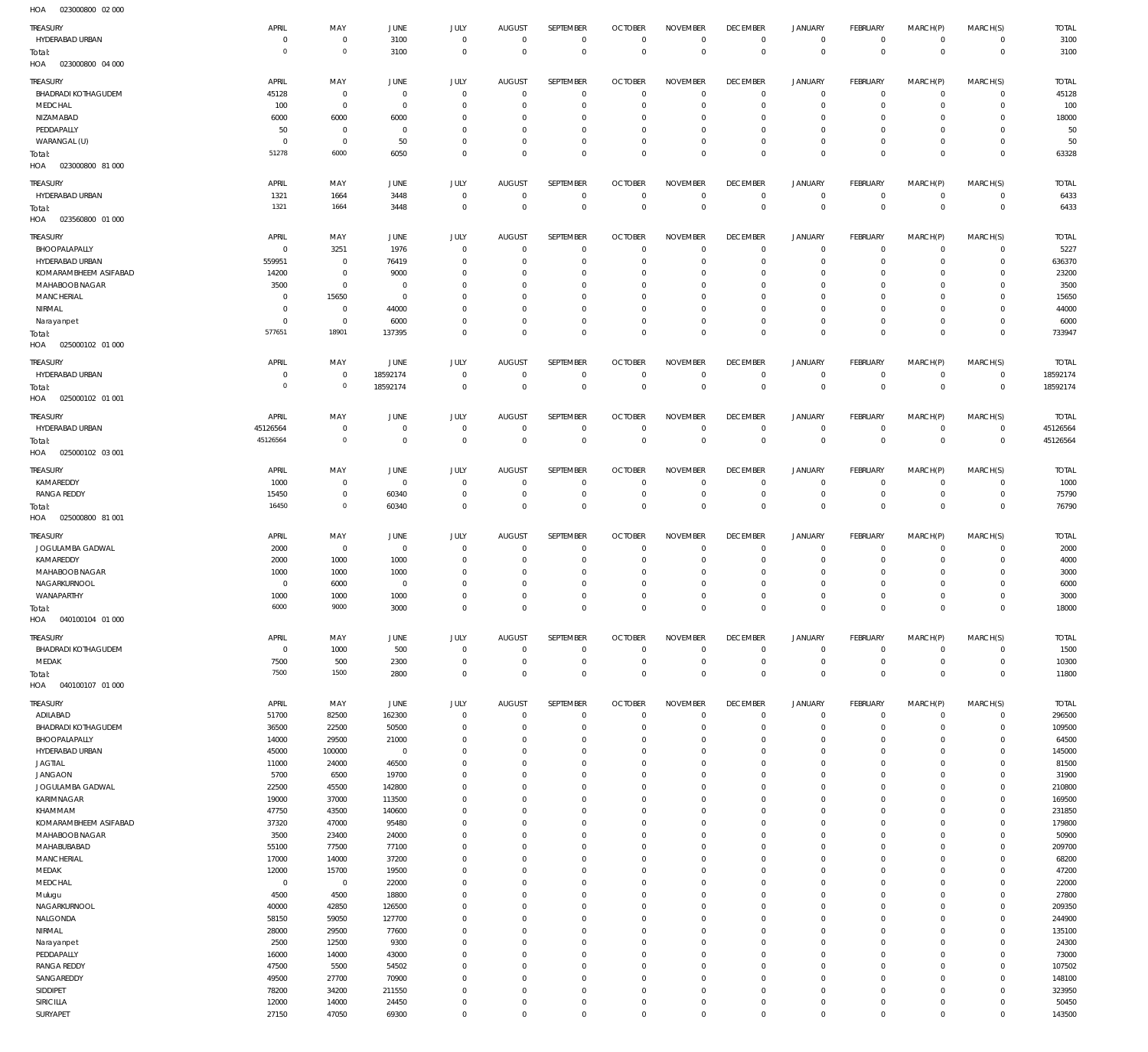023000800 02 000 HOA

| TREASURY<br>HYDERABAD URBAN                          | APRIL<br>$\mathbf 0$ | MAY<br>$\mathbf 0$         | JUNE<br>3100                     | JULY<br>$\mathbf 0$        | <b>AUGUST</b><br>$\overline{0}$ | SEPTEMBER<br>$\mathbf 0$     | <b>OCTOBER</b><br>$\overline{0}$ | <b>NOVEMBER</b><br>$\mathbf 0$ | <b>DECEMBER</b><br>$^{\circ}$ | <b>JANUARY</b><br>$\mathbf 0$      | <b>FEBRUARY</b><br>$\mathbf{0}$ | MARCH(P)<br>$\mathbf 0$    | MARCH(S)<br>$\mathbf{0}$   | <b>TOTAL</b><br>3100 |
|------------------------------------------------------|----------------------|----------------------------|----------------------------------|----------------------------|---------------------------------|------------------------------|----------------------------------|--------------------------------|-------------------------------|------------------------------------|---------------------------------|----------------------------|----------------------------|----------------------|
| Total:<br>023000800 04 000<br>HOA                    | $\overline{0}$       | $\mathbf 0$                | 3100                             | $\mathbf 0$                | $\overline{0}$                  | $\mathbf 0$                  | $\overline{0}$                   | $\mathbf 0$                    | $\mathbf 0$                   | $\mathsf 0$                        | $\overline{0}$                  | $\mathbf 0$                | $\mathbf 0$                | 3100                 |
| TREASURY                                             | APRIL                | MAY                        | <b>JUNE</b>                      | JULY                       | <b>AUGUST</b>                   | <b>SEPTEMBER</b>             | <b>OCTOBER</b>                   | <b>NOVEMBER</b>                | <b>DECEMBER</b>               | <b>JANUARY</b>                     | FEBRUARY                        | MARCH(P)                   | MARCH(S)                   | <b>TOTAL</b>         |
| <b>BHADRADI KOTHAGUDEM</b><br>MEDCHAL                | 45128<br>100         | $\mathbf 0$<br>$\mathbf 0$ | $\overline{0}$<br>$\overline{0}$ | $\mathbf 0$<br>$\mathbf 0$ | $^{\circ}$<br>$^{\circ}$        | $\mathbf{0}$<br>$\mathbf{0}$ | $\overline{0}$<br>$^{\circ}$     | $\mathbf 0$<br>$^{\circ}$      | $\mathbf 0$<br>$^{\circ}$     | $\mathbf 0$<br>$\mathbf 0$         | $\mathbf 0$<br>$^{\circ}$       | $\mathbf 0$<br>$^{\circ}$  | $\mathbf 0$<br>$\mathbf 0$ | 45128<br>100         |
| NIZAMABAD                                            | 6000                 | 6000                       | 6000                             | $\mathbf 0$                | 0                               | $\mathbf{0}$                 | $^{\circ}$                       | $^{\circ}$                     | $\mathbf 0$                   | $\mathbf 0$                        | 0                               | $^{\circ}$                 | $\mathbf 0$                | 18000                |
| PEDDAPALLY                                           | 50                   | $\mathbf 0$                | $\overline{0}$                   | $\mathbf 0$                | $^{\circ}$                      | $\mathbf{0}$                 | 0                                | $\mathbf 0$                    | $\mathbf 0$                   | $\mathbf 0$                        | 0                               | $^{\circ}$                 | $\mathbf 0$                | 50                   |
| WARANGAL (U)                                         | $\overline{0}$       | $\mathbf 0$                | 50                               | $\mathbf 0$                | $^{\circ}$                      | $\mathbf{0}$                 | $^{\circ}$                       | $\mathbf 0$                    | $\mathbf 0$                   | $\mathbf 0$                        | $^{\circ}$                      | $\mathbf 0$                | $\mathbf 0$                | 50                   |
| Total:<br>023000800 81 000<br>HOA                    | 51278                | 6000                       | 6050                             | $\mathbf 0$                | $^{\circ}$                      | $\mathbf 0$                  | $^{\circ}$                       | $\mathbf 0$                    | $\mathbf 0$                   | $\mathbf 0$                        | $^{\circ}$                      | $\mathbf 0$                | $\mathbf 0$                | 63328                |
| <b>TREASURY</b>                                      | APRIL                | MAY                        | <b>JUNE</b>                      | JULY                       | <b>AUGUST</b>                   | <b>SEPTEMBER</b>             | <b>OCTOBER</b>                   | <b>NOVEMBER</b>                | <b>DECEMBER</b>               | <b>JANUARY</b>                     | <b>FEBRUARY</b>                 | MARCH(P)                   | MARCH(S)                   | <b>TOTAL</b>         |
| HYDERABAD URBAN                                      | 1321                 | 1664                       | 3448                             | $\mathbf 0$                | $^{\circ}$                      | $\mathbf 0$                  | $^{\circ}$                       | $\mathbf 0$                    | 0                             | 0                                  | $^{\circ}$                      | $\mathbf 0$                | $\mathbf 0$                | 6433                 |
| Total:<br>HOA<br>023560800 01 000                    | 1321                 | 1664                       | 3448                             | $\mathbf 0$                | $\overline{0}$                  | $\mathbf 0$                  | $\overline{0}$                   | $\mathbf 0$                    | $\mathbf 0$                   | $\mathsf 0$                        | $\overline{0}$                  | $\mathbf 0$                | $\mathbf 0$                | 6433                 |
| TREASURY                                             | APRIL                | MAY                        | JUNE                             | JULY                       | <b>AUGUST</b>                   | SEPTEMBER                    | <b>OCTOBER</b>                   | <b>NOVEMBER</b>                | <b>DECEMBER</b>               | <b>JANUARY</b>                     | <b>FEBRUARY</b>                 | MARCH(P)                   | MARCH(S)                   | <b>TOTAL</b>         |
| BHOOPALAPALLY                                        | $\overline{0}$       | 3251                       | 1976                             | $\mathbf 0$                | $^{\circ}$                      | $\mathbf{0}$                 | $^{\circ}$                       | $^{\circ}$                     | $^{\circ}$                    | $\mathbf 0$                        | $^{\circ}$                      | $^{\circ}$                 | $\mathbf 0$                | 5227                 |
| HYDERABAD URBAN<br>KOMARAMBHEEM ASIFABAD             | 559951<br>14200      | $\mathbf 0$<br>$\mathbf 0$ | 76419<br>9000                    | $\mathbf 0$<br>$\mathbf 0$ | $^{\circ}$<br>0                 | $\mathbf{0}$<br>$\mathbf{0}$ | $^{\circ}$<br>$^{\circ}$         | $^{\circ}$<br>$^{\circ}$       | $^{\circ}$<br>$^{\circ}$      | $\mathbf 0$<br>$\mathbf 0$         | $^{\circ}$<br>$^{\circ}$        | $^{\circ}$<br>$^{\circ}$   | $\mathbf 0$<br>$\mathbf 0$ | 636370<br>23200      |
| MAHABOOB NAGAR                                       | 3500                 | $\mathbf 0$                | $\overline{0}$                   | 0                          | 0                               | $^{\circ}$                   | $^{\circ}$                       | $^{\circ}$                     | $^{\circ}$                    | $\mathbf 0$                        | $^{\circ}$                      | $^{\circ}$                 | $^{\circ}$                 | 3500                 |
| <b>MANCHERIAL</b>                                    | $\mathbf 0$          | 15650                      | $\overline{0}$                   | 0                          | $^{\circ}$                      | $\mathbf{0}$                 | 0                                | $^{\circ}$                     | $^{\circ}$                    | $\mathbf 0$                        | $^{\circ}$                      | $\mathbf 0$                | $\mathbf 0$                | 15650                |
| NIRMAL                                               | 0                    | $\mathbf 0$                | 44000                            | $\mathbf 0$                | $^{\circ}$                      | $\mathbf{0}$                 | $^{\circ}$                       | $^{\circ}$                     | $^{\circ}$                    | $\mathbf 0$                        | $^{\circ}$                      | $\mathbf 0$                | $\mathbf 0$                | 44000                |
| Narayanpet                                           | $\mathbf 0$          | $\mathbf 0$                | 6000                             | $\mathbf 0$                | $^{\circ}$                      | $\mathbf 0$                  | $^{\circ}$                       | $^{\circ}$                     | $^{\circ}$                    | $\mathbf 0$                        | $^{\circ}$                      | $\mathbf 0$                | $\mathbf 0$                | 6000                 |
| Total:<br>HOA  025000102  01 000                     | 577651               | 18901                      | 137395                           | $\mathbf 0$                | $\mathbf{0}$                    | $\mathbf 0$                  | $\mathbf 0$                      | $\mathbf 0$                    | $\mathbf 0$                   | $\mathbf 0$                        | $\mathbf 0$                     | $\mathbf 0$                | $\mathbf 0$                | 733947               |
| TREASURY                                             | APRIL                | MAY                        | <b>JUNE</b>                      | JULY                       | <b>AUGUST</b>                   | SEPTEMBER                    | <b>OCTOBER</b>                   | <b>NOVEMBER</b>                | <b>DECEMBER</b>               | <b>JANUARY</b>                     | <b>FEBRUARY</b>                 | MARCH(P)                   | MARCH(S)                   | TOTAL                |
| HYDERABAD URBAN                                      | $\mathbf 0$          | $\mathbf 0$                | 18592174                         | $\mathbf 0$                | $^{\circ}$                      | $\mathbf 0$                  | $\overline{0}$                   | $\mathbf 0$                    | $^{\circ}$                    | $\mathbf 0$                        | $^{\circ}$                      | $\mathbf 0$                | $^{\circ}$                 | 18592174             |
| Total:<br>025000102 01 001<br>HOA                    | $\overline{0}$       | $\mathbf 0$                | 18592174                         | $\mathbf 0$                | $^{\circ}$                      | $\mathbf 0$                  | $\overline{0}$                   | $\mathbf 0$                    | $\circ$                       | $\mathbf 0$                        | $\circ$                         | $\mathbf 0$                | $\mathbf 0$                | 18592174             |
| TREASURY                                             | APRIL                | MAY                        | <b>JUNE</b>                      | JULY                       | <b>AUGUST</b>                   | SEPTEMBER                    | <b>OCTOBER</b>                   | <b>NOVEMBER</b>                | <b>DECEMBER</b>               | <b>JANUARY</b>                     | FEBRUARY                        | MARCH(P)                   | MARCH(S)                   | <b>TOTAL</b>         |
| HYDERABAD URBAN<br>Total:<br>HOA<br>025000102 03 001 | 45126564<br>45126564 | $\mathbf 0$<br>$\mathbf 0$ | $\overline{0}$<br>$\overline{0}$ | $\mathbf 0$<br>$\mathbf 0$ | $^{\circ}$<br>$^{\circ}$        | $\mathbf{0}$<br>$\mathbf 0$  | $\overline{0}$<br>$\overline{0}$ | $^{\circ}$<br>$\mathbf 0$      | $^{\circ}$<br>$\overline{0}$  | $\mathbf 0$<br>$\mathbf 0$         | $^{\circ}$<br>$\mathbf 0$       | $\mathbf 0$<br>$\mathbf 0$ | $\mathbf 0$<br>$\mathbf 0$ | 45126564<br>45126564 |
|                                                      |                      |                            |                                  |                            |                                 |                              |                                  |                                |                               |                                    |                                 |                            |                            |                      |
| <b>TREASURY</b><br>KAMAREDDY                         | APRIL<br>1000        | MAY<br>$\mathbf 0$         | <b>JUNE</b><br>$\overline{0}$    | JULY<br>$\mathbf 0$        | <b>AUGUST</b><br>$^{\circ}$     | SEPTEMBER<br>$\mathbf{0}$    | <b>OCTOBER</b><br>$^{\circ}$     | <b>NOVEMBER</b><br>$^{\circ}$  | <b>DECEMBER</b><br>$^{\circ}$ | <b>JANUARY</b><br>$\mathbf 0$      | <b>FEBRUARY</b><br>$^{\circ}$   | MARCH(P)<br>$\mathbf 0$    | MARCH(S)<br>$\mathbf 0$    | <b>TOTAL</b><br>1000 |
| <b>RANGA REDDY</b>                                   | 15450                | $\mathbf 0$                | 60340                            | $\mathbf 0$                | $^{\circ}$                      | $\mathbf{0}$                 | $^{\circ}$                       | $^{\circ}$                     | $^{\circ}$                    | $\mathbf 0$                        | $^{\circ}$                      | $\mathbf 0$                | $\mathbf 0$                | 75790                |
| Total:<br>025000800 81 001<br>HOA                    | 16450                | $\mathsf{O}\xspace$        | 60340                            | $\mathbf 0$                | $^{\circ}$                      | $\mathbf 0$                  | $\overline{0}$                   | $\mathbf 0$                    | $\mathbf 0$                   | $\mathbf 0$                        | $^{\circ}$                      | $\mathbf 0$                | $\mathbf 0$                | 76790                |
| TREASURY                                             | APRIL                | MAY                        | <b>JUNE</b>                      | JULY                       | <b>AUGUST</b>                   | <b>SEPTEMBER</b>             | <b>OCTOBER</b>                   | <b>NOVEMBER</b>                | <b>DECEMBER</b>               | <b>JANUARY</b>                     | FEBRUARY                        | MARCH(P)                   | MARCH(S)                   | <b>TOTAL</b>         |
| JOGULAMBA GADWAL                                     | 2000                 | $^{\circ}$                 | $^{\circ}$                       | $\mathbf 0$                | $^{\circ}$                      | $^{\circ}$                   | $^{\circ}$                       | $^{\circ}$                     | $^{\circ}$                    | $^{\circ}$                         | $^{\circ}$                      | $^{\circ}$                 | $\mathbf 0$                | 2000                 |
| KAMAREDDY                                            | 2000                 | 1000                       | 1000                             | $\mathbf 0$                | 0                               | $\mathbf{0}$                 | $^{\circ}$                       | $^{\circ}$                     | $^{\circ}$                    | $\mathbf 0$                        | $^{\circ}$                      | $^{\circ}$                 | $\mathbf 0$                | 4000                 |
| MAHABOOB NAGAR                                       | 1000                 | 1000                       | 1000                             | 0                          | 0                               | $\mathbf{0}$                 | $^{\circ}$                       | $^{\circ}$                     | $^{\circ}$                    | $\mathbf 0$                        | $^{\circ}$                      | $^{\circ}$                 | $^{\circ}$                 | 3000                 |
| NAGARKURNOOL                                         | $\mathbf 0$          | 6000                       | $\overline{0}$                   | $\Omega$                   | $^{\circ}$                      | $\mathbf{0}$                 | 0                                | $^{\circ}$                     | $^{\circ}$                    | $\mathbf 0$                        | 0                               | $\mathbf 0$                | $^{\circ}$                 | 6000                 |
| WANAPARTHY<br>Total:<br>HOA<br>040100104 01 000      | 1000<br>6000         | 1000<br>9000               | 1000<br>3000                     | $\Omega$<br>$\Omega$       | $^{\circ}$<br>$\Omega$          | $\mathbf 0$<br>$\Omega$      | $^{\circ}$<br>$\Omega$           | $^{\circ}$<br>$\Omega$         | $^{\circ}$<br>$\Omega$        | $\mathbf 0$<br>$\Omega$            | $^{\circ}$<br>$\Omega$          | $\mathbf 0$<br>$\Omega$    | $\mathbf 0$<br>$\Omega$    | 3000<br>18000        |
|                                                      | APRIL                |                            |                                  |                            | <b>AUGUST</b>                   | SEPTEMBER                    | <b>OCTOBER</b>                   | <b>NOVEMBER</b>                | <b>DECEMBER</b>               | <b>JANUARY</b>                     | <b>FEBRUARY</b>                 |                            |                            |                      |
| <b>TREASURY</b><br><b>BHADRADI KOTHAGUDEM</b>        | $\overline{0}$       | MAY<br>1000                | <b>JUNE</b><br>500               | JULY<br>$\mathbf 0$        | $\mathbf{0}$                    | $\mathbf 0$                  | $\overline{0}$                   | $\mathbf 0$                    | $^{\circ}$                    | $\mathbf 0$                        | $^{\circ}$                      | MARCH(P)<br>$\mathbf 0$    | MARCH(S)<br>$\circ$        | <b>TOTAL</b><br>1500 |
| MEDAK                                                | 7500                 | 500                        | 2300                             | $\mathbf 0$                | $^{\circ}$                      | $\mathbf 0$                  | $^{\circ}$                       | $\mathbf 0$                    | $\circ$                       | $\mathbf 0$                        | $^{\circ}$                      | $\mathbf 0$                | $\mathbf 0$                | 10300                |
| Total:<br>HOA  040100107  01 000                     | 7500                 | 1500                       | 2800                             | $\mathbf 0$                | $\overline{0}$                  | $\mathbf 0$                  | $\overline{0}$                   | $\mathbf 0$                    | $\mathbf 0$                   | $\mathsf 0$                        | $\mathbf 0$                     | $\mathbf 0$                | $\mathbf 0$                | 11800                |
| TREASURY                                             | APRIL                | MAY                        | JUNE                             | JULY                       | AUGUST                          | <b>SEPTEMBER</b>             | <b>OCTOBER</b>                   | <b>NOVEMBER</b>                | <b>DECEMBER</b>               | <b>JANUARY</b>                     | FEBRUARY                        | MARCH(P)                   | MARCH(S)                   | <b>TOTAL</b>         |
| ADILABAD                                             | 51700                | 82500                      | 162300                           | $\mathbf 0$                | $^{\circ}$                      | $\mathbf 0$                  | $\overline{0}$                   | $\mathbf 0$                    | $^{\circ}$                    | $\mathbf 0$                        | $\mathbf{0}$                    | $\mathbf 0$                | $\mathbf 0$                | 296500               |
| <b>BHADRADI KOTHAGUDEM</b>                           | 36500                | 22500                      | 50500                            | $\mathbf 0$                | $^{\circ}$                      | $\mathbf 0$                  | $^{\circ}$                       | $^{\circ}$                     | $^{\circ}$                    | $\mathbf 0$                        | $^{\circ}$                      | $\mathbf 0$                | $\mathbf 0$                | 109500               |
| BHOOPALAPALLY                                        | 14000                | 29500                      | 21000                            | $\mathbf 0$                | $^{\circ}$                      | $\mathbf{0}$                 | $^{\circ}$                       | $^{\circ}$                     | $^{\circ}$                    | $\mathbf 0$                        | $^{\circ}$                      | $\mathbf 0$                | $\mathbf 0$                | 64500                |
| HYDERABAD URBAN<br><b>JAGTIAL</b>                    | 45000<br>11000       | 100000<br>24000            | $^{\circ}$<br>46500              | $\mathbf 0$<br>$\mathbf 0$ | $^{\circ}$<br>$^{\circ}$        | $\mathbf 0$<br>$\mathbf{0}$  | $^{\circ}$<br>$^{\circ}$         | $\mathbf 0$<br>$\mathbf 0$     | $\mathbf 0$<br>$^{\circ}$     | $\mathbf 0$<br>$\mathbf 0$         | $^{\circ}$<br>$^{\circ}$        | $\mathbf 0$<br>$\mathbf 0$ | $\mathbf 0$<br>$\mathbf 0$ | 145000<br>81500      |
| <b>JANGAON</b>                                       | 5700                 | 6500                       | 19700                            | $\mathbf 0$                | $^{\circ}$                      | $\mathbf 0$                  | $^{\circ}$                       | $^{\circ}$                     | $^{\circ}$                    | $\mathbf 0$                        | $^{\circ}$                      | $\mathbf 0$                | $\mathbf 0$                | 31900                |
| JOGULAMBA GADWAL                                     | 22500                | 45500                      | 142800                           | $\mathbf 0$                | $^{\circ}$                      | $\mathbf{0}$                 | $^{\circ}$                       | $^{\circ}$                     | $^{\circ}$                    | $\mathbf 0$                        | $^{\circ}$                      | $\mathbf 0$                | $\mathbf 0$                | 210800               |
| <b>KARIMNAGAR</b>                                    | 19000                | 37000                      | 113500                           | $\mathbf 0$                | $^{\circ}$                      | $\mathbf 0$                  | $^{\circ}$                       | $^{\circ}$                     | $^{\circ}$                    | $\mathbf 0$                        | $^{\circ}$                      | $\mathbf 0$                | $\mathbf 0$                | 169500               |
| KHAMMAM                                              | 47750                | 43500                      | 140600                           | $\mathbf 0$                | $^{\circ}$                      | $\mathbf{0}$                 | $^{\circ}$                       | $^{\circ}$                     | $^{\circ}$                    | $\mathbf 0$                        | $^{\circ}$                      | $\mathbf 0$                | $\mathbf 0$                | 231850               |
| KOMARAMBHEEM ASIFABAD                                | 37320                | 47000                      | 95480                            | $\mathbf 0$                | $^{\circ}$                      | $\mathbf{0}$                 | $^{\circ}$                       | $^{\circ}$                     | $^{\circ}$                    | $\mathbf 0$                        | $^{\circ}$                      | $\mathbf 0$                | $\mathbf 0$                | 179800               |
| MAHABOOB NAGAR<br>MAHABUBABAD                        | 3500<br>55100        | 23400<br>77500             | 24000<br>77100                   | $\mathbf 0$<br>$\mathbf 0$ | $^{\circ}$<br>$^{\circ}$        | $\mathbf{0}$<br>$\mathbf 0$  | $^{\circ}$<br>$^{\circ}$         | $^{\circ}$<br>$^{\circ}$       | $^{\circ}$<br>$^{\circ}$      | $\mathbf 0$<br>$\mathbf 0$         | $^{\circ}$<br>$^{\circ}$        | $\mathbf 0$<br>$\mathbf 0$ | $\mathbf 0$<br>$\mathbf 0$ | 50900<br>209700      |
| <b>MANCHERIAL</b>                                    | 17000                | 14000                      | 37200                            | $\mathbf 0$                | $^{\circ}$                      | $\mathbf{0}$                 | $^{\circ}$                       | $^{\circ}$                     | $^{\circ}$                    | $\mathbf 0$                        | $^{\circ}$                      | $\mathbf 0$                | $\mathbf 0$                | 68200                |
| MEDAK                                                | 12000                | 15700                      | 19500                            | $\mathbf 0$                | $^{\circ}$                      | $\mathbf 0$                  | $^{\circ}$                       | $^{\circ}$                     | $^{\circ}$                    | $\mathbf 0$                        | $^{\circ}$                      | $\mathbf 0$                | $\mathbf 0$                | 47200                |
| MEDCHAL                                              | $\overline{0}$       | $\mathbf 0$                | 22000                            | $\mathbf 0$                | $^{\circ}$                      | $\mathbf{0}$                 | $^{\circ}$                       | $\mathbf 0$                    | $^{\circ}$                    | $\mathbf 0$                        | $^{\circ}$                      | $\mathbf 0$                | $\mathbf 0$                | 22000                |
| Mulugu                                               | 4500                 | 4500                       | 18800                            | $\mathbf 0$                | $^{\circ}$                      | $\mathbf 0$                  | $^{\circ}$                       | $\mathbf 0$                    | $\mathbf 0$                   | $\mathbf 0$                        | $^{\circ}$                      | $\mathbf 0$                | $\mathbf 0$                | 27800                |
| NAGARKURNOOL                                         | 40000                | 42850                      | 126500                           | $\mathbf 0$                | $^{\circ}$                      | $\mathbf{0}$                 | $^{\circ}$                       | $\mathbf 0$                    | $\mathbf 0$                   | $\mathbf 0$                        | $^{\circ}$                      | $\mathbf 0$                | $\mathbf 0$                | 209350               |
| NALGONDA<br>NIRMAL                                   | 58150<br>28000       | 59050<br>29500             | 127700<br>77600                  | $\mathbf 0$<br>$\mathbf 0$ | $^{\circ}$<br>$^{\circ}$        | $\mathbf{0}$<br>$\mathbf{0}$ | $^{\circ}$<br>$^{\circ}$         | $\mathbf 0$<br>$^{\circ}$      | $^{\circ}$<br>$^{\circ}$      | $\mathbf 0$<br>$\mathbf 0$         | $^{\circ}$<br>$^{\circ}$        | $\mathbf 0$<br>$\mathbf 0$ | $\mathbf 0$<br>$\mathbf 0$ | 244900<br>135100     |
| Narayanpet                                           | 2500                 | 12500                      | 9300                             | $\mathbf 0$                | $^{\circ}$                      | $\mathbf 0$                  | $^{\circ}$                       | $^{\circ}$                     | $^{\circ}$                    | $\mathbf 0$                        | $^{\circ}$                      | $\mathbf 0$                | $\mathbf 0$                | 24300                |
| PEDDAPALLY                                           | 16000                | 14000                      | 43000                            | $\mathbf 0$                | $^{\circ}$                      | $\mathbf{0}$                 | $^{\circ}$                       | $^{\circ}$                     | $^{\circ}$                    | $\mathbf 0$                        | $^{\circ}$                      | $\mathbf 0$                | $\mathbf 0$                | 73000                |
| <b>RANGA REDDY</b>                                   | 47500                | 5500                       | 54502                            | $\mathbf 0$                | $^{\circ}$                      | $\mathbf 0$                  | $^{\circ}$                       | $^{\circ}$                     | $^{\circ}$                    | $\mathbf 0$                        | $^{\circ}$                      | $\mathbf 0$                | $\mathbf 0$                | 107502               |
| SANGAREDDY                                           | 49500                | 27700                      | 70900                            | $\mathbf 0$                | $^{\circ}$                      | $\mathbf{0}$                 | $^{\circ}$                       | $^{\circ}$                     | $^{\circ}$                    | $\mathbf 0$                        | $^{\circ}$                      | $\mathbf 0$                | $\mathbf 0$                | 148100               |
| SIDDIPET                                             | 78200                | 34200                      | 211550                           | $\mathbf 0$                | $^{\circ}$                      | $\mathbf 0$                  | $^{\circ}$                       | $^{\circ}$                     | $^{\circ}$                    | $\mathbf 0$                        | $^{\circ}$                      | $\mathbf 0$                | $\mathbf 0$                | 323950               |
| SIRICILLA<br>SURYAPET                                | 12000<br>27150       | 14000<br>47050             | 24450<br>69300                   | $\mathbf 0$<br>$\mathbf 0$ | $\mathbf{0}$<br>$\mathbf 0$     | $\mathbf 0$<br>$\mathbf 0$   | $^{\circ}$<br>$\mathbf 0$        | $\mathbf 0$<br>$\mathbf 0$     | $^{\circ}$<br>$\mathbf 0$     | $\mathbf 0$<br>$\mathsf{O}\xspace$ | $^{\circ}$<br>$\mathbf 0$       | $\mathbf 0$<br>$\mathbf 0$ | $\mathbf 0$<br>$\mathbf 0$ | 50450<br>143500      |
|                                                      |                      |                            |                                  |                            |                                 |                              |                                  |                                |                               |                                    |                                 |                            |                            |                      |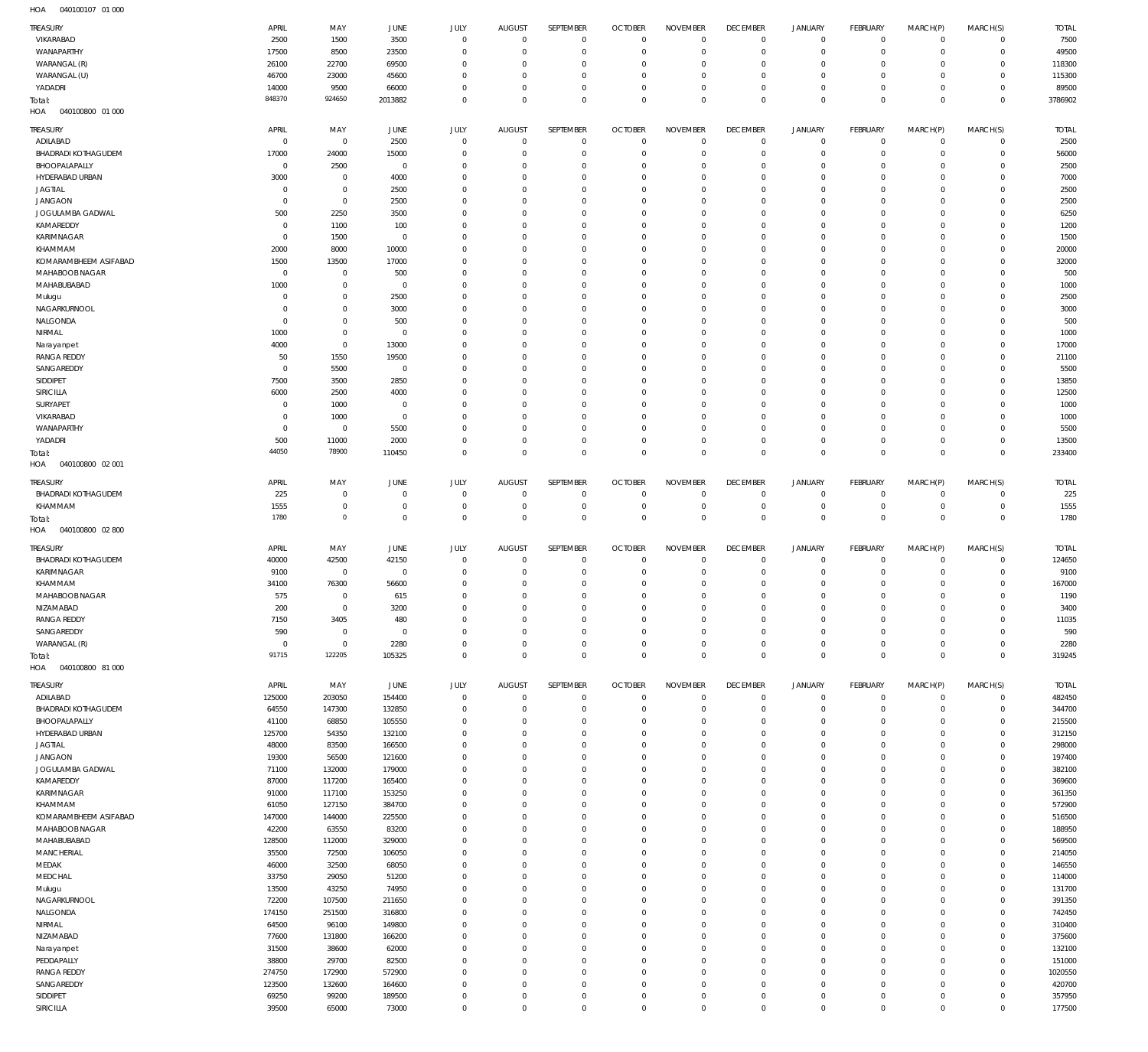| TREASURY<br>VIKARABAD               | APRIL<br>2500     | MAY<br>1500      | JUNE<br>3500       | <b>JULY</b><br>$\mathbf 0$       | <b>AUGUST</b><br>$\mathbf{0}$ | SEPTEMBER<br>$\mathbf 0$    | <b>OCTOBER</b><br>$\overline{0}$ | <b>NOVEMBER</b><br>$\mathbf 0$ | <b>DECEMBER</b><br>$\mathbf 0$ | <b>JANUARY</b><br>$\mathbf 0$ | FEBRUARY<br>$\overline{0}$ | MARCH(P)<br>$\mathbf 0$            | MARCH(S)<br>$\circ$         | <b>TOTAL</b><br>7500 |
|-------------------------------------|-------------------|------------------|--------------------|----------------------------------|-------------------------------|-----------------------------|----------------------------------|--------------------------------|--------------------------------|-------------------------------|----------------------------|------------------------------------|-----------------------------|----------------------|
| WANAPARTHY                          | 17500             | 8500             | 23500              | $\mathbf 0$                      | $\Omega$                      | $\mathbf 0$                 | 0                                | $\mathbf 0$                    | $\mathbf 0$                    | $\mathsf{O}$                  | $\mathbf 0$                | $\mathbf 0$                        | $\mathbf{0}$                | 49500                |
| WARANGAL (R)                        | 26100             | 22700            | 69500              | $\mathbf 0$                      | $\Omega$                      | $\mathbf 0$                 | $\Omega$                         | $^{\circ}$                     | 0                              | $\mathbf 0$                   | $\mathbf 0$                | $\mathbf 0$                        | $\circ$                     | 118300               |
| WARANGAL (U)                        | 46700             | 23000            | 45600              | $\overline{0}$                   | $\Omega$                      | $\mathbf 0$                 | $\Omega$                         | $\mathbf 0$                    | $\mathbf 0$                    | $\mathbf 0$                   | $\mathbf 0$                | $\mathbf 0$                        | $\mathbf{0}$                | 115300               |
| YADADRI                             | 14000             | 9500             | 66000              | $\mathbf 0$                      | $\Omega$                      | $\mathbf 0$                 | 0                                | $\mathbf 0$                    | $\mathbf 0$                    | $\mathsf{O}$                  | $\mathbf 0$                | $\mathbf 0$                        | $\circ$                     | 89500                |
| Total:<br>HOA<br>040100800 01 000   | 848370            | 924650           | 2013882            | $\overline{0}$                   | $\Omega$                      | $\mathbf 0$                 | $\Omega$                         | $\mathbf 0$                    | $\mathbf 0$                    | $\mathbf 0$                   | $\mathbf 0$                | $\mathbf 0$                        | $\overline{0}$              | 3786902              |
|                                     |                   |                  |                    |                                  |                               |                             |                                  |                                |                                |                               |                            |                                    |                             |                      |
| TREASURY<br>ADILABAD                | APRIL<br>$\Omega$ | MAY<br>$\,0\,$   | JUNE<br>2500       | <b>JULY</b><br>$\mathbf 0$       | <b>AUGUST</b><br>$^{\circ}$   | SEPTEMBER<br>$\mathbf 0$    | <b>OCTOBER</b><br>$\overline{0}$ | <b>NOVEMBER</b><br>$\mathbf 0$ | <b>DECEMBER</b><br>$\mathbf 0$ | <b>JANUARY</b><br>0           | FEBRUARY<br>$\mathbf 0$    | MARCH(P)<br>$\mathbf 0$            | MARCH(S)<br>$\circ$         | <b>TOTAL</b><br>2500 |
| <b>BHADRADI KOTHAGUDEM</b>          | 17000             | 24000            | 15000              | $^{\circ}$                       | $\Omega$                      | $\mathbf 0$                 | $\overline{0}$                   | $\mathbf 0$                    | $\mathbf 0$                    | $\mathbf 0$                   | $\mathbf 0$                | $\mathbf 0$                        | $\mathbf 0$                 | 56000                |
| BHOOPALAPALLY                       | $^{\circ}$        | 2500             | $\overline{0}$     | $\Omega$                         | $\Omega$                      | $\mathbf{0}$                | 0                                | $\mathbf 0$                    | $\mathbf 0$                    | $^{\circ}$                    | $\mathbf 0$                | $\Omega$                           | $\mathbf 0$                 | 2500                 |
| HYDERABAD URBAN                     | 3000              | $\overline{0}$   | 4000               | $\Omega$                         | $\Omega$                      | $\mathbf{0}$                | $\Omega$                         | $\mathbf 0$                    | $\mathbf 0$                    | $\mathbf 0$                   | $\Omega$                   | $\Omega$                           | $\mathbf 0$                 | 7000                 |
| <b>JAGTIAL</b>                      | $\Omega$          | $\mathbf 0$      | 2500               | $\Omega$                         | $\Omega$                      | $\mathbf{0}$                | $\Omega$                         | $\mathbf 0$                    | $\mathbf 0$                    | $\mathbf 0$                   | $\mathbf 0$                | $\Omega$                           | $\mathbf 0$                 | 2500                 |
| <b>JANGAON</b>                      | $\Omega$          | $\mathbf 0$      | 2500               | $\Omega$                         | $\Omega$                      | $\mathbf 0$                 | $\Omega$                         | $\mathbf 0$                    | $\mathbf 0$                    | $\mathbf 0$                   | $\Omega$                   | $\Omega$                           | $\mathbf 0$                 | 2500                 |
| JOGULAMBA GADWAL                    | 500               | 2250             | 3500               | $\Omega$                         | $\Omega$                      | $\mathbf{0}$                | $\Omega$                         | $\mathbf 0$                    | $\mathbf 0$                    | $\mathbf 0$                   | $\mathbf 0$                | $\Omega$                           | $\mathbf 0$                 | 6250                 |
| KAMAREDDY                           | $\Omega$          | 1100             | 100                | $\Omega$                         | $\Omega$                      | $\mathbf 0$                 | $\Omega$                         | $\mathbf 0$                    | $\mathbf 0$                    | $\mathbf 0$                   | $\Omega$                   | $\Omega$                           | $\mathbf 0$                 | 1200                 |
| KARIMNAGAR                          | $\Omega$          | 1500             | $\overline{0}$     | $\Omega$                         | $\Omega$                      | $^{\circ}$                  | $\Omega$                         | $\Omega$                       | $\Omega$                       | $\mathbf 0$                   | $\mathbf 0$                | $\Omega$                           | $\mathbf 0$                 | 1500                 |
| KHAMMAM<br>KOMARAMBHEEM ASIFABAD    | 2000<br>1500      | 8000<br>13500    | 10000<br>17000     | $\Omega$<br>$\Omega$             | $\Omega$<br>$\Omega$          | $\mathbf 0$<br>$\Omega$     | $\Omega$<br>$\Omega$             | $\mathbf 0$<br>$\Omega$        | $\mathbf 0$<br>$\mathbf 0$     | $\mathbf 0$<br>$^{\circ}$     | $\Omega$<br>$\Omega$       | $\Omega$<br>$\Omega$               | $\mathbf 0$<br>$\mathbf 0$  | 20000<br>32000       |
| MAHABOOB NAGAR                      | $\Omega$          | $\overline{0}$   | 500                | $^{\circ}$                       | $\Omega$                      | $\mathbf 0$                 | 0                                | $\mathbf 0$                    | $\mathbf 0$                    | $\mathbf 0$                   | $\Omega$                   | $\Omega$                           | $\mathbf 0$                 | 500                  |
| MAHABUBABAD                         | 1000              | $\mathbf 0$      | $\overline{0}$     | $\Omega$                         | $\Omega$                      | $\Omega$                    | $\Omega$                         | $\Omega$                       | 0                              | $^{\circ}$                    | $\Omega$                   | $\Omega$                           | $\circ$                     | 1000                 |
| Mulugu                              | $\Omega$          | $\mathbf 0$      | 2500               | $^{\circ}$                       | $\Omega$                      | $\mathbf 0$                 | $\Omega$                         | $\mathbf 0$                    | $\mathbf 0$                    | $\mathbf 0$                   | $\Omega$                   | $\Omega$                           | $\mathbf 0$                 | 2500                 |
| NAGARKURNOOL                        | $\Omega$          | $\mathbf 0$      | 3000               | $\Omega$                         | $\Omega$                      | $^{\circ}$                  | $\Omega$                         | $\mathbf 0$                    | 0                              | $^{\circ}$                    | $\Omega$                   | $\Omega$                           | $\mathbf 0$                 | 3000                 |
| NALGONDA                            | $\Omega$          | $\mathbf 0$      | 500                | $^{\circ}$                       | $\Omega$                      | $\mathbf 0$                 | $\Omega$                         | $\mathbf 0$                    | $\mathbf 0$                    | $\mathbf 0$                   | $\Omega$                   | $\Omega$                           | $\mathbf 0$                 | 500                  |
| NIRMAL                              | 1000              | $\mathbf 0$      | $\overline{0}$     | $\Omega$                         | $\Omega$                      | $^{\circ}$                  | $\Omega$                         | $\Omega$                       | 0                              | $^{\circ}$                    | $\mathbf 0$                | $\Omega$                           | $\mathbf 0$                 | 1000                 |
| Narayanpet                          | 4000              | $\mathbf 0$      | 13000              | $\Omega$                         | $\Omega$                      | $\mathbf 0$                 | $\Omega$                         | $\mathbf 0$                    | $\Omega$                       | $\mathbf 0$                   | $\Omega$                   | $\Omega$                           | $\Omega$                    | 17000                |
| <b>RANGA REDDY</b>                  | 50                | 1550             | 19500              | $\Omega$                         | $\Omega$                      | $^{\circ}$                  | $\Omega$                         | $\mathbf 0$                    | 0                              | $^{\circ}$                    | $\mathbf 0$                | $\Omega$                           | $\mathbf 0$                 | 21100                |
| SANGAREDDY                          | - 0               | 5500             | $^{\circ}$         | $\Omega$                         | $\Omega$                      | $\mathbf 0$                 | $\Omega$                         | $\mathbf 0$                    | $\mathbf 0$                    | $\mathbf 0$                   | $\Omega$                   | $\Omega$                           | $\Omega$                    | 5500                 |
| SIDDIPET                            | 7500              | 3500             | 2850               | $\Omega$<br>$\Omega$             | $\Omega$<br>$\Omega$          | $\mathbf{0}$<br>$\mathbf 0$ | $\Omega$<br>$\Omega$             | $\Omega$<br>$\mathbf 0$        | $\mathbf 0$<br>$\mathbf 0$     | $\mathbf 0$<br>$\mathbf 0$    | $\mathbf 0$<br>$\Omega$    | $\Omega$<br>$\Omega$               | $\mathbf 0$<br>$\mathbf 0$  | 13850                |
| SIRICILLA<br>SURYAPET               | 6000<br>$\Omega$  | 2500<br>1000     | 4000<br>$^{\circ}$ | $\Omega$                         | $\Omega$                      | $\mathbf{0}$                | $\Omega$                         | $\mathbf 0$                    | $\mathbf 0$                    | $\mathbf 0$                   | $\mathbf 0$                | $\Omega$                           | $\mathbf 0$                 | 12500<br>1000        |
| VIKARABAD                           | $\Omega$          | 1000             | $^{\circ}$         | $\Omega$                         | $\Omega$                      | $^{\circ}$                  | $\Omega$                         | $\mathbf 0$                    | $\mathbf 0$                    | $\mathbf 0$                   | $\Omega$                   | $\Omega$                           | $\mathbf 0$                 | 1000                 |
| WANAPARTHY                          | $\Omega$          | $\mathbf 0$      | 5500               | $\Omega$                         | $\Omega$                      | $\Omega$                    | $\Omega$                         | $\Omega$                       | $\mathbf 0$                    | $\mathbf 0$                   | $\mathbf 0$                | $\Omega$                           | $\mathbf 0$                 | 5500                 |
| YADADRI                             | 500               | 11000            | 2000               | $\overline{0}$                   | $\Omega$                      | $\mathbf 0$                 | 0                                | $\mathbf 0$                    | $\mathbf 0$                    | $\mathbf 0$                   | $\mathbf 0$                | $\Omega$                           | $\mathbf 0$                 | 13500                |
| Total:                              | 44050             | 78900            | 110450             | $\overline{0}$                   | $\Omega$                      | $\mathbf 0$                 | $\Omega$                         | $\mathbf 0$                    | $\mathbf 0$                    | $\mathbf 0$                   | $\mathbf 0$                | $\Omega$                           | $\mathbf 0$                 | 233400               |
| HOA<br>040100800 02 001             |                   |                  |                    |                                  |                               |                             |                                  |                                |                                |                               |                            |                                    |                             |                      |
| TREASURY                            | APRIL             | MAY              | JUNE               | <b>JULY</b>                      | <b>AUGUST</b>                 | SEPTEMBER                   | <b>OCTOBER</b>                   | <b>NOVEMBER</b>                | <b>DECEMBER</b>                | <b>JANUARY</b>                | FEBRUARY                   | MARCH(P)                           | MARCH(S)                    | <b>TOTAL</b>         |
| <b>BHADRADI KOTHAGUDEM</b>          | 225               | $\,0\,$          | 0                  | $\overline{0}$                   | $^{\circ}$                    | $\mathbf 0$                 | 0                                | 0                              | 0                              | 0                             | $\mathbf 0$                | $\mathbf 0$                        | $\circ$                     | 225                  |
| KHAMMAM                             | 1555              | $\overline{0}$   | $^{\circ}$         | $\mathbf 0$                      | $\Omega$                      | $\mathbf 0$                 | $\overline{0}$                   | $\mathbf 0$                    | $\mathbf 0$                    | $\mathsf{O}$                  | $\overline{0}$             | $\mathbf 0$                        | $\circ$                     | 1555                 |
| Total:<br>HOA<br>040100800 02 800   | 1780              | $\circ$          | $\mathbf 0$        | $\mathbf 0$                      | $\Omega$                      | $\mathbb O$                 | $\mathbf 0$                      | $\mathbf 0$                    | $\mathbf 0$                    | $\mathbf 0$                   | $\mathbf 0$                | $\mathbf 0$                        | $\overline{0}$              | 1780                 |
| TREASURY                            | APRIL             | MAY              | JUNE               | JULY                             | <b>AUGUST</b>                 | SEPTEMBER                   | <b>OCTOBER</b>                   | <b>NOVEMBER</b>                | <b>DECEMBER</b>                | JANUARY                       | <b>FEBRUARY</b>            | MARCH(P)                           | MARCH(S)                    | <b>TOTAL</b>         |
| <b>BHADRADI KOTHAGUDEM</b>          | 40000             | 42500            | 42150              | $\overline{0}$                   | $^{\circ}$                    | $\mathbf{0}$                | $\overline{0}$                   | $\mathbf 0$                    | $\mathbf 0$                    | $^{\circ}$                    | $\mathbf 0$                | $\mathbf 0$                        | $\mathbf{0}$                | 124650               |
| KARIMNAGAR                          | 9100              | $\,0\,$          | $^{\circ}$         | $\overline{0}$                   | $\Omega$                      | $\mathbf 0$                 | 0                                | $\mathbf 0$                    | $^{\circ}$                     | $\mathbf 0$                   | $^{\circ}$                 | $\mathbf 0$                        | $\mathbf 0$                 | 9100                 |
| KHAMMAM                             | 34100             | 76300            | 56600              | $\Omega$                         | $\Omega$                      | $\mathbf{0}$                | 0                                | $\mathbf 0$                    | $^{\circ}$                     | $\mathbf 0$                   | $\Omega$                   | $\Omega$                           | $\mathbf 0$                 | 167000               |
| MAHABOOB NAGAR                      | 575               | $\mathbf 0$      | 615                | $\overline{0}$<br>$\overline{0}$ | $\mathbf{0}$<br>$\Omega$      | $\mathbf 0$<br>$\Omega$     | $\Omega$<br>$\Omega$             | $\mathbf{0}$<br>$\Omega$       | $\Omega$<br>$\Omega$           | $\Omega$                      | $\Omega$<br>$\Omega$       | $\Omega$                           | $\mathbf{0}$                | 1190                 |
| NIZAMABAD<br><b>RANGA REDDY</b>     | 200<br>7150       | $\,0\,$<br>3405  | 3200<br>480        | $\mathbf 0$                      | $\overline{0}$                | $\mathbf 0$                 | $^{\circ}$                       | $\mathbf 0$                    | $\mathbf 0$                    | $\mathsf{O}$<br>$\mathbf 0$   | $\mathbf 0$                | $\mathsf{O}\xspace$<br>$\mathbf 0$ | $\mathbf 0$<br>$\mathbf 0$  | 3400<br>11035        |
| SANGAREDDY                          | 590               | $\,0\,$          | $\overline{0}$     | $\mathbf 0$                      | $\mathbf{0}$                  | $\mathbf 0$                 | $^{\circ}$                       | $\mathbb O$                    | $\mathbf 0$                    | $\mathsf{O}$                  | $\mathbf 0$                | $\mathbf 0$                        | $\mathbf 0$                 | 590                  |
| WARANGAL (R)                        | $\mathbf 0$       | $\overline{0}$   | 2280               | $\mathbf 0$                      | $\Omega$                      | $\mathbf 0$                 | $^{\circ}$                       | $\mathbf 0$                    | $\mathbf 0$                    | $\mathsf{O}$                  | $\mathbf 0$                | $\mathbf 0$                        | $\mathbf 0$                 | 2280                 |
| Total:                              | 91715             | 122205           | 105325             | $\mathbf 0$                      | $\circ$                       | $\mathbb O$                 | $\mathbf 0$                      | $\mathbf 0$                    | $\mathbf 0$                    | $\mathbf 0$                   | $\mathbf 0$                | $\mathbf 0$                        | $\mathbf 0$                 | 319245               |
| HOA<br>040100800 81 000<br>TREASURY | APRIL             | MAY              | JUNE               | JULY                             | <b>AUGUST</b>                 | SEPTEMBER                   | <b>OCTOBER</b>                   | <b>NOVEMBER</b>                | <b>DECEMBER</b>                | <b>JANUARY</b>                | FEBRUARY                   | MARCH(P)                           | MARCH(S)                    | <b>TOTAL</b>         |
| ADILABAD                            | 125000            | 203050           | 154400             | $\overline{0}$                   | $\mathbb O$                   | $\mathbf 0$                 | $\overline{0}$                   | $\mathbb O$                    | $\mathbb O$                    | $\mathbf 0$                   | $\overline{0}$             | $\mathbf 0$                        | $\overline{0}$              | 482450               |
| <b>BHADRADI KOTHAGUDEM</b>          | 64550             | 147300           | 132850             | $\overline{0}$                   | $^{\circ}$                    | $\mathbf 0$                 | $\overline{0}$                   | $\mathbf 0$                    | $\mathbf 0$                    | $\mathsf{O}$                  | $\overline{0}$             | $\mathbf 0$                        | $\circ$                     | 344700               |
| BHOOPALAPALLY                       | 41100             | 68850            | 105550             | $\mathbf 0$                      | $\Omega$                      | $\mathbf 0$                 | $\overline{0}$                   | $\mathbb O$                    | $^{\circ}$                     | $\mathsf{O}$                  | $\overline{0}$             | $\mathbf 0$                        | $\mathbf{0}$                | 215500               |
| HYDERABAD URBAN                     | 125700            | 54350            | 132100             | $\mathbf 0$                      | $\Omega$                      | $\mathbf 0$                 | $\overline{0}$                   | $\mathbb O$                    | $\mathbf 0$                    | $\mathsf{O}$                  | $\mathbf 0$                | $\mathbf 0$                        | $\circ$                     | 312150               |
| <b>JAGTIAL</b>                      | 48000             | 83500            | 166500             | $\mathbf 0$                      | $\Omega$                      | $\mathbf 0$                 | $\overline{0}$                   | $\mathbb O$                    | $\mathbf 0$                    | $\mathbf 0$                   | $\mathbf 0$                | $\mathbf 0$                        | $\mathbf 0$                 | 298000               |
| <b>JANGAON</b>                      | 19300             | 56500            | 121600             | $\mathbf 0$                      | $\Omega$                      | $\mathbf 0$                 | $\overline{0}$                   | $\mathbf 0$                    | $\mathbf 0$                    | $\mathsf{O}$                  | $\mathbf 0$                | $\mathbf 0$                        | $\mathbf{0}$                | 197400               |
| JOGULAMBA GADWAL                    | 71100             | 132000           | 179000             | $\mathbf 0$                      | $\Omega$                      | $\mathbf 0$                 | $\overline{0}$                   | $\mathbb O$                    | $\mathbf 0$                    | $\mathsf{O}$                  | $\mathbf 0$                | $\mathbf 0$                        | $\mathbf 0$                 | 382100               |
| KAMAREDDY                           | 87000             | 117200           | 165400             | $\mathbf 0$                      | $\Omega$                      | $\mathbf 0$                 | $\overline{0}$                   | $\mathbf 0$                    | $\mathbf 0$                    | $\mathsf{O}$                  | $\mathbf 0$                | $\mathbf 0$                        | $\mathbf{0}$                | 369600               |
| KARIMNAGAR                          | 91000             | 117100           | 153250             | $\mathbf 0$                      | $\Omega$                      | $\mathbf 0$                 | $\overline{0}$                   | $\mathbb O$                    | $\mathbf 0$                    | $\mathsf{O}$                  | $\mathbf 0$                | $\mathbf 0$                        | $\mathbf 0$                 | 361350               |
| KHAMMAM<br>KOMARAMBHEEM ASIFABAD    | 61050<br>147000   | 127150<br>144000 | 384700<br>225500   | $\mathbf 0$<br>$\mathbf 0$       | $\Omega$<br>$\Omega$          | $\mathbf 0$<br>$\mathbf 0$  | $\Omega$<br>$\overline{0}$       | $\mathbf 0$<br>$\mathbb O$     | $\mathbf 0$<br>$^{\circ}$      | $\mathsf{O}$<br>$\mathbf 0$   | $\mathbf 0$<br>$\mathbf 0$ | $\mathbf 0$<br>$\mathbf 0$         | $\mathbf 0$<br>$\mathbf{0}$ | 572900<br>516500     |
| MAHABOOB NAGAR                      | 42200             | 63550            | 83200              | $\mathbf 0$                      | $\Omega$                      | $\mathbf 0$                 | $\overline{0}$                   | $\mathbf 0$                    | $\mathbf 0$                    | $\mathsf{O}$                  | $\mathbf 0$                | $\Omega$                           | $\mathbf 0$                 | 188950               |
| MAHABUBABAD                         | 128500            | 112000           | 329000             | $\mathbf 0$                      | $\Omega$                      | $\mathbf 0$                 | $\overline{0}$                   | $\mathbb O$                    | $\mathbf 0$                    | $\mathsf{O}$                  | $\mathbf 0$                | $\mathbf 0$                        | $\mathbf{0}$                | 569500               |
| MANCHERIAL                          | 35500             | 72500            | 106050             | $\mathbf 0$                      | $\Omega$                      | $\mathbf 0$                 | $\Omega$                         | $\mathbb O$                    | $\mathbf 0$                    | $\mathsf{O}$                  | $\mathbf 0$                | $\mathbf 0$                        | $\mathbf 0$                 | 214050               |
| MEDAK                               | 46000             | 32500            | 68050              | $\mathbf 0$                      | $\Omega$                      | $\mathbf 0$                 | $\overline{0}$                   | $\mathbf 0$                    | $\mathbf 0$                    | $\mathbf 0$                   | $\mathbf 0$                | $\mathbf 0$                        | $\mathbf{0}$                | 146550               |
| MEDCHAL                             | 33750             | 29050            | 51200              | $\mathbf 0$                      | $\Omega$                      | $\mathbf 0$                 | $\overline{0}$                   | $\mathbb O$                    | $\mathbf 0$                    | $\mathsf{O}$                  | $\mathbf 0$                | $\mathbf 0$                        | $\mathbf 0$                 | 114000               |
| Mulugu                              | 13500             | 43250            | 74950              | $\mathbf 0$                      | $\Omega$                      | $\mathbf 0$                 | $\overline{0}$                   | $\mathbb O$                    | $\mathbf 0$                    | $\mathbf 0$                   | $\mathbf 0$                | $\mathbf 0$                        | $\mathbf{0}$                | 131700               |
| NAGARKURNOOL                        | 72200             | 107500           | 211650             | $\mathbf 0$                      | $\Omega$                      | $\mathbf 0$                 | $\overline{0}$                   | $\mathbb O$                    | $\mathbf 0$                    | $\mathsf{O}$                  | $\mathbf 0$                | $\mathbf 0$                        | $\circ$                     | 391350               |
| NALGONDA                            | 174150            | 251500           | 316800             | $\mathbf 0$                      | $\Omega$                      | $\mathbf 0$                 | $\overline{0}$                   | $\mathbf 0$                    | $\mathbf 0$                    | $\mathbf 0$                   | $\mathbf 0$                | $\mathbf 0$                        | $\mathbf 0$                 | 742450               |
| NIRMAL<br>NIZAMABAD                 | 64500<br>77600    | 96100            | 149800             | $\mathbf 0$<br>$\mathbf 0$       | $\Omega$<br>$\Omega$          | $\mathbf 0$<br>$\mathbf 0$  | $\overline{0}$<br>$\overline{0}$ | $\mathbf 0$<br>$\mathbb O$     | $\mathbf 0$<br>$\mathbf 0$     | $\mathsf{O}$<br>$\mathsf{O}$  | $\mathbf 0$<br>$\mathbf 0$ | $\mathbf 0$<br>$\mathbf 0$         | $\circ$<br>$\mathbf 0$      | 310400               |
| Narayanpet                          | 31500             | 131800<br>38600  | 166200<br>62000    | $\mathbf 0$                      | $\Omega$                      | $\mathbf 0$                 | $\overline{0}$                   | $\mathbf 0$                    | $\mathbf 0$                    | $\mathsf{O}$                  | $\mathbf 0$                | $\mathbf 0$                        | $\circ$                     | 375600<br>132100     |
| PEDDAPALLY                          | 38800             | 29700            | 82500              | $\mathbf 0$                      | $\Omega$                      | $\mathbf 0$                 | $\overline{0}$                   | $\mathbb O$                    | $\mathbf 0$                    | $\mathsf{O}$                  | $\mathbf 0$                | $\mathbf 0$                        | $\mathbf{0}$                | 151000               |
| <b>RANGA REDDY</b>                  | 274750            | 172900           | 572900             | $\mathbf 0$                      | $\Omega$                      | $\mathbf 0$                 | $\overline{0}$                   | $\mathbf 0$                    | $\mathbf 0$                    | $\mathsf{O}$                  | $\mathbf 0$                | $\mathbf 0$                        | $\mathbf{0}$                | 1020550              |
| SANGAREDDY                          | 123500            | 132600           | 164600             | $\mathbf 0$                      | $\Omega$                      | $\mathbf 0$                 | $\overline{0}$                   | $\mathbf 0$                    | $\mathbf 0$                    | $\mathsf{O}$                  | $\overline{0}$             | $\mathbf 0$                        | $\mathbf{0}$                | 420700               |
| SIDDIPET                            | 69250             | 99200            | 189500             | $\mathbf 0$                      | $\overline{0}$                | $\mathbf 0$                 | $\overline{0}$                   | $\mathbf 0$                    | $\mathbb O$                    | $\mathsf{O}$                  | $\mathbf 0$                | $\mathsf{O}\xspace$                | $\circ$                     | 357950               |
| SIRICILLA                           | 39500             | 65000            | 73000              | $\mathbb O$                      | $\mathbf 0$                   | $\mathbb O$                 | $\mathbf{0}$                     | $\mathbf 0$                    | $\mathbf 0$                    | $\mathbf 0$                   | $\mathbf 0$                | 0                                  | $\circ$                     | 177500               |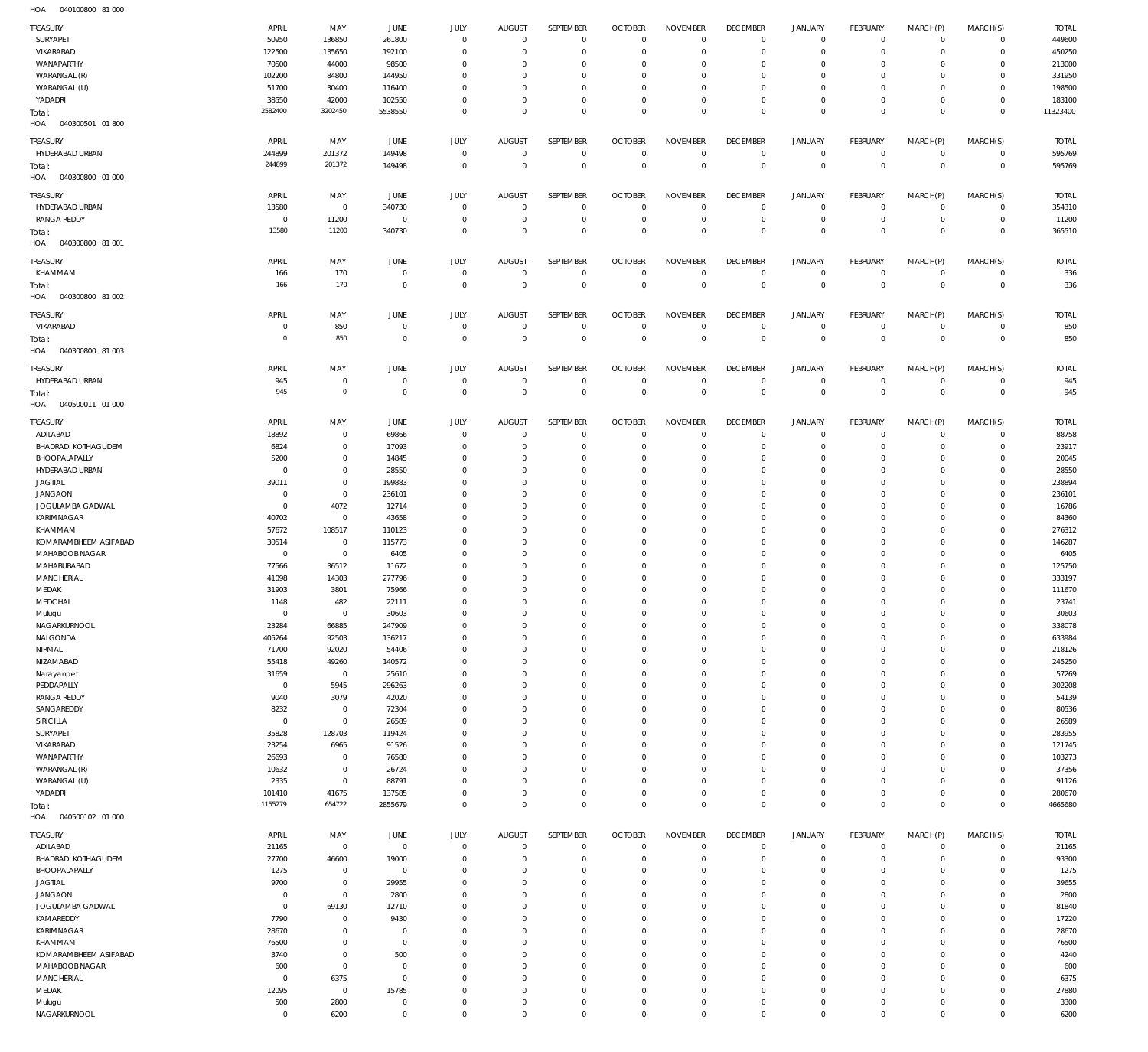040100800 81 000 HOA

| TREASURY                | APRIL               | MAY          | JUNE                       | <b>JULY</b>                | <b>AUGUST</b>              | SEPTEMBER              | <b>OCTOBER</b>   | <b>NOVEMBER</b>                    | <b>DECEMBER</b>            | <b>JANUARY</b>   | FEBRUARY               | MARCH(P)                   | MARCH(S)                   | <b>TOTAL</b> |
|-------------------------|---------------------|--------------|----------------------------|----------------------------|----------------------------|------------------------|------------------|------------------------------------|----------------------------|------------------|------------------------|----------------------------|----------------------------|--------------|
| SURYAPET                | 50950               | 136850       | 261800                     | $\mathbf 0$                | $\mathbf 0$                | $\bf 0$                | $\overline{0}$   | $\mathbf 0$                        | $\mathbf 0$                | $\circ$          | $\overline{0}$         | $\mathbf 0$                | $\mathbf 0$                | 449600       |
| VIKARABAD               | 122500              | 135650       | 192100                     | $\mathbf 0$                | $^{\circ}$                 | $\mathbf 0$            | $\mathbf 0$      | $\mathbf 0$                        | $\mathbf 0$                | $\mathbf 0$      | $\overline{0}$         | $\mathbf 0$                | $\mathbf 0$                | 450250       |
|                         |                     |              |                            |                            |                            |                        |                  |                                    |                            |                  |                        |                            |                            |              |
| WANAPARTHY              | 70500               | 44000        | 98500                      | $\mathbf 0$                | 0                          | 0                      | $\mathbf 0$      | $\mathbf 0$                        | $\mathbf 0$                | 0                | $\overline{0}$         | 0                          | $\mathbf 0$                | 213000       |
| WARANGAL (R)            | 102200              | 84800        | 144950                     | $\mathbf 0$                | $^{\circ}$                 | $\mathbf 0$            | $\mathbf 0$      | $\mathbf 0$                        | $\mathbf 0$                | $\mathbf 0$      | $\mathbf{0}$           | 0                          | $\mathbf 0$                | 331950       |
| WARANGAL (U)            | 51700               | 30400        | 116400                     | $^{\circ}$                 | $^{\circ}$                 | $\mathbf 0$            | $\mathbf 0$      | $\mathbf 0$                        | $\mathbf 0$                | 0                | $\overline{0}$         | 0                          | $\mathbf 0$                | 198500       |
| YADADRI                 | 38550               | 42000        | 102550                     | $\mathbf 0$                | $^{\circ}$                 | $\mathbf 0$            | $\mathbf 0$      | $\mathbf 0$                        | $\mathbf 0$                | 0                | $\mathbf{0}$           | $\mathbf 0$                | $\mathbf 0$                | 183100       |
|                         | 2582400             | 3202450      | 5538550                    | $\mathbf 0$                | $\Omega$                   | $\mathbf 0$            | $\overline{0}$   | $\mathbf 0$                        | $\overline{0}$             | $\mathbf 0$      | $\overline{0}$         | $\mathbf 0$                | $\overline{0}$             | 11323400     |
| Total:                  |                     |              |                            |                            |                            |                        |                  |                                    |                            |                  |                        |                            |                            |              |
| HOA<br>040300501 01800  |                     |              |                            |                            |                            |                        |                  |                                    |                            |                  |                        |                            |                            |              |
| TREASURY                | APRIL               | MAY          | JUNE                       | <b>JULY</b>                | <b>AUGUST</b>              | SEPTEMBER              | <b>OCTOBER</b>   | <b>NOVEMBER</b>                    | <b>DECEMBER</b>            | <b>JANUARY</b>   | FEBRUARY               | MARCH(P)                   |                            | <b>TOTAL</b> |
|                         |                     |              |                            |                            |                            |                        |                  |                                    |                            |                  |                        |                            | MARCH(S)                   |              |
| HYDERABAD URBAN         | 244899              | 201372       | 149498                     | $^{\circ}$                 | $\overline{0}$             | $\mathbf 0$            | $\overline{0}$   | $\mathbf 0$                        | $\overline{0}$             | $\mathbf 0$      | $\overline{0}$         | $\mathbf{0}$               | $\overline{0}$             | 595769       |
| Total:                  | 244899              | 201372       | 149498                     | $\mathbf 0$                | $\overline{0}$             | $\mathbf 0$            | $\overline{0}$   | $\overline{0}$                     | $\overline{0}$             | $\overline{0}$   | $\overline{0}$         | $\overline{0}$             | $\mathbf 0$                | 595769       |
| HOA<br>040300800 01 000 |                     |              |                            |                            |                            |                        |                  |                                    |                            |                  |                        |                            |                            |              |
|                         |                     |              |                            |                            |                            |                        |                  |                                    |                            |                  |                        |                            |                            |              |
| TREASURY                | APRIL               | MAY          | JUNE                       | <b>JULY</b>                | <b>AUGUST</b>              | SEPTEMBER              | <b>OCTOBER</b>   | <b>NOVEMBER</b>                    | <b>DECEMBER</b>            | <b>JANUARY</b>   | FEBRUARY               | MARCH(P)                   | MARCH(S)                   | <b>TOTAL</b> |
| HYDERABAD URBAN         | 13580               | $\mathbf 0$  | 340730                     | $\mathbf 0$                | $\overline{0}$             | 0                      | $\overline{0}$   | $\mathbf 0$                        | $\mathbf 0$                | 0                | $\overline{0}$         | 0                          | $\mathbf 0$                | 354310       |
|                         |                     |              |                            |                            |                            |                        |                  |                                    |                            |                  |                        |                            |                            |              |
| <b>RANGA REDDY</b>      | $\mathbf 0$         | 11200        | $\mathbf 0$                | $\mathbf 0$                | $^{\circ}$                 | $\mathbb O$            | $\overline{0}$   | $\mathbf 0$                        | $\overline{0}$             | $\mathbf 0$      | $\overline{0}$         | $\mathbf{0}$               | $\overline{0}$             | 11200        |
| Total:                  | 13580               | 11200        | 340730                     | $\mathbf 0$                | $\overline{0}$             | $\mathbb O$            | $\overline{0}$   | $\mathbf 0$                        | $\overline{0}$             | $\mathbf 0$      | $\overline{0}$         | $\mathbf 0$                | $\overline{0}$             | 365510       |
| HOA<br>040300800 81 001 |                     |              |                            |                            |                            |                        |                  |                                    |                            |                  |                        |                            |                            |              |
|                         |                     |              |                            |                            |                            |                        |                  |                                    |                            |                  |                        |                            |                            |              |
| TREASURY                | APRIL               | MAY          | JUNE                       | JULY                       | <b>AUGUST</b>              | SEPTEMBER              | <b>OCTOBER</b>   | <b>NOVEMBER</b>                    | <b>DECEMBER</b>            | <b>JANUARY</b>   | FEBRUARY               | MARCH(P)                   | MARCH(S)                   | <b>TOTAL</b> |
| KHAMMAM                 | 166                 | 170          | $\mathbf 0$                | $\mathbf 0$                | $^{\circ}$                 | $\bf 0$                | $\overline{0}$   | $\mathbf 0$                        | $\mathbf 0$                | $\mathbf 0$      | $\circ$                | $\mathbf 0$                | $\overline{0}$             | 336          |
| Total:                  | 166                 | 170          | $\mathbf 0$                | $\mathbf 0$                | $\overline{0}$             | $\mathbf 0$            | $\overline{0}$   | $\overline{0}$                     | $\overline{0}$             | $\mathbf 0$      | $\overline{0}$         | $\overline{0}$             | $\mathbf 0$                | 336          |
|                         |                     |              |                            |                            |                            |                        |                  |                                    |                            |                  |                        |                            |                            |              |
| HOA<br>040300800 81 002 |                     |              |                            |                            |                            |                        |                  |                                    |                            |                  |                        |                            |                            |              |
| TREASURY                | APRIL               | MAY          | JUNE                       | JULY                       | <b>AUGUST</b>              | SEPTEMBER              | <b>OCTOBER</b>   | <b>NOVEMBER</b>                    | <b>DECEMBER</b>            | <b>JANUARY</b>   | FEBRUARY               | MARCH(P)                   | MARCH(S)                   | <b>TOTAL</b> |
|                         |                     |              |                            |                            |                            |                        |                  |                                    |                            |                  |                        |                            |                            |              |
| VIKARABAD               | 0                   | 850          | $\circ$                    | $\mathbf 0$                | $\mathbf 0$                | $\bf 0$                | $\overline{0}$   | $\mathbf 0$                        | $\overline{0}$             | $\circ$          | $\overline{0}$         | $\mathbf 0$                | $\overline{0}$             | 850          |
| Total:                  | $^{\circ}$          | 850          | $\,0\,$                    | $\mathbf 0$                | $\overline{0}$             | $\mathbf 0$            | $\overline{0}$   | $\mathbf 0$                        | $\overline{0}$             | $\mathbf 0$      | $\overline{0}$         | $\overline{0}$             | $\mathbf 0$                | 850          |
| HOA<br>040300800 81 003 |                     |              |                            |                            |                            |                        |                  |                                    |                            |                  |                        |                            |                            |              |
|                         |                     |              |                            |                            |                            |                        |                  |                                    |                            |                  |                        |                            |                            |              |
| TREASURY                | APRIL               | MAY          | JUNE                       | JULY                       | <b>AUGUST</b>              | SEPTEMBER              | <b>OCTOBER</b>   | <b>NOVEMBER</b>                    | <b>DECEMBER</b>            | <b>JANUARY</b>   | FEBRUARY               | MARCH(P)                   | MARCH(S)                   | <b>TOTAL</b> |
| HYDERABAD URBAN         | 945                 | $\mathbf 0$  | $\mathbf 0$                | $\mathbf 0$                | $^{\circ}$                 | 0                      | $\overline{0}$   | $\mathbf 0$                        | $\mathbf 0$                | $\mathbf 0$      | $\overline{0}$         | $\mathbf 0$                | $\overline{0}$             | 945          |
|                         | 945                 | $\mathbf 0$  |                            |                            |                            | $\mathbf 0$            |                  | $\overline{0}$                     | $\overline{0}$             | $\overline{0}$   |                        |                            |                            |              |
| Total:                  |                     |              | $\mathbf 0$                | $\mathbf 0$                | $\mathbf 0$                |                        | $\mathbb O$      |                                    |                            |                  | $\overline{0}$         | $\overline{0}$             | $\mathbf 0$                | 945          |
| HOA<br>040500011 01 000 |                     |              |                            |                            |                            |                        |                  |                                    |                            |                  |                        |                            |                            |              |
|                         |                     |              |                            |                            |                            |                        |                  |                                    |                            |                  |                        |                            |                            |              |
| TREASURY                | APRIL               | MAY          | JUNE                       | <b>JULY</b>                | <b>AUGUST</b>              | SEPTEMBER              | <b>OCTOBER</b>   | <b>NOVEMBER</b>                    | <b>DECEMBER</b>            | <b>JANUARY</b>   | FEBRUARY               | MARCH(P)                   | MARCH(S)                   | <b>TOTAL</b> |
| ADILABAD                | 18892               | $\mathbf 0$  | 69866                      | $\mathbb O$                | $^{\circ}$                 | 0                      | $\overline{0}$   | $\mathbf 0$                        | $\mathbf 0$                | $\circ$          | $\overline{0}$         | $\mathbf 0$                | $\overline{0}$             | 88758        |
| BHADRADI KOTHAGUDEM     | 6824                | $\mathbf 0$  | 17093                      | $\mathbf 0$                | $^{\circ}$                 | $\bf 0$                | $\mathbf 0$      | $\mathbf 0$                        | $\mathbf 0$                | 0                | $\overline{0}$         | $\mathbf 0$                | $\mathbf 0$                | 23917        |
| BHOOPALAPALLY           | 5200                | $\mathbf 0$  | 14845                      | $\mathbf 0$                | 0                          | $\bf 0$                | $\mathbf 0$      | $\mathbf 0$                        | $\mathbf 0$                | 0                | $\overline{0}$         | $\mathbf 0$                | $\mathbf 0$                | 20045        |
|                         |                     |              |                            |                            |                            |                        |                  |                                    |                            |                  |                        |                            |                            |              |
| HYDERABAD URBAN         | 0                   | $\mathbf 0$  | 28550                      | $\mathbf 0$                | $^{\circ}$                 | $\mathbf 0$            | $\mathbf 0$      | $\mathbf 0$                        | $\mathbf 0$                | 0                | $\mathbf{0}$           | $\Omega$                   | $\mathbf 0$                | 28550        |
| <b>JAGTIAL</b>          | 39011               | $\mathbf 0$  | 199883                     | $\mathbf 0$                | $^{\circ}$                 | $\mathbf 0$            | $\mathbf 0$      | $\mathbf 0$                        | $\mathbf 0$                | $\mathbf 0$      | $\mathbf{0}$           | 0                          | $\mathbf 0$                | 238894       |
| <b>JANGAON</b>          | $\mathbf 0$         | $\mathbf 0$  | 236101                     | $\mathbf 0$                | $^{\circ}$                 | $\bf 0$                | $\mathbf 0$      | $\mathbf 0$                        | $\mathbf 0$                | 0                | $\mathbf{0}$           | 0                          | $\mathbf 0$                | 236101       |
| JOGULAMBA GADWAL        | $^{\circ}$          | 4072         | 12714                      | $\mathbf 0$                | $^{\circ}$                 | $\mathbf 0$            | $\mathbf 0$      | $\mathbf 0$                        | $\mathbf 0$                | $\mathbf 0$      | $\mathbf{0}$           | 0                          | $\mathbf 0$                | 16786        |
|                         |                     |              |                            |                            |                            |                        |                  |                                    |                            |                  |                        |                            |                            |              |
| KARIMNAGAR              | 40702               | $\mathbf 0$  | 43658                      | $\mathbf 0$                | $^{\circ}$                 | $\bf 0$                | $\mathbf 0$      | $\mathbf 0$                        | $\mathbf 0$                | 0                | $\circ$                | 0                          | $\mathbf 0$                | 84360        |
| KHAMMAM                 | 57672               | 108517       | 110123                     | $\mathbf 0$                | $^{\circ}$                 | $\mathbf 0$            | $\mathbf 0$      | $\mathbf 0$                        | $\mathbf 0$                | $\mathbf 0$      | $\mathbf{0}$           | 0                          | $\mathbf 0$                | 276312       |
|                         |                     |              |                            |                            |                            |                        |                  |                                    |                            |                  |                        |                            |                            |              |
|                         |                     |              |                            | $\mathbf 0$                | $^{\circ}$                 | $\mathbf 0$            | $\mathbf 0$      | $\mathbf 0$                        | $\mathbf 0$                | 0                |                        | 0                          | $\mathbf 0$                |              |
| KOMARAMBHEEM ASIFABAD   | 30514               | $\mathbf 0$  | 115773                     |                            |                            |                        |                  |                                    |                            |                  | $\overline{0}$         |                            |                            | 146287       |
| MAHABOOB NAGAR          | $\overline{0}$      | $\mathbf 0$  | 6405                       | $\mathbf 0$                | $^{\circ}$                 | $\mathbf 0$            | $\mathbf 0$      | $\mathbf 0$                        | $\mathbf 0$                | $\mathbf 0$      | $\mathbf{0}$           | $\Omega$                   | $\mathbf 0$                | 6405         |
| MAHABUBABAD             | 77566               | 36512        | 11672                      | $\mathbf 0$                | $\mathbf 0$                | $\mathbf 0$            | $\mathbf 0$      | $\mathbf 0$                        | $\mathbf 0$                | 0                | $\mathbf{0}$           | 0                          | $\mathbf 0$                | 125750       |
| MANCHERIAL              | 41098               | 14303        | 277796                     | $\mathbf 0$                | $^{\circ}$                 | $\mathbf 0$            | $\mathbf 0$      | $\mathbf 0$                        | $\mathbf 0$                | $\mathbf 0$      | $\mathbf{0}$           | 0                          | $\mathbf 0$                | 333197       |
|                         |                     |              |                            | $\mathbf 0$                | $\mathbf 0$                | $\mathbf 0$            | $\mathbf 0$      | $\mathbf 0$                        | $\mathbf 0$                | $\mathbf 0$      | $\mathbf{0}$           | 0                          | $\mathbf 0$                |              |
| MEDAK                   | 31903               | 3801         | 75966                      |                            |                            |                        |                  |                                    |                            |                  |                        |                            |                            | 111670       |
| MEDCHAL                 | 1148                | 482          | 22111                      | $\mathbf 0$                | $\Omega$                   | $\mathbf 0$            | $\mathbf 0$      | $\mathbf 0$                        | $\overline{0}$             | $\mathbf 0$      | $\circ$                | $\mathbf 0$                | $\mathbf 0$                | 23741        |
| Mulugu                  | $\circ$             | $\mathbf 0$  | 30603                      | 0                          | - 0                        | 0                      | 0                | 0                                  | 0                          | 0                | $\mathbf 0$            | $\Omega$                   | $\mathbf 0$                | 30603        |
| NAGARKURNOOL            | 23284               | 66885        | 247909                     | $\mathbb O$                | $\mathbf 0$                | $\mathbb O$            | $\mathbf 0$      | $\mathbf 0$                        | $\mathbf 0$                | 0                | $\overline{0}$         | $\mathbf 0$                | $\mathbf 0$                | 338078       |
| NALGONDA                | 405264              | 92503        | 136217                     | $\mathbf 0$                | $^{\circ}$                 | $\mathbb O$            | $\mathbf 0$      | $\mathbf 0$                        | $\mathbf 0$                | 0                | $\circ$                | $\mathbf 0$                | $\mathbf 0$                | 633984       |
|                         |                     |              |                            | $\mathbf 0$                | $^{\circ}$                 | $\mathbf 0$            | $\mathbf 0$      | $\mathbf 0$                        |                            | $\mathbf 0$      | $\mathbf{0}$           | $\mathbf 0$                | $\mathbf 0$                |              |
| NIRMAL                  | 71700               | 92020        | 54406                      |                            |                            |                        |                  |                                    | $\mathbf 0$                |                  |                        |                            |                            | 218126       |
| NIZAMABAD               | 55418               | 49260        | 140572                     | $\mathbf 0$                | $^{\circ}$                 | $\mathbb O$            | $\mathbf 0$      | $\mathbf 0$                        | $\mathbf 0$                | 0                | $\circ$                | 0                          | $\mathbf 0$                | 245250       |
| Narayanpet              | 31659               | $\mathbf 0$  | 25610                      | $\mathbf 0$                | $^{\circ}$                 | $\mathbf 0$            | $\mathbf 0$      | $\mathbf 0$                        | $\mathbf 0$                | $\mathbf 0$      | $\mathbf{0}$           | $\mathbf 0$                | $\mathbf 0$                | 57269        |
| PEDDAPALLY              | $\overline{0}$      | 5945         | 296263                     | $\mathbf 0$                | $^{\circ}$                 | $\mathbb O$            | $\mathbf 0$      | $\mathbf 0$                        | $\mathbf 0$                | 0                | $\circ$                | 0                          | $\mathbf 0$                | 302208       |
| <b>RANGA REDDY</b>      | 9040                | 3079         | 42020                      | $\mathbf 0$                | $^{\circ}$                 | $\mathbf 0$            | $\mathbf 0$      | $\mathbf 0$                        | $\mathbf 0$                | $\mathbf 0$      | $\mathbf{0}$           | $\Omega$                   | $\mathbf 0$                | 54139        |
|                         |                     |              |                            | $\mathbf 0$                | $^{\circ}$                 | $\mathbf 0$            | $\mathbf 0$      | $\mathbf 0$                        | $\mathbf 0$                | 0                | $\mathbf{0}$           | 0                          | $\mathbf 0$                |              |
| SANGAREDDY              | 8232                | $\mathbf 0$  | 72304                      |                            |                            |                        |                  |                                    |                            |                  |                        |                            |                            | 80536        |
| SIRICILLA               | $\mathbf 0$         | $\mathsf 0$  | 26589                      | $\mathbf 0$                | $^{\circ}$                 | $\mathbf 0$            | $\mathbf 0$      | $\mathbf 0$                        | $\mathbf 0$                | $\mathbf 0$      | $\mathbf{0}$           | 0                          | $\mathbf 0$                | 26589        |
| SURYAPET                | 35828               | 128703       | 119424                     | $\mathbf 0$                | $^{\circ}$                 | $\mathbf 0$            | $\mathbf 0$      | $\mathbf 0$                        | $\mathbf 0$                | 0                | $\mathbf{0}$           | $\Omega$                   | $\mathbf 0$                | 283955       |
| VIKARABAD               | 23254               | 6965         | 91526                      | $\mathbf 0$                | $^{\circ}$                 | $\mathbf 0$            | $\mathbf 0$      | $\mathbf 0$                        | $\mathbf 0$                | $\mathbf 0$      | $\mathbf{0}$           | 0                          | $\mathbf 0$                | 121745       |
| WANAPARTHY              | 26693               | $\mathbf 0$  | 76580                      | $\mathbf 0$                | $^{\circ}$                 | $\mathbf 0$            | $\mathbf 0$      | $\mathbf 0$                        | $\mathbf 0$                | 0                | $\mathbf{0}$           | $\Omega$                   | $\mathbf 0$                | 103273       |
|                         |                     |              |                            |                            |                            |                        |                  |                                    |                            |                  |                        |                            |                            |              |
| WARANGAL (R)            | 10632               | $\mathbf 0$  | 26724                      | $\mathbf 0$                | $^{\circ}$                 | $\mathbf 0$            | $\mathbf 0$      | $\mathbf 0$                        | $\mathbf 0$                | $\mathbf 0$      | $\mathbf{0}$           | 0                          | $\mathbf 0$                | 37356        |
| WARANGAL (U)            | 2335                | $\mathbf 0$  | 88791                      | $\mathbf 0$                | $^{\circ}$                 | $\bf 0$                | $\mathbf 0$      | $\mathbf 0$                        | $\mathbf 0$                | 0                | $\mathbf{0}$           | 0                          | $\mathbf 0$                | 91126        |
| YADADRI                 | 101410              | 41675        | 137585                     | $\mathbf 0$                | $\mathbf 0$                | $\mathbb O$            | $\mathbf 0$      | $\mathbf 0$                        | $\overline{0}$             | $\mathbf 0$      | $\circ$                | $\mathbf 0$                | $\overline{0}$             | 280670       |
| Total:                  | 1155279             | 654722       | 2855679                    | $\mathbb O$                | $\overline{0}$             | $\mathbb O$            | $\mathbf 0$      | $\bf 0$                            | $\overline{0}$             | $\mathbf 0$      | $\overline{0}$         | $\mathbf 0$                | $\overline{0}$             | 4665680      |
| HOA<br>040500102 01 000 |                     |              |                            |                            |                            |                        |                  |                                    |                            |                  |                        |                            |                            |              |
|                         |                     |              |                            |                            |                            |                        |                  |                                    |                            |                  |                        |                            |                            |              |
| TREASURY                | APRIL               | MAY          | JUNE                       | JULY                       | <b>AUGUST</b>              | SEPTEMBER              | <b>OCTOBER</b>   | <b>NOVEMBER</b>                    | <b>DECEMBER</b>            | <b>JANUARY</b>   | FEBRUARY               | MARCH(P)                   | MARCH(S)                   | <b>TOTAL</b> |
| ADILABAD                | 21165               | $\mathbf 0$  | $\mathbf 0$                | $\mathbf 0$                | $\mathbf 0$                | $\mathbf 0$            | $\overline{0}$   | $\mathbf 0$                        | $\mathbf 0$                | $\circ$          | $\overline{0}$         | $\mathbf{0}$               | $\mathbf 0$                | 21165        |
|                         |                     |              |                            |                            |                            |                        |                  |                                    |                            |                  |                        |                            |                            |              |
| BHADRADI KOTHAGUDEM     | 27700               | 46600        | 19000                      | $\mathbf 0$                | 0                          | $\bf 0$                | 0                | $\mathbf 0$                        | $\mathbf 0$                | $\mathbf 0$      | $\circ$                | $\mathbf 0$                | $\overline{0}$             | 93300        |
| BHOOPALAPALLY           | 1275                | $\mathbf 0$  | $\mathbf 0$                | $\mathbf 0$                | $^{\circ}$                 | $\mathbf 0$            | $\mathbf 0$      | $\mathbf 0$                        | $\mathbf 0$                | $\mathbf 0$      | $\mathbf{0}$           | $\Omega$                   | $\mathbf 0$                | 1275         |
| <b>JAGTIAL</b>          | 9700                | $\mathbf 0$  | 29955                      | $\mathbf 0$                | $\Omega$                   | $\mathbf 0$            | $\mathbf 0$      | $\Omega$                           | $\mathbf 0$                | $\mathbf 0$      | $\mathbf{0}$           | $\Omega$                   | $\mathbf 0$                | 39655        |
| <b>JANGAON</b>          | $\overline{0}$      | $\mathbf 0$  | 2800                       | $\Omega$                   | $\Omega$                   | $\mathbf 0$            | $\mathbf 0$      | $\Omega$                           | $\mathbf 0$                | $\mathbf 0$      | $\mathbf{0}$           | $\Omega$                   | $\mathbf 0$                | 2800         |
|                         |                     |              |                            |                            |                            |                        |                  |                                    |                            |                  |                        |                            |                            |              |
| JOGULAMBA GADWAL        | $^{\circ}$          | 69130        | 12710                      | $\Omega$                   | $\Omega$                   | $\mathbf 0$            | $\mathbf 0$      | $\Omega$                           | $\mathbf 0$                | $\mathbf 0$      | $\mathbf{0}$           | $\Omega$                   | $\mathbf 0$                | 81840        |
| KAMAREDDY               | 7790                | $\mathbf 0$  | 9430                       | $\Omega$                   | $\mathbf 0$                | $\mathbf 0$            | $\mathbf 0$      | $\mathbf 0$                        | $\mathbf 0$                | $\mathbf 0$      | $\mathbf{0}$           | $\Omega$                   | $\mathbf 0$                | 17220        |
| KARIMNAGAR              | 28670               | $\mathbf 0$  | 0                          | $\Omega$                   | $\Omega$                   | $\mathbf 0$            | $\mathbf 0$      | $\Omega$                           | $\mathbf 0$                | $\mathbf 0$      | $\mathbf{0}$           | $\Omega$                   | $\mathbf 0$                | 28670        |
| KHAMMAM                 | 76500               | $\mathbf 0$  | $\overline{0}$             | $\mathbf 0$                | $\mathbf 0$                | $\mathbf 0$            | $\mathbf 0$      | $\mathbf 0$                        | $\mathbf 0$                | $\mathbf 0$      | $\mathbf{0}$           | $\mathbf 0$                | $\mathbf 0$                | 76500        |
|                         |                     |              |                            |                            |                            |                        |                  |                                    |                            |                  |                        |                            |                            |              |
| KOMARAMBHEEM ASIFABAD   | 3740                | $\mathbf 0$  | 500                        | $\Omega$                   | $\Omega$                   | $\mathbf 0$            | $\mathbf 0$      | $\Omega$                           | $\mathbf 0$                | $\mathbf 0$      | $\mathbf 0$            | $\Omega$                   | $\mathbf 0$                | 4240         |
| MAHABOOB NAGAR          | 600                 | $\mathbf 0$  | $^{\circ}$                 | $\mathbf 0$                | $\Omega$                   | $\mathbf 0$            | $\mathbf 0$      | $\mathbf 0$                        | $\mathbf 0$                | $\mathbf 0$      | $\mathbf{0}$           | $\Omega$                   | $\mathbf 0$                | 600          |
| MANCHERIAL              | $\overline{0}$      | 6375         | $\circ$                    | $\Omega$                   | $\Omega$                   | $\mathbf 0$            | $\mathbf 0$      | $\Omega$                           | $\mathbf 0$                | $\mathbf 0$      | $\mathbf 0$            | $\Omega$                   | $\mathbf 0$                | 6375         |
| MEDAK                   | 12095               | $\mathbf 0$  | 15785                      | $\Omega$                   | $\Omega$                   | $\mathbf 0$            | $\mathbf 0$      | $\mathbf 0$                        | $\mathbf 0$                | $\mathbf 0$      | $\mathbf{0}$           | $\mathbf 0$                | $\mathbf 0$                | 27880        |
|                         |                     |              |                            |                            |                            |                        |                  |                                    |                            |                  |                        |                            |                            |              |
| Mulugu<br>NAGARKURNOOL  | 500<br>$\mathbf{0}$ | 2800<br>6200 | $\mathbf 0$<br>$\mathbf 0$ | $\mathbf 0$<br>$\mathbf 0$ | $\mathbf 0$<br>$\mathbf 0$ | $\bf 0$<br>$\mathbf 0$ | 0<br>$\mathbf 0$ | $\mathbf 0$<br>$\mathsf{O}\xspace$ | $\mathbf 0$<br>$\mathbf 0$ | 0<br>$\mathbf 0$ | $\circ$<br>$\mathbf 0$ | $\mathbf 0$<br>$\mathbf 0$ | $\mathbf 0$<br>$\mathbf 0$ | 3300<br>6200 |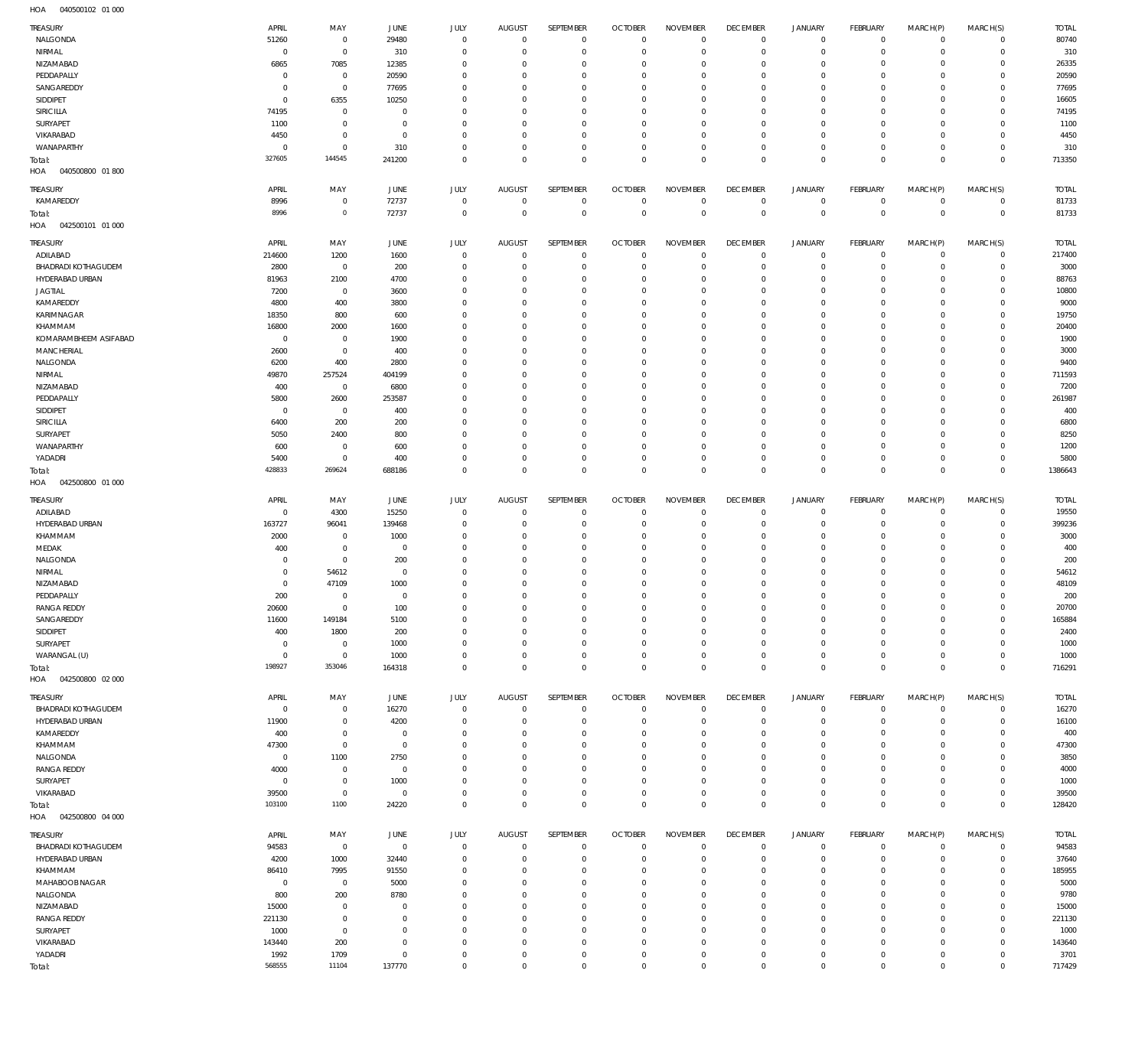| TREASURY                          | APRIL                    | MAY                        | JUNE                     | JULY                        | <b>AUGUST</b>               | <b>SEPTEMBER</b>           | <b>OCTOBER</b>                   | <b>NOVEMBER</b>                | <b>DECEMBER</b>            | <b>JANUARY</b>                | FEBRUARY                   | MARCH(P)                | MARCH(S)                   | <b>TOTAL</b>          |
|-----------------------------------|--------------------------|----------------------------|--------------------------|-----------------------------|-----------------------------|----------------------------|----------------------------------|--------------------------------|----------------------------|-------------------------------|----------------------------|-------------------------|----------------------------|-----------------------|
| NALGONDA                          | 51260                    | $\mathbf 0$                | 29480                    | $\mathbf 0$                 | $\overline{0}$              | $\mathbf 0$                | $\overline{0}$                   | $\mathbf 0$                    | $\mathbf 0$                | $\mathbf 0$                   | $\mathbf{0}$               | $\mathbf 0$             | $\mathbf{0}$               | 80740                 |
| NIRMAL                            | $^{\circ}$               | $\mathbf 0$                | 310                      | $\mathbf 0$                 | $^{\circ}$                  | $\mathbf 0$                | $\mathbf 0$                      | $\mathbf 0$                    | $\mathbf 0$                | $\mathbf 0$                   | $\mathbf{0}$               | $\circ$                 | $\mathbf{0}$               | 310                   |
| NIZAMABAD                         | 6865                     | 7085                       | 12385                    | $^{\circ}$                  | $^{\circ}$                  | $\mathbf 0$                | $\mathbf 0$                      | $\mathbf 0$                    | $\mathbf 0$                | $\mathbf 0$                   | $\mathbf 0$                | $\mathbf 0$             | $\mathbf 0$                | 26335                 |
| PEDDAPALLY<br>SANGAREDDY          | $^{\circ}$<br>$^{\circ}$ | $\mathbf 0$<br>$\mathbf 0$ | 20590<br>77695           | $^{\circ}$<br>$^{\circ}$    | $^{\circ}$<br>$^{\circ}$    | $\mathbf 0$<br>$\mathbf 0$ | $\mathbf 0$<br>$\mathbf 0$       | $\mathbf 0$<br>$\mathbf 0$     | $\mathbf 0$<br>$\mathbf 0$ | $\mathbf 0$<br>$\mathbf 0$    | $\mathbf 0$<br>$\mathbf 0$ | $\mathbf 0$<br>$\Omega$ | $\mathbf 0$<br>$\mathbf 0$ | 20590<br>77695        |
| SIDDIPET                          | $^{\circ}$               | 6355                       | 10250                    | $^{\circ}$                  | $^{\circ}$                  | $\mathbf 0$                | $\mathbf 0$                      | $\mathbf 0$                    | $\mathbf 0$                | $\mathbf 0$                   | $\mathbf 0$                | $\Omega$                | $\mathbf 0$                | 16605                 |
| SIRICILLA                         | 74195                    | $\mathbf 0$                | 0                        | $^{\circ}$                  | $^{\circ}$                  | $\mathbf 0$                | $\mathbf 0$                      | $\mathbf 0$                    | $\mathbf 0$                | $\mathbf 0$                   | $\mathbf 0$                | $\mathbf 0$             | $\mathbf 0$                | 74195                 |
| SURYAPET                          | 1100                     | $\mathbf 0$                | 0                        | $^{\circ}$                  | $^{\circ}$                  | $\mathbf 0$                | $\mathbf 0$                      | $\mathbf 0$                    | $\mathbf 0$                | $\mathbf 0$                   | $\mathbf 0$                | $\Omega$                | $\mathbf 0$                | 1100                  |
| VIKARABAD                         | 4450                     | $\mathbf 0$                | 0                        | $\mathbf 0$                 | $^{\circ}$                  | $\mathbf 0$                | $\mathbf 0$                      | $\mathbf 0$                    | $\mathbf 0$                | $\mathbf 0$                   | $\mathbf 0$                | $\mathbf 0$             | $\mathbf 0$                | 4450                  |
| WANAPARTHY                        | $^{\circ}$               | $\mathbf 0$                | 310                      | $\mathbf 0$                 | $^{\circ}$                  | $\mathbf 0$                | $\mathbf 0$                      | $\mathbf 0$                    | $\mathbf 0$                | $\mathbf 0$                   | $\mathbf 0$                | $\mathbf 0$             | $\mathbf 0$                | 310                   |
| Total:<br>HOA<br>040500800 01800  | 327605                   | 144545                     | 241200                   | $\mathbf 0$                 | $\mathbf 0$                 | $\mathbf 0$                | $\mathbf 0$                      | $\mathbf 0$                    | $\mathbf 0$                | $\mathbf 0$                   | $\overline{0}$             | $\mathbf 0$             | $\overline{0}$             | 713350                |
| TREASURY                          | APRIL                    | MAY                        | JUNE                     | <b>JULY</b>                 | <b>AUGUST</b>               | SEPTEMBER                  | <b>OCTOBER</b>                   | <b>NOVEMBER</b>                | <b>DECEMBER</b>            | JANUARY                       | FEBRUARY                   | MARCH(P)                | MARCH(S)                   | <b>TOTAL</b>          |
| KAMAREDDY                         | 8996                     | $\mathbf 0$                | 72737                    | $\mathbf 0$                 | $^{\circ}$                  | $\mathbf 0$                | $\mathbf 0$                      | $\mathbf 0$                    | $\mathbf 0$                | $\mathbf 0$                   | $\mathbf{0}$               | $\mathbf 0$             | $\mathbf{0}$               | 81733                 |
| Total:<br>HOA<br>042500101 01 000 | 8996                     | $\mathbb O$                | 72737                    | $\mathbf 0$                 | $^{\circ}$                  | $\mathbf 0$                | $\overline{0}$                   | $\mathbf 0$                    | $\overline{0}$             | $\mathbf 0$                   | $\overline{0}$             | $\mathbf 0$             | $\mathbf 0$                | 81733                 |
| TREASURY                          | APRIL                    | MAY                        | JUNE                     | <b>JULY</b>                 | <b>AUGUST</b>               | SEPTEMBER                  | <b>OCTOBER</b>                   | <b>NOVEMBER</b>                | <b>DECEMBER</b>            | <b>JANUARY</b>                | FEBRUARY                   | MARCH(P)                | MARCH(S)                   | <b>TOTAL</b>          |
| ADILABAD                          | 214600                   | 1200                       | 1600                     | $\mathbf 0$                 | $^{\circ}$                  | $\mathbf 0$                | $\mathbf 0$                      | $\mathbf 0$                    | $\mathbf 0$                | $\mathbf 0$                   | $\mathbf{0}$               | $\mathbf 0$             | $\mathbf{0}$               | 217400                |
| <b>BHADRADI KOTHAGUDEM</b>        | 2800                     | $\mathbf 0$                | 200                      | $\mathbf 0$                 | $^{\circ}$                  | $\mathbf 0$                | $\mathbf 0$                      | $\mathbf 0$                    | $\mathbf 0$                | $\mathbf 0$                   | $\mathbf{0}$               | $\mathbf 0$             | $\mathbf{0}$               | 3000                  |
| HYDERABAD URBAN                   | 81963                    | 2100                       | 4700                     | $\mathbf 0$                 | $^{\circ}$                  | $\mathbf 0$                | $\mathbf 0$                      | $\mathbf 0$                    | $\mathbf 0$                | $\mathbf 0$                   | $^{\circ}$                 | $\mathbf 0$             | $\mathbf 0$                | 88763                 |
| <b>JAGTIAL</b>                    | 7200                     | $\mathbf 0$                | 3600                     | $\mathbf 0$                 | $^{\circ}$                  | $\mathbf 0$                | $\mathbf 0$                      | $\mathbf 0$                    | $\mathbf 0$                | $\mathbf 0$                   | $\circ$                    | $\mathbf 0$             | $\mathbf 0$                | 10800                 |
| KAMAREDDY<br>KARIMNAGAR           | 4800<br>18350            | 400<br>800                 | 3800<br>600              | $\mathbf 0$<br>$\mathbf 0$  | $^{\circ}$<br>$^{\circ}$    | $\mathbf 0$<br>$\mathbf 0$ | $\mathbf 0$<br>$\mathbf 0$       | $\mathbf 0$<br>$\mathbf 0$     | $\mathbf 0$<br>$\mathbf 0$ | $\mathbf 0$<br>$\mathbf 0$    | $\mathbf 0$<br>$\mathbf 0$ | $\Omega$<br>$\mathbf 0$ | $\mathbf 0$<br>$\mathbf 0$ | 9000<br>19750         |
| KHAMMAM                           | 16800                    | 2000                       | 1600                     | $\mathbf 0$                 | $^{\circ}$                  | $\mathbf 0$                | $\mathbf 0$                      | $\mathbf 0$                    | $\mathbf 0$                | $\mathbf 0$                   | $\mathbf 0$                | $\Omega$                | $\mathbf 0$                | 20400                 |
| KOMARAMBHEEM ASIFABAD             | $^{\circ}$               | $\mathbf 0$                | 1900                     | $\mathbf 0$                 | $^{\circ}$                  | $\mathbf 0$                | $\mathbf 0$                      | $\mathbf 0$                    | $\mathbf 0$                | $\mathbf 0$                   | $\mathbf 0$                | $\circ$                 | $\mathbf 0$                | 1900                  |
| MANCHERIAL                        | 2600                     | $\mathbf 0$                | 400                      | $\mathbf 0$                 | $^{\circ}$                  | $\mathbf 0$                | $\mathbf 0$                      | $\mathbf 0$                    | $\mathbf 0$                | $\mathbf 0$                   | $\mathbf 0$                | $\Omega$                | $\mathbf 0$                | 3000                  |
| NALGONDA                          | 6200                     | 400                        | 2800                     | $\mathbf 0$                 | $^{\circ}$                  | $\mathbf 0$                | $\mathbf 0$                      | $\mathbf 0$                    | $\mathbf 0$                | $\mathbf 0$                   | $\mathbf 0$                | $\circ$                 | $\mathbf 0$                | 9400                  |
| NIRMAL                            | 49870                    | 257524                     | 404199                   | $\mathbf 0$                 | $^{\circ}$                  | $\mathbf 0$                | $\mathbf 0$                      | $\mathbf 0$                    | $\mathbf 0$                | $\mathbf 0$                   | $\mathbf 0$                | $\Omega$                | $\mathbf 0$                | 711593                |
| NIZAMABAD                         | 400                      | $\mathbf 0$                | 6800                     | $\mathbf 0$                 | $^{\circ}$                  | $\mathbf 0$                | $\mathbf 0$                      | $\mathbf 0$                    | $\mathbf 0$                | $\mathbf 0$                   | $\mathbf 0$                | $\Omega$                | $\mathbf 0$                | 7200                  |
| PEDDAPALLY                        | 5800                     | 2600                       | 253587                   | $^{\circ}$                  | $^{\circ}$                  | $\mathbf 0$                | $\mathbf 0$                      | $\mathbf 0$                    | $\mathbf 0$                | $\mathbf 0$                   | $\mathbf 0$                | $\Omega$                | $\mathbf 0$                | 261987                |
| SIDDIPET                          | $^{\circ}$               | $\mathbf 0$                | 400                      | $^{\circ}$                  | $^{\circ}$                  | $\mathbf 0$                | $\mathbf 0$                      | $\mathbf 0$                    | $\mathbf 0$                | $\mathbf 0$                   | $\mathbf 0$                | $\Omega$                | $\mathbf 0$                | 400                   |
| SIRICILLA                         | 6400                     | 200                        | 200                      | $^{\circ}$                  | $^{\circ}$                  | $\mathbf 0$                | $\mathbf 0$                      | $\mathbf 0$                    | $\mathbf 0$                | $\mathbf 0$<br>$\mathbf 0$    | $\mathbf 0$                | $\Omega$<br>$\Omega$    | $\mathbf 0$<br>$\mathbf 0$ | 6800                  |
| SURYAPET<br>WANAPARTHY            | 5050<br>600              | 2400<br>$\mathbf 0$        | 800<br>600               | $^{\circ}$<br>$\mathbf 0$   | $^{\circ}$<br>$^{\circ}$    | $\mathbf 0$<br>$\mathbf 0$ | $\mathbf 0$<br>$\mathbf 0$       | $\mathbf 0$<br>$\mathbf 0$     | $\mathbf 0$<br>$\mathbf 0$ | $\mathbf 0$                   | $\circ$<br>$\mathbf{0}$    | $\mathbf 0$             | $\mathbf 0$                | 8250<br>1200          |
| YADADRI                           | 5400                     | $\mathbf 0$                | 400                      | $\mathbf 0$                 | $^{\circ}$                  | $\mathbf 0$                | $\mathbf 0$                      | $\mathbf 0$                    | $\mathbf 0$                | $\mathbf 0$                   | $\mathbf 0$                | $\mathbf 0$             | $\mathbf{0}$               | 5800                  |
| Total:                            | 428833                   | 269624                     | 688186                   | $\mathbf 0$                 | $\mathbf 0$                 | $\mathbf 0$                | $\mathbf 0$                      | $\mathbf 0$                    | $\mathbf 0$                | $\mathbf 0$                   | $\overline{0}$             | $\mathbf 0$             | $\overline{0}$             | 1386643               |
| HOA<br>042500800 01 000           |                          |                            |                          |                             |                             |                            |                                  |                                |                            |                               |                            |                         |                            |                       |
| TREASURY                          | APRIL                    | MAY                        | JUNE                     | <b>JULY</b>                 | <b>AUGUST</b>               | SEPTEMBER                  | <b>OCTOBER</b>                   | <b>NOVEMBER</b>                | <b>DECEMBER</b>            | <b>JANUARY</b>                | FEBRUARY                   | MARCH(P)                | MARCH(S)                   | <b>TOTAL</b>          |
| ADILABAD                          | $^{\circ}$               | 4300                       | 15250                    | $^{\circ}$                  | $^{\circ}$                  | $\mathbf 0$                | $\mathbf 0$                      | $\mathbf 0$                    | $\mathbf 0$                | $\mathbf 0$                   | $\mathbf 0$                | 0                       | $^{\circ}$                 | 19550                 |
| HYDERABAD URBAN                   | 163727                   | 96041                      | 139468                   | $\mathbf 0$                 | $^{\circ}$                  | $\mathbf 0$                | $\mathbf 0$                      | $\mathbf 0$                    | $\mathbf 0$                | $\mathbf 0$                   | $\mathbf 0$                | $\Omega$                | $\mathbf 0$                | 399236                |
| KHAMMAM                           | 2000                     | $\mathbf 0$                | 1000                     | $^{\circ}$                  | $^{\circ}$                  | $\mathbf 0$                | $\mathbf 0$                      | $\mathbf 0$                    | $\mathbf 0$                | $\mathbf 0$                   | $\mathbf 0$                | 0                       | $\mathbf 0$                | 3000                  |
| MEDAK                             | 400                      | $\mathbf 0$                | 0                        | $^{\circ}$                  | $^{\circ}$                  | $\mathbf 0$                | $\mathbf 0$                      | $\mathbf 0$                    | $\mathbf 0$                | $\mathbf 0$                   | $\mathbf 0$                | $\Omega$                | $\mathbf 0$                | 400                   |
| NALGONDA                          | 0                        | $\mathbf 0$                | 200                      | $\mathbf 0$                 | $^{\circ}$                  | $\mathbf 0$                | $\mathbf 0$                      | $\mathbf 0$                    | $\mathbf 0$                | $\mathbf 0$                   | $\mathbf 0$                | $\Omega$                | $\mathbf 0$                | 200                   |
| NIRMAL                            | 0                        | 54612                      | $^{\circ}$               | $^{\circ}$                  | $^{\circ}$                  | $\mathbf 0$                | $\mathbf 0$                      | $\mathbf 0$                    | $\mathbf 0$                | $\mathbf 0$                   | $\mathbf 0$                | 0                       | $\mathbf 0$                | 54612                 |
| NIZAMABAD<br>PEDDAPALLY           | 0<br>200                 | 47109<br>$\mathbf 0$       | 1000<br>$\mathbf 0$      | $\mathbf{0}$<br>$\mathbf 0$ | $^{\circ}$<br>$\mathbf{0}$  | $\mathbf 0$<br>$\mathbf 0$ | $\mathbf 0$<br>$\mathbf 0$       | $\mathbf 0$<br>$\mathbf 0$     | $\mathbf 0$<br>$\mathbf 0$ | $\mathbf 0$<br>$\mathbf 0$    | $\mathbf 0$<br>$\mathbf 0$ | $\Omega$<br>$\Omega$    | $\mathbf 0$<br>$\mathbf 0$ | 48109<br>200          |
| <b>RANGA REDDY</b>                | 20600                    | $\mathbf{0}$               | 100                      | $\Omega$                    | $\Omega$                    | $\Omega$                   | $\Omega$                         | $\Omega$                       | $\Omega$                   | $\Omega$                      | $\Omega$                   | $\Omega$                | $\Omega$                   | 20700                 |
| SANGAREDDY                        | 11600                    | 149184                     | 5100                     | $\mathbf 0$                 | $\mathbf{0}$                | $\mathbf 0$                | $\mathbf 0$                      | $\mathbf 0$                    | $\mathbf 0$                | $\mathbf 0$                   | $\mathbf 0$                | $\mathbf 0$             | $\mathbf 0$                | 165884                |
| SIDDIPET                          | 400                      | 1800                       | 200                      | $\mathbf 0$                 | $^{\circ}$                  | $\mathbf 0$                | $\mathbf 0$                      | $\mathbf 0$                    | $\mathbf 0$                | $\mathbf 0$                   | $\mathbf 0$                | $\mathbf 0$             | $\mathbf 0$                | 2400                  |
| SURYAPET                          | $\mathbf 0$              | $\mathbf 0$                | 1000                     | $\mathbf 0$                 | $^{\circ}$                  | $\mathbf 0$                | $\mathbf 0$                      | $\mathbf 0$                    | $\mathbf 0$                | $\mathbf 0$                   | $\mathbf 0$                | $\mathbf 0$             | $\mathbf 0$                | 1000                  |
| WARANGAL (U)                      | $^{\circ}$               | $\mathbf 0$                | 1000                     | $\mathbf 0$                 | $\mathbf{0}$                | $\mathbf 0$                | $\mathbf 0$                      | $\mathbf 0$                    | $\mathbf 0$                | $\mathbf 0$                   | $\mathbf 0$                | $\mathbf 0$             | $\mathbf{0}$               | 1000                  |
| Total:                            | 198927                   | 353046                     | 164318                   | $\mathbf 0$                 | $\mathbf{0}$                | $\mathbf 0$                | $\mathbf 0$                      | $\mathbf 0$                    | $\mathbf 0$                | $\mathbf 0$                   | $\overline{0}$             | $\mathbf 0$             | $\mathbf 0$                | 716291                |
| HOA  042500800  02  000           | APRIL                    |                            |                          |                             |                             | <b>SEPTEMBER</b>           |                                  |                                | <b>DECEMBER</b>            |                               |                            |                         |                            |                       |
| TREASURY<br>BHADRADI KOTHAGUDEM   | $\circ$                  | MAY<br>$\mathbf 0$         | JUNE<br>16270            | JULY<br>$\mathbf 0$         | <b>AUGUST</b><br>$^{\circ}$ | $\mathbf 0$                | <b>OCTOBER</b><br>$\overline{0}$ | <b>NOVEMBER</b><br>$\mathbf 0$ | $\mathbf 0$                | <b>JANUARY</b><br>$\mathbf 0$ | FEBRUARY<br>$\overline{0}$ | MARCH(P)<br>$\mathbf 0$ | MARCH(S)<br>$\mathbf{0}$   | <b>TOTAL</b><br>16270 |
| HYDERABAD URBAN                   | 11900                    | $\mathbf 0$                | 4200                     | $\mathbf 0$                 | $^{\circ}$                  | $\mathbf 0$                | $\mathbf 0$                      | $\mathbf 0$                    | $\mathbf 0$                | $\mathbf 0$                   | $\mathbf{0}$               | $\mathbf 0$             | $\mathbf{0}$               | 16100                 |
| KAMAREDDY                         | 400                      | $\mathbf 0$                | - 0                      | $\mathbf 0$                 | $^{\circ}$                  | $\mathbf 0$                | $\mathbf 0$                      | $\mathbf 0$                    | $\mathbf 0$                | $\mathbf 0$                   | $\mathbf{0}$               | $\mathbf 0$             | $\mathbf{0}$               | 400                   |
| KHAMMAM                           | 47300                    | $\mathbf 0$                | $\overline{0}$           | $^{\circ}$                  | $^{\circ}$                  | $\mathbf 0$                | $\mathbf 0$                      | $\mathbf 0$                    | $\mathbf 0$                | $\mathbf 0$                   | $\mathbf 0$                | $\mathbf 0$             | $\mathbf 0$                | 47300                 |
| NALGONDA                          | $^{\circ}$               | 1100                       | 2750                     | $^{\circ}$                  | $^{\circ}$                  | $\mathbf 0$                | $\mathbf 0$                      | $\mathbf 0$                    | $\mathbf 0$                | $\mathbf 0$                   | $\mathbf{0}$               | $\Omega$                | $\mathbf 0$                | 3850                  |
| <b>RANGA REDDY</b>                | 4000                     | $\mathbf 0$                | $\circ$                  | $\mathbf 0$                 | $^{\circ}$                  | $\mathbf 0$                | $\mathbf 0$                      | $\mathbf 0$                    | $\mathbf 0$                | $\mathbf 0$                   | $\mathbf 0$                | $\mathbf 0$             | $\mathbf{0}$               | 4000                  |
| SURYAPET                          | $^{\circ}$               | $\mathbf 0$                | 1000                     | $\mathbf 0$                 | $^{\circ}$                  | $\mathbf 0$                | $\mathbf 0$                      | $\mathbf 0$                    | $\mathbf 0$                | $\mathbf 0$                   | $\mathbf 0$                | $\circ$                 | $\mathbf 0$                | 1000                  |
| VIKARABAD                         | 39500                    | $\mathbf 0$<br>1100        | $\circ$                  | $\mathbf 0$                 | $\mathbf{0}$                | $\mathbf 0$                | $\mathbf 0$                      | $\mathbf 0$                    | $\mathbf 0$                | $\mathbf 0$                   | $\mathbf{0}$               | $\circ$                 | $\mathbf{0}$               | 39500                 |
| Total:<br>HOA  042500800  04  000 | 103100                   |                            | 24220                    | $\mathbf 0$                 | $\mathbf 0$                 | $\mathbf 0$                | $\overline{0}$                   | $\mathbf 0$                    | $\overline{0}$             | $\mathbf 0$                   | $\overline{0}$             | $\mathbf 0$             | $\overline{0}$             | 128420                |
| TREASURY                          | APRIL                    | MAY                        | JUNE                     | <b>JULY</b>                 | <b>AUGUST</b>               | SEPTEMBER                  | <b>OCTOBER</b>                   | <b>NOVEMBER</b>                | <b>DECEMBER</b>            | <b>JANUARY</b>                | FEBRUARY                   | MARCH(P)                | MARCH(S)                   | <b>TOTAL</b>          |
| BHADRADI KOTHAGUDEM               | 94583                    | $\mathbf 0$                | $\overline{0}$           | $\mathbf 0$                 | $\mathbf{0}$                | $\mathbf 0$                | $\overline{0}$                   | $\mathbf 0$                    | $\mathbf 0$                | $\mathbf 0$                   | $\mathbf{0}$               | $\circ$                 | $^{\circ}$                 | 94583                 |
| HYDERABAD URBAN                   | 4200                     | 1000                       | 32440                    | $\mathbf 0$                 | $^{\circ}$                  | $\mathbf 0$                | $\mathbf 0$                      | $\mathbf 0$                    | $\mathbf 0$                | $\mathbf 0$                   | $\mathbf 0$                | $\circ$                 | $\mathbf{0}$               | 37640                 |
| KHAMMAM                           | 86410                    | 7995                       | 91550                    | $\mathbf 0$                 | $^{\circ}$                  | $\mathbf 0$                | $\mathbf 0$                      | $\mathbf 0$                    | $\mathbf 0$                | $\mathbf 0$                   | $\mathbf 0$                | $\circ$                 | $\mathbf 0$                | 185955                |
| MAHABOOB NAGAR                    | $\mathbf 0$              | $\mathbf 0$                | 5000                     | $\mathbf 0$                 | $^{\circ}$                  | $\mathbf 0$                | $\mathbf 0$                      | $\mathbf 0$                    | $\mathbf 0$                | $\mathbf 0$                   | $\mathbf 0$                | $\circ$                 | $\mathbf 0$                | 5000                  |
| NALGONDA                          | 800                      | 200                        | 8780                     | $\mathbf 0$                 | $^{\circ}$                  | $\mathbf 0$                | $\mathbf 0$                      | $\mathbf 0$                    | $\mathbf 0$                | $\mathbf 0$                   | $\mathbf 0$                | $\Omega$                | $\mathbf 0$                | 9780                  |
| NIZAMABAD<br><b>RANGA REDDY</b>   | 15000                    | $\mathbf 0$                | $^{\circ}$               | $\mathbf 0$                 | $^{\circ}$                  | $\mathbf 0$                | $\mathbf 0$                      | $\mathbf 0$                    | $\mathbf 0$                | $\mathbf 0$                   | $\mathbf 0$                | $\circ$<br>$\Omega$     | $\mathbf 0$<br>$\mathbf 0$ | 15000<br>221130       |
|                                   |                          |                            |                          |                             |                             |                            |                                  |                                |                            |                               |                            |                         |                            |                       |
|                                   | 221130                   | $\mathbf 0$                | $^{\circ}$               | $\mathbf 0$                 | $^{\circ}$                  | $\mathbf 0$                | $\mathbf 0$                      | $\mathbf 0$                    | $\mathbf 0$                | $\mathbf 0$                   | $\circ$                    |                         |                            |                       |
| SURYAPET                          | 1000                     | $\mathbf 0$                | $^{\circ}$<br>$^{\circ}$ | $\mathbf 0$<br>$\mathbf 0$  | $^{\circ}$<br>$^{\circ}$    | $\mathbf 0$<br>$\mathbf 0$ | $\mathbf 0$<br>$\mathbf 0$       | $\mathbf 0$<br>$\mathbf 0$     | $\mathbf 0$<br>$\mathbf 0$ | $\mathbf 0$<br>$\mathbf 0$    | $\mathbf 0$<br>$\mathbf 0$ | $\Omega$<br>$\circ$     | $\mathbf 0$<br>$\mathbf 0$ | 1000                  |
| VIKARABAD<br>YADADRI              | 143440<br>1992           | 200<br>1709                | $\mathbf 0$              | $\mathbf 0$                 | $^{\circ}$                  | $\mathbf 0$                | $\mathbf 0$                      | $\mathbf 0$                    | $\mathbf 0$                | $\mathbf 0$                   | $\mathbf 0$                | $\circ$                 | $\mathbf 0$                | 143640<br>3701        |
| Total:                            | 568555                   | 11104                      | 137770                   | $\mathbf 0$                 | $\mathbf 0$                 | $\mathbf 0$                | $\mathbf 0$                      | $\mathbf 0$                    | $\mathbf 0$                | $\mathbf 0$                   | $\mathbf 0$                | $\mathbf 0$             | $\mathbf 0$                | 717429                |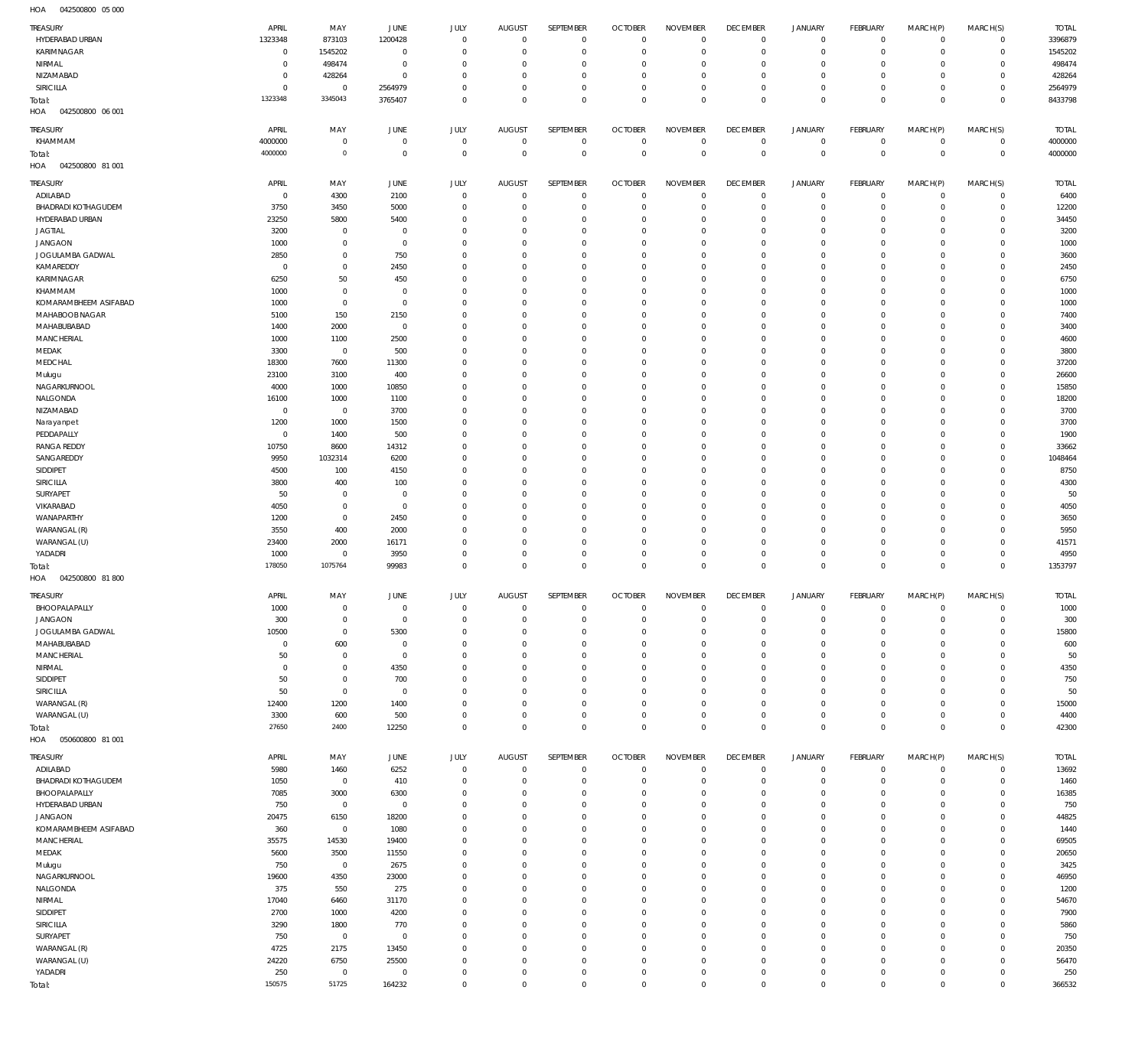| TREASURY                   | APRIL       | MAY            | JUNE           | JULY                          | <b>AUGUST</b>                  | SEPTEMBER                     | <b>OCTOBER</b>                 | <b>NOVEMBER</b>                 | <b>DECEMBER</b>                | <b>JANUARY</b>             | FEBRUARY                       | MARCH(P)                | MARCH(S)               | <b>TOTAL</b> |
|----------------------------|-------------|----------------|----------------|-------------------------------|--------------------------------|-------------------------------|--------------------------------|---------------------------------|--------------------------------|----------------------------|--------------------------------|-------------------------|------------------------|--------------|
| HYDERABAD URBAN            | 1323348     | 873103         | 1200428        | $\mathbf 0$                   | $\overline{0}$                 | $\overline{0}$                | $\mathbb O$                    | $^{\circ}$                      | $\mathbf 0$                    | $\mathbf 0$                | $\overline{0}$                 | $\overline{0}$          | $\mathbf 0$            | 3396879      |
| KARIMNAGAR                 | 0           | 1545202        | $\mathbf 0$    | $\overline{0}$                | $^{\circ}$                     | $\mathbf 0$                   | $^{\circ}$                     | $\overline{0}$                  | $\mathbf 0$                    | $\mathbf 0$                | $\overline{0}$                 | $\mathbf 0$             | $\mathbf 0$            | 1545202      |
| NIRMAL                     | $\bf 0$     | 498474         | $\mathbf 0$    | $\overline{0}$                | $\circ$                        | $\overline{0}$                | $\circ$                        | $^{\circ}$                      | $\mathbf 0$                    | 0                          | $^{\circ}$                     | $\Omega$                | $\mathbf 0$            | 498474       |
| NIZAMABAD                  | $\mathbf 0$ | 428264         | $\mathbf 0$    | $\overline{0}$                | $\Omega$                       | $\overline{0}$                | $\circ$                        | $^{\circ}$                      | $\mathbf 0$                    | $\mathbf 0$                | $^{\circ}$                     | $\Omega$                | $\mathbf 0$            | 428264       |
| SIRICILLA                  | $\mathbf 0$ | $\overline{0}$ | 2564979        | $\overline{0}$                | $\Omega$                       | $\mathbf 0$                   | $^{\circ}$                     | $^{\circ}$                      | $\mathbf 0$                    | $\mathbf 0$                | $\mathbf{0}$                   | $\mathbf 0$             | $\mathbf 0$            | 2564979      |
|                            | 1323348     | 3345043        |                |                               |                                |                               |                                |                                 |                                |                            |                                | $\Omega$                |                        |              |
| Total:                     |             |                | 3765407        | $\overline{0}$                | $\Omega$                       | $\overline{0}$                | $\Omega$                       | $\mathbf{0}$                    | $\mathbf 0$                    | $\mathbf 0$                | $\overline{0}$                 |                         | $\mathbf 0$            | 8433798      |
| HOA<br>042500800 06 001    |             |                |                |                               |                                |                               |                                |                                 |                                |                            |                                |                         |                        |              |
| <b>TREASURY</b>            | APRIL       | MAY            | JUNE           | JULY                          | <b>AUGUST</b>                  | SEPTEMBER                     | <b>OCTOBER</b>                 | <b>NOVEMBER</b>                 | <b>DECEMBER</b>                | <b>JANUARY</b>             | FEBRUARY                       | MARCH(P)                | MARCH(S)               | <b>TOTAL</b> |
| KHAMMAM                    | 4000000     | $\overline{0}$ | $\mathbf 0$    | $\,0\,$                       | $^{\circ}$                     | $\,0\,$                       | $\mathbf 0$                    | $\mathbf 0$                     | $\mathbf 0$                    | $\overline{0}$             | $\overline{0}$                 | $\mathsf 0$             | $\mathbf 0$            | 4000000      |
| Total:                     | 4000000     | $\overline{0}$ | $\mathbf{0}$   | $\mathbf 0$                   | $\Omega$                       | $\mathbb O$                   | $\mathbf{0}$                   | $\mathbf 0$                     | $\overline{0}$                 | $\mathbf 0$                | $\overline{0}$                 | $\mathbf{0}$            | $\overline{0}$         | 4000000      |
| HOA<br>042500800 81 001    |             |                |                |                               |                                |                               |                                |                                 |                                |                            |                                |                         |                        |              |
|                            |             |                |                |                               |                                |                               |                                |                                 |                                |                            |                                |                         |                        |              |
| TREASURY                   | APRIL       | MAY            | <b>JUNE</b>    | JULY                          | <b>AUGUST</b>                  | SEPTEMBER                     | <b>OCTOBER</b>                 | <b>NOVEMBER</b>                 | <b>DECEMBER</b>                | <b>JANUARY</b>             | FEBRUARY                       | MARCH(P)                | MARCH(S)               | <b>TOTAL</b> |
| ADILABAD                   | $\mathbf 0$ | 4300           | 2100           | $\mathbf 0$                   | $\Omega$                       | $\overline{0}$                | $\mathbf{0}$                   | $\overline{0}$                  | $\mathbf 0$                    | $\mathbf 0$                | $\overline{0}$                 | $\mathbf 0$             | $\mathbf 0$            | 6400         |
| <b>BHADRADI KOTHAGUDEM</b> | 3750        | 3450           | 5000           | $\overline{0}$                | $^{\circ}$                     | $\overline{0}$                | $^{\circ}$                     | $\overline{0}$                  | $^{\circ}$                     | $\mathbf 0$                | $\overline{0}$                 | $\mathbf 0$             | $\mathbf 0$            | 12200        |
| HYDERABAD URBAN            | 23250       | 5800           | 5400           | $\Omega$                      | $\Omega$                       | $\overline{0}$                | 0                              | $\overline{0}$                  | $^{\circ}$                     | $\mathbf 0$                | $^{\circ}$                     | $\Omega$                | $\mathbf 0$            | 34450        |
| <b>JAGTIAL</b>             | 3200        | $\overline{0}$ | $^{\circ}$     | $\overline{0}$                | $\Omega$                       | $\overline{0}$                | $\Omega$                       | $^{\circ}$                      | $\mathbf 0$                    | $\mathbf 0$                | $\mathbf{0}$                   | $\Omega$                | $\mathbf 0$            | 3200         |
| <b>JANGAON</b>             | 1000        | $\overline{0}$ | $\mathbf{0}$   | $\overline{0}$                | $\Omega$                       | $\overline{0}$                | $\Omega$                       | $^{\circ}$                      | $\mathbf 0$                    | $\mathbf 0$                | $\mathbf{0}$                   | $\Omega$                | $\circ$                | 1000         |
| JOGULAMBA GADWAL           | 2850        | $\overline{0}$ | 750            | $\overline{0}$                | $\Omega$                       | $\overline{0}$                | $\Omega$                       | $^{\circ}$                      | $\mathbf 0$                    | $\mathbf 0$                | $\mathbf{0}$                   | $\Omega$                | $\mathbf 0$            | 3600         |
| KAMAREDDY                  | $\mathbf 0$ | $\overline{0}$ | 2450           | $\overline{0}$                | $\Omega$                       | $\overline{0}$                | $\Omega$                       | $^{\circ}$                      | $\mathbf 0$                    | $\mathbf 0$                | $\mathbf{0}$                   | $\Omega$                | $\Omega$               | 2450         |
| KARIMNAGAR                 | 6250        | 50             | 450            | $\overline{0}$                | $\Omega$                       | $\overline{0}$                | $\Omega$                       | $^{\circ}$                      | $\mathbf 0$                    | $\mathbf 0$                | $\mathbf{0}$                   | $\Omega$                | $\mathbf 0$            | 6750         |
| KHAMMAM                    | 1000        | $\overline{0}$ | $^{\circ}$     | $\overline{0}$                | $\Omega$                       | $\overline{0}$                | $\Omega$                       | $^{\circ}$                      | $\mathbf 0$                    | $\mathbf 0$                | $\mathbf{0}$                   | $\Omega$                | $\circ$                | 1000         |
| KOMARAMBHEEM ASIFABAD      | 1000        | $\overline{0}$ | $\mathbf{0}$   | $\overline{0}$                | $\Omega$                       | $\overline{0}$                | $\Omega$                       | $^{\circ}$                      | $\mathbf 0$                    | $\mathbf 0$                | $\mathbf{0}$                   | $\Omega$                | $\mathbf 0$            | 1000         |
| MAHABOOB NAGAR             | 5100        | 150            | 2150           | $\overline{0}$                | $\Omega$                       | $\overline{0}$                | $\Omega$                       | $^{\circ}$                      | $\mathbf 0$                    | $\mathbf 0$                | $^{\circ}$                     | $\Omega$                | $\mathbf{0}$           | 7400         |
| MAHABUBABAD                | 1400        | 2000           | $\mathbf{0}$   | $\overline{0}$                | $\Omega$                       | $\overline{0}$                | $\Omega$                       | $^{\circ}$                      | $^{\circ}$                     | $\mathbf 0$                | $\mathbf{0}$                   | $\Omega$                | $\mathbf 0$            | 3400         |
| MANCHERIAL                 | 1000        | 1100           | 2500           | $\overline{0}$                | $\Omega$                       | $\overline{0}$                | $\Omega$                       | $^{\circ}$                      | $\mathbf 0$                    | $\mathbf 0$                | $\mathbf{0}$                   | $\Omega$                | $\circ$                | 4600         |
| MEDAK                      | 3300        | $\overline{0}$ | 500            | $\overline{0}$                | $\Omega$                       | $\overline{0}$                | $\Omega$                       | $^{\circ}$                      | $\mathbf 0$                    | $\mathbf 0$                | $\mathbf{0}$                   | $\Omega$                | $\mathbf 0$            | 3800         |
| MEDCHAL                    | 18300       | 7600           | 11300          | $\overline{0}$                | $\Omega$                       | $\overline{0}$                | $\Omega$                       | $^{\circ}$                      | $\mathbf 0$                    | $\mathbf 0$                | $^{\circ}$                     | $\Omega$                | $\circ$                | 37200        |
| Mulugu                     | 23100       | 3100           | 400            | $\overline{0}$                | $\Omega$                       | $\overline{0}$                | $\Omega$                       | $^{\circ}$                      | $^{\circ}$                     | $\mathbf 0$                | $\mathbf{0}$                   | $\Omega$                | $\mathbf 0$            | 26600        |
| NAGARKURNOOL               | 4000        | 1000           | 10850          | $\overline{0}$                | $\Omega$                       | $\overline{0}$                | $\Omega$                       | $^{\circ}$                      | $\mathbf 0$                    | $\mathbf 0$                | $\mathbf{0}$                   | $\Omega$                | $\circ$                | 15850        |
| NALGONDA                   | 16100       | 1000           | 1100           | $\overline{0}$                | $\Omega$                       | $\overline{0}$                | $\Omega$                       | $^{\circ}$                      | $\mathbf 0$                    | $\mathbf 0$                | $\mathbf{0}$                   | $\Omega$                | $\mathbf 0$            | 18200        |
| NIZAMABAD                  | $\mathbf 0$ | $\overline{0}$ | 3700           | $\overline{0}$                | $\Omega$                       | $\overline{0}$                | $\Omega$                       | $^{\circ}$                      | $\mathbf 0$                    | $\mathbf 0$                | $^{\circ}$                     | $\Omega$                | $\mathbf{0}$           | 3700         |
|                            | 1200        | 1000           | 1500           | $\overline{0}$                | $\Omega$                       | $\overline{0}$                | $\Omega$                       | $^{\circ}$                      | $^{\circ}$                     | $\mathbf 0$                | $\mathbf{0}$                   | $\Omega$                | $\mathbf 0$            | 3700         |
| Narayanpet                 |             |                |                |                               |                                |                               |                                |                                 |                                | $\mathbf 0$                | $\mathbf{0}$                   |                         | $\circ$                |              |
| PEDDAPALLY                 | $\mathbf 0$ | 1400           | 500            | $\overline{0}$                | $\Omega$                       | $\overline{0}$                | $\Omega$                       | $^{\circ}$                      | $\mathbf 0$                    |                            |                                | $\Omega$                |                        | 1900         |
| <b>RANGA REDDY</b>         | 10750       | 8600           | 14312          | $\overline{0}$                | $\Omega$                       | $\overline{0}$                | $\Omega$                       | $^{\circ}$                      | $\mathbf 0$                    | $\mathbf 0$                | $\mathbf{0}$                   | $\Omega$                | $\mathbf 0$            | 33662        |
| SANGAREDDY                 | 9950        | 1032314        | 6200           | $\overline{0}$                | $\Omega$                       | $\overline{0}$                | $\Omega$                       | $^{\circ}$                      | $\mathbf 0$                    | $\mathbf 0$                | $^{\circ}$                     | $\Omega$                | $\circ$                | 1048464      |
| SIDDIPET                   | 4500        | 100            | 4150           | $\overline{0}$                | $\Omega$                       | $\overline{0}$                | $\Omega$                       | $^{\circ}$                      | $^{\circ}$                     | $\mathbf 0$                | $\mathbf{0}$                   | $\Omega$                | $\mathbf 0$            | 8750         |
| SIRICILLA                  | 3800        | 400            | 100            | $\overline{0}$                | $\Omega$                       | $\overline{0}$                | $\Omega$                       | $^{\circ}$                      | $\mathbf 0$                    | $\mathbf 0$                | $\mathbf{0}$                   | $\Omega$                | $\circ$                | 4300         |
| SURYAPET                   | 50          | $\overline{0}$ | $\overline{0}$ | $\overline{0}$                | $\Omega$                       | $\overline{0}$                | $\Omega$                       | $^{\circ}$                      | $\mathbf 0$                    | $\mathbf 0$                | $\mathbf{0}$                   | $\Omega$                | $\mathbf 0$            | 50           |
| VIKARABAD                  | 4050        | $\overline{0}$ | $\mathbf{0}$   | $\overline{0}$                | $\Omega$                       | $\overline{0}$                | $\Omega$                       | $^{\circ}$                      | $\mathbf 0$                    | $\mathbf 0$                | $^{\circ}$                     | $\Omega$                | $\Omega$               | 4050         |
| WANAPARTHY                 | 1200        | $\overline{0}$ | 2450           | $\overline{0}$                | $\Omega$                       | $\overline{0}$                | $\Omega$                       | $^{\circ}$                      | $^{\circ}$                     | $\mathbf 0$                | $\mathbf{0}$                   | $\Omega$                | $\mathbf 0$            | 3650         |
| WARANGAL (R)               | 3550        | 400            | 2000           | $\overline{0}$                | $\Omega$                       | $\overline{0}$                | $\Omega$                       | $^{\circ}$                      | $\mathbf 0$                    | $\mathbf 0$                | $\mathbf{0}$                   | $\Omega$                | $\circ$                | 5950         |
| WARANGAL (U)               | 23400       | 2000           | 16171          | $\overline{0}$                | $\mathbf{0}$                   | $\overline{0}$                | $\Omega$                       | $^{\circ}$                      | $\mathbf 0$                    | $\mathbf 0$                | $\mathbf{0}$                   | $\Omega$                | $\mathbf 0$            | 41571        |
| YADADRI                    | 1000        | $\mathbf 0$    | 3950           | $\mathbf 0$                   | $^{\circ}$                     | $\overline{0}$                | $\circ$                        | $^{\circ}$                      | $\mathbf 0$                    | $\mathbf 0$                | $\circ$                        | 0                       | $\mathbf 0$            | 4950         |
| Total:                     | 178050      | 1075764        | 99983          | $\mathbf 0$                   | $\mathbb O$                    | $\mathbf 0$                   | $\mathbb O$                    | $\mathbf 0$                     | $\mathbf 0$                    | $\mathbf 0$                | $\overline{0}$                 | $\mathbf 0$             | $\mathbf 0$            | 1353797      |
| HOA<br>042500800 81 800    |             |                |                |                               |                                |                               |                                |                                 |                                |                            |                                |                         |                        |              |
| TREASURY                   | APRIL       | MAY            | JUNE           | JULY                          | <b>AUGUST</b>                  | SEPTEMBER                     | <b>OCTOBER</b>                 | <b>NOVEMBER</b>                 | <b>DECEMBER</b>                | <b>JANUARY</b>             | FEBRUARY                       | MARCH(P)                | MARCH(S)               | <b>TOTAL</b> |
| BHOOPALAPALLY              | 1000        | $\overline{0}$ | $\mathbf 0$    | $\mathbf 0$                   | $\Omega$                       | $\Omega$                      | $\Omega$                       | $\circ$                         | 0                              | 0                          | $\mathbf{0}$                   | $\Omega$                | $\mathbf 0$            | 1000         |
| <b>JANGAON</b>             | 300         | $\overline{0}$ | $\mathbf 0$    | $\mathbf 0$                   | $\overline{0}$                 | $\overline{0}$                | $\mathbb O$                    | $\mathbf 0$                     | $\mathbf 0$                    | $\mathbf 0$                | $\mathsf 0$                    | $\mathbf 0$             | $\mathbf 0$            | 300          |
| JOGULAMBA GADWAL           | 10500       | $\overline{0}$ | 5300           | $\mathbf 0$                   | $\overline{0}$                 | $\overline{0}$                | $\mathbb O$                    | $\mathbf 0$                     | $\mathbf 0$                    | $\mathbf 0$                | $\mathsf 0$                    |                         |                        | 15800        |
|                            |             |                |                | $\mathbf 0$                   |                                |                               |                                |                                 |                                |                            |                                |                         |                        |              |
| MAHABUBABAD                | $\mathbf 0$ | 600            | $\mathbf 0$    |                               |                                |                               |                                |                                 |                                |                            |                                | $\mathbf 0$             | $\mathbb O$            |              |
| MANCHERIAL                 | 50          |                |                |                               | $\Omega$                       | $\mathbf 0$                   | $\mathbf{0}$                   | $\mathbf 0$                     | $\mathbf 0$                    | $\mathbf 0$                | $\overline{0}$                 | $\mathbf 0$             | $\mathbf 0$            | 600          |
| NIRMAL                     |             | $\overline{0}$ | $\mathbf 0$    | $\mathbf 0$                   | $\mathbf{0}$                   | $\overline{0}$                | $\Omega$                       | $\mathbf 0$                     | $\mathbf 0$                    | $\mathbf 0$                | $\mathbf 0$                    | $\Omega$                | $\mathbf 0$            | 50           |
|                            | $\bf 0$     | $\overline{0}$ | 4350           | $\mathbf 0$                   | $\Omega$                       | $\overline{0}$                | $^{\circ}$                     | $\mathbf 0$                     | $\mathbf 0$                    | $\mathbf 0$                | $\mathbf{0}$                   | $\mathbf 0$             | $\mathbf 0$            | 4350         |
| SIDDIPET                   | 50          | $\overline{0}$ | 700            | $\mathbf 0$                   | $\Omega$                       | $\overline{0}$                | $\Omega$                       | $\mathbf 0$                     | $\mathbf 0$                    | $\mathbf 0$                | $\mathbf{0}$                   | $\Omega$                | $\mathbf 0$            | 750          |
| SIRICILLA                  | 50          | $\overline{0}$ | $\overline{0}$ | $\mathbf 0$                   | $\Omega$                       | $\mathbf 0$                   | $^{\circ}$                     | $\mathbf 0$                     | $\mathbf 0$                    | $\mathbf 0$                | $\circ$                        | $\mathbf 0$             | $\mathbf 0$            | 50           |
| WARANGAL (R)               | 12400       | 1200           | 1400           | $\mathbf 0$                   | $\mathbf{0}$                   | $\overline{0}$                | $\Omega$                       | $\mathbf 0$                     | $\mathbf 0$                    | $\mathbf 0$                | $\mathbf 0$                    | $\Omega$                | $\mathbf 0$            | 15000        |
| WARANGAL (U)               | 3300        | 600            | 500            | $\mathbf 0$                   | $\overline{0}$                 | $\mathbf 0$                   | $\mathbf{0}$                   | $\mathbf 0$                     | $\mathbf 0$                    | $\mathbf 0$                | $\overline{0}$                 | $\mathbf 0$             | $\mathbf 0$            | 4400         |
| Total:                     | 27650       | 2400           | 12250          | $\mathbb O$                   | $\circ$                        | $\circ$                       | $\circ$                        | $\mathbb O$                     | $\mathbf 0$                    | $\bf 0$                    | $\overline{0}$                 | $\mathbf 0$             | $\mathbb O$            | 42300        |
| HOA<br>050600800 81 001    |             |                |                |                               |                                |                               |                                |                                 |                                |                            |                                |                         |                        |              |
|                            |             |                |                |                               |                                |                               |                                |                                 |                                |                            |                                |                         |                        |              |
| TREASURY                   | APRIL       | MAY            | JUNE           | JULY<br>$\mathbf 0$           | AUGUST<br>$\overline{0}$       | SEPTEMBER<br>$\overline{0}$   | <b>OCTOBER</b><br>$\mathbf{0}$ | <b>NOVEMBER</b><br>$\mathbf{0}$ | <b>DECEMBER</b><br>$\mathbb O$ | JANUARY<br>$\overline{0}$  | FEBRUARY                       | MARCH(P)<br>$\mathbf 0$ | MARCH(S)               | <b>TOTAL</b> |
| ADILABAD                   | 5980        | 1460           | 6252           |                               |                                |                               |                                |                                 |                                |                            | $\overline{0}$                 |                         | $\mathbf 0$            | 13692        |
| <b>BHADRADI KOTHAGUDEM</b> | 1050        | $\overline{0}$ | 410            | $\mathbf 0$<br>$\overline{0}$ | $\overline{0}$<br>$\mathbf{0}$ | $\mathbf 0$                   | $\mathbf{0}$<br>$^{\circ}$     | $\overline{0}$<br>$\mathbf{0}$  | $\mathbf 0$<br>$\mathbf 0$     | $\mathbf 0$<br>$\mathbf 0$ | $\overline{0}$<br>$\mathbf{0}$ | $\mathbf 0$<br>$\Omega$ | $\mathbf 0$            | 1460         |
| BHOOPALAPALLY              | 7085        | 3000           | 6300           |                               |                                | $\mathbf 0$                   |                                |                                 |                                |                            |                                | $\Omega$                | $\mathbf 0$            | 16385        |
| HYDERABAD URBAN            | 750         | $\overline{0}$ | $\overline{0}$ | $\mathbf 0$<br>$\overline{0}$ | $\overline{0}$<br>$\mathbf{0}$ | $\mathbf 0$<br>$\overline{0}$ | $\mathbb O$<br>$^{\circ}$      | $\mathbf{0}$<br>$\mathbf{0}$    | $\mathbf 0$<br>$\mathbf 0$     | $\mathbf 0$<br>$\mathbf 0$ | $\overline{0}$<br>$\mathbf{0}$ | $\Omega$                | $\mathbf 0$<br>$\circ$ | 750          |
| <b>JANGAON</b>             | 20475       | 6150           | 18200          |                               |                                |                               |                                |                                 |                                |                            |                                |                         |                        | 44825        |
| KOMARAMBHEEM ASIFABAD      | 360         | $\overline{0}$ | 1080           | $\overline{0}$                | $\mathbf{0}$                   | $\mathbf 0$                   | $\Omega$                       | $\Omega$                        | $\mathbf 0$                    | $\mathbf 0$                | $\mathbf{0}$                   | $\Omega$                | $\mathbf 0$            | 1440         |
| MANCHERIAL                 | 35575       | 14530          | 19400          | $\overline{0}$                | $\mathbf{0}$                   | $\overline{0}$                | $^{\circ}$                     | $\mathbf{0}$                    | $\mathbf 0$                    | $\mathbf 0$                | $\mathbf{0}$                   | $\Omega$                | $\circ$                | 69505        |
| MEDAK                      | 5600        | 3500           | 11550          | $\overline{0}$                | $\mathbf{0}$                   | $\mathbf 0$                   | $\circ$                        | $\mathbf{0}$                    | $\mathbf 0$                    | $\mathbf 0$                | $\mathbf{0}$                   | $\Omega$                | $\mathbf 0$            | 20650        |
| Mulugu                     | 750         | $\overline{0}$ | 2675           | $\overline{0}$                | $\mathbf{0}$                   | $\overline{0}$                | $^{\circ}$                     | $\mathbf{0}$                    | $\mathbf 0$                    | $\mathbf 0$                | $\mathbf{0}$                   | $\Omega$                | $\circ$                | 3425         |
| NAGARKURNOOL               | 19600       | 4350           | 23000          | $\overline{0}$                | $\mathbf{0}$                   | $\mathbf 0$                   | $\Omega$                       | $\mathbf{0}$                    | $\mathbf 0$                    | $\mathbf 0$                | $\mathbf{0}$                   | $\Omega$                | $\mathbf 0$            | 46950        |
| NALGONDA                   | 375         | 550            | 275            | $\overline{0}$                | $\mathbf{0}$                   | $\overline{0}$                | $^{\circ}$                     | $\mathbf{0}$                    | $\mathbf 0$                    | $\mathbf 0$                | $\mathbf{0}$                   | $\Omega$                | $\circ$                | 1200         |
| NIRMAL                     | 17040       | 6460           | 31170          | $\mathbf 0$                   | $\mathbf{0}$                   | $\mathbf 0$                   | $\overline{0}$                 | $\mathbf{0}$                    | $\mathbf 0$                    | $\mathbf 0$                | $\mathbf{0}$                   | $\Omega$                | $\mathbf 0$            | 54670        |
| SIDDIPET                   | 2700        | 1000           | 4200           | $\overline{0}$                | $\mathbf{0}$                   | $\overline{0}$                | $^{\circ}$                     | $\mathbf 0$                     | $\mathbf 0$                    | $\mathbf 0$                | $\mathbf{0}$                   | $\Omega$                | $\circ$                | 7900         |
| SIRICILLA                  | 3290        | 1800           | 770            | $\mathbf 0$                   | $\mathbf{0}$                   | $\mathbf 0$                   | $\Omega$                       | $\mathbf 0$                     | $\mathbf 0$                    | $\mathbf 0$                | $\mathbf{0}$                   | $\Omega$                | $\mathbf 0$            | 5860         |
| SURYAPET                   | 750         | $\overline{0}$ | $\overline{0}$ | $\overline{0}$                | $\mathbf{0}$                   | $\overline{0}$                | $^{\circ}$                     | $\mathbf 0$                     | $\mathbf 0$                    | $\mathbf 0$                | $\mathbf{0}$                   | $\Omega$                | $\circ$                | 750          |
| WARANGAL (R)               | 4725        | 2175           | 13450          | $\overline{0}$                | $\mathbf{0}$                   | $\mathbf 0$                   | $\overline{0}$                 | $\mathbf 0$                     | $\mathbf 0$                    | $\mathbf 0$                | $\mathbf{0}$                   | $\Omega$                | $\mathbf 0$            | 20350        |
| WARANGAL (U)               | 24220       | 6750           | 25500          | $\overline{0}$                | $\mathbf{0}$                   | $\mathbf 0$                   | $\overline{0}$                 | $\mathbf 0$                     | $\mathbf 0$                    | $\mathbf 0$                | $\mathbf{0}$                   | $\Omega$                | $\circ$                | 56470        |
| YADADRI                    | 250         | $\overline{0}$ | $\overline{0}$ | $\mathbf 0$                   | $\overline{0}$                 | $\mathbf 0$                   | $\mathbf 0$                    | $\mathbf 0$                     | $\mathbf 0$                    | $\mathbf 0$                | $\overline{0}$                 | $\mathbf 0$             | $\mathbf 0$            | 250          |
| Total:                     | 150575      | 51725          | 164232         | $\,0\,$                       | $\mathbf 0$                    | $\mathbf 0$                   | $\mathbf 0$                    | $\mathbf 0$                     | $\mathbf 0$                    | $\mathsf{O}\xspace$        | $\overline{0}$                 | $\mathbf 0$             | $\mathbb O$            | 366532       |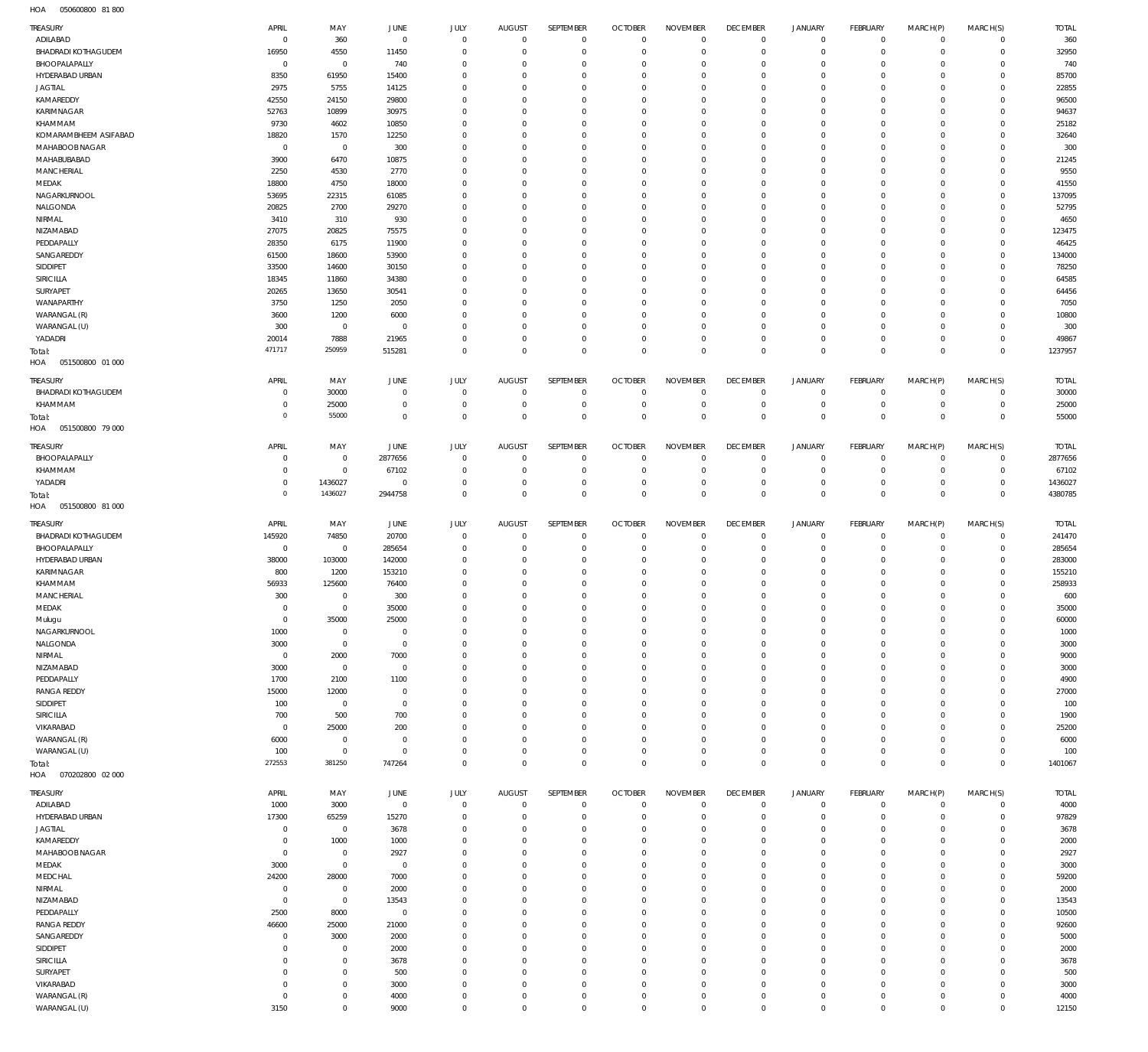050600800 81 800 HOA

| TREASURY                   | APRIL          | MAY            | JUNE           | JULY                | <b>AUGUST</b>  | SEPTEMBER           | <b>OCTOBER</b> | <b>NOVEMBER</b>     | <b>DECEMBER</b>     | <b>JANUARY</b>      | FEBRUARY        | MARCH(P)            | MARCH(S)       | <b>TOTAL</b> |
|----------------------------|----------------|----------------|----------------|---------------------|----------------|---------------------|----------------|---------------------|---------------------|---------------------|-----------------|---------------------|----------------|--------------|
| ADILABAD                   | $\mathbf 0$    | 360            | $\circ$        | $\mathbf 0$         | $\mathbf 0$    | $\mathbb O$         | $\overline{0}$ | $\mathbf 0$         | $\overline{0}$      | $\overline{0}$      | $\overline{0}$  | $\mathbf 0$         | $\overline{0}$ | 360          |
| BHADRADI KOTHAGUDEM        | 16950          | 4550           | 11450          | $\mathbf 0$         | $\mathbf{0}$   | $\mathbf 0$         | $\mathbf 0$    | $\mathbf 0$         | $\mathbf 0$         | $\mathbf 0$         | $\overline{0}$  | $\mathbf 0$         | $\overline{0}$ | 32950        |
| BHOOPALAPALLY              | $\circ$        | $\mathbb O$    | 740            | $\mathbf 0$         | $^{\circ}$     | $\bf 0$             | 0              | $\mathbf 0$         | $\mathbf 0$         | $\mathbf 0$         | $\circ$         | $\mathbf 0$         | $\mathbf{0}$   | 740          |
| HYDERABAD URBAN            | 8350           | 61950          | 15400          | $\mathbf 0$         | $\Omega$       | $\mathbf 0$         | $\mathbf 0$    | $\mathbf 0$         | $\mathbf 0$         | $\mathbf 0$         | $\mathbf{0}$    | $\Omega$            | $\mathbf{0}$   | 85700        |
| <b>JAGTIAL</b>             | 2975           | 5755           | 14125          | $\mathbf 0$         | $^{\circ}$     | $\mathbf 0$         | $\mathbf 0$    | $\mathbf 0$         | $\mathbf 0$         | $\mathbf 0$         | $\mathbf{0}$    | $\mathbf 0$         | $\mathbf{0}$   | 22855        |
| KAMAREDDY                  | 42550          | 24150          | 29800          | $\mathbf 0$         | $^{\circ}$     | $\mathbf 0$         | $\mathbf 0$    | $\mathbf 0$         | $\mathbf 0$         | $\mathbf 0$         | $\mathbf 0$     | $\Omega$            | $\mathbf 0$    | 96500        |
| KARIMNAGAR                 | 52763          | 10899          | 30975          | $\mathbf 0$         | $^{\circ}$     | $\mathbf 0$         | $\mathbf 0$    | $\mathbf 0$         | $\mathbf 0$         | $\mathbf 0$         | $\mathbf{0}$    | $\mathbf 0$         | $\mathbf{0}$   | 94637        |
| KHAMMAM                    | 9730           | 4602           | 10850          | $\mathbf 0$         | $^{\circ}$     | $\mathbf 0$         | $\mathbf 0$    | $\mathbf 0$         | $\mathbf 0$         | $\mathbf 0$         | $\mathbf 0$     | $\Omega$            | $\mathbf{0}$   | 25182        |
| KOMARAMBHEEM ASIFABAD      | 18820          | 1570           | 12250          | $\mathbf 0$         | $\Omega$       | $\mathbf 0$         | $\mathbf 0$    | $\mathbf 0$         | $\mathbf 0$         | $\mathbf 0$         | $\mathbf{0}$    | $\Omega$            | $\mathbf{0}$   | 32640        |
| MAHABOOB NAGAR             | $\mathbf 0$    | $\overline{0}$ | 300            | $\mathbf 0$         | $^{\circ}$     | $\mathbf 0$         | $\mathbf 0$    | $\mathbf 0$         | $\mathbf 0$         | $\mathbf 0$         | $\mathbf 0$     | $\mathbf 0$         | $\mathbf{0}$   | 300          |
| MAHABUBABAD                | 3900           | 6470           | 10875          | $\mathbf 0$         | $^{\circ}$     | $\mathbf 0$         | $\mathbf 0$    | $\mathbf 0$         | $\mathbf 0$         | $\mathbf 0$         | $\mathbf{0}$    | $\Omega$            | $\mathbf{0}$   | 21245        |
| MANCHERIAL                 | 2250           | 4530           | 2770           | $\mathbf 0$         | $^{\circ}$     | $\mathbf 0$         | $\mathbf 0$    | $\mathbf 0$         | $\mathbf 0$         | $\mathbf 0$         | $\mathbf{0}$    | $\mathbf 0$         | $\mathbf{0}$   | 9550         |
| MEDAK                      | 18800          | 4750           | 18000          | $\mathbf 0$         | $^{\circ}$     | $\mathbf 0$         | $\mathbf 0$    | $\mathbf 0$         | $\mathbf 0$         | $\mathbf 0$         | $\mathbf 0$     | $\Omega$            | $\mathbf 0$    | 41550        |
| NAGARKURNOOL               | 53695          | 22315          | 61085          | $\mathbf 0$         | $^{\circ}$     | $\mathbf 0$         | $\mathbf 0$    | $\mathbf 0$         | $\mathbf 0$         | $\mathbf 0$         | $\mathbf{0}$    | $\mathbf 0$         | $\mathbf{0}$   | 137095       |
| NALGONDA                   | 20825          | 2700           | 29270          | $\mathbf 0$         | $^{\circ}$     | $\bf 0$             | $\mathbf 0$    | $\mathbf 0$         | $\mathbf 0$         | $\mathbf 0$         | $\mathbf{0}$    | $\Omega$            | $\mathbf{0}$   | 52795        |
|                            |                |                | 930            | $\mathbf 0$         | $\Omega$       | $\mathbf 0$         | $\mathbf 0$    | $\mathbf 0$         | $\mathbf 0$         | $\mathbf 0$         | $\mathbf{0}$    | $\Omega$            | $\mathbf{0}$   | 4650         |
| NIRMAL                     | 3410           | 310            |                |                     |                |                     |                |                     |                     |                     |                 |                     |                |              |
| NIZAMABAD                  | 27075          | 20825          | 75575          | $\mathbf 0$         | $^{\circ}$     | $\mathbf 0$         | $\mathbf 0$    | $\mathbf 0$         | $\mathbf 0$         | $\mathbf 0$         | $\mathbf{0}$    | $\mathbf 0$         | $\mathbf{0}$   | 123475       |
| PEDDAPALLY                 | 28350          | 6175           | 11900          | $\mathbf 0$         | $^{\circ}$     | $\mathbf 0$         | $\mathbf 0$    | $\mathbf 0$         | $\mathbf 0$         | $\mathbf 0$         | $\mathbf 0$     | $\Omega$            | $\mathbf 0$    | 46425        |
| SANGAREDDY                 | 61500          | 18600          | 53900          | $\mathbf 0$         | $^{\circ}$     | $\mathbf 0$         | $\mathbf 0$    | $\mathbf 0$         | $\mathbf 0$         | $\mathbf 0$         | $\mathbf{0}$    | $\mathbf 0$         | $\mathbf{0}$   | 134000       |
| SIDDIPET                   | 33500          | 14600          | 30150          | $\mathbf 0$         | $^{\circ}$     | $\mathbf 0$         | $\mathbf 0$    | $\mathbf 0$         | $\mathbf 0$         | $\mathbf 0$         | $\mathbf 0$     | $\Omega$            | $\mathbf 0$    | 78250        |
| SIRICILLA                  | 18345          | 11860          | 34380          | $\mathbf 0$         | $\Omega$       | $\mathbf 0$         | $\mathbf 0$    | $\mathbf 0$         | $\mathbf 0$         | $\mathbf 0$         | $\mathbf{0}$    | $\Omega$            | $\mathbf{0}$   | 64585        |
| SURYAPET                   | 20265          | 13650          | 30541          | $\mathbf 0$         | $^{\circ}$     | $\mathbf 0$         | $\mathbf 0$    | $\mathbf 0$         | $\mathbf 0$         | $\mathbf 0$         | $\mathbf 0$     | $\Omega$            | $\mathbf 0$    | 64456        |
| WANAPARTHY                 | 3750           | 1250           | 2050           | $\mathbf 0$         | $^{\circ}$     | $\mathbf 0$         | $\mathbf 0$    | $\mathbf 0$         | $\mathbf 0$         | $\mathbf 0$         | $\mathbf{0}$    | $\Omega$            | $\mathbf{0}$   | 7050         |
| WARANGAL (R)               | 3600           | 1200           | 6000           | $\mathbf 0$         | $^{\circ}$     | $\mathbf 0$         | $\mathbf 0$    | $\mathbf 0$         | $\mathbf 0$         | $\mathbf 0$         | $\mathbf 0$     | $\mathbf 0$         | $\mathbf{0}$   | 10800        |
| WARANGAL (U)               | 300            | $\overline{0}$ | $\circ$        | $\mathbf 0$         | $^{\circ}$     | $\mathbf 0$         | $\mathbf 0$    | $\mathbf 0$         | $\mathbf 0$         | $\mathbf 0$         | $\mathbf{0}$    | $\Omega$            | $\mathbf{0}$   | 300          |
| YADADRI                    | 20014          | 7888           | 21965          | $\mathbf 0$         | $\mathbf 0$    | $\mathbb O$         | $\mathbf 0$    | $\bf 0$             | $\mathbf 0$         | $\mathbf 0$         | $\circ$         | $\mathbf 0$         | $\circ$        | 49867        |
| Total:                     | 471717         | 250959         | 515281         | $\mathbf 0$         | $\overline{0}$ | $\bf 0$             | $\mathbf 0$    | $\mathbf 0$         | $\overline{0}$      | $\bf 0$             | $\overline{0}$  | $\mathbf 0$         | $\overline{0}$ | 1237957      |
| HOA<br>051500800 01 000    |                |                |                |                     |                |                     |                |                     |                     |                     |                 |                     |                |              |
|                            |                |                |                |                     |                |                     |                |                     |                     |                     |                 |                     |                |              |
| TREASURY                   | APRIL          | MAY            | <b>JUNE</b>    | JULY                | <b>AUGUST</b>  | SEPTEMBER           | <b>OCTOBER</b> | <b>NOVEMBER</b>     | <b>DECEMBER</b>     | <b>JANUARY</b>      | <b>FEBRUARY</b> | MARCH(P)            | MARCH(S)       | <b>TOTAL</b> |
| <b>BHADRADI KOTHAGUDEM</b> | $^{\circ}$     | 30000          | $\mathbf 0$    | $\mathbf 0$         | $\mathbf 0$    | $\mathbf 0$         | $\overline{0}$ | $\mathbf 0$         | $\mathbf 0$         | $\overline{0}$      | $\overline{0}$  | $\mathbf 0$         | $\overline{0}$ | 30000        |
| KHAMMAM                    | 0              | 25000          | $\mathbf 0$    | $\mathbf 0$         | $\overline{0}$ | $\bf 0$             | $\mathbf 0$    | $\mathbf 0$         | $\mathbf 0$         | $\mathbf 0$         | $\circ$         | $\mathbf 0$         | $\circ$        | 25000        |
| Total:                     | $\circ$        | 55000          | $\mathbf 0$    | $\mathbf 0$         | $\Omega$       | $\mathbf 0$         | $\mathbf 0$    | $\mathbf 0$         | $\mathbf 0$         | $\mathbf 0$         | $\overline{0}$  | $\mathbf 0$         | $\mathbf 0$    | 55000        |
| HOA<br>051500800 79 000    |                |                |                |                     |                |                     |                |                     |                     |                     |                 |                     |                |              |
| TREASURY                   | APRIL          | MAY            | JUNE           | JULY                | <b>AUGUST</b>  | SEPTEMBER           | <b>OCTOBER</b> | <b>NOVEMBER</b>     | <b>DECEMBER</b>     | <b>JANUARY</b>      | FEBRUARY        | MARCH(P)            | MARCH(S)       | <b>TOTAL</b> |
| BHOOPALAPALLY              | 0              | $\mathbf 0$    | 2877656        | $\mathbf 0$         | $^{\circ}$     | $\bf 0$             | $\overline{0}$ | $\mathbf 0$         | $\overline{0}$      | $\overline{0}$      | $\circ$         | $\mathbf 0$         | $\overline{0}$ | 2877656      |
|                            |                |                |                |                     |                |                     |                |                     |                     |                     |                 |                     |                |              |
| KHAMMAM                    | $\mathbf 0$    | $\mathbf 0$    | 67102          | $\mathbf 0$         | $\overline{0}$ | $\bf 0$             | $\mathbf 0$    | $\mathbf 0$         | $\mathbf 0$         | $\mathbf 0$         | $\overline{0}$  | $\mathbf 0$         | $\circ$        | 67102        |
| YADADRI                    | $\mathbf 0$    | 1436027        | $\circ$        | $\mathbf 0$         | $^{\circ}$     | $\mathbb O$         | $\mathbf 0$    | $\bf 0$             | $\overline{0}$      | $\mathbf 0$         | $\overline{0}$  | $\mathbf 0$         | $\overline{0}$ | 1436027      |
| Total:                     | $\overline{0}$ | 1436027        | 2944758        | $\mathbf 0$         | $\overline{0}$ | $\bf 0$             | $\mathbf 0$    | $\bf 0$             | $\overline{0}$      | $\bf 0$             | $\overline{0}$  | $\mathbf 0$         | $\overline{0}$ | 4380785      |
| HOA<br>051500800 81 000    |                |                |                |                     |                |                     |                |                     |                     |                     |                 |                     |                |              |
| TREASURY                   | APRIL          | MAY            | JUNE           | JULY                | <b>AUGUST</b>  | SEPTEMBER           | <b>OCTOBER</b> | <b>NOVEMBER</b>     | <b>DECEMBER</b>     | <b>JANUARY</b>      | FEBRUARY        | MARCH(P)            | MARCH(S)       | <b>TOTAL</b> |
| <b>BHADRADI KOTHAGUDEM</b> | 145920         | 74850          | 20700          | $\mathbf 0$         | $\mathbf{0}$   | $\mathbf 0$         | $\mathbf 0$    | $\mathbf 0$         | $\mathbf 0$         | $\overline{0}$      | $\mathbf{0}$    | $\mathbf 0$         | $\mathbf{0}$   | 241470       |
|                            |                |                |                |                     | $^{\circ}$     | $\bf 0$             | $\mathbf 0$    | $\mathbf 0$         | $\mathbf 0$         | $\mathbf 0$         | $\circ$         | $\mathbf 0$         | $\mathbf 0$    | 285654       |
|                            |                |                |                |                     |                |                     |                |                     |                     |                     |                 |                     |                |              |
| BHOOPALAPALLY              | $\mathbf 0$    | $\mathbb O$    | 285654         | $\mathbf 0$         |                |                     |                |                     |                     |                     |                 |                     |                |              |
| HYDERABAD URBAN            | 38000          | 103000         | 142000         | $\Omega$            | $\mathbf{0}$   | $\mathbf 0$         | $\mathbf 0$    | $\mathbf 0$         | $\mathbf 0$         | $\mathbf 0$         | $\mathbf 0$     | $\Omega$            | $\mathbf 0$    | 283000       |
| KARIMNAGAR                 | 800            | 1200           | 153210         | $\Omega$            | $\mathbf{0}$   | $\mathbf 0$         | $\mathbf 0$    | $\mathbf 0$         | $\mathbf 0$         | $\mathbf 0$         | $\mathbf 0$     | $\Omega$            | $\mathbf 0$    | 155210       |
| KHAMMAM                    | 56933          | 125600         | 76400          | $\Omega$            | $\Omega$       | $\mathbf 0$         | $\mathbf 0$    | $\mathbf 0$         | $\mathbf 0$         | $\mathbf 0$         | $\Omega$        | $\Omega$            | $\mathbf 0$    | 258933       |
| MANCHERIAL                 | 300            | $\mathbf 0$    | 300            | $\Omega$            | $\Omega$       | $\Omega$            | $\Omega$       | $\Omega$            | $\mathbf 0$         | $\mathbf 0$         | $\mathbf{0}$    | $\Omega$            | $\mathbf{0}$   | 600          |
| MEDAK                      | $\Omega$       | $\mathbf{0}$   | 35000          | $\mathbf{0}$        | $\mathbb O$    | $\Omega$            | $\Omega$       | $\mathsf{O}\xspace$ | $\mathsf{O}\xspace$ | $\mathsf{O}\xspace$ | $\Omega$        | $\mathbf 0$         | $\mathbb O$    | 35000        |
| Mulugu                     | $\mathbb O$    | 35000          | 25000          | $\mathbf 0$         | $\mathbf 0$    | $\mathbf 0$         | $\mathbf 0$    | $\mathbf 0$         | $\mathbf 0$         | $\mathbf 0$         | $\circ$         | $\mathbf 0$         | $\mathbf 0$    | 60000        |
| NAGARKURNOOL               | 1000           | $\mathbb O$    | $\overline{0}$ | $\mathbf 0$         | $\mathbf{0}$   | $\mathbf 0$         | $\mathbf 0$    | $\mathbf 0$         | $\mathbf 0$         | $\mathbf 0$         | $\mathbf 0$     | $\mathbf 0$         | $\mathbf 0$    | 1000         |
| NALGONDA                   | 3000           | $\mathbb O$    | $\overline{0}$ | $\Omega$            | $\Omega$       | $\mathbf 0$         | $\mathbf 0$    | $\Omega$            | $\mathbf 0$         | $\mathbf 0$         | $\mathbf 0$     | $\Omega$            | $\mathbf 0$    | 3000         |
| NIRMAL                     | $\mathbf 0$    | 2000           | 7000           | $\mathbf 0$         | $\Omega$       | $\mathbf 0$         | $\mathbf 0$    | $\mathbf 0$         | $\mathbf 0$         | $\mathbf 0$         | $\mathbf 0$     | $\mathbf 0$         | $\mathbf{0}$   | 9000         |
| NIZAMABAD                  | 3000           | $\mathbb O$    | $\overline{0}$ | $\Omega$            | $\Omega$       | $\mathbf 0$         | $\mathbf 0$    | $\Omega$            | $\mathbf 0$         | $\mathbf 0$         | $\mathbf 0$     | $\Omega$            | $\mathbf 0$    | 3000         |
| PEDDAPALLY                 | 1700           | 2100           | 1100           | $\Omega$            | $\Omega$       | $\mathbf 0$         | $\mathbf 0$    | $\mathbf 0$         | $\mathbf 0$         | $\mathbf 0$         | $\mathbf 0$     | $\Omega$            | $\mathbf{0}$   | 4900         |
| <b>RANGA REDDY</b>         | 15000          | 12000          | $\overline{0}$ | $\Omega$            | $^{\circ}$     | $\mathbf 0$         | $\mathbf 0$    | $\Omega$            | $\mathbf 0$         | $\mathbf 0$         | $\mathbf 0$     | $\Omega$            | $\mathbf 0$    | 27000        |
| SIDDIPET                   | 100            | $\mathbb O$    | $\overline{0}$ | $\Omega$            | $\Omega$       | $\mathbf 0$         | $\mathbf 0$    | $\Omega$            | $\mathbf 0$         | $\mathbf 0$         | $\mathbf 0$     | $\Omega$            | $\mathbf{0}$   | 100          |
| SIRICILLA                  | 700            | 500            | 700            | $\Omega$            | $\mathbf{0}$   | $\mathbf 0$         | $\mathbf 0$    | $\Omega$            | $\mathbf 0$         | $\mathbf 0$         | $\mathbf 0$     | $\Omega$            | $\mathbf 0$    | 1900         |
| VIKARABAD                  | $\mathbf 0$    | 25000          | 200            | $\Omega$            | $\Omega$       | $\mathbf 0$         | $\mathbf 0$    | $\mathbf 0$         | $\mathbf 0$         | $\mathbf 0$         | $\mathbf 0$     | $\Omega$            | $\mathbf 0$    | 25200        |
| WARANGAL (R)               | 6000           | $\overline{0}$ | $\circ$        | $\Omega$            | $\mathbf{0}$   | $\mathbf 0$         | $\mathbf 0$    | $\Omega$            | $\mathbf 0$         | $\mathbf 0$         | $\mathbf 0$     | $\Omega$            | $\mathbf{0}$   | 6000         |
| WARANGAL (U)               | 100            | $\mathbb O$    | $\circ$        | $\mathbf 0$         | $\mathbf{0}$   | $\mathbf 0$         | $\mathbf 0$    | $\mathbf 0$         | $\mathbf 0$         | $\mathsf{O}\xspace$ | $\mathbf 0$     | $\mathbf 0$         | $\mathbf{0}$   | 100          |
| Total:                     | 272553         | 381250         | 747264         | $\mathbf 0$         | $\mathbf 0$    | $\mathbf 0$         | $\mathbf 0$    | $\mathbf 0$         | $\mathbf 0$         | $\mathbf 0$         | $\overline{0}$  | $\mathbf 0$         | $\mathbf 0$    | 1401067      |
| HOA  070202800  02  000    |                |                |                |                     |                |                     |                |                     |                     |                     |                 |                     |                |              |
|                            |                |                |                |                     |                |                     |                |                     |                     |                     |                 |                     |                |              |
| TREASURY                   | APRIL          | MAY            | JUNE           | <b>JULY</b>         | <b>AUGUST</b>  | SEPTEMBER           | <b>OCTOBER</b> | <b>NOVEMBER</b>     | <b>DECEMBER</b>     | <b>JANUARY</b>      | FEBRUARY        | MARCH(P)            | MARCH(S)       | <b>TOTAL</b> |
| ADILABAD                   | 1000           | 3000           | $\overline{0}$ | $\mathbf 0$         | $\mathbf 0$    | 0                   | $\overline{0}$ | $\mathbf 0$         | $\mathbf 0$         | $\overline{0}$      | $\circ$         | 0                   | $\circ$        | 4000         |
| HYDERABAD URBAN            | 17300          | 65259          | 15270          | $\mathbb O$         | $\mathbf{0}$   | $\mathbb O$         | $\overline{0}$ | $\mathbf 0$         | $\mathbf 0$         | $\mathbf 0$         | $\overline{0}$  | $\mathbf 0$         | $\overline{0}$ | 97829        |
| <b>JAGTIAL</b>             | $\mathbf 0$    | $\overline{0}$ | 3678           | $\mathbf 0$         | $^{\circ}$     | $\mathbb O$         | 0              | $\mathbf 0$         | $\mathbf 0$         | $\mathbf 0$         | $\circ$         | $\circ$             | $\circ$        | 3678         |
| KAMAREDDY                  | 0              | 1000           | 1000           | $\mathbf 0$         | $^{\circ}$     | $\mathbf 0$         | $\mathbf 0$    | $\mathbf 0$         | $\mathbf 0$         | $\mathbf 0$         | $\mathbf{0}$    | $\circ$             | $\mathbf{0}$   | 2000         |
| MAHABOOB NAGAR             | $\mathbf 0$    | $\mathbf 0$    | 2927           | $\mathbf 0$         | $\mathbf{0}$   | $\mathbb O$         | $\mathbf 0$    | $\mathbf 0$         | $\mathbf 0$         | $\mathbf 0$         | $\circ$         | $\circ$             | $\circ$        | 2927         |
| MEDAK                      | 3000           | $\mathbf 0$    | $\overline{0}$ | $\mathbf 0$         | $^{\circ}$     | $\mathbf 0$         | $\mathbf 0$    | $\mathbf 0$         | $\mathbf 0$         | $\mathbf 0$         | $\mathbf 0$     | $\Omega$            | $\mathbf{0}$   | 3000         |
| MEDCHAL                    | 24200          | 28000          | 7000           | $\mathbf 0$         | $\mathbf{0}$   | $\mathbf 0$         | $\mathbf 0$    | $\mathbf 0$         | $\mathbf 0$         | $\mathbf 0$         | $\mathbf{0}$    | $\circ$             | $\mathbf{0}$   | 59200        |
| NIRMAL                     | $\mathbf 0$    | $\mathbf 0$    | 2000           | $\mathbf 0$         | $^{\circ}$     | $\mathbb O$         | 0              | $\mathbf 0$         | $\mathbf 0$         | $\mathbf 0$         | $\mathbf{0}$    | $\circ$             | $\mathbf{0}$   | 2000         |
| NIZAMABAD                  | $\circ$        | $\mathbf 0$    | 13543          | $\mathbf 0$         | $^{\circ}$     | $\mathbf 0$         | $\mathbf 0$    | $\mathbf 0$         | $\mathbf 0$         | $\mathbf 0$         | $\mathbf{0}$    | $\circ$             | $\mathbf{0}$   | 13543        |
| PEDDAPALLY                 | 2500           | 8000           | $\overline{0}$ | $\mathbf 0$         | $\mathbf{0}$   | $\mathbf 0$         | $\mathbf 0$    | $\mathbf 0$         | $\mathbf 0$         | $\mathbf 0$         | $\circ$         | $\circ$             | $\mathbf{0}$   | 10500        |
| <b>RANGA REDDY</b>         | 46600          | 25000          | 21000          | $\mathbf 0$         | $^{\circ}$     | $\mathbb O$         | $\mathbf 0$    | $\mathbf 0$         | $\mathbf 0$         | $\mathbf 0$         | $\mathbf{0}$    | $\Omega$            | $\mathbf{0}$   | 92600        |
| SANGAREDDY                 | 0              | 3000           | 2000           | $\mathbf 0$         | $\mathbf{0}$   | $\mathbf 0$         | $\mathbf 0$    | $\mathbf 0$         | $\mathbf 0$         | $\mathbf 0$         | $\circ$         | $\circ$             | $\mathbf{0}$   | 5000         |
| SIDDIPET                   | $^{\circ}$     | $\mathbf 0$    | 2000           | $\mathbf 0$         | $^{\circ}$     | $\mathbb O$         | $\mathbf 0$    | $\mathbf 0$         | $\mathbf 0$         | $\mathbf 0$         | $\mathbf{0}$    | $\circ$             | $\circ$        | 2000         |
| SIRICILLA                  | $\mathbf 0$    | $\mathbf 0$    | 3678           | $\mathbf 0$         | $\mathbf{0}$   | $\mathbf 0$         | $\mathbf 0$    | $\mathbf 0$         | $\mathbf 0$         | $\mathbf 0$         | $\mathbf{0}$    | $\circ$             | $\mathbf{0}$   | 3678         |
| SURYAPET                   | $\mathbf 0$    | $\mathbf 0$    | 500            | $\mathbf 0$         | $\mathbf{0}$   | $\mathbb O$         | 0              | $\mathbf 0$         | $\mathbf 0$         | $\mathbf 0$         | $\mathbf{0}$    | $\circ$             | $\circ$        | 500          |
| VIKARABAD                  | $\mathbf 0$    | $\mathbf 0$    | 3000           | $\mathbf 0$         | $\mathbf{0}$   | $\mathbf 0$         | $\mathbf 0$    | $\mathbf 0$         | $\mathbf 0$         | $\mathbf 0$         | $\mathbf{0}$    | $\mathbf 0$         | $\mathbf{0}$   | 3000         |
| WARANGAL (R)               | $\mathbf 0$    | $\mathbf 0$    | 4000           | $\mathbb O$         | $\mathbf 0$    | $\mathbb O$         | 0              | 0                   | $\bf 0$             | $\mathbf 0$         | $\circ$         | 0                   | $\circ$        | 4000         |
| WARANGAL (U)               | 3150           | $\mathsf 0$    | 9000           | $\mathsf{O}\xspace$ | $\mathbf 0$    | $\mathsf{O}\xspace$ | $\bf 0$        | $\mathsf{O}\xspace$ | $\bf 0$             | $\mathsf{O}\xspace$ | $\circ$         | $\mathsf{O}\xspace$ | $\overline{0}$ | 12150        |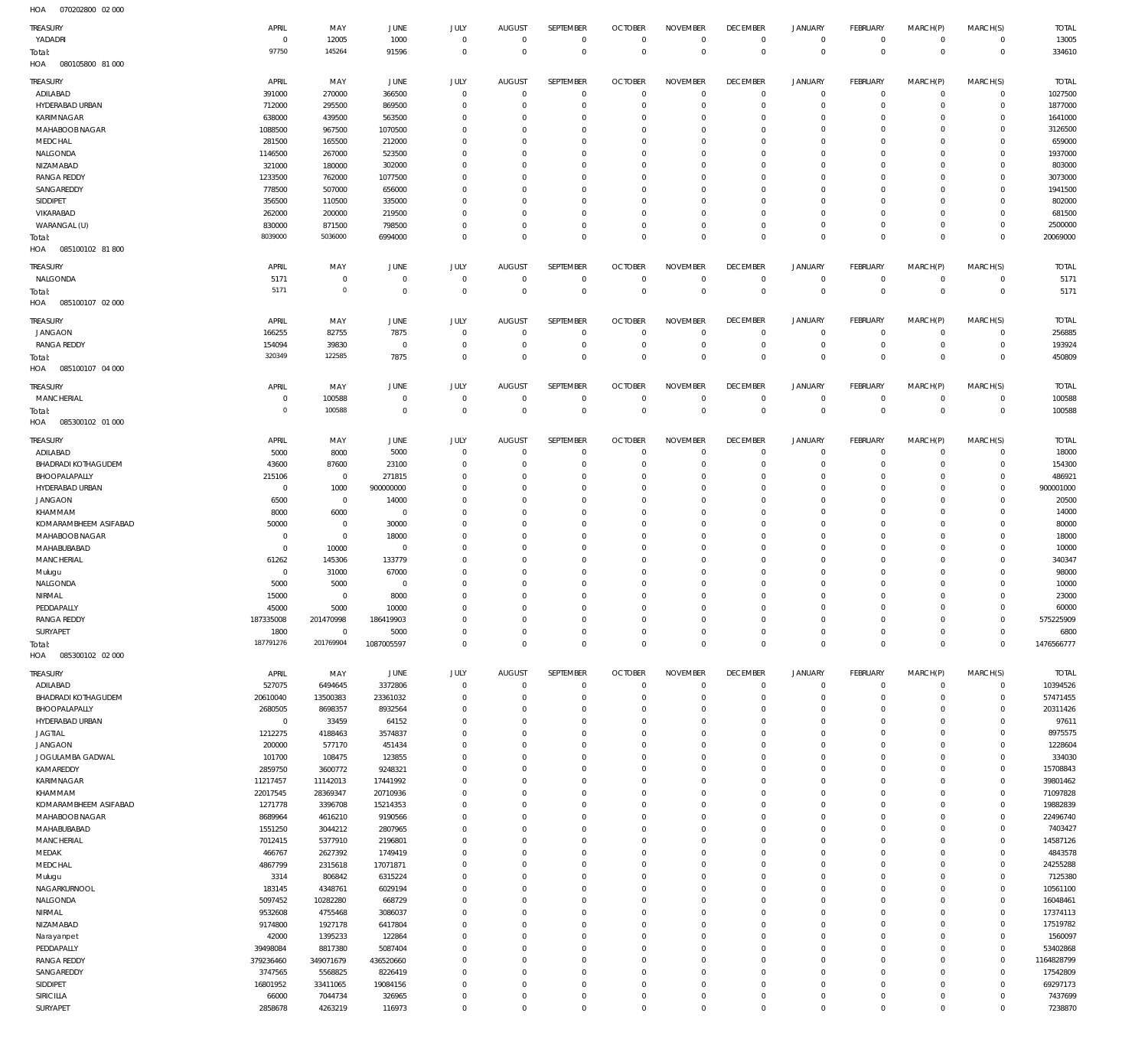070202800 02 000 HOA

| TREASURY                               | APRIL                | MAY                       | JUNE                 | JULY                        | <b>AUGUST</b>              | SEPTEMBER                      | <b>OCTOBER</b>                   | <b>NOVEMBER</b>              | <b>DECEMBER</b>             | <b>JANUARY</b>             | <b>FEBRUARY</b>           | MARCH(P)                   | MARCH(S)                   | <b>TOTAL</b>           |
|----------------------------------------|----------------------|---------------------------|----------------------|-----------------------------|----------------------------|--------------------------------|----------------------------------|------------------------------|-----------------------------|----------------------------|---------------------------|----------------------------|----------------------------|------------------------|
| YADADRI                                | $\overline{0}$       | 12005                     | 1000                 | $\mathbf{0}$                | $\overline{0}$             | $\mathbf 0$                    | $\overline{0}$                   | $\mathbf{0}$                 | $^{\circ}$                  | $\mathbf 0$                | $^{\circ}$                | $\mathbf 0$                | $\mathbf 0$                | 13005                  |
| Total:<br>080105800 81 000             | 97750                | 145264                    | 91596                | $\mathbf{0}$                | $\Omega$                   | $\overline{0}$                 | $\overline{0}$                   | $\mathbf{0}$                 | $\mathbf 0$                 | $\mathbf 0$                | $\mathbf 0$               | $\mathbf 0$                | $\mathbf 0$                | 334610                 |
| HOA                                    |                      |                           |                      |                             |                            |                                |                                  |                              |                             |                            |                           |                            |                            |                        |
| TREASURY                               | APRIL                | MAY                       | JUNE                 | JULY                        | <b>AUGUST</b>              | SEPTEMBER                      | <b>OCTOBER</b>                   | <b>NOVEMBER</b>              | <b>DECEMBER</b>             | <b>JANUARY</b>             | <b>FEBRUARY</b>           | MARCH(P)                   | MARCH(S)                   | <b>TOTAL</b>           |
| ADILABAD                               | 391000               | 270000                    | 366500               | $\Omega$                    | $\Omega$                   | $^{\circ}$                     | $\Omega$                         | $\Omega$                     | $^{\circ}$                  | $^{\circ}$                 | $\Omega$                  | $^{\circ}$                 | $\mathbf 0$                | 1027500                |
| HYDERABAD URBAN<br>KARIMNAGAR          | 712000<br>638000     | 295500<br>439500          | 869500<br>563500     | $\Omega$<br>$\Omega$        | $\Omega$<br>0              | $^{\circ}$<br>$\Omega$         | $\Omega$<br>$\Omega$             | $\overline{0}$<br>$\Omega$   | $^{\circ}$<br>$\Omega$      | $\mathbf 0$<br>$\Omega$    | $\Omega$<br>$\Omega$      | $\mathbf 0$<br>$\Omega$    | $\mathbf 0$<br>$\Omega$    | 1877000<br>1641000     |
| MAHABOOB NAGAR                         | 1088500              | 967500                    | 1070500              | $\Omega$                    | $\Omega$                   | $\Omega$                       | $\Omega$                         | $\Omega$                     | $\Omega$                    | $\Omega$                   | $\Omega$                  | $\Omega$                   | $\Omega$                   | 3126500                |
| MEDCHAL                                | 281500               | 165500                    | 212000               | $\Omega$                    | 0                          | $\Omega$                       | $\Omega$                         | $\Omega$                     | $\Omega$                    | $\Omega$                   | $\Omega$                  | $\Omega$                   | $\Omega$                   | 659000                 |
| NALGONDA                               | 1146500              | 267000                    | 523500               | $\Omega$                    | $\Omega$                   | $\Omega$                       | $\Omega$                         | $\Omega$                     | $\Omega$                    | $\Omega$                   | $\Omega$                  | $\Omega$                   | $\Omega$                   | 1937000                |
| NIZAMABAD                              | 321000               | 180000                    | 302000               | $\Omega$                    | 0                          | $\Omega$                       | $\Omega$                         | $\Omega$                     | $\Omega$                    | $\Omega$                   | $\Omega$                  | $\Omega$                   | $\Omega$                   | 803000                 |
| <b>RANGA REDDY</b>                     | 1233500              | 762000                    | 1077500              | $\Omega$                    | $\Omega$                   | $\Omega$                       | $\Omega$                         | $\Omega$                     | $\Omega$                    | $\Omega$                   | $\Omega$                  | $\Omega$                   | $\Omega$                   | 3073000                |
| SANGAREDDY                             | 778500               | 507000                    | 656000               | $\Omega$                    | $\Omega$                   | $\Omega$                       | $\Omega$                         | $\Omega$                     | $\Omega$                    | $\Omega$                   | $\Omega$                  | $\Omega$                   | $\Omega$                   | 1941500                |
| SIDDIPET                               | 356500               | 110500                    | 335000               | $\Omega$                    | $\Omega$                   | $\Omega$                       | $\Omega$                         | $\Omega$                     | $\Omega$                    | $\Omega$                   | $\Omega$                  | $\Omega$                   | $\Omega$                   | 802000                 |
| VIKARABAD                              | 262000               | 200000                    | 219500               | $\Omega$                    | $\Omega$                   | $\Omega$                       | $\Omega$                         | $\Omega$                     | $\Omega$                    | $\Omega$                   | $\Omega$                  | $\Omega$                   | $\Omega$                   | 681500                 |
| WARANGAL (U)                           | 830000<br>8039000    | 871500<br>5036000         | 798500               | $\Omega$<br>$\Omega$        | $\Omega$<br>$\Omega$       | $\overline{0}$<br>$\Omega$     | $\Omega$<br>$\Omega$             | $\overline{0}$<br>$\Omega$   | $\mathbf 0$<br>$\Omega$     | $\mathbf{0}$<br>$\Omega$   | $\Omega$<br>$\Omega$      | $\mathbf 0$<br>$\Omega$    | $\mathbf 0$<br>$\Omega$    | 2500000<br>20069000    |
| Total:<br>HOA<br>085100102 81 800      |                      |                           | 6994000              |                             |                            |                                |                                  |                              |                             |                            |                           |                            |                            |                        |
|                                        |                      |                           |                      |                             |                            |                                |                                  |                              |                             |                            |                           |                            |                            |                        |
| TREASURY                               | APRIL                | MAY                       | JUNE                 | JULY                        | <b>AUGUST</b>              | SEPTEMBER                      | <b>OCTOBER</b>                   | <b>NOVEMBER</b>              | <b>DECEMBER</b>             | <b>JANUARY</b>             | <b>FEBRUARY</b>           | MARCH(P)                   | MARCH(S)                   | <b>TOTAL</b>           |
| NALGONDA                               | 5171                 | $\mathbf 0$               | $\overline{0}$       | $^{\circ}$                  | 0                          | $\mathbf{0}$                   | 0                                | $\overline{0}$               | $^{\circ}$                  | $\mathbf 0$                | $^{\circ}$                | $\mathbf 0$                | $\mathbf 0$                | 5171                   |
| Total:<br>085100107 02 000             | 5171                 | $\mathbf 0$               | $\overline{0}$       | $\mathbf 0$                 | $\Omega$                   | $\mathbf{0}$                   | $\overline{0}$                   | $\mathbf{0}$                 | $\mathbf 0$                 | $\mathbf 0$                | $\mathbf 0$               | $\mathbf 0$                | $\mathbf 0$                | 5171                   |
| HOA                                    |                      |                           |                      |                             |                            |                                |                                  |                              |                             |                            |                           |                            |                            |                        |
| TREASURY                               | APRIL                | MAY                       | JUNE                 | JULY                        | <b>AUGUST</b>              | SEPTEMBER                      | <b>OCTOBER</b>                   | <b>NOVEMBER</b>              | <b>DECEMBER</b>             | <b>JANUARY</b>             | FEBRUARY                  | MARCH(P)                   | MARCH(S)                   | <b>TOTAL</b>           |
| <b>JANGAON</b>                         | 166255               | 82755                     | 7875                 | $\Omega$                    | $\Omega$                   | $\overline{0}$                 | $\Omega$                         | $\Omega$                     | $^{\circ}$                  | $^{\circ}$                 | $\Omega$                  | $^{\circ}$                 | $\mathbf 0$                | 256885                 |
| <b>RANGA REDDY</b>                     | 154094               | 39830                     | $\overline{0}$       | $\overline{0}$              | $\Omega$                   | $\mathbf{0}$                   | 0                                | $\overline{0}$               | $^{\circ}$                  | $\mathbf 0$                | $^{\circ}$                | $\mathbf 0$                | $\mathbf 0$                | 193924                 |
| Total:                                 | 320349               | 122585                    | 7875                 | $\Omega$                    | $\Omega$                   | $\Omega$                       | $\Omega$                         | $\Omega$                     | $\Omega$                    | $\mathbf 0$                | $\Omega$                  | $\Omega$                   | $\mathbf{0}$               | 450809                 |
| HOA<br>085100107 04 000                |                      |                           |                      |                             |                            |                                |                                  |                              |                             |                            |                           |                            |                            |                        |
| TREASURY                               | APRIL                | MAY                       | JUNE                 | JULY                        | <b>AUGUST</b>              | SEPTEMBER                      | <b>OCTOBER</b>                   | <b>NOVEMBER</b>              | <b>DECEMBER</b>             | <b>JANUARY</b>             | <b>FEBRUARY</b>           | MARCH(P)                   | MARCH(S)                   | <b>TOTAL</b>           |
| MANCHERIAL                             | - 0                  | 100588                    | 0                    | $\mathbf 0$                 | 0                          | $\mathbf 0$                    | 0                                | 0                            | $^{\circ}$                  | $\mathbf 0$                | $^{\circ}$                | $^{\circ}$                 | $\mathbf 0$                | 100588                 |
| Total:                                 | $^{\circ}$           | 100588                    | $\overline{0}$       | $\mathbf 0$                 | $\overline{0}$             | $\mathbf 0$                    | $\overline{0}$                   | $\mathbf 0$                  | $\mathbf 0$                 | $\mathsf 0$                | $\mathbf 0$               | $\mathbf 0$                | $\mathbf 0$                | 100588                 |
| HOA<br>085300102 01 000                |                      |                           |                      |                             |                            |                                |                                  |                              |                             |                            |                           |                            |                            |                        |
| TREASURY                               | APRIL                | MAY                       | JUNE                 | JULY                        | <b>AUGUST</b>              | SEPTEMBER                      | <b>OCTOBER</b>                   | <b>NOVEMBER</b>              | <b>DECEMBER</b>             | <b>JANUARY</b>             | FEBRUARY                  | MARCH(P)                   | MARCH(S)                   | <b>TOTAL</b>           |
| ADILABAD                               | 5000                 | 8000                      | 5000                 | $\Omega$                    | $\Omega$                   | $\Omega$                       | $\Omega$                         | $\Omega$                     | $\Omega$                    | $\mathbf 0$                | $\Omega$                  | $\Omega$                   | $\mathbf 0$                | 18000                  |
| <b>BHADRADI KOTHAGUDEM</b>             | 43600                | 87600                     | 23100                | $\Omega$                    | 0                          | $\overline{0}$                 | -0                               | $\Omega$                     | 0                           | $\mathbf 0$                | $\Omega$                  | $\Omega$                   | $\mathbf 0$                | 154300                 |
| BHOOPALAPALLY                          | 215106               | $^{\circ}$                | 271815               | $\Omega$                    | 0                          | $\Omega$                       | $\Omega$                         | $\Omega$                     | $\Omega$                    | $\Omega$                   | $\Omega$                  | $\Omega$                   | $\Omega$                   | 486921                 |
| HYDERABAD URBAN                        | $\overline{0}$       | 1000                      | 900000000            | $\Omega$                    | $\Omega$                   | $\Omega$                       | -0                               | $\Omega$                     | $\Omega$                    | $\Omega$                   | $\Omega$                  | $\Omega$                   | $\Omega$                   | 900001000              |
| <b>JANGAON</b><br>KHAMMAM              | 6500<br>8000         | $\mathbf 0$<br>6000       | 14000<br>0           | $\Omega$<br>$\Omega$        | 0<br>$\Omega$              | $\Omega$<br>$\Omega$           | $\Omega$<br>-0                   | $\Omega$<br>$\Omega$         | $\Omega$<br>$\Omega$        | $\Omega$<br>$\Omega$       | $\Omega$<br>$\Omega$      | $\Omega$<br>$\Omega$       | $\Omega$<br>$\Omega$       | 20500<br>14000         |
| KOMARAMBHEEM ASIFABAD                  | 50000                | $^{\circ}$                | 30000                | $\Omega$                    | $\Omega$                   | $\Omega$                       | $\Omega$                         | $\Omega$                     | $\Omega$                    | $\Omega$                   | $\Omega$                  | $\Omega$                   | $\Omega$                   | 80000                  |
| MAHABOOB NAGAR                         | $\Omega$             | $\mathbf{0}$              | 18000                | $\Omega$                    | $\Omega$                   | $\Omega$                       | $\Omega$                         | $\Omega$                     | $\Omega$                    | $\Omega$                   | $\Omega$                  | $\Omega$                   | $\Omega$                   | 18000                  |
| MAHABUBABAD                            | $\Omega$             | 10000                     | $\overline{0}$       | $\Omega$                    | $\Omega$                   | $\Omega$                       | $\Omega$                         | $\Omega$                     | $\Omega$                    | $\Omega$                   | $\Omega$                  | $\Omega$                   | $\Omega$                   | 10000                  |
| MANCHERIAL                             | 61262                | 145306                    | 133779               | $\Omega$                    | $\Omega$                   | $\Omega$                       | $\Omega$                         | $\Omega$                     | $\Omega$                    | $\Omega$                   | $\Omega$                  | $\Omega$                   | $\Omega$                   | 340347                 |
| Mulugu                                 | -0                   | 31000                     | 67000                | $\Omega$                    | $\Omega$                   | $\Omega$                       | $\Omega$                         | $\Omega$                     | $\Omega$                    | $\Omega$                   | $\Omega$                  | $\Omega$                   | $\Omega$                   | 98000                  |
| NALGONDA                               | 5000                 | 5000                      | $\Omega$             | $\Omega$                    | $\Omega$                   | $\Omega$                       | $\Omega$                         | $\Omega$                     | $\Omega$                    | $\Omega$                   | $\Omega$                  | $\Omega$                   | $\Omega$                   | 10000                  |
| NIRMAL                                 | 15000                | $\Omega$                  | 8000                 | $\Omega$                    | $\Omega$                   | $\Omega$                       | $\Omega$                         | $\Omega$                     | $\Omega$                    | $\Omega$                   | $\Omega$                  | $\Omega$                   | $\Omega$                   | 23000                  |
| PEDDAPALLY                             | 45000                | 5000                      | 10000                | $\Omega$                    | $\Omega$                   | $\Omega$                       | $\Omega$                         | $\Omega$                     | $\Omega$                    | $\Omega$                   | $\Omega$                  | $\Omega$                   | $\Omega$                   | 60000                  |
| <b>RANGA REDDY</b>                     | 187335008            | 201470998<br>$\mathbf{0}$ | 186419903            | $\Omega$<br>$\Omega$        | $\Omega$<br>$\Omega$       | $\overline{0}$<br>$\mathbf{0}$ | $\Omega$                         | $\Omega$<br>$\mathbf{0}$     | $\Omega$                    | $\mathbf 0$                | $\Omega$                  | $\Omega$<br>$\mathbf 0$    | $\mathbf 0$                | 575225909              |
| SURYAPET<br>Total:                     | 1800<br>187791276    | 201769904                 | 5000<br>1087005597   | $\Omega$                    | $\Omega$                   | $\mathbf{0}$                   | $\overline{0}$<br>$\overline{0}$ | $\mathbf{0}$                 | $\mathbf{0}$<br>$\mathbf 0$ | $\mathbf 0$<br>$\mathbf 0$ | $\mathbf{0}$<br>$\Omega$  | $\mathbf 0$                | $\mathbf 0$<br>$\Omega$    | 6800<br>1476566777     |
| HOA<br>085300102 02 000                |                      |                           |                      |                             |                            |                                |                                  |                              |                             |                            |                           |                            |                            |                        |
|                                        |                      |                           |                      |                             |                            |                                |                                  |                              |                             |                            |                           |                            |                            |                        |
| TREASURY                               | APRIL                | MAY                       | JUNE                 | JULY                        | <b>AUGUST</b>              | SEPTEMBER                      | <b>OCTOBER</b>                   | <b>NOVEMBER</b>              | <b>DECEMBER</b>             | <b>JANUARY</b>             | <b>FEBRUARY</b>           | MARCH(P)                   | MARCH(S)                   | TOTAL                  |
| ADILABAD<br><b>BHADRADI KOTHAGUDEM</b> | 527075<br>20610040   | 6494645<br>13500383       | 3372806              | $\mathbf{0}$<br>$\mathbf 0$ | $\overline{0}$<br>$\Omega$ | $\mathbf 0$<br>$\mathbf 0$     | $\circ$<br>0                     | $\mathbf{0}$<br>$\mathbf{0}$ | $\mathbf 0$<br>$\mathbf 0$  | $\mathbf 0$<br>$\mathbf 0$ | $^{\circ}$<br>$\mathbf 0$ | $\mathbf 0$<br>$\mathbf 0$ | $\mathbf 0$<br>$\mathbf 0$ | 10394526<br>57471455   |
| BHOOPALAPALLY                          | 2680505              | 8698357                   | 23361032<br>8932564  | $^{\circ}$                  | $\Omega$                   | $^{\circ}$                     | $\Omega$                         | $\overline{0}$               | $\mathbf 0$                 | $\mathbf 0$                | $^{\circ}$                | $\mathbf 0$                | $\mathbf 0$                | 20311426               |
| HYDERABAD URBAN                        | $\mathbf 0$          | 33459                     | 64152                | $\mathbf{0}$                | $\Omega$                   | $\mathbf{0}$                   | $\Omega$                         | $^{\circ}$                   | $\Omega$                    | $\mathbf 0$                | $\Omega$                  | $\Omega$                   | $\Omega$                   | 97611                  |
| <b>JAGTIAL</b>                         | 1212275              | 4188463                   | 3574837              | $\mathbf{0}$                | $\Omega$                   | $\mathbf{0}$                   | $\Omega$                         | $^{\circ}$                   | $\mathbf 0$                 | $\mathbf 0$                | $\Omega$                  | $\mathbf 0$                | $\mathbf 0$                | 8975575                |
| <b>JANGAON</b>                         | 200000               | 577170                    | 451434               | $\Omega$                    | $\Omega$                   | $\mathbf{0}$                   | $\Omega$                         | $^{\circ}$                   | $\Omega$                    | $\mathbf 0$                | $\Omega$                  | $\mathbf 0$                | $\Omega$                   | 1228604                |
| JOGULAMBA GADWAL                       | 101700               | 108475                    | 123855               | $\Omega$                    | $\Omega$                   | $\mathbf{0}$                   | $\Omega$                         | $^{\circ}$                   | $\Omega$                    | $\mathbf 0$                | $\Omega$                  | $\Omega$                   | $\Omega$                   | 334030                 |
| KAMAREDDY                              | 2859750              | 3600772                   | 9248321              | $\mathbf{0}$                | $\Omega$                   | $\mathbf{0}$                   | $\Omega$                         | $\mathbf{0}$                 | $\Omega$                    | $\mathbf 0$                | $\Omega$                  | $\mathbf 0$                | $\mathbf 0$                | 15708843               |
| KARIMNAGAR                             | 11217457             | 11142013                  | 17441992             | $\Omega$                    | $\Omega$                   | $\mathbf{0}$                   | $\Omega$                         | $^{\circ}$                   | $\Omega$                    | $\mathbf 0$                | $\Omega$                  | $\Omega$                   | $\Omega$                   | 39801462               |
| KHAMMAM                                | 22017545             | 28369347                  | 20710936             | $^{\circ}$                  | $\Omega$                   | $\mathbf 0$                    | $\Omega$                         | $^{\circ}$                   | $\Omega$                    | $\mathbf 0$                | $\Omega$                  | $\mathbf 0$                | $\Omega$                   | 71097828               |
| KOMARAMBHEEM ASIFABAD                  | 1271778              | 3396708                   | 15214353             | $\Omega$                    | $\Omega$                   | $\mathbf 0$                    | $\Omega$                         | $\mathbf 0$                  | $\Omega$                    | $\mathbf 0$                | $\Omega$                  | $\Omega$                   | $\mathbf 0$                | 19882839               |
| MAHABOOB NAGAR                         | 8689964              | 4616210                   | 9190566              | $^{\circ}$<br>$\mathbf 0$   | $\Omega$                   | $\mathbf{0}$<br>$\mathbf 0$    | $\Omega$<br>$\Omega$             | $^{\circ}$                   | $\Omega$                    | $\mathbf 0$<br>$\mathbf 0$ | $\Omega$<br>$\Omega$      | $\mathbf 0$                | $\Omega$                   | 22496740               |
| MAHABUBABAD<br>MANCHERIAL              | 1551250<br>7012415   | 3044212<br>5377910        | 2807965<br>2196801   | $\Omega$                    | $\Omega$<br>$\Omega$       | $\mathbf{0}$                   | $\Omega$                         | $^{\circ}$<br>$^{\circ}$     | $\mathbf 0$<br>$\Omega$     | $\mathbf 0$                | $\Omega$                  | $\mathbf 0$<br>$\mathbf 0$ | $\mathbf 0$<br>$\Omega$    | 7403427<br>14587126    |
| MEDAK                                  | 466767               | 2627392                   | 1749419              | $^{\circ}$                  | $\Omega$                   | $\mathbf 0$                    | $\Omega$                         | $^{\circ}$                   | $\Omega$                    | $\mathbf 0$                | $\Omega$                  | $\mathbf 0$                | $\mathbf 0$                | 4843578                |
| MEDCHAL                                | 4867799              | 2315618                   | 17071871             | $\Omega$                    | $\Omega$                   | $\Omega$                       | $\Omega$                         | $\mathbf 0$                  | $\Omega$                    | $\mathbf 0$                | $\Omega$                  | $\mathbf 0$                | $\Omega$                   | 24255288               |
| Mulugu                                 | 3314                 | 806842                    | 6315224              | $^{\circ}$                  | $\Omega$                   | $\mathbf 0$                    | $\Omega$                         | $^{\circ}$                   | $\Omega$                    | $\mathbf 0$                | $\Omega$                  | $\Omega$                   | $\Omega$                   | 7125380                |
| NAGARKURNOOL                           | 183145               | 4348761                   | 6029194              | $\mathbf{0}$                | $\Omega$                   | $\mathbf{0}$                   | $\Omega$                         | $\mathbf{0}$                 | $\Omega$                    | $\mathbf 0$                | $\Omega$                  | $\mathbf 0$                | $\mathbf 0$                | 10561100               |
| NALGONDA                               | 5097452              | 10282280                  | 668729               | $\Omega$                    | $\Omega$                   | $\Omega$                       | $\Omega$                         | $^{\circ}$                   | $\Omega$                    | $\mathbf 0$                | $\Omega$                  | $\Omega$                   | $\Omega$                   | 16048461               |
| NIRMAL                                 | 9532608              | 4755468                   | 3086037              | $\mathbf{0}$                | $\Omega$                   | $\mathbf{0}$                   | $\Omega$                         | $^{\circ}$                   | $\Omega$                    | $\mathbf 0$                | $\Omega$                  | $\mathbf 0$                | $\Omega$                   | 17374113               |
| NIZAMABAD                              | 9174800              | 1927178                   | 6417804              | $\Omega$                    | $\Omega$                   | $\mathbf{0}$                   | $\Omega$                         | $^{\circ}$                   | $\Omega$                    | $\mathbf 0$                | $\Omega$                  | $\Omega$                   | $\mathbf 0$                | 17519782               |
| Narayanpet                             | 42000                | 1395233                   | 122864               | $^{\circ}$                  | $\Omega$                   | $\mathbf{0}$                   | $\Omega$                         | $^{\circ}$                   | $\Omega$                    | $\mathbf 0$                | $\Omega$                  | $\mathbf 0$                | $\Omega$                   | 1560097                |
| PEDDAPALLY                             | 39498084             | 8817380                   | 5087404              | $\Omega$<br>$\Omega$        | $\Omega$                   | $\mathbf 0$<br>$\mathbf{0}$    | $\Omega$<br>$\Omega$             | $\mathbf 0$                  | $\Omega$<br>$\Omega$        | $\mathbf 0$<br>$\mathbf 0$ | $\Omega$<br>$\Omega$      | $\mathbf 0$<br>$\Omega$    | $\mathbf 0$<br>$\Omega$    | 53402868               |
| <b>RANGA REDDY</b><br>SANGAREDDY       | 379236460<br>3747565 | 349071679<br>5568825      | 436520660<br>8226419 | $\Omega$                    | $\Omega$<br>$\Omega$       | $\mathbf 0$                    | $\Omega$                         | $^{\circ}$<br>$^{\circ}$     | $\Omega$                    | $\mathbf 0$                | $\Omega$                  | $\Omega$                   | $\mathbf 0$                | 1164828799<br>17542809 |
| SIDDIPET                               | 16801952             | 33411065                  | 19084156             | $\Omega$                    | $\Omega$                   | $\Omega$                       | $\Omega$                         | $\mathbf 0$                  | $\Omega$                    | $\mathbf 0$                | $\Omega$                  | $\mathbf 0$                | $\Omega$                   | 69297173               |
| SIRICILLA                              | 66000                | 7044734                   | 326965               | $^{\circ}$                  | $\Omega$                   | $\mathbf{0}$                   | 0                                | $\mathbf{0}$                 | $^{\circ}$                  | $\mathbf{0}$               | $\Omega$                  | $\mathbf 0$                | $\mathbf 0$                | 7437699                |
| SURYAPET                               | 2858678              | 4263219                   | 116973               | $\mathbf 0$                 | $\Omega$                   | $\mathbf 0$                    | $\overline{0}$                   | $\mathbf 0$                  | $\mathbf 0$                 | $\mathbf 0$                | $\mathbf 0$               | $\mathbf 0$                | $\mathbf 0$                | 7238870                |
|                                        |                      |                           |                      |                             |                            |                                |                                  |                              |                             |                            |                           |                            |                            |                        |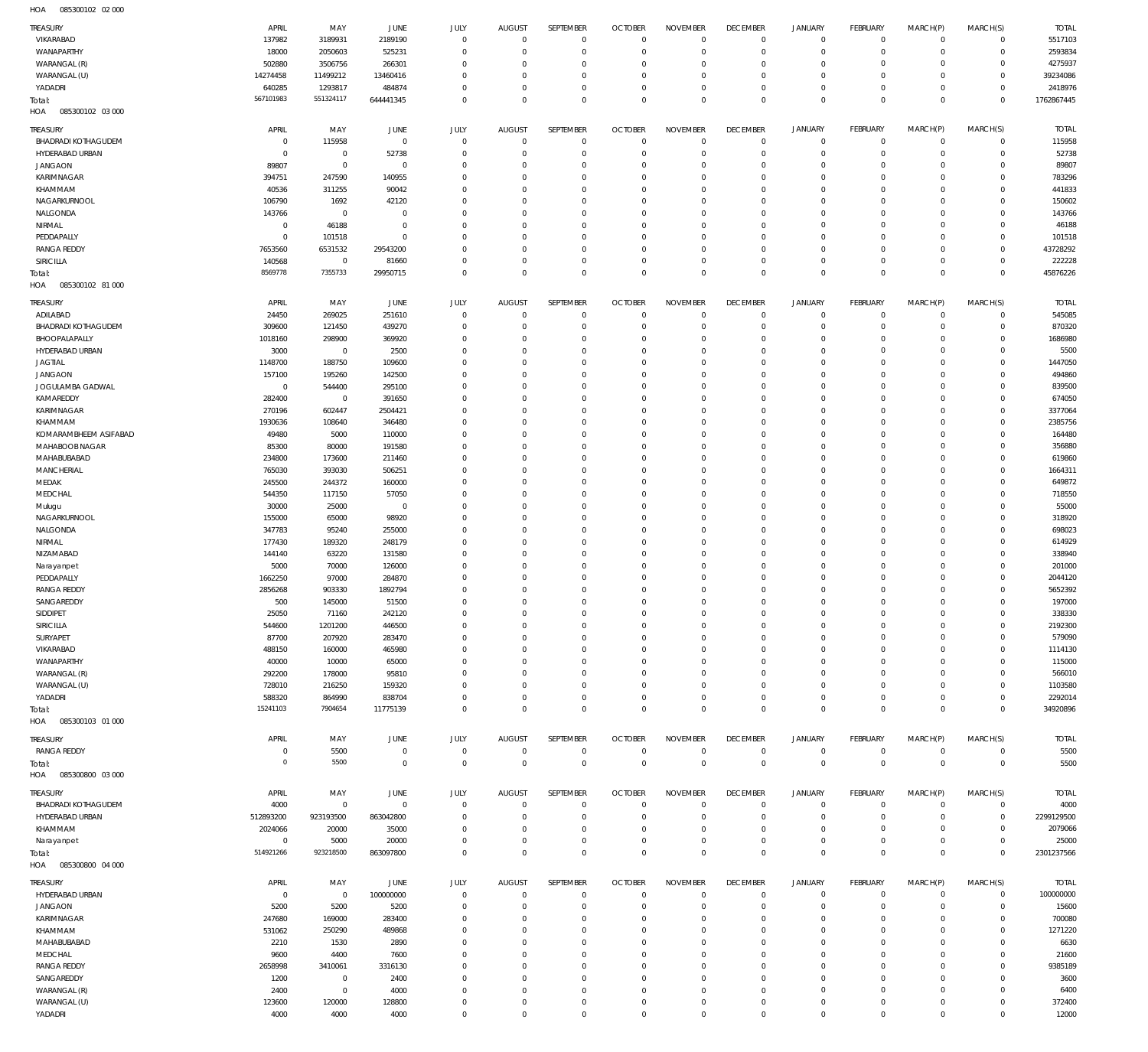085300102 02 000 HOA

| TREASURY                   | APRIL          | MAY          | JUNE        | JULY        | <b>AUGUST</b> | <b>SEPTEMBER</b> | <b>OCTOBER</b> | <b>NOVEMBER</b> | <b>DECEMBER</b> | <b>JANUARY</b> | <b>FEBRUARY</b> | MARCH(P)    | MARCH(S)       | <b>TOTAL</b> |
|----------------------------|----------------|--------------|-------------|-------------|---------------|------------------|----------------|-----------------|-----------------|----------------|-----------------|-------------|----------------|--------------|
| VIKARABAD                  | 137982         | 3189931      | 2189190     | $\mathbf 0$ | $\mathbf 0$   | $\mathbf 0$      | $\overline{0}$ | $\mathbf 0$     | $\overline{0}$  | $\mathbf{0}$   | $\overline{0}$  | $\mathbf 0$ | $\mathbf 0$    | 5517103      |
| WANAPARTHY                 | 18000          | 2050603      | 525231      | $\mathbf 0$ | $^{\circ}$    | $\mathbf 0$      | $\mathbf 0$    | $\mathbf 0$     | $\overline{0}$  | $\mathbf 0$    | $\overline{0}$  | $\mathbf 0$ | $\mathbf 0$    | 2593834      |
| WARANGAL (R)               | 502880         | 3506756      | 266301      | $^{\circ}$  | $^{\circ}$    | $\mathbf 0$      | $\mathbf 0$    | $\mathbf 0$     | $\mathbf 0$     | 0              | $\mathbf{0}$    | 0           | $\mathbf 0$    | 4275937      |
| WARANGAL (U)               | 14274458       | 11499212     | 13460416    | $\mathbf 0$ | $^{\circ}$    | $\mathbf 0$      | $\mathbf 0$    | $\mathbf 0$     | $\mathbf 0$     | $\mathbf 0$    | $\mathbf{0}$    | 0           | $\mathbf 0$    | 39234086     |
| YADADRI                    | 640285         | 1293817      | 484874      | $\mathbf 0$ | $^{\circ}$    | $\mathbf 0$      | $\mathbf 0$    | $\mathbf 0$     | $\mathbf 0$     | $\mathbf 0$    | $\mathbf{0}$    | $\mathbf 0$ | $\mathbf 0$    | 2418976      |
| Total:                     | 567101983      | 551324117    | 644441345   | $\mathbf 0$ | $\Omega$      | $\mathbf 0$      | $\mathbf 0$    | $\mathbf 0$     | $\overline{0}$  | $\mathbf 0$    | $\overline{0}$  | $\Omega$    | $\overline{0}$ | 1762867445   |
| 085300102 03 000<br>HOA    |                |              |             |             |               |                  |                |                 |                 |                |                 |             |                |              |
|                            |                |              |             |             |               |                  |                |                 |                 |                |                 |             |                |              |
| TREASURY                   | APRIL          | MAY          | <b>JUNE</b> | JULY        | <b>AUGUST</b> | SEPTEMBER        | <b>OCTOBER</b> | <b>NOVEMBER</b> | <b>DECEMBER</b> | <b>JANUARY</b> | FEBRUARY        | MARCH(P)    | MARCH(S)       | <b>TOTAL</b> |
| <b>BHADRADI KOTHAGUDEM</b> | $\overline{0}$ | 115958       | $\mathbf 0$ | $^{\circ}$  | $^{\circ}$    | $\mathbf 0$      | $\overline{0}$ | $\mathbf 0$     | $\mathbf 0$     | $\mathbf 0$    | $\mathbf{0}$    | $\mathbf 0$ | $\mathbf 0$    | 115958       |
| HYDERABAD URBAN            | 0              | $^{\circ}$   | 52738       | $^{\circ}$  | $^{\circ}$    | $\mathbf 0$      | $\mathbf 0$    | $\mathbf 0$     | $\mathbf 0$     | $\mathbf 0$    | $\mathbf{0}$    | 0           | $\mathbf 0$    | 52738        |
| <b>JANGAON</b>             | 89807          | $\mathbf 0$  | $^{\circ}$  | $^{\circ}$  | 0             | $\mathbf 0$      | $\mathbf 0$    | $\mathbf 0$     | $\mathbf 0$     | 0              | $\mathbf{0}$    | 0           | 0              | 89807        |
| KARIMNAGAR                 | 394751         | 247590       | 140955      | 0           | $^{\circ}$    | $\mathbf 0$      | $\mathbf 0$    | $\Omega$        | $\mathbf 0$     | 0              | $^{\circ}$      | 0           | $\mathbf 0$    | 783296       |
| KHAMMAM                    | 40536          | 311255       | 90042       | $\mathbf 0$ | $^{\circ}$    | $\mathbf 0$      | $\mathbf 0$    | $\Omega$        | $\mathbf 0$     | 0              | $^{\circ}$      | $\Omega$    | $\mathbf 0$    | 441833       |
| NAGARKURNOOL               | 106790         | 1692         | 42120       | $\mathbf 0$ | $^{\circ}$    | $\mathbf 0$      | $\mathbf 0$    | $\Omega$        | $\mathbf 0$     | 0              | $^{\circ}$      | $\Omega$    | $\mathbf 0$    | 150602       |
|                            |                |              |             |             |               |                  |                |                 |                 |                |                 |             |                |              |
| NALGONDA                   | 143766         | $\mathbf 0$  | $^{\circ}$  | 0           | $^{\circ}$    | $\mathbf 0$      | $\mathbf 0$    | $\Omega$        | $\mathbf 0$     | 0              | $^{\circ}$      | $\Omega$    | $\Omega$       | 143766       |
| NIRMAL                     | $\overline{0}$ | 46188        | $^{\circ}$  | $\mathbf 0$ | $^{\circ}$    | $\mathbf 0$      | $\mathbf 0$    | $\mathbf 0$     | $\mathbf 0$     | 0              | $^{\circ}$      | $\Omega$    | $\mathbf 0$    | 46188        |
| PEDDAPALLY                 | $\overline{0}$ | 101518       | $^{\circ}$  | $\Omega$    | 0             | $\mathbf 0$      | $\mathbf 0$    | $\Omega$        | $\Omega$        | 0              | $\mathbf 0$     | 0           | $\mathbf 0$    | 101518       |
| <b>RANGA REDDY</b>         | 7653560        | 6531532      | 29543200    | $\mathbf 0$ | $^{\circ}$    | $\mathbf 0$      | $\mathbf 0$    | $\mathbf 0$     | $\mathbf 0$     | 0              | $^{\circ}$      | $\Omega$    | $\mathbf 0$    | 43728292     |
| SIRICILLA                  | 140568         | $\mathbf 0$  | 81660       | $\mathbf 0$ | $^{\circ}$    | $\mathbf 0$      | $\mathbf 0$    | 0               | $\mathbf 0$     | $\mathbf 0$    | $\mathbf{0}$    | 0           | $\mathbf 0$    | 222228       |
| Total:                     | 8569778        | 7355733      | 29950715    | $\mathbf 0$ | $\Omega$      | $\mathbf 0$      | $\mathbf 0$    | $\mathbf 0$     | $\overline{0}$  | $\mathbf 0$    | $\overline{0}$  | $\Omega$    | $\overline{0}$ | 45876226     |
| HOA<br>085300102 81 000    |                |              |             |             |               |                  |                |                 |                 |                |                 |             |                |              |
|                            |                |              |             |             |               |                  |                |                 |                 |                |                 |             |                |              |
| TREASURY                   | APRIL          | MAY          | JUNE        | <b>JULY</b> | <b>AUGUST</b> | SEPTEMBER        | <b>OCTOBER</b> | <b>NOVEMBER</b> | <b>DECEMBER</b> | <b>JANUARY</b> | <b>FEBRUARY</b> | MARCH(P)    | MARCH(S)       | <b>TOTAL</b> |
| ADILABAD                   | 24450          | 269025       | 251610      | $\mathbf 0$ | $^{\circ}$    | $\mathbf 0$      | $\overline{0}$ | $\mathbf 0$     | $\mathbf 0$     | $\mathbf 0$    | $\overline{0}$  | $\mathbf 0$ | $\mathbf 0$    | 545085       |
| <b>BHADRADI KOTHAGUDEM</b> | 309600         | 121450       | 439270      | $\mathbf 0$ | $^{\circ}$    | $\mathbf 0$      | $\mathbf 0$    | $\mathbf 0$     | $\mathbf 0$     | $\mathbf 0$    | $\overline{0}$  | $\mathbf 0$ | $\mathbf 0$    | 870320       |
| BHOOPALAPALLY              | 1018160        | 298900       | 369920      | $\mathbf 0$ | $^{\circ}$    | $\mathbf 0$      | $\mathbf 0$    | $\mathbf 0$     | $\mathbf 0$     | $\mathbf 0$    | $\mathbf{0}$    | 0           | $\mathbf 0$    | 1686980      |
| HYDERABAD URBAN            | 3000           | $\mathbf{0}$ | 2500        | $\mathbf 0$ | $^{\circ}$    | $\mathbf 0$      | $\mathbf 0$    | $\mathbf 0$     | $\mathbf 0$     | 0              | $\overline{0}$  | $\Omega$    | $\mathbf 0$    | 5500         |
|                            |                |              |             |             |               |                  |                |                 |                 |                |                 |             |                |              |
| <b>JAGTIAL</b>             | 1148700        | 188750       | 109600      | $\mathbf 0$ | $^{\circ}$    | $\mathbf 0$      | $\mathbf 0$    | $\mathbf 0$     | $\mathbf 0$     | 0              | $\mathbf{0}$    | 0           | $\mathbf 0$    | 1447050      |
| <b>JANGAON</b>             | 157100         | 195260       | 142500      | $\mathbf 0$ | $^{\circ}$    | $\mathbf 0$      | $\mathbf 0$    | $\mathbf 0$     | $\mathbf 0$     | 0              | $\mathbf{0}$    | $\Omega$    | $\mathbf 0$    | 494860       |
| JOGULAMBA GADWAL           | $^{\circ}$     | 544400       | 295100      | $\mathbf 0$ | $^{\circ}$    | $\mathbf 0$      | $\mathbf 0$    | $\mathbf 0$     | $\mathbf 0$     | 0              | $\mathbf{0}$    | 0           | $\mathbf 0$    | 839500       |
| KAMAREDDY                  | 282400         | $\mathbf{0}$ | 391650      | $\mathbf 0$ | $^{\circ}$    | $\mathbf 0$      | $\mathbf 0$    | $\mathbf 0$     | $\mathbf 0$     | 0              | $\mathbf{0}$    | $\Omega$    | $\mathbf 0$    | 674050       |
| KARIMNAGAR                 | 270196         | 602447       | 2504421     | $\mathbf 0$ | $^{\circ}$    | $\mathbf 0$      | $\mathbf 0$    | $\mathbf 0$     | $\mathbf 0$     | 0              | $\overline{0}$  | 0           | $\mathbf 0$    | 3377064      |
| KHAMMAM                    | 1930636        | 108640       | 346480      | $\mathbf 0$ | $^{\circ}$    | $\mathbf 0$      | $\mathbf 0$    | $\mathbf 0$     | $\mathbf 0$     | 0              | $\mathbf{0}$    | $\Omega$    | $\mathbf 0$    | 2385756      |
| KOMARAMBHEEM ASIFABAD      | 49480          | 5000         | 110000      | $\mathbf 0$ | $^{\circ}$    | $\mathbf 0$      | $\mathbf 0$    | $\mathbf 0$     | $\mathbf 0$     | 0              | $\overline{0}$  | 0           | $\mathbf 0$    | 164480       |
| MAHABOOB NAGAR             | 85300          | 80000        | 191580      | $\mathbf 0$ | $^{\circ}$    | $\mathbf 0$      | $\mathbf 0$    | $\Omega$        | $\mathbf 0$     | 0              | $\mathbf{0}$    | $\Omega$    | $\mathbf 0$    | 356880       |
|                            |                |              |             |             |               |                  |                |                 |                 |                |                 |             |                |              |
| MAHABUBABAD                | 234800         | 173600       | 211460      | $\mathbf 0$ | $^{\circ}$    | $\mathbf 0$      | $\mathbf 0$    | $\mathbf 0$     | $\mathbf 0$     | 0              | $\overline{0}$  | 0           | $\mathbf 0$    | 619860       |
| <b>MANCHERIAL</b>          | 765030         | 393030       | 506251      | $\mathbf 0$ | $^{\circ}$    | $\mathbf 0$      | $\mathbf 0$    | $\mathbf 0$     | $\mathbf 0$     | 0              | $\mathbf{0}$    | $\Omega$    | $\mathbf 0$    | 1664311      |
| MEDAK                      | 245500         | 244372       | 160000      | $\mathbf 0$ | $^{\circ}$    | $\mathbf 0$      | $\mathbf 0$    | $\mathbf 0$     | $\mathbf 0$     | 0              | $\mathbf{0}$    | 0           | $\mathbf 0$    | 649872       |
| MEDCHAL                    | 544350         | 117150       | 57050       | $\mathbf 0$ | $^{\circ}$    | $\mathbf 0$      | $\mathbf 0$    | $\Omega$        | $\mathbf 0$     | 0              | $\overline{0}$  | $\Omega$    | $\mathbf 0$    | 718550       |
| Mulugu                     | 30000          | 25000        | 0           | $\mathbf 0$ | $^{\circ}$    | $\mathbf 0$      | $\mathbf 0$    | $\mathbf 0$     | $\mathbf 0$     | 0              | $\mathbf{0}$    | 0           | $\mathbf 0$    | 55000        |
| NAGARKURNOOL               | 155000         | 65000        | 98920       | $\mathbf 0$ | $^{\circ}$    | $\mathbf 0$      | $\mathbf 0$    | $\mathbf 0$     | $\mathbf 0$     | 0              | $\mathbf{0}$    | $\Omega$    | $\mathbf 0$    | 318920       |
| NALGONDA                   | 347783         | 95240        | 255000      | $\mathbf 0$ | $^{\circ}$    | $\mathbf 0$      | $\mathbf 0$    | $\mathbf 0$     | $\mathbf 0$     | 0              | $\mathbf{0}$    | 0           | $\mathbf 0$    | 698023       |
| NIRMAL                     | 177430         | 189320       | 248179      | $\mathbf 0$ | $^{\circ}$    | $\mathbf 0$      | $\mathbf 0$    | $\mathbf 0$     | $\mathbf 0$     | 0              | $\mathbf{0}$    | $\Omega$    | $\mathbf 0$    | 614929       |
|                            |                |              |             |             |               |                  |                |                 |                 |                |                 |             |                |              |
| NIZAMABAD                  | 144140         | 63220        | 131580      | $\mathbf 0$ | $^{\circ}$    | $\mathbf 0$      | $\mathbf 0$    | $\mathbf 0$     | $\mathbf 0$     | 0              | $\overline{0}$  | 0           | $\mathbf 0$    | 338940       |
| Narayanpet                 | 5000           | 70000        | 126000      | $\mathbf 0$ | $^{\circ}$    | $\mathbf 0$      | $\mathbf 0$    | $\mathbf 0$     | $\mathbf 0$     | 0              | $\mathbf{0}$    | $\Omega$    | $\mathbf 0$    | 201000       |
| PEDDAPALLY                 | 1662250        | 97000        | 284870      | $\mathbf 0$ | $^{\circ}$    | $\mathbf 0$      | $\mathbf 0$    | $\mathbf 0$     | $\mathbf 0$     | 0              | $\overline{0}$  | 0           | $\mathbf 0$    | 2044120      |
| <b>RANGA REDDY</b>         | 2856268        | 903330       | 1892794     | $\mathbf 0$ | $^{\circ}$    | $\mathbf 0$      | $\mathbf 0$    | $\mathbf 0$     | $\mathbf 0$     | 0              | $\mathbf{0}$    | $\Omega$    | $\mathbf 0$    | 5652392      |
| SANGAREDDY                 | 500            | 145000       | 51500       | $\mathbf 0$ | $\mathbf 0$   | $\mathbf 0$      | $\mathbf 0$    | $\mathbf 0$     | $\mathbf 0$     | $\mathbf 0$    | $\circ$         | $\Omega$    | $\mathbf 0$    | 197000       |
| SIDDIPET                   | 25050          | 71160        | 242120      | 0           | $\Omega$      | 0                | C              |                 | $\Omega$        | $\Omega$       | $^{\circ}$      | $\Omega$    | 0              | 338330       |
| <b>SIRICILLA</b>           | 544600         | 1201200      | 446500      | $\mathbf 0$ | $^{\circ}$    | $\mathbf 0$      | $\mathbf 0$    | $\mathbf 0$     | $\mathbf 0$     | $\mathbf 0$    | $\mathbf{0}$    | 0           | $\mathbf 0$    | 2192300      |
| SURYAPET                   | 87700          | 207920       | 283470      | $\mathbf 0$ | $^{\circ}$    | $\mathbf 0$      | $\mathbf 0$    | $\mathbf 0$     | $\mathbf 0$     | 0              | $\mathbf{0}$    | 0           | $\mathbf 0$    | 579090       |
|                            |                |              |             |             |               |                  |                |                 | $\mathbf 0$     |                |                 |             | $\mathbf 0$    |              |
| VIKARABAD                  | 488150         | 160000       | 465980      | $\mathbf 0$ | $^{\circ}$    | $\mathbf 0$      | $\mathbf 0$    | $\mathbf 0$     |                 | 0              | $^{\circ}$      | 0           |                | 1114130      |
| WANAPARTHY                 | 40000          | 10000        | 65000       | $\mathbf 0$ | $^{\circ}$    | $\mathbf 0$      | $\mathbf 0$    | $\mathbf 0$     | $\mathbf 0$     | 0              | $\mathbf 0$     | $\Omega$    | 0              | 115000       |
| WARANGAL (R)               | 292200         | 178000       | 95810       | $\mathbf 0$ | $\Omega$      | $\mathbf 0$      | $\mathbf 0$    | $\mathbf 0$     | $\mathbf 0$     | 0              | $^{\circ}$      | 0           | $\mathbf 0$    | 566010       |
| WARANGAL (U)               | 728010         | 216250       | 159320      | $\mathbf 0$ | $^{\circ}$    | $\mathbf 0$      | $\mathbf 0$    | $\mathbf 0$     | $\mathbf 0$     | 0              | $^{\circ}$      | 0           | $\mathbf 0$    | 1103580      |
| YADADRI                    | 588320         | 864990       | 838704      | $\mathbf 0$ | $^{\circ}$    | $\mathbf 0$      | $\mathbf 0$    | $\mathbf 0$     | $\mathbf 0$     | $\mathbf 0$    | $\mathbf{0}$    | 0           | $\mathbf 0$    | 2292014      |
| Total:                     | 15241103       | 7904654      | 11775139    | $\mathbf 0$ | $\mathbf 0$   | $\mathbf 0$      | $\mathbf 0$    | $\mathbf 0$     | $\overline{0}$  | $\mathbf 0$    | $\overline{0}$  | $\mathbf 0$ | $\mathbf{0}$   | 34920896     |
| HOA<br>085300103 01 000    |                |              |             |             |               |                  |                |                 |                 |                |                 |             |                |              |
|                            |                |              |             |             |               |                  |                |                 |                 |                |                 |             |                |              |
| TREASURY                   | APRIL          | MAY          | <b>JUNE</b> | <b>JULY</b> | <b>AUGUST</b> | SEPTEMBER        | <b>OCTOBER</b> | <b>NOVEMBER</b> | <b>DECEMBER</b> | <b>JANUARY</b> | <b>FEBRUARY</b> | MARCH(P)    | MARCH(S)       | <b>TOTAL</b> |
| RANGA REDDY                | 0              | 5500         | $\mathbf 0$ | $\mathbf 0$ | $\mathbf 0$   | $\mathbf 0$      | $\overline{0}$ | $\mathbf 0$     | $\overline{0}$  | $\mathbf{0}$   | $\overline{0}$  | $\mathbf 0$ | $\mathbf 0$    | 5500         |
| Total:                     | $^{\circ}$     | 5500         | $\mathbf 0$ | $\mathbf 0$ | $^{\circ}$    | $\mathbf 0$      | $\overline{0}$ | $\overline{0}$  | $\overline{0}$  | $\overline{0}$ | $\overline{0}$  | $\mathbf 0$ | $\overline{0}$ | 5500         |
| HOA<br>085300800 03 000    |                |              |             |             |               |                  |                |                 |                 |                |                 |             |                |              |
|                            |                |              |             |             |               |                  |                |                 |                 |                |                 |             |                |              |
| TREASURY                   | APRIL          | MAY          | <b>JUNE</b> | <b>JULY</b> | <b>AUGUST</b> | SEPTEMBER        | <b>OCTOBER</b> | <b>NOVEMBER</b> | <b>DECEMBER</b> | <b>JANUARY</b> | <b>FEBRUARY</b> | MARCH(P)    | MARCH(S)       | <b>TOTAL</b> |
| <b>BHADRADI KOTHAGUDEM</b> | 4000           | $\mathbf 0$  | $\circ$     | $\mathbf 0$ | $^{\circ}$    | $\mathbf 0$      | $\mathbf 0$    | $\mathbf 0$     | $\mathbf 0$     | $\mathbf 0$    | $\mathbf{0}$    | 0           | $\mathbf 0$    | 4000         |
| HYDERABAD URBAN            | 512893200      | 923193500    | 863042800   | $\mathbf 0$ | $^{\circ}$    | $\mathbf 0$      | $\mathbf 0$    | $\mathbf 0$     | $\mathbf 0$     | $\mathbf 0$    | $\mathbf{0}$    | $\mathbf 0$ | $\mathbf 0$    | 2299129500   |
| KHAMMAM                    | 2024066        | 20000        | 35000       | $\mathbf 0$ | $^{\circ}$    | $\mathbf 0$      | $\mathbf 0$    | $\mathbf 0$     | $\mathbf 0$     | 0              | $^{\circ}$      | 0           | $\mathbf 0$    | 2079066      |
| Narayanpet                 | $\overline{0}$ | 5000         | 20000       | $\mathbf 0$ | $^{\circ}$    | $\mathbf 0$      | $\mathbf 0$    | $\mathbf 0$     | $\mathbf 0$     | $\mathbf 0$    | $\mathbf{0}$    | 0           | $\mathbf 0$    | 25000        |
| Total:                     | 514921266      | 923218500    | 863097800   | $\mathbf 0$ | $\mathbf 0$   | $\mathbf 0$      | $\overline{0}$ | $\mathbf 0$     | $\overline{0}$  | $\mathbf 0$    | $\overline{0}$  | $\mathbf 0$ | $\overline{0}$ | 2301237566   |
| HOA<br>085300800 04 000    |                |              |             |             |               |                  |                |                 |                 |                |                 |             |                |              |
|                            |                |              |             |             |               |                  |                |                 |                 |                |                 |             |                |              |
| TREASURY                   | APRIL          | MAY          | JUNE        | <b>JULY</b> | <b>AUGUST</b> | SEPTEMBER        | <b>OCTOBER</b> | <b>NOVEMBER</b> | <b>DECEMBER</b> | <b>JANUARY</b> | <b>FEBRUARY</b> | MARCH(P)    | MARCH(S)       | <b>TOTAL</b> |
| HYDERABAD URBAN            | $^{\circ}$     | $\mathbf 0$  | 100000000   | $\mathbf 0$ | $^{\circ}$    | $\mathbf 0$      | $\mathbf 0$    | $\mathbf 0$     | $\mathbf 0$     | $\mathbf 0$    | $\mathbf{0}$    | 0           | $\mathbf 0$    | 100000000    |
| JANGAON                    | 5200           | 5200         | 5200        | $\mathbf 0$ | $^{\circ}$    | $\mathbf 0$      | $\mathbf 0$    | $\mathbf 0$     | $\mathbf 0$     | 0              | $\mathbf{0}$    | 0           | $\mathbf 0$    | 15600        |
| KARIMNAGAR                 | 247680         | 169000       | 283400      | 0           | $^{\circ}$    | $\mathbf 0$      | $\mathbf 0$    | $\mathbf 0$     | $\mathbf 0$     | 0              | $\mathbf 0$     | $\Omega$    | $\mathbf 0$    | 700080       |
| KHAMMAM                    | 531062         | 250290       | 489868      | $\mathbf 0$ | $^{\circ}$    | $\mathbf 0$      | $\mathbf 0$    | $\Omega$        | $\mathbf 0$     | 0              | $\mathbf 0$     | $\Omega$    | $\mathbf 0$    | 1271220      |
|                            |                |              |             |             |               |                  |                |                 |                 |                |                 |             |                |              |
| MAHABUBABAD                | 2210           | 1530         | 2890        | $\mathbf 0$ | $^{\circ}$    | $\mathbf 0$      | $\mathbf 0$    | 0               | $\mathbf 0$     | 0              | $\mathbf 0$     | $\Omega$    | $\mathbf 0$    | 6630         |
| MEDCHAL                    | 9600           | 4400         | 7600        | 0           | $^{\circ}$    | $\mathbf 0$      | $\mathbf 0$    | $\Omega$        | $\mathbf 0$     | 0              | $^{\circ}$      | 0           | 0              | 21600        |
| <b>RANGA REDDY</b>         | 2658998        | 3410061      | 3316130     | $\mathbf 0$ | $^{\circ}$    | $\mathbf 0$      | $\mathbf 0$    | $\mathbf 0$     | $\mathbf 0$     | 0              | $\mathbf 0$     | $\Omega$    | 0              | 9385189      |
| SANGAREDDY                 | 1200           | $\mathbf 0$  | 2400        | $\mathbf 0$ | $\Omega$      | $\mathbf 0$      | $\mathbf 0$    | $\Omega$        | $\mathbf 0$     | 0              | $^{\circ}$      | 0           | $\mathbf 0$    | 3600         |
| WARANGAL (R)               | 2400           | $\mathbf 0$  | 4000        | $\mathbf 0$ | $^{\circ}$    | $\mathbf 0$      | $\mathbf 0$    | $\mathbf 0$     | $\mathbf 0$     | 0              | $\mathbf 0$     | $\Omega$    | 0              | 6400         |
| WARANGAL (U)               | 123600         | 120000       | 128800      | $\mathbf 0$ | $^{\circ}$    | $\mathbf 0$      | $\mathbf 0$    | $\mathbf 0$     | $\mathbf 0$     | 0              | $\mathbf 0$     | 0           | 0              | 372400       |
| YADADRI                    | 4000           | 4000         | 4000        | $\mathbf 0$ | $\mathbf 0$   | $\mathbf 0$      | $\mathbf 0$    | $\mathbf 0$     | $\mathbf 0$     | $\mathbf 0$    | $\mathbf{0}$    | $\mathbf 0$ | $\mathbf 0$    | 12000        |
|                            |                |              |             |             |               |                  |                |                 |                 |                |                 |             |                |              |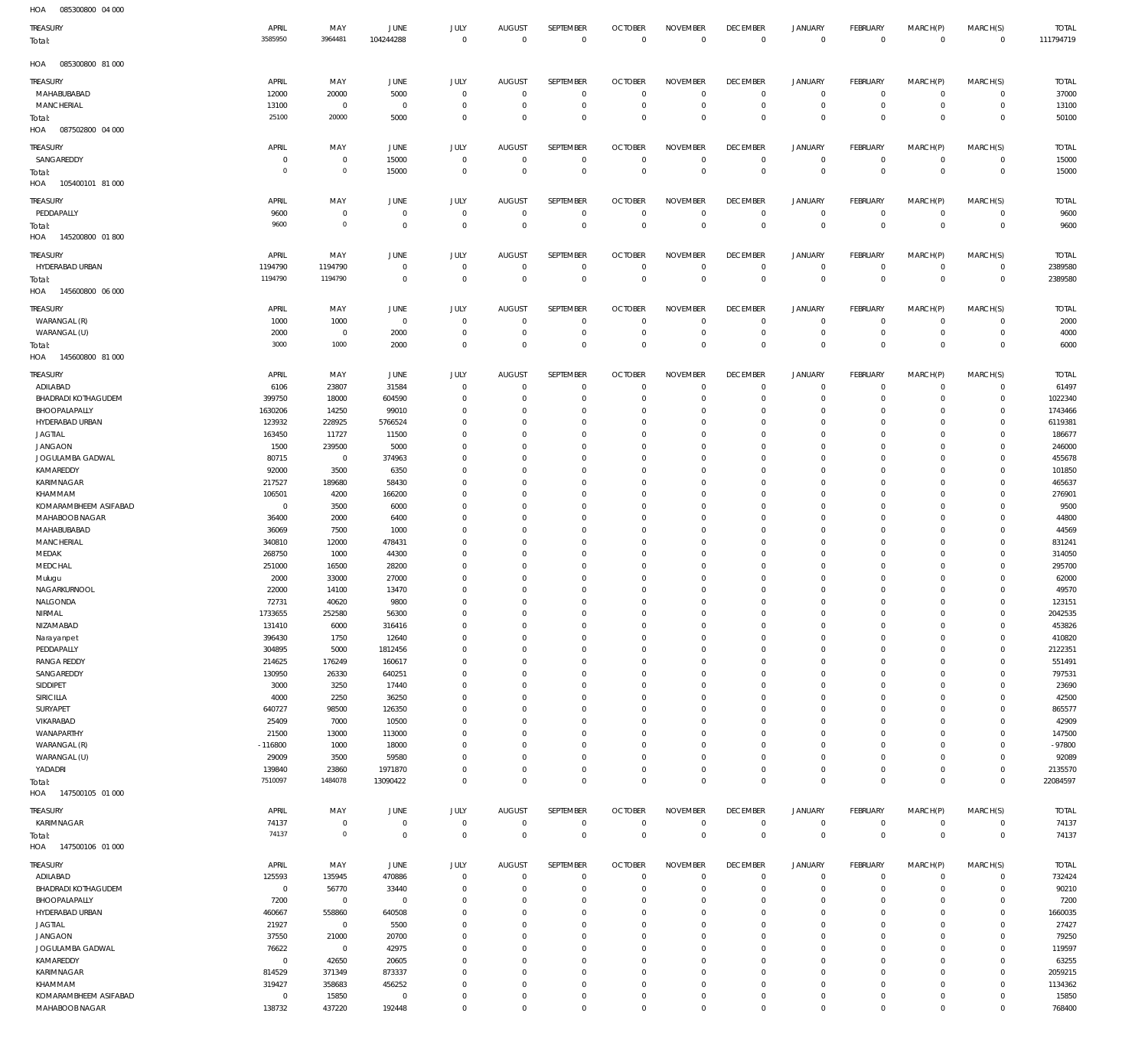085300800 04 000 HOA

| $\cdots$<br>oooooooo o loo<br>TREASURY | APRIL                    | MAY                       | JUNE                         | JULY                          | <b>AUGUST</b>               | SEPTEMBER                    | <b>OCTOBER</b>                   | <b>NOVEMBER</b>                | <b>DECEMBER</b>                | <b>JANUARY</b>                | FEBRUARY                         | MARCH(P)                   | MARCH(S)                   | <b>TOTAL</b>          |
|----------------------------------------|--------------------------|---------------------------|------------------------------|-------------------------------|-----------------------------|------------------------------|----------------------------------|--------------------------------|--------------------------------|-------------------------------|----------------------------------|----------------------------|----------------------------|-----------------------|
| Total:                                 | 3585950                  | 3964481                   | 104244288                    | $\overline{0}$                | $\overline{0}$              | $\mathbb O$                  | $\mathbf{0}$                     | $\mathsf 0$                    | $\mathbf 0$                    | $\mathbf 0$                   | $\mathbb O$                      | $\mathbf 0$                | $\mathbf 0$                | 111794719             |
| HOA<br>085300800 81 000                |                          |                           |                              |                               |                             |                              |                                  |                                |                                |                               |                                  |                            |                            |                       |
| TREASURY<br>MAHABUBABAD                | APRIL<br>12000           | MAY<br>20000              | JUNE<br>5000                 | JULY<br>$\mathbf 0$           | <b>AUGUST</b><br>$^{\circ}$ | SEPTEMBER<br>$\mathbf 0$     | <b>OCTOBER</b><br>0              | <b>NOVEMBER</b><br>$\mathbf 0$ | <b>DECEMBER</b><br>$\mathbf 0$ | <b>JANUARY</b><br>0           | FEBRUARY<br>$\mathbf 0$          | MARCH(P)<br>$\Omega$       | MARCH(S)<br>$\mathbf{0}$   | <b>TOTAL</b><br>37000 |
| <b>MANCHERIAL</b>                      | 13100                    | $\mathbf 0$               | $^{\circ}$                   | $\mathbf 0$                   | $^{\circ}$                  | $\mathbf 0$                  | $\overline{0}$                   | $\mathbf 0$                    | $\circ$                        | $\mathbf 0$                   | $\overline{0}$                   | $\mathbf 0$                | $\overline{0}$             | 13100                 |
| Total:<br>HOA<br>087502800 04 000      | 25100                    | 20000                     | 5000                         | $\mathbf 0$                   | $\Omega$                    | $\mathbf 0$                  | $\Omega$                         | $\mathbf 0$                    | $\mathbf 0$                    | $\mathbf 0$                   | $\Omega$                         | $\Omega$                   | $\overline{0}$             | 50100                 |
| TREASURY                               | APRIL                    | MAY                       | JUNE                         | <b>JULY</b>                   | <b>AUGUST</b>               | SEPTEMBER                    | <b>OCTOBER</b>                   | <b>NOVEMBER</b>                | <b>DECEMBER</b>                | <b>JANUARY</b>                | FEBRUARY                         | MARCH(P)                   | MARCH(S)                   | <b>TOTAL</b>          |
| SANGAREDDY<br>Total:                   | $\Omega$<br>$\circ$      | $\overline{0}$<br>$\circ$ | 15000<br>15000               | $\overline{0}$<br>$\mathbf 0$ | $^{\circ}$<br>$\Omega$      | $\mathbf 0$<br>$\mathbf 0$   | $\overline{0}$<br>$\overline{0}$ | $^{\circ}$<br>$\mathbf 0$      | $\mathbf 0$<br>$\mathbf 0$     | $^{\circ}$<br>$\mathbf 0$     | $\mathbf 0$<br>$\overline{0}$    | $\mathbf 0$<br>$\mathbf 0$ | $\circ$<br>$\overline{0}$  | 15000<br>15000        |
| HOA<br>105400101 81 000                |                          |                           |                              |                               |                             |                              |                                  |                                |                                |                               |                                  |                            |                            |                       |
| TREASURY                               | APRIL                    | MAY                       | JUNE                         | JULY                          | <b>AUGUST</b>               | SEPTEMBER                    | <b>OCTOBER</b>                   | <b>NOVEMBER</b>                | <b>DECEMBER</b>                | <b>JANUARY</b>                | <b>FEBRUARY</b>                  | MARCH(P)                   | MARCH(S)                   | <b>TOTAL</b>          |
| PEDDAPALLY<br>Total:                   | 9600<br>9600             | $\mathbf 0$<br>$\circ$    | $^{\circ}$<br>$\Omega$       | $\mathbf 0$<br>$\mathbf 0$    | $\overline{0}$<br>$\Omega$  | $\mathbf 0$<br>$\mathbf 0$   | 0<br>$\overline{0}$              | $\mathbf 0$<br>$\mathbf 0$     | $\circ$<br>$\circ$             | $\mathbf 0$<br>$\mathbf 0$    | $\overline{0}$<br>$\overline{0}$ | $\mathbf 0$<br>$\mathbf 0$ | $\circ$<br>$\overline{0}$  | 9600<br>9600          |
| HOA<br>145200800 01 800                |                          |                           |                              |                               |                             |                              |                                  |                                |                                |                               |                                  |                            |                            |                       |
| TREASURY                               | APRIL                    | MAY                       | JUNE                         | JULY                          | <b>AUGUST</b>               | SEPTEMBER                    | <b>OCTOBER</b>                   | <b>NOVEMBER</b>                | <b>DECEMBER</b>                | <b>JANUARY</b>                | FEBRUARY                         | MARCH(P)                   | MARCH(S)                   | <b>TOTAL</b>          |
| HYDERABAD URBAN<br>Total:              | 1194790<br>1194790       | 1194790<br>1194790        | $^{\circ}$<br>$\overline{0}$ | $\overline{0}$<br>$\mathbf 0$ | $^{\circ}$<br>$\Omega$      | $\mathbf{0}$<br>$\mathbb O$  | $\overline{0}$<br>$\mathbf{0}$   | $\mathbf 0$<br>$\mathbf 0$     | $\mathbf 0$<br>$\mathbf 0$     | $^{\circ}$<br>$\mathbf 0$     | $\mathbf 0$<br>$\mathbf{0}$      | $\mathbf 0$<br>$\mathbf 0$ | $\mathbf 0$<br>$\mathbf 0$ | 2389580<br>2389580    |
| HOA<br>145600800 06 000                |                          |                           |                              |                               |                             |                              |                                  |                                |                                |                               |                                  |                            |                            |                       |
| TREASURY                               | APRIL                    | MAY                       | JUNE                         | JULY                          | <b>AUGUST</b>               | SEPTEMBER                    | <b>OCTOBER</b>                   | <b>NOVEMBER</b>                | <b>DECEMBER</b>                | <b>JANUARY</b>                | <b>FEBRUARY</b>                  | MARCH(P)                   | MARCH(S)                   | <b>TOTAL</b>          |
| WARANGAL (R)<br>WARANGAL (U)           | 1000<br>2000             | 1000<br>$\overline{0}$    | $\overline{0}$<br>2000       | $\overline{0}$<br>$\mathbf 0$ | $^{\circ}$<br>$\Omega$      | $\mathbf 0$<br>$\mathbf 0$   | 0<br>0                           | $\mathbf 0$<br>$^{\circ}$      | $^{\circ}$<br>$\circ$          | 0<br>$\mathbf 0$              | $\mathbf 0$<br>$\mathbf 0$       | $\mathbf 0$<br>$\mathbf 0$ | $\overline{0}$<br>$\circ$  | 2000<br>4000          |
| Total:                                 | 3000                     | 1000                      | 2000                         | $\mathbf 0$                   | $\Omega$                    | $\mathbf 0$                  | $\overline{0}$                   | $\mathbf 0$                    | $\mathbf 0$                    | $\mathbf 0$                   | $\overline{0}$                   | $\mathbf 0$                | $\overline{0}$             | 6000                  |
| HOA<br>145600800 81 000                |                          |                           |                              |                               |                             |                              |                                  |                                |                                |                               |                                  |                            |                            |                       |
| TREASURY<br>ADILABAD                   | APRIL<br>6106            | MAY<br>23807              | JUNE<br>31584                | <b>JULY</b><br>$^{\circ}$     | <b>AUGUST</b><br>$\Omega$   | SEPTEMBER<br>$^{\circ}$      | <b>OCTOBER</b><br>$\Omega$       | <b>NOVEMBER</b><br>$\Omega$    | <b>DECEMBER</b><br>$\mathbf 0$ | <b>JANUARY</b><br>$^{\circ}$  | FEBRUARY<br>$\mathbf 0$          | MARCH(P)<br>$\Omega$       | MARCH(S)<br>$^{\circ}$     | <b>TOTAL</b><br>61497 |
| <b>BHADRADI KOTHAGUDEM</b>             | 399750                   | 18000                     | 604590                       | $^{\circ}$                    | $\Omega$                    | $\mathbf{0}$                 | -0                               | $\Omega$                       | $\mathbf 0$                    | $\mathbf 0$                   | $\mathbf 0$                      | $\Omega$                   | $\mathbf{0}$               | 1022340               |
| BHOOPALAPALLY                          | 1630206                  | 14250                     | 99010                        | $\Omega$                      | $\Omega$                    | $\Omega$                     | $\Omega$                         | $\Omega$                       | $\Omega$                       | $^{\circ}$                    | $\mathbf 0$                      | $\Omega$                   | $\mathbf 0$                | 1743466               |
| HYDERABAD URBAN<br><b>JAGTIAL</b>      | 123932<br>163450         | 228925<br>11727           | 5766524<br>11500             | $\Omega$<br>$\Omega$          | $\Omega$<br>$\Omega$        | $\Omega$<br>$\Omega$         | $\Omega$<br>$\Omega$             | $\Omega$<br>$\Omega$           | $\Omega$<br>$\Omega$           | $\mathbf 0$<br>$^{\circ}$     | $\Omega$<br>$\mathbf 0$          | $\Omega$<br>$\Omega$       | $^{\circ}$<br>$\mathbf 0$  | 6119381<br>186677     |
| <b>JANGAON</b>                         | 1500                     | 239500                    | 5000                         | $\Omega$                      | $\Omega$                    | $\Omega$                     | -0                               | $\Omega$                       | $\Omega$                       | $\Omega$                      | $\Omega$                         | $\Omega$                   | $\Omega$                   | 246000                |
| JOGULAMBA GADWAL                       | 80715                    | $\overline{0}$            | 374963                       | $\Omega$                      | $\Omega$                    | $\Omega$                     | $\Omega$                         | $\Omega$                       | $\Omega$                       | $\Omega$                      | $\mathbf 0$                      | $\Omega$                   | $\mathbf 0$                | 455678                |
| KAMAREDDY<br><b>KARIMNAGAR</b>         | 92000<br>217527          | 3500<br>189680            | 6350<br>58430                | $\Omega$<br>$\Omega$          | $\Omega$<br>$\Omega$        | $\Omega$<br>$\Omega$         | $\Omega$<br>$\Omega$             | $\Omega$<br>$\Omega$           | $\Omega$<br>$\Omega$           | $\Omega$<br>$\Omega$          | $\Omega$<br>$\mathbf 0$          | $\Omega$<br>$\Omega$       | $\Omega$<br>$\mathbf 0$    | 101850<br>465637      |
| KHAMMAM                                | 106501                   | 4200                      | 166200                       | $\Omega$                      | $\Omega$                    | $\Omega$                     | $\Omega$                         | $\Omega$                       | $\Omega$                       | $^{\circ}$                    | $\Omega$                         | $\Omega$                   | $\mathbf 0$                | 276901                |
| KOMARAMBHEEM ASIFABAD                  | $\Omega$                 | 3500                      | 6000                         | $\Omega$                      | $\Omega$                    | $\Omega$                     | $\Omega$                         | $\Omega$                       | $\Omega$                       | $\Omega$                      | $\mathbf 0$                      | $\Omega$                   | $\Omega$                   | 9500                  |
| MAHABOOB NAGAR<br>MAHABUBABAD          | 36400<br>36069           | 2000<br>7500              | 6400<br>1000                 | $\Omega$<br>$\Omega$          | $\Omega$<br>$\Omega$        | $\Omega$<br>$\Omega$         | $\Omega$<br>$\Omega$             | $\Omega$<br>$\Omega$           | $\Omega$<br>$\Omega$           | $^{\circ}$<br>$\Omega$        | $\mathbf 0$<br>$\mathbf 0$       | $\Omega$<br>$\Omega$       | $\mathbf 0$<br>$\Omega$    | 44800<br>44569        |
| <b>MANCHERIAL</b>                      | 340810                   | 12000                     | 478431                       | $\Omega$                      | $\Omega$                    | $\Omega$                     | $\Omega$                         | $\Omega$                       | $\mathbf 0$                    | $^{\circ}$                    | $\mathbf 0$                      | $\Omega$                   | $\mathbf 0$                | 831241                |
| MEDAK                                  | 268750                   | 1000                      | 44300                        | $\Omega$                      | $\Omega$                    | $\Omega$                     | $\Omega$                         | $\Omega$                       | $\Omega$                       | $\Omega$                      | $\Omega$                         | $\Omega$                   | $\mathbf 0$                | 314050                |
| MEDCHAL<br>Mulugu                      | 251000<br>2000           | 16500<br>33000            | 28200<br>27000               | $\Omega$<br>$\Omega$          | $\Omega$<br>$\Omega$        | $\Omega$<br>$\Omega$         | $\Omega$<br>$\Omega$             | $\Omega$<br>$\Omega$           | $\mathbf 0$<br>$\Omega$        | $\mathbf 0$<br>$\Omega$       | $\mathbf 0$<br>$\Omega$          | $\Omega$<br>$\Omega$       | $^{\circ}$<br>$\mathbf 0$  | 295700<br>62000       |
| NAGARKURNOOL                           | 22000                    | 14100                     | 13470                        | $\Omega$                      | $\Omega$                    | $\mathbf{0}$                 | $\Omega$                         | $\Omega$                       | $\Omega$                       | $\Omega$                      | $\Omega$                         | $\Omega$                   | $\Omega$                   | 49570                 |
| NALGONDA                               | 72731                    | 40620                     | 9800                         | $\Omega$                      | $\Omega$                    | $\Omega$                     | $\Omega$                         | $\Omega$                       | $\Omega$                       | $\Omega$                      | $\Omega$                         | $\Omega$                   | $\Omega$                   | 123151                |
| NIRMAL<br>NIZAMABAD                    | 1733655<br>131410        | 252580<br>6000            | 56300<br>316416              | $\overline{0}$<br>$\Omega$    | $\Omega$<br>$\Omega$        | $\mathbf{0}$<br>$^{\circ}$   | $\Omega$<br>$\Omega$             | $\mathbf 0$<br>$\Omega$        | $\mathbf 0$<br>$^{\circ}$      | $\mathbf 0$<br>$\mathbf 0$    | $\mathbf 0$<br>$\mathbf 0$       | $\Omega$<br>$\Omega$       | $^{\circ}$<br>$\mathbf 0$  | 2042535<br>453826     |
| Narayanpet                             | 396430                   | 1750                      | 12640                        | $^{\circ}$                    | $\Omega$                    | $\mathbf{0}$                 | $\Omega$                         | $\Omega$                       | $\mathbf 0$                    | $\mathbf 0$                   | $\Omega$                         | $\Omega$                   | $\Omega$                   | 410820                |
| PEDDAPALLY                             | 304895                   | 5000                      | 1812456                      | $\Omega$                      | $\Omega$                    | $\Omega$                     | $\Omega$                         | $\Omega$                       | $\mathbf 0$                    | $^{\circ}$                    | $\mathbf 0$                      | $\Omega$                   | $\Omega$                   | 2122351               |
| <b>RANGA REDDY</b><br>SANGAREDDY       | 214625<br>130950         | 176249<br>26330           | 160617<br>640251             | $\Omega$<br>$\Omega$          | $\Omega$<br>$\Omega$        | $\Omega$<br>$\Omega$         | $\Omega$<br>$\Omega$             | $\Omega$<br>$\Omega$           | $\Omega$<br>$\Omega$           | $\Omega$<br>$\Omega$          | $\Omega$<br>$\mathbf 0$          | $\Omega$<br>$\Omega$       | $\Omega$<br>$\circ$        | 551491<br>797531      |
| SIDDIPET                               | 3000                     | 3250                      | 17440                        | $\Omega$                      | $\Omega$                    | $\Omega$                     | $\Omega$                         | $\Omega$                       | $\Omega$                       | $\Omega$                      | $\Omega$                         | $\Omega$                   | $\Omega$                   | 23690                 |
| SIRICILLA                              | 4000                     | 2250                      | 36250                        | $\Omega$                      | $\Omega$                    | $\Omega$                     | $\Omega$                         | $\Omega$                       | $\Omega$                       | $\Omega$                      | $\mathbf 0$                      | $\Omega$                   | $\circ$                    | 42500                 |
| SURYAPET<br>VIKARABAD                  | 640727<br>25409          | 98500<br>7000             | 126350<br>10500              | $\Omega$<br>$\Omega$          | $\Omega$<br>$\Omega$        | $\Omega$<br>$\Omega$         | $\Omega$<br>$\Omega$             | $\Omega$<br>$\Omega$           | $\mathbf 0$<br>$\Omega$        | $^{\circ}$<br>$\Omega$        | $\Omega$<br>$\Omega$             | $\Omega$<br>$\Omega$       | $\mathbf 0$<br>$\Omega$    | 865577<br>42909       |
| WANAPARTHY                             | 21500                    | 13000                     | 113000                       | $\Omega$                      | $\Omega$                    | $\Omega$                     | $\Omega$                         | $\Omega$                       | $\mathbf 0$                    | $^{\circ}$                    | $\mathbf 0$                      | $\Omega$                   | $\mathbf 0$                | 147500                |
| WARANGAL (R)                           | $-116800$                | 1000                      | 18000                        | $\Omega$                      | $\Omega$                    | $\Omega$                     | $\Omega$                         | $\Omega$                       | $\Omega$                       | $\Omega$                      | $\Omega$                         | $\Omega$                   | $\Omega$                   | $-97800$              |
| WARANGAL (U)<br>YADADRI                | 29009<br>139840          | 3500<br>23860             | 59580<br>1971870             | $\Omega$<br>$\Omega$          | $\Omega$<br>$\Omega$        | $^{\circ}$<br>$\Omega$       | $\Omega$<br>$\Omega$             | $\Omega$<br>$\Omega$           | $\mathbf 0$<br>$\mathbf 0$     | $\mathbf 0$<br>$\mathbf 0$    | $\mathbf 0$<br>$\mathbf 0$       | $\Omega$<br>$\Omega$       | $\mathbf 0$<br>$\mathbf 0$ | 92089<br>2135570      |
| Total:                                 | 7510097                  | 1484078                   | 13090422                     | $\overline{0}$                | $\Omega$                    | $\mathbf{0}$                 | $\Omega$                         | $\mathbf 0$                    | $\Omega$                       | $\mathbf 0$                   | $\Omega$                         | $\Omega$                   | $\overline{0}$             | 22084597              |
| HOA<br>147500105 01 000                |                          |                           |                              |                               |                             |                              |                                  |                                |                                |                               |                                  |                            |                            |                       |
| TREASURY<br>KARIMNAGAR                 | APRIL<br>74137           | MAY<br>$\mathbf 0$        | JUNE<br>$\overline{0}$       | JULY<br>$\overline{0}$        | <b>AUGUST</b><br>$^{\circ}$ | SEPTEMBER<br>$\mathbf 0$     | <b>OCTOBER</b><br>$\overline{0}$ | <b>NOVEMBER</b><br>$\mathbf 0$ | <b>DECEMBER</b><br>$\mathbf 0$ | <b>JANUARY</b><br>$\mathbf 0$ | FEBRUARY<br>$\overline{0}$       | MARCH(P)<br>$\mathbf 0$    | MARCH(S)<br>$\overline{0}$ | <b>TOTAL</b><br>74137 |
| Total:                                 | 74137                    | $\,0\,$                   | $\overline{0}$               | $\mathbf 0$                   | $\overline{0}$              | $\mathbf 0$                  | $\overline{0}$                   | $\mathbf 0$                    | $\mathbf 0$                    | $\mathbb O$                   | $\overline{0}$                   | $\mathbf 0$                | $\overline{0}$             | 74137                 |
| 147500106 01 000<br>HOA                |                          |                           |                              |                               |                             |                              |                                  |                                |                                |                               |                                  |                            |                            |                       |
| <b>TREASURY</b>                        | APRIL                    | MAY                       | JUNE                         | <b>JULY</b>                   | <b>AUGUST</b>               | SEPTEMBER                    | <b>OCTOBER</b>                   | <b>NOVEMBER</b>                | <b>DECEMBER</b>                | <b>JANUARY</b>                | FEBRUARY                         | MARCH(P)                   | MARCH(S)                   | <b>TOTAL</b>          |
| ADILABAD<br><b>BHADRADI KOTHAGUDEM</b> | 125593<br>$\overline{0}$ | 135945                    | 470886<br>33440              | $\overline{0}$<br>$^{\circ}$  | $\Omega$<br>$\Omega$        | $\mathbf{0}$<br>$\mathbf{0}$ | $\Omega$<br>$\Omega$             | $\Omega$<br>$\Omega$           | $\mathbf 0$<br>$^{\circ}$      | $\mathbf 0$<br>$\mathbf 0$    | $\mathbf 0$<br>$^{\circ}$        | $\mathbf 0$<br>$\Omega$    | $\mathbf 0$<br>$\mathbf 0$ | 732424<br>90210       |
| BHOOPALAPALLY                          | 7200                     | 56770<br>$\overline{0}$   | $\Omega$                     | $\Omega$                      | $\Omega$                    | $\Omega$                     | -0                               | $\Omega$                       | $^{\circ}$                     | $^{\circ}$                    | $\mathbf 0$                      | $\Omega$                   | $\mathbf 0$                | 7200                  |
| HYDERABAD URBAN                        | 460667                   | 558860                    | 640508                       | $\Omega$                      | $\Omega$                    | $\Omega$                     | -0                               | $\Omega$                       | $\Omega$                       | $\Omega$                      | $\mathbf 0$                      | $\Omega$                   | $\mathbf 0$                | 1660035               |
| <b>JAGTIAL</b>                         | 21927                    | $\mathbf 0$               | 5500                         | $\Omega$                      | $\Omega$                    | $\Omega$                     | $\Omega$                         | $\Omega$                       | $\mathbf 0$                    | $\mathbf 0$                   | $\mathbf 0$                      | $\Omega$                   | $\mathbf 0$                | 27427                 |
| <b>JANGAON</b><br>JOGULAMBA GADWAL     | 37550<br>76622           | 21000<br>$\overline{0}$   | 20700<br>42975               | $\Omega$<br>$\Omega$          | $\Omega$<br>$\Omega$        | $\Omega$<br>$\Omega$         | $\Omega$<br>-0                   | $\Omega$<br>$\Omega$           | $\Omega$<br>$\mathbf 0$        | $\Omega$<br>$\mathbf 0$       | $\mathbf 0$<br>$\mathbf 0$       | $\Omega$<br>$\Omega$       | $\Omega$<br>$\mathbf 0$    | 79250<br>119597       |
| KAMAREDDY                              | $\Omega$                 | 42650                     | 20605                        | $\Omega$                      | $\Omega$                    | $\Omega$                     | $\Omega$                         | $\Omega$                       | $\Omega$                       | $\Omega$                      | $\Omega$                         | $\Omega$                   | $\mathbf 0$                | 63255                 |
| KARIMNAGAR                             | 814529                   | 371349                    | 873337                       | $\Omega$                      | $\Omega$                    | $\mathbf{0}$                 | $\Omega$                         | $\Omega$                       | $\mathbf 0$                    | $\mathbf 0$                   | $\Omega$                         | $\Omega$                   | $\mathbf 0$                | 2059215               |
| KHAMMAM<br>KOMARAMBHEEM ASIFABAD       | 319427<br>$\Omega$       | 358683<br>15850           | 456252<br>$\Omega$           | $\Omega$<br>$\overline{0}$    | $\Omega$<br>$\circ$         | $\Omega$<br>$\mathbf{0}$     | -0<br>0                          | $\Omega$<br>$\mathbf 0$        | $\Omega$<br>$\mathbf 0$        | $^{\circ}$<br>$\mathbf 0$     | $\mathbf 0$<br>$\mathbf 0$       | $\Omega$<br>$\Omega$       | $\mathbf 0$<br>$^{\circ}$  | 1134362<br>15850      |
| MAHABOOB NAGAR                         | 138732                   | 437220                    | 192448                       | $\mathbf 0$                   | $\Omega$                    | $\mathbf 0$                  | $\Omega$                         | $\mathbf 0$                    | $\mathbf 0$                    | $\mathbf 0$                   | $\mathbf 0$                      | $\mathbf 0$                | $\mathbf 0$                | 768400                |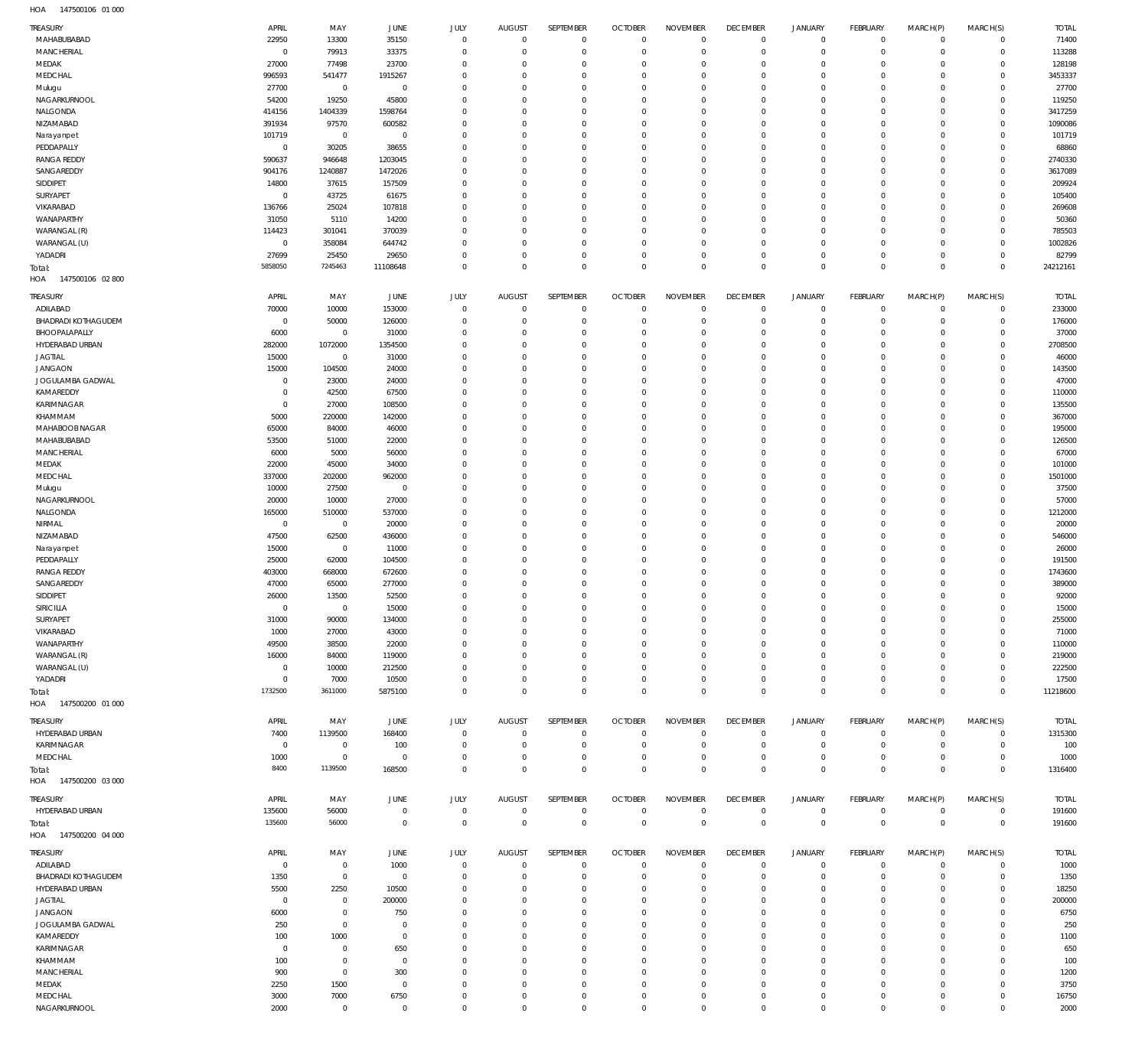| <b>TREASURY</b>                   | APRIL                  | MAY                         | JUNE                       | JULY                       | <b>AUGUST</b>              | SEPTEMBER                  | <b>OCTOBER</b>                   | <b>NOVEMBER</b>              | <b>DECEMBER</b>                | <b>JANUARY</b>             | <b>FEBRUARY</b>            | MARCH(P)                | MARCH(S)                   | <b>TOTAL</b>     |
|-----------------------------------|------------------------|-----------------------------|----------------------------|----------------------------|----------------------------|----------------------------|----------------------------------|------------------------------|--------------------------------|----------------------------|----------------------------|-------------------------|----------------------------|------------------|
| MAHABUBABAD                       | 22950                  | 13300                       | 35150                      | $\mathbf 0$                | $\mathbf 0$                | $\mathbf{0}$               | $\overline{0}$                   | $\mathbf{0}$                 | $\overline{0}$                 | $\mathbf 0$                | $\mathbf 0$                | $\Omega$                | $\mathbf 0$                | 71400            |
| <b>MANCHERIAL</b>                 | $\overline{0}$         | 79913                       | 33375                      | $\mathbf 0$                | $\mathbf 0$                | $\mathbf 0$                | $\overline{0}$                   | $\mathbf 0$                  | $\mathbb O$                    | $\mathbf 0$                | $\mathbf 0$                | $\mathbf 0$             | $\mathbf 0$                | 113288           |
| MEDAK                             | 27000                  | 77498                       | 23700                      | $^{\circ}$                 | $\mathbf 0$                | $\mathbf 0$                | $\overline{0}$                   | $\mathbf 0$                  | $\overline{0}$                 | $\circ$                    | $\mathbf 0$                | $\Omega$                | $\mathbf 0$                | 128198           |
| MEDCHAL                           | 996593                 | 541477                      | 1915267<br>$\mathbf 0$     | $\mathbf 0$                | $\mathbf 0$                | $\mathbf 0$<br>$\mathbf 0$ | $\overline{0}$<br>$\mathbf 0$    | $\mathbf 0$<br>$\mathbf 0$   | $\mathbf 0$<br>$\mathbf 0$     | $\circ$                    | $\mathbf 0$<br>$\mathbf 0$ | $\Omega$                | $\mathbf 0$<br>$\mathbf 0$ | 3453337<br>27700 |
| Mulugu<br>NAGARKURNOOL            | 27700<br>54200         | $\mathbf 0$<br>19250        | 45800                      | $\mathbf 0$<br>$\mathbf 0$ | $\mathbf 0$<br>$\mathbf 0$ | $\mathbf 0$                | $\overline{0}$                   | $\mathbf 0$                  | $\mathbf 0$                    | $\mathbf 0$<br>$\mathbf 0$ | $\mathbf 0$                | $\Omega$                | $\mathbf 0$                | 119250           |
| NALGONDA                          | 414156                 | 1404339                     | 1598764                    | $^{\circ}$                 | $\mathbf 0$                | $\mathbf 0$                | $\mathbf 0$                      | $\mathbf 0$                  | $\overline{0}$                 | $\mathbf 0$                | $\mathbf 0$                |                         | $\mathbf 0$                | 3417259          |
| NIZAMABAD                         | 391934                 | 97570                       | 600582                     | $\mathbf 0$                | $\mathbf 0$                | $\mathbf 0$                | $\overline{0}$                   | $\mathbf 0$                  | $\overline{0}$                 | $\mathbf 0$                | $\mathbf 0$                | $\Omega$                | $\mathbf 0$                | 1090086          |
| Narayanpet                        | 101719                 | $\mathbf 0$                 | $\mathbf 0$                | $\mathbf 0$                | $\mathbf 0$                | $\mathbf 0$                | $\mathbf 0$                      | $\mathbf 0$                  | $\mathbf 0$                    | $\mathbf 0$                | $\mathbf 0$                |                         | $\mathbf 0$                | 101719           |
| PEDDAPALLY                        | $\mathbb O$            | 30205                       | 38655                      | $\mathbf 0$                | $\mathbf 0$                | $\mathbf 0$                | $\mathbf 0$                      | $\mathbf 0$                  | $\overline{0}$                 | $\mathbf 0$                | $\mathbf 0$                | $\Omega$                | $\mathbf 0$                | 68860            |
| <b>RANGA REDDY</b>                | 590637                 | 946648                      | 1203045                    | $\mathbf 0$                | $\mathbf 0$                | $\mathbf 0$                | $\mathbf 0$                      | 0                            | $\mathbf 0$                    | $\mathbf 0$                | $\mathbf 0$                | $\Omega$                | $\mathbf 0$                | 2740330          |
| SANGAREDDY                        | 904176                 | 1240887                     | 1472026                    | $\mathbf 0$                | $\mathbf 0$                | $\mathbf 0$                | $\mathbf 0$                      | $\mathbf 0$                  | $\overline{0}$                 | $^{\circ}$                 | $\Omega$                   | $\Omega$                | $\mathbf 0$                | 3617089          |
| SIDDIPET                          | 14800                  | 37615                       | 157509                     | $\mathbf 0$                | $\mathbf 0$                | $\mathbf 0$                | $\mathbf 0$                      | $\mathbf 0$                  | $\mathbf{0}$                   | $\mathbf 0$                | $\mathbf 0$                | $\Omega$                | $\mathbf 0$                | 209924           |
| SURYAPET                          | $\overline{0}$         | 43725                       | 61675                      | $\mathbf 0$                | $\mathbf 0$                | $\mathbf 0$                | $\mathbf 0$                      | $\mathbf 0$                  | $\overline{0}$                 | $^{\circ}$                 | $\mathbf 0$                | $\Omega$                | $\mathbf 0$                | 105400           |
| VIKARABAD                         | 136766                 | 25024                       | 107818                     | $\mathbf 0$                | $\mathbf 0$                | $\mathbf 0$                | $\overline{0}$                   | $\mathbf 0$                  | $\mathbf{0}$                   | $^{\circ}$                 | $\mathbf 0$                | $\Omega$                | $\mathbf 0$                | 269608           |
| WANAPARTHY                        | 31050                  | 5110                        | 14200                      | $\overline{0}$             | $\mathbf 0$                | $\mathbf 0$                | $\mathbf 0$                      | $\mathbf 0$                  | $\overline{0}$                 | $^{\circ}$                 | $\mathbf 0$                | $\Omega$                | $\mathbf 0$                | 50360            |
| WARANGAL (R)                      | 114423                 | 301041                      | 370039                     | $\mathbf 0$                | $\mathbf 0$                | $\mathbf 0$                | $\mathbf 0$                      | $\mathbf 0$                  | $\mathbf{0}$                   | $\mathbf 0$                | $\mathbf 0$                | $\Omega$                | $\mathbf 0$                | 785503           |
| WARANGAL (U)                      | $\overline{0}$         | 358084                      | 644742                     | $\mathbf 0$                | $\mathbf 0$                | $\mathbf 0$                | $\mathbf 0$                      | $\mathbf 0$                  | $\overline{0}$                 | $\mathbf 0$                | $\mathbf 0$                | $\Omega$                | $\mathbf 0$                | 1002826          |
| YADADRI                           | 27699                  | 25450                       | 29650                      | $\mathbf 0$                | $\mathbf 0$                | $\mathbf 0$                | $\overline{0}$                   | $\mathbf 0$                  | $\mathbb O$                    | $\mathbf 0$                | $\mathbf 0$                | $\Omega$                | $\mathbf 0$                | 82799            |
| Total:<br>HOA<br>147500106 02 800 | 5858050                | 7245463                     | 11108648                   | $\mathbf 0$                | $\mathbf 0$                | $\mathbf 0$                | $\overline{0}$                   | $\mathbf 0$                  | $\overline{0}$                 | $\mathbf 0$                | $\overline{0}$             | $\Omega$                | $\mathbb O$                | 24212161         |
| <b>TREASURY</b>                   | APRIL                  | MAY                         | JUNE                       | JULY                       | <b>AUGUST</b>              | <b>SEPTEMBER</b>           | <b>OCTOBER</b>                   | <b>NOVEMBER</b>              | <b>DECEMBER</b>                | <b>JANUARY</b>             | <b>FEBRUARY</b>            | MARCH(P)                | MARCH(S)                   | <b>TOTAL</b>     |
| ADILABAD                          | 70000                  | 10000                       | 153000                     | $\mathbf 0$                | $\mathbf 0$                | $\mathbf 0$                | $\overline{0}$                   | $\mathbf 0$                  | $\overline{0}$                 | $\circ$                    | $\mathbf 0$                | $\mathbf 0$             | $\circ$                    | 233000           |
| <b>BHADRADI KOTHAGUDEM</b>        | $\overline{0}$         | 50000                       | 126000                     | $^{\circ}$                 | $\mathbf 0$                | $\mathbf 0$                | $\overline{0}$                   | 0                            | $\mathbf 0$                    | $\mathbf 0$                | $\mathbf 0$                | $\Omega$                | $\mathbf 0$                | 176000           |
| BHOOPALAPALLY                     | 6000                   | $\mathbf 0$                 | 31000                      | $^{\circ}$                 | $\mathbf 0$                | $\mathbf 0$                | $\mathbf 0$                      | $\mathbf 0$                  | $\mathbf 0$                    | $\mathbf 0$                | $\mathbf 0$                | $\Omega$                | $\mathbf 0$                | 37000            |
| HYDERABAD URBAN                   | 282000                 | 1072000                     | 1354500                    | $^{\circ}$                 | $\mathbf 0$                | $\mathbf 0$                | $\mathbf 0$                      | $\mathbf 0$                  | $\mathbf 0$                    | $\mathbf 0$                | $\mathbf 0$                |                         | $\mathbf 0$                | 2708500          |
| <b>JAGTIAL</b>                    | 15000                  | $\mathbf 0$                 | 31000                      | $^{\circ}$                 | $\mathbf 0$                | $\mathbf 0$                | $\mathbf 0$                      | $\mathbf 0$                  | $\overline{0}$                 | $\mathbf 0$                | $\Omega$                   |                         | $\mathbf 0$                | 46000            |
| <b>JANGAON</b>                    | 15000                  | 104500                      | 24000                      | $^{\circ}$                 | $\mathbf 0$                | $\mathbf 0$                | $\mathbf 0$                      | $\mathbf 0$                  | $\mathbf 0$                    | $\mathbf 0$                | $\mathbf 0$                |                         | $\mathbf 0$                | 143500           |
| JOGULAMBA GADWAL                  | $\overline{0}$         | 23000                       | 24000                      | $^{\circ}$                 | $\Omega$                   | $\Omega$                   | $\mathbf 0$                      | $\Omega$                     | $\mathbf 0$                    | $\Omega$                   | $\Omega$                   |                         | $\Omega$                   | 47000            |
| KAMAREDDY                         | $\overline{0}$         | 42500                       | 67500                      | $^{\circ}$                 | $\mathbf 0$                | $\mathbf 0$                | $\mathbf 0$                      | $\mathbf 0$                  | $^{\circ}$                     | $\mathbf 0$                | $\mathbf 0$                |                         | $\mathbf 0$                | 110000           |
| KARIMNAGAR                        | $\overline{0}$         | 27000                       | 108500                     | $^{\circ}$                 | $\Omega$                   | $\Omega$                   | $\mathbf 0$                      | $\mathbf 0$                  | $\mathbf 0$                    | $\Omega$                   | $\Omega$                   |                         | $\Omega$                   | 135500           |
| KHAMMAM                           | 5000                   | 220000                      | 142000                     | $^{\circ}$                 | $\mathbf 0$                | $\mathbf 0$                | $\mathbf 0$                      | $\mathbf 0$                  | $^{\circ}$                     | $\mathbf 0$                | $\mathbf 0$                |                         | $\mathbf 0$                | 367000           |
| MAHABOOB NAGAR                    | 65000                  | 84000                       | 46000                      | $\mathbf 0$                | $\Omega$                   | $\Omega$                   | $\mathbf 0$                      | $\Omega$                     | $\Omega$                       | $\Omega$                   | $\Omega$                   |                         | $\Omega$                   | 195000           |
| MAHABUBABAD                       | 53500                  | 51000                       | 22000                      | $^{\circ}$                 | $\mathbf 0$                | $\mathbf 0$                | $\mathbf 0$                      | $\mathbf 0$                  | $^{\circ}$                     | $\mathbf 0$                | $\mathbf 0$                |                         | $\mathbf 0$                | 126500           |
| MANCHERIAL                        | 6000                   | 5000                        | 56000                      | $\mathbf 0$                | 0                          | $\Omega$                   | $\mathbf 0$                      | $\mathbf 0$                  | $\mathbf 0$                    | $\Omega$                   | $\Omega$                   |                         | $\Omega$                   | 67000            |
| MEDAK                             | 22000                  | 45000                       | 34000                      | $^{\circ}$                 | $\mathbf 0$                | $\mathbf 0$                | $\mathbf 0$                      | $\mathbf 0$                  | $^{\circ}$                     | $\mathbf 0$                | $\mathbf 0$                |                         | $\mathbf 0$                | 101000           |
| MEDCHAL                           | 337000                 | 202000                      | 962000                     | 0                          | 0                          | $\Omega$                   | $\mathbf 0$                      | $\Omega$                     | $\mathbf 0$                    | $\Omega$                   | $\Omega$                   |                         | $\Omega$                   | 1501000          |
| Mulugu                            | 10000                  | 27500                       | $^{\circ}$                 | $^{\circ}$                 | $\mathbf 0$                | $\mathbf 0$                | $\mathbf 0$                      | $\mathbf 0$                  | $^{\circ}$                     | $\mathbf 0$                | $\mathbf 0$                |                         | $\mathbf 0$                | 37500            |
| NAGARKURNOOL                      | 20000                  | 10000                       | 27000                      | $^{\circ}$                 | $\mathbf 0$                | $\Omega$                   | $\mathbf 0$                      | $\mathbf 0$                  | $\mathbf 0$                    | 0                          | $\Omega$                   |                         | $\Omega$                   | 57000            |
| NALGONDA                          | 165000                 | 510000                      | 537000                     | $^{\circ}$                 | $\mathbf 0$                | $\mathbf 0$                | $\mathbf 0$                      | $\mathbf 0$                  | $^{\circ}$                     | $\mathbf 0$                | $\Omega$                   |                         | $\mathbf 0$                | 1212000          |
| NIRMAL                            | $\overline{0}$         | $\mathbf 0$                 | 20000                      | $\mathbf 0$                | $\mathbf 0$                | $\mathbf 0$                | $\mathbf 0$                      | 0                            | $\mathbf 0$                    | 0                          | $\Omega$                   |                         | $\Omega$                   | 20000            |
| NIZAMABAD                         | 47500                  | 62500                       | 436000                     | $\mathbf 0$                | $\mathbf 0$                | $\mathbf 0$                | $\mathbf 0$<br>$\mathbf 0$       | $\mathbf 0$                  | $\mathbf 0$                    | $\mathbf 0$                | $\Omega$                   |                         | $\mathbf 0$<br>$\mathbf 0$ | 546000           |
| Narayanpet<br>PEDDAPALLY          | 15000<br>25000         | $\mathbf 0$<br>62000        | 11000<br>104500            | $\mathbf 0$<br>$\mathbf 0$ | $\mathbf 0$<br>$\mathbf 0$ | $\mathbf 0$<br>$\mathbf 0$ | $\mathbf 0$                      | $\mathbf 0$<br>$\mathbf 0$   | $\mathbf 0$<br>$\overline{0}$  | $\mathbf 0$<br>$\mathbf 0$ | $\mathbf 0$<br>$\Omega$    |                         | $\mathbf 0$                | 26000<br>191500  |
| <b>RANGA REDDY</b>                | 403000                 | 668000                      | 672600                     | $\mathbf 0$                | $\mathbf 0$                | $\mathbf 0$                | $\mathbf 0$                      | $\mathbf 0$                  | $\mathbf 0$                    | $\mathbf 0$                | $\mathbf 0$                |                         | $\mathbf 0$                | 1743600          |
| SANGAREDDY                        | 47000                  | 65000                       | 277000                     | $\mathbf 0$                | $\mathbf 0$                | $\mathbf 0$                | $\mathbf 0$                      | $\mathbf 0$                  | $\mathbf 0$                    | $\mathbf 0$                | $\Omega$                   |                         | $\Omega$                   | 389000           |
| SIDDIPET                          | 26000                  | 13500                       | 52500                      | $\mathbf 0$                | $\mathbf 0$                | $\mathbf 0$                | $\mathbf 0$                      | $\Omega$                     | $\mathbf{0}$                   | $\mathbf 0$                | $\mathbf 0$                |                         | $\mathbf 0$                | 92000            |
| <b>SIRICILLA</b>                  | $\overline{0}$         | $\mathbf{0}$                | 15000                      | $\mathbf{0}$               | $\Omega$                   | $\Omega$                   | $\Omega$                         | $\Omega$                     | $\Omega$                       | $\Omega$                   | $\Omega$                   | $\Omega$                | $\mathbf 0$                | 15000            |
| SURYAPET                          | 31000                  | 90000                       | 134000                     | $\mathbf 0$                | $\mathbf 0$                | $\mathbf 0$                | $\overline{0}$                   | $\mathbf 0$                  | $^{\circ}$                     | $\circ$                    | $\mathbf 0$                | $\Omega$                | $\mathbf 0$                | 255000           |
| VIKARABAD                         | 1000                   | 27000                       | 43000                      | $^{\circ}$                 | $\mathbf 0$                | $\mathbf 0$                | $\mathbf 0$                      | $\mathbf 0$                  | $\mathbf 0$                    | $\mathbf 0$                | $\mathbf 0$                |                         | $\mathbf 0$                | 71000            |
| WANAPARTHY                        | 49500                  | 38500                       | 22000                      | $^{\circ}$                 | $\mathbf 0$                | $\mathbf 0$                | $^{\circ}$                       | $\mathbf 0$                  | $^{\circ}$                     | $\mathbf 0$                | $\mathbf 0$                | $\Omega$                | $\mathbf 0$                | 110000           |
| WARANGAL (R)                      | 16000                  | 84000                       | 119000                     | $^{\circ}$                 | $\mathbf 0$                | $\mathbf 0$                | $^{\circ}$                       | $\mathbf 0$                  | $^{\circ}$                     | $\mathbf 0$                | $\mathbf 0$                |                         | $\mathbf 0$                | 219000           |
| WARANGAL (U)                      | $\overline{0}$         | 10000                       | 212500                     | $^{\circ}$                 | $\mathbf 0$                | $\mathbf 0$                | $^{\circ}$                       | $\mathbf 0$                  | $^{\circ}$                     | $\mathbf 0$                | $\mathbf 0$                |                         | $\mathbf 0$                | 222500           |
| YADADRI                           | $\overline{0}$         | 7000                        | 10500                      | $^{\circ}$                 | $\mathbf 0$                | $\mathbf 0$                | $^{\circ}$                       | $\mathbf 0$                  | $\mathbf 0$                    | $\circ$                    | $\mathbf 0$                | $\Omega$                | $\mathbf 0$                | 17500            |
| Total:                            | 1732500                | 3611000                     | 5875100                    | $\mathbf 0$                | $\mathbf 0$                | $\mathbf 0$                | $\overline{0}$                   | $\mathbf 0$                  | $\mathbf 0$                    | $\mathbf 0$                | $\mathbf 0$                | $\Omega$                | $\mathbf 0$                | 11218600         |
| HOA 147500200 01 000              |                        |                             |                            |                            |                            |                            |                                  |                              |                                |                            |                            |                         |                            |                  |
| <b>TREASURY</b>                   | APRIL                  | MAY                         | JUNE                       | JULY                       | <b>AUGUST</b>              | SEPTEMBER                  | <b>OCTOBER</b>                   | <b>NOVEMBER</b>              | <b>DECEMBER</b>                | <b>JANUARY</b>             | <b>FEBRUARY</b>            | MARCH(P)                | MARCH(S)                   | TOTAL            |
| HYDERABAD URBAN                   | 7400                   | 1139500                     | 168400                     | $\mathbf 0$                | $\mathbf 0$                | $^{\circ}$                 | $\overline{0}$                   | $\mathbf 0$                  | $\mathbf{0}$                   | $\circ$                    | $\mathbf 0$                | $\Omega$                | $\mathbf 0$                | 1315300          |
| KARIMNAGAR                        | $\overline{0}$         | $\mathbf 0$                 | 100                        | $\mathbf 0$                | $\mathbf 0$                | $\mathbf 0$                | $\overline{0}$                   | $\mathbf 0$                  | $\overline{0}$                 | $\mathbf 0$                | $\mathbf 0$                | $\Omega$                | $\mathbf 0$                | 100              |
| MEDCHAL                           | 1000                   | $\mathbf 0$                 | $^{\circ}$                 | $^{\circ}$                 | $\mathbf 0$                | $\mathbf 0$                | $\overline{0}$                   | $\mathbf 0$                  | $\mathbf{0}$                   | $\circ$                    | $\mathbf 0$                | $\Omega$                | $\mathbf 0$                | 1000             |
| Total:<br>HOA  147500200  03  000 | 8400                   | 1139500                     | 168500                     | $\mathbf 0$                | $\Omega$                   | $\mathbf 0$                | $\overline{0}$                   | $\mathbf 0$                  | $\mathbb O$                    | $\,0\,$                    | $\mathbb O$                | $\Omega$                | $\mathbf 0$                | 1316400          |
|                                   |                        |                             |                            |                            |                            |                            |                                  |                              |                                |                            |                            |                         |                            |                  |
| TREASURY                          | APRIL                  | MAY                         | <b>JUNE</b>                | <b>JULY</b>                | <b>AUGUST</b>              | SEPTEMBER                  | <b>OCTOBER</b>                   | <b>NOVEMBER</b>              | <b>DECEMBER</b>                | <b>JANUARY</b>             | <b>FEBRUARY</b>            | MARCH(P)                | MARCH(S)                   | TOTAL            |
| HYDERABAD URBAN                   | 135600<br>135600       | 56000<br>56000              | $\mathbf 0$<br>$\mathbf 0$ | $\mathbf 0$<br>$\mathbf 0$ | $\mathbf 0$<br>$\mathbf 0$ | $\mathbf 0$<br>$\mathbf 0$ | $\overline{0}$<br>$\overline{0}$ | $\mathbf{0}$<br>$\mathbf{0}$ | $\overline{0}$<br>$\mathbb O$  | $\circ$<br>$\,0\,$         | $\circ$<br>$\overline{0}$  | $\mathbf 0$<br>$\Omega$ | $\circ$<br>$\mathbf 0$     | 191600<br>191600 |
| Total:<br>HOA  147500200  04  000 |                        |                             |                            |                            |                            |                            |                                  |                              |                                |                            |                            |                         |                            |                  |
|                                   |                        |                             |                            |                            |                            |                            |                                  |                              |                                |                            |                            |                         |                            |                  |
| TREASURY                          | APRIL                  | MAY                         | JUNE                       | <b>JULY</b>                | <b>AUGUST</b>              | SEPTEMBER                  | <b>OCTOBER</b>                   | <b>NOVEMBER</b>              | <b>DECEMBER</b>                | <b>JANUARY</b>             | <b>FEBRUARY</b>            | MARCH(P)                | MARCH(S)                   | <b>TOTAL</b>     |
| ADILABAD                          | $\overline{0}$         | $\mathbf 0$                 | 1000                       | $\mathbf 0$                | $\mathbf 0$                | $\mathbf 0$                | $\overline{0}$                   | $\mathbf 0$                  | $\mathbf{0}$                   | $\circ$                    | $\mathbf 0$                | $\Omega$                | $\circ$                    | 1000             |
| <b>BHADRADI KOTHAGUDEM</b>        | 1350                   | $\mathbf 0$                 | $^{\circ}$                 | $\mathbf 0$                | $\mathbf 0$                | $\mathbf 0$<br>$\mathbf 0$ | $\overline{0}$<br>$\overline{0}$ | $\mathbf{0}$                 | $\overline{0}$<br>$\mathbf{0}$ | $\circ$                    | $\mathbf 0$                | $\Omega$                | $\mathbf 0$<br>$\mathbf 0$ | 1350             |
| HYDERABAD URBAN<br><b>JAGTIAL</b> | 5500<br>$\overline{0}$ | 2250                        | 10500                      | $\mathbf 0$<br>$\mathbf 0$ | $\mathbf 0$<br>$\mathbf 0$ | $\mathbf 0$                | $\overline{0}$                   | $\mathbf 0$<br>$\mathbf 0$   | $\mathbf{0}$                   | $\circ$                    | $\mathbf 0$<br>$\mathbf 0$ | $\Omega$<br>$\Omega$    | $\mathbf 0$                | 18250<br>200000  |
| JANGAON                           | 6000                   | $\mathbf{0}$<br>$\mathbf 0$ | 200000<br>750              | $\mathbf 0$                | $\mathbf 0$                | $\mathbf 0$                | $\mathbf 0$                      | $\mathbf 0$                  | $\mathbf{0}$                   | $\circ$<br>$\mathbf 0$     | $\mathbf 0$                | $\Omega$                | $\mathbf 0$                | 6750             |
| JOGULAMBA GADWAL                  | 250                    | $\mathbf 0$                 | $\overline{0}$             | $\mathbf 0$                | $\mathbf 0$                | $\mathbf 0$                | $\overline{0}$                   | $\mathbf 0$                  | $\mathbf{0}$                   | $\mathbf 0$                | $\mathbf 0$                |                         | $\mathbf 0$                | 250              |
| KAMAREDDY                         | 100                    | 1000                        | $^{\circ}$                 | $\mathbf 0$                | $\mathbf 0$                | $\mathbf 0$                | $\mathbf 0$                      | $\mathbf 0$                  | $\mathbf 0$                    | $\mathbf 0$                | $\mathbf 0$                | $\Omega$                | $\mathbf 0$                | 1100             |
| KARIMNAGAR                        | $\overline{0}$         | $\mathbf 0$                 | 650                        | $\mathbf 0$                | $\mathbf 0$                | $\mathbf 0$                | $\overline{0}$                   | $\mathbf 0$                  | $\mathbf 0$                    | $\mathbf 0$                | $\mathbf 0$                |                         | $\mathbf 0$                | 650              |
| KHAMMAM                           | 100                    | $\mathbf 0$                 | $\mathbf 0$                | $\mathbf 0$                | $\mathbf 0$                | $\mathbf 0$                | $\overline{0}$                   | $\mathbf 0$                  | $\mathbf 0$                    | $\mathbf 0$                | $\mathbf 0$                | $\Omega$                | $\mathbf 0$                | 100              |
| <b>MANCHERIAL</b>                 | 900                    | $\mathbf 0$                 | 300                        | $\mathbf 0$                | $\mathbf 0$                | $\mathbf 0$                | $\mathbf 0$                      | $\mathbf 0$                  | $\mathbf 0$                    | $\mathbf 0$                | $\mathbf 0$                |                         | $\mathbf 0$                | 1200             |
| MEDAK                             | 2250                   | 1500                        | $\mathbf 0$                | $\mathbf 0$                | $\mathbf 0$                | $\mathbf 0$                | $\overline{0}$                   | $\mathbf{0}$                 | $\mathbf 0$                    | $\circ$                    | $\mathbf 0$                | $\Omega$                | $\mathbf 0$                | 3750             |
| MEDCHAL                           | 3000                   | 7000                        | 6750                       | $\mathbf 0$                | $\mathbf 0$                | $\mathbf 0$                | $\overline{0}$                   | $\mathbf 0$                  | $\mathbf 0$                    | $\circ$                    | $\mathbf 0$                | $\Omega$                | $\mathbf 0$                | 16750            |
| NAGARKURNOOL                      | 2000                   | $\mathbf 0$                 | $\mathbf 0$                | $\mathbf 0$                | $\mathbf 0$                | $\mathbf 0$                | $\overline{0}$                   | $\mathbf 0$                  | $\mathbb O$                    | $\mathbb O$                | $\mathsf{O}\xspace$        | $\Omega$                | $\mathbf 0$                | 2000             |
|                                   |                        |                             |                            |                            |                            |                            |                                  |                              |                                |                            |                            |                         |                            |                  |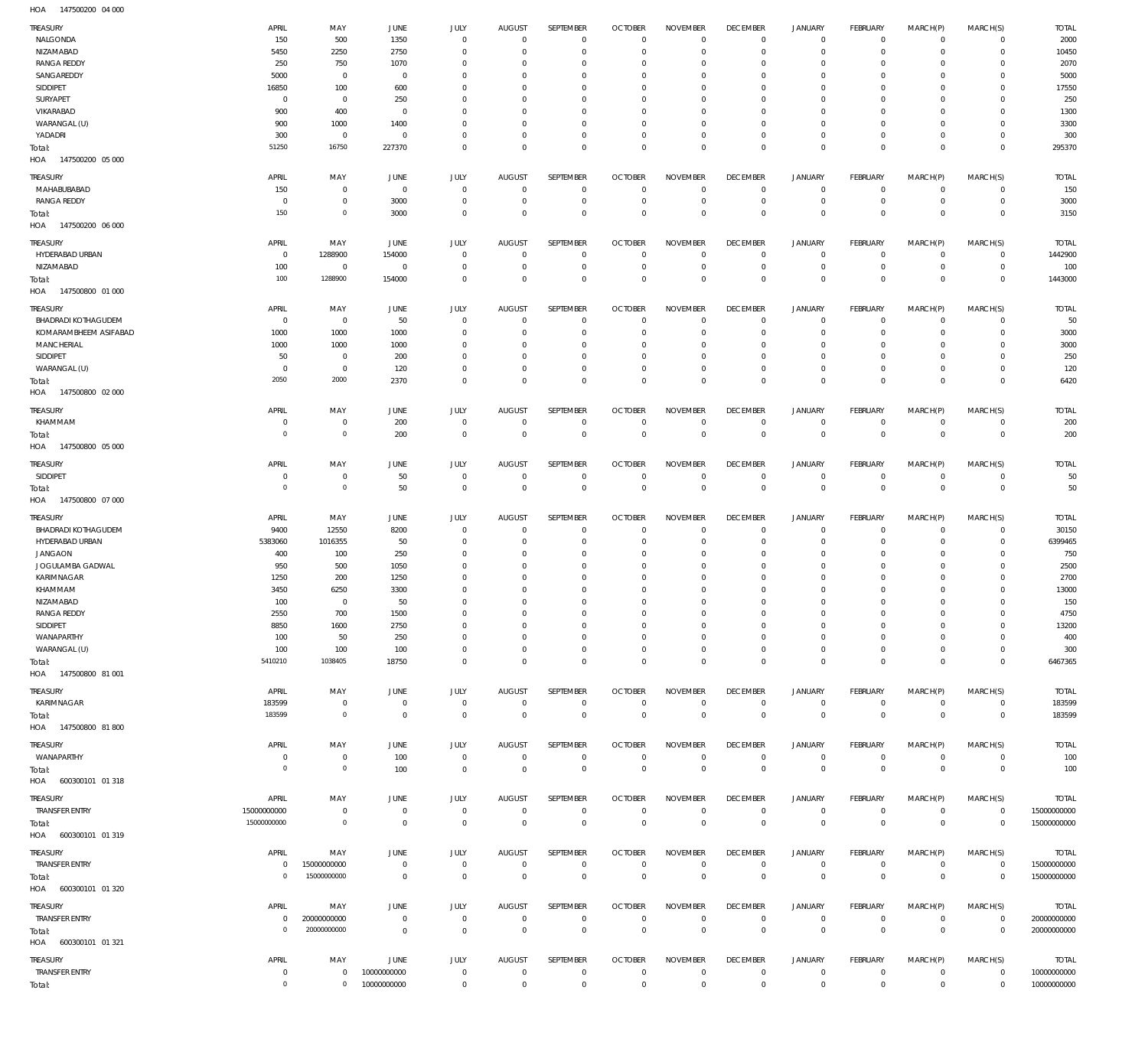147500200 04 000 HOA

| TREASURY<br>NALGONDA                | APRIL<br>150            | MAY<br>500                 | JUNE<br>1350           | JULY<br>$^{\circ}$        | <b>AUGUST</b><br>$^{\circ}$  | SEPTEMBER<br>$\mathbf 0$   | <b>OCTOBER</b><br>$\mathbf 0$    | <b>NOVEMBER</b><br>$\Omega$ | <b>DECEMBER</b><br>$\mathbf 0$    | <b>JANUARY</b><br>$\mathbf 0$ | FEBRUARY<br>$\mathbf{0}$       | MARCH(P)<br>$\mathbf 0$ | MARCH(S)<br>$^{\circ}$           | <b>TOTAL</b><br>2000        |
|-------------------------------------|-------------------------|----------------------------|------------------------|---------------------------|------------------------------|----------------------------|----------------------------------|-----------------------------|-----------------------------------|-------------------------------|--------------------------------|-------------------------|----------------------------------|-----------------------------|
| NIZAMABAD                           | 5450                    | 2250                       | 2750                   | $\Omega$                  | $\Omega$                     | $\Omega$                   | $\Omega$                         | $\Omega$                    | $\Omega$                          | $\mathbf 0$                   | $\Omega$                       | $\Omega$                | $\mathbf 0$                      | 10450                       |
| <b>RANGA REDDY</b><br>SANGAREDDY    | 250<br>5000             | 750<br>$\mathbf 0$         | 1070<br>$\overline{0}$ | $\Omega$<br>$\Omega$      | $\Omega$<br>$\Omega$         | $\Omega$<br>$\Omega$       | $\Omega$<br>$\Omega$             | $\Omega$<br>$\Omega$        | $\Omega$<br>$\Omega$              | $\mathbf 0$<br>$\Omega$       | $\mathbf 0$<br>$\Omega$        | $\Omega$<br>$\Omega$    | $\mathbf 0$<br>$\Omega$          | 2070<br>5000                |
| SIDDIPET                            | 16850                   | 100                        | 600                    | $\Omega$                  | $\Omega$                     | $\Omega$                   | $\Omega$                         | $\Omega$                    | $\Omega$                          | $\Omega$                      | $\Omega$                       | $\Omega$                | $\Omega$                         | 17550                       |
| SURYAPET                            | $^{\circ}$              | $\mathbf 0$                | 250                    | $\Omega$                  | $\Omega$                     | $\Omega$                   | $\Omega$                         | $\Omega$                    | $\Omega$                          | $\Omega$                      | $\Omega$                       | $\Omega$                | $\Omega$                         | 250                         |
| VIKARABAD                           | 900                     | 400                        | $\Omega$               | $\Omega$                  | $\Omega$                     | $\Omega$                   | $\Omega$                         | $\Omega$                    | $\Omega$                          | $\Omega$                      | $\Omega$                       | $\Omega$                | $\Omega$                         | 1300                        |
| WARANGAL (U)                        | 900                     | 1000                       | 1400                   | $\Omega$                  | $\Omega$                     | $\Omega$                   | $\Omega$                         | $\Omega$                    | $\mathbf 0$                       | $\mathbf 0$                   | $\mathbf 0$                    | $\Omega$                | $\mathbf 0$                      | 3300                        |
| YADADRI                             | 300                     | $\mathbf 0$                | $^{\circ}$             | $\Omega$                  | $\Omega$                     | $\Omega$                   | $\mathbf 0$                      | $\Omega$                    | $\mathbf 0$                       | $\mathbf 0$                   | $\mathbf 0$                    | $\Omega$                | $\mathbf 0$                      | 300                         |
| Total:<br>HOA<br>147500200 05 000   | 51250                   | 16750                      | 227370                 | $\Omega$                  | $\Omega$                     | $\Omega$                   | $\Omega$                         | $\Omega$                    | $\mathbf 0$                       | $\mathbf 0$                   | $\Omega$                       | $\Omega$                | $\mathbf 0$                      | 295370                      |
| TREASURY                            | APRIL                   | MAY                        | JUNE                   | <b>JULY</b>               | <b>AUGUST</b>                | SEPTEMBER                  | <b>OCTOBER</b>                   | <b>NOVEMBER</b>             | <b>DECEMBER</b>                   | <b>JANUARY</b>                | FEBRUARY                       | MARCH(P)                | MARCH(S)                         | <b>TOTAL</b>                |
| MAHABUBABAD                         | 150<br>0                | $\mathbb O$                | $\overline{0}$         | $\mathbf 0$<br>$^{\circ}$ | $\overline{0}$<br>$^{\circ}$ | $\mathbf 0$<br>$\mathbf 0$ | $\overline{0}$<br>$\overline{0}$ | $\mathbf 0$<br>$\mathbf 0$  | $\overline{0}$<br>$\mathbf 0$     | $\overline{0}$<br>$\mathbf 0$ | $\mathbf{0}$<br>$\overline{0}$ | $\circ$<br>$\mathbf 0$  | $\mathbf{0}$                     | 150                         |
| <b>RANGA REDDY</b><br>Total:        | 150                     | $\mathbf 0$<br>$\mathbb O$ | 3000<br>3000           | $\mathbf 0$               | $\Omega$                     | $\mathbf 0$                | $\mathbf 0$                      | $\mathbf 0$                 | $\mathbf 0$                       | $\mathbf 0$                   | $\overline{0}$                 | $\mathbf 0$             | $\overline{0}$<br>$\overline{0}$ | 3000<br>3150                |
| HOA<br>147500200 06 000             |                         |                            |                        |                           |                              |                            |                                  |                             |                                   |                               |                                |                         |                                  |                             |
| TREASURY                            | APRIL                   | MAY                        | JUNE                   | JULY                      | <b>AUGUST</b>                | SEPTEMBER                  | <b>OCTOBER</b>                   | <b>NOVEMBER</b>             | <b>DECEMBER</b>                   | <b>JANUARY</b>                | FEBRUARY                       | MARCH(P)                | MARCH(S)                         | <b>TOTAL</b>                |
| HYDERABAD URBAN                     | $^{\circ}$              | 1288900                    | 154000                 | $\Omega$                  | $^{\circ}$                   | $\mathbf 0$                | $\mathbf 0$                      | $\Omega$                    | $\mathbf 0$                       | $^{\circ}$                    | $^{\circ}$                     | $\mathbf 0$             | $^{\circ}$                       | 1442900                     |
| NIZAMABAD                           | 100                     | $^{\circ}$                 | $^{\circ}$             | $^{\circ}$                | $^{\circ}$                   | $\mathbf 0$                | $\mathbf 0$                      | $\mathbf 0$                 | $\mathbf 0$                       | $\mathbf 0$                   | $\mathbf{0}$                   | $\circ$                 | $\mathbf{0}$                     | 100                         |
| Total:                              | 100                     | 1288900                    | 154000                 | $\Omega$                  | $\Omega$                     | $\mathbf 0$                | $\mathbf 0$                      | $\Omega$                    | $\mathbf 0$                       | $\mathbf 0$                   | $\overline{0}$                 | $\Omega$                | $\mathbf 0$                      | 1443000                     |
| HOA<br>147500800 01 000             |                         |                            |                        |                           |                              |                            |                                  |                             |                                   |                               |                                |                         |                                  |                             |
| TREASURY                            | APRIL                   | MAY                        | <b>JUNE</b>            | <b>JULY</b>               | <b>AUGUST</b>                | SEPTEMBER                  | <b>OCTOBER</b>                   | <b>NOVEMBER</b>             | <b>DECEMBER</b>                   | <b>JANUARY</b>                | FEBRUARY                       | MARCH(P)                | MARCH(S)                         | <b>TOTAL</b>                |
| BHADRADI KOTHAGUDEM                 | $^{\circ}$              | $\overline{0}$             | 50                     | $^{\circ}$                | $^{\circ}$                   | $\mathbf 0$                | $\mathbf 0$                      | $\mathbf 0$                 | $\mathbf 0$                       | $\mathbf 0$                   | $\mathbf 0$                    | 0                       | $\mathbf 0$                      | 50                          |
| KOMARAMBHEEM ASIFABAD<br>MANCHERIAL | 1000<br>1000            | 1000<br>1000               | 1000<br>1000           | $^{\circ}$<br>$\Omega$    | $\Omega$<br>$\Omega$         | $\mathbf 0$<br>$\mathbf 0$ | $\mathbf 0$<br>$\mathbf 0$       | $\mathbf 0$<br>$\Omega$     | $\mathbf 0$<br>$\mathbf 0$        | $\mathbf 0$<br>$\mathbf 0$    | $\mathbf{0}$<br>$^{\circ}$     | $\circ$<br>$\Omega$     | $\mathbf{0}$<br>$\mathbf{0}$     | 3000<br>3000                |
| SIDDIPET                            | 50                      | $\mathbb O$                | 200                    | $^{\circ}$                | $\Omega$                     | $\mathbf 0$                | $\mathbf 0$                      | $\mathbf 0$                 | $\mathbf 0$                       | $\mathbf 0$                   | $\mathbf 0$                    | $\Omega$                | $\mathbf 0$                      | 250                         |
| WARANGAL (U)                        | $^{\circ}$              | $\mathbf 0$                | 120                    | $^{\circ}$                | $\Omega$                     | $\mathbf 0$                | $\mathbf 0$                      | $\Omega$                    | $\mathbf 0$                       | $\mathbf 0$                   | $\mathbf{0}$                   | $\Omega$                | $\mathbf{0}$                     | 120                         |
| Total:<br>HOA<br>147500800 02 000   | 2050                    | 2000                       | 2370                   | $\mathbf 0$               | $\Omega$                     | $\mathbf 0$                | $\mathbf 0$                      | $\mathbf 0$                 | $\mathbf 0$                       | $\mathbf 0$                   | $\overline{0}$                 | $\mathbf 0$             | $\overline{0}$                   | 6420                        |
| TREASURY                            | APRIL                   | MAY                        | <b>JUNE</b>            | <b>JULY</b>               | <b>AUGUST</b>                | SEPTEMBER                  | <b>OCTOBER</b>                   | <b>NOVEMBER</b>             | <b>DECEMBER</b>                   | <b>JANUARY</b>                | FEBRUARY                       | MARCH(P)                | MARCH(S)                         | <b>TOTAL</b>                |
| KHAMMAM                             | 0                       | $\mathbf 0$                | 200                    | $\mathbf 0$               | $^{\circ}$                   | $\mathbf 0$                | $\overline{0}$                   | $\mathbf 0$                 | $\overline{0}$                    | $\mathbf 0$                   | $\mathbf{0}$                   | $\mathbf 0$             | $\circ$                          | 200                         |
| Total:<br>HOA<br>147500800 05 000   | $\circ$                 | $\mathbb O$                | 200                    | $\mathbf 0$               | $\overline{0}$               | $\mathbf 0$                | $\overline{0}$                   | $\mathbf 0$                 | $\mathbf 0$                       | $\mathbf 0$                   | $\overline{0}$                 | $\mathbf 0$             | $\overline{0}$                   | 200                         |
| TREASURY                            | APRIL                   | MAY                        | <b>JUNE</b>            | <b>JULY</b>               | <b>AUGUST</b>                | SEPTEMBER                  | <b>OCTOBER</b>                   | <b>NOVEMBER</b>             | <b>DECEMBER</b>                   | <b>JANUARY</b>                | FEBRUARY                       | MARCH(P)                | MARCH(S)                         | <b>TOTAL</b>                |
| SIDDIPET                            | $^{\circ}$              | $\mathbb O$                | 50                     | $\mathbf 0$               | $^{\circ}$                   | $\mathbf 0$                | $\overline{0}$                   | $\mathbf 0$                 | $\mathbf 0$                       | $\mathbf 0$                   | $\mathbf{0}$                   | $\mathbf 0$             | $\circ$                          | 50                          |
| Total:<br>147500800 07 000<br>HOA   | $\circ$                 | $\mathbb O$                | 50                     | $\mathbf 0$               | $\overline{0}$               | $\mathbf 0$                | $\overline{0}$                   | $\mathbf 0$                 | $\overline{0}$                    | $\mathbf 0$                   | $\overline{0}$                 | $\mathbf 0$             | $\overline{0}$                   | 50                          |
| TREASURY                            | APRIL                   | MAY                        | <b>JUNE</b>            | <b>JULY</b>               | <b>AUGUST</b>                | SEPTEMBER                  | <b>OCTOBER</b>                   | <b>NOVEMBER</b>             | <b>DECEMBER</b>                   | <b>JANUARY</b>                | FEBRUARY                       | MARCH(P)                | MARCH(S)                         | <b>TOTAL</b>                |
| <b>BHADRADI KOTHAGUDEM</b>          | 9400                    | 12550                      | 8200                   | $^{\circ}$                | $^{\circ}$                   | $\mathbf 0$                | $\mathbf 0$                      | $\mathbf 0$                 | $\mathbf 0$                       | $\mathbf 0$                   | $\mathbf 0$                    | 0                       | $\mathbf 0$                      | 30150                       |
| HYDERABAD URBAN                     | 5383060                 | 1016355                    | 50                     | $\Omega$                  | $\Omega$                     | $\Omega$                   | $\mathbf 0$                      | $\Omega$                    | $\Omega$                          | $\mathbf 0$                   | $^{\circ}$                     | $\Omega$                | $\mathbf 0$                      | 6399465                     |
| <b>JANGAON</b>                      | 400<br>950              | 100<br>500                 | 250                    | $\Omega$<br>$\Omega$      | $\Omega$<br>$\Omega$         | $\mathbf 0$<br>$\Omega$    | 0<br>$\Omega$                    | $\Omega$<br>$\Omega$        | $\mathbf 0$<br>$\Omega$           | $\mathbf 0$<br>$\Omega$       | $\mathbf 0$<br>$\Omega$        | $\Omega$<br>$\Omega$    | $\mathbf 0$<br>$\Omega$          | 750                         |
| JOGULAMBA GADWAL<br>KARIMNAGAR      | 1250                    | 200                        | 1050<br>1250           | $\Omega$                  | $\Omega$                     | $\Omega$                   | $\Omega$                         | $\Omega$                    | $\Omega$                          | $\Omega$                      | $\Omega$                       | $\Omega$                | $\mathbf 0$                      | 2500<br>2700                |
| KHAMMAM                             | 3450                    | 6250                       | 3300                   | $\Omega$                  | $\Omega$                     | $\Omega$                   | $\Omega$                         | $\Omega$                    | $\Omega$                          | $\Omega$                      | $\Omega$                       | 0                       | $\Omega$                         | 13000                       |
| NIZAMABAD                           | 100                     | $\mathbf 0$                | 50                     | $\Omega$                  | $\Omega$                     | $\Omega$                   | $\Omega$                         | $\Omega$                    | $\Omega$                          | $\Omega$                      | $\Omega$                       | $\Omega$                | $\Omega$                         | 150                         |
| <b>RANGA REDDY</b>                  | 2550                    | 700                        | 1500                   |                           |                              |                            |                                  |                             |                                   |                               |                                |                         | $\Omega$                         | 4750                        |
| SIDDIPET                            | 8850                    | 1600                       | 2750                   | $\Omega$                  | $\mathbf{0}$                 | $\mathbf 0$                | $\mathbf 0$                      | $\mathbf 0$                 | $\mathbf 0$                       | $\mathbf 0$                   | $\mathbf{0}$                   | $\Omega$                | $^{\circ}$                       | 13200                       |
| WANAPARTHY                          | 100                     | 50                         | 250                    | $\Omega$<br>$\Omega$      | $\Omega$                     | $\mathbf 0$                | 0                                | $\mathbf 0$                 | $\mathbf 0$                       | $\mathbf 0$                   | $\mathbf 0$                    | $\Omega$                | $\mathbf 0$                      | 400                         |
| WARANGAL (U)                        | 100<br>5410210          | 100<br>1038405             | 100<br>18750           | $\mathbf 0$               | $\Omega$<br>$\mathbf 0$      | $\mathbf 0$<br>$\mathbf 0$ | $\mathbf 0$<br>$\mathbf{0}$      | $\mathbf 0$<br>$\mathbf 0$  | $\mathbf{0}$<br>$\mathbf{0}$      | $\mathbf 0$<br>$\mathbf 0$    | $\mathbf{0}$<br>$\overline{0}$ | $\Omega$<br>$\mathbf 0$ | $\mathbf{0}$<br>$\overline{0}$   | 300<br>6467365              |
| Total:<br>HOA  147500800  81 001    |                         |                            |                        |                           |                              |                            |                                  |                             |                                   |                               |                                |                         |                                  |                             |
| TREASURY                            | APRIL                   | MAY                        | JUNE                   | JULY                      | <b>AUGUST</b>                | <b>SEPTEMBER</b>           | <b>OCTOBER</b>                   | <b>NOVEMBER</b>             | <b>DECEMBER</b>                   | <b>JANUARY</b>                | FEBRUARY                       | MARCH(P)                | MARCH(S)                         | <b>TOTAL</b>                |
| KARIMNAGAR                          | 183599                  | $\overline{0}$             | $\overline{0}$         | $\mathbb O$               | $\mathbf 0$                  | $\,0\,$                    | $\overline{0}$                   | $\mathbf 0$                 | $\overline{0}$                    | $\circ$                       | $\overline{0}$                 | $\mathbf 0$             | $\overline{0}$                   | 183599                      |
| Total:<br>HOA  147500800  81 800    | 183599                  | $\circ$                    | $\overline{0}$         | $\mathbf 0$               | $\overline{0}$               | $\mathbf 0$                | $\mathbb O$                      | $\,0\,$                     | $\mathbf 0$                       | $\mathbf 0$                   | $\overline{0}$                 | $\mathbf 0$             | $\overline{0}$                   | 183599                      |
| TREASURY                            | APRIL                   | MAY                        | JUNE                   | JULY                      | <b>AUGUST</b>                | SEPTEMBER                  | <b>OCTOBER</b>                   | <b>NOVEMBER</b>             | <b>DECEMBER</b>                   | <b>JANUARY</b>                | FEBRUARY                       | MARCH(P)                | MARCH(S)                         | <b>TOTAL</b>                |
| WANAPARTHY                          | $\mathbf 0$             | $\overline{0}$             | 100                    | $\mathbb O$               | $\mathbf 0$                  | $\bf 0$                    | $\mathbf{0}$                     | $\bf 0$                     | $\mathbf 0$                       | $\overline{0}$                | $\overline{0}$                 | $\mathbf 0$             | $\circ$                          | 100                         |
| Total:<br>HOA 600300101 01 318      | $\mathbf 0$             | $\circ$                    | 100                    | $\mathbf 0$               | $\mathbf{0}$                 | $\mathbb O$                | $\overline{0}$                   | $\mathbb O$                 | $\mathbb O$                       | $\mathbb O$                   | $\overline{0}$                 | $\mathbf 0$             | $\overline{0}$                   | 100                         |
| TREASURY                            | APRIL                   | MAY                        | JUNE                   | JULY                      | <b>AUGUST</b>                | SEPTEMBER                  | <b>OCTOBER</b>                   | <b>NOVEMBER</b>             | <b>DECEMBER</b>                   | <b>JANUARY</b>                | FEBRUARY                       | MARCH(P)                | MARCH(S)                         | <b>TOTAL</b>                |
| TRANSFER ENTRY                      | 15000000000             | $\overline{0}$             | $\overline{0}$         | $\mathbb O$               | $\mathbf 0$                  | $\,0\,$                    | $\mathbf 0$                      | $\mathbf 0$                 | $\,0\,$                           | $\mathsf{O}$                  | $\overline{0}$                 | $\circ$                 | $\overline{0}$                   | 15000000000                 |
| Total:<br>HOA 600300101 01 319      | 15000000000             | $\circ$                    | $\overline{0}$         | $\,0\,$                   | $\overline{0}$               | $\,0\,$                    | $\mathbf 0$                      | $\,0\,$                     | $\mathbb O$                       | $\,0\,$                       | $\overline{0}$                 | $\mathbf 0$             | $\overline{0}$                   | 15000000000                 |
| TREASURY                            | APRIL                   | MAY                        | JUNE                   | JULY                      | <b>AUGUST</b>                | SEPTEMBER                  | <b>OCTOBER</b>                   | <b>NOVEMBER</b>             | <b>DECEMBER</b>                   | <b>JANUARY</b>                | FEBRUARY                       | MARCH(P)                | MARCH(S)                         | <b>TOTAL</b>                |
| TRANSFER ENTRY                      | $\mathbf 0$             | 15000000000                | $\overline{0}$         | $\mathbb O$               | $\,0\,$                      | $\mathbf 0$                | $\mathbf{0}$                     | $\mathbf 0$                 | $\mathbf 0$                       | $\mathbf 0$                   | $\overline{0}$                 | $\mathbf{0}$            | $\overline{0}$                   | 15000000000                 |
| Total:<br>HOA 600300101 01 320      | $\mathbf 0$             | 15000000000                | $\overline{0}$         | $\mathbf 0$               | $\mathbf 0$                  | $\mathbf 0$                | $\mathbf 0$                      | $\mathbf 0$                 | $\mathbf 0$                       | $\mathsf{O}\xspace$           | $\,0\,$                        | $\mathbf 0$             | $\overline{0}$                   | 15000000000                 |
| TREASURY                            | APRIL                   | MAY                        | JUNE                   | <b>JULY</b>               | <b>AUGUST</b>                | SEPTEMBER                  | <b>OCTOBER</b>                   | <b>NOVEMBER</b>             | <b>DECEMBER</b>                   | <b>JANUARY</b>                | FEBRUARY                       | MARCH(P)                | MARCH(S)                         | TOTAL                       |
| TRANSFER ENTRY                      | $\mathbf 0$             | 20000000000                | $\overline{0}$         | $\mathbb O$               | $\overline{0}$               | $\mathbb O$                | $\overline{0}$                   | $\bf 0$                     | $\overline{0}$                    | $\circ$                       | $\overline{0}$                 | $\mathbf 0$             | $\overline{0}$                   | 20000000000                 |
| Total:<br>HOA 600300101 01 321      | $\mathbf 0$             | 20000000000                | $\overline{0}$         | $\mathbf 0$               | $\mathbf 0$                  | $\mathsf 0$                | $\mathbf 0$                      | $\,0\,$                     | $\,0\,$                           | $\,0\,$                       | $\overline{0}$                 | $\mathbf 0$             | $\overline{0}$                   | 20000000000                 |
|                                     |                         |                            |                        |                           |                              |                            |                                  |                             |                                   |                               |                                |                         |                                  |                             |
| TREASURY<br><b>TRANSFER ENTRY</b>   | APRIL<br>$\overline{0}$ | MAY<br>$\mathbf{0}$        | JUNE<br>10000000000    | JULY<br>$\mathbb O$       | AUGUST<br>$\mathbb O$        | SEPTEMBER<br>$\mathbb O$   | <b>OCTOBER</b><br>$\overline{0}$ | <b>NOVEMBER</b><br>$\bf 0$  | <b>DECEMBER</b><br>$\overline{0}$ | <b>JANUARY</b><br>$\mathbb O$ | FEBRUARY<br>$\overline{0}$     | MARCH(P)<br>$\circ$     | MARCH(S)<br>$\overline{0}$       | <b>TOTAL</b><br>10000000000 |
| Total:                              | $\mathbb O$             | $\mathbf 0$                | 10000000000            | $\mathbb O$               | $\mathbf 0$                  | $\mathbf 0$                | $\bf 0$                          | $\mathsf{O}\xspace$         | $\bf 0$                           | $\mathbf 0$                   | $\overline{0}$                 | $\bf 0$                 | $\overline{0}$                   | 10000000000                 |
|                                     |                         |                            |                        |                           |                              |                            |                                  |                             |                                   |                               |                                |                         |                                  |                             |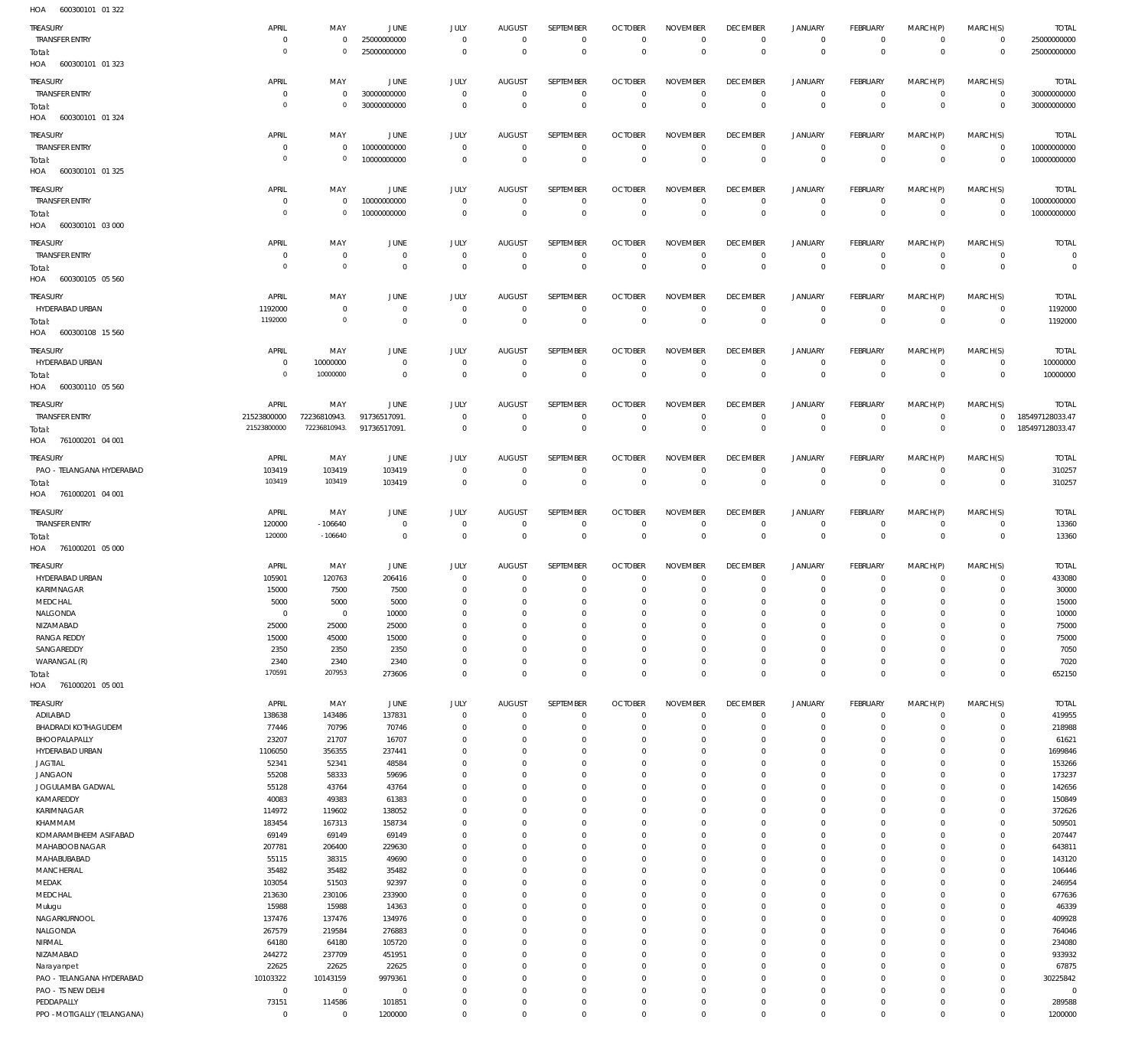| HOA | 600300101 01 322 |  |
|-----|------------------|--|

| TREASURY                    | APRIL          | MAY            | <b>JUNE</b>    | JULY           | <b>AUGUST</b>  | SEPTEMBER        | <b>OCTOBER</b> | <b>NOVEMBER</b> | <b>DECEMBER</b> | JANUARY        | <b>FEBRUARY</b> | MARCH(P)       | MARCH(S)       | <b>TOTAL</b>    |
|-----------------------------|----------------|----------------|----------------|----------------|----------------|------------------|----------------|-----------------|-----------------|----------------|-----------------|----------------|----------------|-----------------|
| <b>TRANSFER ENTRY</b>       | $^{\circ}$     | $\overline{0}$ | 25000000000    | $\mathbf 0$    | $\mathbf 0$    | $\mathbf{0}$     | $\overline{0}$ | $\mathbf{0}$    | $\overline{0}$  | $\mathbf 0$    | $\mathbf 0$     | $\mathbf{0}$   | $\mathbf 0$    | 25000000000     |
| Total:                      | $\overline{0}$ | $\overline{0}$ | 25000000000    | $\mathbf 0$    | $\mathbb O$    | $\mathbb O$      | $\mathbf 0$    | $\overline{0}$  | $\mathbf 0$     | $\overline{0}$ | $\overline{0}$  | $\overline{0}$ | $\overline{0}$ | 25000000000     |
| HOA 600300101 01 323        |                |                |                |                |                |                  |                |                 |                 |                |                 |                |                |                 |
|                             |                |                |                |                |                |                  |                |                 |                 |                |                 |                |                |                 |
| TREASURY                    | APRIL          | MAY            | <b>JUNE</b>    | JULY           | <b>AUGUST</b>  | SEPTEMBER        | <b>OCTOBER</b> | <b>NOVEMBER</b> | <b>DECEMBER</b> | <b>JANUARY</b> | FEBRUARY        | MARCH(P)       | MARCH(S)       | <b>TOTAL</b>    |
| TRANSFER ENTRY              | $\overline{0}$ | $\overline{0}$ | 30000000000    | $\overline{0}$ | $\overline{0}$ | $\mathbf 0$      | $\overline{0}$ | 0               | $\mathbf 0$     | 0              | $\overline{0}$  | 0              | $\overline{0}$ | 30000000000     |
| Total:                      | $\overline{0}$ | $\overline{0}$ | 30000000000    | $\mathbf 0$    | $\mathbb O$    | $\mathbb O$      | $\mathbb O$    | $\mathbf 0$     | $\mathbb O$     | $\mathbf 0$    | $\overline{0}$  | $\overline{0}$ | $\mathbf 0$    | 30000000000     |
| HOA 600300101 01 324        |                |                |                |                |                |                  |                |                 |                 |                |                 |                |                |                 |
|                             |                |                |                |                |                |                  |                |                 |                 |                |                 |                |                |                 |
| TREASURY                    | APRIL          | MAY            | <b>JUNE</b>    | JULY           | <b>AUGUST</b>  | SEPTEMBER        | <b>OCTOBER</b> | <b>NOVEMBER</b> | <b>DECEMBER</b> | <b>JANUARY</b> | FEBRUARY        | MARCH(P)       | MARCH(S)       | <b>TOTAL</b>    |
| TRANSFER ENTRY              | $^{\circ}$     | $\overline{0}$ | 10000000000    | $\mathbf 0$    | $\mathbf 0$    | $\,0\,$          | $\overline{0}$ | $\mathbf{0}$    | $\overline{0}$  | $\mathbf 0$    | $\overline{0}$  | $\mathbf{0}$   | $\overline{0}$ | 10000000000     |
| Total:                      | $\overline{0}$ | $\overline{0}$ | 10000000000    | $\mathbf 0$    | $\overline{0}$ | $\overline{0}$   | $\mathbb O$    | $\mathbf{0}$    | $\overline{0}$  | $\mathbf 0$    | $\overline{0}$  | $\mathbf 0$    | $\mathbf 0$    | 10000000000     |
| HOA 600300101 01 325        |                |                |                |                |                |                  |                |                 |                 |                |                 |                |                |                 |
|                             | APRIL          | MAY            | <b>JUNE</b>    |                |                | SEPTEMBER        |                |                 | <b>DECEMBER</b> |                |                 |                |                |                 |
| TREASURY                    |                |                |                | JULY           | <b>AUGUST</b>  |                  | <b>OCTOBER</b> | <b>NOVEMBER</b> |                 | <b>JANUARY</b> | FEBRUARY        | MARCH(P)       | MARCH(S)       | <b>TOTAL</b>    |
| TRANSFER ENTRY              | $^{\circ}$     | $\overline{0}$ | 10000000000    | $\mathbf 0$    | $\mathbf 0$    | $\mathbf 0$      | $\overline{0}$ | $\mathbf 0$     | $\overline{0}$  | $\mathbf 0$    | $\overline{0}$  | $\mathbf{0}$   | $\overline{0}$ | 10000000000     |
| Total:                      | $\overline{0}$ | $\mathbf 0$    | 10000000000    | $\mathbf 0$    | $\overline{0}$ | $\,0\,$          | $\mathbf 0$    | $\overline{0}$  | $\mathbf 0$     | $\mathbf 0$    | $\mathbf 0$     | $\overline{0}$ | $\mathbf 0$    | 10000000000     |
| HOA 600300101 03 000        |                |                |                |                |                |                  |                |                 |                 |                |                 |                |                |                 |
| TREASURY                    | APRIL          | MAY            | <b>JUNE</b>    | JULY           | <b>AUGUST</b>  | SEPTEMBER        | <b>OCTOBER</b> | <b>NOVEMBER</b> | <b>DECEMBER</b> | <b>JANUARY</b> | FEBRUARY        | MARCH(P)       | MARCH(S)       | <b>TOTAL</b>    |
| TRANSFER ENTRY              | $^{\circ}$     | $\mathbf 0$    | $\overline{0}$ | $\overline{0}$ | $\overline{0}$ | $\mathbf 0$      | $\mathbf{0}$   | $\mathbf 0$     | $\overline{0}$  | $\mathbf 0$    | $\overline{0}$  | $\mathbf 0$    | $\mathbf 0$    | $\mathbf 0$     |
|                             | $\overline{0}$ | $\mathbf{0}$   |                |                |                |                  |                |                 |                 |                |                 |                |                |                 |
| Total:                      |                |                | $\overline{0}$ | $\mathbf 0$    | $\mathbb O$    | $\mathbb O$      | $\mathbf 0$    | $\overline{0}$  | $\mathbf 0$     | $\overline{0}$ | $\overline{0}$  | $\overline{0}$ | $\mathbf 0$    | $\Omega$        |
| HOA 600300105 05 560        |                |                |                |                |                |                  |                |                 |                 |                |                 |                |                |                 |
| TREASURY                    | APRIL          | MAY            | <b>JUNE</b>    | JULY           | <b>AUGUST</b>  | SEPTEMBER        | <b>OCTOBER</b> | <b>NOVEMBER</b> | <b>DECEMBER</b> | <b>JANUARY</b> | FEBRUARY        | MARCH(P)       | MARCH(S)       | <b>TOTAL</b>    |
| HYDERABAD URBAN             | 1192000        | $\mathbf 0$    | $\overline{0}$ | $\mathbf 0$    | $\overline{0}$ | $\,0\,$          | $\overline{0}$ | $\mathbf 0$     | $\mathbf 0$     | $\mathbf 0$    | $\overline{0}$  | $\mathbf{0}$   | $\overline{0}$ | 1192000         |
|                             | 1192000        | $\mathbf{0}$   | $\mathbf 0$    | $\mathbf 0$    | $\overline{0}$ | $\overline{0}$   | $\mathbb O$    | $\mathbf 0$     | $\mathbf 0$     | $\overline{0}$ | $\overline{0}$  | $\mathbf 0$    |                | 1192000         |
| Total:                      |                |                |                |                |                |                  |                |                 |                 |                |                 |                | $\overline{0}$ |                 |
| HOA 600300108 15 560        |                |                |                |                |                |                  |                |                 |                 |                |                 |                |                |                 |
| TREASURY                    | APRIL          | MAY            | <b>JUNE</b>    | JULY           | <b>AUGUST</b>  | <b>SEPTEMBER</b> | <b>OCTOBER</b> | <b>NOVEMBER</b> | <b>DECEMBER</b> | <b>JANUARY</b> | FEBRUARY        | MARCH(P)       | MARCH(S)       | <b>TOTAL</b>    |
| HYDERABAD URBAN             | $\mathbf 0$    | 10000000       | $\overline{0}$ | $\,0\,$        | $\mathbf 0$    | $^{\circ}$       | $\overline{0}$ | $\mathbf 0$     | $\overline{0}$  | $\overline{0}$ | $\overline{0}$  | $\mathbf{0}$   | $\overline{0}$ | 10000000        |
|                             | $\overline{0}$ | 10000000       | $\mathbf 0$    | $\mathbf 0$    | $\mathbf 0$    | $\overline{0}$   | $\mathbb O$    | $\overline{0}$  | $\mathbf 0$     | $\overline{0}$ | $\overline{0}$  | $\overline{0}$ | $\mathbf 0$    |                 |
| Total:                      |                |                |                |                |                |                  |                |                 |                 |                |                 |                |                | 10000000        |
| HOA 600300110 05 560        |                |                |                |                |                |                  |                |                 |                 |                |                 |                |                |                 |
| TREASURY                    | APRIL          | MAY            | <b>JUNE</b>    | JULY           | <b>AUGUST</b>  | SEPTEMBER        | <b>OCTOBER</b> | <b>NOVEMBER</b> | <b>DECEMBER</b> | <b>JANUARY</b> | FEBRUARY        | MARCH(P)       | MARCH(S)       | <b>TOTAL</b>    |
| TRANSFER ENTRY              | 21523800000    | 72236810943.   | 91736517091.   | $\mathbf 0$    | $\overline{0}$ | $\mathbf 0$      | $\overline{0}$ | $\mathbf 0$     | $\overline{0}$  | $\mathbf 0$    | $\overline{0}$  | $\mathbf{0}$   | $\mathbb O$    | 185497128033.47 |
| Total:                      | 21523800000    | 72236810943.   | 91736517091.   | $\mathbf 0$    | $\overline{0}$ | $\mathbf 0$      | $\mathbf 0$    | $\mathbf 0$     | $\mathbf 0$     | $\mathbf 0$    | $\overline{0}$  | $\overline{0}$ | $\mathbf 0$    | 185497128033.47 |
| HOA 761000201 04 001        |                |                |                |                |                |                  |                |                 |                 |                |                 |                |                |                 |
|                             |                |                |                |                |                |                  |                |                 |                 |                |                 |                |                |                 |
| <b>TREASURY</b>             | APRIL          | MAY            | JUNE           | JULY           | <b>AUGUST</b>  | SEPTEMBER        | <b>OCTOBER</b> | <b>NOVEMBER</b> | <b>DECEMBER</b> | <b>JANUARY</b> | <b>FEBRUARY</b> | MARCH(P)       | MARCH(S)       | <b>TOTAL</b>    |
| PAO - TELANGANA HYDERABAD   | 103419         | 103419         | 103419         | $\mathbf 0$    | $\mathbf 0$    | $\mathbf 0$      | $\overline{0}$ | $\mathbf 0$     | $\overline{0}$  | $\mathbf 0$    | $\overline{0}$  | $\mathbf 0$    | $\mathbf{0}$   | 310257          |
| Total:                      | 103419         | 103419         | 103419         | $\mathbf 0$    | $\mathbf 0$    | $\,0\,$          | $\mathbf 0$    | $\overline{0}$  | $\mathbf 0$     | $\overline{0}$ | $\overline{0}$  | $\overline{0}$ | $\overline{0}$ | 310257          |
| HOA 761000201 04 001        |                |                |                |                |                |                  |                |                 |                 |                |                 |                |                |                 |
|                             |                |                |                |                |                |                  |                |                 |                 |                |                 |                |                |                 |
| TREASURY                    | APRIL          | MAY            | JUNE           | JULY           | <b>AUGUST</b>  | SEPTEMBER        | <b>OCTOBER</b> | <b>NOVEMBER</b> | <b>DECEMBER</b> | <b>JANUARY</b> | FEBRUARY        | MARCH(P)       | MARCH(S)       | <b>TOTAL</b>    |
| TRANSFER ENTRY              | 120000         | $-106640$      | $\overline{0}$ | $\overline{0}$ | $\overline{0}$ | $\mathbf 0$      | $\overline{0}$ | 0               | $\overline{0}$  | $\mathbf 0$    | $\overline{0}$  | 0              | $\circ$        | 13360           |
| Total:                      | 120000         | $-106640$      | $\overline{0}$ | $\,0\,$        | $\,0\,$        | $\,0\,$          | $\mathbf 0$    | $\mathbf 0$     | $\mathbf 0$     | $\mathbf 0$    | $\mathbf 0$     | $\overline{0}$ | $\mathbf 0$    | 13360           |
| HOA 761000201 05 000        |                |                |                |                |                |                  |                |                 |                 |                |                 |                |                |                 |
|                             |                |                |                |                |                |                  |                |                 |                 |                |                 |                |                |                 |
| TREASURY                    |                | MAY            | JUNE           | JULY           | <b>AUGUST</b>  | SEPTEMBER        | <b>OCTOBER</b> | <b>NOVEMBER</b> | <b>DECEMBER</b> | <b>JANUARY</b> | FEBRUARY        | MARCH(P)       | MARCH(S)       | <b>TOTAL</b>    |
|                             | APRIL          |                |                |                |                |                  |                | $\mathbf 0$     | $^{\circ}$      | $\mathbf 0$    | $\circ$         | $\mathbf 0$    | $^{\circ}$     | 433080          |
| HYDERABAD URBAN             | 105901         | 120763         | 206416         | $\overline{0}$ | $\overline{0}$ | $^{\circ}$       | $\overline{0}$ |                 | $^{\circ}$      | 0              |                 |                |                |                 |
| KARIMNAGAR                  | 15000          | 7500           | 7500           | $\Omega$       | $\Omega$       | $\mathbf 0$      | $\overline{0}$ | $\mathbf 0$     |                 |                | $\circ$         | $\Omega$       | $^{\circ}$     | 30000           |
|                             | 5000           | 5000           | 5000           | $\Omega$       | $\Omega$       | $\Omega$         | $\Omega$       | $\Omega$        | $\Omega$        | $\Omega$       | $\Omega$        | $\Omega$       | $\Omega$       | 15000           |
| MEDCHAL                     |                |                |                |                |                |                  |                |                 |                 |                |                 | $\Omega$       |                |                 |
| NALGONDA                    | $\overline{0}$ | $\overline{0}$ | 10000          | $\mathbf 0$    | $\mathbf{0}$   | $\mathbf 0$      | $^{\circ}$     | 0               | $\mathbf 0$     | 0              | $\mathbf 0$     |                | $^{\circ}$     | 10000           |
| NIZAMABAD                   | 25000          | 25000          | 25000          | $\Omega$       | $\Omega$       | $\Omega$         | $^{\circ}$     | 0               | $\mathbf 0$     | 0              | $\mathbf 0$     | $\Omega$       | $\mathbf 0$    | 75000           |
| <b>RANGA REDDY</b>          | 15000          | 45000          | 15000          | $\Omega$       | $\Omega$       | $\Omega$         | $\mathbf 0$    | $\Omega$        | $\mathbf 0$     | 0              | $\Omega$        | $\Omega$       | $\Omega$       | 75000           |
| SANGAREDDY                  | 2350           | 2350           | 2350           | $\Omega$       | $\Omega$       | $\Omega$         | $^{\circ}$     | $\Omega$        | $\mathbf 0$     | 0              | $\mathbf 0$     | $\Omega$       | $\mathbf 0$    | 7050            |
| WARANGAL (R)                | 2340           | 2340           | 2340           | $\Omega$       | $\Omega$       | 0                | $\mathbf 0$    | $\Omega$        | $\mathbf 0$     | 0              | $\mathbf 0$     | $\Omega$       | $\mathbf 0$    | 7020            |
| Total:                      | 170591         | 207953         | 273606         | $\Omega$       | $\Omega$       | $\Omega$         | $\Omega$       | $\Omega$        | $\Omega$        | $\Omega$       | $\Omega$        | $\Omega$       | $\Omega$       | 652150          |
| HOA 761000201 05 001        |                |                |                |                |                |                  |                |                 |                 |                |                 |                |                |                 |
|                             |                |                |                |                |                |                  |                |                 |                 |                |                 |                |                |                 |
| TREASURY                    | APRIL          | MAY            | JUNE           | JULY           | <b>AUGUST</b>  | SEPTEMBER        | <b>OCTOBER</b> | <b>NOVEMBER</b> | <b>DECEMBER</b> | <b>JANUARY</b> | FEBRUARY        | MARCH(P)       | MARCH(S)       | <b>TOTAL</b>    |
| ADILABAD                    | 138638         | 143486         | 137831         | $\overline{0}$ | $\overline{0}$ | $\mathbf 0$      | $\overline{0}$ | $\mathbf 0$     | $\mathbf 0$     | $\mathbf 0$    | $\overline{0}$  | $\mathbf 0$    | $\circ$        | 419955          |
| <b>BHADRADI KOTHAGUDEM</b>  | 77446          | 70796          | 70746          | $\mathbf 0$    | $\Omega$       | $\mathbf 0$      | $\mathbf{0}$   | 0               | $\mathbf 0$     | $\mathbf 0$    | $\mathbf 0$     | 0              | $\mathbf{0}$   | 218988          |
| BHOOPALAPALLY               | 23207          | 21707          | 16707          | $\Omega$       | $\Omega$       | $\mathbf 0$      | $\mathbf{0}$   | $\Omega$        | $\mathbf 0$     | 0              | $\mathbf 0$     | $\Omega$       | $\mathbf{0}$   | 61621           |
| HYDERABAD URBAN             | 1106050        | 356355         | 237441         | $\Omega$       | $\Omega$       | $\Omega$         | $\mathbf{0}$   | 0               | $\mathbf 0$     | 0              | $\mathbf 0$     | $\Omega$       | $\mathbf{0}$   | 1699846         |
| JAGTIAL                     | 52341          | 52341          | 48584          | $\Omega$       | $\Omega$       | $\Omega$         | $\mathbf{0}$   | $\Omega$        | $\mathbf 0$     | 0              | $\mathbf 0$     | $\Omega$       | $\mathbf 0$    | 153266          |
| <b>JANGAON</b>              | 55208          | 58333          | 59696          | $\Omega$       | $\Omega$       | $\Omega$         | $^{\circ}$     | $\Omega$        | $\mathbf 0$     | 0              | $\mathbf 0$     | $\Omega$       | $\mathbf{0}$   | 173237          |
| JOGULAMBA GADWAL            | 55128          | 43764          | 43764          | $\Omega$       | $\Omega$       | 0                | $\mathbf{0}$   | $\Omega$        | $\mathbf 0$     | 0              | $\mathbf 0$     | $\Omega$       | $\mathbf 0$    | 142656          |
| KAMAREDDY                   | 40083          | 49383          | 61383          | $\Omega$       | $\Omega$       | $\Omega$         | $\mathbf{0}$   | $\Omega$        | $\Omega$        | $\Omega$       | $\mathbf 0$     | $\Omega$       | $\Omega$       | 150849          |
|                             |                |                |                | $\Omega$       | $\Omega$       | 0                | $\mathbf{0}$   | $\Omega$        | $\mathbf 0$     | 0              | $\mathbf 0$     | $\Omega$       | $\mathbf 0$    |                 |
| KARIMNAGAR                  | 114972         | 119602         | 138052         |                |                |                  |                |                 |                 |                |                 |                |                | 372626          |
| KHAMMAM                     | 183454         | 167313         | 158734         | $\Omega$       | $\Omega$       | $\Omega$         | $\mathbf 0$    | $\Omega$        | $\mathbf 0$     | 0              | $\mathbf 0$     | $\Omega$       | $\mathbf 0$    | 509501          |
| KOMARAMBHEEM ASIFABAD       | 69149          | 69149          | 69149          | $\Omega$       | $\Omega$       | $\Omega$         | $\mathbf{0}$   | $\Omega$        | $\mathbf 0$     | 0              | $\mathbf 0$     | $\Omega$       | $\mathbf 0$    | 207447          |
| MAHABOOB NAGAR              | 207781         | 206400         | 229630         | $\Omega$       | $\Omega$       | $\Omega$         | $\overline{0}$ | $\Omega$        | $\mathbf 0$     | 0              | $^{\circ}$      | $\Omega$       | $\mathbf 0$    | 643811          |
| MAHABUBABAD                 | 55115          | 38315          | 49690          | $\Omega$       | $\Omega$       | $\Omega$         | $\mathbf{0}$   | $\Omega$        | $\mathbf 0$     | 0              | $\mathbf 0$     | $\Omega$       | $\mathbf 0$    | 143120          |
| MANCHERIAL                  | 35482          | 35482          | 35482          | $\Omega$       | $\Omega$       | $\Omega$         | $^{\circ}$     | 0               | $\mathbf 0$     | 0              | $\mathbf 0$     | $\Omega$       | $^{\circ}$     | 106446          |
| MEDAK                       | 103054         | 51503          | 92397          | $\Omega$       | $\Omega$       | $\Omega$         | $\mathbf{0}$   | $\Omega$        | $\mathbf 0$     | 0              | $\mathbf 0$     | $\Omega$       | $\mathbf 0$    | 246954          |
| MEDCHAL                     | 213630         | 230106         | 233900         | $\Omega$       | $\Omega$       | $\Omega$         | $\mathbf{0}$   | $\Omega$        | $\mathbf 0$     | $\Omega$       | $\mathbf 0$     | $\Omega$       | $\mathbf{0}$   | 677636          |
| Mulugu                      | 15988          | 15988          | 14363          | $\Omega$       | $\Omega$       | 0                | $\mathbf{0}$   | $\Omega$        | $\mathbf 0$     | 0              | $\mathbf 0$     | $\Omega$       | $\mathbf{0}$   | 46339           |
| NAGARKURNOOL                | 137476         | 137476         | 134976         | $\Omega$       | $\Omega$       | $\Omega$         | $\mathbf 0$    | $\Omega$        | $\mathbf 0$     | 0              | $^{\circ}$      | $\Omega$       | $\mathbf 0$    | 409928          |
| NALGONDA                    | 267579         | 219584         | 276883         | $\Omega$       | $\Omega$       | $\Omega$         | $\mathbf{0}$   | $\Omega$        | $\mathbf 0$     | 0              | $\mathbf 0$     | $\Omega$       | $\mathbf{0}$   | 764046          |
|                             |                |                |                | $\Omega$       | $\Omega$       | $\Omega$         | $\overline{0}$ | $\Omega$        | $\mathbf 0$     | 0              | $\mathbf 0$     | $\Omega$       | $\mathbf{0}$   |                 |
| NIRMAL                      | 64180          | 64180          | 105720         | $\Omega$       | $\Omega$       | $\Omega$         |                | $\Omega$        |                 |                |                 | $\Omega$       |                | 234080          |
| NIZAMABAD                   | 244272         | 237709         | 451951         |                |                |                  | $\mathbf{0}$   |                 | $\mathbf 0$     | 0              | $\mathbf 0$     |                | $\mathbf{0}$   | 933932          |
| Narayanpet                  | 22625          | 22625          | 22625          | $\Omega$       | $\Omega$       | $\Omega$         | $^{\circ}$     | 0               | $\mathbf 0$     | 0              | $\mathbf 0$     | $\Omega$       | $\mathbf{0}$   | 67875           |
| PAO - TELANGANA HYDERABAD   | 10103322       | 10143159       | 9979361        | $\Omega$       | $\Omega$       | $\Omega$         | $\mathbf{0}$   | $\Omega$        | $\mathbf 0$     | 0              | $\mathbf 0$     | $\Omega$       | $\mathbf{0}$   | 30225842        |
| PAO - TS NEW DELHI          | $\mathbf 0$    | $\overline{0}$ | $\overline{0}$ | $\Omega$       | $\Omega$       | $\Omega$         | $\mathbf{0}$   | $\Omega$        | $\mathbf 0$     | 0              | $\mathbf 0$     | $\Omega$       | $\Omega$       | $\Omega$        |
| PEDDAPALLY                  | 73151          | 114586         | 101851         | $\Omega$       | $\mathbf 0$    | 0                | $^{\circ}$     | 0               | $\mathbf 0$     | 0              | $\mathbf 0$     | 0              | $\mathbf{0}$   | 289588          |
| PPO - MOTIGALLY (TELANGANA) | $\overline{0}$ | $\mathbf 0$    | 1200000        | $\mathbf 0$    | $\mathbf 0$    | 0                | $\mathbf 0$    | 0               | $\mathbf 0$     | $\mathbf 0$    | $\mathbf 0$     | 0              | $\Omega$       | 1200000         |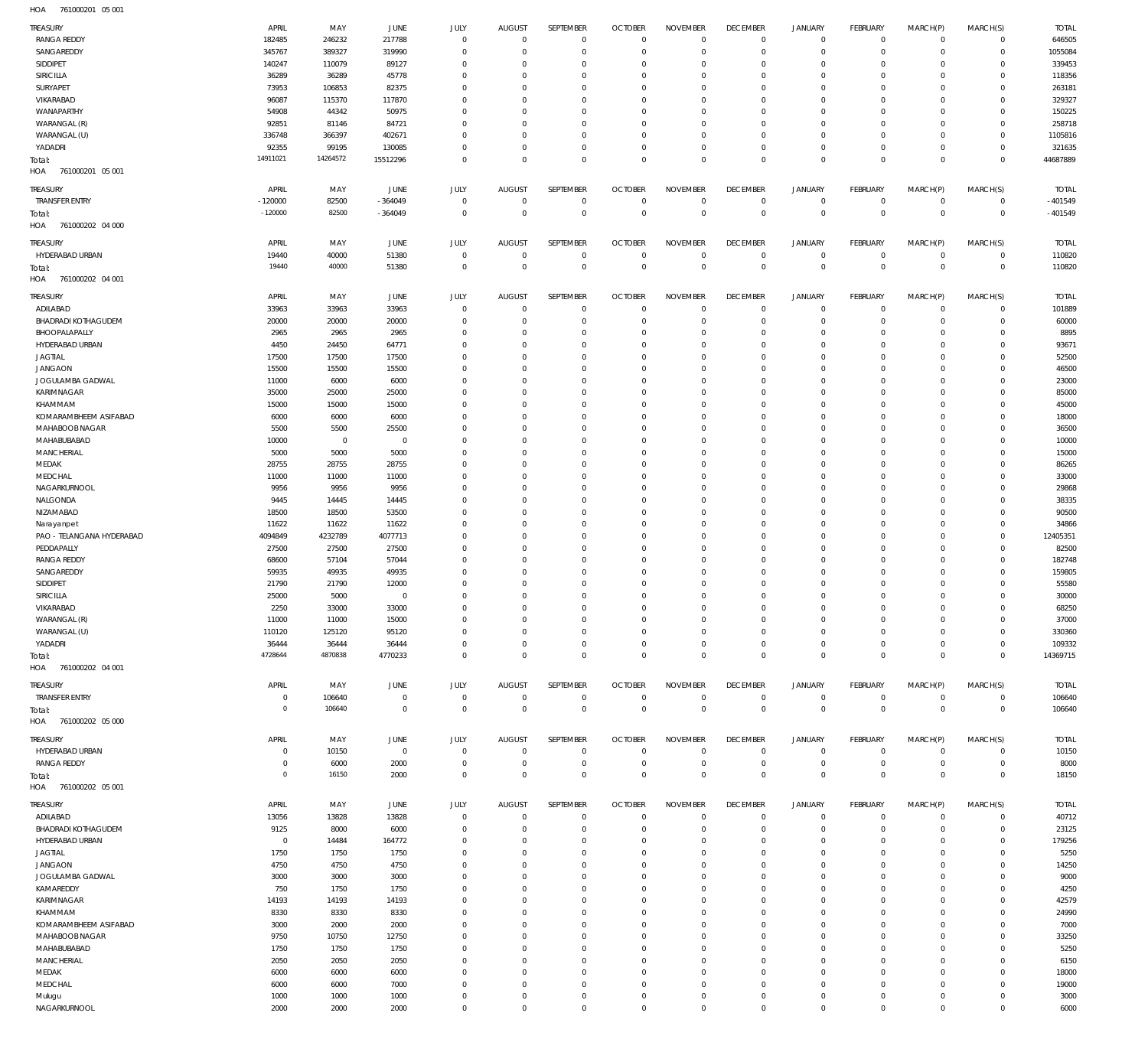761000201 05 001 HOA

| <b>TREASURY</b>            | APRIL            | MAY         | JUNE           | JULY           | <b>AUGUST</b>  | SEPTEMBER      | <b>OCTOBER</b> | <b>NOVEMBER</b> | <b>DECEMBER</b> | <b>JANUARY</b> | <b>FEBRUARY</b> | MARCH(P)     | MARCH(S)            | <b>TOTAL</b> |
|----------------------------|------------------|-------------|----------------|----------------|----------------|----------------|----------------|-----------------|-----------------|----------------|-----------------|--------------|---------------------|--------------|
| <b>RANGA REDDY</b>         | 182485           | 246232      | 217788         | $\mathbf 0$    | $\overline{0}$ | $\mathbf{0}$   | $\overline{0}$ | $\mathbf 0$     | $\overline{0}$  | $^{\circ}$     | $\mathbf{0}$    | $\Omega$     | $\mathbf 0$         | 646505       |
| SANGAREDDY                 | 345767           | 389327      | 319990         | $\mathbf 0$    | $\mathbf{0}$   | $\mathbf 0$    | $\overline{0}$ | $\mathbf 0$     | $\overline{0}$  | $^{\circ}$     | $\mathbf{0}$    | $\Omega$     | $\mathbf 0$         | 1055084      |
| SIDDIPET                   | 140247           | 110079      | 89127          | 0              | $\mathbf 0$    | 0              | $\overline{0}$ | $\Omega$        | $\overline{0}$  | $^{\circ}$     | $^{\circ}$      |              | $\mathbf 0$         | 339453       |
| <b>SIRICILLA</b>           | 36289            | 36289       | 45778          | $\mathbf 0$    | $\mathbf 0$    | 0              | $\overline{0}$ | $\mathbf 0$     | $\overline{0}$  | $\mathbf 0$    | $\mathbf{0}$    | $\Omega$     | $\Omega$            | 118356       |
| SURYAPET                   | 73953            | 106853      | 82375          | $\Omega$       | $\mathbf 0$    | 0              | $\overline{0}$ | $\Omega$        | $\overline{0}$  | $\mathbf 0$    | $^{\circ}$      |              | $\Omega$            | 263181       |
| VIKARABAD                  | 96087            | 115370      | 117870         | $\Omega$       | $\mathbf 0$    | 0              | $\overline{0}$ | $\mathbf 0$     | $\overline{0}$  | $\Omega$       | $\Omega$        |              | $\Omega$            | 329327       |
| WANAPARTHY                 | 54908            |             | 50975          | $\Omega$       | $\mathbf 0$    | 0              | $\overline{0}$ | $\Omega$        | $\overline{0}$  | $\mathbf 0$    | $^{\circ}$      |              | $\mathbf 0$         | 150225       |
|                            |                  | 44342       |                |                |                |                |                |                 |                 |                | $\Omega$        |              | $\Omega$            |              |
| WARANGAL (R)               | 92851            | 81146       | 84721          | $\Omega$       | $\mathbf 0$    | 0              | $\overline{0}$ | $\mathbf 0$     | $\overline{0}$  | $\Omega$       |                 | $\Omega$     |                     | 258718       |
| WARANGAL (U)               | 336748           | 366397      | 402671         | $\Omega$       | $\mathbf 0$    | 0              | $\overline{0}$ | $\Omega$        | $\overline{0}$  | $\mathbf 0$    | $\mathbf{0}$    | $\Omega$     | $\mathbf 0$         | 1105816      |
| YADADRI                    | 92355            | 99195       | 130085         | $\Omega$       | $\mathbf 0$    | 0              | $\overline{0}$ | $\mathbf 0$     | $\overline{0}$  | $\mathbf 0$    | $\mathbf{0}$    | $\Omega$     | $\Omega$            | 321635       |
| Total:                     | 14911021         | 14264572    | 15512296       | $\Omega$       | $\overline{0}$ | 0              | $\mathbb O$    | $\mathbf 0$     | $\,0\,$         | $\mathbf 0$    | $\mathbf{0}$    | $\Omega$     | $\Omega$            | 44687889     |
| HOA<br>761000201 05 001    |                  |             |                |                |                |                |                |                 |                 |                |                 |              |                     |              |
| <b>TREASURY</b>            | APRIL            | MAY         | <b>JUNE</b>    | JULY           | <b>AUGUST</b>  | SEPTEMBER      | <b>OCTOBER</b> | <b>NOVEMBER</b> | <b>DECEMBER</b> | <b>JANUARY</b> | <b>FEBRUARY</b> | MARCH(P)     | MARCH(S)            | <b>TOTAL</b> |
| <b>TRANSFER ENTRY</b>      | $-120000$        | 82500       | $-364049$      | $^{\circ}$     | $\mathbf 0$    | $\mathbf 0$    | $\overline{0}$ | $\mathbf 0$     | $\mathbf 0$     | $\mathbf 0$    | $^{\circ}$      | $\circ$      | $\mathbf 0$         | $-401549$    |
| Total:                     | $-120000$        | 82500       | $-364049$      | $\mathbf 0$    | $\overline{0}$ | $\mathbf 0$    | $\mathbb O$    | $\mathbf 0$     | $\,0\,$         | $\mathbf 0$    | $\mathbb O$     | $\mathbf{0}$ | $\mathbf{0}$        | $-401549$    |
| 761000202 04 000<br>HOA    |                  |             |                |                |                |                |                |                 |                 |                |                 |              |                     |              |
|                            |                  |             |                |                |                |                |                |                 |                 |                |                 |              |                     |              |
| <b>TREASURY</b>            | APRIL            | MAY         | JUNE           | JULY           | AUGUST         | SEPTEMBER      | <b>OCTOBER</b> | <b>NOVEMBER</b> | <b>DECEMBER</b> | <b>JANUARY</b> | <b>FEBRUARY</b> | MARCH(P)     | MARCH(S)            | <b>TOTAL</b> |
| HYDERABAD URBAN            | 19440            | 40000       | 51380          | $^{\circ}$     | $\mathbf{0}$   | $\mathbf 0$    | $\overline{0}$ | $^{\circ}$      | $^{\circ}$      | $^{\circ}$     | $^{\circ}$      | $\mathbf 0$  | $\mathbf 0$         | 110820       |
| Total:                     | 19440            | 40000       | 51380          | $\overline{0}$ | $\overline{0}$ | $\overline{0}$ | $\mathbb O$    | $\,0\,$         | $\,0\,$         | $\mathbb O$    | $\mathbb O$     | $\mathbf{0}$ | $\mathbb O$         | 110820       |
| 761000202 04 001<br>HOA    |                  |             |                |                |                |                |                |                 |                 |                |                 |              |                     |              |
| TREASURY                   | APRIL            | MAY         | JUNE           | JULY           | <b>AUGUST</b>  | SEPTEMBER      | <b>OCTOBER</b> | <b>NOVEMBER</b> | <b>DECEMBER</b> | <b>JANUARY</b> | <b>FEBRUARY</b> | MARCH(P)     | MARCH(S)            | <b>TOTAL</b> |
| ADILABAD                   | 33963            | 33963       | 33963          | $\mathbf 0$    | $\mathbf{0}$   | $\mathbf 0$    | $\overline{0}$ | $\mathbf 0$     | $\mathbf 0$     | $\mathbf 0$    | $^{\circ}$      | $\mathbf 0$  | $\mathbf 0$         | 101889       |
| <b>BHADRADI KOTHAGUDEM</b> |                  |             |                | 0              | $\mathbf 0$    | 0              | $\overline{0}$ | $\mathbf 0$     | $\overline{0}$  | $^{\circ}$     | $^{\circ}$      | $\Omega$     | $\Omega$            | 60000        |
|                            | 20000            | 20000       | 20000          |                |                |                |                |                 |                 |                |                 |              |                     |              |
| BHOOPALAPALLY              | 2965             | 2965        | 2965           | $\Omega$       | 0              | 0              | $\overline{0}$ | $\mathbf 0$     | $^{\circ}$      | $\mathbf 0$    | $^{\circ}$      | $\Omega$     | $\Omega$            | 8895         |
| HYDERABAD URBAN            | 4450             | 24450       | 64771          | $\Omega$       | 0              | 0              | $\overline{0}$ | 0               | $\overline{0}$  | $\mathbf 0$    | $^{\circ}$      |              | $\Omega$            | 93671        |
| <b>JAGTIAL</b>             | 17500            | 17500       | 17500          | $\Omega$       | $\Omega$       | 0              | $\overline{0}$ | $\Omega$        | $^{\circ}$      | $\Omega$       | $\Omega$        |              | $\Omega$            | 52500        |
| <b>JANGAON</b>             | 15500            | 15500       | 15500          | $\Omega$       | 0              | 0              | $^{\circ}$     | 0               | $^{\circ}$      | $\mathbf 0$    | $^{\circ}$      | $\Omega$     | $\Omega$            | 46500        |
| JOGULAMBA GADWAL           | 11000            | 6000        | 6000           | $\Omega$       | $\Omega$       | $\Omega$       | $\mathbf 0$    | $\Omega$        | $\Omega$        | $\Omega$       | $\Omega$        |              | $\Omega$            | 23000        |
| KARIMNAGAR                 | 35000            | 25000       | 25000          | $\Omega$       | $\mathbf 0$    | 0              | $^{\circ}$     | $\mathbf 0$     | $\overline{0}$  | $\mathbf 0$    | $^{\circ}$      | $\Omega$     | $\Omega$            | 85000        |
| KHAMMAM                    | 15000            | 15000       | 15000          | $\Omega$       | $\Omega$       | $\Omega$       | $\mathbf 0$    | $\Omega$        | $\mathbf 0$     | $\Omega$       | $\Omega$        |              | $\Omega$            | 45000        |
| KOMARAMBHEEM ASIFABAD      | 6000             | 6000        | 6000           | $\Omega$       | 0              | 0              | $\overline{0}$ | $\Omega$        | $^{\circ}$      | $\mathbf 0$    | $\Omega$        |              | $\Omega$            | 18000        |
| MAHABOOB NAGAR             | 5500             | 5500        | 25500          | $\Omega$       | 0              | 0              | $\overline{0}$ | $\Omega$        | $\mathbf 0$     | $\Omega$       | $\Omega$        |              | $\Omega$            | 36500        |
| MAHABUBABAD                | 10000            | $\mathbf 0$ | $\overline{0}$ | $\Omega$       | 0              | 0              | $\overline{0}$ | $\Omega$        | $\overline{0}$  | $\mathbf 0$    | $\Omega$        |              | $\Omega$            | 10000        |
| MANCHERIAL                 | 5000             | 5000        | 5000           | $\Omega$       | 0              | 0              | $\overline{0}$ | $\Omega$        | $^{\circ}$      | $\Omega$       | $^{\circ}$      |              | $\Omega$            | 15000        |
| MEDAK                      | 28755            | 28755       | 28755          | $\Omega$       | 0              | 0              | $\overline{0}$ | $\Omega$        | $\overline{0}$  | $\mathbf 0$    | $\Omega$        |              | $\Omega$            | 86265        |
| MEDCHAL                    | 11000            | 11000       | 11000          | $\Omega$       | $\Omega$       | 0              | $\overline{0}$ | $\Omega$        | $^{\circ}$      | $\Omega$       | $\Omega$        |              | $\Omega$            | 33000        |
| NAGARKURNOOL               | 9956             | 9956        | 9956           | $\Omega$       | 0              | 0              | $\overline{0}$ | $\Omega$        | $\overline{0}$  | $\mathbf 0$    | $^{\circ}$      |              | $\Omega$            | 29868        |
| NALGONDA                   | 9445             | 14445       | 14445          | $\Omega$       | $\Omega$       | $\Omega$       | $\overline{0}$ | $\Omega$        | $^{\circ}$      | $\Omega$       | $\Omega$        |              | $\Omega$            | 38335        |
| NIZAMABAD                  | 18500            | 18500       | 53500          | $\Omega$       | 0              | 0              | $^{\circ}$     | 0               | $\overline{0}$  | $\mathbf 0$    | $^{\circ}$      | $\Omega$     | $\Omega$            | 90500        |
| Narayanpet                 | 11622            | 11622       | 11622          | $\Omega$       | $\Omega$       | $\Omega$       | $\mathbf 0$    | $\Omega$        | $\Omega$        | $\Omega$       | $\Omega$        |              | $\Omega$            | 34866        |
| PAO - TELANGANA HYDERABAD  | 4094849          | 4232789     | 4077713        | $\Omega$       | $\mathbf 0$    | 0              | $^{\circ}$     | $\mathbf 0$     | $\overline{0}$  | $\mathbf 0$    | $^{\circ}$      | $\Omega$     | $\Omega$            | 12405351     |
| PEDDAPALLY                 | 27500            | 27500       | 27500          | $\Omega$       | $\Omega$       | $\Omega$       | $\mathbf 0$    | $\Omega$        | $\overline{0}$  | $\Omega$       | $\Omega$        |              | $\Omega$            | 82500        |
| <b>RANGA REDDY</b>         | 68600            | 57104       | 57044          | $\Omega$       | $\mathbf 0$    | 0              | $^{\circ}$     | 0               | $^{\circ}$      | $\mathbf 0$    | $\Omega$        |              | $\Omega$            | 182748       |
| SANGAREDDY                 | 59935            | 49935       | 49935          | $\Omega$       | 0              | 0              | $\mathbf 0$    | $\Omega$        | $^{\circ}$      | $\Omega$       | $\Omega$        |              | $\Omega$            | 159805       |
| SIDDIPET                   | 21790            | 21790       | 12000          | $\Omega$       | $\mathbf 0$    | 0              | $\overline{0}$ | 0               | $^{\circ}$      | $\Omega$       | $\Omega$        |              | $\Omega$            | 55580        |
| SIRICILLA                  | 25000            | 5000        | $\overline{0}$ | $\Omega$       | $\mathbf 0$    | $\Omega$       | $\overline{0}$ | $\Omega$        | $\overline{0}$  | $\Omega$       | $\Omega$        | $\Omega$     | $\Omega$            | 30000        |
| VIKARABAD                  | 2250             | 33000       | 33000          | $\Omega$       | $\Omega$       | $\Omega$       | $\Omega$       | $\Omega$        | $\mathbf{0}$    | $\Omega$       | $\Omega$        | $\Omega$     | $\Omega$            | 68250        |
| WARANGAL (R)               | 11000            | 11000       | 15000          | $\mathbf 0$    | $\mathbf 0$    | $\mathbf 0$    | $^{\circ}$     | $\mathbf 0$     | $\overline{0}$  | $\mathbf 0$    | $^{\circ}$      | $\Omega$     | $\Omega$            | 37000        |
| WARANGAL (U)               | 110120           | 125120      | 95120          | $\mathbf 0$    | $\mathbf 0$    | 0              | $\mathbf{0}$   | $\mathbf 0$     | $\mathbf 0$     | $\mathbf 0$    | $^{\circ}$      | $\Omega$     | $\mathbf 0$         | 330360       |
|                            |                  | 36444       | 36444          | $\mathbf 0$    | $\mathbf 0$    | 0              | $\mathbf 0$    | $\mathbf 0$     | $\mathbf 0$     |                | $\mathbf{0}$    | $\Omega$     | $\mathbf 0$         | 109332       |
| YADADRI                    | 36444<br>4728644 | 4870838     |                | $\mathbf 0$    | $\mathbf 0$    | 0              | $\mathbb O$    | $\mathbf 0$     | $\,0\,$         | $\mathbf 0$    |                 | $\Omega$     | $\mathbf 0$         |              |
| Total:                     |                  |             | 4770233        |                |                |                |                |                 |                 | $\mathbf 0$    | $\mathbf 0$     |              |                     | 14369715     |
| 761000202 04 001<br>HOA    |                  |             |                |                |                |                |                |                 |                 |                |                 |              |                     |              |
| <b>TREASURY</b>            | APRIL            | MAY         | JUNE           | JULY           | <b>AUGUST</b>  | SEPTEMBER      | <b>OCTOBER</b> | <b>NOVEMBER</b> | <b>DECEMBER</b> | <b>JANUARY</b> | <b>FEBRUARY</b> | MARCH(P)     | MARCH(S)            | <b>TOTAL</b> |
| <b>TRANSFER ENTRY</b>      | $^{\circ}$       | 106640      | $\overline{0}$ | $\mathbf 0$    | $\mathbf 0$    | $\bf 0$        | $\overline{0}$ | $\overline{0}$  | $\overline{0}$  | $\mathbf 0$    | $^{\circ}$      | $\mathbf 0$  | $\mathbf 0$         | 106640       |
| Total:                     | $\mathbf 0$      | 106640      | $\overline{0}$ | $\overline{0}$ | $\overline{0}$ | $\overline{0}$ | $\mathbb O$    | $\mathbb O$     | $\mathbb O$     | $\mathbb O$    | $\overline{0}$  | $\mathbf 0$  | $\overline{0}$      | 106640       |
| HOA 761000202 05 000       |                  |             |                |                |                |                |                |                 |                 |                |                 |              |                     |              |
|                            |                  |             |                |                |                |                |                |                 |                 |                |                 |              |                     |              |
| TREASURY                   | APRIL            | MAY         | <b>JUNE</b>    | JULY           | <b>AUGUST</b>  | SEPTEMBER      | <b>OCTOBER</b> | <b>NOVEMBER</b> | <b>DECEMBER</b> | <b>JANUARY</b> | <b>FEBRUARY</b> | MARCH(P)     | MARCH(S)            | <b>TOTAL</b> |
| HYDERABAD URBAN            | $\mathbf 0$      | 10150       | $\overline{0}$ | $^{\circ}$     | $\mathbf 0$    | $\mathbf 0$    | $\overline{0}$ | $\mathbf{0}$    | $\mathbf 0$     | $\mathbf 0$    | $^{\circ}$      | $\circ$      | $\mathbf 0$         | 10150        |
| <b>RANGA REDDY</b>         | $\mathbf 0$      | 6000        | 2000           | $\mathbf 0$    | $\mathbf 0$    | $\mathbf 0$    | $\overline{0}$ | $\mathbf 0$     | $\mathbf 0$     | $\mathbf 0$    | $\mathbf 0$     | $\mathbf 0$  | $\mathbf 0$         | 8000         |
| Total:                     | $\mathbf 0$      | 16150       | 2000           | $\mathbf 0$    | $\mathbf 0$    | $\mathbf 0$    | $\mathbb O$    | $\mathbf 0$     | $\mathbb O$     | $\mathbb O$    | $\mathbb O$     | $\Omega$     | $\mathbf 0$         | 18150        |
| 761000202 05 001<br>HOA    |                  |             |                |                |                |                |                |                 |                 |                |                 |              |                     |              |
| TREASURY                   | APRIL            | MAY         | JUNE           | JULY           | <b>AUGUST</b>  | SEPTEMBER      | <b>OCTOBER</b> | <b>NOVEMBER</b> | <b>DECEMBER</b> | <b>JANUARY</b> | <b>FEBRUARY</b> | MARCH(P)     | MARCH(S)            | <b>TOTAL</b> |
| ADILABAD                   | 13056            | 13828       | 13828          | $\mathbf 0$    | $\mathbf 0$    | $\mathbf 0$    | $\overline{0}$ | $\overline{0}$  | $\mathbf 0$     | $\mathbf 0$    | $^{\circ}$      | $\mathbf 0$  | $\mathbf 0$         | 40712        |
| <b>BHADRADI KOTHAGUDEM</b> | 9125             | 8000        | 6000           | $\mathbf 0$    | $\mathbf 0$    | 0              | $\overline{0}$ | $\mathbf 0$     | $\overline{0}$  | $\mathbf 0$    | $\mathbf{0}$    | $\Omega$     | $\mathbf 0$         | 23125        |
| HYDERABAD URBAN            | $\overline{0}$   | 14484       | 164772         | $\mathbf 0$    | $\mathbf 0$    | 0              | $\mathbf 0$    | $\mathbf 0$     | $\overline{0}$  | $^{\circ}$     | $^{\circ}$      | $\Omega$     | $\mathbf 0$         | 179256       |
| <b>JAGTIAL</b>             | 1750             | 1750        | 1750           | 0              | $\mathbf 0$    | 0              | $\mathbf 0$    | $\mathbf 0$     | $\mathbf 0$     | $\mathbf 0$    | $^{\circ}$      | $\Omega$     | $\mathbf 0$         | 5250         |
| <b>JANGAON</b>             | 4750             | 4750        | 4750           | $\mathbf 0$    | $\mathbf 0$    | 0              | $\overline{0}$ | $\mathbf 0$     | $\overline{0}$  | $\mathbf 0$    | $^{\circ}$      | $\Omega$     | $\Omega$            | 14250        |
| JOGULAMBA GADWAL           | 3000             | 3000        | 3000           | $\Omega$       | $\mathbf 0$    | 0              | $\mathbf{0}$   | $\mathbf 0$     | $\mathbf 0$     | $\mathbf 0$    | $^{\circ}$      | $\Omega$     | $\mathbf 0$         | 9000         |
|                            |                  |             |                |                |                |                |                |                 |                 |                |                 |              |                     |              |
| KAMAREDDY                  | 750              | 1750        | 1750           | $\mathbf 0$    | 0              | 0              | $\overline{0}$ | $\mathbf 0$     | $\overline{0}$  | $\mathbf 0$    | $^{\circ}$      | $\Omega$     | $\Omega$            | 4250         |
| KARIMNAGAR                 | 14193            | 14193       | 14193          | $\Omega$       | $\mathbf 0$    | 0              | $\mathbf{0}$   | $\mathbf 0$     | $\mathbf 0$     | $\mathbf 0$    | $^{\circ}$      | $\Omega$     | $\Omega$            | 42579        |
| KHAMMAM                    | 8330             | 8330        | 8330           | $\mathbf 0$    | $\mathbf 0$    | 0              | $\overline{0}$ | $\mathbf 0$     | $\overline{0}$  | $\mathbf 0$    | $^{\circ}$      | $\Omega$     | $\mathbf 0$         | 24990        |
| KOMARAMBHEEM ASIFABAD      | 3000             | 2000        | 2000           | $\Omega$       | $\mathbf 0$    | 0              | $\overline{0}$ | 0               | $\mathbf 0$     | $^{\circ}$     | $^{\circ}$      |              | $\Omega$            | 7000         |
| MAHABOOB NAGAR             | 9750             | 10750       | 12750          | $\mathbf 0$    | $\mathbf 0$    | 0              | $\mathbf 0$    | $\mathbf 0$     | $\overline{0}$  | $^{\circ}$     | $^{\circ}$      | $\Omega$     | $\mathbf 0$         | 33250        |
| MAHABUBABAD                | 1750             | 1750        | 1750           | $\Omega$       | 0              | 0              | $\overline{0}$ | 0               | $\overline{0}$  | $^{\circ}$     | $^{\circ}$      |              | $\Omega$            | 5250         |
| MANCHERIAL                 | 2050             | 2050        | 2050           | $\mathbf 0$    | $\mathbf 0$    | 0              | $\mathbf 0$    | $\mathbf 0$     | $\overline{0}$  | $^{\circ}$     | $^{\circ}$      | $\Omega$     | $\Omega$            | 6150         |
| MEDAK                      | 6000             | 6000        | 6000           | $\Omega$       | $\mathbf 0$    | 0              | $\overline{0}$ | 0               | $\overline{0}$  | $\mathbf 0$    | $^{\circ}$      | $\Omega$     | $\mathbf 0$         | 18000        |
| MEDCHAL                    | 6000             | 6000        | 7000           | $\mathbf 0$    | $\mathbf 0$    | 0              | $^{\circ}$     | $\mathbf 0$     | $\mathbf 0$     | $\mathbf 0$    | $^{\circ}$      | $\Omega$     | $\Omega$            | 19000        |
| Mulugu                     | 1000             | 1000        | 1000           | $\mathbf 0$    | $\mathbf 0$    | 0              | $^{\circ}$     | $\mathbf 0$     | $\mathbf 0$     | $\mathbf 0$    | $^{\circ}$      | $\Omega$     | $\mathbf 0$         | 3000         |
| NAGARKURNOOL               | 2000             | 2000        | 2000           | $\mathbf 0$    | $\mathbf 0$    | $\mathbf 0$    | $\overline{0}$ | $\mathbf 0$     | $\mathbb O$     | $\mathbf 0$    | $\mathbf{0}$    | $\Omega$     | $\mathsf{O}\xspace$ | 6000         |
|                            |                  |             |                |                |                |                |                |                 |                 |                |                 |              |                     |              |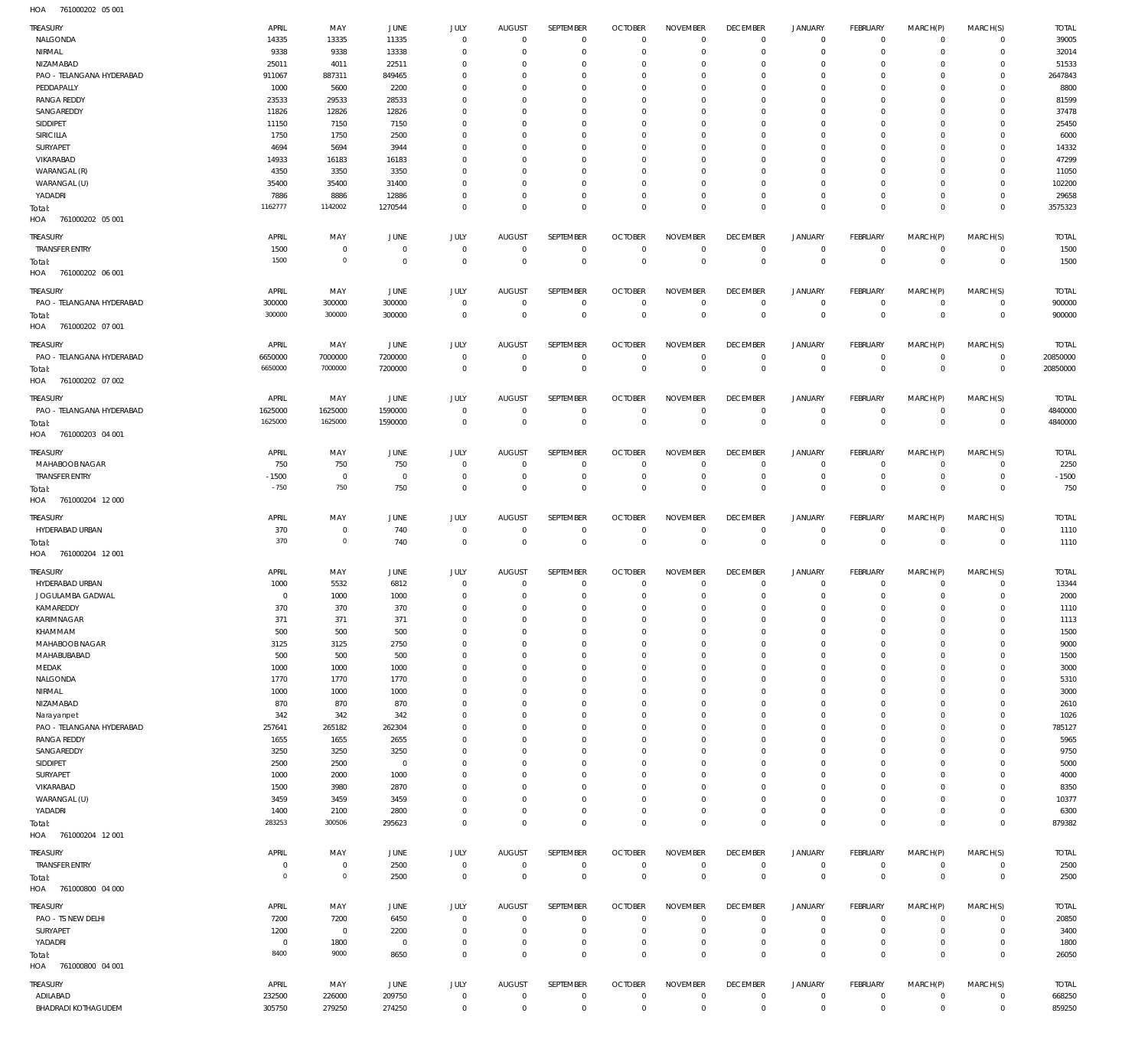761000202 05 001 HOA

| TREASURY                                     | APRIL            | MAY            | <b>JUNE</b>     | JULY                 | <b>AUGUST</b>               | SEPTEMBER                  | <b>OCTOBER</b>               | <b>NOVEMBER</b>                | <b>DECEMBER</b>                   | <b>JANUARY</b>             | FEBRUARY                      | MARCH(P)                | MARCH(S)                   | <b>TOTAL</b>             |
|----------------------------------------------|------------------|----------------|-----------------|----------------------|-----------------------------|----------------------------|------------------------------|--------------------------------|-----------------------------------|----------------------------|-------------------------------|-------------------------|----------------------------|--------------------------|
| NALGONDA                                     | 14335            | 13335          | 11335           | $\mathbf 0$          | $\overline{0}$              | $\mathbf 0$                | $\overline{0}$               | $\mathbf 0$                    | $\overline{0}$                    | $\mathbf 0$                | $\overline{0}$                | $\mathbf 0$             | $\mathbf 0$                | 39005                    |
| NIRMAL                                       | 9338             | 9338           | 13338           | $\mathbf 0$          | $\mathbf 0$                 | $\mathbf 0$                | $\mathbf 0$                  | $\mathbf 0$                    | $\mathbf 0$                       | $\mathbf 0$                | $\overline{0}$                | $\mathbf 0$             | $\mathbf 0$                | 32014                    |
| NIZAMABAD                                    | 25011            | 4011           | 22511           | $\Omega$             | $\mathbf 0$                 | $\mathbf 0$                | $\mathbf 0$                  | $\mathbf 0$                    | $\mathbf 0$                       | $\mathbf 0$                | $^{\circ}$                    | $\mathbf 0$             | $\mathbf 0$                | 51533                    |
| PAO - TELANGANA HYDERABAD                    | 911067           | 887311         | 849465          | $\Omega$<br>$\Omega$ | $\mathbf 0$<br>$\Omega$     | $\mathbf 0$                | $\mathbf 0$                  | $\mathbf 0$                    | $\mathbf 0$                       | $\mathbf 0$                | $^{\circ}$                    | $\Omega$<br>$\Omega$    | $\mathbf 0$                | 2647843                  |
| PEDDAPALLY<br><b>RANGA REDDY</b>             | 1000<br>23533    | 5600<br>29533  | 2200<br>28533   | $\Omega$             | $\mathbf 0$                 | $\mathbf 0$<br>$\mathbf 0$ | 0<br>$^{\circ}$              | $\mathbf 0$<br>$\mathbf 0$     | $\mathbf 0$<br>$\mathbf 0$        | $\mathbf 0$<br>$\mathbf 0$ | $\mathbf 0$<br>$^{\circ}$     | $\Omega$                | $\mathbf 0$<br>$\mathbf 0$ | 8800<br>81599            |
| SANGAREDDY                                   | 11826            | 12826          | 12826           | $\Omega$             | $\mathbf 0$                 | $\mathbf 0$                | $\mathbf 0$                  | $\mathbf 0$                    | $\mathbf 0$                       | $\mathbf 0$                | $\mathbf 0$                   | 0                       | $\mathbf 0$                | 37478                    |
| SIDDIPET                                     | 11150            | 7150           | 7150            | $\Omega$             | $\mathbf 0$                 | $\mathbf 0$                | $^{\circ}$                   | $\mathbf 0$                    | $\mathbf 0$                       | $\mathbf 0$                | $^{\circ}$                    | $\Omega$                | $\mathbf 0$                | 25450                    |
| SIRICILLA                                    | 1750             | 1750           | 2500            | $\Omega$             | $\mathbf 0$                 | $\mathbf 0$                | $^{\circ}$                   | $\mathbf 0$                    | $\mathbf 0$                       | $\mathbf 0$                | $^{\circ}$                    | $\mathbf 0$             | $\mathbf 0$                | 6000                     |
| SURYAPET                                     | 4694             | 5694           | 3944            | $\Omega$             | $\mathbf 0$                 | $\mathbf 0$                | 0                            | $\mathbf 0$                    | $\mathbf 0$                       | $\mathbf 0$                | $^{\circ}$                    | $\Omega$                | $\mathbf 0$                | 14332                    |
| VIKARABAD                                    | 14933            | 16183          | 16183           | $\Omega$             | $^{\circ}$                  | $\mathbf 0$                | $^{\circ}$                   | $\mathbf 0$                    | $\mathbf 0$                       | $\mathbf 0$                | $^{\circ}$                    | $\mathbf 0$             | $\mathbf 0$                | 47299                    |
| WARANGAL (R)                                 | 4350             | 3350           | 3350            | $\Omega$             | $\mathbf 0$                 | $\mathbf 0$                | 0                            | $\mathbf 0$                    | $\mathbf 0$                       | $\mathbf 0$                | $^{\circ}$                    | $\Omega$                | $\mathbf 0$                | 11050                    |
| WARANGAL (U)                                 | 35400            | 35400          | 31400           | $\Omega$             | $\mathbf 0$                 | $\mathbf 0$                | 0                            | $\mathbf 0$                    | $\mathbf 0$                       | $\mathbf 0$                | $^{\circ}$                    | 0                       | $\mathbf 0$                | 102200                   |
| YADADRI                                      | 7886             | 8886           | 12886           | $\mathbf 0$          | $\mathbf 0$                 | $\mathbf 0$                | $^{\circ}$                   | $\mathbf 0$                    | $\mathbf 0$                       | $\mathbf 0$                | $\overline{0}$                | $\mathbf 0$             | $\mathbf 0$                | 29658                    |
| Total:                                       | 1162777          | 1142002        | 1270544         | $\mathbf 0$          | $\mathbf 0$                 | $\mathbf 0$                | $\mathbf 0$                  | $\mathbf 0$                    | $\mathbf 0$                       | $\mathbf 0$                | $\overline{0}$                | $\mathbf 0$             | $\mathbf 0$                | 3575323                  |
| HOA 761000202 05 001                         |                  |                |                 |                      |                             |                            |                              |                                |                                   |                            |                               |                         |                            |                          |
| <b>TREASURY</b>                              | APRIL            | MAY            | <b>JUNE</b>     | <b>JULY</b>          | <b>AUGUST</b>               | SEPTEMBER                  | <b>OCTOBER</b>               | <b>NOVEMBER</b>                | <b>DECEMBER</b>                   | <b>JANUARY</b>             | FEBRUARY                      | MARCH(P)                | MARCH(S)                   | <b>TOTAL</b>             |
| <b>TRANSFER ENTRY</b>                        | 1500             | $\mathbf 0$    | $\overline{0}$  | $\mathbf 0$          | $\mathbf 0$                 | $\mathbf 0$                | $\overline{0}$               | $\mathbf 0$                    | $\overline{0}$                    | $\mathbf 0$                | $\mathbf 0$                   | $\mathbf 0$             | $\overline{0}$             | 1500                     |
| Total:                                       | 1500             | $\mathbf 0$    | $\overline{0}$  | $\mathbf 0$          | $\overline{0}$              | $\overline{0}$             | $\overline{0}$               | $\mathbf 0$                    | $\overline{0}$                    | $\mathbf 0$                | $\overline{0}$                | $\mathbf 0$             | $\overline{0}$             | 1500                     |
| HOA<br>761000202 06 001                      |                  |                |                 |                      |                             |                            |                              |                                |                                   |                            |                               |                         |                            |                          |
| <b>TREASURY</b>                              | APRIL            | MAY            | <b>JUNE</b>     | JULY                 | <b>AUGUST</b>               | <b>SEPTEMBER</b>           | <b>OCTOBER</b>               | <b>NOVEMBER</b>                | <b>DECEMBER</b>                   | <b>JANUARY</b>             | <b>FEBRUARY</b>               | MARCH(P)                | MARCH(S)                   | <b>TOTAL</b>             |
| PAO - TELANGANA HYDERABAD                    | 300000           | 300000         | 300000          | $\mathbf 0$          | $\mathbf 0$                 | $\mathbf 0$                | $\overline{0}$               | $\mathbf 0$                    | $\overline{0}$                    | $\mathbf 0$                | $\mathbf 0$                   | $\mathbf 0$             | $\overline{0}$             | 900000                   |
| Total:                                       | 300000           | 300000         | 300000          | $\mathbf 0$          | $\overline{0}$              | $\mathbf 0$                | $\overline{0}$               | $\overline{0}$                 | $\overline{0}$                    | $\overline{0}$             | $\overline{0}$                | $\mathbf 0$             | $\overline{0}$             | 900000                   |
| HOA<br>761000202 07 001                      |                  |                |                 |                      |                             |                            |                              |                                |                                   |                            |                               |                         |                            |                          |
|                                              |                  |                |                 |                      |                             |                            |                              |                                |                                   |                            |                               |                         |                            |                          |
| <b>TREASURY</b><br>PAO - TELANGANA HYDERABAD | APRIL<br>6650000 | MAY<br>7000000 | JUNE<br>7200000 | JULY<br>$\mathbf 0$  | <b>AUGUST</b><br>$^{\circ}$ | SEPTEMBER<br>$\mathbf 0$   | <b>OCTOBER</b><br>$^{\circ}$ | <b>NOVEMBER</b><br>$\mathbf 0$ | <b>DECEMBER</b><br>$\overline{0}$ | JANUARY<br>$\mathbf 0$     | <b>FEBRUARY</b><br>$^{\circ}$ | MARCH(P)<br>$\mathbf 0$ | MARCH(S)<br>$\mathbf 0$    | <b>TOTAL</b><br>20850000 |
|                                              | 6650000          | 7000000        | 7200000         | $\mathbf 0$          | $\mathbf 0$                 | $\mathbf 0$                | $\overline{0}$               | $\mathbf 0$                    | $\overline{0}$                    | $\mathbf 0$                | $\overline{0}$                | $\mathbf 0$             | $\mathbf 0$                | 20850000                 |
| Total:<br>761000202 07 002<br>HOA            |                  |                |                 |                      |                             |                            |                              |                                |                                   |                            |                               |                         |                            |                          |
|                                              |                  |                |                 |                      |                             |                            |                              |                                |                                   |                            |                               |                         |                            |                          |
| <b>TREASURY</b>                              | APRIL            | MAY            | JUNE            | JULY                 | <b>AUGUST</b>               | <b>SEPTEMBER</b>           | <b>OCTOBER</b>               | <b>NOVEMBER</b>                | <b>DECEMBER</b>                   | <b>JANUARY</b>             | <b>FEBRUARY</b>               | MARCH(P)                | MARCH(S)                   | <b>TOTAL</b>             |
| PAO - TELANGANA HYDERABAD                    | 1625000          | 1625000        | 1590000         | $\mathbf 0$          | $\overline{0}$              | $^{\circ}$                 | $\overline{0}$               | $\mathbf 0$                    | $\overline{0}$                    | $^{\circ}$                 | $\overline{0}$                | $\mathbf 0$             | $\overline{0}$             | 4840000                  |
| Total:                                       | 1625000          | 1625000        | 1590000         | $\mathbf 0$          | $\overline{0}$              | $\mathbf 0$                | $\overline{0}$               | $\overline{0}$                 | $\overline{0}$                    | $\mathbf 0$                | $\overline{0}$                | $\mathbf 0$             | $\mathbf{0}$               | 4840000                  |
| HOA<br>761000203 04 001                      |                  |                |                 |                      |                             |                            |                              |                                |                                   |                            |                               |                         |                            |                          |
| TREASURY                                     | APRIL            | MAY            | JUNE            | JULY                 | <b>AUGUST</b>               | SEPTEMBER                  | <b>OCTOBER</b>               | <b>NOVEMBER</b>                | <b>DECEMBER</b>                   | JANUARY                    | FEBRUARY                      | MARCH(P)                | MARCH(S)                   | <b>TOTAL</b>             |
| MAHABOOB NAGAR                               | 750              | 750            | 750             | $\mathbf 0$          | $^{\circ}$                  | $\mathbf 0$                | $^{\circ}$                   | $\mathbf 0$                    | $\mathbf 0$                       | $\mathbf 0$                | $^{\circ}$                    | $\mathbf 0$             | $\mathbf 0$                | 2250                     |
| <b>TRANSFER ENTRY</b>                        | $-1500$          | $\overline{0}$ | $\overline{0}$  | $\mathbf 0$          | $^{\circ}$                  | $\mathbf 0$                | $\overline{0}$               | $\mathbf 0$                    | $\mathbf 0$                       | $\mathbf 0$                | $\overline{0}$                | $\mathbf 0$             | $\mathbf 0$                | $-1500$                  |
| Total:                                       | $-750$           | 750            | 750             | $\mathbf 0$          | $\mathbf 0$                 | $\mathbf 0$                | $\mathbf 0$                  | $\mathbf 0$                    | $\mathbf 0$                       | $\mathbf 0$                | $\overline{0}$                | $\mathbf 0$             | $\mathbf 0$                | 750                      |
| HOA 761000204 12 000                         |                  |                |                 |                      |                             |                            |                              |                                |                                   |                            |                               |                         |                            |                          |
| TREASURY                                     | APRIL            | MAY            | <b>JUNE</b>     | JULY                 | AUGUST                      | SEPTEMBER                  | <b>OCTOBER</b>               | <b>NOVEMBER</b>                | <b>DECEMBER</b>                   | <b>JANUARY</b>             | <b>FEBRUARY</b>               | MARCH(P)                | MARCH(S)                   | <b>TOTAL</b>             |
| HYDERABAD URBAN                              | 370              | $\mathbf 0$    | 740             | $\mathbf 0$          | $\mathbf 0$                 | $\mathbf 0$                | $\mathbf 0$                  | $\mathbf 0$                    | $\mathbf 0$                       | $\mathbf 0$                | $\mathbf 0$                   | $\mathbf 0$             | $\mathbf 0$                | 1110                     |
| Total:                                       | 370              | $\overline{0}$ | 740             | $\overline{0}$       | $\overline{0}$              | $\mathbf 0$                | $\overline{0}$               | $\mathbf{0}$                   | $\overline{0}$                    | $\mathbb O$                | $\overline{0}$                | $\mathbf 0$             | $\mathbf{0}$               | 1110                     |
| HOA<br>761000204 12 001                      |                  |                |                 |                      |                             |                            |                              |                                |                                   |                            |                               |                         |                            |                          |
| TREASURY                                     | APRIL            | MAY            | JUNE            | JULY                 | <b>AUGUST</b>               | SEPTEMBER                  | <b>OCTOBER</b>               | <b>NOVEMBER</b>                | <b>DECEMBER</b>                   | <b>JANUARY</b>             | FEBRUARY                      | MARCH(P)                | MARCH(S)                   | <b>TOTAL</b>             |
| HYDERABAD URBAN                              | 1000             | 5532           | 6812            | $\mathbf 0$          | $\mathbf 0$                 | $\mathbf 0$                | $\mathbf 0$                  | $\mathbf 0$                    | $\mathbf 0$                       | $\mathbf 0$                | $\mathbf 0$                   | $\mathbf 0$             | $\mathbf 0$                | 13344                    |
| JOGULAMBA GADWAL                             | $^{\circ}$       | 1000           | 1000            | $\mathbf 0$          | $\mathbf 0$                 | $\mathbf 0$                | $\mathbf 0$                  | $\mathbf 0$                    | $\mathbf 0$                       | $\mathbf 0$                | $\mathbf 0$                   | $\mathbf 0$             | $\mathbf 0$                | 2000                     |
| KAMAREDDY                                    | 370              | 370            | 370             | $\mathbf 0$          | $\mathbf 0$                 | $\mathbf 0$                | $\mathbf 0$                  | $\mathbf 0$                    | $\mathbf 0$                       | $\mathbf 0$                | $\mathbf 0$                   | $\mathbf 0$             | $\mathbf 0$                | 1110                     |
| KARIMNAGAR                                   | 371              | 371            | 371             | 0                    | 0                           | 0                          | 0                            | 0                              | 0                                 | 0                          | 0                             | 0                       | 0                          | 1113                     |
| KHAMMAM                                      | 500              | 500            | 500             | $\mathbf 0$          | $\mathbf 0$                 | $\mathbf 0$                | $\mathbf 0$                  | $\mathbf 0$                    | $\mathbf 0$                       | $\mathbf 0$                | $\mathbf 0$                   | $\Omega$                | $\mathbf 0$                | 1500                     |
| MAHABOOB NAGAR                               | 3125             | 3125           | 2750            | $\mathbf 0$          | $\mathbf 0$                 | $\mathbf 0$                | $\mathbf 0$                  | $\mathbf 0$                    | $\mathbf 0$                       | $\mathbf 0$                | $\mathbf 0$                   | 0                       | $\mathbf 0$                | 9000                     |
| MAHABUBABAD                                  | 500              | 500            | 500             | $\Omega$             | $\Omega$                    | $\mathbf 0$                | $\mathbf 0$                  | $\Omega$                       | $\mathbf 0$                       | $\mathbf 0$                | $\mathbf 0$                   | $\Omega$                | $\mathbf 0$                | 1500                     |
| MEDAK                                        | 1000             | 1000           | 1000            | $\Omega$             | $\mathbf 0$                 | $\mathbf 0$                | $\mathbf 0$                  | $\mathbf 0$                    | $\mathbf 0$                       | $\mathbf 0$                | $\mathbf 0$                   | $\Omega$                | $\mathbf 0$                | 3000                     |
| NALGONDA                                     | 1770             | 1770           | 1770            | $\Omega$             | $\Omega$                    | $\mathbf 0$                | $\mathbf 0$                  | $\Omega$                       | $\mathbf 0$                       | $\mathbf 0$                | $\mathbf 0$                   | C                       | $\mathbf 0$                | 5310                     |
| NIRMAL                                       | 1000             | 1000           | 1000            | $\Omega$             | $\Omega$                    | $\mathbf 0$                | $\mathbf 0$                  | $\mathbf 0$                    | $\mathbf 0$                       | $\mathbf 0$                | $\mathbf 0$                   | $\Omega$                | $\mathbf 0$                | 3000                     |
| NIZAMABAD                                    | 870              | 870            | 870             | $\Omega$             | $\mathbf 0$                 | $\mathbf 0$                | $\mathbf 0$                  | $\mathbf 0$                    | $\mathbf 0$                       | $\mathbf 0$                | $\mathbf 0$                   | $\Omega$                | $\mathbf 0$                | 2610                     |
| Narayanpet                                   | 342              | 342            | 342             | $\Omega$             | $\Omega$                    | $\mathbf 0$                | $\mathbf 0$                  | $\Omega$                       | $\mathbf 0$                       | $\mathbf 0$                | $\mathbf 0$                   | $\Omega$                | $\mathbf 0$                | 1026                     |
| PAO - TELANGANA HYDERABAD                    | 257641           | 265182         | 262304          | $\Omega$             | $\Omega$                    | $\mathbf 0$                | $\mathbf 0$                  | $\Omega$                       | $\mathbf 0$                       | $\mathbf 0$                | $\mathbf 0$                   | $\Omega$                | $\mathbf 0$                | 785127                   |
| <b>RANGA REDDY</b>                           | 1655             | 1655           | 2655            | $\Omega$             | $\mathbf 0$                 | $\mathbf 0$                | $\mathbf 0$                  | $\mathbf 0$                    | $\mathbf 0$                       | $\mathbf 0$                | $\mathbf 0$                   | $\Omega$                | $\mathbf 0$                | 5965                     |
| SANGAREDDY                                   | 3250             | 3250           | 3250            | $\Omega$             | $\Omega$                    | $\mathbf 0$                | $\mathbf 0$                  | $\Omega$                       | $\mathbf 0$                       | $\mathbf 0$                | $\mathbf 0$                   | $\Omega$                | $\mathbf 0$                | 9750                     |
| SIDDIPET                                     | 2500             | 2500           | $\overline{0}$  | $\Omega$             | $\mathbf 0$                 | $\mathbf 0$                | $\mathbf 0$                  | $\mathbf 0$                    | $\mathbf 0$                       | $\mathbf 0$                | $\mathbf 0$                   | $\Omega$                | $\mathbf 0$                | 5000                     |
| SURYAPET                                     | 1000             | 2000           | 1000            | $\Omega$             | $\Omega$                    | $\mathbf 0$                | 0                            | $\Omega$                       | $\mathbf 0$                       | $\mathbf 0$                | $\mathbf 0$                   | C                       | $\mathbf 0$                | 4000                     |
| VIKARABAD                                    | 1500             | 3980           | 2870            | $\Omega$             | $\mathbf 0$                 | $\mathbf 0$                | $\mathbf 0$                  | $\mathbf 0$                    | $\mathbf 0$                       | $\mathbf 0$                | $\mathbf 0$                   | $\Omega$                | $\mathbf 0$                | 8350                     |
| WARANGAL (U)                                 | 3459             | 3459           | 3459            | $\Omega$             | $\mathbf 0$                 | $\mathbf 0$                | $\mathbf 0$                  | $\mathbf 0$                    | $\mathbf 0$                       | $\mathbf 0$                | $\mathbf 0$                   | $\Omega$                | $\mathbf 0$                | 10377                    |
| YADADRI                                      | 1400             | 2100           | 2800            | $\Omega$             | $\mathbf 0$                 | $\mathbf 0$                | $\mathbf 0$                  | $\mathbf 0$                    | $\mathbf 0$                       | $\mathbf 0$                | $\mathbf 0$                   | $\mathbf 0$             | $\mathbf 0$                | 6300                     |
| Total:                                       | 283253           | 300506         | 295623          | $\mathbf 0$          | $\mathbf 0$                 | $\mathbf 0$                | $\mathbf 0$                  | $\mathbf 0$                    | $\overline{0}$                    | $\mathbf 0$                | $\overline{0}$                | $\mathbf 0$             | $\mathbf 0$                | 879382                   |
| HOA 761000204 12001                          |                  |                |                 |                      |                             |                            |                              |                                |                                   |                            |                               |                         |                            |                          |
| TREASURY                                     | APRIL            | MAY            | <b>JUNE</b>     | JULY                 | <b>AUGUST</b>               | SEPTEMBER                  | <b>OCTOBER</b>               | <b>NOVEMBER</b>                | <b>DECEMBER</b>                   | <b>JANUARY</b>             | <b>FEBRUARY</b>               | MARCH(P)                | MARCH(S)                   | <b>TOTAL</b>             |
| <b>TRANSFER ENTRY</b>                        | $^{\circ}$       | $\mathbf 0$    | 2500            | $\mathbf 0$          | $\overline{0}$              | $\mathbf 0$                | $\overline{0}$               | $\mathbf 0$                    | $\overline{0}$                    | $\mathbf 0$                | $\overline{0}$                | $\mathbf 0$             | $\overline{0}$             | 2500                     |
| Total:                                       | $\overline{0}$   | $\mathbf 0$    | 2500            | $\mathbf 0$          | $\overline{0}$              | $\mathbf 0$                | $\overline{0}$               | $\overline{0}$                 | $\overline{0}$                    | $\mathbf 0$                | $\overline{0}$                | $\mathbf 0$             | $\mathbf 0$                | 2500                     |
| HOA 761000800 04 000                         |                  |                |                 |                      |                             |                            |                              |                                |                                   |                            |                               |                         |                            |                          |
| TREASURY                                     | APRIL            | MAY            | <b>JUNE</b>     | JULY                 | <b>AUGUST</b>               | SEPTEMBER                  | <b>OCTOBER</b>               | <b>NOVEMBER</b>                | <b>DECEMBER</b>                   | <b>JANUARY</b>             | FEBRUARY                      | MARCH(P)                | MARCH(S)                   | <b>TOTAL</b>             |
| PAO - TS NEW DELHI                           | 7200             | 7200           | 6450            | $\mathbf 0$          | $\mathbf 0$                 | $\mathbf 0$                | $\mathbf 0$                  | $\mathbf 0$                    | $\mathbf 0$                       | $\mathbf 0$                | $\mathbf 0$                   | $\mathbf 0$             | $\mathbf 0$                | 20850                    |
| SURYAPET                                     | 1200             | $\overline{0}$ | 2200            | $\mathbf 0$          | $\mathbf 0$                 | $\mathbf 0$                | $\mathbf 0$                  | $\mathbf 0$                    | $\mathbf 0$                       | $\mathbf 0$                | $\mathbf 0$                   | $\mathbf 0$             | $\mathbf 0$                | 3400                     |
| YADADRI                                      | $\overline{0}$   | 1800           | $\overline{0}$  | $\mathbf 0$          | $\mathbf 0$                 | $\mathbf 0$                | $\mathbf 0$                  | $\mathbf 0$                    | $\mathbf 0$                       | $\mathbf 0$                | $\mathbf 0$                   | $\mathbf 0$             | $\mathbf 0$                | 1800                     |
| Total:                                       | 8400             | 9000           | 8650            | $\mathbf 0$          | $\mathbf 0$                 | $\mathbf 0$                | $\overline{0}$               | $\mathbf 0$                    | $\overline{0}$                    | $\mathbf 0$                | $\overline{0}$                | $\mathbf 0$             | $\mathbf 0$                | 26050                    |
| HOA<br>761000800 04 001                      |                  |                |                 |                      |                             |                            |                              |                                |                                   |                            |                               |                         |                            |                          |
| TREASURY                                     | APRIL            | MAY            | JUNE            | JULY                 | <b>AUGUST</b>               | SEPTEMBER                  | <b>OCTOBER</b>               | <b>NOVEMBER</b>                | <b>DECEMBER</b>                   | <b>JANUARY</b>             | <b>FEBRUARY</b>               | MARCH(P)                | MARCH(S)                   | <b>TOTAL</b>             |
| ADILABAD                                     | 232500           | 226000         | 209750          | $\mathbf 0$          | $\mathbf 0$                 | $\mathbf 0$                | $\mathbf 0$                  | $\mathbf 0$                    | $\overline{0}$                    | $\mathbf 0$                | $\mathbf 0$                   | $\mathbf 0$             | $\mathbf 0$                | 668250                   |
| <b>BHADRADI KOTHAGUDEM</b>                   | 305750           | 279250         | 274250          | $\mathbf 0$          | $\overline{0}$              | $\mathsf 0$                | $\overline{0}$               | $\mathbb O$                    | $\,0\,$                           | $\mathsf{O}\xspace$        | $\overline{0}$                | $\mathbf 0$             | $\circ$                    | 859250                   |
|                                              |                  |                |                 |                      |                             |                            |                              |                                |                                   |                            |                               |                         |                            |                          |